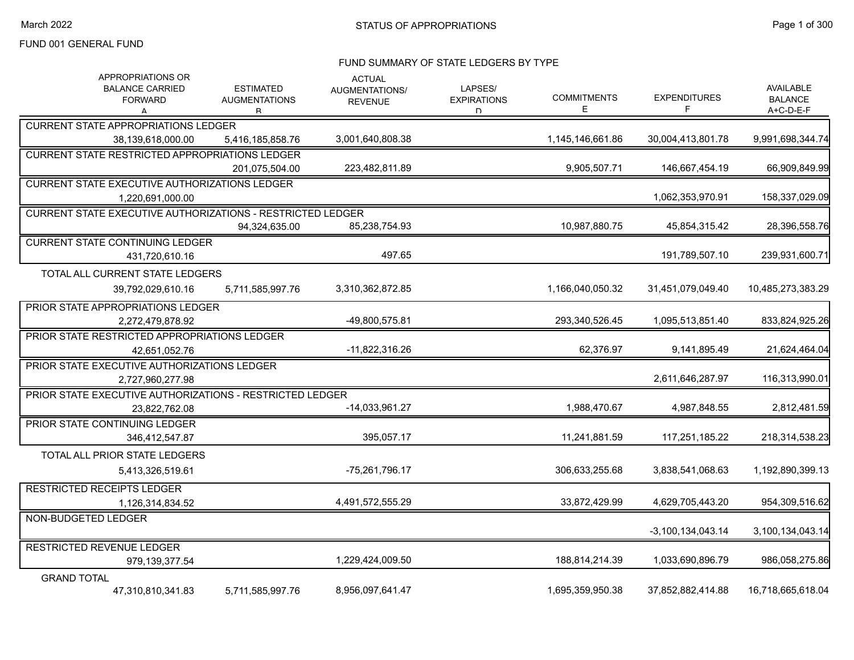#### FUND SUMMARY OF STATE LEDGERS BY TYPE

| APPROPRIATIONS OR<br><b>BALANCE CARRIED</b><br><b>FORWARD</b><br>А | <b>ESTIMATED</b><br><b>AUGMENTATIONS</b><br>R | <b>ACTUAL</b><br>AUGMENTATIONS/<br><b>REVENUE</b> | LAPSES/<br><b>EXPIRATIONS</b><br>D. | <b>COMMITMENTS</b><br>Е | <b>EXPENDITURES</b><br>F | AVAILABLE<br><b>BALANCE</b><br>A+C-D-E-F |
|--------------------------------------------------------------------|-----------------------------------------------|---------------------------------------------------|-------------------------------------|-------------------------|--------------------------|------------------------------------------|
| <b>CURRENT STATE APPROPRIATIONS LEDGER</b>                         |                                               |                                                   |                                     |                         |                          |                                          |
| 38,139,618,000.00                                                  | 5,416,185,858.76                              | 3,001,640,808.38                                  |                                     | 1,145,146,661.86        | 30,004,413,801.78        | 9,991,698,344.74                         |
| <b>CURRENT STATE RESTRICTED APPROPRIATIONS LEDGER</b>              |                                               |                                                   |                                     |                         |                          |                                          |
|                                                                    | 201.075.504.00                                | 223,482,811.89                                    |                                     | 9,905,507.71            | 146,667,454.19           | 66.909.849.99                            |
| <b>CURRENT STATE EXECUTIVE AUTHORIZATIONS LEDGER</b>               |                                               |                                                   |                                     |                         |                          |                                          |
| 1,220,691,000.00                                                   |                                               |                                                   |                                     |                         | 1,062,353,970.91         | 158,337,029.09                           |
| <b>CURRENT STATE EXECUTIVE AUTHORIZATIONS - RESTRICTED LEDGER</b>  |                                               |                                                   |                                     |                         |                          |                                          |
|                                                                    | 94,324,635.00                                 | 85,238,754.93                                     |                                     | 10,987,880.75           | 45,854,315.42            | 28,396,558.76                            |
| <b>CURRENT STATE CONTINUING LEDGER</b>                             |                                               |                                                   |                                     |                         |                          |                                          |
| 431,720,610.16                                                     |                                               | 497.65                                            |                                     |                         | 191,789,507.10           | 239,931,600.71                           |
| TOTAL ALL CURRENT STATE LEDGERS                                    |                                               |                                                   |                                     |                         |                          |                                          |
| 39,792,029,610.16                                                  | 5,711,585,997.76                              | 3,310,362,872.85                                  |                                     | 1,166,040,050.32        | 31,451,079,049.40        | 10,485,273,383.29                        |
| PRIOR STATE APPROPRIATIONS LEDGER                                  |                                               |                                                   |                                     |                         |                          |                                          |
| 2,272,479,878.92                                                   |                                               | -49,800,575.81                                    |                                     | 293,340,526.45          | 1,095,513,851.40         | 833,824,925.26                           |
| PRIOR STATE RESTRICTED APPROPRIATIONS LEDGER                       |                                               |                                                   |                                     |                         |                          |                                          |
| 42,651,052.76                                                      |                                               | $-11,822,316.26$                                  |                                     | 62,376.97               | 9,141,895.49             | 21,624,464.04                            |
| PRIOR STATE EXECUTIVE AUTHORIZATIONS LEDGER                        |                                               |                                                   |                                     |                         |                          |                                          |
| 2,727,960,277.98                                                   |                                               |                                                   |                                     |                         | 2,611,646,287.97         | 116,313,990.01                           |
| PRIOR STATE EXECUTIVE AUTHORIZATIONS - RESTRICTED LEDGER           |                                               |                                                   |                                     |                         |                          |                                          |
| 23.822.762.08                                                      |                                               | $-14,033,961.27$                                  |                                     | 1,988,470.67            | 4,987,848.55             | 2,812,481.59                             |
| PRIOR STATE CONTINUING LEDGER                                      |                                               |                                                   |                                     |                         |                          |                                          |
| 346,412,547.87                                                     |                                               | 395,057.17                                        |                                     | 11,241,881.59           | 117,251,185.22           | 218,314,538.23                           |
| TOTAL ALL PRIOR STATE LEDGERS                                      |                                               |                                                   |                                     |                         |                          |                                          |
| 5,413,326,519.61                                                   |                                               | -75,261,796.17                                    |                                     | 306,633,255.68          | 3,838,541,068.63         | 1,192,890,399.13                         |
| <b>RESTRICTED RECEIPTS LEDGER</b>                                  |                                               |                                                   |                                     |                         |                          |                                          |
| 1,126,314,834.52                                                   |                                               | 4,491,572,555.29                                  |                                     | 33,872,429.99           | 4,629,705,443.20         | 954,309,516.62                           |
| NON-BUDGETED LEDGER                                                |                                               |                                                   |                                     |                         | $-3.100.134.043.14$      | 3,100,134,043.14                         |
|                                                                    |                                               |                                                   |                                     |                         |                          |                                          |
| <b>RESTRICTED REVENUE LEDGER</b><br>979,139,377.54                 |                                               | 1,229,424,009.50                                  |                                     | 188,814,214.39          | 1,033,690,896.79         | 986,058,275.86                           |
|                                                                    |                                               |                                                   |                                     |                         |                          |                                          |
| <b>GRAND TOTAL</b><br>47,310,810,341.83                            | 5,711,585,997.76                              | 8,956,097,641.47                                  |                                     | 1,695,359,950.38        | 37,852,882,414.88        | 16,718,665,618.04                        |
|                                                                    |                                               |                                                   |                                     |                         |                          |                                          |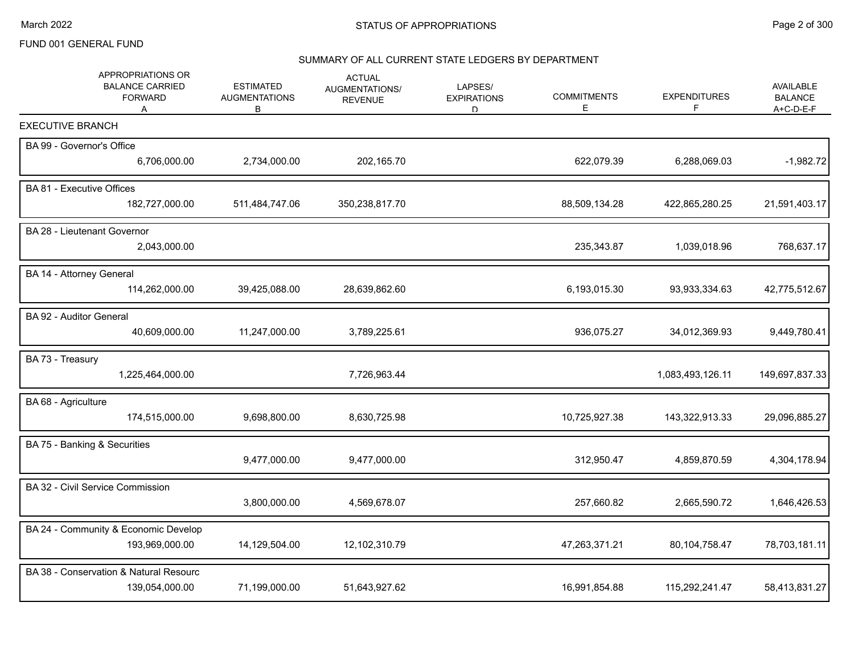# SUMMARY OF ALL CURRENT STATE LEDGERS BY DEPARTMENT

| APPROPRIATIONS OR<br><b>BALANCE CARRIED</b><br><b>FORWARD</b><br>A | <b>ESTIMATED</b><br><b>AUGMENTATIONS</b><br>В | <b>ACTUAL</b><br>AUGMENTATIONS/<br><b>REVENUE</b> | LAPSES/<br><b>EXPIRATIONS</b><br>D | <b>COMMITMENTS</b><br>Е | <b>EXPENDITURES</b><br>F | <b>AVAILABLE</b><br><b>BALANCE</b><br>A+C-D-E-F |
|--------------------------------------------------------------------|-----------------------------------------------|---------------------------------------------------|------------------------------------|-------------------------|--------------------------|-------------------------------------------------|
| <b>EXECUTIVE BRANCH</b>                                            |                                               |                                                   |                                    |                         |                          |                                                 |
| BA 99 - Governor's Office                                          |                                               |                                                   |                                    |                         |                          |                                                 |
| 6,706,000.00                                                       | 2,734,000.00                                  | 202,165.70                                        |                                    | 622,079.39              | 6,288,069.03             | $-1,982.72$                                     |
| BA 81 - Executive Offices                                          |                                               |                                                   |                                    |                         |                          |                                                 |
| 182,727,000.00                                                     | 511,484,747.06                                | 350,238,817.70                                    |                                    | 88,509,134.28           | 422,865,280.25           | 21,591,403.17                                   |
| BA 28 - Lieutenant Governor                                        |                                               |                                                   |                                    |                         |                          |                                                 |
| 2,043,000.00                                                       |                                               |                                                   |                                    | 235,343.87              | 1,039,018.96             | 768,637.17                                      |
| BA 14 - Attorney General                                           |                                               |                                                   |                                    |                         |                          |                                                 |
| 114,262,000.00                                                     | 39,425,088.00                                 | 28,639,862.60                                     |                                    | 6,193,015.30            | 93,933,334.63            | 42,775,512.67                                   |
| BA 92 - Auditor General                                            |                                               |                                                   |                                    |                         |                          |                                                 |
| 40,609,000.00                                                      | 11,247,000.00                                 | 3,789,225.61                                      |                                    | 936,075.27              | 34,012,369.93            | 9,449,780.41                                    |
| BA 73 - Treasury                                                   |                                               |                                                   |                                    |                         |                          |                                                 |
| 1,225,464,000.00                                                   |                                               | 7,726,963.44                                      |                                    |                         | 1,083,493,126.11         | 149,697,837.33                                  |
| BA 68 - Agriculture                                                |                                               |                                                   |                                    |                         |                          |                                                 |
| 174,515,000.00                                                     | 9,698,800.00                                  | 8,630,725.98                                      |                                    | 10,725,927.38           | 143,322,913.33           | 29,096,885.27                                   |
| BA 75 - Banking & Securities                                       |                                               |                                                   |                                    |                         |                          |                                                 |
|                                                                    | 9,477,000.00                                  | 9,477,000.00                                      |                                    | 312,950.47              | 4,859,870.59             | 4,304,178.94                                    |
| BA 32 - Civil Service Commission                                   |                                               |                                                   |                                    |                         |                          |                                                 |
|                                                                    | 3,800,000.00                                  | 4,569,678.07                                      |                                    | 257,660.82              | 2,665,590.72             | 1,646,426.53                                    |
| BA 24 - Community & Economic Develop                               |                                               |                                                   |                                    |                         |                          |                                                 |
| 193,969,000.00                                                     | 14,129,504.00                                 | 12,102,310.79                                     |                                    | 47,263,371.21           | 80,104,758.47            | 78,703,181.11                                   |
| BA 38 - Conservation & Natural Resourc                             |                                               |                                                   |                                    |                         |                          |                                                 |
| 139,054,000.00                                                     | 71,199,000.00                                 | 51,643,927.62                                     |                                    | 16,991,854.88           | 115,292,241.47           | 58,413,831.27                                   |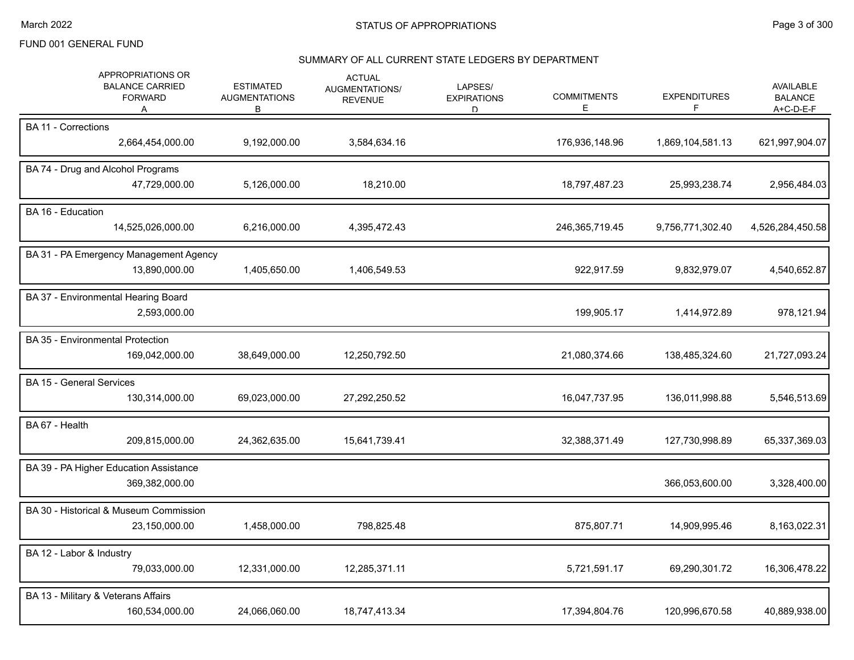#### SUMMARY OF ALL CURRENT STATE LEDGERS BY DEPARTMENT

|                | APPROPRIATIONS OR<br><b>BALANCE CARRIED</b><br><b>FORWARD</b><br>A | <b>ESTIMATED</b><br><b>AUGMENTATIONS</b><br>В | <b>ACTUAL</b><br><b>AUGMENTATIONS/</b><br><b>REVENUE</b> | LAPSES/<br><b>EXPIRATIONS</b><br>D | <b>COMMITMENTS</b><br>E | <b>EXPENDITURES</b><br>F | AVAILABLE<br><b>BALANCE</b><br>A+C-D-E-F |
|----------------|--------------------------------------------------------------------|-----------------------------------------------|----------------------------------------------------------|------------------------------------|-------------------------|--------------------------|------------------------------------------|
|                | <b>BA 11 - Corrections</b><br>2,664,454,000.00                     | 9,192,000.00                                  | 3,584,634.16                                             |                                    | 176,936,148.96          | 1,869,104,581.13         | 621,997,904.07                           |
|                | BA 74 - Drug and Alcohol Programs<br>47,729,000.00                 | 5,126,000.00                                  | 18,210.00                                                |                                    | 18,797,487.23           | 25,993,238.74            | 2,956,484.03                             |
|                | BA 16 - Education<br>14,525,026,000.00                             | 6,216,000.00                                  | 4,395,472.43                                             |                                    | 246,365,719.45          | 9,756,771,302.40         | 4,526,284,450.58                         |
|                | BA 31 - PA Emergency Management Agency<br>13,890,000.00            | 1,405,650.00                                  | 1,406,549.53                                             |                                    | 922,917.59              | 9,832,979.07             | 4,540,652.87                             |
|                | BA 37 - Environmental Hearing Board<br>2,593,000.00                |                                               |                                                          |                                    | 199,905.17              | 1,414,972.89             | 978,121.94                               |
|                | BA 35 - Environmental Protection<br>169,042,000.00                 | 38,649,000.00                                 | 12,250,792.50                                            |                                    | 21,080,374.66           | 138,485,324.60           | 21,727,093.24                            |
|                | <b>BA 15 - General Services</b><br>130,314,000.00                  | 69,023,000.00                                 | 27,292,250.52                                            |                                    | 16,047,737.95           | 136,011,998.88           | 5,546,513.69                             |
| BA 67 - Health | 209,815,000.00                                                     | 24,362,635.00                                 | 15,641,739.41                                            |                                    | 32,388,371.49           | 127,730,998.89           | 65,337,369.03                            |
|                | BA 39 - PA Higher Education Assistance<br>369,382,000.00           |                                               |                                                          |                                    |                         | 366,053,600.00           | 3,328,400.00                             |
|                | BA 30 - Historical & Museum Commission<br>23,150,000.00            | 1,458,000.00                                  | 798,825.48                                               |                                    | 875,807.71              | 14,909,995.46            | 8,163,022.31                             |
|                | BA 12 - Labor & Industry<br>79,033,000.00                          | 12,331,000.00                                 | 12,285,371.11                                            |                                    | 5,721,591.17            | 69,290,301.72            | 16,306,478.22                            |
|                | BA 13 - Military & Veterans Affairs<br>160,534,000.00              | 24,066,060.00                                 | 18,747,413.34                                            |                                    | 17,394,804.76           | 120,996,670.58           | 40,889,938.00                            |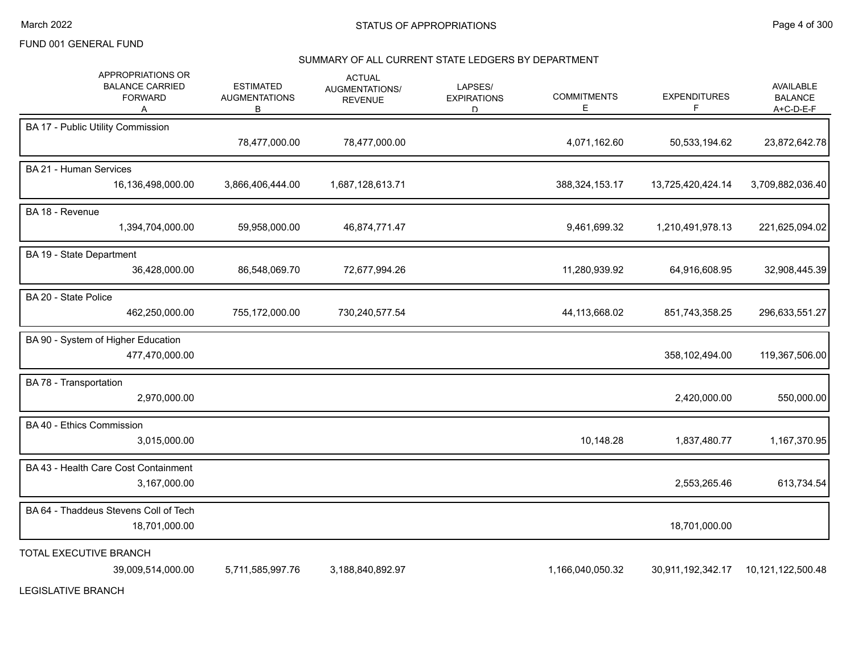#### SUMMARY OF ALL CURRENT STATE LEDGERS BY DEPARTMENT

| APPROPRIATIONS OR<br><b>BALANCE CARRIED</b><br><b>FORWARD</b><br>A | <b>ESTIMATED</b><br><b>AUGMENTATIONS</b><br>B | <b>ACTUAL</b><br>AUGMENTATIONS/<br><b>REVENUE</b> | LAPSES/<br><b>EXPIRATIONS</b><br>D. | <b>COMMITMENTS</b><br>Е | <b>EXPENDITURES</b><br>F | <b>AVAILABLE</b><br><b>BALANCE</b><br>A+C-D-E-F |
|--------------------------------------------------------------------|-----------------------------------------------|---------------------------------------------------|-------------------------------------|-------------------------|--------------------------|-------------------------------------------------|
| BA 17 - Public Utility Commission                                  | 78,477,000.00                                 | 78,477,000.00                                     |                                     | 4,071,162.60            | 50,533,194.62            | 23,872,642.78                                   |
| <b>BA 21 - Human Services</b><br>16,136,498,000.00                 | 3,866,406,444.00                              | 1,687,128,613.71                                  |                                     | 388,324,153.17          | 13,725,420,424.14        | 3,709,882,036.40                                |
| BA 18 - Revenue<br>1,394,704,000.00                                | 59,958,000.00                                 | 46,874,771.47                                     |                                     | 9,461,699.32            | 1,210,491,978.13         | 221,625,094.02                                  |
| BA 19 - State Department<br>36,428,000.00                          | 86,548,069.70                                 | 72,677,994.26                                     |                                     | 11,280,939.92           | 64,916,608.95            | 32,908,445.39                                   |
| BA 20 - State Police<br>462,250,000.00                             | 755,172,000.00                                | 730,240,577.54                                    |                                     | 44,113,668.02           | 851,743,358.25           | 296,633,551.27                                  |
| BA 90 - System of Higher Education<br>477,470,000.00               |                                               |                                                   |                                     |                         | 358,102,494.00           | 119,367,506.00                                  |
| BA 78 - Transportation<br>2,970,000.00                             |                                               |                                                   |                                     |                         | 2,420,000.00             | 550,000.00                                      |
| BA 40 - Ethics Commission<br>3,015,000.00                          |                                               |                                                   |                                     | 10,148.28               | 1,837,480.77             | 1,167,370.95                                    |
| BA 43 - Health Care Cost Containment<br>3,167,000.00               |                                               |                                                   |                                     |                         | 2,553,265.46             | 613,734.54                                      |
| BA 64 - Thaddeus Stevens Coll of Tech<br>18,701,000.00             |                                               |                                                   |                                     |                         | 18,701,000.00            |                                                 |
| TOTAL EXECUTIVE BRANCH<br>39,009,514,000.00                        | 5,711,585,997.76                              | 3,188,840,892.97                                  |                                     | 1,166,040,050.32        | 30,911,192,342.17        | 10,121,122,500.48                               |

LEGISLATIVE BRANCH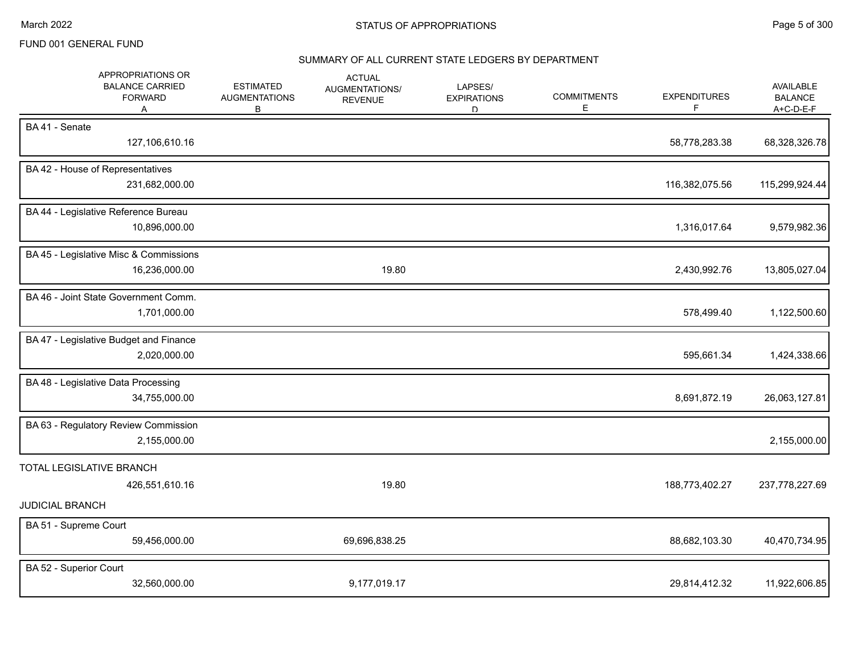#### SUMMARY OF ALL CURRENT STATE LEDGERS BY DEPARTMENT

| APPROPRIATIONS OR<br><b>BALANCE CARRIED</b><br><b>FORWARD</b><br>Α   | <b>ESTIMATED</b><br><b>AUGMENTATIONS</b><br>В | <b>ACTUAL</b><br>AUGMENTATIONS/<br><b>REVENUE</b> | LAPSES/<br><b>EXPIRATIONS</b><br>D. | <b>COMMITMENTS</b><br>Е | <b>EXPENDITURES</b><br>F | AVAILABLE<br><b>BALANCE</b><br>A+C-D-E-F |
|----------------------------------------------------------------------|-----------------------------------------------|---------------------------------------------------|-------------------------------------|-------------------------|--------------------------|------------------------------------------|
| BA41 - Senate<br>127,106,610.16                                      |                                               |                                                   |                                     |                         | 58,778,283.38            | 68,328,326.78                            |
| BA 42 - House of Representatives<br>231,682,000.00                   |                                               |                                                   |                                     |                         | 116,382,075.56           | 115,299,924.44                           |
| BA 44 - Legislative Reference Bureau<br>10,896,000.00                |                                               |                                                   |                                     |                         | 1,316,017.64             | 9,579,982.36                             |
| BA 45 - Legislative Misc & Commissions<br>16,236,000.00              |                                               | 19.80                                             |                                     |                         | 2,430,992.76             | 13,805,027.04                            |
| BA 46 - Joint State Government Comm.<br>1,701,000.00                 |                                               |                                                   |                                     |                         | 578,499.40               | 1,122,500.60                             |
| BA 47 - Legislative Budget and Finance<br>2,020,000.00               |                                               |                                                   |                                     |                         | 595,661.34               | 1,424,338.66                             |
| BA 48 - Legislative Data Processing<br>34,755,000.00                 |                                               |                                                   |                                     |                         | 8,691,872.19             | 26,063,127.81                            |
| BA 63 - Regulatory Review Commission<br>2,155,000.00                 |                                               |                                                   |                                     |                         |                          | 2,155,000.00                             |
| TOTAL LEGISLATIVE BRANCH<br>426,551,610.16<br><b>JUDICIAL BRANCH</b> |                                               | 19.80                                             |                                     |                         | 188,773,402.27           | 237,778,227.69                           |
| BA 51 - Supreme Court<br>59,456,000.00                               |                                               | 69,696,838.25                                     |                                     |                         | 88,682,103.30            | 40,470,734.95                            |
| BA 52 - Superior Court<br>32,560,000.00                              |                                               | 9,177,019.17                                      |                                     |                         | 29,814,412.32            | 11,922,606.85                            |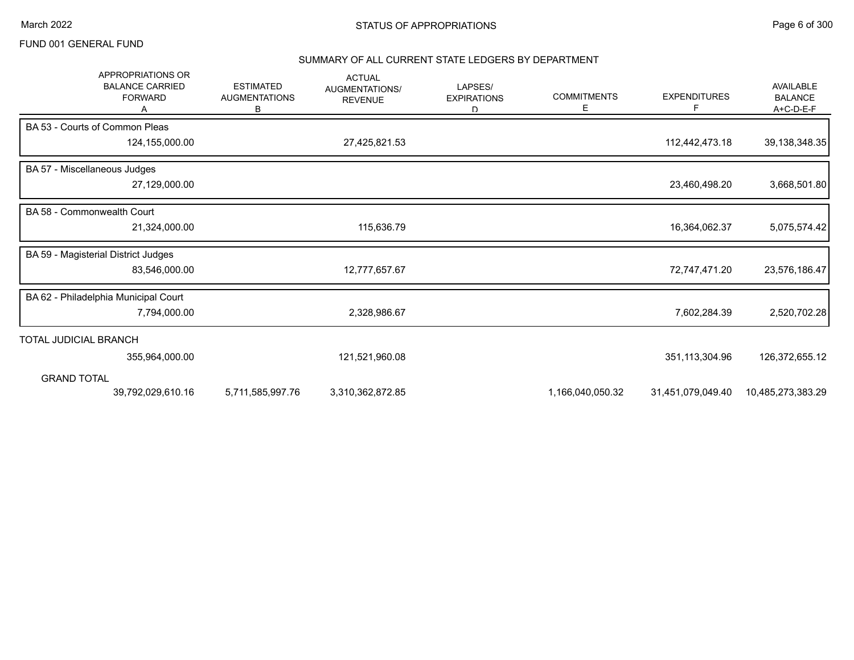# SUMMARY OF ALL CURRENT STATE LEDGERS BY DEPARTMENT

| <b>APPROPRIATIONS OR</b><br><b>BALANCE CARRIED</b><br><b>FORWARD</b> | <b>ESTIMATED</b><br><b>AUGMENTATIONS</b><br>В | <b>ACTUAL</b><br>AUGMENTATIONS/<br><b>REVENUE</b> | LAPSES/<br><b>EXPIRATIONS</b><br>D | <b>COMMITMENTS</b><br>Е | <b>EXPENDITURES</b><br>F | AVAILABLE<br><b>BALANCE</b><br>A+C-D-E-F |
|----------------------------------------------------------------------|-----------------------------------------------|---------------------------------------------------|------------------------------------|-------------------------|--------------------------|------------------------------------------|
| BA 53 - Courts of Common Pleas                                       |                                               |                                                   |                                    |                         |                          |                                          |
| 124,155,000.00                                                       |                                               | 27,425,821.53                                     |                                    |                         | 112,442,473.18           | 39, 138, 348. 35                         |
| BA 57 - Miscellaneous Judges                                         |                                               |                                                   |                                    |                         |                          |                                          |
| 27,129,000.00                                                        |                                               |                                                   |                                    |                         | 23,460,498.20            | 3,668,501.80                             |
| BA 58 - Commonwealth Court                                           |                                               |                                                   |                                    |                         |                          |                                          |
| 21,324,000.00                                                        |                                               | 115,636.79                                        |                                    |                         | 16,364,062.37            | 5,075,574.42                             |
| BA 59 - Magisterial District Judges                                  |                                               |                                                   |                                    |                         |                          |                                          |
| 83,546,000.00                                                        |                                               | 12,777,657.67                                     |                                    |                         | 72,747,471.20            | 23,576,186.47                            |
| BA 62 - Philadelphia Municipal Court                                 |                                               |                                                   |                                    |                         |                          |                                          |
| 7,794,000.00                                                         |                                               | 2,328,986.67                                      |                                    |                         | 7,602,284.39             | 2,520,702.28                             |
| TOTAL JUDICIAL BRANCH                                                |                                               |                                                   |                                    |                         |                          |                                          |
| 355,964,000.00                                                       |                                               | 121,521,960.08                                    |                                    |                         | 351,113,304.96           | 126,372,655.12                           |
| <b>GRAND TOTAL</b>                                                   |                                               |                                                   |                                    |                         |                          |                                          |
| 39,792,029,610.16                                                    | 5,711,585,997.76                              | 3,310,362,872.85                                  |                                    | 1,166,040,050.32        | 31,451,079,049.40        | 10,485,273,383.29                        |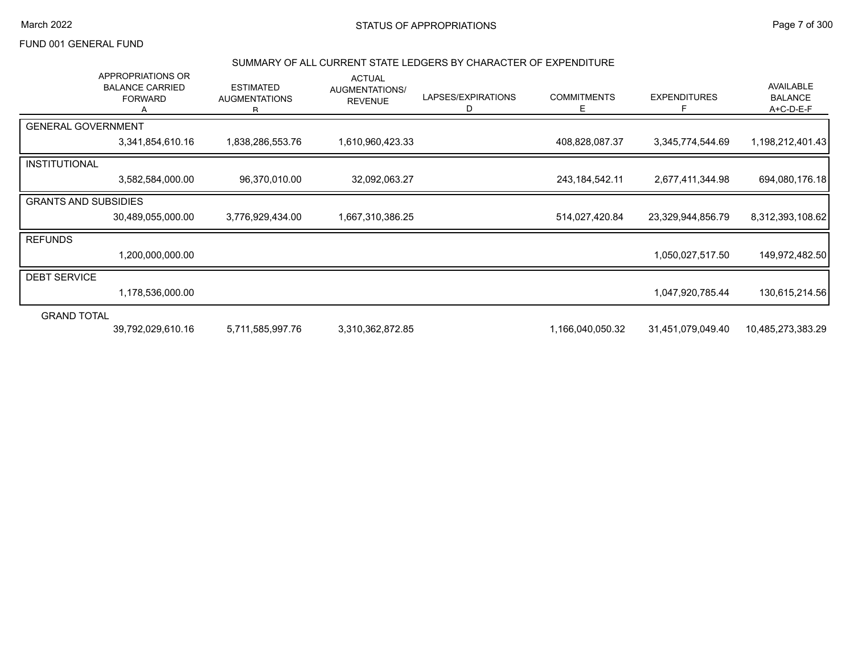#### March 2022 **STATUS OF APPROPRIATIONS** STATUS OF APPROPRIATIONS

# FUND 001 GENERAL FUND

#### SUMMARY OF ALL CURRENT STATE LEDGERS BY CHARACTER OF EXPENDITURE

|                             | APPROPRIATIONS OR<br><b>BALANCE CARRIED</b><br><b>FORWARD</b> | <b>ESTIMATED</b><br><b>AUGMENTATIONS</b><br>R. | <b>ACTUAL</b><br>AUGMENTATIONS/<br><b>REVENUE</b> | LAPSES/EXPIRATIONS<br>D | <b>COMMITMENTS</b><br>E. | <b>EXPENDITURES</b> | AVAILABLE<br><b>BALANCE</b><br>$A+C-D-E-F$ |
|-----------------------------|---------------------------------------------------------------|------------------------------------------------|---------------------------------------------------|-------------------------|--------------------------|---------------------|--------------------------------------------|
| <b>GENERAL GOVERNMENT</b>   |                                                               |                                                |                                                   |                         |                          |                     |                                            |
|                             | 3,341,854,610.16                                              | 1,838,286,553.76                               | 1,610,960,423.33                                  |                         | 408,828,087.37           | 3,345,774,544.69    | 1,198,212,401.43                           |
| <b>INSTITUTIONAL</b>        |                                                               |                                                |                                                   |                         |                          |                     |                                            |
|                             | 3,582,584,000.00                                              | 96,370,010.00                                  | 32,092,063.27                                     |                         | 243, 184, 542. 11        | 2,677,411,344.98    | 694,080,176.18                             |
| <b>GRANTS AND SUBSIDIES</b> |                                                               |                                                |                                                   |                         |                          |                     |                                            |
|                             | 30,489,055,000.00                                             | 3,776,929,434.00                               | 1,667,310,386.25                                  |                         | 514,027,420.84           | 23,329,944,856.79   | 8,312,393,108.62                           |
| <b>REFUNDS</b>              |                                                               |                                                |                                                   |                         |                          |                     |                                            |
|                             | 1,200,000,000.00                                              |                                                |                                                   |                         |                          | 1,050,027,517.50    | 149,972,482.50                             |
| <b>DEBT SERVICE</b>         |                                                               |                                                |                                                   |                         |                          |                     |                                            |
|                             | 1,178,536,000.00                                              |                                                |                                                   |                         |                          | 1,047,920,785.44    | 130,615,214.56                             |
| <b>GRAND TOTAL</b>          |                                                               |                                                |                                                   |                         |                          |                     |                                            |
|                             | 39,792,029,610.16                                             | 5,711,585,997.76                               | 3,310,362,872.85                                  |                         | 1,166,040,050.32         | 31,451,079,049.40   | 10,485,273,383.29                          |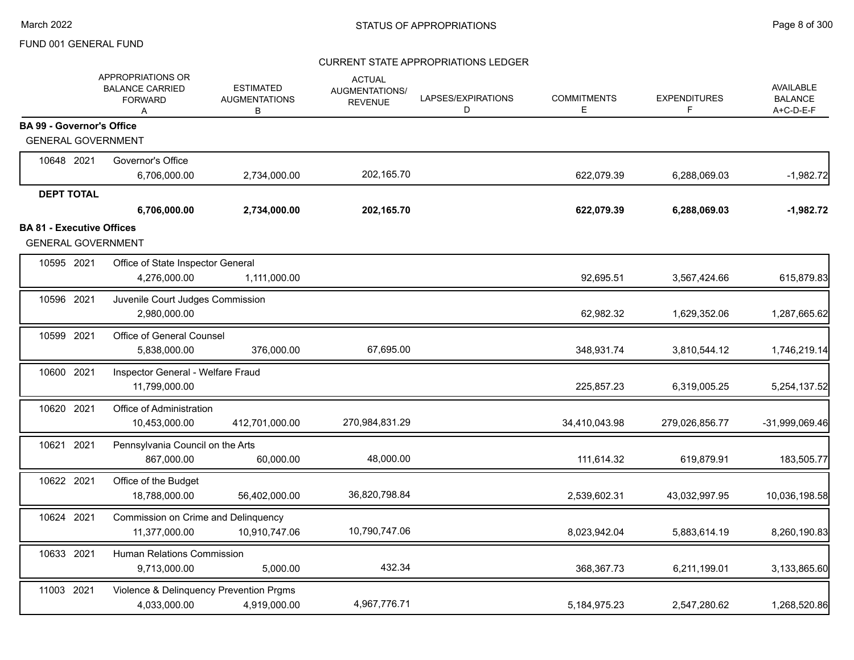|                                  | APPROPRIATIONS OR<br><b>BALANCE CARRIED</b><br><b>FORWARD</b><br>A | <b>ESTIMATED</b><br><b>AUGMENTATIONS</b><br>В | <b>ACTUAL</b><br><b>AUGMENTATIONS/</b><br><b>REVENUE</b> | LAPSES/EXPIRATIONS<br>D | <b>COMMITMENTS</b><br>E | <b>EXPENDITURES</b><br>F | AVAILABLE<br><b>BALANCE</b><br>A+C-D-E-F |
|----------------------------------|--------------------------------------------------------------------|-----------------------------------------------|----------------------------------------------------------|-------------------------|-------------------------|--------------------------|------------------------------------------|
| <b>BA 99 - Governor's Office</b> |                                                                    |                                               |                                                          |                         |                         |                          |                                          |
| <b>GENERAL GOVERNMENT</b>        |                                                                    |                                               |                                                          |                         |                         |                          |                                          |
| 10648 2021                       | Governor's Office                                                  |                                               |                                                          |                         |                         |                          |                                          |
|                                  | 6,706,000.00                                                       | 2,734,000.00                                  | 202,165.70                                               |                         | 622,079.39              | 6,288,069.03             | $-1,982.72$                              |
| <b>DEPT TOTAL</b>                |                                                                    |                                               |                                                          |                         |                         |                          |                                          |
|                                  | 6,706,000.00                                                       | 2,734,000.00                                  | 202,165.70                                               |                         | 622,079.39              | 6,288,069.03             | $-1,982.72$                              |
| <b>BA 81 - Executive Offices</b> |                                                                    |                                               |                                                          |                         |                         |                          |                                          |
| <b>GENERAL GOVERNMENT</b>        |                                                                    |                                               |                                                          |                         |                         |                          |                                          |
| 10595 2021                       | Office of State Inspector General                                  |                                               |                                                          |                         |                         |                          |                                          |
|                                  | 4,276,000.00                                                       | 1,111,000.00                                  |                                                          |                         | 92,695.51               | 3,567,424.66             | 615,879.83                               |
| 10596 2021                       | Juvenile Court Judges Commission                                   |                                               |                                                          |                         |                         |                          |                                          |
|                                  | 2,980,000.00                                                       |                                               |                                                          |                         | 62,982.32               | 1,629,352.06             | 1,287,665.62                             |
| 10599 2021                       | Office of General Counsel                                          |                                               |                                                          |                         |                         |                          |                                          |
|                                  | 5,838,000.00                                                       | 376,000.00                                    | 67,695.00                                                |                         | 348,931.74              | 3,810,544.12             | 1,746,219.14                             |
| 10600 2021                       | Inspector General - Welfare Fraud                                  |                                               |                                                          |                         |                         |                          |                                          |
|                                  | 11,799,000.00                                                      |                                               |                                                          |                         | 225,857.23              | 6,319,005.25             | 5,254,137.52                             |
| 10620 2021                       | Office of Administration                                           |                                               |                                                          |                         |                         |                          |                                          |
|                                  | 10,453,000.00                                                      | 412,701,000.00                                | 270,984,831.29                                           |                         | 34,410,043.98           | 279,026,856.77           | -31,999,069.46                           |
| 10621 2021                       | Pennsylvania Council on the Arts                                   |                                               |                                                          |                         |                         |                          |                                          |
|                                  | 867,000.00                                                         | 60,000.00                                     | 48,000.00                                                |                         | 111,614.32              | 619,879.91               | 183,505.77                               |
| 10622 2021                       | Office of the Budget                                               |                                               |                                                          |                         |                         |                          |                                          |
|                                  | 18,788,000.00                                                      | 56,402,000.00                                 | 36,820,798.84                                            |                         | 2,539,602.31            | 43,032,997.95            | 10,036,198.58                            |
| 10624 2021                       | Commission on Crime and Delinquency                                |                                               |                                                          |                         |                         |                          |                                          |
|                                  | 11,377,000.00                                                      | 10,910,747.06                                 | 10,790,747.06                                            |                         | 8,023,942.04            | 5,883,614.19             | 8,260,190.83                             |
| 10633 2021                       | Human Relations Commission                                         |                                               |                                                          |                         |                         |                          |                                          |
|                                  | 9,713,000.00                                                       | 5,000.00                                      | 432.34                                                   |                         | 368,367.73              | 6,211,199.01             | 3,133,865.60                             |
| 11003 2021                       |                                                                    | Violence & Delinquency Prevention Prgms       |                                                          |                         |                         |                          |                                          |
|                                  | 4,033,000.00                                                       | 4,919,000.00                                  | 4,967,776.71                                             |                         | 5, 184, 975. 23         | 2,547,280.62             | 1,268,520.86                             |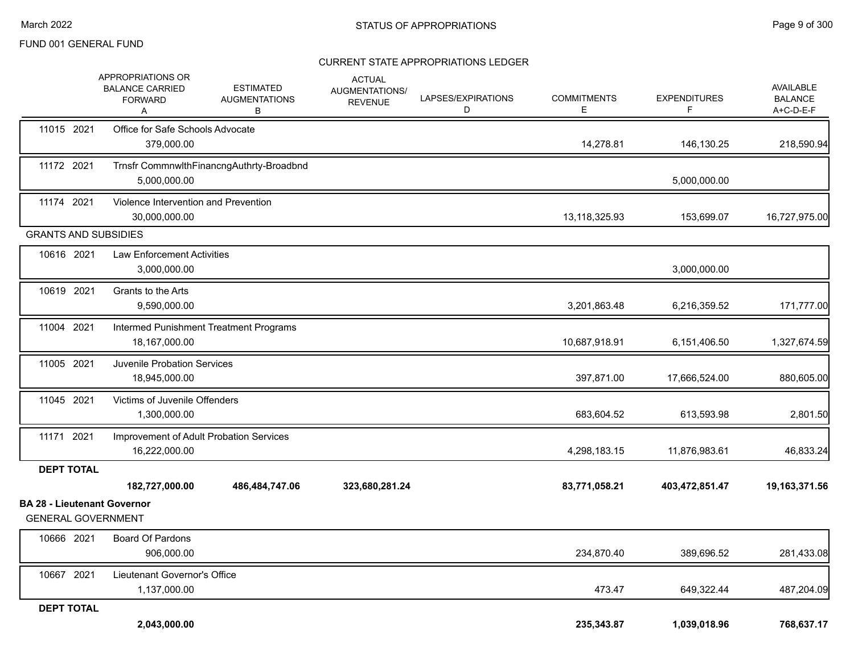|                                                                 | APPROPRIATIONS OR<br><b>BALANCE CARRIED</b><br><b>FORWARD</b><br>A | <b>ESTIMATED</b><br><b>AUGMENTATIONS</b><br>В | <b>ACTUAL</b><br>AUGMENTATIONS/<br><b>REVENUE</b> | LAPSES/EXPIRATIONS<br>D | <b>COMMITMENTS</b><br>Е | <b>EXPENDITURES</b><br>F. | AVAILABLE<br><b>BALANCE</b><br>A+C-D-E-F |
|-----------------------------------------------------------------|--------------------------------------------------------------------|-----------------------------------------------|---------------------------------------------------|-------------------------|-------------------------|---------------------------|------------------------------------------|
| 11015 2021                                                      | Office for Safe Schools Advocate<br>379,000.00                     |                                               |                                                   |                         | 14,278.81               | 146,130.25                | 218,590.94                               |
| 11172 2021                                                      | 5,000,000.00                                                       | Trnsfr CommnwlthFinancngAuthrty-Broadbnd      |                                                   |                         |                         | 5,000,000.00              |                                          |
| 11174 2021                                                      | Violence Intervention and Prevention<br>30,000,000.00              |                                               |                                                   |                         | 13,118,325.93           | 153,699.07                | 16,727,975.00                            |
| <b>GRANTS AND SUBSIDIES</b>                                     |                                                                    |                                               |                                                   |                         |                         |                           |                                          |
| 10616 2021                                                      | <b>Law Enforcement Activities</b><br>3,000,000.00                  |                                               |                                                   |                         |                         | 3,000,000.00              |                                          |
| 10619 2021                                                      | Grants to the Arts<br>9,590,000.00                                 |                                               |                                                   |                         | 3,201,863.48            | 6,216,359.52              | 171,777.00                               |
| 11004 2021                                                      | 18,167,000.00                                                      | Intermed Punishment Treatment Programs        |                                                   |                         | 10,687,918.91           | 6,151,406.50              | 1,327,674.59                             |
| 11005 2021                                                      | Juvenile Probation Services<br>18,945,000.00                       |                                               |                                                   |                         | 397,871.00              | 17,666,524.00             | 880,605.00                               |
| 11045 2021                                                      | Victims of Juvenile Offenders<br>1,300,000.00                      |                                               |                                                   |                         | 683,604.52              | 613,593.98                | 2,801.50                                 |
| 11171 2021                                                      | 16,222,000.00                                                      | Improvement of Adult Probation Services       |                                                   |                         | 4,298,183.15            | 11,876,983.61             | 46,833.24                                |
| <b>DEPT TOTAL</b>                                               |                                                                    |                                               |                                                   |                         |                         |                           |                                          |
|                                                                 | 182,727,000.00                                                     | 486,484,747.06                                | 323,680,281.24                                    |                         | 83,771,058.21           | 403,472,851.47            | 19,163,371.56                            |
| <b>BA 28 - Lieutenant Governor</b><br><b>GENERAL GOVERNMENT</b> |                                                                    |                                               |                                                   |                         |                         |                           |                                          |
| 10666 2021                                                      | <b>Board Of Pardons</b><br>906,000.00                              |                                               |                                                   |                         | 234,870.40              | 389,696.52                | 281,433.08                               |
| 10667 2021                                                      | Lieutenant Governor's Office<br>1,137,000.00                       |                                               |                                                   |                         | 473.47                  | 649,322.44                | 487,204.09                               |
| <b>DEPT TOTAL</b>                                               | 2,043,000.00                                                       |                                               |                                                   |                         | 235,343.87              | 1,039,018.96              | 768,637.17                               |
|                                                                 |                                                                    |                                               |                                                   |                         |                         |                           |                                          |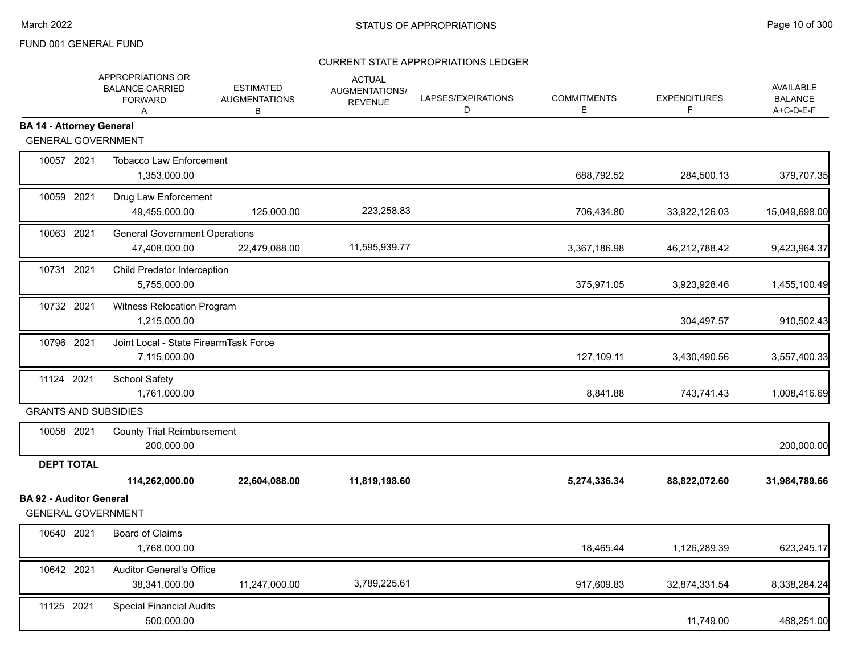|                                                             | APPROPRIATIONS OR<br><b>BALANCE CARRIED</b><br><b>FORWARD</b><br>A | <b>ESTIMATED</b><br><b>AUGMENTATIONS</b><br>В | <b>ACTUAL</b><br>AUGMENTATIONS/<br><b>REVENUE</b> | LAPSES/EXPIRATIONS<br>D | <b>COMMITMENTS</b><br>Е | <b>EXPENDITURES</b><br>F. | AVAILABLE<br><b>BALANCE</b><br>A+C-D-E-F |
|-------------------------------------------------------------|--------------------------------------------------------------------|-----------------------------------------------|---------------------------------------------------|-------------------------|-------------------------|---------------------------|------------------------------------------|
| <b>BA 14 - Attorney General</b>                             |                                                                    |                                               |                                                   |                         |                         |                           |                                          |
| <b>GENERAL GOVERNMENT</b>                                   |                                                                    |                                               |                                                   |                         |                         |                           |                                          |
| 10057 2021                                                  | <b>Tobacco Law Enforcement</b><br>1,353,000.00                     |                                               |                                                   |                         | 688,792.52              | 284,500.13                | 379,707.35                               |
| 10059 2021                                                  | Drug Law Enforcement<br>49,455,000.00                              | 125,000.00                                    | 223,258.83                                        |                         | 706,434.80              | 33,922,126.03             | 15,049,698.00                            |
| 10063 2021                                                  | <b>General Government Operations</b><br>47,408,000.00              | 22,479,088.00                                 | 11,595,939.77                                     |                         | 3,367,186.98            | 46,212,788.42             | 9,423,964.37                             |
| 10731 2021                                                  | Child Predator Interception<br>5,755,000.00                        |                                               |                                                   |                         | 375,971.05              | 3,923,928.46              | 1,455,100.49                             |
| 10732 2021                                                  | Witness Relocation Program<br>1,215,000.00                         |                                               |                                                   |                         |                         | 304,497.57                | 910,502.43                               |
| 10796 2021                                                  | Joint Local - State FirearmTask Force<br>7,115,000.00              |                                               |                                                   |                         | 127,109.11              | 3,430,490.56              | 3,557,400.33                             |
| 11124 2021                                                  | School Safety<br>1,761,000.00                                      |                                               |                                                   |                         | 8,841.88                | 743,741.43                | 1,008,416.69                             |
| <b>GRANTS AND SUBSIDIES</b>                                 |                                                                    |                                               |                                                   |                         |                         |                           |                                          |
| 10058 2021                                                  | <b>County Trial Reimbursement</b><br>200,000.00                    |                                               |                                                   |                         |                         |                           | 200,000.00                               |
| <b>DEPT TOTAL</b>                                           |                                                                    |                                               |                                                   |                         |                         |                           |                                          |
|                                                             | 114,262,000.00                                                     | 22,604,088.00                                 | 11,819,198.60                                     |                         | 5,274,336.34            | 88,822,072.60             | 31,984,789.66                            |
| <b>BA 92 - Auditor General</b><br><b>GENERAL GOVERNMENT</b> |                                                                    |                                               |                                                   |                         |                         |                           |                                          |
| 10640 2021                                                  | <b>Board of Claims</b><br>1,768,000.00                             |                                               |                                                   |                         | 18,465.44               | 1,126,289.39              | 623,245.17                               |
| 10642 2021                                                  | <b>Auditor General's Office</b><br>38,341,000.00                   | 11,247,000.00                                 | 3,789,225.61                                      |                         | 917,609.83              | 32,874,331.54             | 8,338,284.24                             |
| 11125 2021                                                  | <b>Special Financial Audits</b><br>500,000.00                      |                                               |                                                   |                         |                         | 11,749.00                 | 488,251.00                               |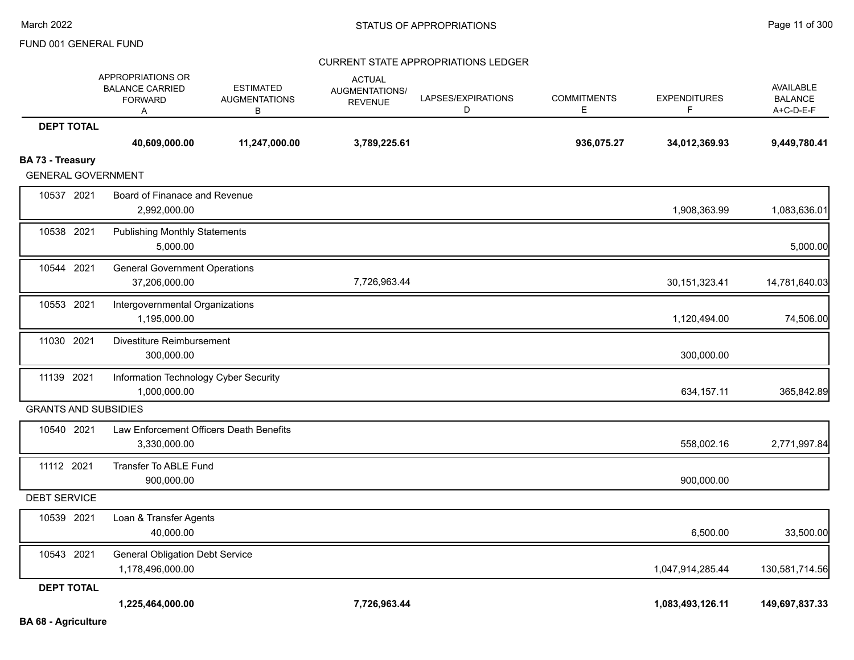|                             | APPROPRIATIONS OR<br><b>BALANCE CARRIED</b><br><b>FORWARD</b><br>Α | <b>ESTIMATED</b><br><b>AUGMENTATIONS</b><br>в | <b>ACTUAL</b><br>AUGMENTATIONS/<br><b>REVENUE</b> | LAPSES/EXPIRATIONS<br>D | <b>COMMITMENTS</b><br>E | <b>EXPENDITURES</b><br>F | <b>AVAILABLE</b><br><b>BALANCE</b><br>A+C-D-E-F |
|-----------------------------|--------------------------------------------------------------------|-----------------------------------------------|---------------------------------------------------|-------------------------|-------------------------|--------------------------|-------------------------------------------------|
| <b>DEPT TOTAL</b>           |                                                                    |                                               |                                                   |                         |                         |                          |                                                 |
|                             | 40,609,000.00                                                      | 11,247,000.00                                 | 3,789,225.61                                      |                         | 936,075.27              | 34,012,369.93            | 9,449,780.41                                    |
| BA 73 - Treasury            |                                                                    |                                               |                                                   |                         |                         |                          |                                                 |
| <b>GENERAL GOVERNMENT</b>   |                                                                    |                                               |                                                   |                         |                         |                          |                                                 |
| 10537 2021                  | Board of Finanace and Revenue<br>2,992,000.00                      |                                               |                                                   |                         |                         | 1,908,363.99             | 1,083,636.01                                    |
| 10538 2021                  | <b>Publishing Monthly Statements</b>                               |                                               |                                                   |                         |                         |                          |                                                 |
|                             | 5,000.00                                                           |                                               |                                                   |                         |                         |                          | 5,000.00                                        |
| 10544 2021                  | <b>General Government Operations</b>                               |                                               |                                                   |                         |                         |                          |                                                 |
|                             | 37,206,000.00                                                      |                                               | 7,726,963.44                                      |                         |                         | 30, 151, 323. 41         | 14,781,640.03                                   |
| 10553 2021                  | Intergovernmental Organizations                                    |                                               |                                                   |                         |                         |                          |                                                 |
|                             | 1,195,000.00                                                       |                                               |                                                   |                         |                         | 1,120,494.00             | 74,506.00                                       |
| 11030 2021                  | Divestiture Reimbursement                                          |                                               |                                                   |                         |                         |                          |                                                 |
|                             | 300,000.00                                                         |                                               |                                                   |                         |                         | 300,000.00               |                                                 |
| 11139 2021                  | Information Technology Cyber Security                              |                                               |                                                   |                         |                         |                          |                                                 |
|                             | 1,000,000.00                                                       |                                               |                                                   |                         |                         | 634, 157. 11             | 365,842.89                                      |
| <b>GRANTS AND SUBSIDIES</b> |                                                                    |                                               |                                                   |                         |                         |                          |                                                 |
| 10540 2021                  | Law Enforcement Officers Death Benefits                            |                                               |                                                   |                         |                         |                          |                                                 |
|                             | 3,330,000.00                                                       |                                               |                                                   |                         |                         | 558,002.16               | 2,771,997.84                                    |
| 11112 2021                  | Transfer To ABLE Fund                                              |                                               |                                                   |                         |                         |                          |                                                 |
|                             | 900,000.00                                                         |                                               |                                                   |                         |                         | 900,000.00               |                                                 |
| <b>DEBT SERVICE</b>         |                                                                    |                                               |                                                   |                         |                         |                          |                                                 |
| 10539 2021                  | Loan & Transfer Agents                                             |                                               |                                                   |                         |                         |                          |                                                 |
|                             | 40,000.00                                                          |                                               |                                                   |                         |                         | 6,500.00                 | 33,500.00                                       |
| 10543 2021                  | <b>General Obligation Debt Service</b>                             |                                               |                                                   |                         |                         |                          |                                                 |
|                             | 1,178,496,000.00                                                   |                                               |                                                   |                         |                         | 1,047,914,285.44         | 130,581,714.56                                  |
| <b>DEPT TOTAL</b>           |                                                                    |                                               |                                                   |                         |                         |                          |                                                 |
|                             | 1,225,464,000.00                                                   |                                               | 7,726,963.44                                      |                         |                         | 1,083,493,126.11         | 149,697,837.33                                  |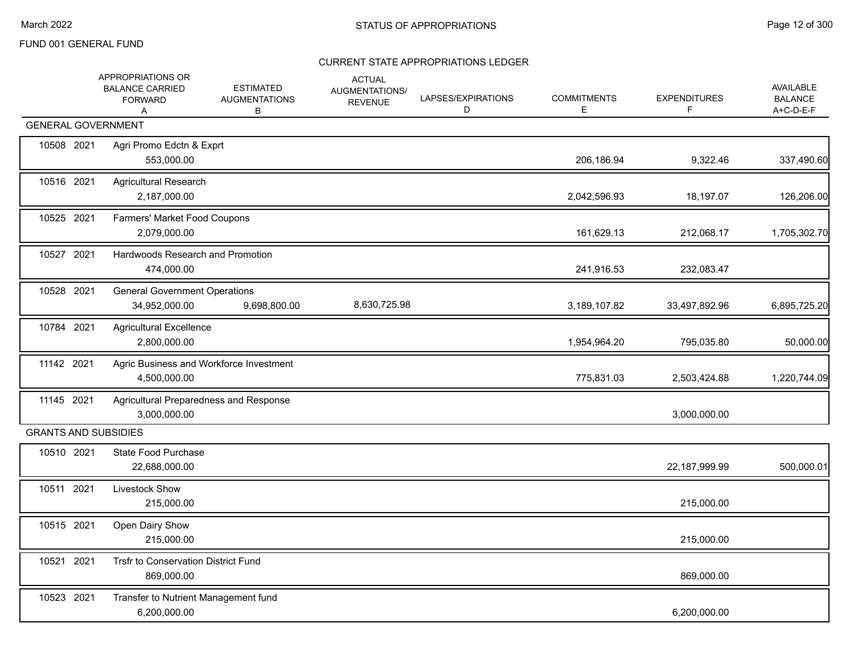|            | APPROPRIATIONS OR<br><b>BALANCE CARRIED</b><br><b>FORWARD</b><br>A | <b>ESTIMATED</b><br><b>AUGMENTATIONS</b><br>В | <b>ACTUAL</b><br><b>AUGMENTATIONS/</b><br><b>REVENUE</b> | LAPSES/EXPIRATIONS<br>D | <b>COMMITMENTS</b><br>E. | <b>EXPENDITURES</b><br>F | <b>AVAILABLE</b><br><b>BALANCE</b><br>A+C-D-E-F |
|------------|--------------------------------------------------------------------|-----------------------------------------------|----------------------------------------------------------|-------------------------|--------------------------|--------------------------|-------------------------------------------------|
|            | <b>GENERAL GOVERNMENT</b>                                          |                                               |                                                          |                         |                          |                          |                                                 |
| 10508 2021 | Agri Promo Edctn & Exprt<br>553,000.00                             |                                               |                                                          |                         | 206,186.94               | 9,322.46                 | 337,490.60                                      |
| 10516 2021 | <b>Agricultural Research</b><br>2,187,000.00                       |                                               |                                                          |                         | 2,042,596.93             | 18,197.07                | 126,206.00                                      |
| 10525 2021 | Farmers' Market Food Coupons<br>2,079,000.00                       |                                               |                                                          |                         | 161,629.13               | 212,068.17               | 1,705,302.70                                    |
| 10527 2021 | Hardwoods Research and Promotion<br>474,000.00                     |                                               |                                                          |                         | 241,916.53               | 232,083.47               |                                                 |
| 10528 2021 | <b>General Government Operations</b><br>34,952,000.00              | 9,698,800.00                                  | 8,630,725.98                                             |                         | 3,189,107.82             | 33,497,892.96            | 6,895,725.20                                    |
| 10784 2021 | <b>Agricultural Excellence</b><br>2,800,000.00                     |                                               |                                                          |                         | 1,954,964.20             | 795,035.80               | 50,000.00                                       |
| 11142 2021 | Agric Business and Workforce Investment<br>4,500,000.00            |                                               |                                                          |                         | 775,831.03               | 2,503,424.88             | 1,220,744.09                                    |
| 11145 2021 | Agricultural Preparedness and Response<br>3,000,000.00             |                                               |                                                          |                         |                          | 3,000,000.00             |                                                 |
|            | <b>GRANTS AND SUBSIDIES</b>                                        |                                               |                                                          |                         |                          |                          |                                                 |
| 10510 2021 | State Food Purchase<br>22,688,000.00                               |                                               |                                                          |                         |                          | 22,187,999.99            | 500,000.01                                      |
| 10511 2021 | Livestock Show<br>215,000.00                                       |                                               |                                                          |                         |                          | 215,000.00               |                                                 |
| 10515 2021 | Open Dairy Show<br>215,000.00                                      |                                               |                                                          |                         |                          | 215,000.00               |                                                 |
| 10521 2021 | Trsfr to Conservation District Fund<br>869,000.00                  |                                               |                                                          |                         |                          | 869,000.00               |                                                 |
| 10523 2021 | Transfer to Nutrient Management fund<br>6,200,000.00               |                                               |                                                          |                         |                          | 6,200,000.00             |                                                 |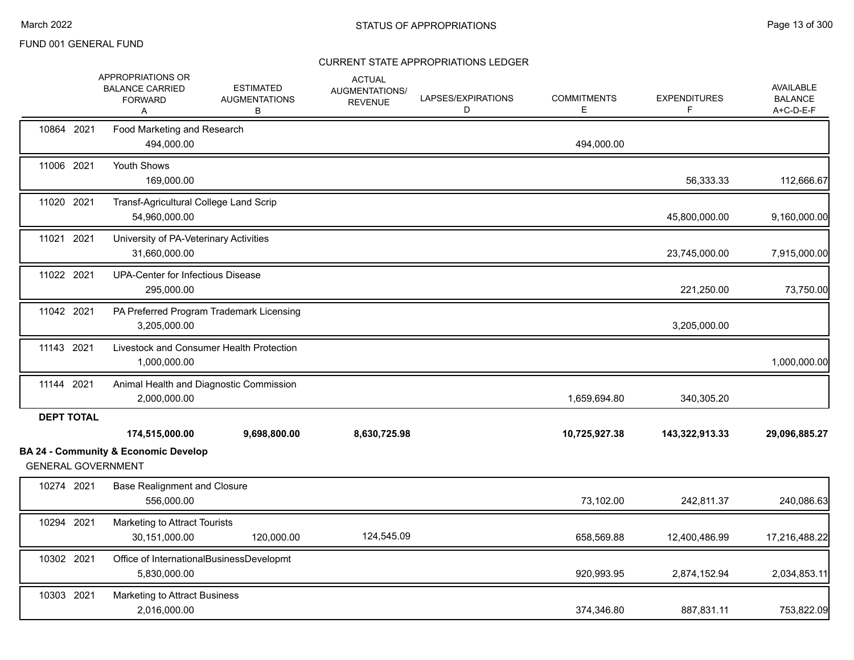|                           | APPROPRIATIONS OR<br><b>BALANCE CARRIED</b><br><b>FORWARD</b><br>Α | <b>ESTIMATED</b><br><b>AUGMENTATIONS</b><br>В | <b>ACTUAL</b><br>AUGMENTATIONS/<br><b>REVENUE</b> | LAPSES/EXPIRATIONS<br>D | <b>COMMITMENTS</b><br>E. | <b>EXPENDITURES</b> | <b>AVAILABLE</b><br><b>BALANCE</b><br>A+C-D-E-F |
|---------------------------|--------------------------------------------------------------------|-----------------------------------------------|---------------------------------------------------|-------------------------|--------------------------|---------------------|-------------------------------------------------|
| 10864 2021                | Food Marketing and Research<br>494,000.00                          |                                               |                                                   |                         | 494,000.00               |                     |                                                 |
| 11006 2021                | Youth Shows<br>169,000.00                                          |                                               |                                                   |                         |                          | 56,333.33           | 112,666.67                                      |
| 11020 2021                | Transf-Agricultural College Land Scrip<br>54,960,000.00            |                                               |                                                   |                         |                          | 45,800,000.00       | 9,160,000.00                                    |
| 11021 2021                | University of PA-Veterinary Activities<br>31,660,000.00            |                                               |                                                   |                         |                          | 23,745,000.00       | 7,915,000.00                                    |
| 11022 2021                | <b>UPA-Center for Infectious Disease</b><br>295,000.00             |                                               |                                                   |                         |                          | 221,250.00          | 73,750.00                                       |
| 11042 2021                | 3,205,000.00                                                       | PA Preferred Program Trademark Licensing      |                                                   |                         |                          | 3,205,000.00        |                                                 |
| 11143 2021                | 1,000,000.00                                                       | Livestock and Consumer Health Protection      |                                                   |                         |                          |                     | 1,000,000.00                                    |
| 11144 2021                | 2,000,000.00                                                       | Animal Health and Diagnostic Commission       |                                                   |                         | 1,659,694.80             | 340,305.20          |                                                 |
| <b>DEPT TOTAL</b>         | 174,515,000.00                                                     | 9,698,800.00                                  | 8,630,725.98                                      |                         | 10,725,927.38            | 143,322,913.33      | 29,096,885.27                                   |
| <b>GENERAL GOVERNMENT</b> | <b>BA 24 - Community &amp; Economic Develop</b>                    |                                               |                                                   |                         |                          |                     |                                                 |
| 10274 2021                | <b>Base Realignment and Closure</b><br>556,000.00                  |                                               |                                                   |                         | 73,102.00                | 242,811.37          | 240,086.63                                      |
| 10294 2021                | Marketing to Attract Tourists<br>30,151,000.00                     | 120,000.00                                    | 124,545.09                                        |                         | 658,569.88               | 12,400,486.99       | 17,216,488.22                                   |
| 10302 2021                | 5,830,000.00                                                       | Office of InternationalBusinessDevelopmt      |                                                   |                         | 920,993.95               | 2,874,152.94        | 2,034,853.11                                    |
| 10303 2021                | Marketing to Attract Business<br>2,016,000.00                      |                                               |                                                   |                         | 374,346.80               | 887,831.11          | 753,822.09                                      |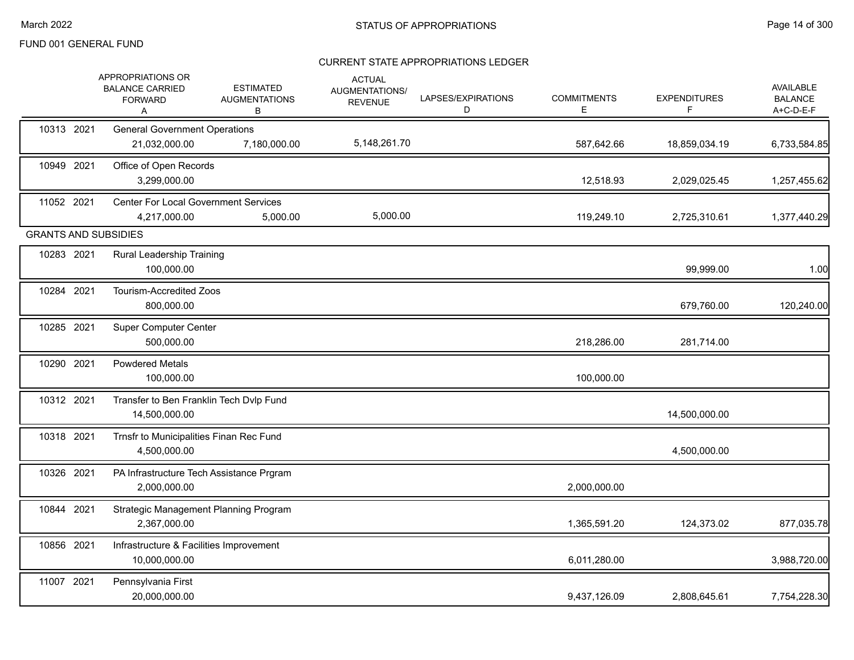|            | APPROPRIATIONS OR<br><b>BALANCE CARRIED</b><br><b>FORWARD</b><br>A | <b>ESTIMATED</b><br><b>AUGMENTATIONS</b><br>В | <b>ACTUAL</b><br>AUGMENTATIONS/<br><b>REVENUE</b> | LAPSES/EXPIRATIONS<br>D | <b>COMMITMENTS</b><br>Е | <b>EXPENDITURES</b><br>F | AVAILABLE<br><b>BALANCE</b><br>A+C-D-E-F |
|------------|--------------------------------------------------------------------|-----------------------------------------------|---------------------------------------------------|-------------------------|-------------------------|--------------------------|------------------------------------------|
| 10313 2021 | <b>General Government Operations</b><br>21,032,000.00              | 7,180,000.00                                  | 5,148,261.70                                      |                         | 587,642.66              | 18,859,034.19            | 6,733,584.85                             |
| 10949 2021 | Office of Open Records<br>3,299,000.00                             |                                               |                                                   |                         | 12,518.93               | 2,029,025.45             | 1,257,455.62                             |
| 11052 2021 | <b>Center For Local Government Services</b><br>4,217,000.00        | 5,000.00                                      | 5,000.00                                          |                         | 119,249.10              | 2,725,310.61             | 1,377,440.29                             |
|            | <b>GRANTS AND SUBSIDIES</b>                                        |                                               |                                                   |                         |                         |                          |                                          |
| 10283 2021 | <b>Rural Leadership Training</b><br>100,000.00                     |                                               |                                                   |                         |                         | 99,999.00                | 1.00                                     |
| 10284 2021 | <b>Tourism-Accredited Zoos</b><br>800,000.00                       |                                               |                                                   |                         |                         | 679,760.00               | 120,240.00                               |
| 10285 2021 | <b>Super Computer Center</b><br>500,000.00                         |                                               |                                                   |                         | 218,286.00              | 281,714.00               |                                          |
| 10290 2021 | <b>Powdered Metals</b><br>100,000.00                               |                                               |                                                   |                         | 100,000.00              |                          |                                          |
| 10312 2021 | Transfer to Ben Franklin Tech Dvlp Fund<br>14,500,000.00           |                                               |                                                   |                         |                         | 14,500,000.00            |                                          |
| 10318 2021 | Trnsfr to Municipalities Finan Rec Fund<br>4,500,000.00            |                                               |                                                   |                         |                         | 4,500,000.00             |                                          |
| 10326 2021 | PA Infrastructure Tech Assistance Prgram<br>2,000,000.00           |                                               |                                                   |                         | 2,000,000.00            |                          |                                          |
| 10844 2021 | Strategic Management Planning Program<br>2,367,000.00              |                                               |                                                   |                         | 1,365,591.20            | 124,373.02               | 877,035.78                               |
| 10856 2021 | Infrastructure & Facilities Improvement<br>10,000,000.00           |                                               |                                                   |                         | 6,011,280.00            |                          | 3,988,720.00                             |
| 11007 2021 | Pennsylvania First<br>20,000,000.00                                |                                               |                                                   |                         | 9,437,126.09            | 2,808,645.61             | 7,754,228.30                             |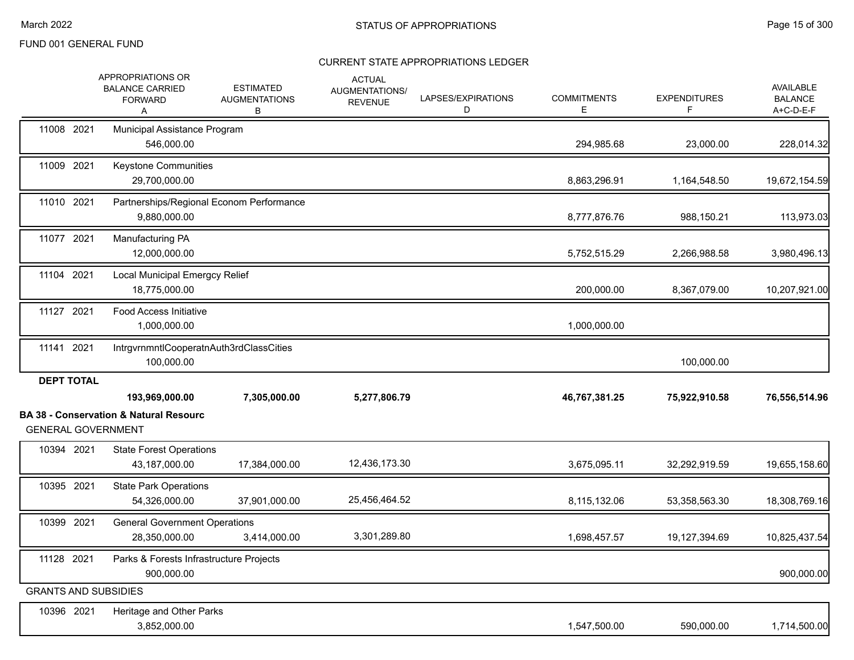|                                                | APPROPRIATIONS OR<br><b>BALANCE CARRIED</b><br><b>FORWARD</b><br>A  | <b>ESTIMATED</b><br><b>AUGMENTATIONS</b><br>В | <b>ACTUAL</b><br>AUGMENTATIONS/<br><b>REVENUE</b> | LAPSES/EXPIRATIONS<br>D | <b>COMMITMENTS</b><br>Е | <b>EXPENDITURES</b><br>F | AVAILABLE<br><b>BALANCE</b><br>A+C-D-E-F |
|------------------------------------------------|---------------------------------------------------------------------|-----------------------------------------------|---------------------------------------------------|-------------------------|-------------------------|--------------------------|------------------------------------------|
| 11008 2021                                     | Municipal Assistance Program<br>546,000.00                          |                                               |                                                   |                         | 294,985.68              | 23,000.00                | 228,014.32                               |
| 11009 2021                                     | Keystone Communities<br>29,700,000.00                               |                                               |                                                   |                         | 8,863,296.91            | 1,164,548.50             | 19,672,154.59                            |
| 11010 2021                                     | Partnerships/Regional Econom Performance<br>9,880,000.00            |                                               |                                                   |                         | 8,777,876.76            | 988,150.21               | 113,973.03                               |
| 11077 2021                                     | Manufacturing PA<br>12,000,000.00                                   |                                               |                                                   |                         | 5,752,515.29            | 2,266,988.58             | 3,980,496.13                             |
| 11104 2021                                     | Local Municipal Emergcy Relief<br>18,775,000.00                     |                                               |                                                   |                         | 200,000.00              | 8,367,079.00             | 10,207,921.00                            |
| 11127 2021                                     | <b>Food Access Initiative</b><br>1,000,000.00                       |                                               |                                                   |                         | 1,000,000.00            |                          |                                          |
| 11141 2021                                     | IntrgvrnmntlCooperatnAuth3rdClassCities<br>100,000.00               |                                               |                                                   |                         |                         | 100,000.00               |                                          |
| <b>DEPT TOTAL</b><br><b>GENERAL GOVERNMENT</b> | 193,969,000.00<br><b>BA 38 - Conservation &amp; Natural Resourc</b> | 7,305,000.00                                  | 5,277,806.79                                      |                         | 46,767,381.25           | 75,922,910.58            | 76,556,514.96                            |
| 10394 2021                                     | <b>State Forest Operations</b><br>43,187,000.00                     | 17,384,000.00                                 | 12,436,173.30                                     |                         | 3,675,095.11            | 32,292,919.59            | 19,655,158.60                            |
| 10395 2021                                     | <b>State Park Operations</b><br>54,326,000.00                       | 37,901,000.00                                 | 25,456,464.52                                     |                         | 8,115,132.06            | 53,358,563.30            | 18,308,769.16                            |
| 10399 2021                                     | <b>General Government Operations</b><br>28,350,000.00               | 3,414,000.00                                  | 3,301,289.80                                      |                         | 1,698,457.57            | 19,127,394.69            | 10,825,437.54                            |
| 11128 2021                                     | Parks & Forests Infrastructure Projects<br>900,000.00               |                                               |                                                   |                         |                         |                          | 900,000.00                               |
| <b>GRANTS AND SUBSIDIES</b>                    |                                                                     |                                               |                                                   |                         |                         |                          |                                          |
| 10396 2021                                     | Heritage and Other Parks<br>3,852,000.00                            |                                               |                                                   |                         | 1,547,500.00            | 590,000.00               | 1,714,500.00                             |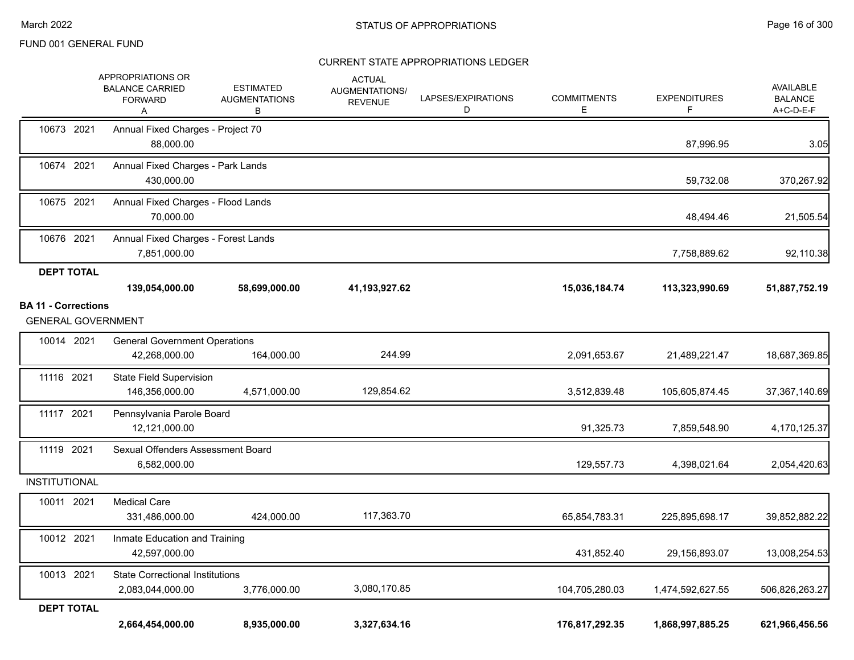|                            | APPROPRIATIONS OR<br><b>BALANCE CARRIED</b><br><b>FORWARD</b><br>Α | <b>ESTIMATED</b><br><b>AUGMENTATIONS</b><br>в | <b>ACTUAL</b><br>AUGMENTATIONS/<br><b>REVENUE</b> | LAPSES/EXPIRATIONS<br>D | <b>COMMITMENTS</b><br>Е | <b>EXPENDITURES</b><br>F | <b>AVAILABLE</b><br><b>BALANCE</b><br>A+C-D-E-F |
|----------------------------|--------------------------------------------------------------------|-----------------------------------------------|---------------------------------------------------|-------------------------|-------------------------|--------------------------|-------------------------------------------------|
| 10673 2021                 | Annual Fixed Charges - Project 70<br>88,000.00                     |                                               |                                                   |                         |                         | 87,996.95                | 3.05                                            |
| 10674 2021                 | Annual Fixed Charges - Park Lands<br>430,000.00                    |                                               |                                                   |                         |                         | 59,732.08                | 370,267.92                                      |
| 10675 2021                 | Annual Fixed Charges - Flood Lands<br>70,000.00                    |                                               |                                                   |                         |                         | 48,494.46                | 21,505.54                                       |
| 10676 2021                 | Annual Fixed Charges - Forest Lands<br>7,851,000.00                |                                               |                                                   |                         |                         | 7,758,889.62             | 92,110.38                                       |
| <b>DEPT TOTAL</b>          |                                                                    |                                               |                                                   |                         |                         |                          |                                                 |
|                            | 139,054,000.00                                                     | 58,699,000.00                                 | 41,193,927.62                                     |                         | 15,036,184.74           | 113,323,990.69           | 51,887,752.19                                   |
| <b>BA 11 - Corrections</b> |                                                                    |                                               |                                                   |                         |                         |                          |                                                 |
|                            | <b>GENERAL GOVERNMENT</b>                                          |                                               |                                                   |                         |                         |                          |                                                 |
| 10014 2021                 | <b>General Government Operations</b><br>42,268,000.00              | 164,000.00                                    | 244.99                                            |                         | 2,091,653.67            | 21,489,221.47            | 18,687,369.85                                   |
| 11116 2021                 | <b>State Field Supervision</b><br>146,356,000.00                   | 4,571,000.00                                  | 129,854.62                                        |                         | 3,512,839.48            | 105,605,874.45           | 37,367,140.69                                   |
| 11117 2021                 | Pennsylvania Parole Board<br>12,121,000.00                         |                                               |                                                   |                         | 91,325.73               | 7,859,548.90             | 4,170,125.37                                    |
| 11119 2021                 | Sexual Offenders Assessment Board<br>6,582,000.00                  |                                               |                                                   |                         | 129,557.73              | 4,398,021.64             | 2,054,420.63                                    |
| <b>INSTITUTIONAL</b>       |                                                                    |                                               |                                                   |                         |                         |                          |                                                 |
| 10011 2021                 | <b>Medical Care</b><br>331,486,000.00                              | 424,000.00                                    | 117,363.70                                        |                         | 65,854,783.31           | 225,895,698.17           | 39,852,882.22                                   |
| 10012 2021                 | Inmate Education and Training<br>42,597,000.00                     |                                               |                                                   |                         | 431,852.40              | 29,156,893.07            | 13,008,254.53                                   |
| 10013 2021                 | <b>State Correctional Institutions</b><br>2,083,044,000.00         | 3,776,000.00                                  | 3,080,170.85                                      |                         | 104,705,280.03          | 1,474,592,627.55         | 506,826,263.27                                  |
| <b>DEPT TOTAL</b>          | 2,664,454,000.00                                                   | 8,935,000.00                                  | 3,327,634.16                                      |                         | 176,817,292.35          | 1,868,997,885.25         | 621,966,456.56                                  |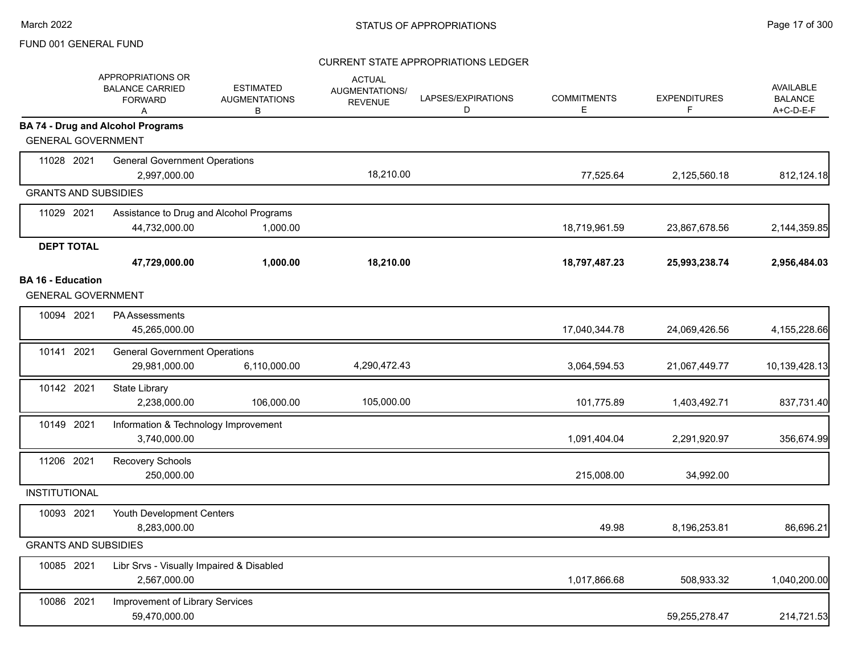|                             | APPROPRIATIONS OR<br><b>BALANCE CARRIED</b><br><b>FORWARD</b><br>A | <b>ESTIMATED</b><br><b>AUGMENTATIONS</b><br>В | <b>ACTUAL</b><br>AUGMENTATIONS/<br><b>REVENUE</b> | LAPSES/EXPIRATIONS<br>D | <b>COMMITMENTS</b><br>E | <b>EXPENDITURES</b><br>F | <b>AVAILABLE</b><br><b>BALANCE</b><br>A+C-D-E-F |
|-----------------------------|--------------------------------------------------------------------|-----------------------------------------------|---------------------------------------------------|-------------------------|-------------------------|--------------------------|-------------------------------------------------|
| <b>GENERAL GOVERNMENT</b>   | <b>BA 74 - Drug and Alcohol Programs</b>                           |                                               |                                                   |                         |                         |                          |                                                 |
|                             |                                                                    |                                               |                                                   |                         |                         |                          |                                                 |
| 11028 2021                  | <b>General Government Operations</b>                               |                                               | 18,210.00                                         |                         |                         |                          |                                                 |
|                             | 2,997,000.00                                                       |                                               |                                                   |                         | 77,525.64               | 2,125,560.18             | 812,124.18                                      |
| <b>GRANTS AND SUBSIDIES</b> |                                                                    |                                               |                                                   |                         |                         |                          |                                                 |
| 11029 2021                  | Assistance to Drug and Alcohol Programs                            |                                               |                                                   |                         |                         |                          |                                                 |
|                             | 44,732,000.00                                                      | 1,000.00                                      |                                                   |                         | 18,719,961.59           | 23,867,678.56            | 2,144,359.85                                    |
| <b>DEPT TOTAL</b>           |                                                                    |                                               |                                                   |                         |                         |                          |                                                 |
|                             | 47,729,000.00                                                      | 1,000.00                                      | 18,210.00                                         |                         | 18,797,487.23           | 25,993,238.74            | 2,956,484.03                                    |
| <b>BA 16 - Education</b>    |                                                                    |                                               |                                                   |                         |                         |                          |                                                 |
| <b>GENERAL GOVERNMENT</b>   |                                                                    |                                               |                                                   |                         |                         |                          |                                                 |
| 10094 2021                  | <b>PA Assessments</b>                                              |                                               |                                                   |                         |                         |                          |                                                 |
|                             | 45,265,000.00                                                      |                                               |                                                   |                         | 17,040,344.78           | 24,069,426.56            | 4,155,228.66                                    |
| 10141 2021                  | <b>General Government Operations</b>                               |                                               |                                                   |                         |                         |                          |                                                 |
|                             | 29,981,000.00                                                      | 6,110,000.00                                  | 4,290,472.43                                      |                         | 3,064,594.53            | 21,067,449.77            | 10,139,428.13                                   |
| 10142 2021                  | State Library                                                      |                                               |                                                   |                         |                         |                          |                                                 |
|                             | 2,238,000.00                                                       | 106,000.00                                    | 105,000.00                                        |                         | 101,775.89              | 1,403,492.71             | 837,731.40                                      |
| 10149 2021                  | Information & Technology Improvement                               |                                               |                                                   |                         |                         |                          |                                                 |
|                             | 3,740,000.00                                                       |                                               |                                                   |                         | 1,091,404.04            | 2,291,920.97             | 356,674.99                                      |
| 11206 2021                  | Recovery Schools                                                   |                                               |                                                   |                         |                         |                          |                                                 |
|                             | 250,000.00                                                         |                                               |                                                   |                         | 215,008.00              | 34,992.00                |                                                 |
| <b>INSTITUTIONAL</b>        |                                                                    |                                               |                                                   |                         |                         |                          |                                                 |
| 10093 2021                  | Youth Development Centers                                          |                                               |                                                   |                         |                         |                          |                                                 |
|                             | 8,283,000.00                                                       |                                               |                                                   |                         | 49.98                   | 8,196,253.81             | 86,696.21                                       |
| <b>GRANTS AND SUBSIDIES</b> |                                                                    |                                               |                                                   |                         |                         |                          |                                                 |
| 10085 2021                  | Libr Srvs - Visually Impaired & Disabled                           |                                               |                                                   |                         |                         |                          |                                                 |
|                             | 2,567,000.00                                                       |                                               |                                                   |                         | 1,017,866.68            | 508,933.32               | 1,040,200.00                                    |
| 10086 2021                  | Improvement of Library Services                                    |                                               |                                                   |                         |                         |                          |                                                 |
|                             | 59,470,000.00                                                      |                                               |                                                   |                         |                         | 59,255,278.47            | 214,721.53                                      |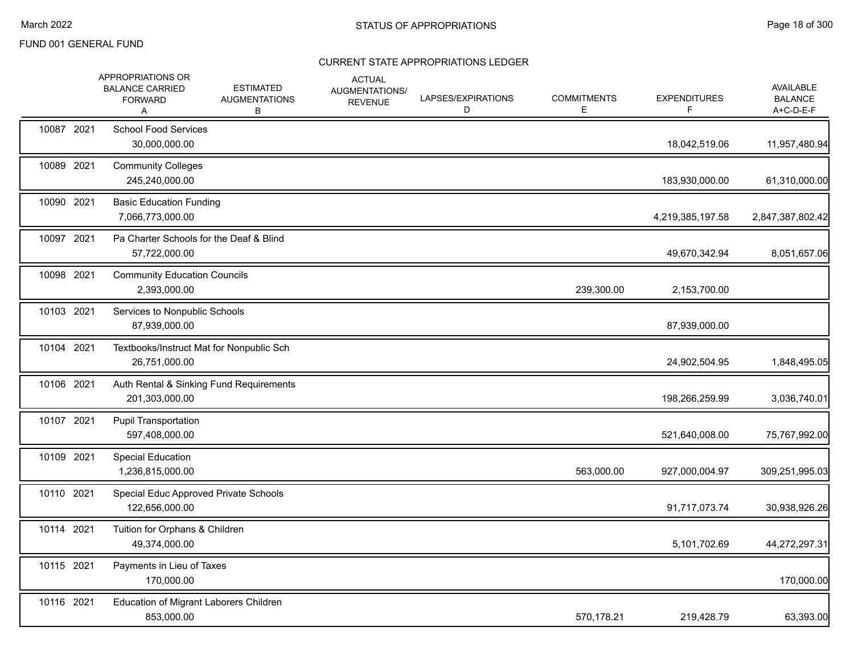|            | APPROPRIATIONS OR<br><b>BALANCE CARRIED</b><br><b>FORWARD</b><br>A | <b>ESTIMATED</b><br><b>AUGMENTATIONS</b><br>В | <b>ACTUAL</b><br>AUGMENTATIONS/<br><b>REVENUE</b> | LAPSES/EXPIRATIONS<br>D | <b>COMMITMENTS</b><br>Е | <b>EXPENDITURES</b><br>F | AVAILABLE<br><b>BALANCE</b><br>A+C-D-E-F |
|------------|--------------------------------------------------------------------|-----------------------------------------------|---------------------------------------------------|-------------------------|-------------------------|--------------------------|------------------------------------------|
| 10087 2021 | <b>School Food Services</b><br>30,000,000.00                       |                                               |                                                   |                         |                         | 18,042,519.06            | 11,957,480.94                            |
| 10089 2021 | <b>Community Colleges</b><br>245,240,000.00                        |                                               |                                                   |                         |                         | 183,930,000.00           | 61,310,000.00                            |
| 10090 2021 | <b>Basic Education Funding</b><br>7,066,773,000.00                 |                                               |                                                   |                         |                         | 4,219,385,197.58         | 2,847,387,802.42                         |
| 10097 2021 | Pa Charter Schools for the Deaf & Blind<br>57,722,000.00           |                                               |                                                   |                         |                         | 49,670,342.94            | 8,051,657.06                             |
| 10098 2021 | <b>Community Education Councils</b><br>2,393,000.00                |                                               |                                                   |                         | 239,300.00              | 2,153,700.00             |                                          |
| 10103 2021 | Services to Nonpublic Schools<br>87,939,000.00                     |                                               |                                                   |                         |                         | 87,939,000.00            |                                          |
| 10104 2021 | Textbooks/Instruct Mat for Nonpublic Sch<br>26,751,000.00          |                                               |                                                   |                         |                         | 24,902,504.95            | 1,848,495.05                             |
| 10106 2021 | Auth Rental & Sinking Fund Requirements<br>201,303,000.00          |                                               |                                                   |                         |                         | 198,266,259.99           | 3,036,740.01                             |
| 10107 2021 | <b>Pupil Transportation</b><br>597,408,000.00                      |                                               |                                                   |                         |                         | 521,640,008.00           | 75,767,992.00                            |
| 10109 2021 | <b>Special Education</b><br>1,236,815,000.00                       |                                               |                                                   |                         | 563,000.00              | 927,000,004.97           | 309,251,995.03                           |
| 10110 2021 | Special Educ Approved Private Schools<br>122,656,000.00            |                                               |                                                   |                         |                         | 91,717,073.74            | 30,938,926.26                            |
| 10114 2021 | Tuition for Orphans & Children<br>49,374,000.00                    |                                               |                                                   |                         |                         | 5,101,702.69             | 44,272,297.31                            |
| 10115 2021 | Payments in Lieu of Taxes<br>170,000.00                            |                                               |                                                   |                         |                         |                          | 170,000.00                               |
| 10116 2021 | Education of Migrant Laborers Children<br>853,000.00               |                                               |                                                   |                         | 570,178.21              | 219,428.79               | 63,393.00                                |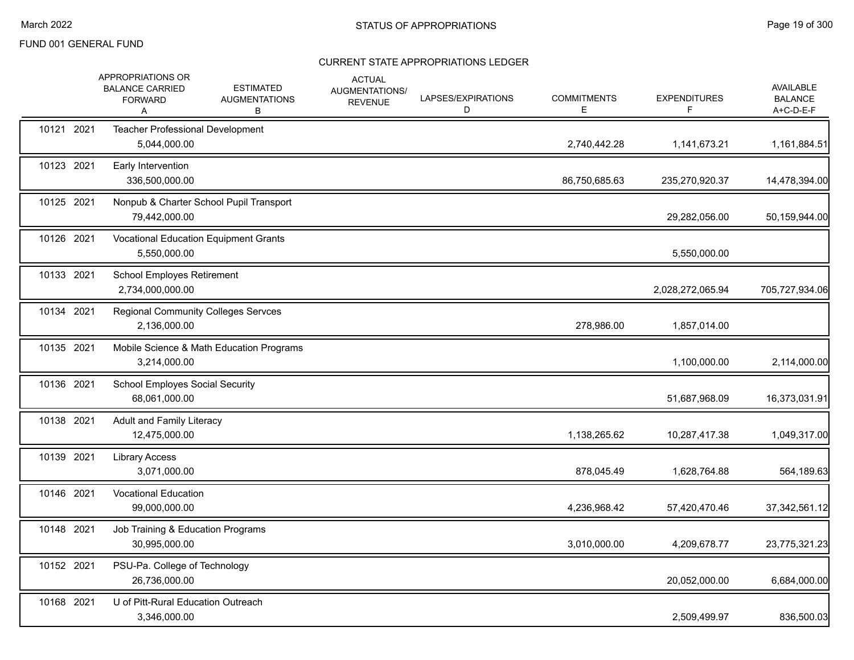|            | APPROPRIATIONS OR<br><b>BALANCE CARRIED</b><br><b>FORWARD</b><br>Α | <b>ESTIMATED</b><br><b>AUGMENTATIONS</b><br>В | <b>ACTUAL</b><br>AUGMENTATIONS/<br><b>REVENUE</b> | LAPSES/EXPIRATIONS<br>D | <b>COMMITMENTS</b><br>E | <b>EXPENDITURES</b><br>F. | <b>AVAILABLE</b><br><b>BALANCE</b><br>A+C-D-E-F |
|------------|--------------------------------------------------------------------|-----------------------------------------------|---------------------------------------------------|-------------------------|-------------------------|---------------------------|-------------------------------------------------|
| 10121 2021 | Teacher Professional Development<br>5,044,000.00                   |                                               |                                                   |                         | 2,740,442.28            | 1,141,673.21              | 1,161,884.51                                    |
| 10123 2021 | Early Intervention<br>336,500,000.00                               |                                               |                                                   |                         | 86,750,685.63           | 235,270,920.37            | 14,478,394.00                                   |
| 10125 2021 | 79,442,000.00                                                      | Nonpub & Charter School Pupil Transport       |                                                   |                         |                         | 29,282,056.00             | 50,159,944.00                                   |
| 10126 2021 | 5,550,000.00                                                       | <b>Vocational Education Equipment Grants</b>  |                                                   |                         |                         | 5,550,000.00              |                                                 |
| 10133 2021 | School Employes Retirement<br>2,734,000,000.00                     |                                               |                                                   |                         |                         | 2,028,272,065.94          | 705,727,934.06                                  |
| 10134 2021 | 2,136,000.00                                                       | <b>Regional Community Colleges Servces</b>    |                                                   |                         | 278,986.00              | 1,857,014.00              |                                                 |
| 10135 2021 | 3,214,000.00                                                       | Mobile Science & Math Education Programs      |                                                   |                         |                         | 1,100,000.00              | 2,114,000.00                                    |
| 10136 2021 | <b>School Employes Social Security</b><br>68,061,000.00            |                                               |                                                   |                         |                         | 51,687,968.09             | 16,373,031.91                                   |
| 10138 2021 | <b>Adult and Family Literacy</b><br>12,475,000.00                  |                                               |                                                   |                         | 1,138,265.62            | 10,287,417.38             | 1,049,317.00                                    |
| 10139 2021 | <b>Library Access</b><br>3,071,000.00                              |                                               |                                                   |                         | 878,045.49              | 1,628,764.88              | 564,189.63                                      |
| 10146 2021 | <b>Vocational Education</b><br>99,000,000.00                       |                                               |                                                   |                         | 4,236,968.42            | 57,420,470.46             | 37, 342, 561. 12                                |
| 10148 2021 | Job Training & Education Programs<br>30,995,000.00                 |                                               |                                                   |                         | 3,010,000.00            | 4,209,678.77              | 23,775,321.23                                   |
| 10152 2021 | PSU-Pa. College of Technology<br>26,736,000.00                     |                                               |                                                   |                         |                         | 20,052,000.00             | 6,684,000.00                                    |
| 10168 2021 | U of Pitt-Rural Education Outreach<br>3,346,000.00                 |                                               |                                                   |                         |                         | 2,509,499.97              | 836,500.03                                      |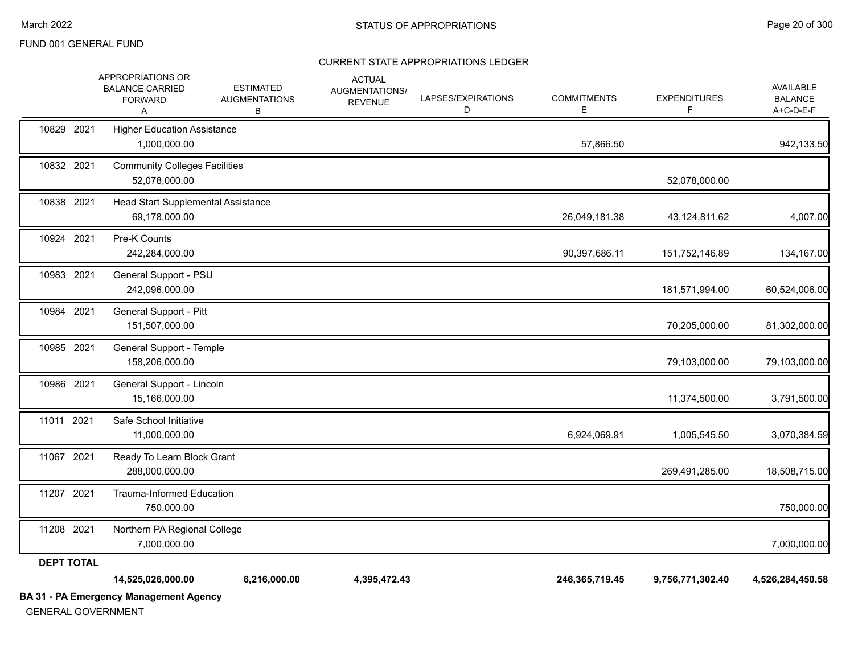# CURRENT STATE APPROPRIATIONS LEDGER

|                   | <b>BA 31 - PA Emergency Management Agency</b><br>$\overline{C}$    |                                               |                                                   |                         |                         |                          |                                                 |
|-------------------|--------------------------------------------------------------------|-----------------------------------------------|---------------------------------------------------|-------------------------|-------------------------|--------------------------|-------------------------------------------------|
|                   | 14,525,026,000.00                                                  | 6,216,000.00                                  | 4,395,472.43                                      |                         | 246,365,719.45          | 9,756,771,302.40         | 4,526,284,450.58                                |
| <b>DEPT TOTAL</b> |                                                                    |                                               |                                                   |                         |                         |                          |                                                 |
| 11208 2021        | Northern PA Regional College<br>7,000,000.00                       |                                               |                                                   |                         |                         |                          | 7,000,000.00                                    |
| 11207 2021        | <b>Trauma-Informed Education</b><br>750,000.00                     |                                               |                                                   |                         |                         |                          | 750,000.00                                      |
| 11067 2021        | Ready To Learn Block Grant<br>288,000,000.00                       |                                               |                                                   |                         |                         | 269,491,285.00           | 18,508,715.00                                   |
| 11011 2021        | Safe School Initiative<br>11,000,000.00                            |                                               |                                                   |                         | 6,924,069.91            | 1,005,545.50             | 3,070,384.59                                    |
| 10986 2021        | General Support - Lincoln<br>15,166,000.00                         |                                               |                                                   |                         |                         | 11,374,500.00            | 3,791,500.00                                    |
| 10985 2021        | General Support - Temple<br>158,206,000.00                         |                                               |                                                   |                         |                         | 79,103,000.00            | 79,103,000.00                                   |
| 10984 2021        | General Support - Pitt<br>151,507,000.00                           |                                               |                                                   |                         |                         | 70,205,000.00            | 81,302,000.00                                   |
| 10983 2021        | General Support - PSU<br>242,096,000.00                            |                                               |                                                   |                         |                         | 181,571,994.00           | 60,524,006.00                                   |
| 10924 2021        | Pre-K Counts<br>242,284,000.00                                     |                                               |                                                   |                         | 90,397,686.11           | 151,752,146.89           | 134,167.00                                      |
| 10838 2021        | Head Start Supplemental Assistance<br>69,178,000.00                |                                               |                                                   |                         | 26,049,181.38           | 43,124,811.62            | 4,007.00                                        |
| 10832 2021        | <b>Community Colleges Facilities</b><br>52,078,000.00              |                                               |                                                   |                         |                         | 52,078,000.00            |                                                 |
| 10829 2021        | <b>Higher Education Assistance</b><br>1,000,000.00                 |                                               |                                                   |                         | 57,866.50               |                          | 942,133.50                                      |
|                   | APPROPRIATIONS OR<br><b>BALANCE CARRIED</b><br><b>FORWARD</b><br>Α | <b>ESTIMATED</b><br><b>AUGMENTATIONS</b><br>В | <b>ACTUAL</b><br>AUGMENTATIONS/<br><b>REVENUE</b> | LAPSES/EXPIRATIONS<br>D | <b>COMMITMENTS</b><br>Е | <b>EXPENDITURES</b><br>F | <b>AVAILABLE</b><br><b>BALANCE</b><br>A+C-D-E-F |

GENERAL GOVERNMENT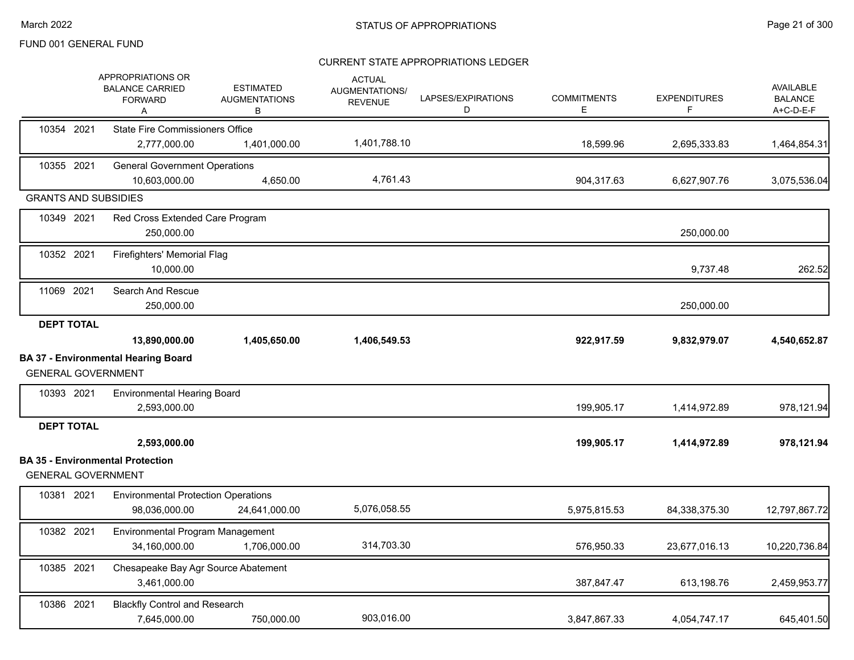|                             | <b>APPROPRIATIONS OR</b><br><b>BALANCE CARRIED</b><br><b>FORWARD</b><br>Α | <b>ESTIMATED</b><br><b>AUGMENTATIONS</b><br>В | <b>ACTUAL</b><br>AUGMENTATIONS/<br><b>REVENUE</b> | LAPSES/EXPIRATIONS<br>D | <b>COMMITMENTS</b><br>E. | <b>EXPENDITURES</b><br>F | <b>AVAILABLE</b><br><b>BALANCE</b><br>A+C-D-E-F |
|-----------------------------|---------------------------------------------------------------------------|-----------------------------------------------|---------------------------------------------------|-------------------------|--------------------------|--------------------------|-------------------------------------------------|
| 10354 2021                  | <b>State Fire Commissioners Office</b>                                    |                                               |                                                   |                         |                          |                          |                                                 |
|                             | 2,777,000.00                                                              | 1,401,000.00                                  | 1,401,788.10                                      |                         | 18,599.96                | 2,695,333.83             | 1,464,854.31                                    |
| 10355 2021                  | <b>General Government Operations</b><br>10,603,000.00                     | 4,650.00                                      | 4,761.43                                          |                         | 904,317.63               | 6,627,907.76             | 3,075,536.04                                    |
| <b>GRANTS AND SUBSIDIES</b> |                                                                           |                                               |                                                   |                         |                          |                          |                                                 |
| 10349 2021                  | Red Cross Extended Care Program<br>250,000.00                             |                                               |                                                   |                         |                          | 250,000.00               |                                                 |
| 10352 2021                  | Firefighters' Memorial Flag<br>10,000.00                                  |                                               |                                                   |                         |                          | 9,737.48                 | 262.52                                          |
| 11069 2021                  | Search And Rescue<br>250,000.00                                           |                                               |                                                   |                         |                          | 250,000.00               |                                                 |
| <b>DEPT TOTAL</b>           | 13,890,000.00                                                             | 1,405,650.00                                  | 1,406,549.53                                      |                         | 922,917.59               | 9,832,979.07             | 4,540,652.87                                    |
| <b>GENERAL GOVERNMENT</b>   | <b>BA 37 - Environmental Hearing Board</b>                                |                                               |                                                   |                         |                          |                          |                                                 |
| 10393 2021                  | <b>Environmental Hearing Board</b><br>2,593,000.00                        |                                               |                                                   |                         | 199,905.17               | 1,414,972.89             | 978,121.94                                      |
| <b>DEPT TOTAL</b>           | 2,593,000.00                                                              |                                               |                                                   |                         | 199,905.17               | 1,414,972.89             | 978,121.94                                      |
| <b>GENERAL GOVERNMENT</b>   | <b>BA 35 - Environmental Protection</b>                                   |                                               |                                                   |                         |                          |                          |                                                 |
| 10381 2021                  | <b>Environmental Protection Operations</b><br>98,036,000.00               | 24,641,000.00                                 | 5,076,058.55                                      |                         | 5,975,815.53             | 84,338,375.30            | 12,797,867.72                                   |
| 10382 2021                  | Environmental Program Management<br>34,160,000.00                         | 1,706,000.00                                  | 314,703.30                                        |                         | 576,950.33               | 23,677,016.13            | 10,220,736.84                                   |
| 10385 2021                  | Chesapeake Bay Agr Source Abatement<br>3,461,000.00                       |                                               |                                                   |                         | 387,847.47               | 613,198.76               | 2,459,953.77                                    |
| 10386 2021                  | <b>Blackfly Control and Research</b>                                      |                                               |                                                   |                         |                          |                          |                                                 |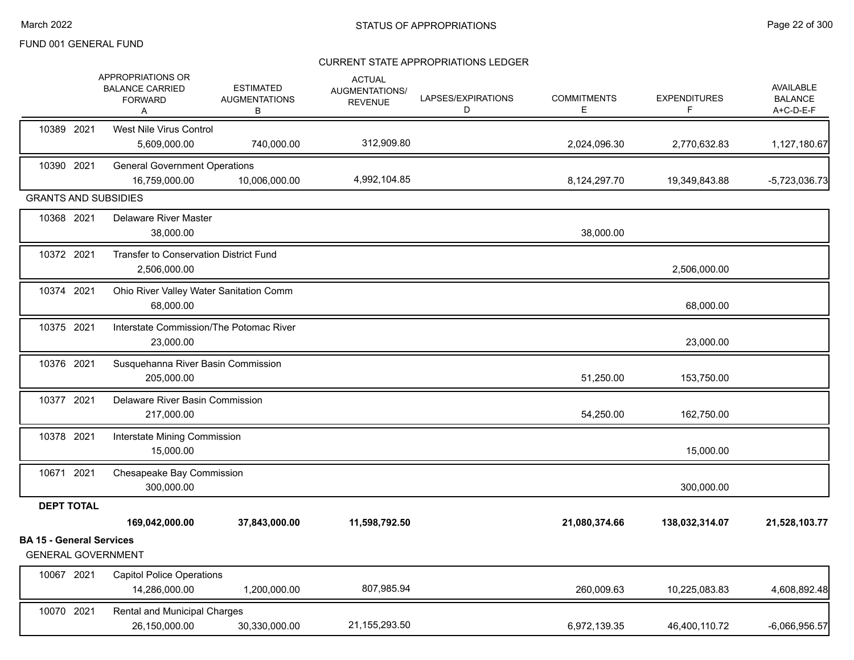|                                                              | APPROPRIATIONS OR<br><b>BALANCE CARRIED</b><br><b>FORWARD</b><br>A | <b>ESTIMATED</b><br><b>AUGMENTATIONS</b><br>В | <b>ACTUAL</b><br>AUGMENTATIONS/<br><b>REVENUE</b> | LAPSES/EXPIRATIONS<br>D | <b>COMMITMENTS</b><br>Е | <b>EXPENDITURES</b><br>F. | AVAILABLE<br><b>BALANCE</b><br>A+C-D-E-F |
|--------------------------------------------------------------|--------------------------------------------------------------------|-----------------------------------------------|---------------------------------------------------|-------------------------|-------------------------|---------------------------|------------------------------------------|
| 10389 2021                                                   | <b>West Nile Virus Control</b><br>5,609,000.00                     | 740,000.00                                    | 312,909.80                                        |                         | 2,024,096.30            | 2,770,632.83              | 1,127,180.67                             |
| 10390 2021                                                   | <b>General Government Operations</b><br>16,759,000.00              | 10,006,000.00                                 | 4,992,104.85                                      |                         | 8,124,297.70            | 19,349,843.88             | $-5,723,036.73$                          |
| <b>GRANTS AND SUBSIDIES</b>                                  |                                                                    |                                               |                                                   |                         |                         |                           |                                          |
| 10368 2021                                                   | <b>Delaware River Master</b><br>38,000.00                          |                                               |                                                   |                         | 38,000.00               |                           |                                          |
| 10372 2021                                                   | Transfer to Conservation District Fund<br>2,506,000.00             |                                               |                                                   |                         |                         | 2,506,000.00              |                                          |
| 10374 2021                                                   | Ohio River Valley Water Sanitation Comm<br>68,000.00               |                                               |                                                   |                         |                         | 68,000.00                 |                                          |
| 10375 2021                                                   | Interstate Commission/The Potomac River<br>23,000.00               |                                               |                                                   |                         |                         | 23,000.00                 |                                          |
| 10376 2021                                                   | Susquehanna River Basin Commission<br>205,000.00                   |                                               |                                                   |                         | 51,250.00               | 153,750.00                |                                          |
| 10377 2021                                                   | Delaware River Basin Commission<br>217,000.00                      |                                               |                                                   |                         | 54,250.00               | 162,750.00                |                                          |
| 10378 2021                                                   | Interstate Mining Commission<br>15,000.00                          |                                               |                                                   |                         |                         | 15,000.00                 |                                          |
| 10671 2021                                                   | Chesapeake Bay Commission<br>300,000.00                            |                                               |                                                   |                         |                         | 300,000.00                |                                          |
| <b>DEPT TOTAL</b>                                            |                                                                    |                                               |                                                   |                         |                         |                           |                                          |
|                                                              | 169,042,000.00                                                     | 37,843,000.00                                 | 11,598,792.50                                     |                         | 21,080,374.66           | 138,032,314.07            | 21,528,103.77                            |
| <b>BA 15 - General Services</b><br><b>GENERAL GOVERNMENT</b> |                                                                    |                                               |                                                   |                         |                         |                           |                                          |
| 10067 2021                                                   | <b>Capitol Police Operations</b><br>14,286,000.00                  | 1,200,000.00                                  | 807,985.94                                        |                         | 260,009.63              | 10,225,083.83             | 4,608,892.48                             |
| 10070 2021                                                   | Rental and Municipal Charges<br>26,150,000.00                      | 30,330,000.00                                 | 21,155,293.50                                     |                         | 6,972,139.35            | 46,400,110.72             | $-6,066,956.57$                          |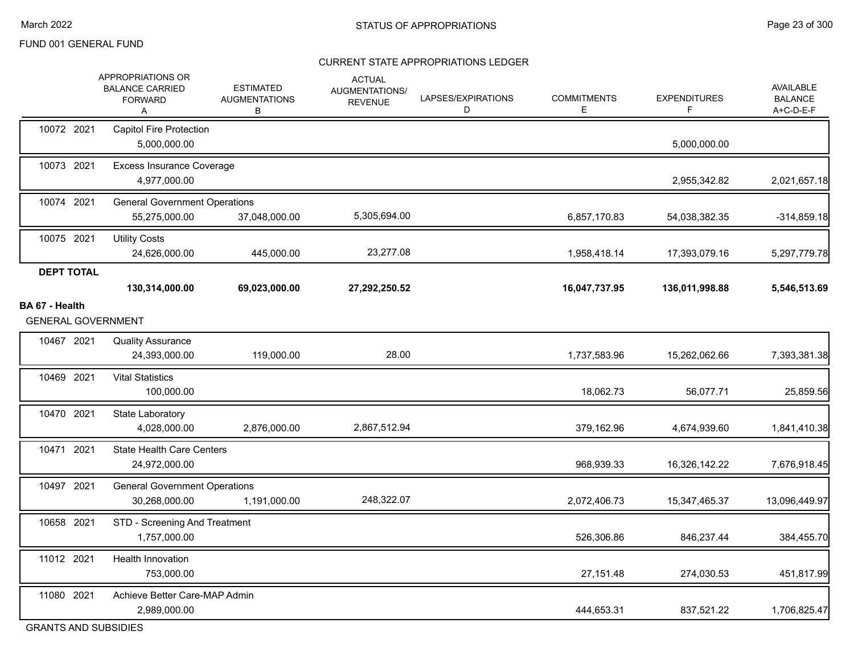#### CURRENT STATE APPROPRIATIONS LEDGER

|                                                    | APPROPRIATIONS OR<br><b>BALANCE CARRIED</b><br><b>FORWARD</b><br>Α | <b>ESTIMATED</b><br><b>AUGMENTATIONS</b><br>В | <b>ACTUAL</b><br>AUGMENTATIONS/<br><b>REVENUE</b> | LAPSES/EXPIRATIONS<br>D | <b>COMMITMENTS</b><br>Е | <b>EXPENDITURES</b><br>F | AVAILABLE<br><b>BALANCE</b><br>A+C-D-E-F |
|----------------------------------------------------|--------------------------------------------------------------------|-----------------------------------------------|---------------------------------------------------|-------------------------|-------------------------|--------------------------|------------------------------------------|
| 10072 2021                                         | Capitol Fire Protection<br>5,000,000.00                            |                                               |                                                   |                         |                         | 5,000,000.00             |                                          |
| 10073 2021                                         | <b>Excess Insurance Coverage</b><br>4,977,000.00                   |                                               |                                                   |                         |                         | 2,955,342.82             | 2,021,657.18                             |
| 10074 2021                                         | <b>General Government Operations</b><br>55,275,000.00              | 37,048,000.00                                 | 5,305,694.00                                      |                         | 6,857,170.83            | 54,038,382.35            | $-314,859.18$                            |
| 10075 2021                                         | <b>Utility Costs</b><br>24,626,000.00                              | 445,000.00                                    | 23,277.08                                         |                         | 1,958,418.14            | 17,393,079.16            | 5,297,779.78                             |
| <b>DEPT TOTAL</b>                                  | 130,314,000.00                                                     | 69,023,000.00                                 | 27,292,250.52                                     |                         | 16,047,737.95           | 136,011,998.88           | 5,546,513.69                             |
| <b>BA 67 - Health</b><br><b>GENERAL GOVERNMENT</b> |                                                                    |                                               |                                                   |                         |                         |                          |                                          |
| 10467 2021                                         | <b>Quality Assurance</b><br>24,393,000.00                          | 119,000.00                                    | 28.00                                             |                         | 1,737,583.96            | 15,262,062.66            | 7,393,381.38                             |
| 10469 2021                                         | <b>Vital Statistics</b><br>100,000.00                              |                                               |                                                   |                         | 18,062.73               | 56,077.71                | 25,859.56                                |
| 10470 2021                                         | State Laboratory<br>4,028,000.00                                   | 2,876,000.00                                  | 2,867,512.94                                      |                         | 379,162.96              | 4,674,939.60             | 1,841,410.38                             |
| 10471 2021                                         | <b>State Health Care Centers</b><br>24,972,000.00                  |                                               |                                                   |                         | 968,939.33              | 16,326,142.22            | 7,676,918.45                             |
| 10497 2021                                         | <b>General Government Operations</b><br>30,268,000.00              | 1,191,000.00                                  | 248,322.07                                        |                         | 2,072,406.73            | 15,347,465.37            | 13,096,449.97                            |
| 10658 2021                                         | STD - Screening And Treatment<br>1,757,000.00                      |                                               |                                                   |                         | 526,306.86              | 846,237.44               | 384,455.70                               |
| 11012 2021                                         | <b>Health Innovation</b><br>753,000.00                             |                                               |                                                   |                         | 27,151.48               | 274,030.53               | 451,817.99                               |
| 11080 2021                                         | Achieve Better Care-MAP Admin<br>2,989,000.00                      |                                               |                                                   |                         | 444,653.31              | 837,521.22               | 1,706,825.47                             |

GRANTS AND SUBSIDIES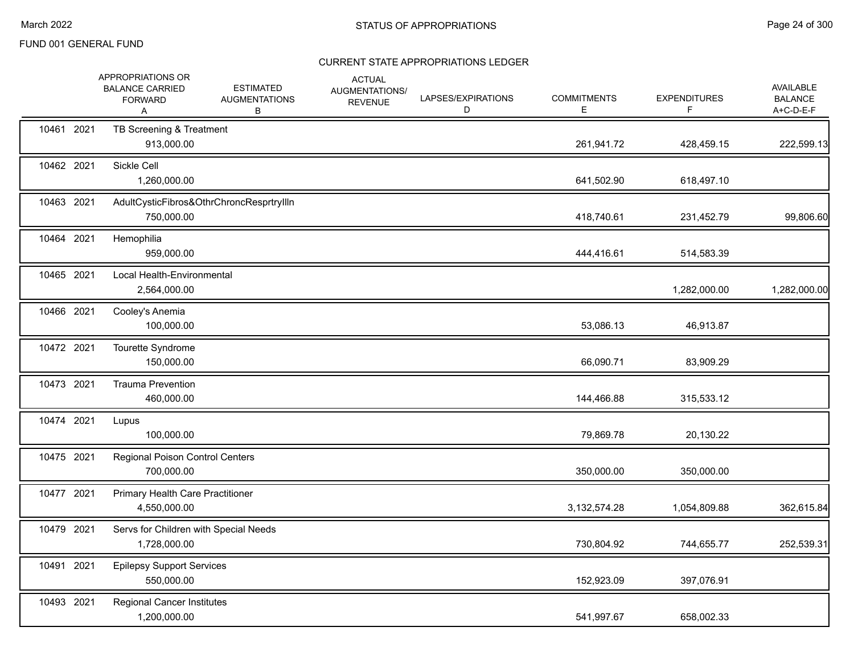|            | APPROPRIATIONS OR<br><b>BALANCE CARRIED</b><br><b>FORWARD</b><br>Α | <b>ESTIMATED</b><br><b>AUGMENTATIONS</b><br>В | <b>ACTUAL</b><br>AUGMENTATIONS/<br><b>REVENUE</b> | LAPSES/EXPIRATIONS<br>D | <b>COMMITMENTS</b><br>Е | <b>EXPENDITURES</b><br>F. | <b>AVAILABLE</b><br><b>BALANCE</b><br>A+C-D-E-F |
|------------|--------------------------------------------------------------------|-----------------------------------------------|---------------------------------------------------|-------------------------|-------------------------|---------------------------|-------------------------------------------------|
| 10461 2021 | TB Screening & Treatment<br>913,000.00                             |                                               |                                                   |                         | 261,941.72              | 428,459.15                | 222,599.13                                      |
| 10462 2021 | Sickle Cell<br>1,260,000.00                                        |                                               |                                                   |                         | 641,502.90              | 618,497.10                |                                                 |
| 10463 2021 | 750,000.00                                                         | AdultCysticFibros&OthrChroncResprtryllIn      |                                                   |                         | 418,740.61              | 231,452.79                | 99,806.60                                       |
| 10464 2021 | Hemophilia<br>959,000.00                                           |                                               |                                                   |                         | 444,416.61              | 514,583.39                |                                                 |
| 10465 2021 | Local Health-Environmental<br>2,564,000.00                         |                                               |                                                   |                         |                         | 1,282,000.00              | 1,282,000.00                                    |
| 10466 2021 | Cooley's Anemia<br>100,000.00                                      |                                               |                                                   |                         | 53,086.13               | 46,913.87                 |                                                 |
| 10472 2021 | Tourette Syndrome<br>150,000.00                                    |                                               |                                                   |                         | 66,090.71               | 83,909.29                 |                                                 |
| 10473 2021 | <b>Trauma Prevention</b><br>460,000.00                             |                                               |                                                   |                         | 144,466.88              | 315,533.12                |                                                 |
| 10474 2021 | Lupus<br>100,000.00                                                |                                               |                                                   |                         | 79,869.78               | 20,130.22                 |                                                 |
| 10475 2021 | Regional Poison Control Centers<br>700,000.00                      |                                               |                                                   |                         | 350,000.00              | 350,000.00                |                                                 |
| 10477 2021 | Primary Health Care Practitioner<br>4,550,000.00                   |                                               |                                                   |                         | 3,132,574.28            | 1,054,809.88              | 362,615.84                                      |
| 10479 2021 | Servs for Children with Special Needs<br>1,728,000.00              |                                               |                                                   |                         | 730,804.92              | 744,655.77                | 252,539.31                                      |
| 10491 2021 | <b>Epilepsy Support Services</b><br>550,000.00                     |                                               |                                                   |                         | 152,923.09              | 397,076.91                |                                                 |
| 10493 2021 | <b>Regional Cancer Institutes</b><br>1,200,000.00                  |                                               |                                                   |                         | 541,997.67              | 658,002.33                |                                                 |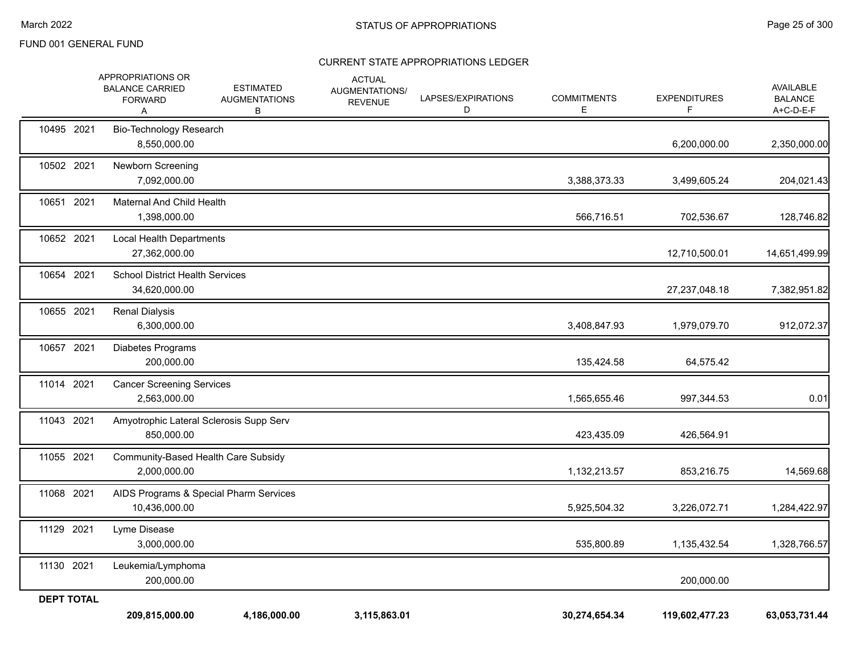|                   | APPROPRIATIONS OR<br><b>BALANCE CARRIED</b><br><b>FORWARD</b><br>Α | <b>ESTIMATED</b><br><b>AUGMENTATIONS</b><br>В | <b>ACTUAL</b><br>AUGMENTATIONS/<br><b>REVENUE</b> | LAPSES/EXPIRATIONS<br>D | <b>COMMITMENTS</b><br>Е | <b>EXPENDITURES</b> | AVAILABLE<br><b>BALANCE</b><br>A+C-D-E-F |
|-------------------|--------------------------------------------------------------------|-----------------------------------------------|---------------------------------------------------|-------------------------|-------------------------|---------------------|------------------------------------------|
| 10495 2021        | <b>Bio-Technology Research</b><br>8,550,000.00                     |                                               |                                                   |                         |                         | 6,200,000.00        | 2,350,000.00                             |
| 10502 2021        | Newborn Screening<br>7,092,000.00                                  |                                               |                                                   |                         | 3,388,373.33            | 3,499,605.24        | 204,021.43                               |
| 10651 2021        | Maternal And Child Health<br>1,398,000.00                          |                                               |                                                   |                         | 566,716.51              | 702,536.67          | 128,746.82                               |
| 10652 2021        | Local Health Departments<br>27,362,000.00                          |                                               |                                                   |                         |                         | 12,710,500.01       | 14,651,499.99                            |
| 10654 2021        | <b>School District Health Services</b><br>34,620,000.00            |                                               |                                                   |                         |                         | 27,237,048.18       | 7,382,951.82                             |
| 10655 2021        | <b>Renal Dialysis</b><br>6,300,000.00                              |                                               |                                                   |                         | 3,408,847.93            | 1,979,079.70        | 912,072.37                               |
| 10657 2021        | Diabetes Programs<br>200,000.00                                    |                                               |                                                   |                         | 135,424.58              | 64,575.42           |                                          |
| 11014 2021        | <b>Cancer Screening Services</b><br>2,563,000.00                   |                                               |                                                   |                         | 1,565,655.46            | 997,344.53          | 0.01                                     |
| 11043 2021        | 850,000.00                                                         | Amyotrophic Lateral Sclerosis Supp Serv       |                                                   |                         | 423,435.09              | 426,564.91          |                                          |
| 11055 2021        | Community-Based Health Care Subsidy<br>2,000,000.00                |                                               |                                                   |                         | 1,132,213.57            | 853,216.75          | 14,569.68                                |
| 11068 2021        | 10,436,000.00                                                      | AIDS Programs & Special Pharm Services        |                                                   |                         | 5,925,504.32            | 3,226,072.71        | 1,284,422.97                             |
| 11129 2021        | Lyme Disease<br>3,000,000.00                                       |                                               |                                                   |                         | 535,800.89              | 1,135,432.54        | 1,328,766.57                             |
| 11130 2021        | Leukemia/Lymphoma<br>200,000.00                                    |                                               |                                                   |                         |                         | 200,000.00          |                                          |
| <b>DEPT TOTAL</b> | 209,815,000.00                                                     | 4,186,000.00                                  | 3,115,863.01                                      |                         | 30,274,654.34           | 119,602,477.23      | 63,053,731.44                            |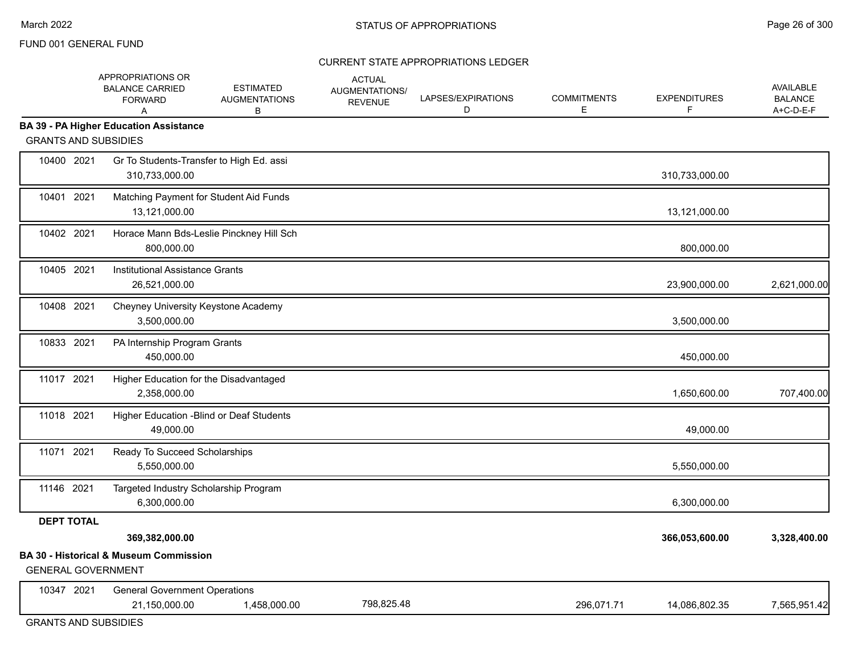#### CURRENT STATE APPROPRIATIONS LEDGER

|                             | APPROPRIATIONS OR<br><b>BALANCE CARRIED</b><br><b>FORWARD</b><br>A | <b>ESTIMATED</b><br><b>AUGMENTATIONS</b><br>В | <b>ACTUAL</b><br>AUGMENTATIONS/<br><b>REVENUE</b> | LAPSES/EXPIRATIONS<br>D | <b>COMMITMENTS</b><br>E | <b>EXPENDITURES</b><br>F. | AVAILABLE<br><b>BALANCE</b><br>A+C-D-E-F |
|-----------------------------|--------------------------------------------------------------------|-----------------------------------------------|---------------------------------------------------|-------------------------|-------------------------|---------------------------|------------------------------------------|
| <b>GRANTS AND SUBSIDIES</b> | <b>BA 39 - PA Higher Education Assistance</b>                      |                                               |                                                   |                         |                         |                           |                                          |
| 10400 2021                  | Gr To Students-Transfer to High Ed. assi<br>310,733,000.00         |                                               |                                                   |                         |                         | 310,733,000.00            |                                          |
| 10401 2021                  | 13,121,000.00                                                      | Matching Payment for Student Aid Funds        |                                                   |                         |                         | 13,121,000.00             |                                          |
| 10402 2021                  | 800,000.00                                                         | Horace Mann Bds-Leslie Pinckney Hill Sch      |                                                   |                         |                         | 800,000.00                |                                          |
| 10405 2021                  | Institutional Assistance Grants<br>26,521,000.00                   |                                               |                                                   |                         |                         | 23,900,000.00             | 2,621,000.00                             |
| 10408 2021                  | Cheyney University Keystone Academy<br>3,500,000.00                |                                               |                                                   |                         |                         | 3,500,000.00              |                                          |
| 10833 2021                  | PA Internship Program Grants<br>450,000.00                         |                                               |                                                   |                         |                         | 450,000.00                |                                          |
| 11017 2021                  | Higher Education for the Disadvantaged<br>2,358,000.00             |                                               |                                                   |                         |                         | 1,650,600.00              | 707,400.00                               |
| 11018 2021                  | 49,000.00                                                          | Higher Education - Blind or Deaf Students     |                                                   |                         |                         | 49,000.00                 |                                          |
| 11071 2021                  | Ready To Succeed Scholarships<br>5,550,000.00                      |                                               |                                                   |                         |                         | 5,550,000.00              |                                          |
| 11146 2021                  | Targeted Industry Scholarship Program<br>6,300,000.00              |                                               |                                                   |                         |                         | 6,300,000.00              |                                          |
| <b>DEPT TOTAL</b>           |                                                                    |                                               |                                                   |                         |                         |                           |                                          |
|                             | 369,382,000.00                                                     |                                               |                                                   |                         |                         | 366,053,600.00            | 3,328,400.00                             |
| <b>GENERAL GOVERNMENT</b>   | <b>BA 30 - Historical &amp; Museum Commission</b>                  |                                               |                                                   |                         |                         |                           |                                          |
| 10347 2021                  | <b>General Government Operations</b><br>21,150,000.00              | 1,458,000.00                                  | 798,825.48                                        |                         | 296,071.71              | 14,086,802.35             | 7,565,951.42                             |
|                             |                                                                    |                                               |                                                   |                         |                         |                           |                                          |

GRANTS AND SUBSIDIES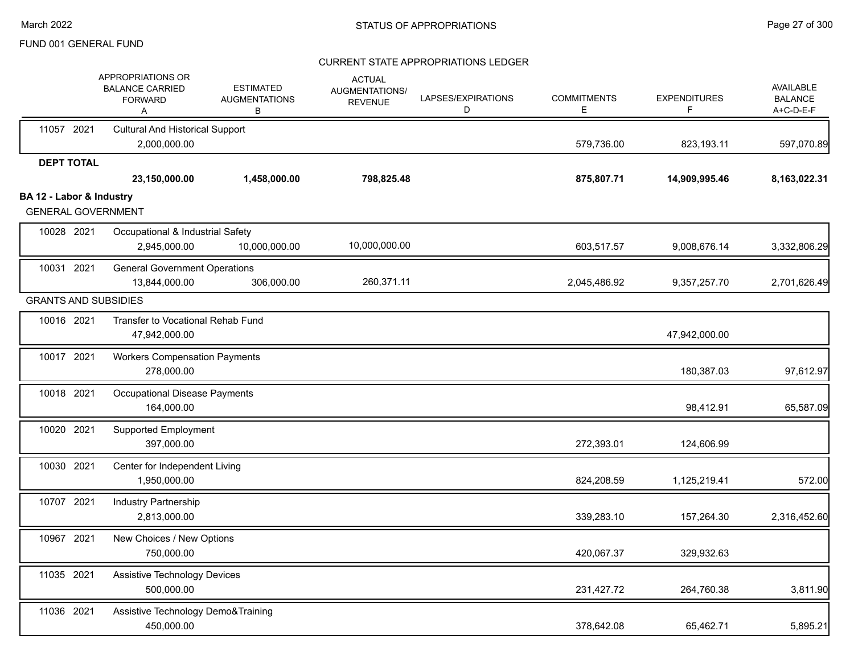|                                                       | APPROPRIATIONS OR<br><b>BALANCE CARRIED</b><br><b>FORWARD</b><br>Α | <b>ESTIMATED</b><br><b>AUGMENTATIONS</b><br>В | <b>ACTUAL</b><br>AUGMENTATIONS/<br><b>REVENUE</b> | LAPSES/EXPIRATIONS<br>D | <b>COMMITMENTS</b><br>E. | <b>EXPENDITURES</b><br>F. | <b>AVAILABLE</b><br><b>BALANCE</b><br>A+C-D-E-F |
|-------------------------------------------------------|--------------------------------------------------------------------|-----------------------------------------------|---------------------------------------------------|-------------------------|--------------------------|---------------------------|-------------------------------------------------|
| 11057 2021                                            | <b>Cultural And Historical Support</b><br>2,000,000.00             |                                               |                                                   |                         | 579,736.00               | 823,193.11                | 597,070.89                                      |
| <b>DEPT TOTAL</b>                                     | 23,150,000.00                                                      | 1,458,000.00                                  | 798,825.48                                        |                         | 875,807.71               | 14,909,995.46             | 8,163,022.31                                    |
| BA 12 - Labor & Industry<br><b>GENERAL GOVERNMENT</b> |                                                                    |                                               |                                                   |                         |                          |                           |                                                 |
| 10028 2021                                            | Occupational & Industrial Safety<br>2,945,000.00                   | 10,000,000.00                                 | 10,000,000.00                                     |                         | 603,517.57               | 9,008,676.14              | 3,332,806.29                                    |
| 10031 2021                                            | <b>General Government Operations</b><br>13,844,000.00              | 306,000.00                                    | 260,371.11                                        |                         | 2,045,486.92             | 9,357,257.70              | 2,701,626.49                                    |
| <b>GRANTS AND SUBSIDIES</b>                           |                                                                    |                                               |                                                   |                         |                          |                           |                                                 |
| 10016 2021                                            | Transfer to Vocational Rehab Fund<br>47,942,000.00                 |                                               |                                                   |                         |                          | 47,942,000.00             |                                                 |
| 10017 2021                                            | <b>Workers Compensation Payments</b><br>278,000.00                 |                                               |                                                   |                         |                          | 180,387.03                | 97,612.97                                       |
| 10018 2021                                            | Occupational Disease Payments<br>164,000.00                        |                                               |                                                   |                         |                          | 98,412.91                 | 65,587.09                                       |
| 10020 2021                                            | <b>Supported Employment</b><br>397,000.00                          |                                               |                                                   |                         | 272,393.01               | 124,606.99                |                                                 |
| 10030 2021                                            | Center for Independent Living<br>1,950,000.00                      |                                               |                                                   |                         | 824,208.59               | 1,125,219.41              | 572.00                                          |
| 10707 2021                                            | <b>Industry Partnership</b><br>2,813,000.00                        |                                               |                                                   |                         | 339,283.10               | 157,264.30                | 2,316,452.60                                    |
| 10967 2021                                            | New Choices / New Options<br>750,000.00                            |                                               |                                                   |                         | 420,067.37               | 329,932.63                |                                                 |
| 11035 2021                                            | Assistive Technology Devices<br>500,000.00                         |                                               |                                                   |                         | 231,427.72               | 264,760.38                | 3,811.90                                        |
| 11036 2021                                            | Assistive Technology Demo&Training<br>450,000.00                   |                                               |                                                   |                         | 378,642.08               | 65,462.71                 | 5,895.21                                        |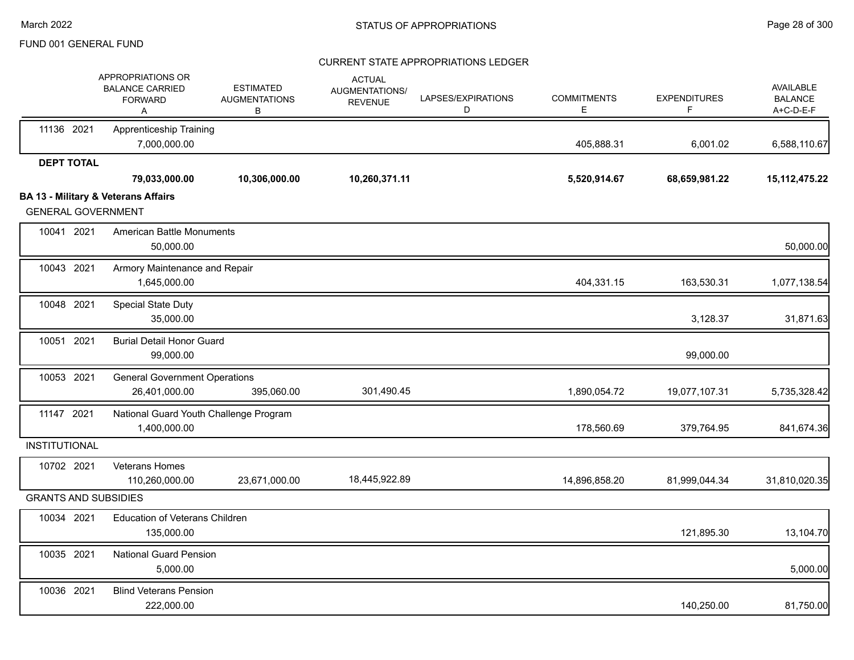|                             | APPROPRIATIONS OR<br><b>BALANCE CARRIED</b><br><b>FORWARD</b><br>Α | <b>ESTIMATED</b><br><b>AUGMENTATIONS</b><br>В | <b>ACTUAL</b><br>AUGMENTATIONS/<br><b>REVENUE</b> | LAPSES/EXPIRATIONS<br>D | <b>COMMITMENTS</b><br>Е | <b>EXPENDITURES</b><br>F. | <b>AVAILABLE</b><br><b>BALANCE</b><br>A+C-D-E-F |
|-----------------------------|--------------------------------------------------------------------|-----------------------------------------------|---------------------------------------------------|-------------------------|-------------------------|---------------------------|-------------------------------------------------|
| 11136 2021                  | <b>Apprenticeship Training</b><br>7,000,000.00                     |                                               |                                                   |                         | 405,888.31              | 6,001.02                  | 6,588,110.67                                    |
| <b>DEPT TOTAL</b>           |                                                                    |                                               |                                                   |                         |                         |                           |                                                 |
|                             | 79,033,000.00                                                      | 10,306,000.00                                 | 10,260,371.11                                     |                         | 5,520,914.67            | 68,659,981.22             | 15, 112, 475.22                                 |
| <b>GENERAL GOVERNMENT</b>   | <b>BA 13 - Military &amp; Veterans Affairs</b>                     |                                               |                                                   |                         |                         |                           |                                                 |
| 10041 2021                  | <b>American Battle Monuments</b><br>50,000.00                      |                                               |                                                   |                         |                         |                           | 50,000.00                                       |
| 10043 2021                  | Armory Maintenance and Repair<br>1,645,000.00                      |                                               |                                                   |                         | 404,331.15              | 163,530.31                | 1,077,138.54                                    |
| 10048 2021                  | Special State Duty<br>35,000.00                                    |                                               |                                                   |                         |                         | 3,128.37                  | 31,871.63                                       |
| 10051 2021                  | <b>Burial Detail Honor Guard</b><br>99,000.00                      |                                               |                                                   |                         |                         | 99,000.00                 |                                                 |
| 10053 2021                  | <b>General Government Operations</b><br>26,401,000.00              | 395,060.00                                    | 301,490.45                                        |                         | 1,890,054.72            | 19,077,107.31             | 5,735,328.42                                    |
| 11147 2021                  | National Guard Youth Challenge Program<br>1,400,000.00             |                                               |                                                   |                         | 178,560.69              | 379,764.95                | 841,674.36                                      |
| <b>INSTITUTIONAL</b>        |                                                                    |                                               |                                                   |                         |                         |                           |                                                 |
| 10702 2021                  | Veterans Homes<br>110,260,000.00                                   | 23,671,000.00                                 | 18,445,922.89                                     |                         | 14,896,858.20           | 81,999,044.34             | 31,810,020.35                                   |
| <b>GRANTS AND SUBSIDIES</b> |                                                                    |                                               |                                                   |                         |                         |                           |                                                 |
| 10034 2021                  | <b>Education of Veterans Children</b><br>135,000.00                |                                               |                                                   |                         |                         | 121,895.30                | 13,104.70                                       |
| 10035 2021                  | <b>National Guard Pension</b><br>5,000.00                          |                                               |                                                   |                         |                         |                           | 5,000.00                                        |
| 10036 2021                  | <b>Blind Veterans Pension</b><br>222,000.00                        |                                               |                                                   |                         |                         | 140,250.00                | 81,750.00                                       |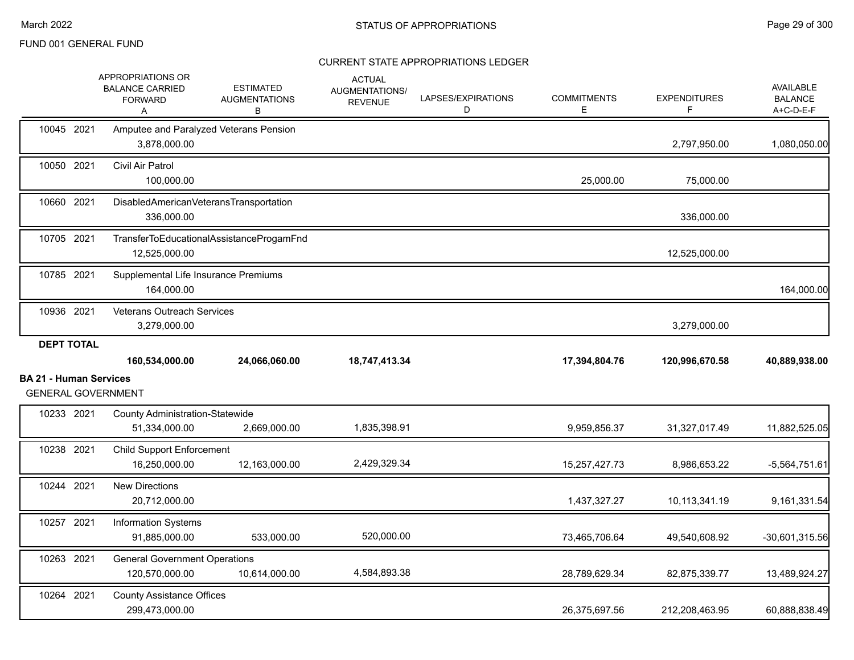|                               | APPROPRIATIONS OR<br><b>BALANCE CARRIED</b><br><b>FORWARD</b><br>Α | <b>ESTIMATED</b><br><b>AUGMENTATIONS</b><br>В | <b>ACTUAL</b><br><b>AUGMENTATIONS/</b><br><b>REVENUE</b> | LAPSES/EXPIRATIONS<br>D | <b>COMMITMENTS</b><br>Е | <b>EXPENDITURES</b><br>F | AVAILABLE<br><b>BALANCE</b><br>A+C-D-E-F            |
|-------------------------------|--------------------------------------------------------------------|-----------------------------------------------|----------------------------------------------------------|-------------------------|-------------------------|--------------------------|-----------------------------------------------------|
| 10045 2021                    | Amputee and Paralyzed Veterans Pension<br>3,878,000.00             |                                               |                                                          |                         |                         | 2,797,950.00             | 1,080,050.00                                        |
| 10050 2021                    | Civil Air Patrol<br>100,000.00                                     |                                               |                                                          |                         | 25,000.00               | 75,000.00                |                                                     |
| 10660 2021                    | DisabledAmericanVeteransTransportation<br>336,000.00               |                                               |                                                          |                         |                         | 336,000.00               |                                                     |
| 10705 2021                    | 12,525,000.00                                                      | TransferToEducationalAssistanceProgamFnd      |                                                          |                         |                         | 12,525,000.00            |                                                     |
| 10785 2021                    | Supplemental Life Insurance Premiums<br>164,000.00                 |                                               |                                                          |                         |                         |                          | 164,000.00                                          |
| 10936 2021                    | <b>Veterans Outreach Services</b><br>3,279,000.00                  |                                               |                                                          |                         |                         | 3,279,000.00             |                                                     |
| <b>DEPT TOTAL</b>             |                                                                    |                                               |                                                          |                         |                         |                          |                                                     |
|                               |                                                                    |                                               |                                                          |                         |                         |                          |                                                     |
|                               | 160,534,000.00                                                     | 24,066,060.00                                 | 18,747,413.34                                            |                         | 17,394,804.76           | 120,996,670.58           |                                                     |
| <b>BA 21 - Human Services</b> | <b>GENERAL GOVERNMENT</b>                                          |                                               |                                                          |                         |                         |                          |                                                     |
| 10233 2021                    | <b>County Administration-Statewide</b><br>51,334,000.00            | 2,669,000.00                                  | 1,835,398.91                                             |                         | 9,959,856.37            | 31,327,017.49            | 40,889,938.00<br>11,882,525.05                      |
| 10238 2021                    | <b>Child Support Enforcement</b><br>16,250,000.00                  | 12,163,000.00                                 | 2,429,329.34                                             |                         | 15,257,427.73           | 8,986,653.22             |                                                     |
| 10244 2021                    | <b>New Directions</b><br>20,712,000.00                             |                                               |                                                          |                         | 1,437,327.27            | 10,113,341.19            |                                                     |
| 10257 2021                    | Information Systems<br>91,885,000.00                               | 533,000.00                                    | 520,000.00                                               |                         | 73,465,706.64           | 49,540,608.92            | $-5,564,751.61$<br>9,161,331.54<br>$-30,601,315.56$ |
| 10263 2021                    | <b>General Government Operations</b><br>120,570,000.00             | 10,614,000.00                                 | 4,584,893.38                                             |                         | 28,789,629.34           | 82,875,339.77            | 13,489,924.27                                       |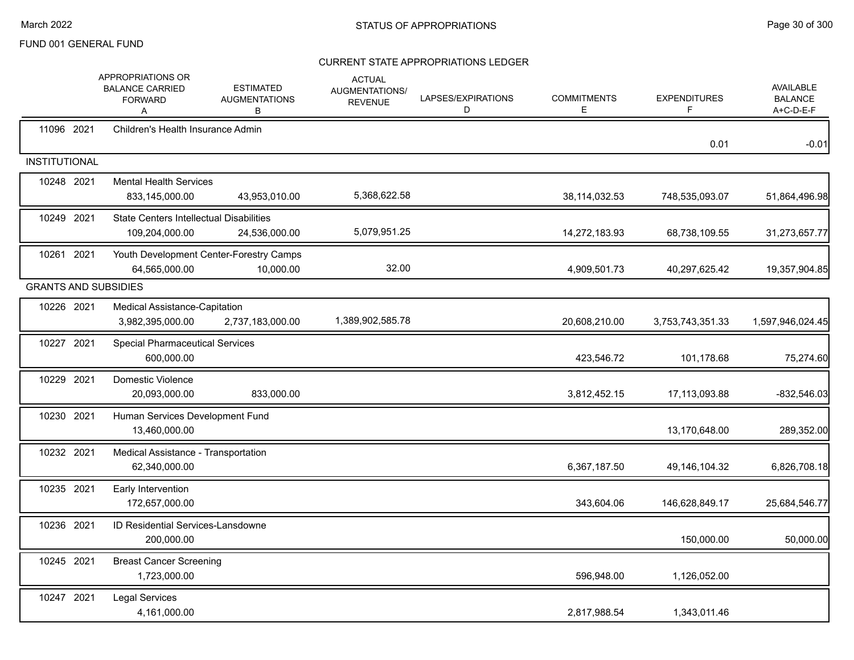|                             | APPROPRIATIONS OR<br><b>BALANCE CARRIED</b><br><b>FORWARD</b><br>A | <b>ESTIMATED</b><br><b>AUGMENTATIONS</b><br>В        | <b>ACTUAL</b><br>AUGMENTATIONS/<br><b>REVENUE</b> | LAPSES/EXPIRATIONS<br>D | <b>COMMITMENTS</b><br>E | <b>EXPENDITURES</b><br>F | <b>AVAILABLE</b><br><b>BALANCE</b><br>A+C-D-E-F |
|-----------------------------|--------------------------------------------------------------------|------------------------------------------------------|---------------------------------------------------|-------------------------|-------------------------|--------------------------|-------------------------------------------------|
| 11096 2021                  | Children's Health Insurance Admin                                  |                                                      |                                                   |                         |                         | 0.01                     | $-0.01$                                         |
| <b>INSTITUTIONAL</b>        |                                                                    |                                                      |                                                   |                         |                         |                          |                                                 |
| 10248 2021                  | <b>Mental Health Services</b><br>833,145,000.00                    | 43,953,010.00                                        | 5,368,622.58                                      |                         | 38, 114, 032.53         | 748,535,093.07           | 51,864,496.98                                   |
| 10249 2021                  | <b>State Centers Intellectual Disabilities</b><br>109,204,000.00   | 24,536,000.00                                        | 5,079,951.25                                      |                         | 14,272,183.93           | 68,738,109.55            | 31,273,657.77                                   |
| 10261 2021                  | 64,565,000.00                                                      | Youth Development Center-Forestry Camps<br>10,000.00 | 32.00                                             |                         | 4,909,501.73            | 40,297,625.42            | 19,357,904.85                                   |
| <b>GRANTS AND SUBSIDIES</b> |                                                                    |                                                      |                                                   |                         |                         |                          |                                                 |
| 10226 2021                  | <b>Medical Assistance-Capitation</b><br>3,982,395,000.00           | 2,737,183,000.00                                     | 1,389,902,585.78                                  |                         | 20,608,210.00           | 3,753,743,351.33         | 1,597,946,024.45                                |
| 10227 2021                  | <b>Special Pharmaceutical Services</b><br>600.000.00               |                                                      |                                                   |                         | 423,546.72              | 101,178.68               | 75,274.60                                       |
| 10229 2021                  | Domestic Violence<br>20,093,000.00                                 | 833,000.00                                           |                                                   |                         | 3,812,452.15            | 17,113,093.88            | $-832,546.03$                                   |
| 10230 2021                  | Human Services Development Fund<br>13,460,000.00                   |                                                      |                                                   |                         |                         | 13,170,648.00            | 289,352.00                                      |
| 10232 2021                  | Medical Assistance - Transportation<br>62,340,000.00               |                                                      |                                                   |                         | 6,367,187.50            | 49,146,104.32            | 6,826,708.18                                    |
| 10235 2021                  | Early Intervention<br>172,657,000.00                               |                                                      |                                                   |                         | 343,604.06              | 146,628,849.17           | 25,684,546.77                                   |
| 10236 2021                  | ID Residential Services-Lansdowne<br>200,000.00                    |                                                      |                                                   |                         |                         | 150,000.00               | 50,000.00                                       |
| 10245 2021                  | <b>Breast Cancer Screening</b><br>1,723,000.00                     |                                                      |                                                   |                         | 596,948.00              | 1,126,052.00             |                                                 |
| 10247 2021                  | <b>Legal Services</b><br>4,161,000.00                              |                                                      |                                                   |                         | 2,817,988.54            | 1,343,011.46             |                                                 |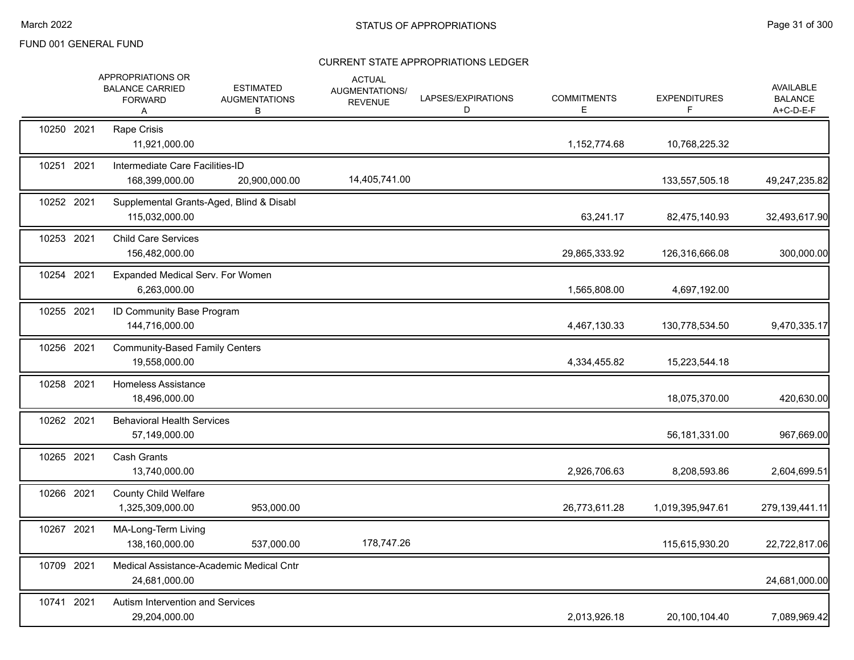|            | APPROPRIATIONS OR<br><b>BALANCE CARRIED</b><br><b>FORWARD</b><br>A | <b>ESTIMATED</b><br><b>AUGMENTATIONS</b><br>В | <b>ACTUAL</b><br>AUGMENTATIONS/<br><b>REVENUE</b> | LAPSES/EXPIRATIONS<br>D | <b>COMMITMENTS</b><br>Е | <b>EXPENDITURES</b><br>F. | <b>AVAILABLE</b><br><b>BALANCE</b><br>A+C-D-E-F |
|------------|--------------------------------------------------------------------|-----------------------------------------------|---------------------------------------------------|-------------------------|-------------------------|---------------------------|-------------------------------------------------|
| 10250 2021 | Rape Crisis<br>11,921,000.00                                       |                                               |                                                   |                         | 1,152,774.68            | 10,768,225.32             |                                                 |
| 10251 2021 | Intermediate Care Facilities-ID<br>168,399,000.00                  | 20,900,000.00                                 | 14,405,741.00                                     |                         |                         | 133,557,505.18            | 49,247,235.82                                   |
| 10252 2021 | Supplemental Grants-Aged, Blind & Disabl<br>115,032,000.00         |                                               |                                                   |                         | 63,241.17               | 82,475,140.93             | 32,493,617.90                                   |
| 10253 2021 | <b>Child Care Services</b><br>156,482,000.00                       |                                               |                                                   |                         | 29,865,333.92           | 126,316,666.08            | 300,000.00                                      |
| 10254 2021 | Expanded Medical Serv. For Women<br>6,263,000.00                   |                                               |                                                   |                         | 1,565,808.00            | 4,697,192.00              |                                                 |
| 10255 2021 | ID Community Base Program<br>144,716,000.00                        |                                               |                                                   |                         | 4,467,130.33            | 130,778,534.50            | 9,470,335.17                                    |
| 10256 2021 | <b>Community-Based Family Centers</b><br>19,558,000.00             |                                               |                                                   |                         | 4,334,455.82            | 15,223,544.18             |                                                 |
| 10258 2021 | Homeless Assistance<br>18,496,000.00                               |                                               |                                                   |                         |                         | 18,075,370.00             | 420,630.00                                      |
| 10262 2021 | <b>Behavioral Health Services</b><br>57,149,000.00                 |                                               |                                                   |                         |                         | 56,181,331.00             | 967,669.00                                      |
| 10265 2021 | <b>Cash Grants</b><br>13,740,000.00                                |                                               |                                                   |                         | 2,926,706.63            | 8,208,593.86              | 2,604,699.51                                    |
| 10266 2021 | <b>County Child Welfare</b><br>1,325,309,000.00                    | 953,000.00                                    |                                                   |                         | 26,773,611.28           | 1,019,395,947.61          | 279,139,441.11                                  |
| 10267 2021 | MA-Long-Term Living<br>138,160,000.00                              | 537,000.00                                    | 178,747.26                                        |                         |                         | 115,615,930.20            | 22,722,817.06                                   |
| 10709 2021 | Medical Assistance-Academic Medical Cntr<br>24,681,000.00          |                                               |                                                   |                         |                         |                           | 24,681,000.00                                   |
| 10741 2021 | Autism Intervention and Services<br>29,204,000.00                  |                                               |                                                   |                         | 2,013,926.18            | 20,100,104.40             | 7,089,969.42                                    |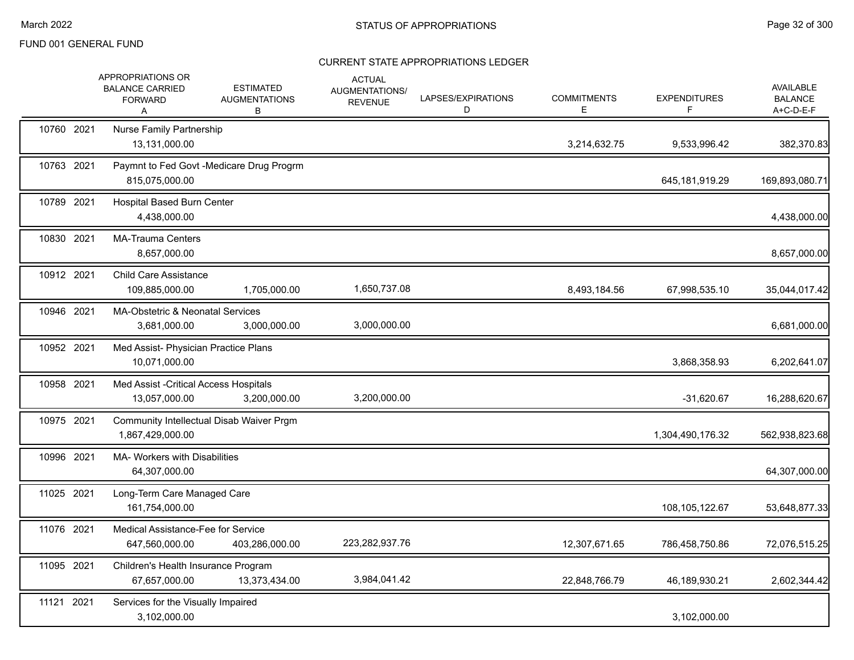|            | APPROPRIATIONS OR<br><b>BALANCE CARRIED</b><br><b>FORWARD</b><br>Α | <b>ESTIMATED</b><br><b>AUGMENTATIONS</b><br>B | <b>ACTUAL</b><br>AUGMENTATIONS/<br><b>REVENUE</b> | LAPSES/EXPIRATIONS<br>D | <b>COMMITMENTS</b><br>Е | <b>EXPENDITURES</b><br>F | <b>AVAILABLE</b><br><b>BALANCE</b><br>A+C-D-E-F |
|------------|--------------------------------------------------------------------|-----------------------------------------------|---------------------------------------------------|-------------------------|-------------------------|--------------------------|-------------------------------------------------|
| 10760 2021 | Nurse Family Partnership<br>13,131,000.00                          |                                               |                                                   |                         | 3,214,632.75            | 9,533,996.42             | 382,370.83                                      |
| 10763 2021 | 815,075,000.00                                                     | Paymnt to Fed Govt -Medicare Drug Progrm      |                                                   |                         |                         | 645,181,919.29           | 169,893,080.71                                  |
| 10789 2021 | <b>Hospital Based Burn Center</b><br>4,438,000.00                  |                                               |                                                   |                         |                         |                          | 4,438,000.00                                    |
| 10830 2021 | <b>MA-Trauma Centers</b><br>8,657,000.00                           |                                               |                                                   |                         |                         |                          | 8,657,000.00                                    |
| 10912 2021 | <b>Child Care Assistance</b><br>109,885,000.00                     | 1,705,000.00                                  | 1,650,737.08                                      |                         | 8,493,184.56            | 67,998,535.10            | 35,044,017.42                                   |
| 10946 2021 | MA-Obstetric & Neonatal Services<br>3,681,000.00                   | 3,000,000.00                                  | 3,000,000.00                                      |                         |                         |                          | 6,681,000.00                                    |
| 10952 2021 | Med Assist- Physician Practice Plans<br>10,071,000.00              |                                               |                                                   |                         |                         | 3,868,358.93             | 6,202,641.07                                    |
| 10958 2021 | Med Assist - Critical Access Hospitals<br>13,057,000.00            | 3,200,000.00                                  | 3,200,000.00                                      |                         |                         | $-31,620.67$             | 16,288,620.67                                   |
| 10975 2021 | 1,867,429,000.00                                                   | Community Intellectual Disab Waiver Prgm      |                                                   |                         |                         | 1,304,490,176.32         | 562,938,823.68                                  |
| 10996 2021 | MA- Workers with Disabilities<br>64,307,000.00                     |                                               |                                                   |                         |                         |                          | 64,307,000.00                                   |
| 11025 2021 | Long-Term Care Managed Care<br>161,754,000.00                      |                                               |                                                   |                         |                         | 108,105,122.67           | 53,648,877.33                                   |
| 11076 2021 | Medical Assistance-Fee for Service<br>647,560,000.00               | 403,286,000.00                                | 223,282,937.76                                    |                         | 12,307,671.65           | 786,458,750.86           | 72,076,515.25                                   |
| 11095 2021 | Children's Health Insurance Program<br>67,657,000.00               | 13,373,434.00                                 | 3,984,041.42                                      |                         | 22,848,766.79           | 46,189,930.21            | 2,602,344.42                                    |
| 11121 2021 | Services for the Visually Impaired<br>3,102,000.00                 |                                               |                                                   |                         |                         | 3,102,000.00             |                                                 |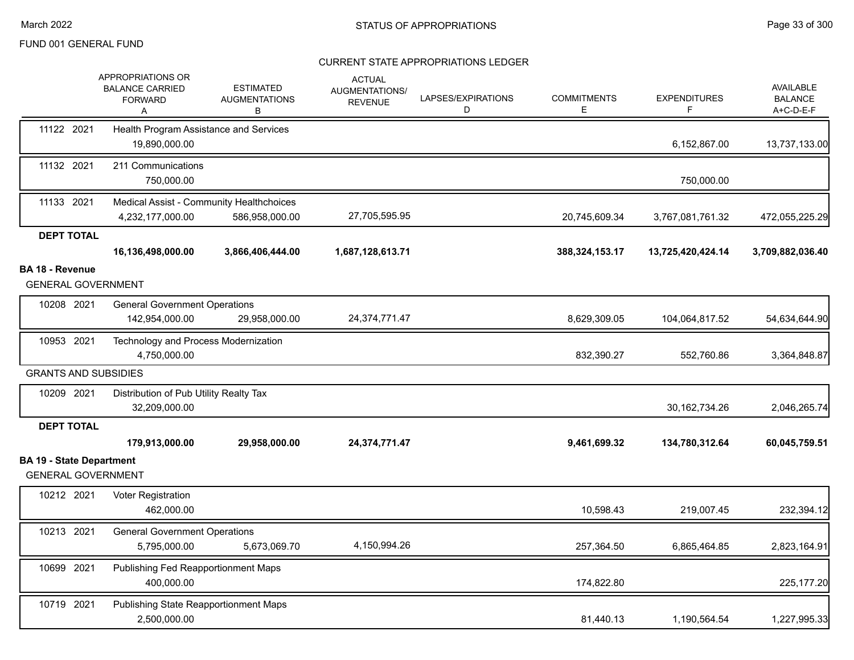|                                                              | APPROPRIATIONS OR<br><b>BALANCE CARRIED</b><br><b>FORWARD</b><br>Α | <b>ESTIMATED</b><br><b>AUGMENTATIONS</b><br>в | <b>ACTUAL</b><br>AUGMENTATIONS/<br><b>REVENUE</b> | LAPSES/EXPIRATIONS<br>D | <b>COMMITMENTS</b><br>E | <b>EXPENDITURES</b> | <b>AVAILABLE</b><br><b>BALANCE</b><br>A+C-D-E-F |
|--------------------------------------------------------------|--------------------------------------------------------------------|-----------------------------------------------|---------------------------------------------------|-------------------------|-------------------------|---------------------|-------------------------------------------------|
| 11122 2021                                                   | Health Program Assistance and Services<br>19,890,000.00            |                                               |                                                   |                         |                         | 6,152,867.00        | 13,737,133.00                                   |
| 11132 2021                                                   | 211 Communications<br>750,000.00                                   |                                               |                                                   |                         |                         | 750,000.00          |                                                 |
| 11133 2021                                                   | Medical Assist - Community Healthchoices<br>4,232,177,000.00       | 586,958,000.00                                | 27,705,595.95                                     |                         | 20,745,609.34           | 3,767,081,761.32    | 472,055,225.29                                  |
| <b>DEPT TOTAL</b>                                            |                                                                    |                                               |                                                   |                         |                         |                     |                                                 |
|                                                              | 16,136,498,000.00                                                  | 3,866,406,444.00                              | 1,687,128,613.71                                  |                         | 388,324,153.17          | 13,725,420,424.14   | 3,709,882,036.40                                |
| <b>BA 18 - Revenue</b>                                       |                                                                    |                                               |                                                   |                         |                         |                     |                                                 |
| <b>GENERAL GOVERNMENT</b>                                    |                                                                    |                                               |                                                   |                         |                         |                     |                                                 |
| 10208 2021                                                   | <b>General Government Operations</b><br>142,954,000.00             | 29,958,000.00                                 | 24,374,771.47                                     |                         | 8,629,309.05            | 104,064,817.52      | 54,634,644.90                                   |
| 10953 2021                                                   | Technology and Process Modernization<br>4,750,000.00               |                                               |                                                   |                         | 832,390.27              | 552,760.86          | 3,364,848.87                                    |
| <b>GRANTS AND SUBSIDIES</b>                                  |                                                                    |                                               |                                                   |                         |                         |                     |                                                 |
| 10209 2021                                                   | Distribution of Pub Utility Realty Tax<br>32,209,000.00            |                                               |                                                   |                         |                         | 30, 162, 734. 26    | 2,046,265.74                                    |
| <b>DEPT TOTAL</b>                                            |                                                                    |                                               |                                                   |                         |                         |                     |                                                 |
|                                                              | 179,913,000.00                                                     | 29,958,000.00                                 | 24,374,771.47                                     |                         | 9,461,699.32            | 134,780,312.64      | 60,045,759.51                                   |
| <b>BA 19 - State Department</b><br><b>GENERAL GOVERNMENT</b> |                                                                    |                                               |                                                   |                         |                         |                     |                                                 |
| 10212 2021                                                   | Voter Registration<br>462,000.00                                   |                                               |                                                   |                         | 10,598.43               | 219,007.45          | 232,394.12                                      |
| 10213 2021                                                   | <b>General Government Operations</b>                               |                                               |                                                   |                         |                         |                     |                                                 |
|                                                              | 5,795,000.00                                                       | 5,673,069.70                                  | 4,150,994.26                                      |                         | 257,364.50              | 6,865,464.85        | 2,823,164.91                                    |
| 10699 2021                                                   | Publishing Fed Reapportionment Maps<br>400,000.00                  |                                               |                                                   |                         | 174,822.80              |                     | 225, 177.20                                     |
| 10719 2021                                                   | Publishing State Reapportionment Maps<br>2,500,000.00              |                                               |                                                   |                         | 81,440.13               | 1,190,564.54        | 1,227,995.33                                    |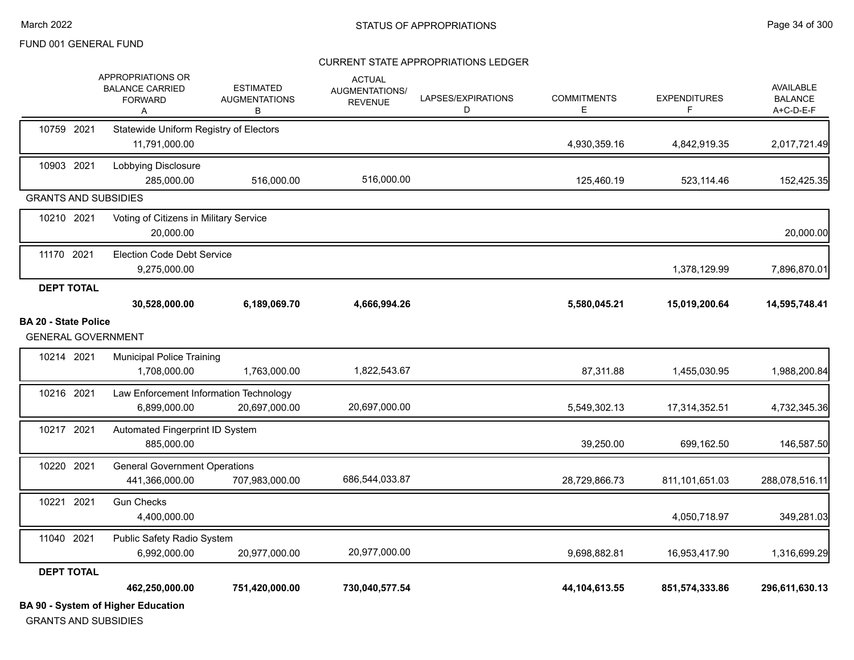#### CURRENT STATE APPROPRIATIONS LEDGER

|                                                          | <b>BA 90 - System of Higher Education</b>                          |                                               |                                                   |                         |                          |                          |                                                 |
|----------------------------------------------------------|--------------------------------------------------------------------|-----------------------------------------------|---------------------------------------------------|-------------------------|--------------------------|--------------------------|-------------------------------------------------|
|                                                          | 462,250,000.00                                                     | 751,420,000.00                                | 730,040,577.54                                    |                         | 44,104,613.55            | 851,574,333.86           | 296,611,630.13                                  |
| <b>DEPT TOTAL</b>                                        |                                                                    |                                               |                                                   |                         |                          |                          |                                                 |
|                                                          | 6,992,000.00                                                       | 20,977,000.00                                 | 20,977,000.00                                     |                         | 9,698,882.81             | 16,953,417.90            | 1,316,699.29                                    |
| 11040 2021                                               | Public Safety Radio System                                         |                                               |                                                   |                         |                          |                          |                                                 |
| 10221 2021                                               | <b>Gun Checks</b><br>4,400,000.00                                  |                                               |                                                   |                         |                          | 4,050,718.97             | 349,281.03                                      |
| 10220 2021                                               | <b>General Government Operations</b><br>441,366,000.00             | 707,983,000.00                                | 686,544,033.87                                    |                         | 28,729,866.73            | 811,101,651.03           | 288,078,516.11                                  |
| 10217 2021                                               | Automated Fingerprint ID System<br>885,000.00                      |                                               |                                                   |                         | 39,250.00                | 699,162.50               | 146,587.50                                      |
| 10216 2021                                               | Law Enforcement Information Technology<br>6,899,000.00             | 20,697,000.00                                 | 20,697,000.00                                     |                         | 5,549,302.13             | 17,314,352.51            | 4,732,345.36                                    |
| 10214 2021                                               | <b>Municipal Police Training</b><br>1,708,000.00                   | 1,763,000.00                                  | 1,822,543.67                                      |                         | 87,311.88                | 1,455,030.95             | 1,988,200.84                                    |
| <b>BA 20 - State Police</b><br><b>GENERAL GOVERNMENT</b> |                                                                    |                                               |                                                   |                         |                          |                          |                                                 |
|                                                          | 30,528,000.00                                                      | 6,189,069.70                                  | 4,666,994.26                                      |                         | 5,580,045.21             | 15,019,200.64            | 14,595,748.41                                   |
| <b>DEPT TOTAL</b>                                        |                                                                    |                                               |                                                   |                         |                          |                          |                                                 |
| 11170 2021                                               | <b>Election Code Debt Service</b><br>9,275,000.00                  |                                               |                                                   |                         |                          | 1,378,129.99             | 7,896,870.01                                    |
| 10210 2021                                               | Voting of Citizens in Military Service<br>20,000.00                |                                               |                                                   |                         |                          |                          | 20,000.00                                       |
| <b>GRANTS AND SUBSIDIES</b>                              |                                                                    |                                               |                                                   |                         |                          |                          |                                                 |
| 10903 2021                                               | Lobbying Disclosure<br>285,000.00                                  | 516,000.00                                    | 516,000.00                                        |                         | 125,460.19               | 523,114.46               | 152,425.35                                      |
| 10759 2021                                               | Statewide Uniform Registry of Electors<br>11,791,000.00            |                                               |                                                   |                         | 4,930,359.16             | 4,842,919.35             | 2,017,721.49                                    |
|                                                          | APPROPRIATIONS OR<br><b>BALANCE CARRIED</b><br><b>FORWARD</b><br>A | <b>ESTIMATED</b><br><b>AUGMENTATIONS</b><br>В | <b>ACTUAL</b><br>AUGMENTATIONS/<br><b>REVENUE</b> | LAPSES/EXPIRATIONS<br>D | <b>COMMITMENTS</b><br>E. | <b>EXPENDITURES</b><br>F | <b>AVAILABLE</b><br><b>BALANCE</b><br>A+C-D-E-F |

GRANTS AND SUBSIDIES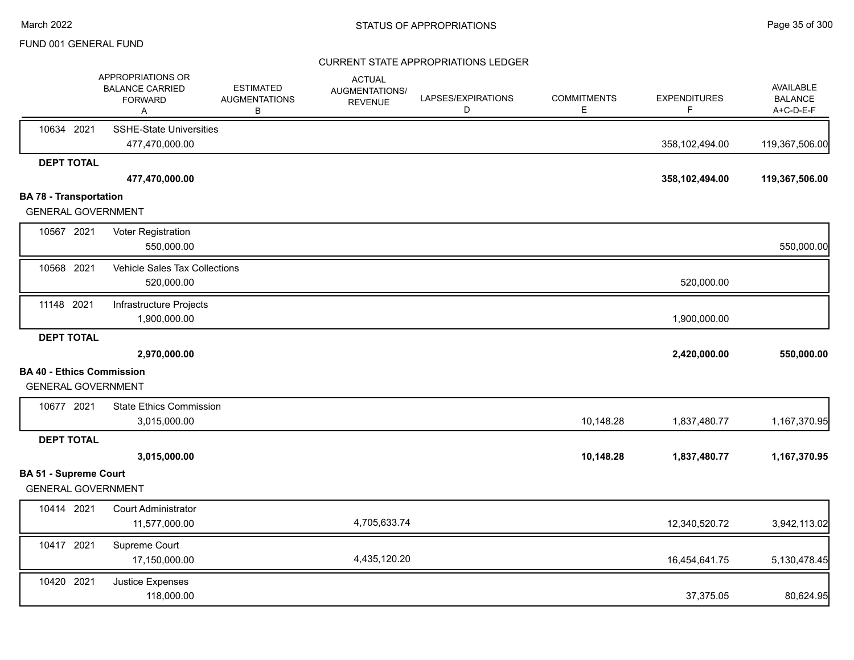|                                                               | APPROPRIATIONS OR<br><b>BALANCE CARRIED</b><br><b>FORWARD</b><br>Α | <b>ESTIMATED</b><br><b>AUGMENTATIONS</b><br>В | <b>ACTUAL</b><br>AUGMENTATIONS/<br><b>REVENUE</b> | LAPSES/EXPIRATIONS<br>D | <b>COMMITMENTS</b><br>Ε | <b>EXPENDITURES</b><br>F | <b>AVAILABLE</b><br><b>BALANCE</b><br>A+C-D-E-F |
|---------------------------------------------------------------|--------------------------------------------------------------------|-----------------------------------------------|---------------------------------------------------|-------------------------|-------------------------|--------------------------|-------------------------------------------------|
| 10634 2021                                                    | <b>SSHE-State Universities</b><br>477,470,000.00                   |                                               |                                                   |                         |                         | 358,102,494.00           | 119,367,506.00                                  |
| <b>DEPT TOTAL</b>                                             |                                                                    |                                               |                                                   |                         |                         |                          |                                                 |
|                                                               | 477,470,000.00                                                     |                                               |                                                   |                         |                         | 358,102,494.00           | 119,367,506.00                                  |
| <b>BA 78 - Transportation</b>                                 |                                                                    |                                               |                                                   |                         |                         |                          |                                                 |
| <b>GENERAL GOVERNMENT</b>                                     |                                                                    |                                               |                                                   |                         |                         |                          |                                                 |
| 10567 2021                                                    | Voter Registration<br>550,000.00                                   |                                               |                                                   |                         |                         |                          | 550,000.00                                      |
|                                                               |                                                                    |                                               |                                                   |                         |                         |                          |                                                 |
| 10568 2021                                                    | Vehicle Sales Tax Collections<br>520,000.00                        |                                               |                                                   |                         |                         | 520,000.00               |                                                 |
| 11148 2021                                                    | Infrastructure Projects                                            |                                               |                                                   |                         |                         |                          |                                                 |
|                                                               | 1,900,000.00                                                       |                                               |                                                   |                         |                         | 1,900,000.00             |                                                 |
| <b>DEPT TOTAL</b>                                             |                                                                    |                                               |                                                   |                         |                         |                          |                                                 |
|                                                               | 2,970,000.00                                                       |                                               |                                                   |                         |                         | 2,420,000.00             | 550,000.00                                      |
| <b>BA 40 - Ethics Commission</b><br><b>GENERAL GOVERNMENT</b> |                                                                    |                                               |                                                   |                         |                         |                          |                                                 |
|                                                               |                                                                    |                                               |                                                   |                         |                         |                          |                                                 |
| 10677 2021                                                    | <b>State Ethics Commission</b><br>3,015,000.00                     |                                               |                                                   |                         | 10,148.28               | 1,837,480.77             | 1,167,370.95                                    |
| <b>DEPT TOTAL</b>                                             |                                                                    |                                               |                                                   |                         |                         |                          |                                                 |
|                                                               | 3,015,000.00                                                       |                                               |                                                   |                         | 10,148.28               | 1,837,480.77             | 1,167,370.95                                    |
| <b>BA 51 - Supreme Court</b>                                  |                                                                    |                                               |                                                   |                         |                         |                          |                                                 |
| <b>GENERAL GOVERNMENT</b>                                     |                                                                    |                                               |                                                   |                         |                         |                          |                                                 |
| 10414 2021                                                    | <b>Court Administrator</b>                                         |                                               |                                                   |                         |                         |                          |                                                 |
|                                                               | 11,577,000.00                                                      |                                               | 4,705,633.74                                      |                         |                         | 12,340,520.72            | 3,942,113.02                                    |
| 10417 2021                                                    | Supreme Court                                                      |                                               |                                                   |                         |                         |                          |                                                 |
|                                                               | 17,150,000.00                                                      |                                               | 4,435,120.20                                      |                         |                         | 16,454,641.75            | 5,130,478.45                                    |
| 10420 2021                                                    | Justice Expenses                                                   |                                               |                                                   |                         |                         |                          |                                                 |
|                                                               | 118,000.00                                                         |                                               |                                                   |                         |                         | 37,375.05                | 80,624.95                                       |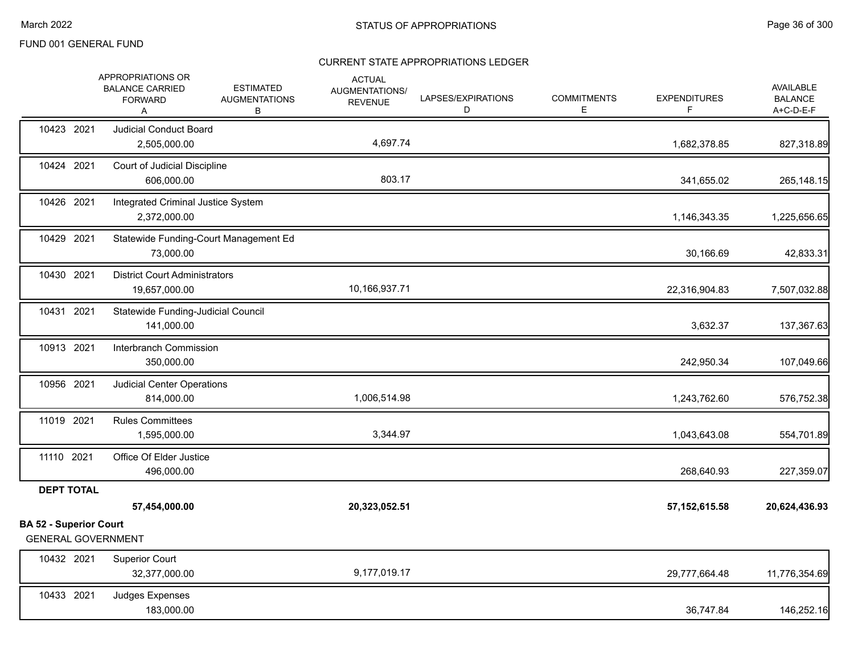|                                                            | APPROPRIATIONS OR<br><b>BALANCE CARRIED</b><br><b>FORWARD</b><br>Α | <b>ESTIMATED</b><br><b>AUGMENTATIONS</b><br>В | <b>ACTUAL</b><br>AUGMENTATIONS/<br><b>REVENUE</b> | LAPSES/EXPIRATIONS<br>D | <b>COMMITMENTS</b><br>E. | <b>EXPENDITURES</b><br>F. | AVAILABLE<br><b>BALANCE</b><br>A+C-D-E-F |
|------------------------------------------------------------|--------------------------------------------------------------------|-----------------------------------------------|---------------------------------------------------|-------------------------|--------------------------|---------------------------|------------------------------------------|
| 10423 2021                                                 | <b>Judicial Conduct Board</b><br>2,505,000.00                      |                                               | 4,697.74                                          |                         |                          | 1,682,378.85              | 827,318.89                               |
| 10424 2021                                                 | Court of Judicial Discipline<br>606,000.00                         |                                               | 803.17                                            |                         |                          | 341,655.02                | 265,148.15                               |
| 10426 2021                                                 | Integrated Criminal Justice System<br>2,372,000.00                 |                                               |                                                   |                         |                          | 1,146,343.35              | 1,225,656.65                             |
| 10429 2021                                                 | 73,000.00                                                          | Statewide Funding-Court Management Ed         |                                                   |                         |                          | 30,166.69                 | 42,833.31                                |
| 10430 2021                                                 | <b>District Court Administrators</b><br>19,657,000.00              |                                               | 10,166,937.71                                     |                         |                          | 22,316,904.83             | 7,507,032.88                             |
| 10431 2021                                                 | Statewide Funding-Judicial Council<br>141,000.00                   |                                               |                                                   |                         |                          | 3,632.37                  | 137,367.63                               |
| 10913 2021                                                 | Interbranch Commission<br>350,000.00                               |                                               |                                                   |                         |                          | 242,950.34                | 107,049.66                               |
| 10956 2021                                                 | Judicial Center Operations<br>814,000.00                           |                                               | 1,006,514.98                                      |                         |                          | 1,243,762.60              | 576,752.38                               |
| 11019 2021                                                 | <b>Rules Committees</b><br>1,595,000.00                            |                                               | 3,344.97                                          |                         |                          | 1,043,643.08              | 554,701.89                               |
| 11110 2021                                                 | Office Of Elder Justice<br>496,000.00                              |                                               |                                                   |                         |                          | 268,640.93                | 227,359.07                               |
| <b>DEPT TOTAL</b>                                          |                                                                    |                                               |                                                   |                         |                          |                           |                                          |
|                                                            | 57,454,000.00                                                      |                                               | 20,323,052.51                                     |                         |                          | 57, 152, 615.58           | 20,624,436.93                            |
| <b>BA 52 - Superior Court</b><br><b>GENERAL GOVERNMENT</b> |                                                                    |                                               |                                                   |                         |                          |                           |                                          |
| 10432 2021                                                 | <b>Superior Court</b><br>32,377,000.00                             |                                               | 9,177,019.17                                      |                         |                          | 29,777,664.48             | 11,776,354.69                            |
| 10433 2021                                                 | Judges Expenses<br>183,000.00                                      |                                               |                                                   |                         |                          | 36,747.84                 | 146,252.16                               |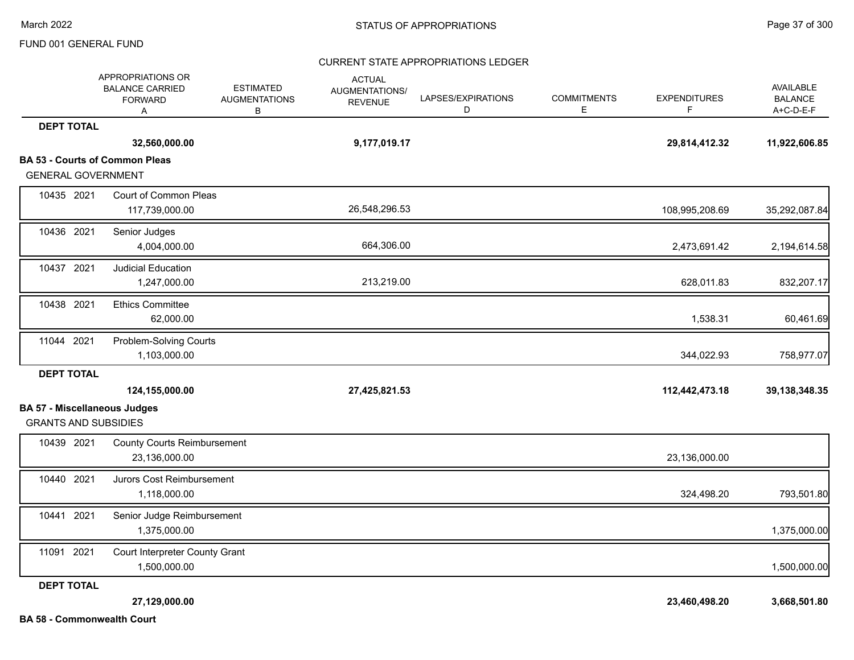### CURRENT STATE APPROPRIATIONS LEDGER

|                                                                    | APPROPRIATIONS OR<br><b>BALANCE CARRIED</b><br><b>FORWARD</b><br>A | <b>ESTIMATED</b><br><b>AUGMENTATIONS</b><br>В | <b>ACTUAL</b><br>AUGMENTATIONS/<br><b>REVENUE</b> | LAPSES/EXPIRATIONS<br>D | <b>COMMITMENTS</b><br>E. | <b>EXPENDITURES</b><br>F. | AVAILABLE<br><b>BALANCE</b><br>A+C-D-E-F |
|--------------------------------------------------------------------|--------------------------------------------------------------------|-----------------------------------------------|---------------------------------------------------|-------------------------|--------------------------|---------------------------|------------------------------------------|
| <b>DEPT TOTAL</b>                                                  |                                                                    |                                               |                                                   |                         |                          |                           |                                          |
|                                                                    | 32,560,000.00                                                      |                                               | 9,177,019.17                                      |                         |                          | 29,814,412.32             | 11,922,606.85                            |
|                                                                    | <b>BA 53 - Courts of Common Pleas</b>                              |                                               |                                                   |                         |                          |                           |                                          |
| <b>GENERAL GOVERNMENT</b>                                          |                                                                    |                                               |                                                   |                         |                          |                           |                                          |
| 10435 2021                                                         | Court of Common Pleas<br>117,739,000.00                            |                                               | 26,548,296.53                                     |                         |                          | 108,995,208.69            | 35,292,087.84                            |
| 10436 2021                                                         | Senior Judges<br>4,004,000.00                                      |                                               | 664,306.00                                        |                         |                          | 2,473,691.42              | 2,194,614.58                             |
| 10437 2021                                                         | <b>Judicial Education</b><br>1,247,000.00                          |                                               | 213,219.00                                        |                         |                          | 628,011.83                | 832,207.17                               |
| 10438 2021                                                         | <b>Ethics Committee</b><br>62,000.00                               |                                               |                                                   |                         |                          | 1,538.31                  | 60,461.69                                |
| 11044 2021                                                         | Problem-Solving Courts<br>1,103,000.00                             |                                               |                                                   |                         |                          | 344,022.93                | 758,977.07                               |
| <b>DEPT TOTAL</b>                                                  |                                                                    |                                               |                                                   |                         |                          |                           |                                          |
|                                                                    | 124,155,000.00                                                     |                                               | 27,425,821.53                                     |                         |                          | 112,442,473.18            | 39, 138, 348. 35                         |
| <b>BA 57 - Miscellaneous Judges</b><br><b>GRANTS AND SUBSIDIES</b> |                                                                    |                                               |                                                   |                         |                          |                           |                                          |
| 10439 2021                                                         | <b>County Courts Reimbursement</b><br>23,136,000.00                |                                               |                                                   |                         |                          | 23,136,000.00             |                                          |
| 10440 2021                                                         | Jurors Cost Reimbursement<br>1,118,000.00                          |                                               |                                                   |                         |                          | 324,498.20                | 793,501.80                               |
| 10441 2021                                                         | Senior Judge Reimbursement<br>1,375,000.00                         |                                               |                                                   |                         |                          |                           | 1,375,000.00                             |
| 11091 2021                                                         | Court Interpreter County Grant<br>1,500,000.00                     |                                               |                                                   |                         |                          |                           | 1,500,000.00                             |
| <b>DEPT TOTAL</b>                                                  |                                                                    |                                               |                                                   |                         |                          |                           |                                          |
|                                                                    | 27,129,000.00                                                      |                                               |                                                   |                         |                          | 23,460,498.20             | 3,668,501.80                             |
| <b>BA 58 - Commonwealth Court</b>                                  |                                                                    |                                               |                                                   |                         |                          |                           |                                          |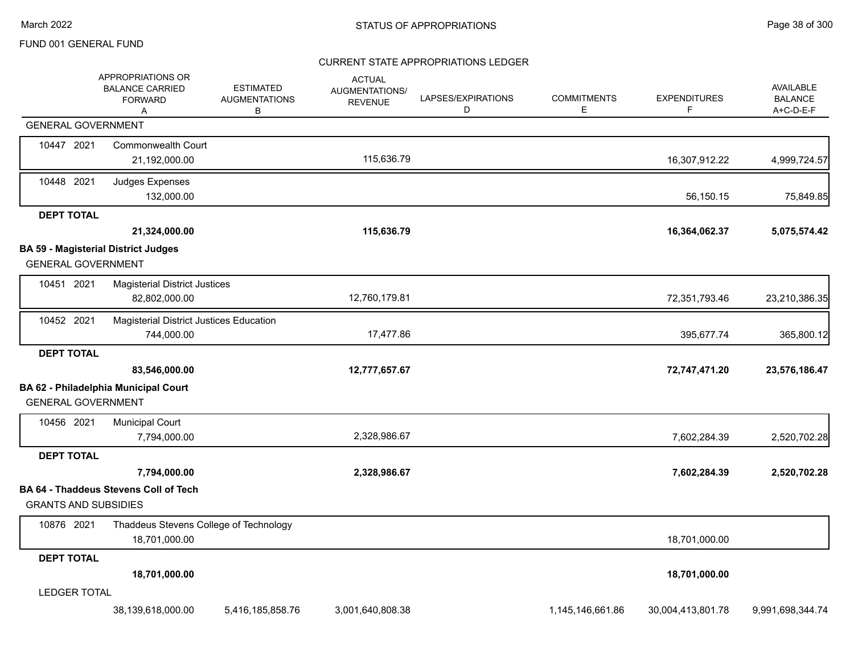### CURRENT STATE APPROPRIATIONS LEDGER

|                             | APPROPRIATIONS OR<br><b>BALANCE CARRIED</b><br><b>FORWARD</b><br>A | <b>ESTIMATED</b><br><b>AUGMENTATIONS</b><br>В | <b>ACTUAL</b><br>AUGMENTATIONS/<br><b>REVENUE</b> | LAPSES/EXPIRATIONS<br>D | <b>COMMITMENTS</b><br>Е | <b>EXPENDITURES</b><br>F | AVAILABLE<br><b>BALANCE</b><br>A+C-D-E-F |
|-----------------------------|--------------------------------------------------------------------|-----------------------------------------------|---------------------------------------------------|-------------------------|-------------------------|--------------------------|------------------------------------------|
| <b>GENERAL GOVERNMENT</b>   |                                                                    |                                               |                                                   |                         |                         |                          |                                          |
| 10447 2021                  | <b>Commonwealth Court</b><br>21,192,000.00                         |                                               | 115,636.79                                        |                         |                         | 16,307,912.22            | 4,999,724.57                             |
| 10448 2021                  | Judges Expenses<br>132,000.00                                      |                                               |                                                   |                         |                         | 56,150.15                | 75,849.85                                |
| <b>DEPT TOTAL</b>           |                                                                    |                                               |                                                   |                         |                         |                          |                                          |
|                             | 21,324,000.00                                                      |                                               | 115,636.79                                        |                         |                         | 16,364,062.37            | 5,075,574.42                             |
|                             | <b>BA 59 - Magisterial District Judges</b>                         |                                               |                                                   |                         |                         |                          |                                          |
| <b>GENERAL GOVERNMENT</b>   |                                                                    |                                               |                                                   |                         |                         |                          |                                          |
| 10451 2021                  | <b>Magisterial District Justices</b><br>82,802,000.00              |                                               | 12,760,179.81                                     |                         |                         | 72,351,793.46            | 23,210,386.35                            |
| 10452 2021                  | Magisterial District Justices Education                            |                                               |                                                   |                         |                         |                          |                                          |
|                             | 744,000.00                                                         |                                               | 17,477.86                                         |                         |                         | 395,677.74               | 365,800.12                               |
| <b>DEPT TOTAL</b>           |                                                                    |                                               |                                                   |                         |                         |                          |                                          |
|                             | 83,546,000.00                                                      |                                               | 12,777,657.67                                     |                         |                         | 72,747,471.20            | 23,576,186.47                            |
| <b>GENERAL GOVERNMENT</b>   | BA 62 - Philadelphia Municipal Court                               |                                               |                                                   |                         |                         |                          |                                          |
| 10456 2021                  | <b>Municipal Court</b>                                             |                                               |                                                   |                         |                         |                          |                                          |
|                             | 7,794,000.00                                                       |                                               | 2,328,986.67                                      |                         |                         | 7,602,284.39             | 2,520,702.28                             |
| <b>DEPT TOTAL</b>           |                                                                    |                                               |                                                   |                         |                         |                          |                                          |
|                             | 7,794,000.00                                                       |                                               | 2,328,986.67                                      |                         |                         | 7,602,284.39             | 2,520,702.28                             |
| <b>GRANTS AND SUBSIDIES</b> | <b>BA 64 - Thaddeus Stevens Coll of Tech</b>                       |                                               |                                                   |                         |                         |                          |                                          |
| 10876 2021                  | Thaddeus Stevens College of Technology<br>18,701,000.00            |                                               |                                                   |                         |                         | 18,701,000.00            |                                          |
| <b>DEPT TOTAL</b>           |                                                                    |                                               |                                                   |                         |                         |                          |                                          |
|                             | 18,701,000.00                                                      |                                               |                                                   |                         |                         | 18,701,000.00            |                                          |
| <b>LEDGER TOTAL</b>         |                                                                    |                                               |                                                   |                         |                         |                          |                                          |
|                             | 38,139,618,000.00                                                  | 5,416,185,858.76                              | 3,001,640,808.38                                  |                         | 1,145,146,661.86        | 30,004,413,801.78        | 9,991,698,344.74                         |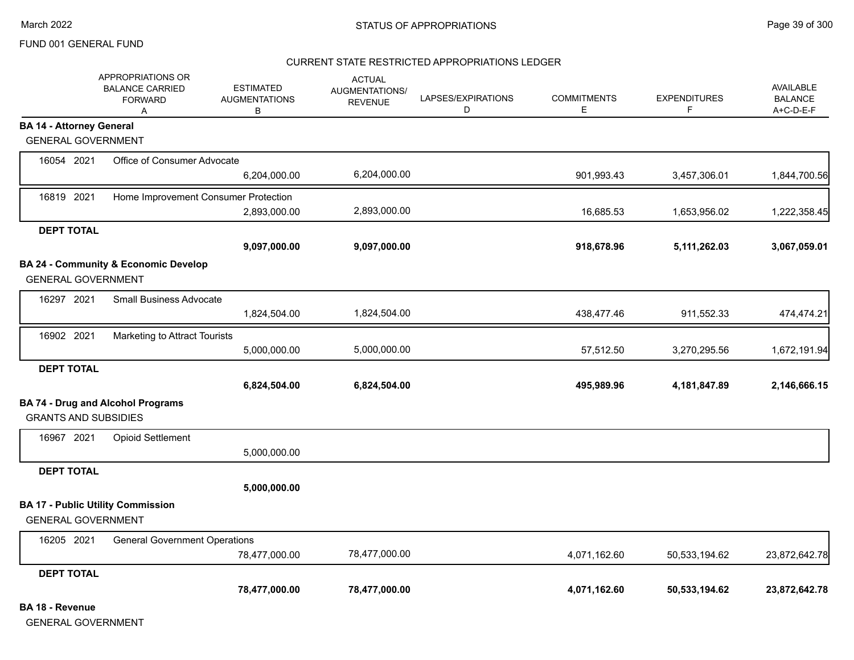#### CURRENT STATE RESTRICTED APPROPRIATIONS LEDGER

|                                 | APPROPRIATIONS OR<br><b>BALANCE CARRIED</b><br><b>FORWARD</b><br>A | <b>ESTIMATED</b><br><b>AUGMENTATIONS</b><br>В | <b>ACTUAL</b><br>AUGMENTATIONS/<br><b>REVENUE</b> | LAPSES/EXPIRATIONS<br>D | <b>COMMITMENTS</b><br>Е | <b>EXPENDITURES</b><br>F | <b>AVAILABLE</b><br><b>BALANCE</b><br>A+C-D-E-F |
|---------------------------------|--------------------------------------------------------------------|-----------------------------------------------|---------------------------------------------------|-------------------------|-------------------------|--------------------------|-------------------------------------------------|
| <b>BA 14 - Attorney General</b> |                                                                    |                                               |                                                   |                         |                         |                          |                                                 |
| <b>GENERAL GOVERNMENT</b>       |                                                                    |                                               |                                                   |                         |                         |                          |                                                 |
| 16054 2021                      | Office of Consumer Advocate                                        |                                               |                                                   |                         |                         |                          |                                                 |
|                                 |                                                                    | 6,204,000.00                                  | 6,204,000.00                                      |                         | 901,993.43              | 3,457,306.01             | 1,844,700.56                                    |
| 16819 2021                      | Home Improvement Consumer Protection                               |                                               |                                                   |                         |                         |                          |                                                 |
|                                 |                                                                    | 2,893,000.00                                  | 2,893,000.00                                      |                         | 16,685.53               | 1,653,956.02             | 1,222,358.45                                    |
| <b>DEPT TOTAL</b>               |                                                                    |                                               |                                                   |                         |                         |                          |                                                 |
|                                 |                                                                    | 9,097,000.00                                  | 9,097,000.00                                      |                         | 918,678.96              | 5,111,262.03             | 3,067,059.01                                    |
|                                 | BA 24 - Community & Economic Develop                               |                                               |                                                   |                         |                         |                          |                                                 |
| <b>GENERAL GOVERNMENT</b>       |                                                                    |                                               |                                                   |                         |                         |                          |                                                 |
| 16297 2021                      | <b>Small Business Advocate</b>                                     |                                               |                                                   |                         |                         |                          |                                                 |
|                                 |                                                                    | 1,824,504.00                                  | 1,824,504.00                                      |                         | 438,477.46              | 911,552.33               | 474,474.21                                      |
| 16902 2021                      | Marketing to Attract Tourists                                      |                                               |                                                   |                         |                         |                          |                                                 |
|                                 |                                                                    | 5,000,000.00                                  | 5,000,000.00                                      |                         | 57,512.50               | 3,270,295.56             | 1,672,191.94                                    |
| <b>DEPT TOTAL</b>               |                                                                    |                                               |                                                   |                         |                         |                          |                                                 |
|                                 |                                                                    | 6,824,504.00                                  | 6,824,504.00                                      |                         | 495,989.96              | 4,181,847.89             | 2,146,666.15                                    |
|                                 | <b>BA 74 - Drug and Alcohol Programs</b>                           |                                               |                                                   |                         |                         |                          |                                                 |
| <b>GRANTS AND SUBSIDIES</b>     |                                                                    |                                               |                                                   |                         |                         |                          |                                                 |
| 16967 2021                      | <b>Opioid Settlement</b>                                           |                                               |                                                   |                         |                         |                          |                                                 |
|                                 |                                                                    | 5,000,000.00                                  |                                                   |                         |                         |                          |                                                 |
| <b>DEPT TOTAL</b>               |                                                                    |                                               |                                                   |                         |                         |                          |                                                 |
|                                 |                                                                    | 5,000,000.00                                  |                                                   |                         |                         |                          |                                                 |
|                                 | <b>BA 17 - Public Utility Commission</b>                           |                                               |                                                   |                         |                         |                          |                                                 |
| <b>GENERAL GOVERNMENT</b>       |                                                                    |                                               |                                                   |                         |                         |                          |                                                 |
| 16205 2021                      | <b>General Government Operations</b>                               |                                               |                                                   |                         |                         |                          |                                                 |
|                                 |                                                                    | 78,477,000.00                                 | 78,477,000.00                                     |                         | 4,071,162.60            | 50,533,194.62            | 23,872,642.78                                   |
| <b>DEPT TOTAL</b>               |                                                                    |                                               |                                                   |                         |                         |                          |                                                 |
|                                 |                                                                    | 78,477,000.00                                 | 78,477,000.00                                     |                         | 4,071,162.60            | 50,533,194.62            | 23,872,642.78                                   |

#### **BA 18 - Revenue**

GENERAL GOVERNMENT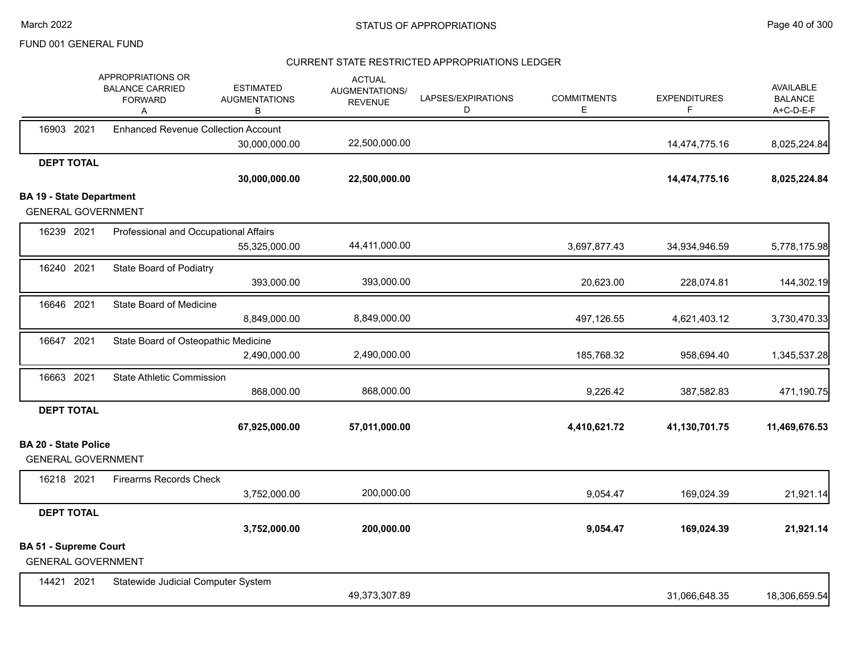### CURRENT STATE RESTRICTED APPROPRIATIONS LEDGER

|                                 | APPROPRIATIONS OR<br><b>BALANCE CARRIED</b><br><b>FORWARD</b><br>Α | <b>ESTIMATED</b><br><b>AUGMENTATIONS</b><br>В | <b>ACTUAL</b><br>AUGMENTATIONS/<br><b>REVENUE</b> | LAPSES/EXPIRATIONS<br>D | <b>COMMITMENTS</b><br>E. | <b>EXPENDITURES</b><br>F | <b>AVAILABLE</b><br><b>BALANCE</b><br>A+C-D-E-F |
|---------------------------------|--------------------------------------------------------------------|-----------------------------------------------|---------------------------------------------------|-------------------------|--------------------------|--------------------------|-------------------------------------------------|
| 16903 2021                      | <b>Enhanced Revenue Collection Account</b>                         |                                               |                                                   |                         |                          |                          |                                                 |
|                                 |                                                                    | 30,000,000.00                                 | 22,500,000.00                                     |                         |                          | 14,474,775.16            | 8,025,224.84                                    |
| <b>DEPT TOTAL</b>               |                                                                    |                                               |                                                   |                         |                          |                          |                                                 |
|                                 |                                                                    | 30,000,000.00                                 | 22,500,000.00                                     |                         |                          | 14,474,775.16            | 8,025,224.84                                    |
| <b>BA 19 - State Department</b> |                                                                    |                                               |                                                   |                         |                          |                          |                                                 |
|                                 | <b>GENERAL GOVERNMENT</b>                                          |                                               |                                                   |                         |                          |                          |                                                 |
| 16239 2021                      | Professional and Occupational Affairs                              |                                               |                                                   |                         |                          |                          |                                                 |
|                                 |                                                                    | 55,325,000.00                                 | 44,411,000.00                                     |                         | 3,697,877.43             | 34,934,946.59            | 5,778,175.98                                    |
| 16240 2021                      | <b>State Board of Podiatry</b>                                     |                                               |                                                   |                         |                          |                          |                                                 |
|                                 |                                                                    | 393,000.00                                    | 393,000.00                                        |                         | 20,623.00                | 228,074.81               | 144,302.19                                      |
| 16646 2021                      | State Board of Medicine                                            |                                               |                                                   |                         |                          |                          |                                                 |
|                                 |                                                                    | 8,849,000.00                                  | 8,849,000.00                                      |                         | 497,126.55               | 4,621,403.12             | 3,730,470.33                                    |
| 16647 2021                      | State Board of Osteopathic Medicine                                |                                               |                                                   |                         |                          |                          |                                                 |
|                                 |                                                                    | 2,490,000.00                                  | 2,490,000.00                                      |                         | 185,768.32               | 958,694.40               | 1,345,537.28                                    |
| 16663 2021                      | <b>State Athletic Commission</b>                                   |                                               |                                                   |                         |                          |                          |                                                 |
|                                 |                                                                    | 868,000.00                                    | 868,000.00                                        |                         | 9,226.42                 | 387,582.83               | 471,190.75                                      |
| <b>DEPT TOTAL</b>               |                                                                    |                                               |                                                   |                         |                          |                          |                                                 |
|                                 |                                                                    | 67,925,000.00                                 | 57,011,000.00                                     |                         | 4,410,621.72             | 41,130,701.75            | 11,469,676.53                                   |
| <b>BA 20 - State Police</b>     |                                                                    |                                               |                                                   |                         |                          |                          |                                                 |
|                                 | <b>GENERAL GOVERNMENT</b>                                          |                                               |                                                   |                         |                          |                          |                                                 |
| 16218 2021                      | <b>Firearms Records Check</b>                                      |                                               |                                                   |                         |                          |                          |                                                 |
|                                 |                                                                    | 3,752,000.00                                  | 200,000.00                                        |                         | 9,054.47                 | 169,024.39               | 21,921.14                                       |
| <b>DEPT TOTAL</b>               |                                                                    |                                               |                                                   |                         |                          |                          |                                                 |
|                                 |                                                                    | 3,752,000.00                                  | 200,000.00                                        |                         | 9,054.47                 | 169,024.39               | 21,921.14                                       |
| <b>BA 51 - Supreme Court</b>    | <b>GENERAL GOVERNMENT</b>                                          |                                               |                                                   |                         |                          |                          |                                                 |
| 14421 2021                      | Statewide Judicial Computer System                                 |                                               |                                                   |                         |                          |                          |                                                 |
|                                 |                                                                    |                                               | 49,373,307.89                                     |                         |                          | 31,066,648.35            | 18,306,659.54                                   |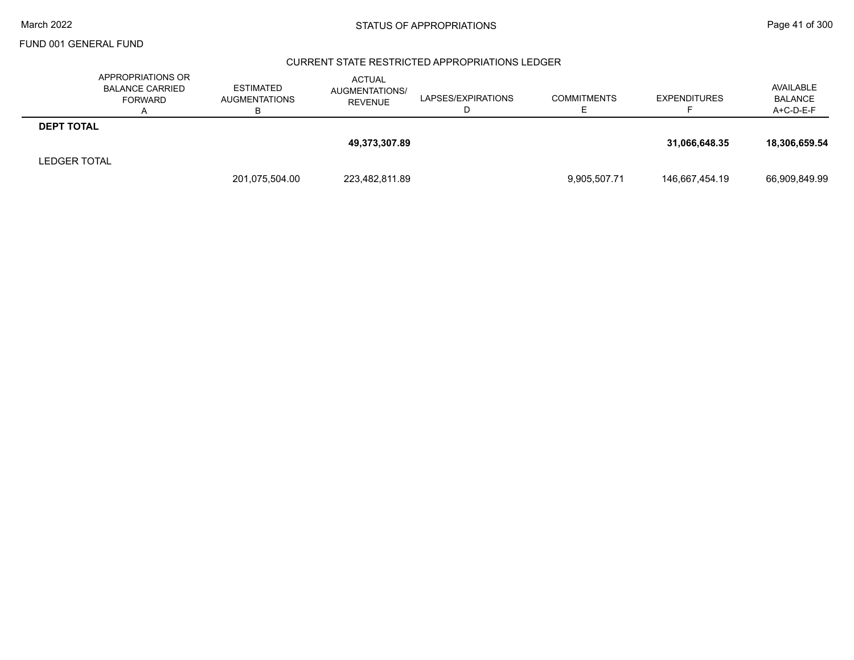### CURRENT STATE RESTRICTED APPROPRIATIONS LEDGER

|                     | APPROPRIATIONS OR<br><b>BALANCE CARRIED</b><br><b>FORWARD</b> | <b>ESTIMATED</b><br><b>AUGMENTATIONS</b> | <b>ACTUAL</b><br>AUGMENTATIONS/<br><b>REVENUE</b> | LAPSES/EXPIRATIONS | <b>COMMITMENTS</b> | <b>EXPENDITURES</b> | AVAILABLE<br><b>BALANCE</b><br>A+C-D-E-F |
|---------------------|---------------------------------------------------------------|------------------------------------------|---------------------------------------------------|--------------------|--------------------|---------------------|------------------------------------------|
| <b>DEPT TOTAL</b>   |                                                               |                                          |                                                   |                    |                    |                     |                                          |
|                     |                                                               |                                          | 49,373,307.89                                     |                    |                    | 31.066.648.35       | 18,306,659.54                            |
| <b>LEDGER TOTAL</b> |                                                               |                                          |                                                   |                    |                    |                     |                                          |
|                     |                                                               | 201,075,504.00                           | 223,482,811.89                                    |                    | 9,905,507.71       | 146,667,454.19      | 66,909,849.99                            |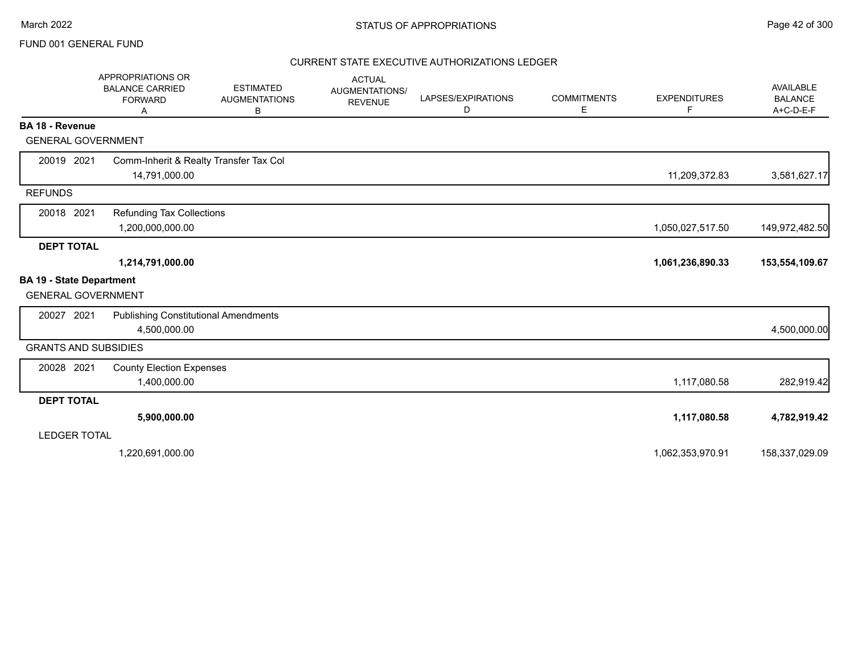### CURRENT STATE EXECUTIVE AUTHORIZATIONS LEDGER

|                                 | APPROPRIATIONS OR<br><b>BALANCE CARRIED</b><br><b>FORWARD</b><br>A | <b>ESTIMATED</b><br><b>AUGMENTATIONS</b><br>В | <b>ACTUAL</b><br>AUGMENTATIONS/<br><b>REVENUE</b> | LAPSES/EXPIRATIONS<br>D | <b>COMMITMENTS</b><br>Е | <b>EXPENDITURES</b><br>F | <b>AVAILABLE</b><br><b>BALANCE</b><br>A+C-D-E-F |
|---------------------------------|--------------------------------------------------------------------|-----------------------------------------------|---------------------------------------------------|-------------------------|-------------------------|--------------------------|-------------------------------------------------|
| BA 18 - Revenue                 |                                                                    |                                               |                                                   |                         |                         |                          |                                                 |
|                                 | <b>GENERAL GOVERNMENT</b>                                          |                                               |                                                   |                         |                         |                          |                                                 |
| 20019 2021                      | Comm-Inherit & Realty Transfer Tax Col                             |                                               |                                                   |                         |                         |                          |                                                 |
|                                 | 14,791,000.00                                                      |                                               |                                                   |                         |                         | 11,209,372.83            | 3,581,627.17                                    |
| <b>REFUNDS</b>                  |                                                                    |                                               |                                                   |                         |                         |                          |                                                 |
| 20018 2021                      | Refunding Tax Collections                                          |                                               |                                                   |                         |                         |                          |                                                 |
|                                 | 1,200,000,000.00                                                   |                                               |                                                   |                         |                         | 1,050,027,517.50         | 149,972,482.50                                  |
| <b>DEPT TOTAL</b>               |                                                                    |                                               |                                                   |                         |                         |                          |                                                 |
|                                 | 1,214,791,000.00                                                   |                                               |                                                   |                         |                         | 1,061,236,890.33         | 153,554,109.67                                  |
| <b>BA 19 - State Department</b> |                                                                    |                                               |                                                   |                         |                         |                          |                                                 |
|                                 | <b>GENERAL GOVERNMENT</b>                                          |                                               |                                                   |                         |                         |                          |                                                 |
| 20027 2021                      | <b>Publishing Constitutional Amendments</b>                        |                                               |                                                   |                         |                         |                          |                                                 |
|                                 | 4,500,000.00                                                       |                                               |                                                   |                         |                         |                          | 4,500,000.00                                    |
|                                 | <b>GRANTS AND SUBSIDIES</b>                                        |                                               |                                                   |                         |                         |                          |                                                 |
| 20028 2021                      | <b>County Election Expenses</b>                                    |                                               |                                                   |                         |                         |                          |                                                 |
|                                 | 1,400,000.00                                                       |                                               |                                                   |                         |                         | 1,117,080.58             | 282,919.42                                      |
| <b>DEPT TOTAL</b>               |                                                                    |                                               |                                                   |                         |                         |                          |                                                 |
|                                 | 5,900,000.00                                                       |                                               |                                                   |                         |                         | 1,117,080.58             | 4,782,919.42                                    |
| <b>LEDGER TOTAL</b>             |                                                                    |                                               |                                                   |                         |                         |                          |                                                 |
|                                 | 1,220,691,000.00                                                   |                                               |                                                   |                         |                         | 1,062,353,970.91         | 158,337,029.09                                  |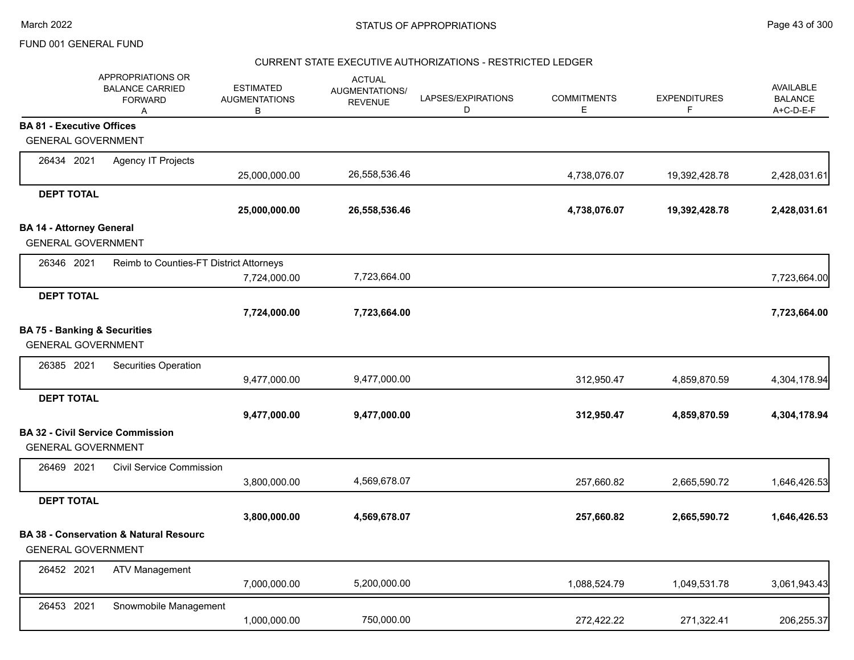### CURRENT STATE EXECUTIVE AUTHORIZATIONS - RESTRICTED LEDGER

|                                  | APPROPRIATIONS OR<br><b>BALANCE CARRIED</b><br><b>FORWARD</b><br>$\overline{A}$ | <b>ESTIMATED</b><br><b>AUGMENTATIONS</b><br>B | <b>ACTUAL</b><br><b>AUGMENTATIONS/</b><br><b>REVENUE</b> | LAPSES/EXPIRATIONS<br>D | <b>COMMITMENTS</b><br>E | <b>EXPENDITURES</b><br>F | AVAILABLE<br><b>BALANCE</b><br>A+C-D-E-F |
|----------------------------------|---------------------------------------------------------------------------------|-----------------------------------------------|----------------------------------------------------------|-------------------------|-------------------------|--------------------------|------------------------------------------|
| <b>BA 81 - Executive Offices</b> |                                                                                 |                                               |                                                          |                         |                         |                          |                                          |
|                                  | <b>GENERAL GOVERNMENT</b>                                                       |                                               |                                                          |                         |                         |                          |                                          |
| 26434 2021                       | Agency IT Projects                                                              |                                               |                                                          |                         |                         |                          |                                          |
|                                  |                                                                                 | 25,000,000.00                                 | 26,558,536.46                                            |                         | 4,738,076.07            | 19,392,428.78            | 2,428,031.61                             |
| <b>DEPT TOTAL</b>                |                                                                                 |                                               |                                                          |                         |                         |                          |                                          |
|                                  |                                                                                 | 25,000,000.00                                 | 26,558,536.46                                            |                         | 4,738,076.07            | 19,392,428.78            | 2,428,031.61                             |
| <b>BA 14 - Attorney General</b>  |                                                                                 |                                               |                                                          |                         |                         |                          |                                          |
|                                  | <b>GENERAL GOVERNMENT</b>                                                       |                                               |                                                          |                         |                         |                          |                                          |
| 26346 2021                       | Reimb to Counties-FT District Attorneys                                         |                                               |                                                          |                         |                         |                          |                                          |
|                                  |                                                                                 | 7,724,000.00                                  | 7,723,664.00                                             |                         |                         |                          | 7,723,664.00                             |
| <b>DEPT TOTAL</b>                |                                                                                 |                                               |                                                          |                         |                         |                          |                                          |
|                                  |                                                                                 | 7,724,000.00                                  | 7,723,664.00                                             |                         |                         |                          | 7,723,664.00                             |
|                                  | <b>BA 75 - Banking &amp; Securities</b>                                         |                                               |                                                          |                         |                         |                          |                                          |
|                                  | <b>GENERAL GOVERNMENT</b>                                                       |                                               |                                                          |                         |                         |                          |                                          |
| 26385 2021                       | Securities Operation                                                            |                                               |                                                          |                         |                         |                          |                                          |
|                                  |                                                                                 | 9,477,000.00                                  | 9,477,000.00                                             |                         | 312,950.47              | 4,859,870.59             | 4,304,178.94                             |
| <b>DEPT TOTAL</b>                |                                                                                 |                                               |                                                          |                         |                         |                          |                                          |
|                                  |                                                                                 | 9,477,000.00                                  | 9,477,000.00                                             |                         | 312,950.47              | 4,859,870.59             | 4,304,178.94                             |
|                                  | <b>BA 32 - Civil Service Commission</b>                                         |                                               |                                                          |                         |                         |                          |                                          |
|                                  | <b>GENERAL GOVERNMENT</b>                                                       |                                               |                                                          |                         |                         |                          |                                          |
| 26469 2021                       | <b>Civil Service Commission</b>                                                 |                                               |                                                          |                         |                         |                          |                                          |
|                                  |                                                                                 | 3,800,000.00                                  | 4,569,678.07                                             |                         | 257,660.82              | 2,665,590.72             | 1,646,426.53                             |
| <b>DEPT TOTAL</b>                |                                                                                 |                                               |                                                          |                         |                         |                          |                                          |
|                                  |                                                                                 | 3,800,000.00                                  | 4,569,678.07                                             |                         | 257,660.82              | 2,665,590.72             | 1,646,426.53                             |
|                                  | <b>BA 38 - Conservation &amp; Natural Resourc</b>                               |                                               |                                                          |                         |                         |                          |                                          |
|                                  | <b>GENERAL GOVERNMENT</b>                                                       |                                               |                                                          |                         |                         |                          |                                          |
| 26452 2021                       | <b>ATV Management</b>                                                           |                                               |                                                          |                         |                         |                          |                                          |
|                                  |                                                                                 | 7,000,000.00                                  | 5,200,000.00                                             |                         | 1,088,524.79            | 1,049,531.78             | 3,061,943.43                             |
| 26453 2021                       | Snowmobile Management                                                           |                                               |                                                          |                         |                         |                          |                                          |
|                                  |                                                                                 | 1,000,000.00                                  | 750,000.00                                               |                         | 272,422.22              | 271,322.41               | 206,255.37                               |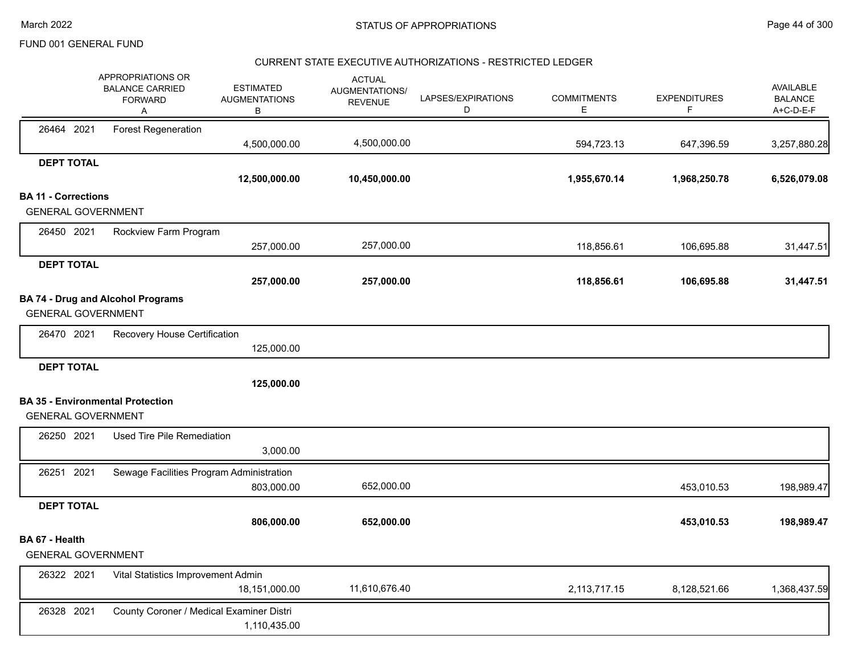#### CURRENT STATE EXECUTIVE AUTHORIZATIONS - RESTRICTED LEDGER

|                            | APPROPRIATIONS OR<br><b>BALANCE CARRIED</b><br><b>FORWARD</b><br>Α    | <b>ESTIMATED</b><br><b>AUGMENTATIONS</b><br>В | <b>ACTUAL</b><br>AUGMENTATIONS/<br><b>REVENUE</b> | LAPSES/EXPIRATIONS<br>D | <b>COMMITMENTS</b><br>Е | <b>EXPENDITURES</b><br>F | AVAILABLE<br><b>BALANCE</b><br>A+C-D-E-F |
|----------------------------|-----------------------------------------------------------------------|-----------------------------------------------|---------------------------------------------------|-------------------------|-------------------------|--------------------------|------------------------------------------|
| 26464 2021                 | <b>Forest Regeneration</b>                                            | 4,500,000.00                                  | 4,500,000.00                                      |                         | 594,723.13              | 647,396.59               | 3,257,880.28                             |
| <b>DEPT TOTAL</b>          |                                                                       |                                               |                                                   |                         |                         |                          |                                          |
|                            |                                                                       | 12,500,000.00                                 | 10,450,000.00                                     |                         | 1,955,670.14            | 1,968,250.78             | 6,526,079.08                             |
| <b>BA 11 - Corrections</b> |                                                                       |                                               |                                                   |                         |                         |                          |                                          |
|                            | <b>GENERAL GOVERNMENT</b>                                             |                                               |                                                   |                         |                         |                          |                                          |
| 26450 2021                 | Rockview Farm Program                                                 |                                               |                                                   |                         |                         |                          |                                          |
|                            |                                                                       | 257,000.00                                    | 257,000.00                                        |                         | 118,856.61              | 106,695.88               | 31,447.51                                |
| <b>DEPT TOTAL</b>          |                                                                       |                                               |                                                   |                         |                         |                          |                                          |
|                            |                                                                       | 257,000.00                                    | 257,000.00                                        |                         | 118,856.61              | 106,695.88               | 31,447.51                                |
|                            | <b>BA 74 - Drug and Alcohol Programs</b><br><b>GENERAL GOVERNMENT</b> |                                               |                                                   |                         |                         |                          |                                          |
| 26470 2021                 | Recovery House Certification                                          |                                               |                                                   |                         |                         |                          |                                          |
|                            |                                                                       | 125,000.00                                    |                                                   |                         |                         |                          |                                          |
| <b>DEPT TOTAL</b>          |                                                                       |                                               |                                                   |                         |                         |                          |                                          |
|                            |                                                                       | 125,000.00                                    |                                                   |                         |                         |                          |                                          |
|                            | <b>BA 35 - Environmental Protection</b>                               |                                               |                                                   |                         |                         |                          |                                          |
|                            | <b>GENERAL GOVERNMENT</b>                                             |                                               |                                                   |                         |                         |                          |                                          |
| 26250 2021                 | Used Tire Pile Remediation                                            |                                               |                                                   |                         |                         |                          |                                          |
|                            |                                                                       | 3,000.00                                      |                                                   |                         |                         |                          |                                          |
| 26251 2021                 | Sewage Facilities Program Administration                              |                                               |                                                   |                         |                         |                          |                                          |
|                            |                                                                       | 803,000.00                                    | 652,000.00                                        |                         |                         | 453,010.53               | 198,989.47                               |
| <b>DEPT TOTAL</b>          |                                                                       |                                               |                                                   |                         |                         |                          |                                          |
|                            |                                                                       | 806,000.00                                    | 652,000.00                                        |                         |                         | 453,010.53               | 198,989.47                               |
| BA 67 - Health             |                                                                       |                                               |                                                   |                         |                         |                          |                                          |
|                            | <b>GENERAL GOVERNMENT</b>                                             |                                               |                                                   |                         |                         |                          |                                          |
| 26322 2021                 | Vital Statistics Improvement Admin                                    |                                               |                                                   |                         |                         |                          |                                          |
|                            |                                                                       | 18,151,000.00                                 | 11,610,676.40                                     |                         | 2,113,717.15            | 8,128,521.66             | 1,368,437.59                             |
| 26328 2021                 | County Coroner / Medical Examiner Distri                              |                                               |                                                   |                         |                         |                          |                                          |
|                            |                                                                       | 1,110,435.00                                  |                                                   |                         |                         |                          |                                          |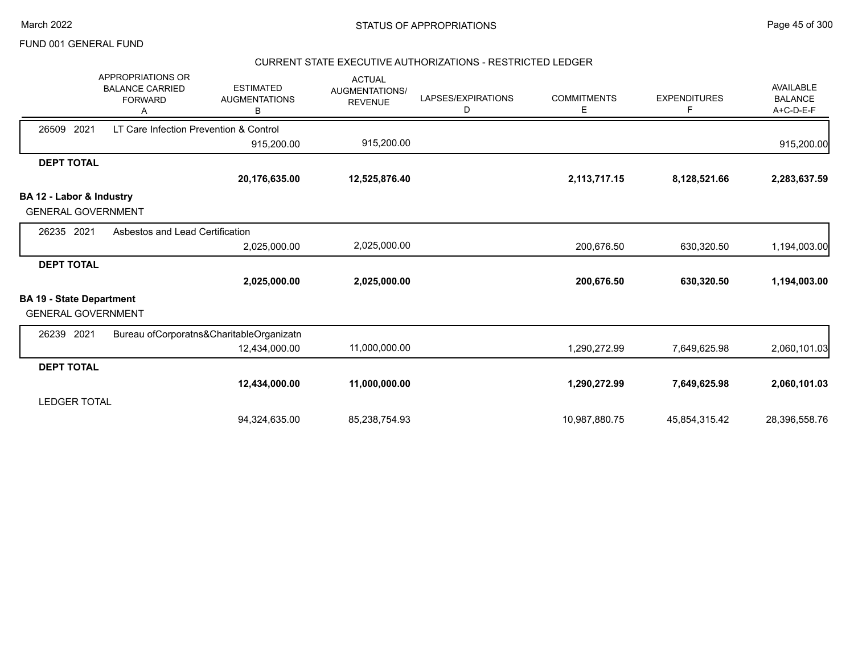#### CURRENT STATE EXECUTIVE AUTHORIZATIONS - RESTRICTED LEDGER

|                                 | <b>APPROPRIATIONS OR</b><br><b>BALANCE CARRIED</b><br><b>FORWARD</b> | <b>ESTIMATED</b><br><b>AUGMENTATIONS</b><br>B | <b>ACTUAL</b><br><b>AUGMENTATIONS/</b><br><b>REVENUE</b> | LAPSES/EXPIRATIONS<br>D | <b>COMMITMENTS</b><br>Е | <b>EXPENDITURES</b><br>F | <b>AVAILABLE</b><br><b>BALANCE</b><br>A+C-D-E-F |
|---------------------------------|----------------------------------------------------------------------|-----------------------------------------------|----------------------------------------------------------|-------------------------|-------------------------|--------------------------|-------------------------------------------------|
| 26509<br>2021                   | LT Care Infection Prevention & Control                               |                                               |                                                          |                         |                         |                          |                                                 |
|                                 |                                                                      | 915,200.00                                    | 915,200.00                                               |                         |                         |                          | 915,200.00                                      |
| <b>DEPT TOTAL</b>               |                                                                      |                                               |                                                          |                         |                         |                          |                                                 |
|                                 |                                                                      | 20,176,635.00                                 | 12,525,876.40                                            |                         | 2,113,717.15            | 8,128,521.66             | 2,283,637.59                                    |
| BA 12 - Labor & Industry        |                                                                      |                                               |                                                          |                         |                         |                          |                                                 |
| <b>GENERAL GOVERNMENT</b>       |                                                                      |                                               |                                                          |                         |                         |                          |                                                 |
| 26235 2021                      | Asbestos and Lead Certification                                      |                                               |                                                          |                         |                         |                          |                                                 |
|                                 |                                                                      | 2,025,000.00                                  | 2,025,000.00                                             |                         | 200,676.50              | 630,320.50               | 1,194,003.00                                    |
| <b>DEPT TOTAL</b>               |                                                                      |                                               |                                                          |                         |                         |                          |                                                 |
|                                 |                                                                      | 2,025,000.00                                  | 2,025,000.00                                             |                         | 200,676.50              | 630,320.50               | 1,194,003.00                                    |
| <b>BA 19 - State Department</b> |                                                                      |                                               |                                                          |                         |                         |                          |                                                 |
| <b>GENERAL GOVERNMENT</b>       |                                                                      |                                               |                                                          |                         |                         |                          |                                                 |
| 26239 2021                      |                                                                      | Bureau ofCorporatns&CharitableOrganizatn      |                                                          |                         |                         |                          |                                                 |
|                                 |                                                                      | 12,434,000.00                                 | 11,000,000.00                                            |                         | 1,290,272.99            | 7,649,625.98             | 2,060,101.03                                    |
| <b>DEPT TOTAL</b>               |                                                                      |                                               |                                                          |                         |                         |                          |                                                 |
|                                 |                                                                      | 12,434,000.00                                 | 11,000,000.00                                            |                         | 1,290,272.99            | 7,649,625.98             | 2,060,101.03                                    |
| <b>LEDGER TOTAL</b>             |                                                                      |                                               |                                                          |                         |                         |                          |                                                 |
|                                 |                                                                      | 94,324,635.00                                 | 85,238,754.93                                            |                         | 10,987,880.75           | 45,854,315.42            | 28,396,558.76                                   |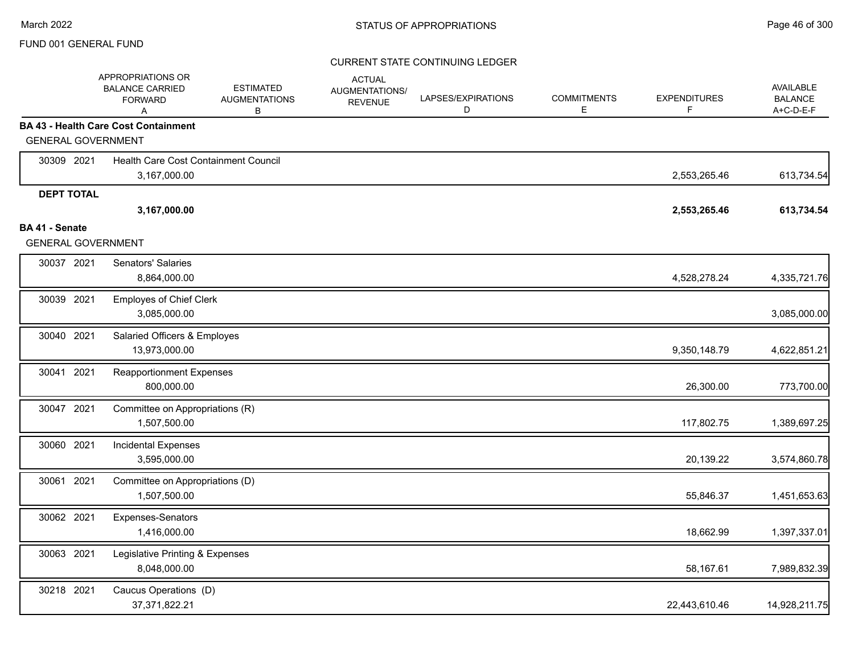|                           | APPROPRIATIONS OR<br><b>BALANCE CARRIED</b><br><b>FORWARD</b><br>A | <b>ESTIMATED</b><br><b>AUGMENTATIONS</b><br>В | <b>ACTUAL</b><br>AUGMENTATIONS/<br><b>REVENUE</b> | LAPSES/EXPIRATIONS<br>D | <b>COMMITMENTS</b><br>E | <b>EXPENDITURES</b><br>F. | <b>AVAILABLE</b><br><b>BALANCE</b><br>A+C-D-E-F |
|---------------------------|--------------------------------------------------------------------|-----------------------------------------------|---------------------------------------------------|-------------------------|-------------------------|---------------------------|-------------------------------------------------|
|                           | <b>BA 43 - Health Care Cost Containment</b>                        |                                               |                                                   |                         |                         |                           |                                                 |
| <b>GENERAL GOVERNMENT</b> |                                                                    |                                               |                                                   |                         |                         |                           |                                                 |
| 30309 2021                | Health Care Cost Containment Council                               |                                               |                                                   |                         |                         |                           |                                                 |
|                           | 3,167,000.00                                                       |                                               |                                                   |                         |                         | 2,553,265.46              | 613,734.54                                      |
| <b>DEPT TOTAL</b>         | 3,167,000.00                                                       |                                               |                                                   |                         |                         | 2,553,265.46              | 613,734.54                                      |
| <b>BA 41 - Senate</b>     |                                                                    |                                               |                                                   |                         |                         |                           |                                                 |
| <b>GENERAL GOVERNMENT</b> |                                                                    |                                               |                                                   |                         |                         |                           |                                                 |
| 30037 2021                | <b>Senators' Salaries</b>                                          |                                               |                                                   |                         |                         |                           |                                                 |
|                           | 8,864,000.00                                                       |                                               |                                                   |                         |                         | 4,528,278.24              | 4,335,721.76                                    |
| 30039 2021                | <b>Employes of Chief Clerk</b>                                     |                                               |                                                   |                         |                         |                           |                                                 |
|                           | 3,085,000.00                                                       |                                               |                                                   |                         |                         |                           | 3,085,000.00                                    |
| 30040 2021                | Salaried Officers & Employes                                       |                                               |                                                   |                         |                         |                           |                                                 |
|                           | 13,973,000.00                                                      |                                               |                                                   |                         |                         | 9,350,148.79              | 4,622,851.21                                    |
| 2021<br>30041             | <b>Reapportionment Expenses</b>                                    |                                               |                                                   |                         |                         |                           |                                                 |
|                           | 800,000.00                                                         |                                               |                                                   |                         |                         | 26,300.00                 | 773,700.00                                      |
| 30047 2021                | Committee on Appropriations (R)                                    |                                               |                                                   |                         |                         |                           |                                                 |
|                           | 1,507,500.00                                                       |                                               |                                                   |                         |                         | 117,802.75                | 1,389,697.25                                    |
| 30060 2021                | Incidental Expenses                                                |                                               |                                                   |                         |                         |                           |                                                 |
|                           | 3,595,000.00                                                       |                                               |                                                   |                         |                         | 20,139.22                 | 3,574,860.78                                    |
| 30061 2021                | Committee on Appropriations (D)                                    |                                               |                                                   |                         |                         |                           |                                                 |
|                           | 1,507,500.00                                                       |                                               |                                                   |                         |                         | 55,846.37                 | 1,451,653.63                                    |
| 30062 2021                | Expenses-Senators                                                  |                                               |                                                   |                         |                         |                           |                                                 |
|                           | 1,416,000.00                                                       |                                               |                                                   |                         |                         | 18,662.99                 | 1,397,337.01                                    |
| 30063 2021                | Legislative Printing & Expenses                                    |                                               |                                                   |                         |                         |                           |                                                 |
|                           | 8,048,000.00                                                       |                                               |                                                   |                         |                         | 58,167.61                 | 7,989,832.39                                    |
| 30218 2021                | Caucus Operations (D)                                              |                                               |                                                   |                         |                         |                           |                                                 |
|                           | 37,371,822.21                                                      |                                               |                                                   |                         |                         | 22,443,610.46             | 14,928,211.75                                   |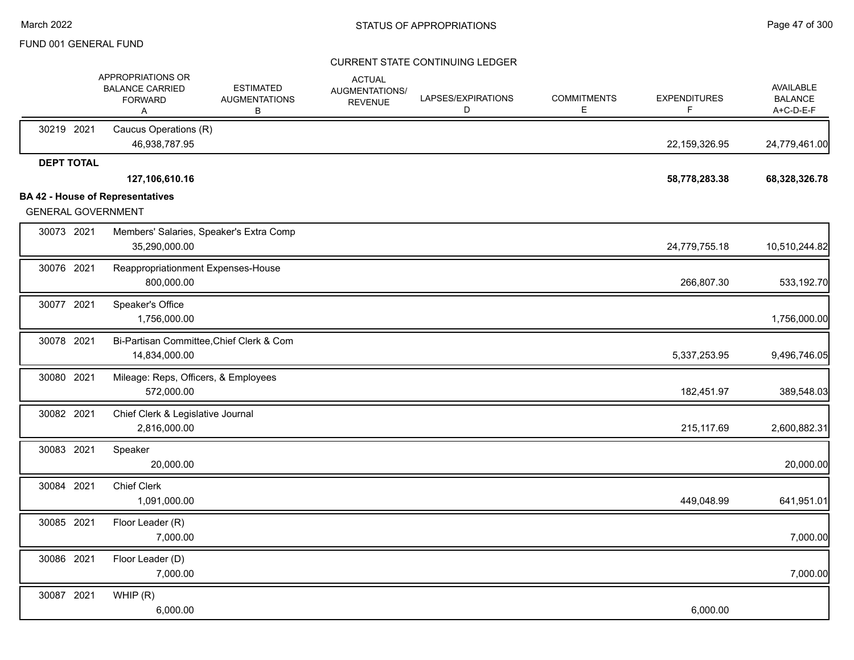|                           | APPROPRIATIONS OR<br><b>BALANCE CARRIED</b><br><b>FORWARD</b><br>A | <b>ESTIMATED</b><br><b>AUGMENTATIONS</b><br>В | <b>ACTUAL</b><br><b>AUGMENTATIONS/</b><br><b>REVENUE</b> | LAPSES/EXPIRATIONS<br>D | <b>COMMITMENTS</b><br>Е | <b>EXPENDITURES</b><br>F | <b>AVAILABLE</b><br><b>BALANCE</b><br>A+C-D-E-F |
|---------------------------|--------------------------------------------------------------------|-----------------------------------------------|----------------------------------------------------------|-------------------------|-------------------------|--------------------------|-------------------------------------------------|
| 30219 2021                | Caucus Operations (R)<br>46,938,787.95                             |                                               |                                                          |                         |                         | 22,159,326.95            | 24,779,461.00                                   |
| <b>DEPT TOTAL</b>         |                                                                    |                                               |                                                          |                         |                         |                          |                                                 |
|                           | 127,106,610.16                                                     |                                               |                                                          |                         |                         | 58,778,283.38            | 68,328,326.78                                   |
| <b>GENERAL GOVERNMENT</b> | <b>BA 42 - House of Representatives</b>                            |                                               |                                                          |                         |                         |                          |                                                 |
| 30073 2021                | 35,290,000.00                                                      | Members' Salaries, Speaker's Extra Comp       |                                                          |                         |                         | 24,779,755.18            | 10,510,244.82                                   |
| 30076 2021                | Reappropriationment Expenses-House<br>800,000.00                   |                                               |                                                          |                         |                         | 266,807.30               | 533,192.70                                      |
| 30077 2021                | Speaker's Office<br>1,756,000.00                                   |                                               |                                                          |                         |                         |                          | 1,756,000.00                                    |
| 30078 2021                | 14,834,000.00                                                      | Bi-Partisan Committee, Chief Clerk & Com      |                                                          |                         |                         | 5,337,253.95             | 9,496,746.05                                    |
| 30080 2021                | Mileage: Reps, Officers, & Employees<br>572,000.00                 |                                               |                                                          |                         |                         | 182,451.97               | 389,548.03                                      |
| 30082 2021                | Chief Clerk & Legislative Journal<br>2,816,000.00                  |                                               |                                                          |                         |                         | 215,117.69               | 2,600,882.31                                    |
| 30083 2021                | Speaker<br>20,000.00                                               |                                               |                                                          |                         |                         |                          | 20,000.00                                       |
| 30084 2021                | <b>Chief Clerk</b><br>1,091,000.00                                 |                                               |                                                          |                         |                         | 449,048.99               | 641,951.01                                      |
| 30085 2021                | Floor Leader (R)<br>7,000.00                                       |                                               |                                                          |                         |                         |                          | 7,000.00                                        |
| 30086 2021                | Floor Leader (D)<br>7,000.00                                       |                                               |                                                          |                         |                         |                          | 7,000.00                                        |
| 30087 2021                | WHIP(R)<br>6,000.00                                                |                                               |                                                          |                         |                         | 6,000.00                 |                                                 |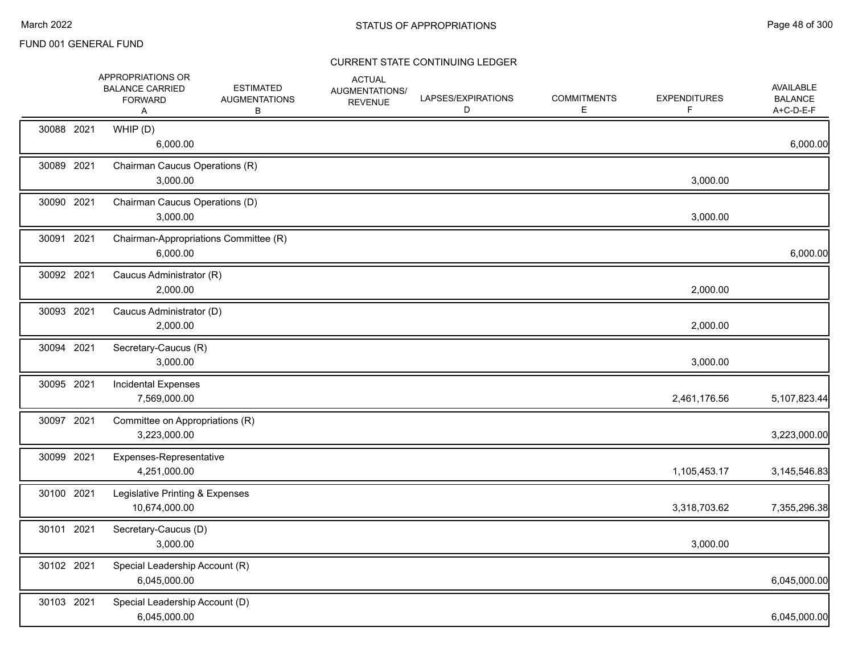|            | APPROPRIATIONS OR<br><b>BALANCE CARRIED</b><br><b>FORWARD</b><br>Α | <b>ESTIMATED</b><br><b>AUGMENTATIONS</b><br>В | <b>ACTUAL</b><br>AUGMENTATIONS/<br><b>REVENUE</b> | LAPSES/EXPIRATIONS<br>D | <b>COMMITMENTS</b><br>E. | <b>EXPENDITURES</b><br>F. | <b>AVAILABLE</b><br><b>BALANCE</b><br>A+C-D-E-F |
|------------|--------------------------------------------------------------------|-----------------------------------------------|---------------------------------------------------|-------------------------|--------------------------|---------------------------|-------------------------------------------------|
| 30088 2021 | WHIP (D)<br>6,000.00                                               |                                               |                                                   |                         |                          |                           | 6,000.00                                        |
| 30089 2021 | Chairman Caucus Operations (R)<br>3,000.00                         |                                               |                                                   |                         |                          | 3,000.00                  |                                                 |
| 30090 2021 | Chairman Caucus Operations (D)<br>3,000.00                         |                                               |                                                   |                         |                          | 3,000.00                  |                                                 |
| 30091 2021 | Chairman-Appropriations Committee (R)<br>6,000.00                  |                                               |                                                   |                         |                          |                           | 6,000.00                                        |
| 30092 2021 | Caucus Administrator (R)<br>2,000.00                               |                                               |                                                   |                         |                          | 2,000.00                  |                                                 |
| 30093 2021 | Caucus Administrator (D)<br>2,000.00                               |                                               |                                                   |                         |                          | 2,000.00                  |                                                 |
| 30094 2021 | Secretary-Caucus (R)<br>3,000.00                                   |                                               |                                                   |                         |                          | 3,000.00                  |                                                 |
| 30095 2021 | <b>Incidental Expenses</b><br>7,569,000.00                         |                                               |                                                   |                         |                          | 2,461,176.56              | 5,107,823.44                                    |
| 30097 2021 | Committee on Appropriations (R)<br>3,223,000.00                    |                                               |                                                   |                         |                          |                           | 3,223,000.00                                    |
| 30099 2021 | Expenses-Representative<br>4,251,000.00                            |                                               |                                                   |                         |                          | 1,105,453.17              | 3,145,546.83                                    |
| 30100 2021 | Legislative Printing & Expenses<br>10,674,000.00                   |                                               |                                                   |                         |                          | 3,318,703.62              | 7,355,296.38                                    |
| 30101 2021 | Secretary-Caucus (D)<br>3,000.00                                   |                                               |                                                   |                         |                          | 3,000.00                  |                                                 |
| 30102 2021 | Special Leadership Account (R)<br>6,045,000.00                     |                                               |                                                   |                         |                          |                           | 6,045,000.00                                    |
| 30103 2021 | Special Leadership Account (D)<br>6,045,000.00                     |                                               |                                                   |                         |                          |                           | 6,045,000.00                                    |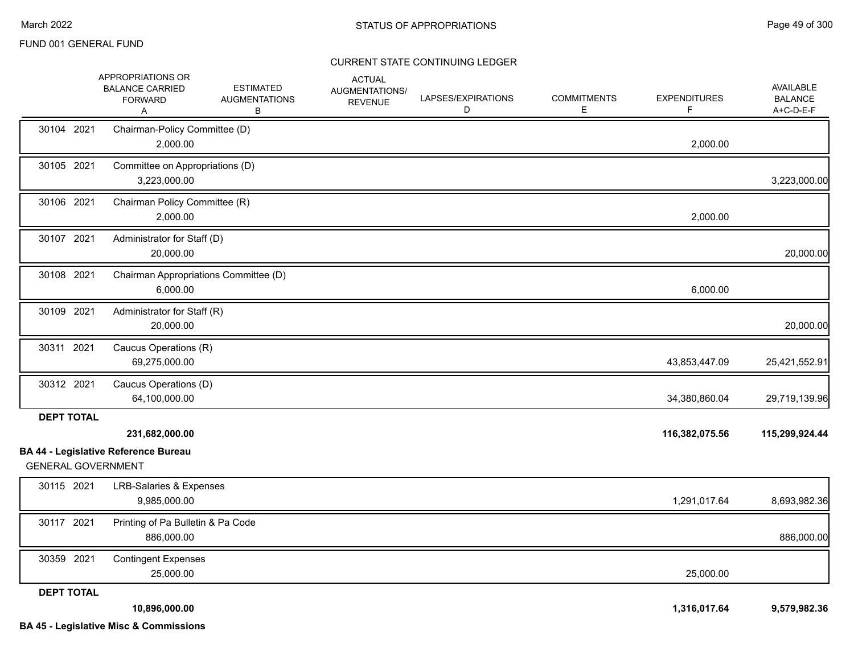|                           | APPROPRIATIONS OR<br><b>BALANCE CARRIED</b><br><b>FORWARD</b><br>Α | <b>ESTIMATED</b><br><b>AUGMENTATIONS</b><br>В | <b>ACTUAL</b><br>AUGMENTATIONS/<br><b>REVENUE</b> | LAPSES/EXPIRATIONS<br>D | <b>COMMITMENTS</b><br>Е | <b>EXPENDITURES</b><br>F | <b>AVAILABLE</b><br><b>BALANCE</b><br>A+C-D-E-F |
|---------------------------|--------------------------------------------------------------------|-----------------------------------------------|---------------------------------------------------|-------------------------|-------------------------|--------------------------|-------------------------------------------------|
| 30104 2021                | Chairman-Policy Committee (D)<br>2,000.00                          |                                               |                                                   |                         |                         | 2,000.00                 |                                                 |
| 30105 2021                | Committee on Appropriations (D)<br>3,223,000.00                    |                                               |                                                   |                         |                         |                          | 3,223,000.00                                    |
| 30106 2021                | Chairman Policy Committee (R)<br>2,000.00                          |                                               |                                                   |                         |                         | 2,000.00                 |                                                 |
| 30107 2021                | Administrator for Staff (D)<br>20,000.00                           |                                               |                                                   |                         |                         |                          | 20,000.00                                       |
| 30108 2021                | Chairman Appropriations Committee (D)<br>6,000.00                  |                                               |                                                   |                         |                         | 6,000.00                 |                                                 |
| 30109 2021                | Administrator for Staff (R)<br>20,000.00                           |                                               |                                                   |                         |                         |                          | 20,000.00                                       |
| 30311 2021                | Caucus Operations (R)<br>69,275,000.00                             |                                               |                                                   |                         |                         | 43,853,447.09            | 25,421,552.91                                   |
| 30312 2021                | Caucus Operations (D)<br>64,100,000.00                             |                                               |                                                   |                         |                         | 34,380,860.04            | 29,719,139.96                                   |
| <b>DEPT TOTAL</b>         | 231,682,000.00<br><b>BA 44 - Legislative Reference Bureau</b>      |                                               |                                                   |                         |                         | 116,382,075.56           | 115,299,924.44                                  |
| <b>GENERAL GOVERNMENT</b> |                                                                    |                                               |                                                   |                         |                         |                          |                                                 |
| 30115 2021                | <b>LRB-Salaries &amp; Expenses</b><br>9,985,000.00                 |                                               |                                                   |                         |                         | 1,291,017.64             | 8,693,982.36                                    |
| 30117 2021                | Printing of Pa Bulletin & Pa Code<br>886,000.00                    |                                               |                                                   |                         |                         |                          | 886,000.00                                      |
| 30359 2021                | <b>Contingent Expenses</b><br>25,000.00                            |                                               |                                                   |                         |                         | 25,000.00                |                                                 |
| <b>DEPT TOTAL</b>         | 10,896,000.00                                                      |                                               |                                                   |                         |                         | 1,316,017.64             | 9,579,982.36                                    |
|                           | <b>BA 45 - Legislative Misc &amp; Commissions</b>                  |                                               |                                                   |                         |                         |                          |                                                 |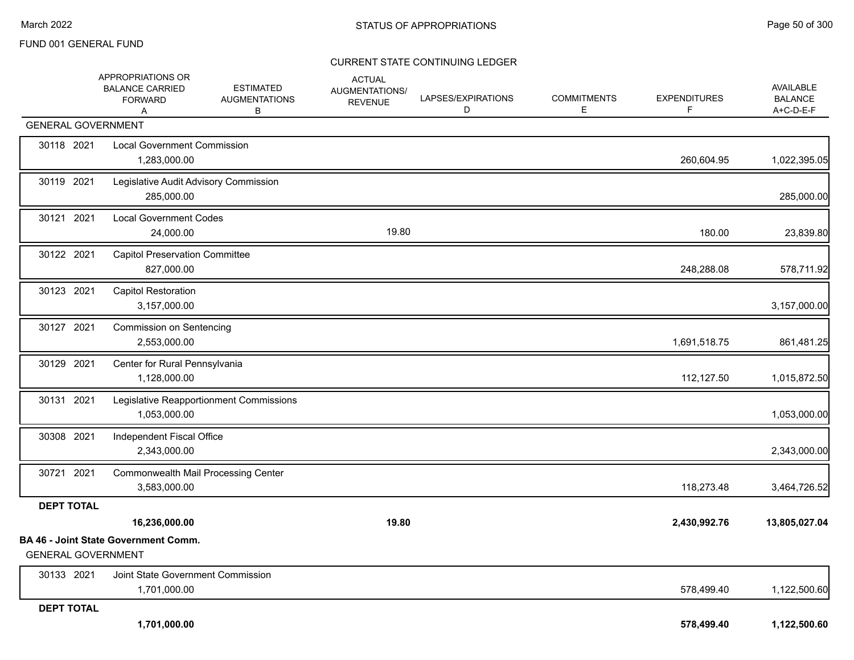|                           | APPROPRIATIONS OR<br><b>BALANCE CARRIED</b><br><b>FORWARD</b><br>Α | <b>ESTIMATED</b><br><b>AUGMENTATIONS</b><br>В | <b>ACTUAL</b><br>AUGMENTATIONS/<br><b>REVENUE</b> | LAPSES/EXPIRATIONS<br>D | <b>COMMITMENTS</b><br>Е | <b>EXPENDITURES</b><br>F | AVAILABLE<br><b>BALANCE</b><br>A+C-D-E-F |
|---------------------------|--------------------------------------------------------------------|-----------------------------------------------|---------------------------------------------------|-------------------------|-------------------------|--------------------------|------------------------------------------|
| <b>GENERAL GOVERNMENT</b> |                                                                    |                                               |                                                   |                         |                         |                          |                                          |
| 30118 2021                | <b>Local Government Commission</b><br>1,283,000.00                 |                                               |                                                   |                         |                         | 260,604.95               | 1,022,395.05                             |
| 30119 2021                | Legislative Audit Advisory Commission<br>285,000.00                |                                               |                                                   |                         |                         |                          | 285,000.00                               |
| 30121 2021                | <b>Local Government Codes</b><br>24,000.00                         |                                               | 19.80                                             |                         |                         | 180.00                   | 23,839.80                                |
| 30122 2021                | <b>Capitol Preservation Committee</b><br>827,000.00                |                                               |                                                   |                         |                         | 248,288.08               | 578,711.92                               |
| 30123 2021                | <b>Capitol Restoration</b><br>3,157,000.00                         |                                               |                                                   |                         |                         |                          | 3,157,000.00                             |
| 30127 2021                | Commission on Sentencing<br>2,553,000.00                           |                                               |                                                   |                         |                         | 1,691,518.75             | 861,481.25                               |
| 30129 2021                | Center for Rural Pennsylvania<br>1,128,000.00                      |                                               |                                                   |                         |                         | 112,127.50               | 1,015,872.50                             |
| 30131 2021                | 1,053,000.00                                                       | Legislative Reapportionment Commissions       |                                                   |                         |                         |                          | 1,053,000.00                             |
| 30308 2021                | Independent Fiscal Office<br>2,343,000.00                          |                                               |                                                   |                         |                         |                          | 2,343,000.00                             |
| 30721 2021                | <b>Commonwealth Mail Processing Center</b><br>3,583,000.00         |                                               |                                                   |                         |                         | 118,273.48               | 3,464,726.52                             |
| <b>DEPT TOTAL</b>         |                                                                    |                                               |                                                   |                         |                         |                          |                                          |
|                           | 16,236,000.00                                                      |                                               | 19.80                                             |                         |                         | 2,430,992.76             | 13,805,027.04                            |
| <b>GENERAL GOVERNMENT</b> | <b>BA 46 - Joint State Government Comm.</b>                        |                                               |                                                   |                         |                         |                          |                                          |
| 30133 2021                | Joint State Government Commission<br>1,701,000.00                  |                                               |                                                   |                         |                         | 578,499.40               | 1,122,500.60                             |
| <b>DEPT TOTAL</b>         | 1,701,000.00                                                       |                                               |                                                   |                         |                         | 578,499.40               | 1,122,500.60                             |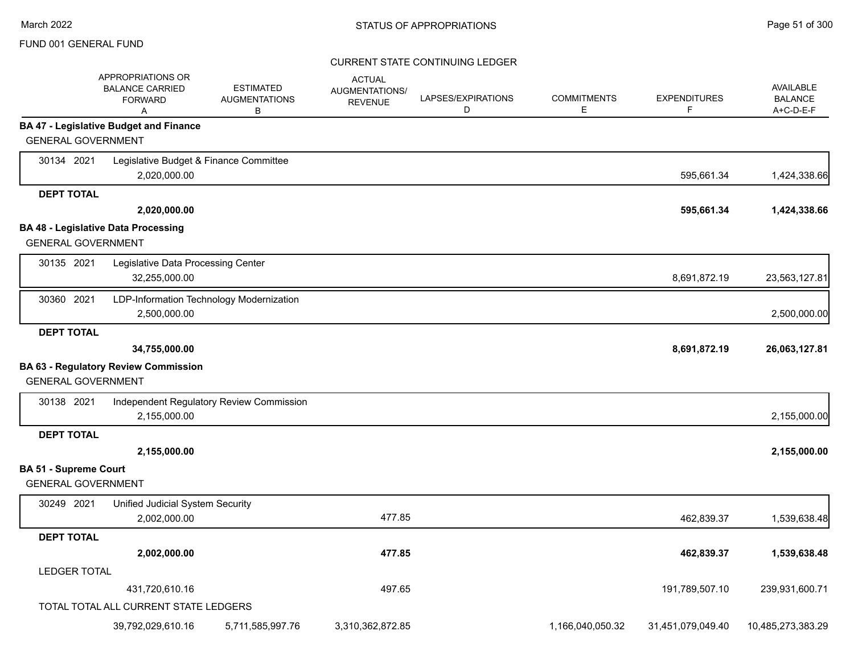|                              | APPROPRIATIONS OR<br><b>BALANCE CARRIED</b><br><b>FORWARD</b><br>Α | <b>ESTIMATED</b><br><b>AUGMENTATIONS</b><br>В | <b>ACTUAL</b><br>AUGMENTATIONS/<br><b>REVENUE</b> | LAPSES/EXPIRATIONS<br>D | <b>COMMITMENTS</b><br>Е | <b>EXPENDITURES</b><br>F | <b>AVAILABLE</b><br><b>BALANCE</b><br>A+C-D-E-F |
|------------------------------|--------------------------------------------------------------------|-----------------------------------------------|---------------------------------------------------|-------------------------|-------------------------|--------------------------|-------------------------------------------------|
|                              | <b>BA 47 - Legislative Budget and Finance</b>                      |                                               |                                                   |                         |                         |                          |                                                 |
| <b>GENERAL GOVERNMENT</b>    |                                                                    |                                               |                                                   |                         |                         |                          |                                                 |
| 30134 2021                   | Legislative Budget & Finance Committee                             |                                               |                                                   |                         |                         |                          |                                                 |
|                              | 2,020,000.00                                                       |                                               |                                                   |                         |                         | 595,661.34               | 1,424,338.66                                    |
| <b>DEPT TOTAL</b>            |                                                                    |                                               |                                                   |                         |                         |                          |                                                 |
|                              | 2,020,000.00                                                       |                                               |                                                   |                         |                         | 595,661.34               | 1,424,338.66                                    |
|                              | <b>BA 48 - Legislative Data Processing</b>                         |                                               |                                                   |                         |                         |                          |                                                 |
| <b>GENERAL GOVERNMENT</b>    |                                                                    |                                               |                                                   |                         |                         |                          |                                                 |
| 30135 2021                   | Legislative Data Processing Center                                 |                                               |                                                   |                         |                         |                          |                                                 |
|                              | 32,255,000.00                                                      |                                               |                                                   |                         |                         | 8,691,872.19             | 23,563,127.81                                   |
| 30360 2021                   | LDP-Information Technology Modernization                           |                                               |                                                   |                         |                         |                          |                                                 |
|                              | 2,500,000.00                                                       |                                               |                                                   |                         |                         |                          | 2,500,000.00                                    |
| <b>DEPT TOTAL</b>            |                                                                    |                                               |                                                   |                         |                         |                          |                                                 |
|                              | 34,755,000.00                                                      |                                               |                                                   |                         |                         | 8,691,872.19             | 26,063,127.81                                   |
|                              | <b>BA 63 - Regulatory Review Commission</b>                        |                                               |                                                   |                         |                         |                          |                                                 |
| <b>GENERAL GOVERNMENT</b>    |                                                                    |                                               |                                                   |                         |                         |                          |                                                 |
| 30138 2021                   |                                                                    | Independent Regulatory Review Commission      |                                                   |                         |                         |                          |                                                 |
|                              | 2,155,000.00                                                       |                                               |                                                   |                         |                         |                          | 2,155,000.00                                    |
| <b>DEPT TOTAL</b>            |                                                                    |                                               |                                                   |                         |                         |                          |                                                 |
|                              | 2,155,000.00                                                       |                                               |                                                   |                         |                         |                          | 2,155,000.00                                    |
| <b>BA 51 - Supreme Court</b> |                                                                    |                                               |                                                   |                         |                         |                          |                                                 |
| <b>GENERAL GOVERNMENT</b>    |                                                                    |                                               |                                                   |                         |                         |                          |                                                 |
| 30249 2021                   | Unified Judicial System Security                                   |                                               |                                                   |                         |                         |                          |                                                 |
|                              | 2,002,000.00                                                       |                                               | 477.85                                            |                         |                         | 462,839.37               | 1,539,638.48                                    |
| <b>DEPT TOTAL</b>            |                                                                    |                                               |                                                   |                         |                         |                          |                                                 |
|                              | 2,002,000.00                                                       |                                               | 477.85                                            |                         |                         | 462,839.37               | 1,539,638.48                                    |
| <b>LEDGER TOTAL</b>          |                                                                    |                                               |                                                   |                         |                         |                          |                                                 |
|                              | 431,720,610.16                                                     |                                               | 497.65                                            |                         |                         | 191,789,507.10           | 239,931,600.71                                  |
|                              | TOTAL TOTAL ALL CURRENT STATE LEDGERS                              |                                               |                                                   |                         |                         |                          |                                                 |
|                              | 39,792,029,610.16                                                  | 5,711,585,997.76                              | 3,310,362,872.85                                  |                         | 1,166,040,050.32        | 31,451,079,049.40        | 10,485,273,383.29                               |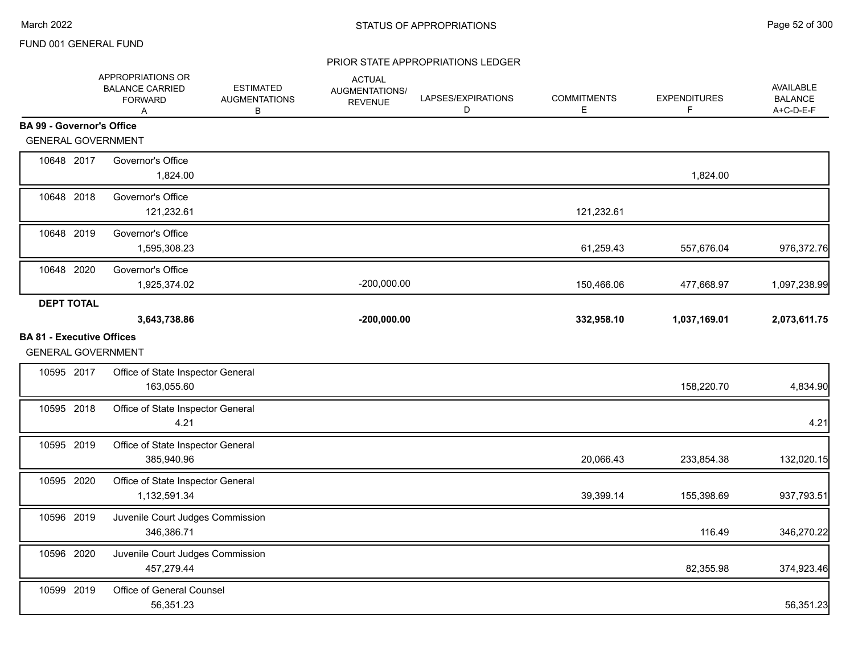|                                  | APPROPRIATIONS OR<br><b>BALANCE CARRIED</b><br><b>FORWARD</b><br>A | <b>ESTIMATED</b><br><b>AUGMENTATIONS</b><br>В | <b>ACTUAL</b><br>AUGMENTATIONS/<br><b>REVENUE</b> | LAPSES/EXPIRATIONS<br>D | <b>COMMITMENTS</b><br>Е | <b>EXPENDITURES</b><br>F | AVAILABLE<br><b>BALANCE</b><br>A+C-D-E-F |
|----------------------------------|--------------------------------------------------------------------|-----------------------------------------------|---------------------------------------------------|-------------------------|-------------------------|--------------------------|------------------------------------------|
| <b>BA 99 - Governor's Office</b> |                                                                    |                                               |                                                   |                         |                         |                          |                                          |
| <b>GENERAL GOVERNMENT</b>        |                                                                    |                                               |                                                   |                         |                         |                          |                                          |
| 10648 2017                       | Governor's Office<br>1,824.00                                      |                                               |                                                   |                         |                         | 1,824.00                 |                                          |
| 10648 2018                       | Governor's Office<br>121,232.61                                    |                                               |                                                   |                         | 121,232.61              |                          |                                          |
| 10648 2019                       | Governor's Office<br>1,595,308.23                                  |                                               |                                                   |                         | 61,259.43               | 557,676.04               | 976,372.76                               |
| 10648 2020                       | Governor's Office<br>1,925,374.02                                  |                                               | $-200,000.00$                                     |                         | 150,466.06              | 477,668.97               | 1,097,238.99                             |
| <b>DEPT TOTAL</b>                |                                                                    |                                               |                                                   |                         |                         |                          |                                          |
|                                  | 3,643,738.86                                                       |                                               | $-200,000.00$                                     |                         | 332,958.10              | 1,037,169.01             | 2,073,611.75                             |
| <b>BA 81 - Executive Offices</b> | <b>GENERAL GOVERNMENT</b>                                          |                                               |                                                   |                         |                         |                          |                                          |
| 10595 2017                       | Office of State Inspector General<br>163,055.60                    |                                               |                                                   |                         |                         | 158,220.70               | 4,834.90                                 |
| 10595 2018                       | Office of State Inspector General<br>4.21                          |                                               |                                                   |                         |                         |                          | 4.21                                     |
| 10595 2019                       | Office of State Inspector General<br>385,940.96                    |                                               |                                                   |                         | 20,066.43               | 233,854.38               | 132,020.15                               |
| 10595 2020                       | Office of State Inspector General<br>1,132,591.34                  |                                               |                                                   |                         | 39,399.14               | 155,398.69               | 937,793.51                               |
| 10596 2019                       | Juvenile Court Judges Commission<br>346,386.71                     |                                               |                                                   |                         |                         | 116.49                   | 346,270.22                               |
| 10596 2020                       | Juvenile Court Judges Commission<br>457,279.44                     |                                               |                                                   |                         |                         | 82,355.98                | 374,923.46                               |
| 10599 2019                       | Office of General Counsel<br>56,351.23                             |                                               |                                                   |                         |                         |                          | 56,351.23                                |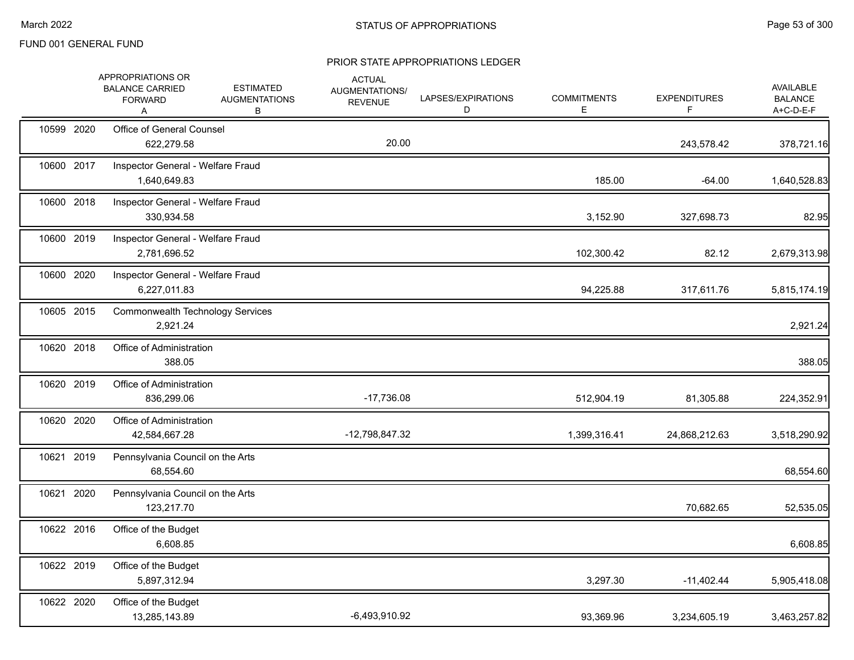|            | APPROPRIATIONS OR<br><b>BALANCE CARRIED</b><br><b>FORWARD</b><br>A | <b>ESTIMATED</b><br><b>AUGMENTATIONS</b><br>В | <b>ACTUAL</b><br>AUGMENTATIONS/<br><b>REVENUE</b> | LAPSES/EXPIRATIONS<br>D | <b>COMMITMENTS</b><br>Е | <b>EXPENDITURES</b><br>F. | AVAILABLE<br><b>BALANCE</b><br>A+C-D-E-F |
|------------|--------------------------------------------------------------------|-----------------------------------------------|---------------------------------------------------|-------------------------|-------------------------|---------------------------|------------------------------------------|
| 10599 2020 | Office of General Counsel<br>622,279.58                            |                                               | 20.00                                             |                         |                         | 243,578.42                | 378,721.16                               |
| 10600 2017 | Inspector General - Welfare Fraud<br>1,640,649.83                  |                                               |                                                   |                         | 185.00                  | $-64.00$                  | 1,640,528.83                             |
| 10600 2018 | Inspector General - Welfare Fraud<br>330,934.58                    |                                               |                                                   |                         | 3,152.90                | 327,698.73                | 82.95                                    |
| 10600 2019 | Inspector General - Welfare Fraud<br>2,781,696.52                  |                                               |                                                   |                         | 102,300.42              | 82.12                     | 2,679,313.98                             |
| 10600 2020 | Inspector General - Welfare Fraud<br>6,227,011.83                  |                                               |                                                   |                         | 94,225.88               | 317,611.76                | 5,815,174.19                             |
| 10605 2015 | <b>Commonwealth Technology Services</b><br>2,921.24                |                                               |                                                   |                         |                         |                           | 2,921.24                                 |
| 10620 2018 | Office of Administration<br>388.05                                 |                                               |                                                   |                         |                         |                           | 388.05                                   |
| 10620 2019 | Office of Administration<br>836,299.06                             |                                               | $-17,736.08$                                      |                         | 512,904.19              | 81,305.88                 | 224,352.91                               |
| 10620 2020 | Office of Administration<br>42,584,667.28                          |                                               | -12,798,847.32                                    |                         | 1,399,316.41            | 24,868,212.63             | 3,518,290.92                             |
| 10621 2019 | Pennsylvania Council on the Arts<br>68,554.60                      |                                               |                                                   |                         |                         |                           | 68,554.60                                |
| 10621 2020 | Pennsylvania Council on the Arts<br>123,217.70                     |                                               |                                                   |                         |                         | 70,682.65                 | 52,535.05                                |
| 10622 2016 | Office of the Budget<br>6,608.85                                   |                                               |                                                   |                         |                         |                           | 6,608.85                                 |
| 10622 2019 | Office of the Budget<br>5,897,312.94                               |                                               |                                                   |                         | 3,297.30                | $-11,402.44$              | 5,905,418.08                             |
| 10622 2020 | Office of the Budget<br>13,285,143.89                              |                                               | $-6,493,910.92$                                   |                         | 93,369.96               | 3,234,605.19              | 3,463,257.82                             |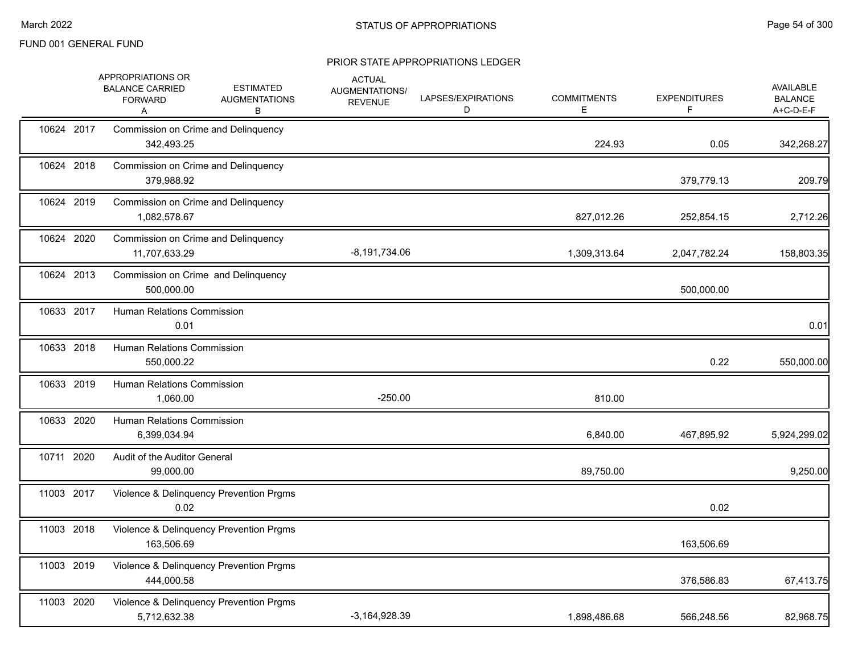|            | APPROPRIATIONS OR<br><b>BALANCE CARRIED</b><br><b>FORWARD</b><br>Α | <b>ESTIMATED</b><br><b>AUGMENTATIONS</b><br>в | <b>ACTUAL</b><br>AUGMENTATIONS/<br><b>REVENUE</b> | LAPSES/EXPIRATIONS<br>D | <b>COMMITMENTS</b><br>Е | <b>EXPENDITURES</b><br>F | AVAILABLE<br><b>BALANCE</b><br>A+C-D-E-F |
|------------|--------------------------------------------------------------------|-----------------------------------------------|---------------------------------------------------|-------------------------|-------------------------|--------------------------|------------------------------------------|
| 10624 2017 | 342,493.25                                                         | Commission on Crime and Delinquency           |                                                   |                         | 224.93                  | 0.05                     | 342,268.27                               |
| 10624 2018 | Commission on Crime and Delinquency<br>379,988.92                  |                                               |                                                   |                         |                         | 379,779.13               | 209.79                                   |
| 10624 2019 | Commission on Crime and Delinquency<br>1,082,578.67                |                                               |                                                   |                         | 827,012.26              | 252,854.15               | 2,712.26                                 |
| 10624 2020 | 11,707,633.29                                                      | Commission on Crime and Delinquency           | $-8,191,734.06$                                   |                         | 1,309,313.64            | 2,047,782.24             | 158,803.35                               |
| 10624 2013 | 500,000.00                                                         | Commission on Crime and Delinquency           |                                                   |                         |                         | 500,000.00               |                                          |
| 10633 2017 | <b>Human Relations Commission</b><br>0.01                          |                                               |                                                   |                         |                         |                          | 0.01                                     |
| 10633 2018 | Human Relations Commission<br>550,000.22                           |                                               |                                                   |                         |                         | 0.22                     | 550,000.00                               |
| 10633 2019 | <b>Human Relations Commission</b><br>1,060.00                      |                                               | $-250.00$                                         |                         | 810.00                  |                          |                                          |
| 10633 2020 | <b>Human Relations Commission</b><br>6,399,034.94                  |                                               |                                                   |                         | 6,840.00                | 467,895.92               | 5,924,299.02                             |
| 10711 2020 | Audit of the Auditor General<br>99,000.00                          |                                               |                                                   |                         | 89,750.00               |                          | 9,250.00                                 |
| 11003 2017 | 0.02                                                               | Violence & Delinquency Prevention Prgms       |                                                   |                         |                         | 0.02                     |                                          |
| 11003 2018 | 163,506.69                                                         | Violence & Delinquency Prevention Prgms       |                                                   |                         |                         | 163,506.69               |                                          |
| 11003 2019 | 444,000.58                                                         | Violence & Delinquency Prevention Prgms       |                                                   |                         |                         | 376,586.83               | 67,413.75                                |
| 11003 2020 | 5,712,632.38                                                       | Violence & Delinquency Prevention Prgms       | $-3,164,928.39$                                   |                         | 1,898,486.68            | 566,248.56               | 82,968.75                                |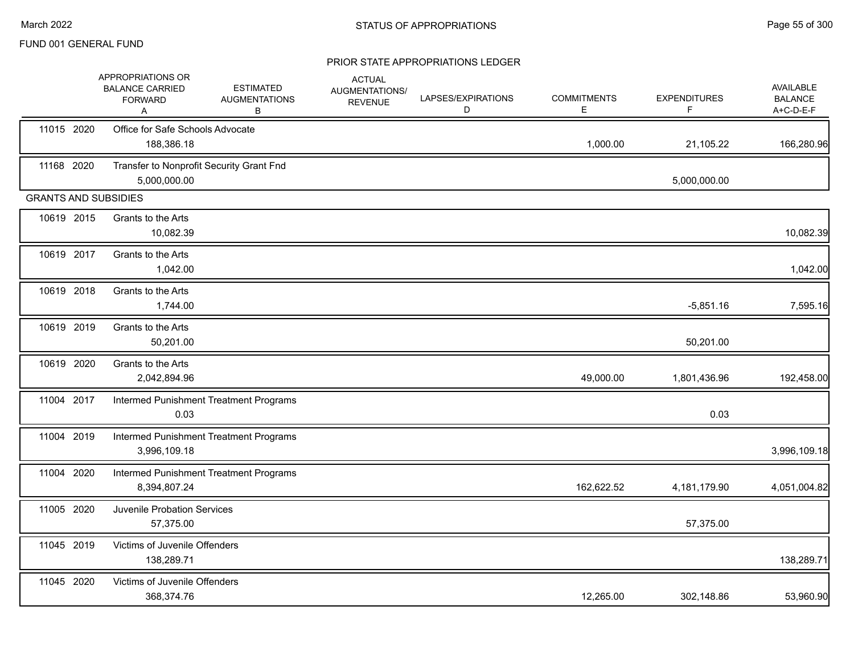|                             | APPROPRIATIONS OR<br><b>BALANCE CARRIED</b><br><b>FORWARD</b><br>A | <b>ESTIMATED</b><br><b>AUGMENTATIONS</b><br>в | <b>ACTUAL</b><br>AUGMENTATIONS/<br><b>REVENUE</b> | LAPSES/EXPIRATIONS<br>D | <b>COMMITMENTS</b><br>E | <b>EXPENDITURES</b><br>F | AVAILABLE<br><b>BALANCE</b><br>A+C-D-E-F |
|-----------------------------|--------------------------------------------------------------------|-----------------------------------------------|---------------------------------------------------|-------------------------|-------------------------|--------------------------|------------------------------------------|
| 11015 2020                  | Office for Safe Schools Advocate<br>188,386.18                     |                                               |                                                   |                         | 1,000.00                | 21,105.22                | 166,280.96                               |
| 11168 2020                  | Transfer to Nonprofit Security Grant Fnd<br>5,000,000.00           |                                               |                                                   |                         |                         | 5,000,000.00             |                                          |
| <b>GRANTS AND SUBSIDIES</b> |                                                                    |                                               |                                                   |                         |                         |                          |                                          |
| 10619 2015                  | Grants to the Arts<br>10,082.39                                    |                                               |                                                   |                         |                         |                          | 10,082.39                                |
| 10619 2017                  | Grants to the Arts<br>1,042.00                                     |                                               |                                                   |                         |                         |                          | 1,042.00                                 |
| 10619 2018                  | Grants to the Arts<br>1,744.00                                     |                                               |                                                   |                         |                         | $-5,851.16$              | 7,595.16                                 |
| 10619 2019                  | Grants to the Arts<br>50,201.00                                    |                                               |                                                   |                         |                         | 50,201.00                |                                          |
| 10619 2020                  | Grants to the Arts<br>2,042,894.96                                 |                                               |                                                   |                         | 49,000.00               | 1,801,436.96             | 192,458.00                               |
| 11004 2017                  | 0.03                                                               | Intermed Punishment Treatment Programs        |                                                   |                         |                         | 0.03                     |                                          |
| 11004 2019                  | 3,996,109.18                                                       | Intermed Punishment Treatment Programs        |                                                   |                         |                         |                          | 3,996,109.18                             |
| 11004 2020                  | 8,394,807.24                                                       | Intermed Punishment Treatment Programs        |                                                   |                         | 162,622.52              | 4,181,179.90             | 4,051,004.82                             |
| 11005 2020                  | <b>Juvenile Probation Services</b><br>57,375.00                    |                                               |                                                   |                         |                         | 57,375.00                |                                          |
| 11045 2019                  | Victims of Juvenile Offenders<br>138,289.71                        |                                               |                                                   |                         |                         |                          | 138,289.71                               |
| 11045 2020                  | Victims of Juvenile Offenders<br>368,374.76                        |                                               |                                                   |                         | 12,265.00               | 302,148.86               | 53,960.90                                |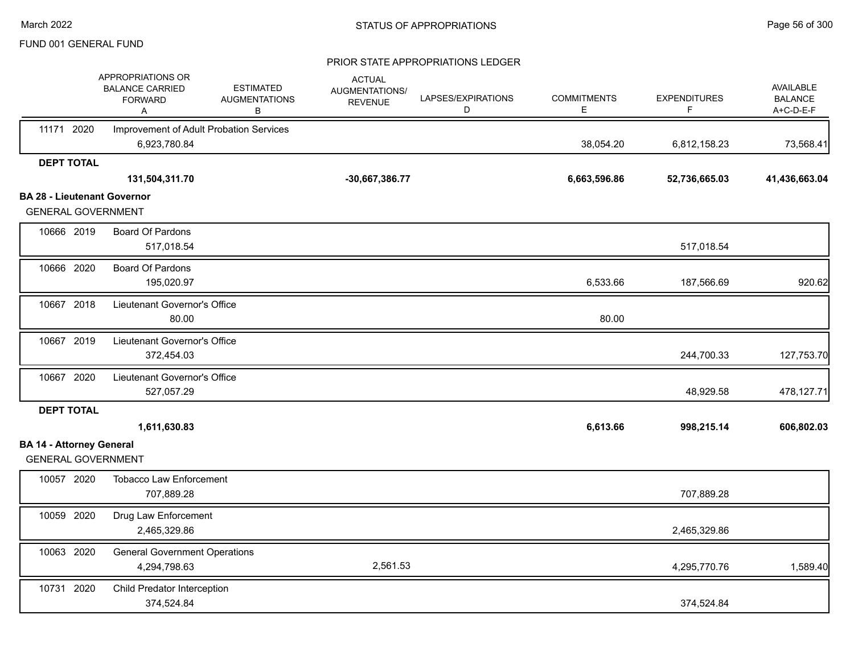|                                    | APPROPRIATIONS OR<br><b>BALANCE CARRIED</b><br><b>FORWARD</b><br>Α | <b>ESTIMATED</b><br><b>AUGMENTATIONS</b><br>В | <b>ACTUAL</b><br>AUGMENTATIONS/<br><b>REVENUE</b> | LAPSES/EXPIRATIONS<br>D | <b>COMMITMENTS</b><br>E. | <b>EXPENDITURES</b><br>F. | <b>AVAILABLE</b><br><b>BALANCE</b><br>A+C-D-E-F |
|------------------------------------|--------------------------------------------------------------------|-----------------------------------------------|---------------------------------------------------|-------------------------|--------------------------|---------------------------|-------------------------------------------------|
| 11171 2020                         | Improvement of Adult Probation Services                            |                                               |                                                   |                         |                          |                           |                                                 |
|                                    | 6,923,780.84                                                       |                                               |                                                   |                         | 38,054.20                | 6,812,158.23              | 73,568.41                                       |
| <b>DEPT TOTAL</b>                  |                                                                    |                                               |                                                   |                         |                          |                           |                                                 |
|                                    | 131,504,311.70                                                     |                                               | -30,667,386.77                                    |                         | 6,663,596.86             | 52,736,665.03             | 41,436,663.04                                   |
| <b>BA 28 - Lieutenant Governor</b> |                                                                    |                                               |                                                   |                         |                          |                           |                                                 |
| <b>GENERAL GOVERNMENT</b>          |                                                                    |                                               |                                                   |                         |                          |                           |                                                 |
| 10666 2019                         | Board Of Pardons                                                   |                                               |                                                   |                         |                          |                           |                                                 |
|                                    | 517,018.54                                                         |                                               |                                                   |                         |                          | 517,018.54                |                                                 |
| 10666 2020                         | Board Of Pardons                                                   |                                               |                                                   |                         |                          |                           |                                                 |
|                                    | 195,020.97                                                         |                                               |                                                   |                         | 6,533.66                 | 187,566.69                | 920.62                                          |
| 10667 2018                         | Lieutenant Governor's Office                                       |                                               |                                                   |                         |                          |                           |                                                 |
|                                    | 80.00                                                              |                                               |                                                   |                         | 80.00                    |                           |                                                 |
| 10667 2019                         | Lieutenant Governor's Office                                       |                                               |                                                   |                         |                          |                           |                                                 |
|                                    | 372,454.03                                                         |                                               |                                                   |                         |                          | 244,700.33                | 127,753.70                                      |
| 10667 2020                         | Lieutenant Governor's Office                                       |                                               |                                                   |                         |                          |                           |                                                 |
|                                    | 527,057.29                                                         |                                               |                                                   |                         |                          | 48,929.58                 | 478,127.71                                      |
| <b>DEPT TOTAL</b>                  |                                                                    |                                               |                                                   |                         |                          |                           |                                                 |
|                                    | 1,611,630.83                                                       |                                               |                                                   |                         | 6,613.66                 | 998,215.14                | 606,802.03                                      |
| <b>BA 14 - Attorney General</b>    |                                                                    |                                               |                                                   |                         |                          |                           |                                                 |
| <b>GENERAL GOVERNMENT</b>          |                                                                    |                                               |                                                   |                         |                          |                           |                                                 |
| 10057 2020                         | <b>Tobacco Law Enforcement</b>                                     |                                               |                                                   |                         |                          |                           |                                                 |
|                                    | 707,889.28                                                         |                                               |                                                   |                         |                          | 707,889.28                |                                                 |
| 10059 2020                         | Drug Law Enforcement                                               |                                               |                                                   |                         |                          |                           |                                                 |
|                                    | 2,465,329.86                                                       |                                               |                                                   |                         |                          | 2,465,329.86              |                                                 |
| 10063 2020                         | <b>General Government Operations</b>                               |                                               |                                                   |                         |                          |                           |                                                 |
|                                    | 4,294,798.63                                                       |                                               | 2,561.53                                          |                         |                          | 4,295,770.76              | 1,589.40                                        |
| 10731 2020                         | Child Predator Interception                                        |                                               |                                                   |                         |                          |                           |                                                 |
|                                    | 374,524.84                                                         |                                               |                                                   |                         |                          | 374,524.84                |                                                 |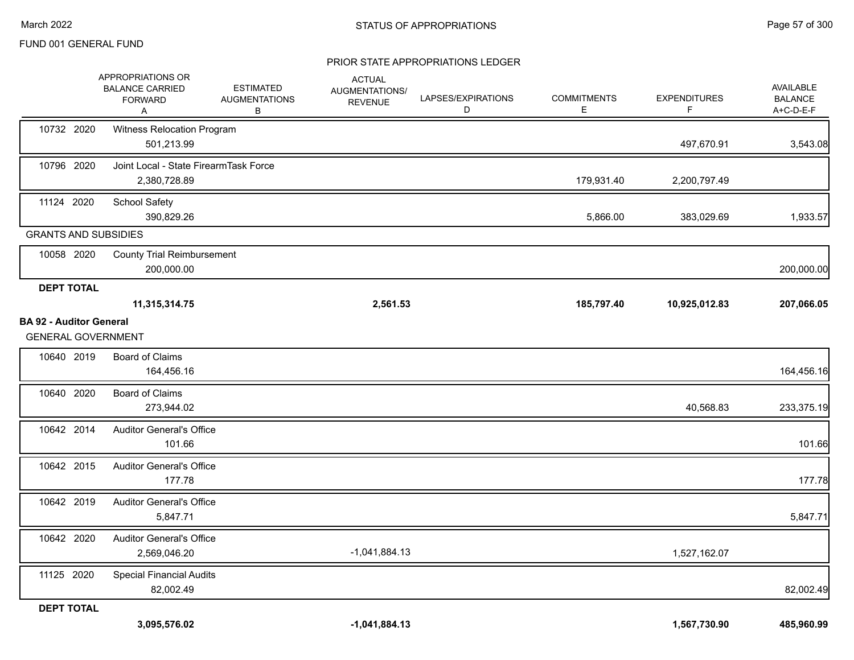|                                                             | APPROPRIATIONS OR<br><b>BALANCE CARRIED</b><br><b>FORWARD</b><br>A | <b>ESTIMATED</b><br><b>AUGMENTATIONS</b><br>В | <b>ACTUAL</b><br>AUGMENTATIONS/<br><b>REVENUE</b> | LAPSES/EXPIRATIONS<br>D | <b>COMMITMENTS</b><br>Е | <b>EXPENDITURES</b><br>F | <b>AVAILABLE</b><br><b>BALANCE</b><br>A+C-D-E-F |
|-------------------------------------------------------------|--------------------------------------------------------------------|-----------------------------------------------|---------------------------------------------------|-------------------------|-------------------------|--------------------------|-------------------------------------------------|
| 10732 2020                                                  | Witness Relocation Program<br>501,213.99                           |                                               |                                                   |                         |                         | 497,670.91               | 3,543.08                                        |
| 10796 2020                                                  | Joint Local - State FirearmTask Force<br>2,380,728.89              |                                               |                                                   |                         | 179,931.40              | 2,200,797.49             |                                                 |
| 11124 2020                                                  | <b>School Safety</b><br>390,829.26                                 |                                               |                                                   |                         | 5,866.00                | 383,029.69               | 1,933.57                                        |
| <b>GRANTS AND SUBSIDIES</b>                                 |                                                                    |                                               |                                                   |                         |                         |                          |                                                 |
| 10058 2020                                                  | <b>County Trial Reimbursement</b><br>200,000.00                    |                                               |                                                   |                         |                         |                          | 200,000.00                                      |
| <b>DEPT TOTAL</b>                                           |                                                                    |                                               |                                                   |                         |                         |                          |                                                 |
|                                                             | 11,315,314.75                                                      |                                               | 2,561.53                                          |                         | 185,797.40              | 10,925,012.83            | 207,066.05                                      |
| <b>BA 92 - Auditor General</b><br><b>GENERAL GOVERNMENT</b> |                                                                    |                                               |                                                   |                         |                         |                          |                                                 |
| 10640 2019                                                  | Board of Claims<br>164,456.16                                      |                                               |                                                   |                         |                         |                          | 164,456.16                                      |
| 10640 2020                                                  | <b>Board of Claims</b><br>273,944.02                               |                                               |                                                   |                         |                         | 40,568.83                | 233,375.19                                      |
| 10642 2014                                                  | <b>Auditor General's Office</b><br>101.66                          |                                               |                                                   |                         |                         |                          | 101.66                                          |
| 10642 2015                                                  | <b>Auditor General's Office</b><br>177.78                          |                                               |                                                   |                         |                         |                          | 177.78                                          |
| 10642 2019                                                  | <b>Auditor General's Office</b><br>5,847.71                        |                                               |                                                   |                         |                         |                          | 5,847.71                                        |
| 10642 2020                                                  | <b>Auditor General's Office</b><br>2,569,046.20                    |                                               | $-1,041,884.13$                                   |                         |                         | 1,527,162.07             |                                                 |
| 11125 2020                                                  | <b>Special Financial Audits</b><br>82,002.49                       |                                               |                                                   |                         |                         |                          | 82,002.49                                       |
| <b>DEPT TOTAL</b>                                           |                                                                    |                                               |                                                   |                         |                         |                          |                                                 |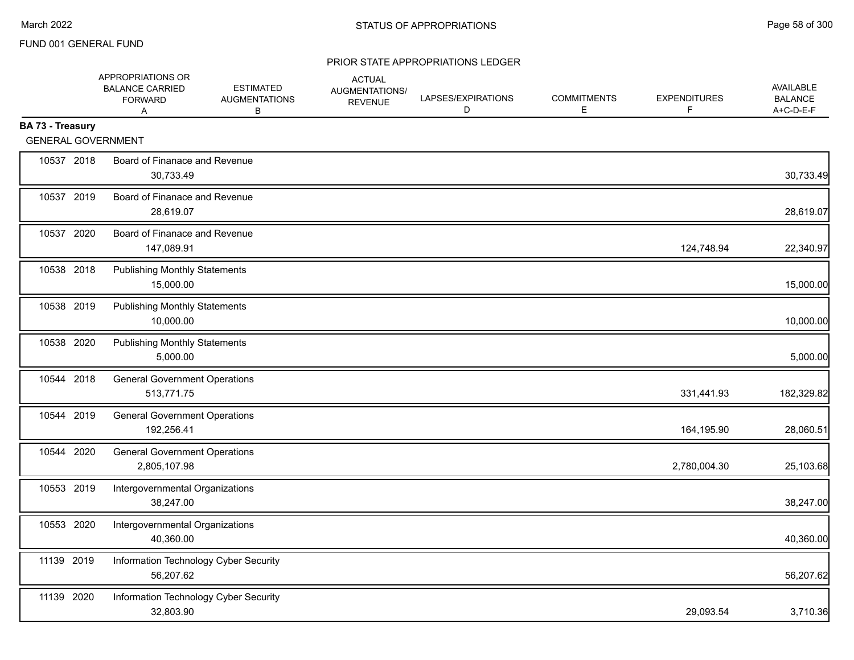|                  |            | APPROPRIATIONS OR<br><b>BALANCE CARRIED</b><br><b>FORWARD</b><br>A | <b>ESTIMATED</b><br><b>AUGMENTATIONS</b><br>В | <b>ACTUAL</b><br>AUGMENTATIONS/<br><b>REVENUE</b> | LAPSES/EXPIRATIONS<br>D | <b>COMMITMENTS</b><br>Е | <b>EXPENDITURES</b><br>F | <b>AVAILABLE</b><br><b>BALANCE</b><br>A+C-D-E-F |
|------------------|------------|--------------------------------------------------------------------|-----------------------------------------------|---------------------------------------------------|-------------------------|-------------------------|--------------------------|-------------------------------------------------|
| BA 73 - Treasury |            | <b>GENERAL GOVERNMENT</b>                                          |                                               |                                                   |                         |                         |                          |                                                 |
|                  | 10537 2018 | Board of Finanace and Revenue<br>30,733.49                         |                                               |                                                   |                         |                         |                          | 30,733.49                                       |
|                  | 10537 2019 | Board of Finanace and Revenue<br>28,619.07                         |                                               |                                                   |                         |                         |                          | 28,619.07                                       |
|                  | 10537 2020 | Board of Finanace and Revenue<br>147,089.91                        |                                               |                                                   |                         |                         | 124,748.94               | 22,340.97                                       |
|                  | 10538 2018 | <b>Publishing Monthly Statements</b><br>15,000.00                  |                                               |                                                   |                         |                         |                          | 15,000.00                                       |
|                  | 10538 2019 | <b>Publishing Monthly Statements</b><br>10,000.00                  |                                               |                                                   |                         |                         |                          | 10,000.00                                       |
|                  | 10538 2020 | <b>Publishing Monthly Statements</b><br>5,000.00                   |                                               |                                                   |                         |                         |                          | 5,000.00                                        |
|                  | 10544 2018 | <b>General Government Operations</b><br>513,771.75                 |                                               |                                                   |                         |                         | 331,441.93               | 182,329.82                                      |
|                  | 10544 2019 | <b>General Government Operations</b><br>192,256.41                 |                                               |                                                   |                         |                         | 164,195.90               | 28,060.51                                       |
|                  | 10544 2020 | <b>General Government Operations</b><br>2,805,107.98               |                                               |                                                   |                         |                         | 2,780,004.30             | 25,103.68                                       |
|                  | 10553 2019 | Intergovernmental Organizations<br>38,247.00                       |                                               |                                                   |                         |                         |                          | 38,247.00                                       |
|                  | 10553 2020 | Intergovernmental Organizations<br>40,360.00                       |                                               |                                                   |                         |                         |                          | 40,360.00                                       |
| 11139 2019       |            | Information Technology Cyber Security<br>56,207.62                 |                                               |                                                   |                         |                         |                          | 56,207.62                                       |
| 11139 2020       |            | Information Technology Cyber Security<br>32,803.90                 |                                               |                                                   |                         |                         | 29,093.54                | 3,710.36                                        |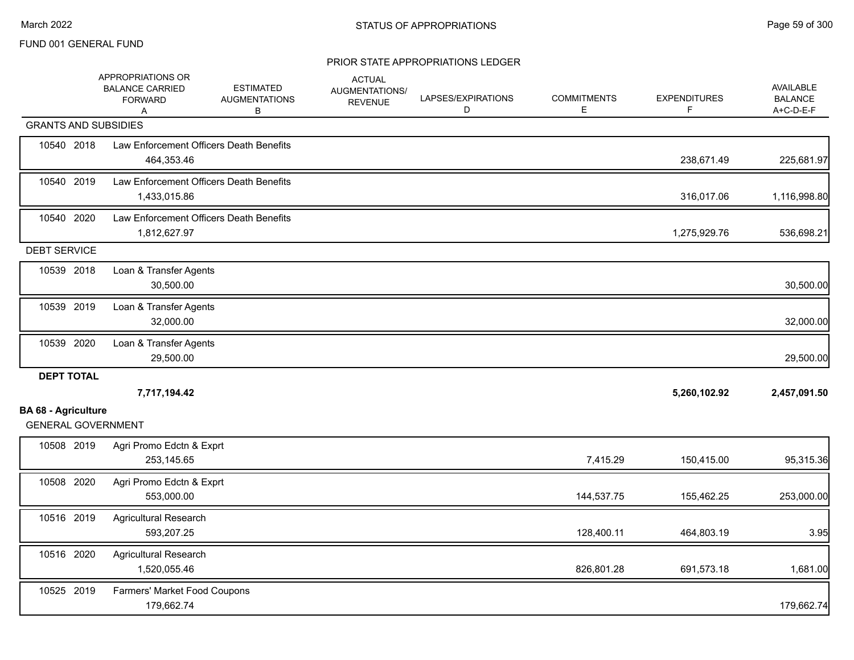|                             | APPROPRIATIONS OR<br><b>BALANCE CARRIED</b><br><b>FORWARD</b><br>A | <b>ESTIMATED</b><br><b>AUGMENTATIONS</b><br>B | <b>ACTUAL</b><br>AUGMENTATIONS/<br><b>REVENUE</b> | LAPSES/EXPIRATIONS<br>D | <b>COMMITMENTS</b><br>E | <b>EXPENDITURES</b><br>F | <b>AVAILABLE</b><br><b>BALANCE</b><br>A+C-D-E-F |
|-----------------------------|--------------------------------------------------------------------|-----------------------------------------------|---------------------------------------------------|-------------------------|-------------------------|--------------------------|-------------------------------------------------|
| <b>GRANTS AND SUBSIDIES</b> |                                                                    |                                               |                                                   |                         |                         |                          |                                                 |
| 10540 2018                  | Law Enforcement Officers Death Benefits<br>464,353.46              |                                               |                                                   |                         |                         | 238,671.49               | 225,681.97                                      |
| 10540 2019                  | Law Enforcement Officers Death Benefits<br>1,433,015.86            |                                               |                                                   |                         |                         | 316,017.06               | 1,116,998.80                                    |
| 10540 2020                  | Law Enforcement Officers Death Benefits<br>1,812,627.97            |                                               |                                                   |                         |                         | 1,275,929.76             | 536,698.21                                      |
| <b>DEBT SERVICE</b>         |                                                                    |                                               |                                                   |                         |                         |                          |                                                 |
| 10539 2018                  | Loan & Transfer Agents<br>30,500.00                                |                                               |                                                   |                         |                         |                          | 30,500.00                                       |
| 10539 2019                  | Loan & Transfer Agents<br>32,000.00                                |                                               |                                                   |                         |                         |                          | 32,000.00                                       |
| 10539 2020                  | Loan & Transfer Agents<br>29,500.00                                |                                               |                                                   |                         |                         |                          | 29,500.00                                       |
| <b>DEPT TOTAL</b>           | 7,717,194.42                                                       |                                               |                                                   |                         |                         | 5,260,102.92             | 2,457,091.50                                    |
| <b>BA 68 - Agriculture</b>  |                                                                    |                                               |                                                   |                         |                         |                          |                                                 |
| <b>GENERAL GOVERNMENT</b>   |                                                                    |                                               |                                                   |                         |                         |                          |                                                 |
| 10508 2019                  | Agri Promo Edctn & Exprt<br>253,145.65                             |                                               |                                                   |                         | 7,415.29                | 150,415.00               | 95,315.36                                       |
| 10508 2020                  | Agri Promo Edctn & Exprt<br>553,000.00                             |                                               |                                                   |                         | 144,537.75              | 155,462.25               | 253,000.00                                      |
| 10516 2019                  | Agricultural Research<br>593,207.25                                |                                               |                                                   |                         | 128,400.11              | 464,803.19               | 3.95                                            |
| 10516 2020                  | <b>Agricultural Research</b><br>1,520,055.46                       |                                               |                                                   |                         | 826,801.28              | 691,573.18               | 1,681.00                                        |
| 10525 2019                  | Farmers' Market Food Coupons<br>179,662.74                         |                                               |                                                   |                         |                         |                          | 179,662.74                                      |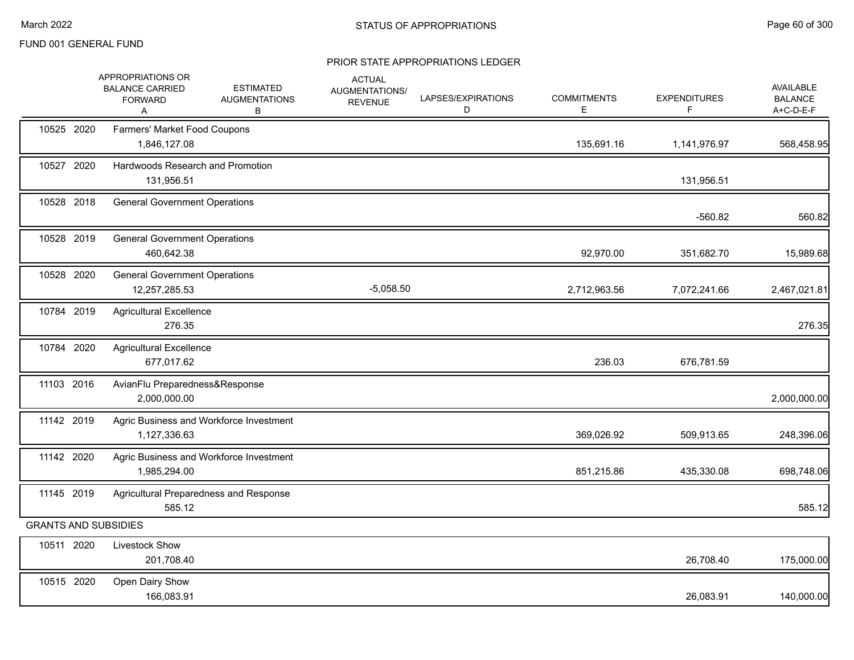|                             | APPROPRIATIONS OR<br><b>BALANCE CARRIED</b><br><b>FORWARD</b><br>A | <b>ESTIMATED</b><br><b>AUGMENTATIONS</b><br>В | <b>ACTUAL</b><br>AUGMENTATIONS/<br><b>REVENUE</b> | LAPSES/EXPIRATIONS<br>D | <b>COMMITMENTS</b><br>Е | <b>EXPENDITURES</b><br>F | <b>AVAILABLE</b><br><b>BALANCE</b><br>A+C-D-E-F |
|-----------------------------|--------------------------------------------------------------------|-----------------------------------------------|---------------------------------------------------|-------------------------|-------------------------|--------------------------|-------------------------------------------------|
| 10525 2020                  | Farmers' Market Food Coupons<br>1,846,127.08                       |                                               |                                                   |                         | 135,691.16              | 1,141,976.97             | 568,458.95                                      |
| 10527 2020                  | Hardwoods Research and Promotion<br>131,956.51                     |                                               |                                                   |                         |                         | 131,956.51               |                                                 |
| 10528 2018                  | <b>General Government Operations</b>                               |                                               |                                                   |                         |                         | $-560.82$                | 560.82                                          |
| 10528 2019                  | <b>General Government Operations</b><br>460,642.38                 |                                               |                                                   |                         | 92,970.00               | 351,682.70               | 15,989.68                                       |
| 10528 2020                  | <b>General Government Operations</b><br>12,257,285.53              |                                               | $-5,058.50$                                       |                         | 2,712,963.56            | 7,072,241.66             | 2,467,021.81                                    |
| 10784 2019                  | <b>Agricultural Excellence</b><br>276.35                           |                                               |                                                   |                         |                         |                          | 276.35                                          |
| 10784 2020                  | <b>Agricultural Excellence</b><br>677,017.62                       |                                               |                                                   |                         | 236.03                  | 676,781.59               |                                                 |
| 11103 2016                  | AvianFlu Preparedness&Response<br>2,000,000.00                     |                                               |                                                   |                         |                         |                          | 2,000,000.00                                    |
| 11142 2019                  | 1,127,336.63                                                       | Agric Business and Workforce Investment       |                                                   |                         | 369,026.92              | 509,913.65               | 248,396.06                                      |
| 11142 2020                  | 1,985,294.00                                                       | Agric Business and Workforce Investment       |                                                   |                         | 851,215.86              | 435,330.08               | 698,748.06                                      |
| 11145 2019                  | Agricultural Preparedness and Response<br>585.12                   |                                               |                                                   |                         |                         |                          | 585.12                                          |
| <b>GRANTS AND SUBSIDIES</b> |                                                                    |                                               |                                                   |                         |                         |                          |                                                 |
| 10511 2020                  | Livestock Show<br>201,708.40                                       |                                               |                                                   |                         |                         | 26,708.40                | 175,000.00                                      |
| 10515 2020                  | Open Dairy Show<br>166,083.91                                      |                                               |                                                   |                         |                         | 26,083.91                | 140,000.00                                      |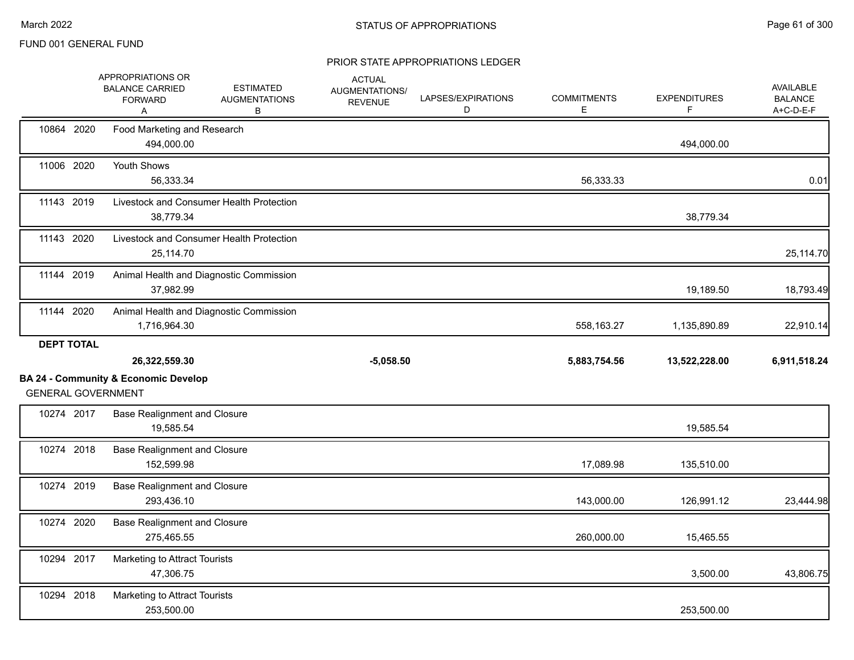|                   | APPROPRIATIONS OR<br><b>BALANCE CARRIED</b><br><b>FORWARD</b><br>Α           | <b>ESTIMATED</b><br><b>AUGMENTATIONS</b><br>В | <b>ACTUAL</b><br>AUGMENTATIONS/<br><b>REVENUE</b> | LAPSES/EXPIRATIONS<br>D | <b>COMMITMENTS</b><br>Е | <b>EXPENDITURES</b><br>F | <b>AVAILABLE</b><br><b>BALANCE</b><br>A+C-D-E-F |
|-------------------|------------------------------------------------------------------------------|-----------------------------------------------|---------------------------------------------------|-------------------------|-------------------------|--------------------------|-------------------------------------------------|
| 10864 2020        | Food Marketing and Research<br>494,000.00                                    |                                               |                                                   |                         |                         | 494,000.00               |                                                 |
| 11006 2020        | Youth Shows<br>56,333.34                                                     |                                               |                                                   |                         | 56,333.33               |                          | 0.01                                            |
| 11143 2019        | Livestock and Consumer Health Protection<br>38,779.34                        |                                               |                                                   |                         |                         | 38,779.34                |                                                 |
| 11143 2020        | Livestock and Consumer Health Protection<br>25,114.70                        |                                               |                                                   |                         |                         |                          | 25,114.70                                       |
| 11144 2019        | Animal Health and Diagnostic Commission<br>37,982.99                         |                                               |                                                   |                         |                         | 19,189.50                | 18,793.49                                       |
| 11144 2020        | Animal Health and Diagnostic Commission<br>1,716,964.30                      |                                               |                                                   |                         | 558,163.27              | 1,135,890.89             | 22,910.14                                       |
| <b>DEPT TOTAL</b> | 26,322,559.30                                                                |                                               | $-5,058.50$                                       |                         | 5,883,754.56            | 13,522,228.00            | 6,911,518.24                                    |
|                   |                                                                              |                                               |                                                   |                         |                         |                          |                                                 |
|                   | <b>BA 24 - Community &amp; Economic Develop</b><br><b>GENERAL GOVERNMENT</b> |                                               |                                                   |                         |                         |                          |                                                 |
| 10274 2017        | <b>Base Realignment and Closure</b><br>19,585.54                             |                                               |                                                   |                         |                         | 19,585.54                |                                                 |
| 10274 2018        | <b>Base Realignment and Closure</b><br>152,599.98                            |                                               |                                                   |                         | 17,089.98               | 135,510.00               |                                                 |
| 10274 2019        | <b>Base Realignment and Closure</b><br>293,436.10                            |                                               |                                                   |                         | 143,000.00              | 126,991.12               | 23,444.98                                       |
| 10274 2020        | <b>Base Realignment and Closure</b><br>275,465.55                            |                                               |                                                   |                         | 260,000.00              | 15,465.55                |                                                 |
| 10294 2017        | Marketing to Attract Tourists<br>47,306.75                                   |                                               |                                                   |                         |                         | 3,500.00                 | 43,806.75                                       |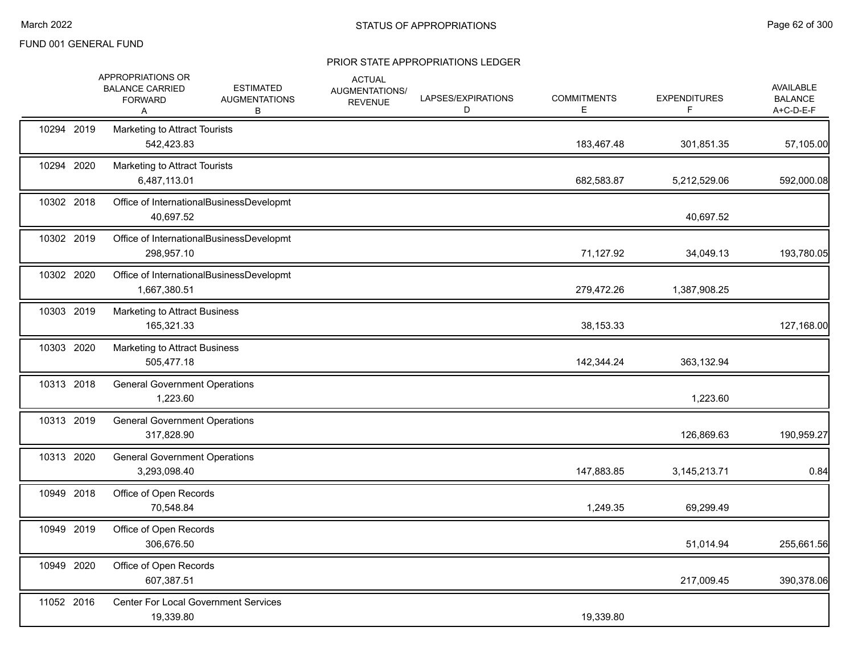|            | APPROPRIATIONS OR<br><b>BALANCE CARRIED</b><br><b>FORWARD</b><br>Α | <b>ESTIMATED</b><br><b>AUGMENTATIONS</b><br>В | <b>ACTUAL</b><br>AUGMENTATIONS/<br><b>REVENUE</b> | LAPSES/EXPIRATIONS<br>D | <b>COMMITMENTS</b><br>Е | <b>EXPENDITURES</b> | <b>AVAILABLE</b><br><b>BALANCE</b><br>A+C-D-E-F |
|------------|--------------------------------------------------------------------|-----------------------------------------------|---------------------------------------------------|-------------------------|-------------------------|---------------------|-------------------------------------------------|
| 10294 2019 | Marketing to Attract Tourists<br>542,423.83                        |                                               |                                                   |                         | 183,467.48              | 301,851.35          | 57,105.00                                       |
| 10294 2020 | Marketing to Attract Tourists<br>6,487,113.01                      |                                               |                                                   |                         | 682,583.87              | 5,212,529.06        | 592,000.08                                      |
| 10302 2018 | 40,697.52                                                          | Office of InternationalBusinessDevelopmt      |                                                   |                         |                         | 40,697.52           |                                                 |
| 10302 2019 | 298,957.10                                                         | Office of InternationalBusinessDevelopmt      |                                                   |                         | 71,127.92               | 34,049.13           | 193,780.05                                      |
| 10302 2020 | 1,667,380.51                                                       | Office of InternationalBusinessDevelopmt      |                                                   |                         | 279,472.26              | 1,387,908.25        |                                                 |
| 10303 2019 | <b>Marketing to Attract Business</b><br>165,321.33                 |                                               |                                                   |                         | 38,153.33               |                     | 127,168.00                                      |
| 10303 2020 | <b>Marketing to Attract Business</b><br>505,477.18                 |                                               |                                                   |                         | 142,344.24              | 363,132.94          |                                                 |
| 10313 2018 | <b>General Government Operations</b><br>1,223.60                   |                                               |                                                   |                         |                         | 1,223.60            |                                                 |
| 10313 2019 | <b>General Government Operations</b><br>317,828.90                 |                                               |                                                   |                         |                         | 126,869.63          | 190,959.27                                      |
| 10313 2020 | <b>General Government Operations</b><br>3,293,098.40               |                                               |                                                   |                         | 147,883.85              | 3,145,213.71        | 0.84                                            |
| 10949 2018 | Office of Open Records<br>70,548.84                                |                                               |                                                   |                         | 1,249.35                | 69,299.49           |                                                 |
| 10949 2019 | Office of Open Records<br>306,676.50                               |                                               |                                                   |                         |                         | 51,014.94           | 255,661.56                                      |
| 10949 2020 | Office of Open Records<br>607,387.51                               |                                               |                                                   |                         |                         | 217,009.45          | 390,378.06                                      |
| 11052 2016 | 19,339.80                                                          | <b>Center For Local Government Services</b>   |                                                   |                         | 19,339.80               |                     |                                                 |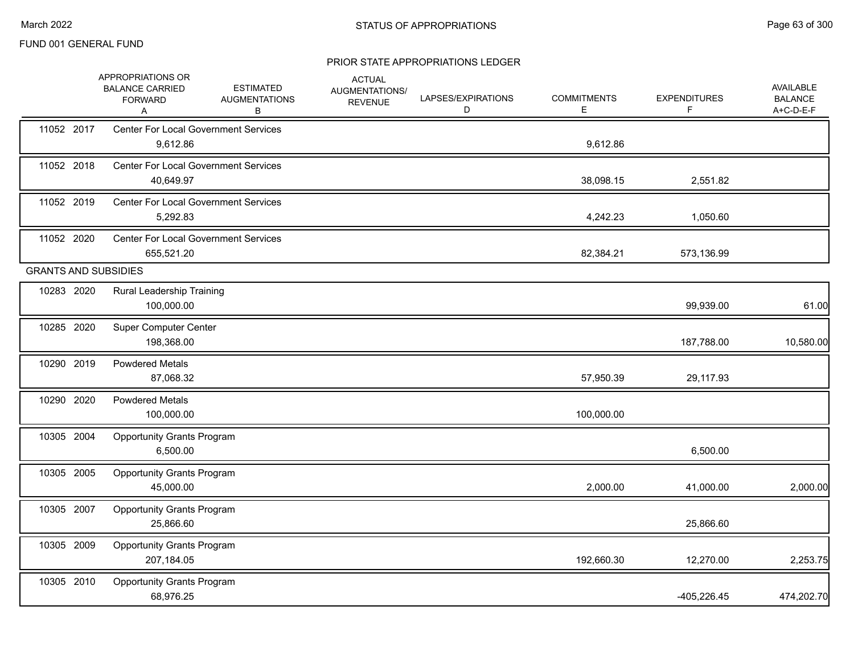|                             | APPROPRIATIONS OR<br><b>BALANCE CARRIED</b><br><b>FORWARD</b><br>Α | <b>ESTIMATED</b><br><b>AUGMENTATIONS</b><br>В | <b>ACTUAL</b><br>AUGMENTATIONS/<br><b>REVENUE</b> | LAPSES/EXPIRATIONS<br>D | <b>COMMITMENTS</b><br>Е | <b>EXPENDITURES</b><br>F | <b>AVAILABLE</b><br><b>BALANCE</b><br>A+C-D-E-F |
|-----------------------------|--------------------------------------------------------------------|-----------------------------------------------|---------------------------------------------------|-------------------------|-------------------------|--------------------------|-------------------------------------------------|
| 11052 2017                  | <b>Center For Local Government Services</b><br>9,612.86            |                                               |                                                   |                         | 9,612.86                |                          |                                                 |
| 11052 2018                  | <b>Center For Local Government Services</b><br>40,649.97           |                                               |                                                   |                         | 38,098.15               | 2,551.82                 |                                                 |
| 11052 2019                  | <b>Center For Local Government Services</b><br>5,292.83            |                                               |                                                   |                         | 4,242.23                | 1,050.60                 |                                                 |
| 11052 2020                  | <b>Center For Local Government Services</b><br>655,521.20          |                                               |                                                   |                         | 82,384.21               | 573,136.99               |                                                 |
| <b>GRANTS AND SUBSIDIES</b> |                                                                    |                                               |                                                   |                         |                         |                          |                                                 |
| 10283 2020                  | Rural Leadership Training<br>100,000.00                            |                                               |                                                   |                         |                         | 99,939.00                | 61.00                                           |
| 10285 2020                  | <b>Super Computer Center</b><br>198,368.00                         |                                               |                                                   |                         |                         | 187,788.00               | 10,580.00                                       |
| 10290 2019                  | <b>Powdered Metals</b><br>87,068.32                                |                                               |                                                   |                         | 57,950.39               | 29,117.93                |                                                 |
| 10290 2020                  | <b>Powdered Metals</b><br>100,000.00                               |                                               |                                                   |                         | 100,000.00              |                          |                                                 |
| 10305 2004                  | <b>Opportunity Grants Program</b><br>6,500.00                      |                                               |                                                   |                         |                         | 6,500.00                 |                                                 |
| 10305 2005                  | <b>Opportunity Grants Program</b><br>45,000.00                     |                                               |                                                   |                         | 2,000.00                | 41,000.00                | 2,000.00                                        |
| 10305 2007                  | <b>Opportunity Grants Program</b><br>25,866.60                     |                                               |                                                   |                         |                         | 25,866.60                |                                                 |
| 10305 2009                  | <b>Opportunity Grants Program</b><br>207,184.05                    |                                               |                                                   |                         | 192,660.30              | 12,270.00                | 2,253.75                                        |
| 10305 2010                  | <b>Opportunity Grants Program</b><br>68,976.25                     |                                               |                                                   |                         |                         | $-405,226.45$            | 474,202.70                                      |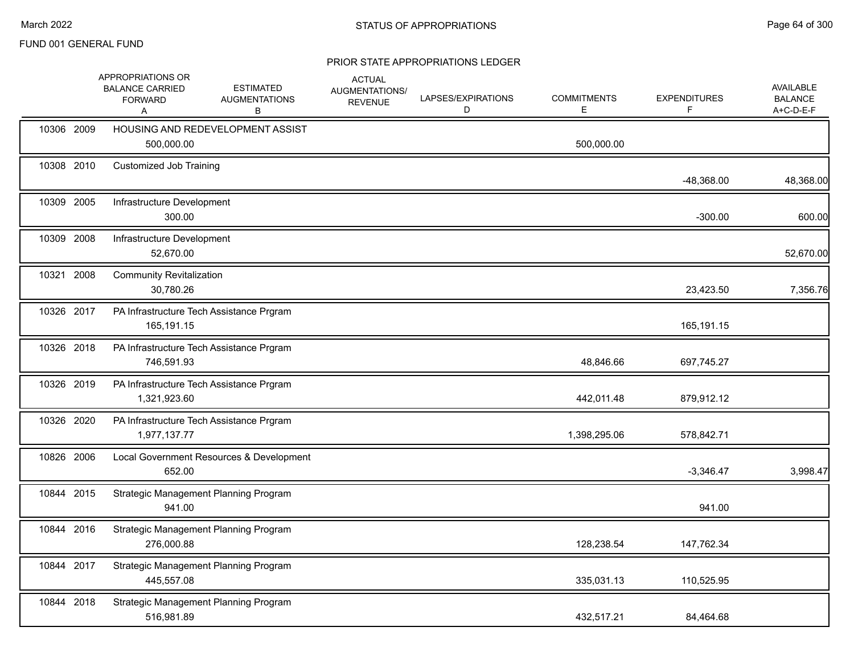|            | APPROPRIATIONS OR<br><b>BALANCE CARRIED</b><br><b>FORWARD</b><br>A | <b>ESTIMATED</b><br><b>AUGMENTATIONS</b><br>В | <b>ACTUAL</b><br>AUGMENTATIONS/<br><b>REVENUE</b> | LAPSES/EXPIRATIONS<br>D | <b>COMMITMENTS</b><br>Е | <b>EXPENDITURES</b><br>F. | <b>AVAILABLE</b><br><b>BALANCE</b><br>A+C-D-E-F |
|------------|--------------------------------------------------------------------|-----------------------------------------------|---------------------------------------------------|-------------------------|-------------------------|---------------------------|-------------------------------------------------|
| 10306 2009 | 500,000.00                                                         | HOUSING AND REDEVELOPMENT ASSIST              |                                                   |                         | 500,000.00              |                           |                                                 |
| 10308 2010 | <b>Customized Job Training</b>                                     |                                               |                                                   |                         |                         | $-48,368.00$              | 48,368.00                                       |
| 10309 2005 | Infrastructure Development<br>300.00                               |                                               |                                                   |                         |                         | $-300.00$                 | 600.00                                          |
| 10309 2008 | Infrastructure Development<br>52,670.00                            |                                               |                                                   |                         |                         |                           | 52,670.00                                       |
| 10321 2008 | <b>Community Revitalization</b><br>30,780.26                       |                                               |                                                   |                         |                         | 23,423.50                 | 7,356.76                                        |
| 10326 2017 | 165,191.15                                                         | PA Infrastructure Tech Assistance Prgram      |                                                   |                         |                         | 165,191.15                |                                                 |
| 10326 2018 | 746,591.93                                                         | PA Infrastructure Tech Assistance Prgram      |                                                   |                         | 48,846.66               | 697,745.27                |                                                 |
| 10326 2019 | 1,321,923.60                                                       | PA Infrastructure Tech Assistance Prgram      |                                                   |                         | 442,011.48              | 879,912.12                |                                                 |
| 10326 2020 | 1,977,137.77                                                       | PA Infrastructure Tech Assistance Prgram      |                                                   |                         | 1,398,295.06            | 578,842.71                |                                                 |
| 10826 2006 | 652.00                                                             | Local Government Resources & Development      |                                                   |                         |                         | $-3,346.47$               | 3,998.47                                        |
| 10844 2015 | 941.00                                                             | Strategic Management Planning Program         |                                                   |                         |                         | 941.00                    |                                                 |
| 10844 2016 | 276,000.88                                                         | Strategic Management Planning Program         |                                                   |                         | 128,238.54              | 147,762.34                |                                                 |
| 10844 2017 | 445,557.08                                                         | Strategic Management Planning Program         |                                                   |                         | 335,031.13              | 110,525.95                |                                                 |
| 10844 2018 | 516,981.89                                                         | Strategic Management Planning Program         |                                                   |                         | 432,517.21              | 84,464.68                 |                                                 |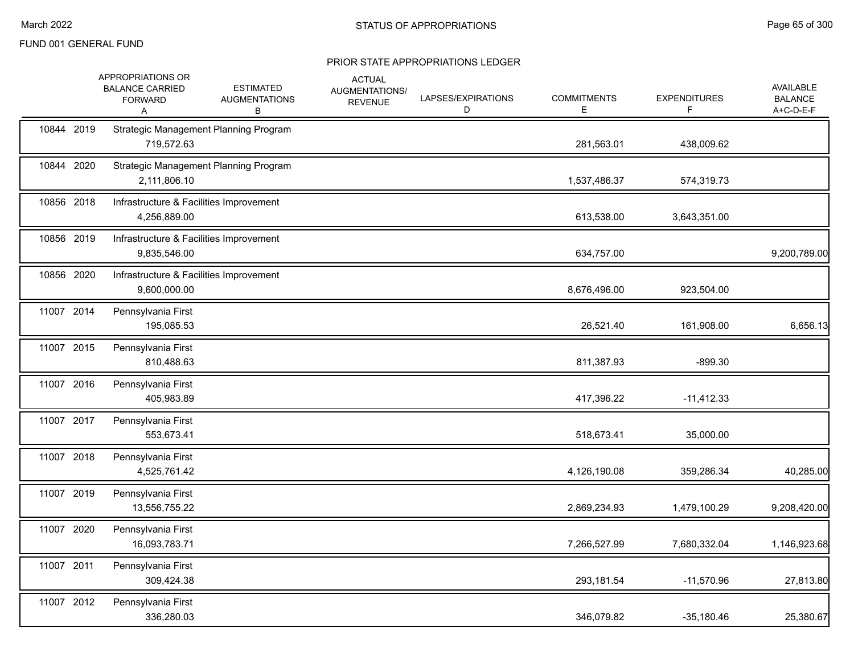|            | APPROPRIATIONS OR<br><b>BALANCE CARRIED</b><br><b>FORWARD</b><br>Α | <b>ESTIMATED</b><br><b>AUGMENTATIONS</b><br>В | <b>ACTUAL</b><br>AUGMENTATIONS/<br><b>REVENUE</b> | LAPSES/EXPIRATIONS<br>D | <b>COMMITMENTS</b><br>Е | <b>EXPENDITURES</b><br>F | AVAILABLE<br><b>BALANCE</b><br>A+C-D-E-F |
|------------|--------------------------------------------------------------------|-----------------------------------------------|---------------------------------------------------|-------------------------|-------------------------|--------------------------|------------------------------------------|
| 10844 2019 | 719,572.63                                                         | Strategic Management Planning Program         |                                                   |                         | 281,563.01              | 438,009.62               |                                          |
| 10844 2020 | 2,111,806.10                                                       | Strategic Management Planning Program         |                                                   |                         | 1,537,486.37            | 574,319.73               |                                          |
| 10856 2018 | Infrastructure & Facilities Improvement<br>4,256,889.00            |                                               |                                                   |                         | 613,538.00              | 3,643,351.00             |                                          |
| 10856 2019 | Infrastructure & Facilities Improvement<br>9,835,546.00            |                                               |                                                   |                         | 634,757.00              |                          | 9,200,789.00                             |
| 10856 2020 | Infrastructure & Facilities Improvement<br>9,600,000.00            |                                               |                                                   |                         | 8,676,496.00            | 923,504.00               |                                          |
| 11007 2014 | Pennsylvania First<br>195,085.53                                   |                                               |                                                   |                         | 26,521.40               | 161,908.00               | 6,656.13                                 |
| 11007 2015 | Pennsylvania First<br>810,488.63                                   |                                               |                                                   |                         | 811,387.93              | $-899.30$                |                                          |
| 11007 2016 | Pennsylvania First<br>405,983.89                                   |                                               |                                                   |                         | 417,396.22              | $-11,412.33$             |                                          |
| 11007 2017 | Pennsylvania First<br>553,673.41                                   |                                               |                                                   |                         | 518,673.41              | 35,000.00                |                                          |
| 11007 2018 | Pennsylvania First<br>4,525,761.42                                 |                                               |                                                   |                         | 4,126,190.08            | 359,286.34               | 40,285.00                                |
| 11007 2019 | Pennsylvania First<br>13,556,755.22                                |                                               |                                                   |                         | 2,869,234.93            | 1,479,100.29             | 9,208,420.00                             |
| 11007 2020 | Pennsylvania First<br>16,093,783.71                                |                                               |                                                   |                         | 7,266,527.99            | 7,680,332.04             | 1,146,923.68                             |
| 11007 2011 | Pennsylvania First<br>309,424.38                                   |                                               |                                                   |                         | 293,181.54              | $-11,570.96$             | 27,813.80                                |
| 11007 2012 | Pennsylvania First<br>336,280.03                                   |                                               |                                                   |                         | 346,079.82              | $-35,180.46$             | 25,380.67                                |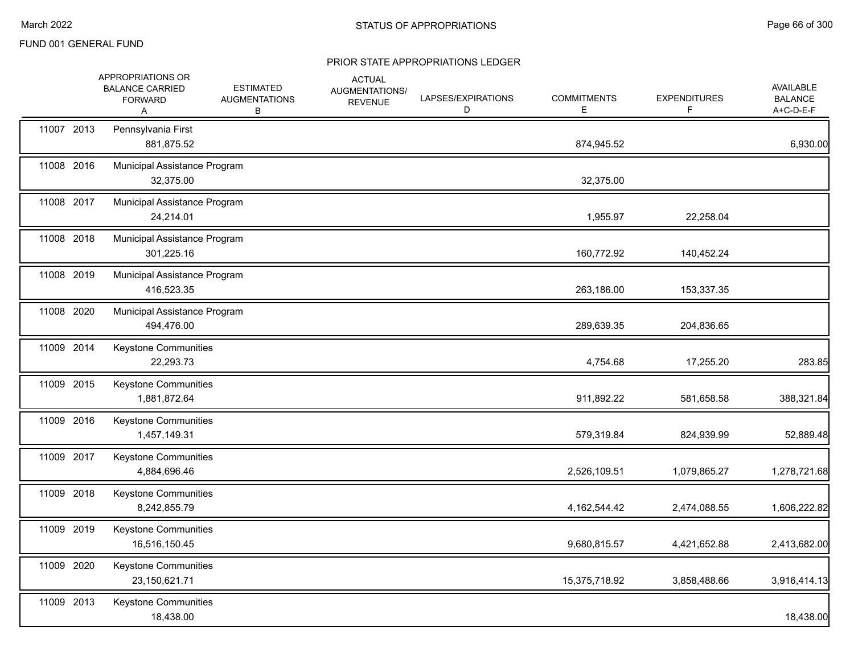|            | APPROPRIATIONS OR<br><b>BALANCE CARRIED</b><br><b>FORWARD</b><br>Α | <b>ESTIMATED</b><br><b>AUGMENTATIONS</b><br>В | <b>ACTUAL</b><br>AUGMENTATIONS/<br><b>REVENUE</b> | LAPSES/EXPIRATIONS<br>D | <b>COMMITMENTS</b><br>Е | <b>EXPENDITURES</b><br>F. | <b>AVAILABLE</b><br><b>BALANCE</b><br>$A+C-D-E-F$ |
|------------|--------------------------------------------------------------------|-----------------------------------------------|---------------------------------------------------|-------------------------|-------------------------|---------------------------|---------------------------------------------------|
| 11007 2013 | Pennsylvania First<br>881,875.52                                   |                                               |                                                   |                         | 874,945.52              |                           | 6,930.00                                          |
| 11008 2016 | Municipal Assistance Program<br>32,375.00                          |                                               |                                                   |                         | 32,375.00               |                           |                                                   |
| 11008 2017 | Municipal Assistance Program<br>24,214.01                          |                                               |                                                   |                         | 1,955.97                | 22,258.04                 |                                                   |
| 11008 2018 | Municipal Assistance Program<br>301,225.16                         |                                               |                                                   |                         | 160,772.92              | 140,452.24                |                                                   |
| 11008 2019 | Municipal Assistance Program<br>416,523.35                         |                                               |                                                   |                         | 263,186.00              | 153,337.35                |                                                   |
| 11008 2020 | Municipal Assistance Program<br>494,476.00                         |                                               |                                                   |                         | 289,639.35              | 204,836.65                |                                                   |
| 11009 2014 | Keystone Communities<br>22,293.73                                  |                                               |                                                   |                         | 4,754.68                | 17,255.20                 | 283.85                                            |
| 11009 2015 | <b>Keystone Communities</b><br>1,881,872.64                        |                                               |                                                   |                         | 911,892.22              | 581,658.58                | 388,321.84                                        |
| 11009 2016 | <b>Keystone Communities</b><br>1,457,149.31                        |                                               |                                                   |                         | 579,319.84              | 824,939.99                | 52,889.48                                         |
| 11009 2017 | Keystone Communities<br>4,884,696.46                               |                                               |                                                   |                         | 2,526,109.51            | 1,079,865.27              | 1,278,721.68                                      |
| 11009 2018 | Keystone Communities<br>8,242,855.79                               |                                               |                                                   |                         | 4, 162, 544. 42         | 2,474,088.55              | 1,606,222.82                                      |
| 11009 2019 | Keystone Communities<br>16,516,150.45                              |                                               |                                                   |                         | 9,680,815.57            | 4,421,652.88              | 2,413,682.00                                      |
| 11009 2020 | Keystone Communities<br>23,150,621.71                              |                                               |                                                   |                         | 15,375,718.92           | 3,858,488.66              | 3,916,414.13                                      |
| 11009 2013 | Keystone Communities<br>18,438.00                                  |                                               |                                                   |                         |                         |                           | 18,438.00                                         |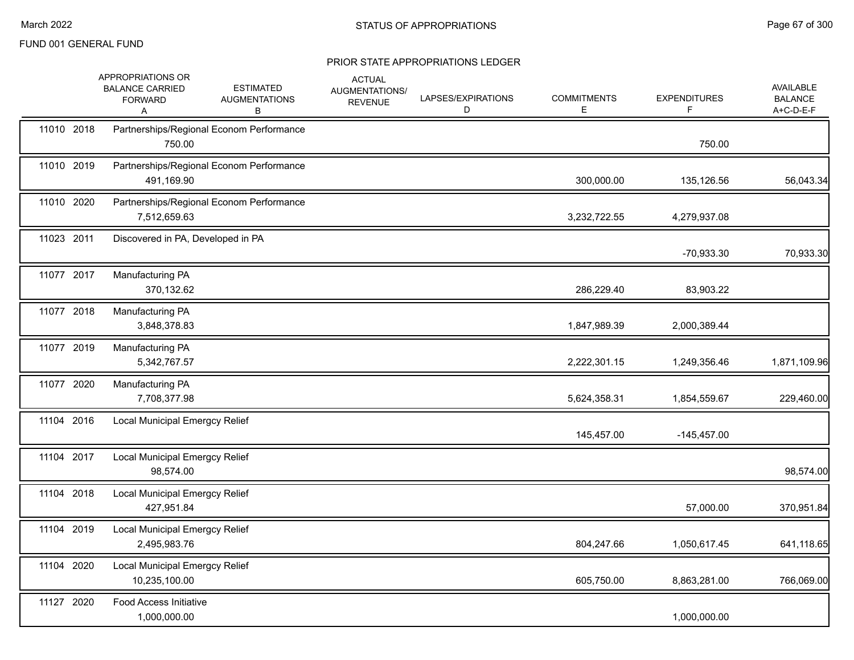|            | APPROPRIATIONS OR<br><b>BALANCE CARRIED</b><br><b>FORWARD</b><br>A | <b>ESTIMATED</b><br><b>AUGMENTATIONS</b><br>B | <b>ACTUAL</b><br>AUGMENTATIONS/<br><b>REVENUE</b> | LAPSES/EXPIRATIONS<br>D | <b>COMMITMENTS</b><br>Е | <b>EXPENDITURES</b><br>F. | <b>AVAILABLE</b><br><b>BALANCE</b><br>A+C-D-E-F |
|------------|--------------------------------------------------------------------|-----------------------------------------------|---------------------------------------------------|-------------------------|-------------------------|---------------------------|-------------------------------------------------|
| 11010 2018 | 750.00                                                             | Partnerships/Regional Econom Performance      |                                                   |                         |                         | 750.00                    |                                                 |
| 11010 2019 | 491,169.90                                                         | Partnerships/Regional Econom Performance      |                                                   |                         | 300,000.00              | 135,126.56                | 56,043.34                                       |
| 11010 2020 | 7,512,659.63                                                       | Partnerships/Regional Econom Performance      |                                                   |                         | 3,232,722.55            | 4,279,937.08              |                                                 |
| 11023 2011 | Discovered in PA, Developed in PA                                  |                                               |                                                   |                         |                         | -70,933.30                | 70,933.30                                       |
| 11077 2017 | Manufacturing PA<br>370,132.62                                     |                                               |                                                   |                         | 286,229.40              | 83,903.22                 |                                                 |
| 11077 2018 | Manufacturing PA<br>3,848,378.83                                   |                                               |                                                   |                         | 1,847,989.39            | 2,000,389.44              |                                                 |
| 11077 2019 | Manufacturing PA<br>5,342,767.57                                   |                                               |                                                   |                         | 2,222,301.15            | 1,249,356.46              | 1,871,109.96                                    |
| 11077 2020 | Manufacturing PA<br>7,708,377.98                                   |                                               |                                                   |                         | 5,624,358.31            | 1,854,559.67              | 229,460.00                                      |
| 11104 2016 | <b>Local Municipal Emergcy Relief</b>                              |                                               |                                                   |                         | 145,457.00              | $-145,457.00$             |                                                 |
| 11104 2017 | Local Municipal Emergcy Relief<br>98,574.00                        |                                               |                                                   |                         |                         |                           | 98,574.00                                       |
| 11104 2018 | <b>Local Municipal Emergcy Relief</b><br>427,951.84                |                                               |                                                   |                         |                         | 57,000.00                 | 370,951.84                                      |
| 11104 2019 | <b>Local Municipal Emergcy Relief</b><br>2,495,983.76              |                                               |                                                   |                         | 804,247.66              | 1,050,617.45              | 641,118.65                                      |
| 11104 2020 | Local Municipal Emergcy Relief<br>10,235,100.00                    |                                               |                                                   |                         | 605,750.00              | 8,863,281.00              | 766,069.00                                      |
| 11127 2020 | <b>Food Access Initiative</b><br>1,000,000.00                      |                                               |                                                   |                         |                         | 1,000,000.00              |                                                 |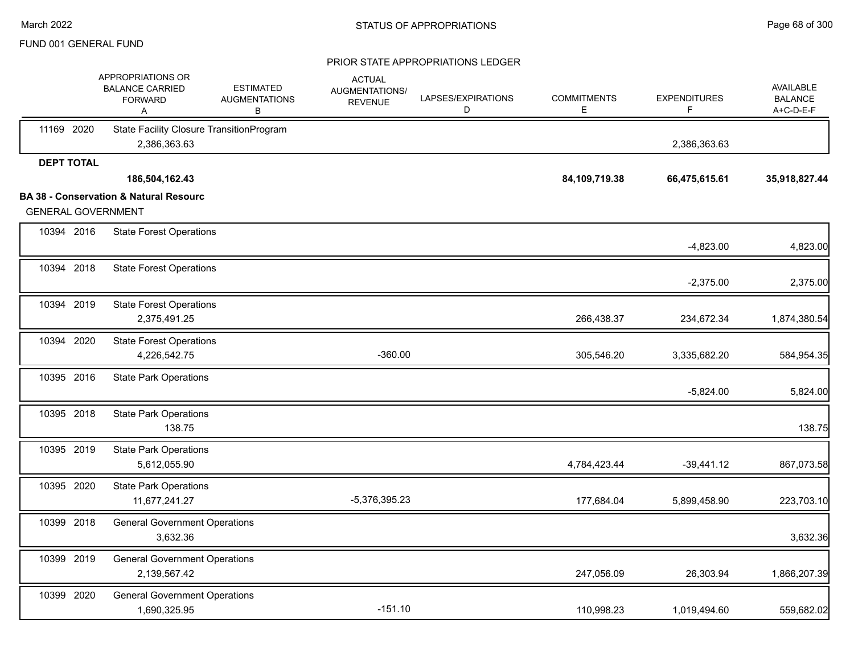|                           | APPROPRIATIONS OR<br><b>BALANCE CARRIED</b><br><b>FORWARD</b><br>Α | <b>ESTIMATED</b><br><b>AUGMENTATIONS</b><br>В | <b>ACTUAL</b><br>AUGMENTATIONS/<br><b>REVENUE</b> | LAPSES/EXPIRATIONS<br>D | <b>COMMITMENTS</b><br>E. | <b>EXPENDITURES</b> | <b>AVAILABLE</b><br><b>BALANCE</b><br>A+C-D-E-F |
|---------------------------|--------------------------------------------------------------------|-----------------------------------------------|---------------------------------------------------|-------------------------|--------------------------|---------------------|-------------------------------------------------|
| 11169 2020                | <b>State Facility Closure TransitionProgram</b><br>2,386,363.63    |                                               |                                                   |                         |                          | 2,386,363.63        |                                                 |
| <b>DEPT TOTAL</b>         |                                                                    |                                               |                                                   |                         |                          |                     |                                                 |
|                           | 186,504,162.43                                                     |                                               |                                                   |                         | 84,109,719.38            | 66,475,615.61       | 35,918,827.44                                   |
|                           | <b>BA 38 - Conservation &amp; Natural Resourc</b>                  |                                               |                                                   |                         |                          |                     |                                                 |
| <b>GENERAL GOVERNMENT</b> |                                                                    |                                               |                                                   |                         |                          |                     |                                                 |
| 10394 2016                | <b>State Forest Operations</b>                                     |                                               |                                                   |                         |                          | $-4,823.00$         | 4,823.00                                        |
| 10394 2018                | <b>State Forest Operations</b>                                     |                                               |                                                   |                         |                          | $-2,375.00$         | 2,375.00                                        |
| 10394 2019                | <b>State Forest Operations</b><br>2,375,491.25                     |                                               |                                                   |                         | 266,438.37               | 234,672.34          | 1,874,380.54                                    |
| 10394 2020                | <b>State Forest Operations</b><br>4,226,542.75                     |                                               | $-360.00$                                         |                         | 305,546.20               | 3,335,682.20        | 584,954.35                                      |
| 10395 2016                | <b>State Park Operations</b>                                       |                                               |                                                   |                         |                          | $-5,824.00$         | 5,824.00                                        |
| 10395 2018                | <b>State Park Operations</b><br>138.75                             |                                               |                                                   |                         |                          |                     | 138.75                                          |
| 10395 2019                | <b>State Park Operations</b><br>5,612,055.90                       |                                               |                                                   |                         | 4,784,423.44             | $-39,441.12$        | 867,073.58                                      |
| 10395 2020                | <b>State Park Operations</b><br>11,677,241.27                      |                                               | -5,376,395.23                                     |                         | 177,684.04               | 5,899,458.90        | 223,703.10                                      |
| 10399 2018                | <b>General Government Operations</b><br>3,632.36                   |                                               |                                                   |                         |                          |                     | 3,632.36                                        |
| 10399 2019                | <b>General Government Operations</b><br>2,139,567.42               |                                               |                                                   |                         | 247,056.09               | 26,303.94           | 1,866,207.39                                    |
| 10399 2020                | <b>General Government Operations</b><br>1,690,325.95               |                                               | $-151.10$                                         |                         | 110,998.23               | 1,019,494.60        | 559,682.02                                      |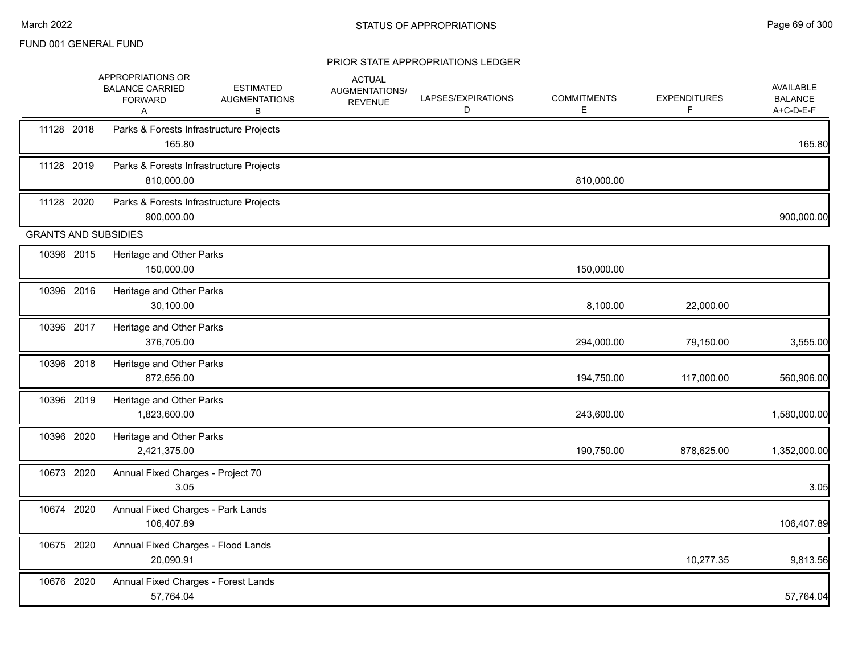|                             | APPROPRIATIONS OR<br><b>BALANCE CARRIED</b><br><b>FORWARD</b><br>A | <b>ESTIMATED</b><br><b>AUGMENTATIONS</b><br>в | <b>ACTUAL</b><br>AUGMENTATIONS/<br><b>REVENUE</b> | LAPSES/EXPIRATIONS<br>D | <b>COMMITMENTS</b><br>Е | <b>EXPENDITURES</b><br>F | AVAILABLE<br><b>BALANCE</b><br>A+C-D-E-F |
|-----------------------------|--------------------------------------------------------------------|-----------------------------------------------|---------------------------------------------------|-------------------------|-------------------------|--------------------------|------------------------------------------|
| 11128 2018                  | Parks & Forests Infrastructure Projects<br>165.80                  |                                               |                                                   |                         |                         |                          | 165.80                                   |
| 11128 2019                  | Parks & Forests Infrastructure Projects<br>810,000.00              |                                               |                                                   |                         | 810,000.00              |                          |                                          |
| 11128 2020                  | Parks & Forests Infrastructure Projects<br>900,000.00              |                                               |                                                   |                         |                         |                          | 900,000.00                               |
| <b>GRANTS AND SUBSIDIES</b> |                                                                    |                                               |                                                   |                         |                         |                          |                                          |
| 10396 2015                  | Heritage and Other Parks<br>150,000.00                             |                                               |                                                   |                         | 150,000.00              |                          |                                          |
| 10396 2016                  | Heritage and Other Parks<br>30,100.00                              |                                               |                                                   |                         | 8,100.00                | 22,000.00                |                                          |
| 10396 2017                  | Heritage and Other Parks<br>376,705.00                             |                                               |                                                   |                         | 294,000.00              | 79,150.00                | 3,555.00                                 |
| 10396 2018                  | Heritage and Other Parks<br>872,656.00                             |                                               |                                                   |                         | 194,750.00              | 117,000.00               | 560,906.00                               |
| 10396 2019                  | Heritage and Other Parks<br>1,823,600.00                           |                                               |                                                   |                         | 243,600.00              |                          | 1,580,000.00                             |
| 10396 2020                  | Heritage and Other Parks<br>2,421,375.00                           |                                               |                                                   |                         | 190,750.00              | 878,625.00               | 1,352,000.00                             |
| 10673 2020                  | Annual Fixed Charges - Project 70<br>3.05                          |                                               |                                                   |                         |                         |                          | 3.05                                     |
| 10674 2020                  | Annual Fixed Charges - Park Lands<br>106,407.89                    |                                               |                                                   |                         |                         |                          | 106,407.89                               |
| 10675 2020                  | Annual Fixed Charges - Flood Lands<br>20,090.91                    |                                               |                                                   |                         |                         | 10,277.35                | 9,813.56                                 |
| 10676 2020                  | Annual Fixed Charges - Forest Lands<br>57,764.04                   |                                               |                                                   |                         |                         |                          | 57,764.04                                |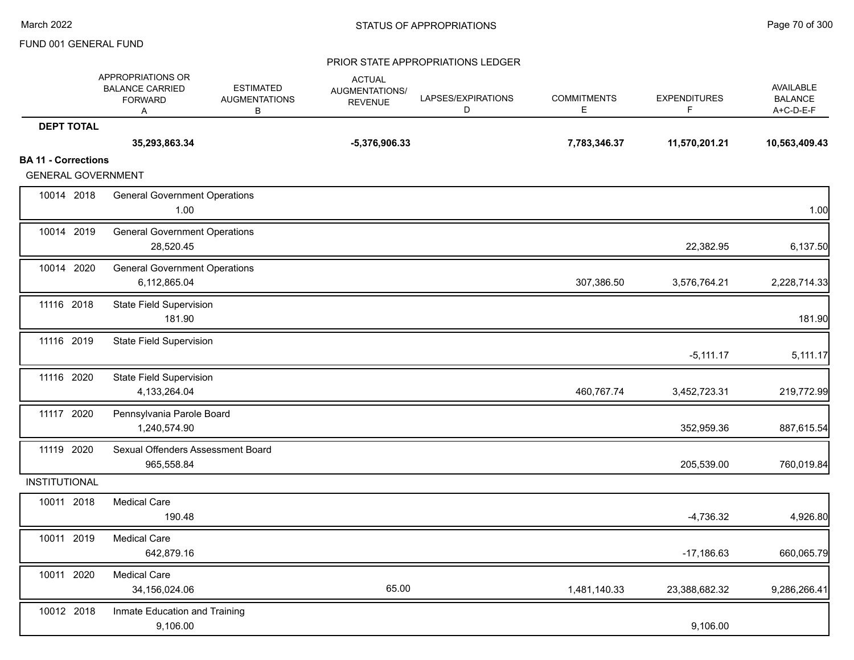|                                                         | APPROPRIATIONS OR<br><b>BALANCE CARRIED</b><br><b>FORWARD</b><br>Α | <b>ESTIMATED</b><br><b>AUGMENTATIONS</b><br>В | <b>ACTUAL</b><br>AUGMENTATIONS/<br><b>REVENUE</b> | LAPSES/EXPIRATIONS<br>D | <b>COMMITMENTS</b><br>E | <b>EXPENDITURES</b><br>F | AVAILABLE<br><b>BALANCE</b><br>A+C-D-E-F |
|---------------------------------------------------------|--------------------------------------------------------------------|-----------------------------------------------|---------------------------------------------------|-------------------------|-------------------------|--------------------------|------------------------------------------|
| <b>DEPT TOTAL</b>                                       |                                                                    |                                               |                                                   |                         |                         |                          |                                          |
|                                                         | 35,293,863.34                                                      |                                               | $-5,376,906.33$                                   |                         | 7,783,346.37            | 11,570,201.21            | 10,563,409.43                            |
| <b>BA 11 - Corrections</b><br><b>GENERAL GOVERNMENT</b> |                                                                    |                                               |                                                   |                         |                         |                          |                                          |
| 10014 2018                                              | <b>General Government Operations</b><br>1.00                       |                                               |                                                   |                         |                         |                          | 1.00                                     |
| 10014 2019                                              | <b>General Government Operations</b><br>28,520.45                  |                                               |                                                   |                         |                         | 22,382.95                | 6,137.50                                 |
| 10014 2020                                              | <b>General Government Operations</b><br>6,112,865.04               |                                               |                                                   |                         | 307,386.50              | 3,576,764.21             | 2,228,714.33                             |
| 11116 2018                                              | <b>State Field Supervision</b><br>181.90                           |                                               |                                                   |                         |                         |                          | 181.90                                   |
| 11116 2019                                              | <b>State Field Supervision</b>                                     |                                               |                                                   |                         |                         | $-5,111.17$              | 5,111.17                                 |
| 11116 2020                                              | <b>State Field Supervision</b><br>4,133,264.04                     |                                               |                                                   |                         | 460,767.74              | 3,452,723.31             | 219,772.99                               |
| 11117 2020                                              | Pennsylvania Parole Board<br>1,240,574.90                          |                                               |                                                   |                         |                         | 352,959.36               | 887,615.54                               |
| 11119 2020                                              | Sexual Offenders Assessment Board<br>965,558.84                    |                                               |                                                   |                         |                         | 205,539.00               | 760,019.84                               |
| INSTITUTIONAL                                           |                                                                    |                                               |                                                   |                         |                         |                          |                                          |
| 10011 2018                                              | <b>Medical Care</b><br>190.48                                      |                                               |                                                   |                         |                         | $-4,736.32$              | 4,926.80                                 |
| 10011 2019                                              | <b>Medical Care</b><br>642,879.16                                  |                                               |                                                   |                         |                         | $-17,186.63$             | 660,065.79                               |
| 10011 2020                                              | <b>Medical Care</b><br>34,156,024.06                               |                                               | 65.00                                             |                         | 1,481,140.33            | 23,388,682.32            | 9,286,266.41                             |
| 10012 2018                                              | Inmate Education and Training<br>9,106.00                          |                                               |                                                   |                         |                         | 9,106.00                 |                                          |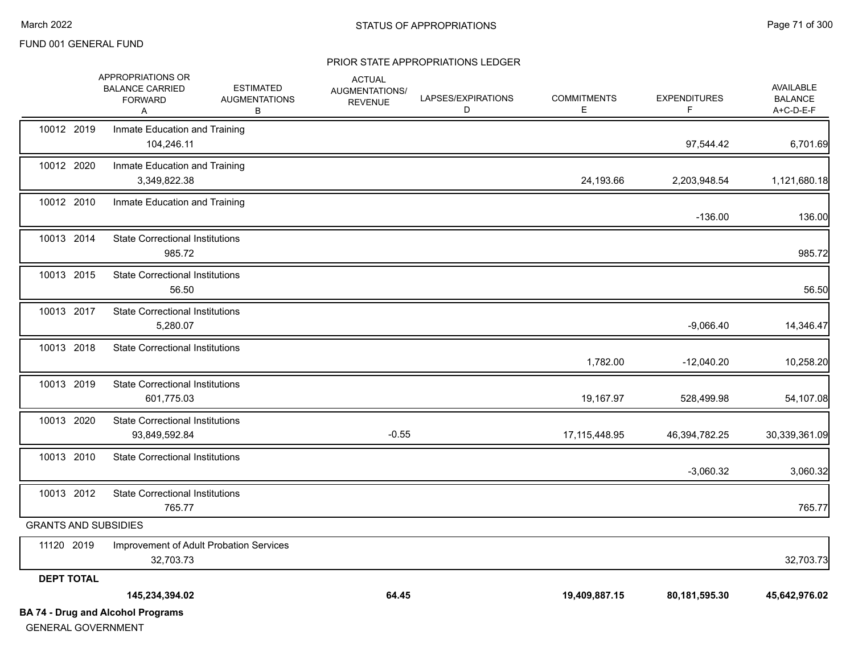|                             | <b>BA 74 - Drug and Alcohol Programs</b>                           |                                               |                                                   |                         |                         |                          |                                                 |
|-----------------------------|--------------------------------------------------------------------|-----------------------------------------------|---------------------------------------------------|-------------------------|-------------------------|--------------------------|-------------------------------------------------|
|                             | 145,234,394.02                                                     |                                               | 64.45                                             |                         | 19,409,887.15           | 80,181,595.30            | 45,642,976.02                                   |
| <b>DEPT TOTAL</b>           |                                                                    |                                               |                                                   |                         |                         |                          |                                                 |
| 11120 2019                  | Improvement of Adult Probation Services<br>32,703.73               |                                               |                                                   |                         |                         |                          | 32,703.73                                       |
| <b>GRANTS AND SUBSIDIES</b> |                                                                    |                                               |                                                   |                         |                         |                          |                                                 |
| 10013 2012                  | <b>State Correctional Institutions</b><br>765.77                   |                                               |                                                   |                         |                         |                          | 765.77                                          |
| 10013 2010                  | <b>State Correctional Institutions</b>                             |                                               |                                                   |                         |                         | $-3,060.32$              | 3,060.32                                        |
| 10013 2020                  | <b>State Correctional Institutions</b><br>93,849,592.84            |                                               | $-0.55$                                           |                         | 17,115,448.95           | 46,394,782.25            | 30,339,361.09                                   |
| 10013 2019                  | <b>State Correctional Institutions</b><br>601,775.03               |                                               |                                                   |                         | 19,167.97               | 528,499.98               | 54,107.08                                       |
| 10013 2018                  | <b>State Correctional Institutions</b>                             |                                               |                                                   |                         | 1,782.00                | $-12,040.20$             | 10,258.20                                       |
| 10013 2017                  | <b>State Correctional Institutions</b><br>5,280.07                 |                                               |                                                   |                         |                         | $-9,066.40$              | 14,346.47                                       |
| 10013 2015                  | <b>State Correctional Institutions</b><br>56.50                    |                                               |                                                   |                         |                         |                          | 56.50                                           |
| 10013 2014                  | <b>State Correctional Institutions</b><br>985.72                   |                                               |                                                   |                         |                         |                          | 985.72                                          |
| 10012 2010                  | Inmate Education and Training                                      |                                               |                                                   |                         |                         | $-136.00$                | 136.00                                          |
| 10012 2020                  | Inmate Education and Training<br>3,349,822.38                      |                                               |                                                   |                         | 24,193.66               | 2,203,948.54             | 1,121,680.18                                    |
| 10012 2019                  | Inmate Education and Training<br>104,246.11                        |                                               |                                                   |                         |                         | 97,544.42                | 6,701.69                                        |
|                             | APPROPRIATIONS OR<br><b>BALANCE CARRIED</b><br><b>FORWARD</b><br>A | <b>ESTIMATED</b><br><b>AUGMENTATIONS</b><br>В | <b>ACTUAL</b><br>AUGMENTATIONS/<br><b>REVENUE</b> | LAPSES/EXPIRATIONS<br>D | <b>COMMITMENTS</b><br>Е | <b>EXPENDITURES</b><br>F | <b>AVAILABLE</b><br><b>BALANCE</b><br>A+C-D-E-F |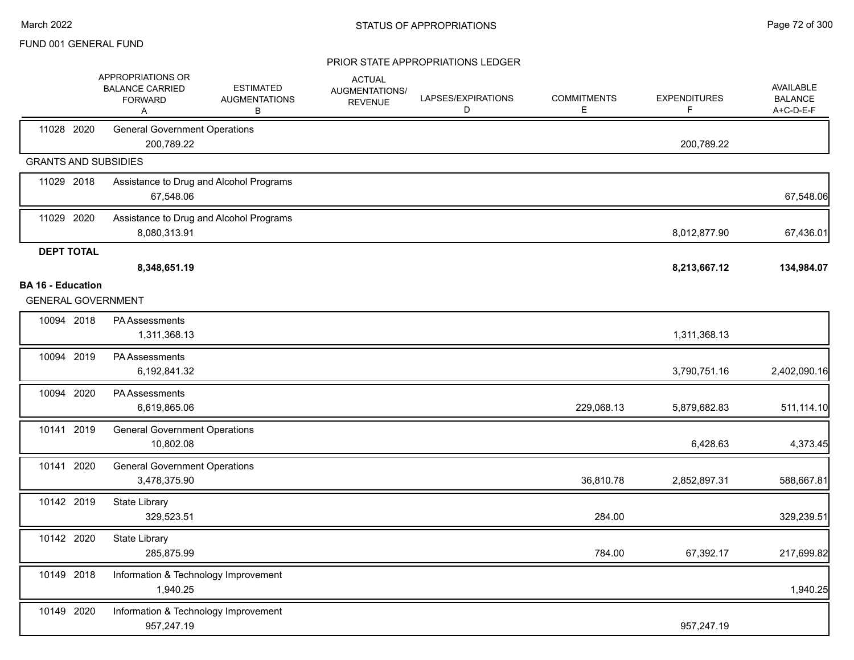|                             | APPROPRIATIONS OR<br><b>BALANCE CARRIED</b><br><b>FORWARD</b><br>Α | <b>ESTIMATED</b><br><b>AUGMENTATIONS</b><br>В | <b>ACTUAL</b><br>AUGMENTATIONS/<br><b>REVENUE</b> | LAPSES/EXPIRATIONS<br>D | <b>COMMITMENTS</b><br>Ε | <b>EXPENDITURES</b><br>F | AVAILABLE<br><b>BALANCE</b><br>A+C-D-E-F |
|-----------------------------|--------------------------------------------------------------------|-----------------------------------------------|---------------------------------------------------|-------------------------|-------------------------|--------------------------|------------------------------------------|
| 11028 2020                  | <b>General Government Operations</b><br>200,789.22                 |                                               |                                                   |                         |                         | 200,789.22               |                                          |
| <b>GRANTS AND SUBSIDIES</b> |                                                                    |                                               |                                                   |                         |                         |                          |                                          |
| 11029 2018                  | 67,548.06                                                          | Assistance to Drug and Alcohol Programs       |                                                   |                         |                         |                          | 67,548.06                                |
| 11029 2020                  | 8,080,313.91                                                       | Assistance to Drug and Alcohol Programs       |                                                   |                         |                         | 8,012,877.90             | 67,436.01                                |
| <b>DEPT TOTAL</b>           |                                                                    |                                               |                                                   |                         |                         |                          |                                          |
|                             | 8,348,651.19                                                       |                                               |                                                   |                         |                         | 8,213,667.12             | 134,984.07                               |
| <b>BA 16 - Education</b>    | <b>GENERAL GOVERNMENT</b>                                          |                                               |                                                   |                         |                         |                          |                                          |
|                             | PA Assessments                                                     |                                               |                                                   |                         |                         |                          |                                          |
| 10094 2018                  | 1,311,368.13                                                       |                                               |                                                   |                         |                         | 1,311,368.13             |                                          |
| 10094 2019                  | PA Assessments<br>6,192,841.32                                     |                                               |                                                   |                         |                         | 3,790,751.16             | 2,402,090.16                             |
| 10094 2020                  | PA Assessments<br>6,619,865.06                                     |                                               |                                                   |                         | 229,068.13              | 5,879,682.83             | 511,114.10                               |
| 10141 2019                  | <b>General Government Operations</b><br>10,802.08                  |                                               |                                                   |                         |                         | 6,428.63                 | 4,373.45                                 |
| 10141 2020                  | <b>General Government Operations</b><br>3,478,375.90               |                                               |                                                   |                         | 36,810.78               | 2,852,897.31             | 588,667.81                               |
| 10142 2019                  | <b>State Library</b><br>329,523.51                                 |                                               |                                                   |                         | 284.00                  |                          | 329,239.51                               |
| 10142 2020                  | State Library<br>285,875.99                                        |                                               |                                                   |                         | 784.00                  | 67,392.17                | 217,699.82                               |
| 10149 2018                  | 1,940.25                                                           | Information & Technology Improvement          |                                                   |                         |                         |                          | 1,940.25                                 |
| 10149 2020                  | 957,247.19                                                         | Information & Technology Improvement          |                                                   |                         |                         | 957,247.19               |                                          |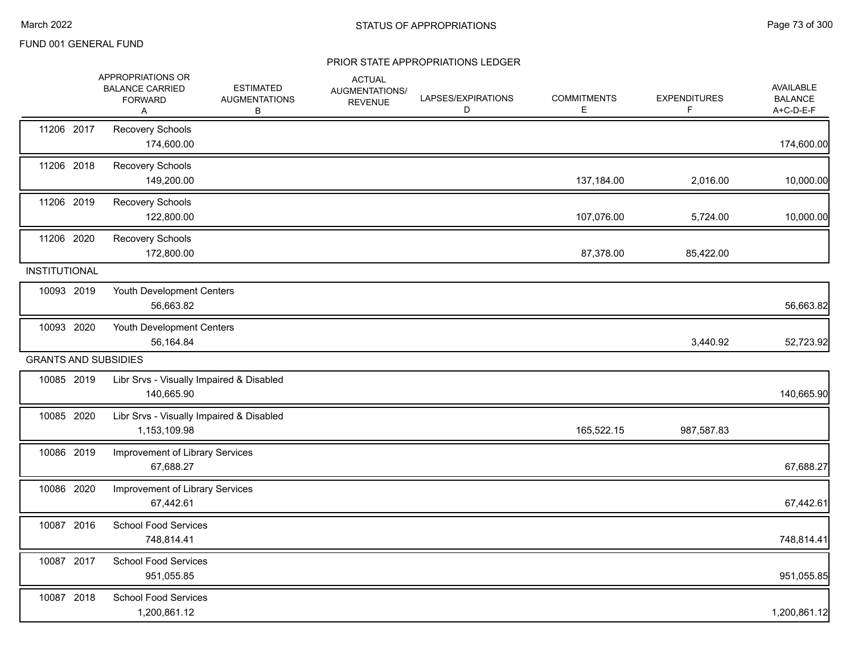|                      | APPROPRIATIONS OR<br><b>BALANCE CARRIED</b><br><b>FORWARD</b><br>Α | <b>ESTIMATED</b><br><b>AUGMENTATIONS</b><br>В | <b>ACTUAL</b><br><b>AUGMENTATIONS/</b><br><b>REVENUE</b> | LAPSES/EXPIRATIONS<br>D | <b>COMMITMENTS</b><br>Е | <b>EXPENDITURES</b><br>F. | AVAILABLE<br><b>BALANCE</b><br>A+C-D-E-F |
|----------------------|--------------------------------------------------------------------|-----------------------------------------------|----------------------------------------------------------|-------------------------|-------------------------|---------------------------|------------------------------------------|
| 11206 2017           | Recovery Schools<br>174,600.00                                     |                                               |                                                          |                         |                         |                           | 174,600.00                               |
| 11206 2018           | Recovery Schools<br>149,200.00                                     |                                               |                                                          |                         | 137,184.00              | 2,016.00                  | 10,000.00                                |
| 11206 2019           | Recovery Schools<br>122,800.00                                     |                                               |                                                          |                         | 107,076.00              | 5,724.00                  | 10,000.00                                |
| 11206 2020           | Recovery Schools<br>172,800.00                                     |                                               |                                                          |                         | 87,378.00               | 85,422.00                 |                                          |
| <b>INSTITUTIONAL</b> |                                                                    |                                               |                                                          |                         |                         |                           |                                          |
| 10093 2019           | Youth Development Centers<br>56,663.82                             |                                               |                                                          |                         |                         |                           | 56,663.82                                |
| 10093 2020           | Youth Development Centers<br>56,164.84                             |                                               |                                                          |                         |                         | 3,440.92                  | 52,723.92                                |
|                      | <b>GRANTS AND SUBSIDIES</b>                                        |                                               |                                                          |                         |                         |                           |                                          |
| 10085 2019           | Libr Srvs - Visually Impaired & Disabled<br>140,665.90             |                                               |                                                          |                         |                         |                           | 140,665.90                               |
| 10085 2020           | Libr Srvs - Visually Impaired & Disabled<br>1,153,109.98           |                                               |                                                          |                         | 165,522.15              | 987,587.83                |                                          |
| 10086 2019           | Improvement of Library Services<br>67,688.27                       |                                               |                                                          |                         |                         |                           | 67,688.27                                |
| 10086 2020           | Improvement of Library Services<br>67,442.61                       |                                               |                                                          |                         |                         |                           | 67,442.61                                |
| 10087 2016           | <b>School Food Services</b><br>748,814.41                          |                                               |                                                          |                         |                         |                           | 748,814.41                               |
| 10087 2017           | <b>School Food Services</b><br>951,055.85                          |                                               |                                                          |                         |                         |                           | 951,055.85                               |
| 10087 2018           | <b>School Food Services</b><br>1,200,861.12                        |                                               |                                                          |                         |                         |                           | 1,200,861.12                             |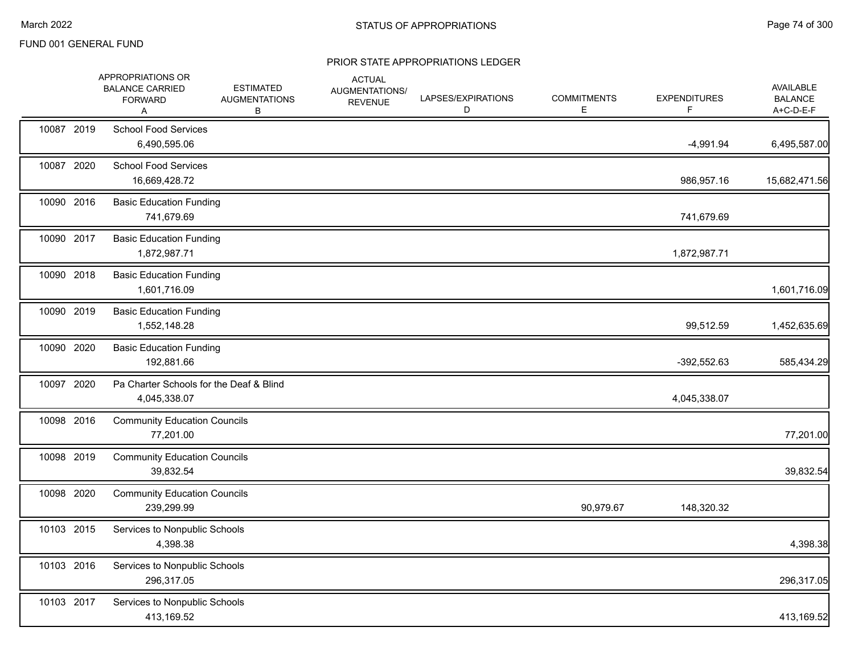|            | APPROPRIATIONS OR<br><b>BALANCE CARRIED</b><br><b>FORWARD</b><br>A |              | <b>ESTIMATED</b><br><b>AUGMENTATIONS</b><br>В | <b>ACTUAL</b><br>AUGMENTATIONS/<br><b>REVENUE</b> | LAPSES/EXPIRATIONS<br>D | <b>COMMITMENTS</b><br>Е | <b>EXPENDITURES</b><br>F. | AVAILABLE<br><b>BALANCE</b><br>A+C-D-E-F |
|------------|--------------------------------------------------------------------|--------------|-----------------------------------------------|---------------------------------------------------|-------------------------|-------------------------|---------------------------|------------------------------------------|
| 10087 2019 | <b>School Food Services</b><br>6,490,595.06                        |              |                                               |                                                   |                         |                         | $-4,991.94$               | 6,495,587.00                             |
| 10087 2020 | <b>School Food Services</b><br>16,669,428.72                       |              |                                               |                                                   |                         |                         | 986,957.16                | 15,682,471.56                            |
| 10090 2016 | <b>Basic Education Funding</b>                                     | 741,679.69   |                                               |                                                   |                         |                         | 741,679.69                |                                          |
| 10090 2017 | <b>Basic Education Funding</b><br>1,872,987.71                     |              |                                               |                                                   |                         |                         | 1,872,987.71              |                                          |
| 10090 2018 | <b>Basic Education Funding</b>                                     | 1,601,716.09 |                                               |                                                   |                         |                         |                           | 1,601,716.09                             |
| 10090 2019 | <b>Basic Education Funding</b>                                     | 1,552,148.28 |                                               |                                                   |                         |                         | 99,512.59                 | 1,452,635.69                             |
| 10090 2020 | <b>Basic Education Funding</b>                                     | 192,881.66   |                                               |                                                   |                         |                         | -392,552.63               | 585,434.29                               |
| 10097 2020 | 4,045,338.07                                                       |              | Pa Charter Schools for the Deaf & Blind       |                                                   |                         |                         | 4,045,338.07              |                                          |
| 10098 2016 | <b>Community Education Councils</b>                                | 77,201.00    |                                               |                                                   |                         |                         |                           | 77,201.00                                |
| 10098 2019 | <b>Community Education Councils</b>                                | 39,832.54    |                                               |                                                   |                         |                         |                           | 39,832.54                                |
| 10098 2020 | <b>Community Education Councils</b>                                | 239,299.99   |                                               |                                                   |                         | 90,979.67               | 148,320.32                |                                          |
| 10103 2015 | Services to Nonpublic Schools                                      | 4,398.38     |                                               |                                                   |                         |                         |                           | 4,398.38                                 |
| 10103 2016 | Services to Nonpublic Schools                                      | 296,317.05   |                                               |                                                   |                         |                         |                           | 296,317.05                               |
| 10103 2017 | Services to Nonpublic Schools                                      | 413,169.52   |                                               |                                                   |                         |                         |                           | 413,169.52                               |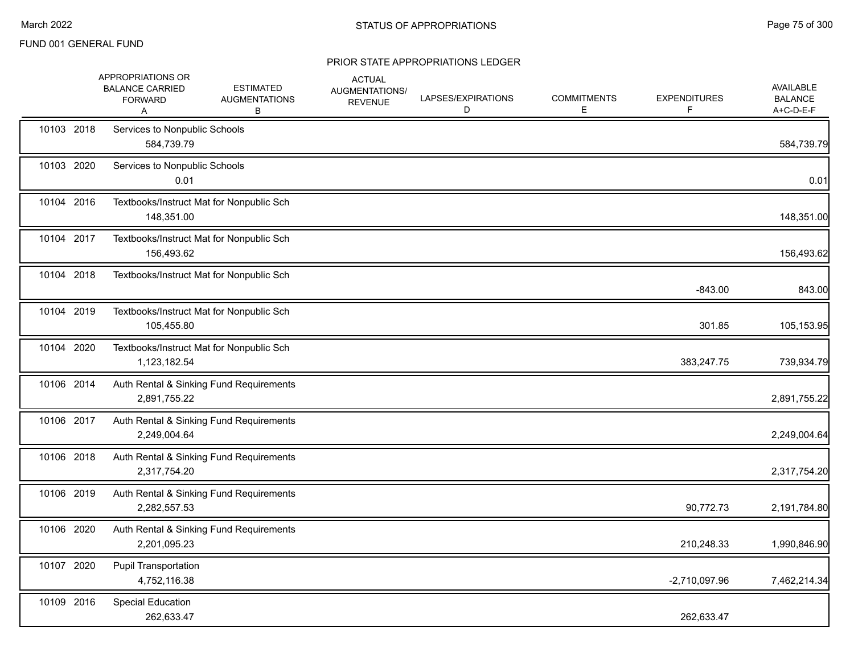|            | APPROPRIATIONS OR<br><b>BALANCE CARRIED</b><br><b>FORWARD</b><br>Α | <b>ESTIMATED</b><br><b>AUGMENTATIONS</b><br>B | <b>ACTUAL</b><br>AUGMENTATIONS/<br><b>REVENUE</b> | LAPSES/EXPIRATIONS<br>D | <b>COMMITMENTS</b><br>E. | <b>EXPENDITURES</b> | <b>AVAILABLE</b><br><b>BALANCE</b><br>A+C-D-E-F |
|------------|--------------------------------------------------------------------|-----------------------------------------------|---------------------------------------------------|-------------------------|--------------------------|---------------------|-------------------------------------------------|
| 10103 2018 | Services to Nonpublic Schools<br>584,739.79                        |                                               |                                                   |                         |                          |                     | 584,739.79                                      |
| 10103 2020 | Services to Nonpublic Schools<br>0.01                              |                                               |                                                   |                         |                          |                     | 0.01                                            |
| 10104 2016 | 148,351.00                                                         | Textbooks/Instruct Mat for Nonpublic Sch      |                                                   |                         |                          |                     | 148,351.00                                      |
| 10104 2017 | 156,493.62                                                         | Textbooks/Instruct Mat for Nonpublic Sch      |                                                   |                         |                          |                     | 156,493.62                                      |
| 10104 2018 |                                                                    | Textbooks/Instruct Mat for Nonpublic Sch      |                                                   |                         |                          | $-843.00$           | 843.00                                          |
| 10104 2019 | 105,455.80                                                         | Textbooks/Instruct Mat for Nonpublic Sch      |                                                   |                         |                          | 301.85              | 105,153.95                                      |
| 10104 2020 | 1,123,182.54                                                       | Textbooks/Instruct Mat for Nonpublic Sch      |                                                   |                         |                          | 383,247.75          | 739,934.79                                      |
| 10106 2014 | 2,891,755.22                                                       | Auth Rental & Sinking Fund Requirements       |                                                   |                         |                          |                     | 2,891,755.22                                    |
| 10106 2017 | 2,249,004.64                                                       | Auth Rental & Sinking Fund Requirements       |                                                   |                         |                          |                     | 2,249,004.64                                    |
| 10106 2018 | 2,317,754.20                                                       | Auth Rental & Sinking Fund Requirements       |                                                   |                         |                          |                     | 2,317,754.20                                    |
| 10106 2019 | 2,282,557.53                                                       | Auth Rental & Sinking Fund Requirements       |                                                   |                         |                          | 90,772.73           | 2,191,784.80                                    |
| 10106 2020 | 2,201,095.23                                                       | Auth Rental & Sinking Fund Requirements       |                                                   |                         |                          | 210,248.33          | 1,990,846.90                                    |
| 10107 2020 | <b>Pupil Transportation</b><br>4,752,116.38                        |                                               |                                                   |                         |                          | $-2,710,097.96$     | 7,462,214.34                                    |
| 10109 2016 | <b>Special Education</b><br>262,633.47                             |                                               |                                                   |                         |                          | 262,633.47          |                                                 |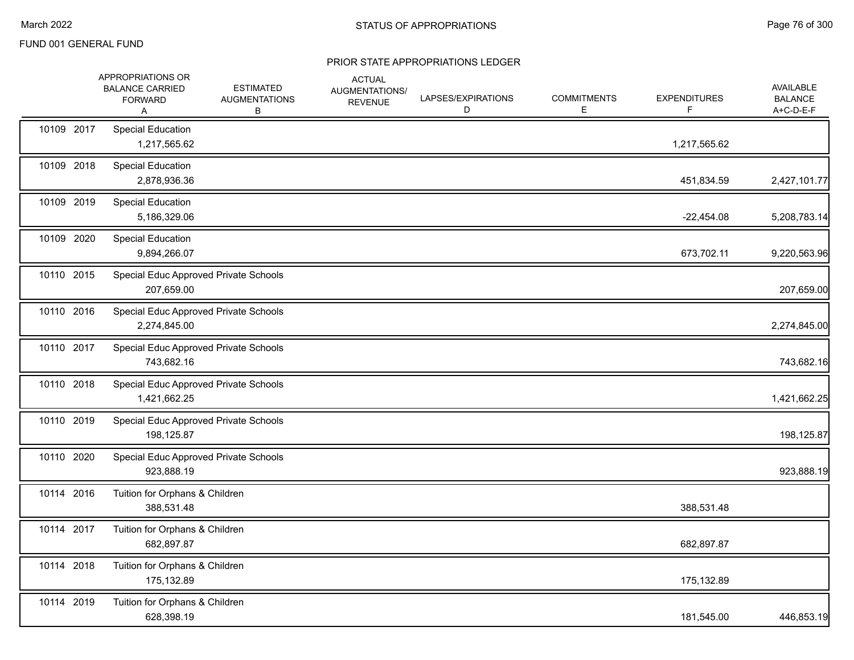|            | APPROPRIATIONS OR<br><b>BALANCE CARRIED</b><br><b>FORWARD</b><br>A | <b>ESTIMATED</b><br><b>AUGMENTATIONS</b><br>В | <b>ACTUAL</b><br><b>AUGMENTATIONS/</b><br><b>REVENUE</b> | LAPSES/EXPIRATIONS<br>D | <b>COMMITMENTS</b><br>E | <b>EXPENDITURES</b><br>F. | AVAILABLE<br><b>BALANCE</b><br>A+C-D-E-F |
|------------|--------------------------------------------------------------------|-----------------------------------------------|----------------------------------------------------------|-------------------------|-------------------------|---------------------------|------------------------------------------|
| 10109 2017 | Special Education<br>1,217,565.62                                  |                                               |                                                          |                         |                         | 1,217,565.62              |                                          |
| 10109 2018 | <b>Special Education</b><br>2,878,936.36                           |                                               |                                                          |                         |                         | 451,834.59                | 2,427,101.77                             |
| 10109 2019 | <b>Special Education</b><br>5,186,329.06                           |                                               |                                                          |                         |                         | $-22,454.08$              | 5,208,783.14                             |
| 10109 2020 | <b>Special Education</b><br>9,894,266.07                           |                                               |                                                          |                         |                         | 673,702.11                | 9,220,563.96                             |
| 10110 2015 | Special Educ Approved Private Schools<br>207,659.00                |                                               |                                                          |                         |                         |                           | 207,659.00                               |
| 10110 2016 | Special Educ Approved Private Schools<br>2,274,845.00              |                                               |                                                          |                         |                         |                           | 2,274,845.00                             |
| 10110 2017 | Special Educ Approved Private Schools<br>743,682.16                |                                               |                                                          |                         |                         |                           | 743,682.16                               |
| 10110 2018 | Special Educ Approved Private Schools<br>1,421,662.25              |                                               |                                                          |                         |                         |                           | 1,421,662.25                             |
| 10110 2019 | Special Educ Approved Private Schools<br>198,125.87                |                                               |                                                          |                         |                         |                           | 198,125.87                               |
| 10110 2020 | Special Educ Approved Private Schools<br>923,888.19                |                                               |                                                          |                         |                         |                           | 923,888.19                               |
| 10114 2016 | Tuition for Orphans & Children<br>388,531.48                       |                                               |                                                          |                         |                         | 388,531.48                |                                          |
| 10114 2017 | Tuition for Orphans & Children<br>682,897.87                       |                                               |                                                          |                         |                         | 682,897.87                |                                          |
| 10114 2018 | Tuition for Orphans & Children<br>175,132.89                       |                                               |                                                          |                         |                         | 175,132.89                |                                          |
| 10114 2019 | Tuition for Orphans & Children<br>628,398.19                       |                                               |                                                          |                         |                         | 181,545.00                | 446,853.19                               |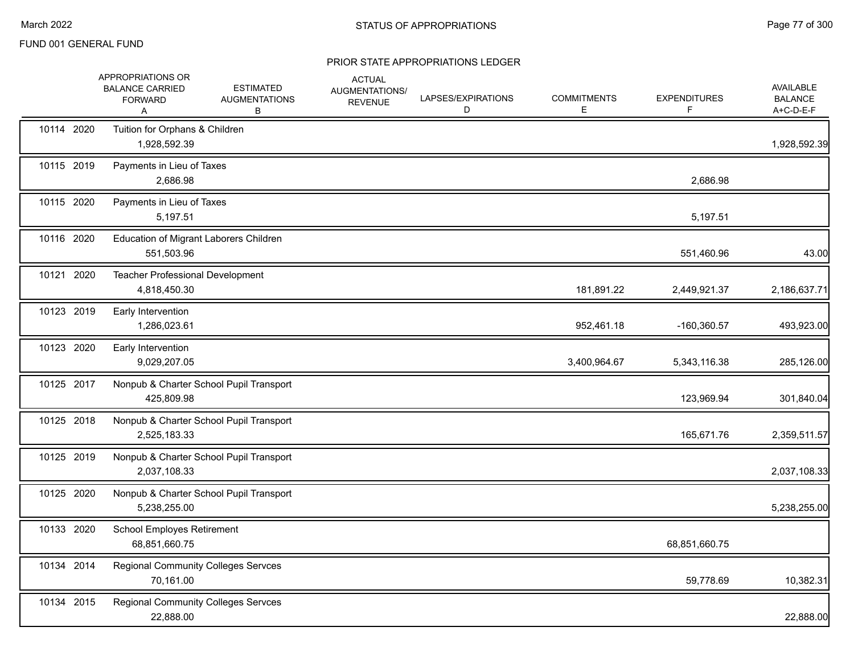|            | APPROPRIATIONS OR<br><b>BALANCE CARRIED</b><br><b>FORWARD</b><br>Α | <b>ESTIMATED</b><br><b>AUGMENTATIONS</b><br>В | <b>ACTUAL</b><br>AUGMENTATIONS/<br><b>REVENUE</b> | LAPSES/EXPIRATIONS<br>D | <b>COMMITMENTS</b><br>Е | <b>EXPENDITURES</b><br>F | <b>AVAILABLE</b><br><b>BALANCE</b><br>A+C-D-E-F |
|------------|--------------------------------------------------------------------|-----------------------------------------------|---------------------------------------------------|-------------------------|-------------------------|--------------------------|-------------------------------------------------|
| 10114 2020 | Tuition for Orphans & Children<br>1,928,592.39                     |                                               |                                                   |                         |                         |                          | 1,928,592.39                                    |
| 10115 2019 | Payments in Lieu of Taxes<br>2,686.98                              |                                               |                                                   |                         |                         | 2,686.98                 |                                                 |
| 10115 2020 | Payments in Lieu of Taxes<br>5,197.51                              |                                               |                                                   |                         |                         | 5,197.51                 |                                                 |
| 10116 2020 | Education of Migrant Laborers Children<br>551,503.96               |                                               |                                                   |                         |                         | 551,460.96               | 43.00                                           |
| 10121 2020 | Teacher Professional Development<br>4,818,450.30                   |                                               |                                                   |                         | 181,891.22              | 2,449,921.37             | 2,186,637.71                                    |
| 10123 2019 | Early Intervention<br>1,286,023.61                                 |                                               |                                                   |                         | 952,461.18              | $-160,360.57$            | 493,923.00                                      |
| 10123 2020 | Early Intervention<br>9,029,207.05                                 |                                               |                                                   |                         | 3,400,964.67            | 5,343,116.38             | 285,126.00                                      |
| 10125 2017 | 425,809.98                                                         | Nonpub & Charter School Pupil Transport       |                                                   |                         |                         | 123,969.94               | 301,840.04                                      |
| 10125 2018 | 2,525,183.33                                                       | Nonpub & Charter School Pupil Transport       |                                                   |                         |                         | 165,671.76               | 2,359,511.57                                    |
| 10125 2019 | 2,037,108.33                                                       | Nonpub & Charter School Pupil Transport       |                                                   |                         |                         |                          | 2,037,108.33                                    |
| 10125 2020 | 5,238,255.00                                                       | Nonpub & Charter School Pupil Transport       |                                                   |                         |                         |                          | 5,238,255.00                                    |
| 10133 2020 | <b>School Employes Retirement</b><br>68,851,660.75                 |                                               |                                                   |                         |                         | 68,851,660.75            |                                                 |
| 10134 2014 | <b>Regional Community Colleges Servces</b><br>70,161.00            |                                               |                                                   |                         |                         | 59,778.69                | 10,382.31                                       |
| 10134 2015 | <b>Regional Community Colleges Servces</b><br>22,888.00            |                                               |                                                   |                         |                         |                          | 22,888.00                                       |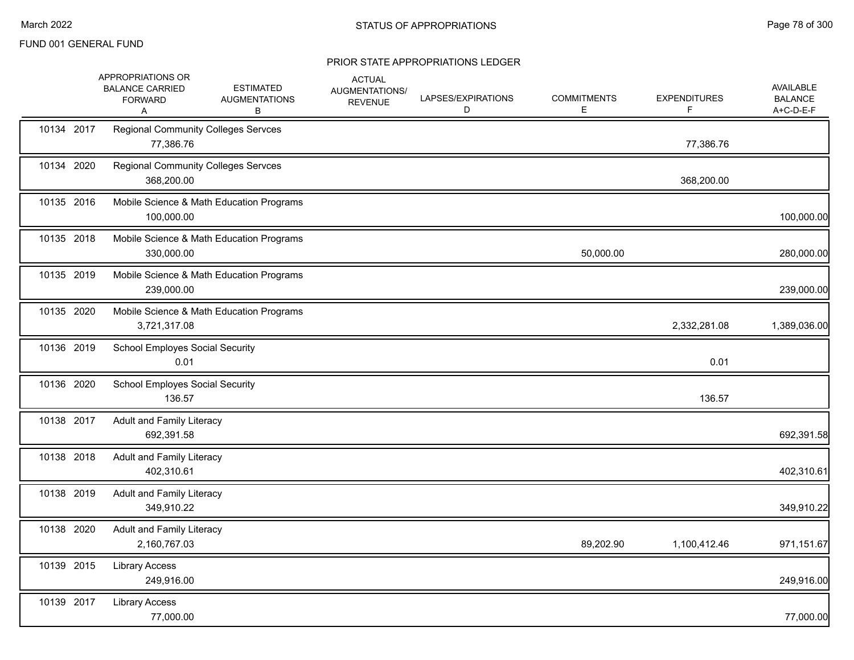|            | APPROPRIATIONS OR<br><b>BALANCE CARRIED</b><br><b>FORWARD</b><br>A | <b>ESTIMATED</b><br><b>AUGMENTATIONS</b><br>в | <b>ACTUAL</b><br>AUGMENTATIONS/<br><b>REVENUE</b> | LAPSES/EXPIRATIONS<br>D | <b>COMMITMENTS</b><br>E | <b>EXPENDITURES</b><br>F. | AVAILABLE<br><b>BALANCE</b><br>A+C-D-E-F |
|------------|--------------------------------------------------------------------|-----------------------------------------------|---------------------------------------------------|-------------------------|-------------------------|---------------------------|------------------------------------------|
| 10134 2017 | <b>Regional Community Colleges Servces</b><br>77,386.76            |                                               |                                                   |                         |                         | 77,386.76                 |                                          |
| 10134 2020 | <b>Regional Community Colleges Servces</b><br>368,200.00           |                                               |                                                   |                         |                         | 368,200.00                |                                          |
| 10135 2016 | 100,000.00                                                         | Mobile Science & Math Education Programs      |                                                   |                         |                         |                           | 100,000.00                               |
| 10135 2018 | 330,000.00                                                         | Mobile Science & Math Education Programs      |                                                   |                         | 50,000.00               |                           | 280,000.00                               |
| 10135 2019 | 239,000.00                                                         | Mobile Science & Math Education Programs      |                                                   |                         |                         |                           | 239,000.00                               |
| 10135 2020 | 3,721,317.08                                                       | Mobile Science & Math Education Programs      |                                                   |                         |                         | 2,332,281.08              | 1,389,036.00                             |
| 10136 2019 | <b>School Employes Social Security</b><br>0.01                     |                                               |                                                   |                         |                         | 0.01                      |                                          |
| 10136 2020 | <b>School Employes Social Security</b><br>136.57                   |                                               |                                                   |                         |                         | 136.57                    |                                          |
| 10138 2017 | Adult and Family Literacy<br>692,391.58                            |                                               |                                                   |                         |                         |                           | 692,391.58                               |
| 10138 2018 | <b>Adult and Family Literacy</b><br>402,310.61                     |                                               |                                                   |                         |                         |                           | 402,310.61                               |
| 10138 2019 | Adult and Family Literacy<br>349,910.22                            |                                               |                                                   |                         |                         |                           | 349,910.22                               |
| 10138 2020 | Adult and Family Literacy<br>2,160,767.03                          |                                               |                                                   |                         | 89,202.90               | 1,100,412.46              | 971,151.67                               |
| 10139 2015 | <b>Library Access</b><br>249,916.00                                |                                               |                                                   |                         |                         |                           | 249,916.00                               |
| 10139 2017 | <b>Library Access</b><br>77,000.00                                 |                                               |                                                   |                         |                         |                           | 77,000.00                                |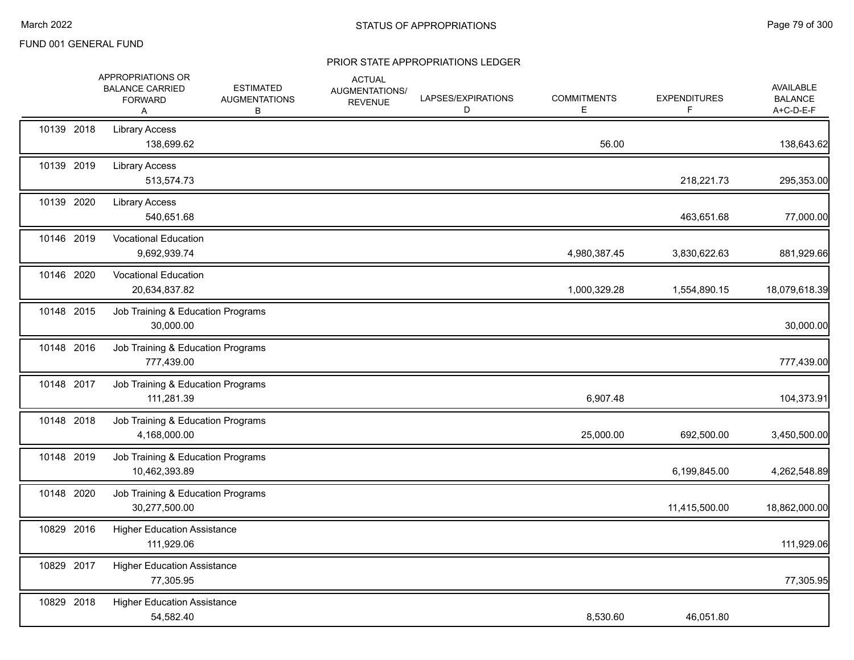|            | APPROPRIATIONS OR<br><b>BALANCE CARRIED</b><br><b>FORWARD</b><br>A | <b>ESTIMATED</b><br><b>AUGMENTATIONS</b><br>В | <b>ACTUAL</b><br><b>AUGMENTATIONS/</b><br><b>REVENUE</b> | LAPSES/EXPIRATIONS<br>D | <b>COMMITMENTS</b><br>E. | <b>EXPENDITURES</b><br>F | <b>AVAILABLE</b><br><b>BALANCE</b><br>A+C-D-E-F |
|------------|--------------------------------------------------------------------|-----------------------------------------------|----------------------------------------------------------|-------------------------|--------------------------|--------------------------|-------------------------------------------------|
| 10139 2018 | <b>Library Access</b><br>138,699.62                                |                                               |                                                          |                         | 56.00                    |                          | 138,643.62                                      |
| 10139 2019 | <b>Library Access</b><br>513,574.73                                |                                               |                                                          |                         |                          | 218,221.73               | 295,353.00                                      |
| 10139 2020 | <b>Library Access</b><br>540,651.68                                |                                               |                                                          |                         |                          | 463,651.68               | 77,000.00                                       |
| 10146 2019 | <b>Vocational Education</b><br>9,692,939.74                        |                                               |                                                          |                         | 4,980,387.45             | 3,830,622.63             | 881,929.66                                      |
| 10146 2020 | <b>Vocational Education</b><br>20,634,837.82                       |                                               |                                                          |                         | 1,000,329.28             | 1,554,890.15             | 18,079,618.39                                   |
| 10148 2015 | Job Training & Education Programs<br>30,000.00                     |                                               |                                                          |                         |                          |                          | 30,000.00                                       |
| 10148 2016 | Job Training & Education Programs<br>777,439.00                    |                                               |                                                          |                         |                          |                          | 777,439.00                                      |
| 10148 2017 | Job Training & Education Programs<br>111,281.39                    |                                               |                                                          |                         | 6,907.48                 |                          | 104,373.91                                      |
| 10148 2018 | Job Training & Education Programs<br>4,168,000.00                  |                                               |                                                          |                         | 25,000.00                | 692,500.00               | 3,450,500.00                                    |
| 10148 2019 | Job Training & Education Programs<br>10,462,393.89                 |                                               |                                                          |                         |                          | 6,199,845.00             | 4,262,548.89                                    |
| 10148 2020 | Job Training & Education Programs<br>30,277,500.00                 |                                               |                                                          |                         |                          | 11,415,500.00            | 18,862,000.00                                   |
| 10829 2016 | <b>Higher Education Assistance</b><br>111,929.06                   |                                               |                                                          |                         |                          |                          | 111,929.06                                      |
| 10829 2017 | <b>Higher Education Assistance</b><br>77,305.95                    |                                               |                                                          |                         |                          |                          | 77,305.95                                       |
| 10829 2018 | <b>Higher Education Assistance</b><br>54,582.40                    |                                               |                                                          |                         | 8,530.60                 | 46,051.80                |                                                 |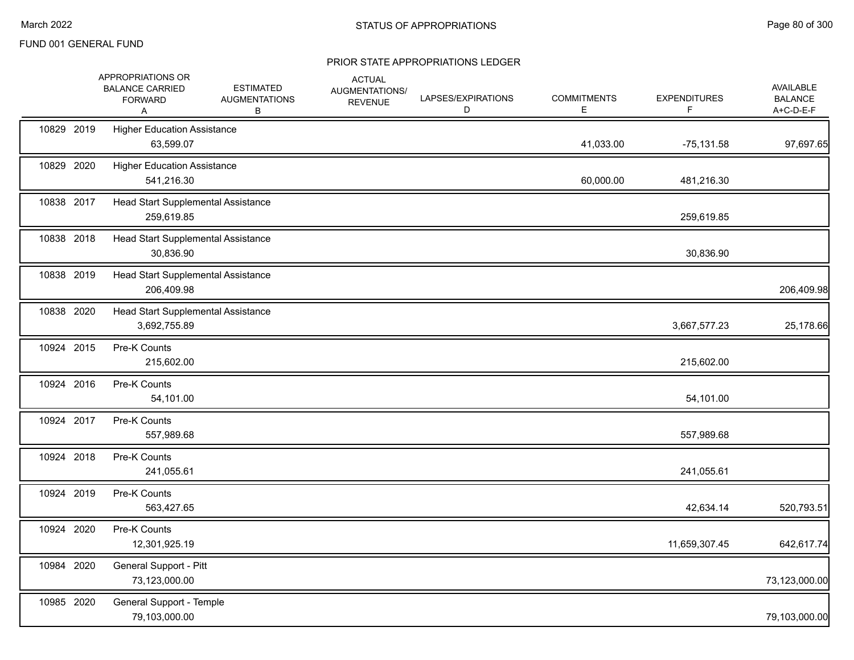|            | APPROPRIATIONS OR<br><b>BALANCE CARRIED</b><br><b>FORWARD</b><br>A | <b>ESTIMATED</b><br><b>AUGMENTATIONS</b><br>В | <b>ACTUAL</b><br>AUGMENTATIONS/<br><b>REVENUE</b> | LAPSES/EXPIRATIONS<br>D | <b>COMMITMENTS</b><br>Е | <b>EXPENDITURES</b><br>F. | AVAILABLE<br><b>BALANCE</b><br>A+C-D-E-F |
|------------|--------------------------------------------------------------------|-----------------------------------------------|---------------------------------------------------|-------------------------|-------------------------|---------------------------|------------------------------------------|
| 10829 2019 | <b>Higher Education Assistance</b><br>63,599.07                    |                                               |                                                   |                         | 41,033.00               | $-75,131.58$              | 97,697.65                                |
| 10829 2020 | <b>Higher Education Assistance</b><br>541,216.30                   |                                               |                                                   |                         | 60,000.00               | 481,216.30                |                                          |
| 10838 2017 | Head Start Supplemental Assistance<br>259,619.85                   |                                               |                                                   |                         |                         | 259,619.85                |                                          |
| 10838 2018 | Head Start Supplemental Assistance<br>30,836.90                    |                                               |                                                   |                         |                         | 30,836.90                 |                                          |
| 10838 2019 | Head Start Supplemental Assistance<br>206,409.98                   |                                               |                                                   |                         |                         |                           | 206,409.98                               |
| 10838 2020 | Head Start Supplemental Assistance<br>3,692,755.89                 |                                               |                                                   |                         |                         | 3,667,577.23              | 25,178.66                                |
| 10924 2015 | Pre-K Counts<br>215,602.00                                         |                                               |                                                   |                         |                         | 215,602.00                |                                          |
| 10924 2016 | Pre-K Counts<br>54,101.00                                          |                                               |                                                   |                         |                         | 54,101.00                 |                                          |
| 10924 2017 | Pre-K Counts<br>557,989.68                                         |                                               |                                                   |                         |                         | 557,989.68                |                                          |
| 10924 2018 | Pre-K Counts<br>241,055.61                                         |                                               |                                                   |                         |                         | 241,055.61                |                                          |
| 10924 2019 | Pre-K Counts<br>563,427.65                                         |                                               |                                                   |                         |                         | 42,634.14                 | 520,793.51                               |
| 10924 2020 | Pre-K Counts<br>12,301,925.19                                      |                                               |                                                   |                         |                         | 11,659,307.45             | 642,617.74                               |
| 10984 2020 | General Support - Pitt<br>73,123,000.00                            |                                               |                                                   |                         |                         |                           | 73,123,000.00                            |
| 10985 2020 | General Support - Temple<br>79,103,000.00                          |                                               |                                                   |                         |                         |                           | 79,103,000.00                            |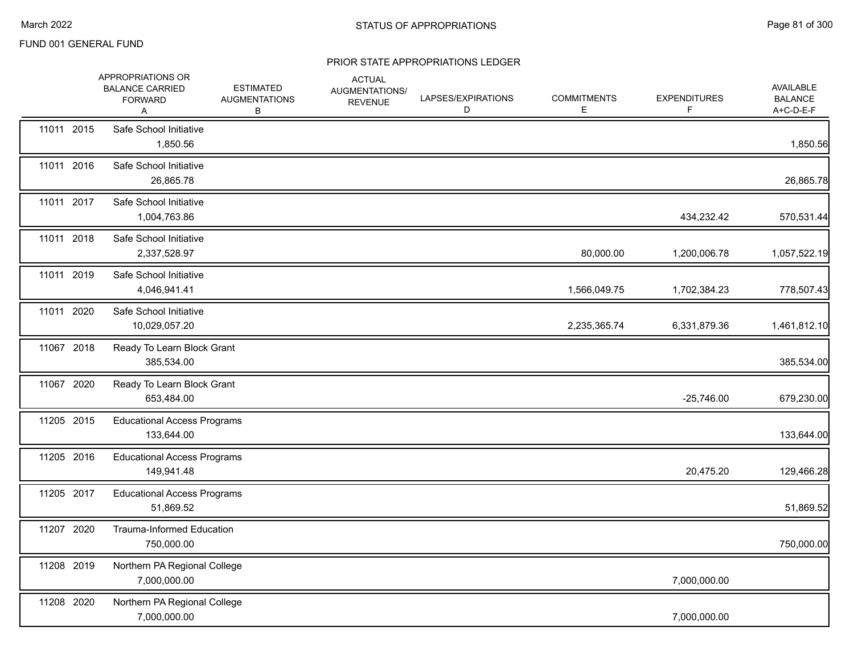|            | APPROPRIATIONS OR<br><b>BALANCE CARRIED</b><br><b>FORWARD</b><br>Α | <b>ESTIMATED</b><br><b>AUGMENTATIONS</b><br>В | <b>ACTUAL</b><br>AUGMENTATIONS/<br><b>REVENUE</b> | LAPSES/EXPIRATIONS<br>D | <b>COMMITMENTS</b><br>E | <b>EXPENDITURES</b><br>F | <b>AVAILABLE</b><br><b>BALANCE</b><br>A+C-D-E-F |
|------------|--------------------------------------------------------------------|-----------------------------------------------|---------------------------------------------------|-------------------------|-------------------------|--------------------------|-------------------------------------------------|
| 11011 2015 | Safe School Initiative<br>1,850.56                                 |                                               |                                                   |                         |                         |                          | 1,850.56                                        |
| 11011 2016 | Safe School Initiative<br>26,865.78                                |                                               |                                                   |                         |                         |                          | 26,865.78                                       |
| 11011 2017 | Safe School Initiative<br>1,004,763.86                             |                                               |                                                   |                         |                         | 434,232.42               | 570,531.44                                      |
| 11011 2018 | Safe School Initiative<br>2,337,528.97                             |                                               |                                                   |                         | 80,000.00               | 1,200,006.78             | 1,057,522.19                                    |
| 11011 2019 | Safe School Initiative<br>4,046,941.41                             |                                               |                                                   |                         | 1,566,049.75            | 1,702,384.23             | 778,507.43                                      |
| 11011 2020 | Safe School Initiative<br>10,029,057.20                            |                                               |                                                   |                         | 2,235,365.74            | 6,331,879.36             | 1,461,812.10                                    |
| 11067 2018 | Ready To Learn Block Grant<br>385,534.00                           |                                               |                                                   |                         |                         |                          | 385,534.00                                      |
| 11067 2020 | Ready To Learn Block Grant<br>653,484.00                           |                                               |                                                   |                         |                         | $-25,746.00$             | 679,230.00                                      |
| 11205 2015 | <b>Educational Access Programs</b><br>133,644.00                   |                                               |                                                   |                         |                         |                          | 133,644.00                                      |
| 11205 2016 | <b>Educational Access Programs</b><br>149,941.48                   |                                               |                                                   |                         |                         | 20,475.20                | 129,466.28                                      |
| 11205 2017 | <b>Educational Access Programs</b><br>51,869.52                    |                                               |                                                   |                         |                         |                          | 51,869.52                                       |
| 11207 2020 | Trauma-Informed Education<br>750,000.00                            |                                               |                                                   |                         |                         |                          | 750,000.00                                      |
| 11208 2019 | Northern PA Regional College<br>7,000,000.00                       |                                               |                                                   |                         |                         | 7,000,000.00             |                                                 |
| 11208 2020 | Northern PA Regional College<br>7,000,000.00                       |                                               |                                                   |                         |                         | 7,000,000.00             |                                                 |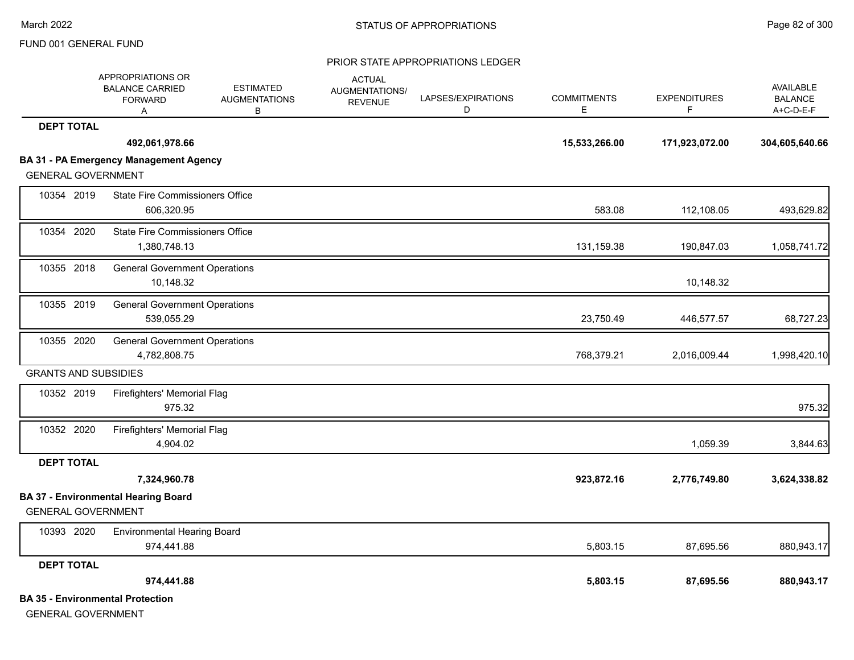|                             | APPROPRIATIONS OR<br><b>BALANCE CARRIED</b><br><b>FORWARD</b><br>Α | <b>ESTIMATED</b><br><b>AUGMENTATIONS</b><br>в | <b>ACTUAL</b><br>AUGMENTATIONS/<br><b>REVENUE</b> | LAPSES/EXPIRATIONS<br>D | <b>COMMITMENTS</b><br>E. | <b>EXPENDITURES</b><br>F. | <b>AVAILABLE</b><br><b>BALANCE</b><br>A+C-D-E-F |
|-----------------------------|--------------------------------------------------------------------|-----------------------------------------------|---------------------------------------------------|-------------------------|--------------------------|---------------------------|-------------------------------------------------|
| <b>DEPT TOTAL</b>           |                                                                    |                                               |                                                   |                         |                          |                           |                                                 |
|                             | 492,061,978.66                                                     |                                               |                                                   |                         | 15,533,266.00            | 171,923,072.00            | 304,605,640.66                                  |
|                             | <b>BA 31 - PA Emergency Management Agency</b>                      |                                               |                                                   |                         |                          |                           |                                                 |
| <b>GENERAL GOVERNMENT</b>   |                                                                    |                                               |                                                   |                         |                          |                           |                                                 |
| 10354 2019                  | <b>State Fire Commissioners Office</b><br>606,320.95               |                                               |                                                   |                         | 583.08                   | 112,108.05                | 493,629.82                                      |
| 10354 2020                  | <b>State Fire Commissioners Office</b><br>1,380,748.13             |                                               |                                                   |                         | 131,159.38               | 190,847.03                | 1,058,741.72                                    |
| 10355 2018                  | <b>General Government Operations</b><br>10,148.32                  |                                               |                                                   |                         |                          | 10,148.32                 |                                                 |
| 10355 2019                  | <b>General Government Operations</b><br>539,055.29                 |                                               |                                                   |                         | 23,750.49                | 446,577.57                | 68,727.23                                       |
| 10355 2020                  | <b>General Government Operations</b><br>4,782,808.75               |                                               |                                                   |                         | 768,379.21               | 2,016,009.44              | 1,998,420.10                                    |
| <b>GRANTS AND SUBSIDIES</b> |                                                                    |                                               |                                                   |                         |                          |                           |                                                 |
| 10352 2019                  | Firefighters' Memorial Flag<br>975.32                              |                                               |                                                   |                         |                          |                           | 975.32                                          |
| 10352 2020                  | Firefighters' Memorial Flag<br>4,904.02                            |                                               |                                                   |                         |                          | 1,059.39                  | 3,844.63                                        |
| <b>DEPT TOTAL</b>           |                                                                    |                                               |                                                   |                         |                          |                           |                                                 |
|                             | 7,324,960.78                                                       |                                               |                                                   |                         | 923,872.16               | 2,776,749.80              | 3,624,338.82                                    |
| <b>GENERAL GOVERNMENT</b>   | <b>BA 37 - Environmental Hearing Board</b>                         |                                               |                                                   |                         |                          |                           |                                                 |
| 10393 2020                  | <b>Environmental Hearing Board</b><br>974,441.88                   |                                               |                                                   |                         | 5,803.15                 | 87,695.56                 | 880,943.17                                      |
| <b>DEPT TOTAL</b>           |                                                                    |                                               |                                                   |                         |                          |                           |                                                 |
|                             | 974,441.88                                                         |                                               |                                                   |                         | 5,803.15                 | 87,695.56                 | 880,943.17                                      |
| <b>GENERAL GOVERNMENT</b>   | <b>BA 35 - Environmental Protection</b>                            |                                               |                                                   |                         |                          |                           |                                                 |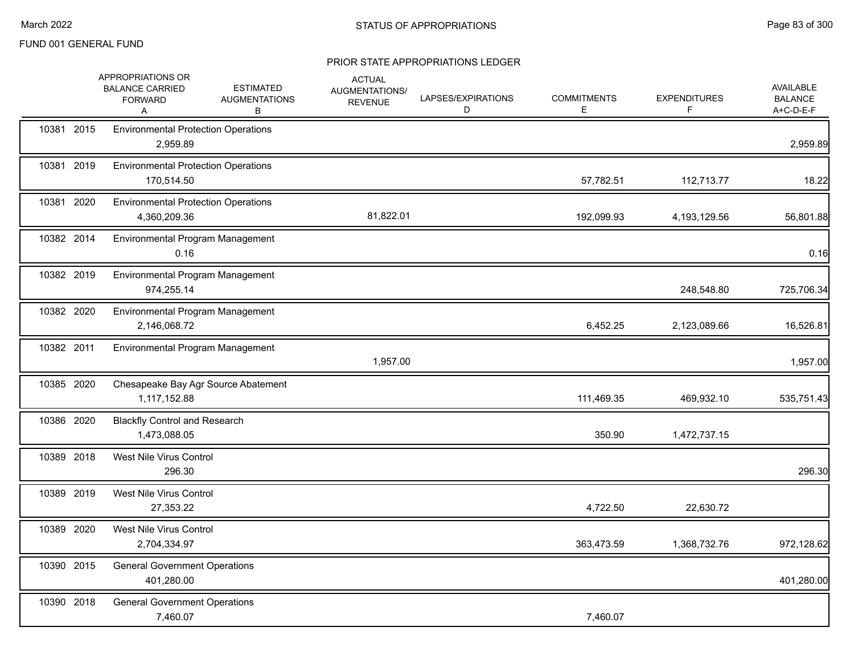|            | APPROPRIATIONS OR<br><b>BALANCE CARRIED</b><br><b>FORWARD</b><br>Α | <b>ESTIMATED</b><br><b>AUGMENTATIONS</b><br>в | <b>ACTUAL</b><br>AUGMENTATIONS/<br><b>REVENUE</b> | LAPSES/EXPIRATIONS<br>D | <b>COMMITMENTS</b><br>Е | <b>EXPENDITURES</b><br>F | <b>AVAILABLE</b><br><b>BALANCE</b><br>A+C-D-E-F |
|------------|--------------------------------------------------------------------|-----------------------------------------------|---------------------------------------------------|-------------------------|-------------------------|--------------------------|-------------------------------------------------|
| 10381 2015 | <b>Environmental Protection Operations</b><br>2,959.89             |                                               |                                                   |                         |                         |                          | 2,959.89                                        |
| 10381 2019 | <b>Environmental Protection Operations</b><br>170,514.50           |                                               |                                                   |                         | 57,782.51               | 112,713.77               | 18.22                                           |
| 10381 2020 | <b>Environmental Protection Operations</b><br>4,360,209.36         |                                               | 81,822.01                                         |                         | 192,099.93              | 4,193,129.56             | 56,801.88                                       |
| 10382 2014 | Environmental Program Management<br>0.16                           |                                               |                                                   |                         |                         |                          | 0.16                                            |
| 10382 2019 | Environmental Program Management<br>974,255.14                     |                                               |                                                   |                         |                         | 248,548.80               | 725,706.34                                      |
| 10382 2020 | Environmental Program Management<br>2,146,068.72                   |                                               |                                                   |                         | 6,452.25                | 2,123,089.66             | 16,526.81                                       |
| 10382 2011 | Environmental Program Management                                   |                                               | 1,957.00                                          |                         |                         |                          | 1,957.00                                        |
| 10385 2020 | 1,117,152.88                                                       | Chesapeake Bay Agr Source Abatement           |                                                   |                         | 111,469.35              | 469,932.10               | 535,751.43                                      |
| 10386 2020 | <b>Blackfly Control and Research</b><br>1,473,088.05               |                                               |                                                   |                         | 350.90                  | 1,472,737.15             |                                                 |
| 10389 2018 | West Nile Virus Control<br>296.30                                  |                                               |                                                   |                         |                         |                          | 296.30                                          |
| 10389 2019 | West Nile Virus Control<br>27,353.22                               |                                               |                                                   |                         | 4,722.50                | 22,630.72                |                                                 |
| 10389 2020 | West Nile Virus Control<br>2,704,334.97                            |                                               |                                                   |                         | 363,473.59              | 1,368,732.76             | 972,128.62                                      |
| 10390 2015 | <b>General Government Operations</b><br>401,280.00                 |                                               |                                                   |                         |                         |                          | 401,280.00                                      |
| 10390 2018 | <b>General Government Operations</b><br>7,460.07                   |                                               |                                                   |                         | 7,460.07                |                          |                                                 |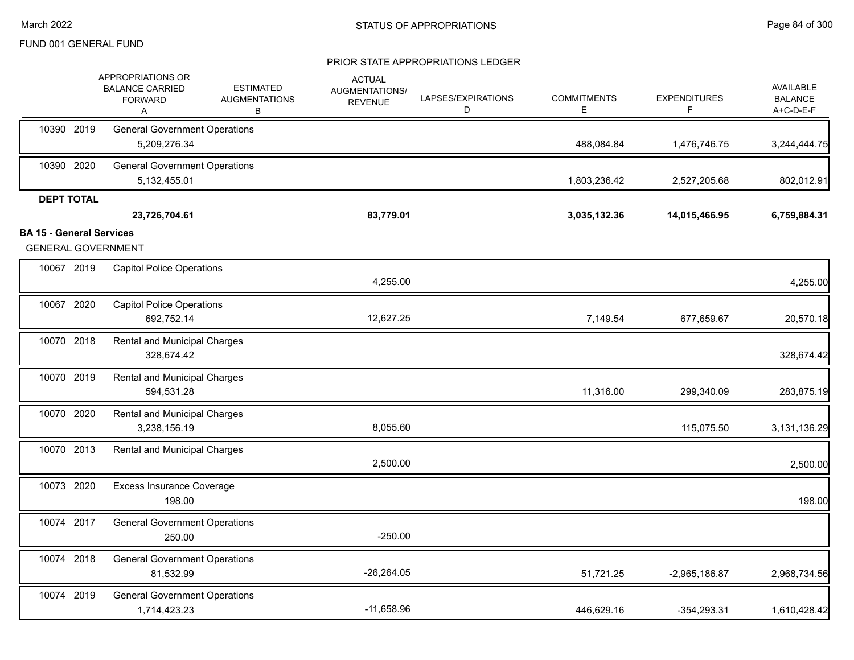|                                 | APPROPRIATIONS OR<br><b>BALANCE CARRIED</b><br><b>FORWARD</b><br>Α | <b>ESTIMATED</b><br><b>AUGMENTATIONS</b><br>В | <b>ACTUAL</b><br>AUGMENTATIONS/<br><b>REVENUE</b> | LAPSES/EXPIRATIONS<br>D | <b>COMMITMENTS</b><br>Е | <b>EXPENDITURES</b><br>F | <b>AVAILABLE</b><br><b>BALANCE</b><br>A+C-D-E-F |
|---------------------------------|--------------------------------------------------------------------|-----------------------------------------------|---------------------------------------------------|-------------------------|-------------------------|--------------------------|-------------------------------------------------|
| 10390 2019                      | <b>General Government Operations</b><br>5,209,276.34               |                                               |                                                   |                         | 488,084.84              | 1,476,746.75             | 3,244,444.75                                    |
| 10390 2020                      | <b>General Government Operations</b><br>5,132,455.01               |                                               |                                                   |                         | 1,803,236.42            | 2,527,205.68             | 802,012.91                                      |
| <b>DEPT TOTAL</b>               | 23,726,704.61                                                      |                                               | 83,779.01                                         |                         | 3,035,132.36            | 14,015,466.95            | 6,759,884.31                                    |
| <b>BA 15 - General Services</b> |                                                                    |                                               |                                                   |                         |                         |                          |                                                 |
|                                 | <b>GENERAL GOVERNMENT</b>                                          |                                               |                                                   |                         |                         |                          |                                                 |
| 10067 2019                      | <b>Capitol Police Operations</b>                                   |                                               | 4,255.00                                          |                         |                         |                          | 4,255.00                                        |
| 10067 2020                      | <b>Capitol Police Operations</b><br>692,752.14                     |                                               | 12,627.25                                         |                         | 7,149.54                | 677,659.67               | 20,570.18                                       |
| 10070 2018                      | Rental and Municipal Charges<br>328,674.42                         |                                               |                                                   |                         |                         |                          | 328,674.42                                      |
| 10070 2019                      | Rental and Municipal Charges<br>594,531.28                         |                                               |                                                   |                         | 11,316.00               | 299,340.09               | 283,875.19                                      |
| 10070 2020                      | Rental and Municipal Charges<br>3,238,156.19                       |                                               | 8,055.60                                          |                         |                         | 115,075.50               | 3,131,136.29                                    |
| 10070 2013                      | Rental and Municipal Charges                                       |                                               | 2,500.00                                          |                         |                         |                          | 2,500.00                                        |
| 10073 2020                      | <b>Excess Insurance Coverage</b><br>198.00                         |                                               |                                                   |                         |                         |                          | 198.00                                          |
| 10074 2017                      | <b>General Government Operations</b><br>250.00                     |                                               | $-250.00$                                         |                         |                         |                          |                                                 |
| 10074 2018                      | <b>General Government Operations</b><br>81,532.99                  |                                               | $-26,264.05$                                      |                         | 51,721.25               | $-2,965,186.87$          | 2,968,734.56                                    |
| 10074 2019                      | <b>General Government Operations</b><br>1,714,423.23               |                                               | $-11,658.96$                                      |                         | 446,629.16              | $-354,293.31$            | 1,610,428.42                                    |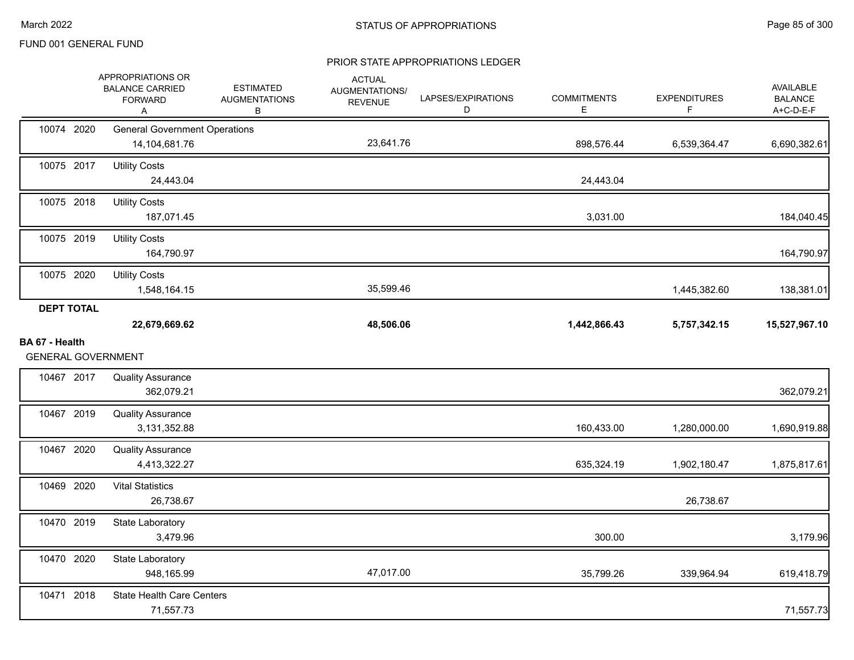|                                             | APPROPRIATIONS OR<br><b>BALANCE CARRIED</b><br><b>FORWARD</b><br>Α | <b>ESTIMATED</b><br><b>AUGMENTATIONS</b><br>в | <b>ACTUAL</b><br>AUGMENTATIONS/<br><b>REVENUE</b> | LAPSES/EXPIRATIONS<br>D | <b>COMMITMENTS</b><br>Е | <b>EXPENDITURES</b><br>F | <b>AVAILABLE</b><br><b>BALANCE</b><br>A+C-D-E-F |
|---------------------------------------------|--------------------------------------------------------------------|-----------------------------------------------|---------------------------------------------------|-------------------------|-------------------------|--------------------------|-------------------------------------------------|
| 10074 2020                                  | <b>General Government Operations</b><br>14,104,681.76              |                                               | 23,641.76                                         |                         | 898,576.44              | 6,539,364.47             | 6,690,382.61                                    |
| 10075 2017                                  | <b>Utility Costs</b><br>24,443.04                                  |                                               |                                                   |                         | 24,443.04               |                          |                                                 |
| 10075 2018                                  | <b>Utility Costs</b><br>187,071.45                                 |                                               |                                                   |                         | 3,031.00                |                          | 184,040.45                                      |
| 10075 2019                                  | <b>Utility Costs</b><br>164,790.97                                 |                                               |                                                   |                         |                         |                          | 164,790.97                                      |
| 10075 2020                                  | <b>Utility Costs</b><br>1,548,164.15                               |                                               | 35,599.46                                         |                         |                         | 1,445,382.60             | 138,381.01                                      |
| <b>DEPT TOTAL</b>                           | 22,679,669.62                                                      |                                               | 48,506.06                                         |                         | 1,442,866.43            | 5,757,342.15             | 15,527,967.10                                   |
| BA 67 - Health<br><b>GENERAL GOVERNMENT</b> |                                                                    |                                               |                                                   |                         |                         |                          |                                                 |
| 10467 2017                                  | <b>Quality Assurance</b>                                           |                                               |                                                   |                         |                         |                          |                                                 |
|                                             | 362,079.21                                                         |                                               |                                                   |                         |                         |                          | 362,079.21                                      |
| 10467 2019                                  | <b>Quality Assurance</b><br>3,131,352.88                           |                                               |                                                   |                         | 160,433.00              | 1,280,000.00             | 1,690,919.88                                    |
| 10467 2020                                  | <b>Quality Assurance</b><br>4,413,322.27                           |                                               |                                                   |                         | 635,324.19              | 1,902,180.47             | 1,875,817.61                                    |
| 10469 2020                                  | <b>Vital Statistics</b><br>26,738.67                               |                                               |                                                   |                         |                         | 26,738.67                |                                                 |
| 10470 2019                                  | State Laboratory<br>3,479.96                                       |                                               |                                                   |                         | 300.00                  |                          | 3,179.96                                        |
| 10470 2020                                  | State Laboratory<br>948,165.99                                     |                                               | 47,017.00                                         |                         | 35,799.26               | 339,964.94               | 619,418.79                                      |
| 10471 2018                                  | <b>State Health Care Centers</b><br>71,557.73                      |                                               |                                                   |                         |                         |                          | 71,557.73                                       |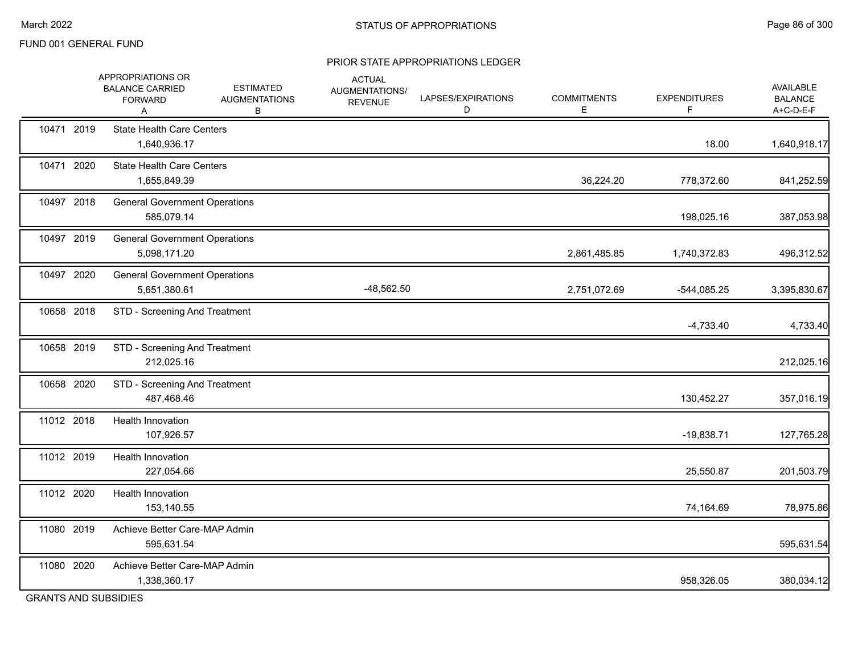#### PRIOR STATE APPROPRIATIONS LEDGER

|                      | APPROPRIATIONS OR<br><b>BALANCE CARRIED</b><br><b>FORWARD</b><br>A | <b>ESTIMATED</b><br><b>AUGMENTATIONS</b><br>В | <b>ACTUAL</b><br>AUGMENTATIONS/<br><b>REVENUE</b> | LAPSES/EXPIRATIONS<br>D | <b>COMMITMENTS</b><br>Е | <b>EXPENDITURES</b><br>F | <b>AVAILABLE</b><br><b>BALANCE</b><br>A+C-D-E-F |
|----------------------|--------------------------------------------------------------------|-----------------------------------------------|---------------------------------------------------|-------------------------|-------------------------|--------------------------|-------------------------------------------------|
| 10471 2019           | <b>State Health Care Centers</b><br>1,640,936.17                   |                                               |                                                   |                         |                         | 18.00                    | 1,640,918.17                                    |
| 10471 2020           | <b>State Health Care Centers</b><br>1,655,849.39                   |                                               |                                                   |                         | 36,224.20               | 778,372.60               | 841,252.59                                      |
| 10497 2018           | <b>General Government Operations</b><br>585,079.14                 |                                               |                                                   |                         |                         | 198,025.16               | 387,053.98                                      |
| 10497 2019           | <b>General Government Operations</b><br>5,098,171.20               |                                               |                                                   |                         | 2,861,485.85            | 1,740,372.83             | 496,312.52                                      |
| 10497 2020           | <b>General Government Operations</b><br>5,651,380.61               |                                               | $-48,562.50$                                      |                         | 2,751,072.69            | $-544,085.25$            | 3,395,830.67                                    |
| 10658 2018           | STD - Screening And Treatment                                      |                                               |                                                   |                         |                         | $-4,733.40$              | 4,733.40                                        |
| 10658 2019           | STD - Screening And Treatment<br>212,025.16                        |                                               |                                                   |                         |                         |                          | 212,025.16                                      |
| 10658 2020           | STD - Screening And Treatment<br>487,468.46                        |                                               |                                                   |                         |                         | 130,452.27               | 357,016.19                                      |
| 11012 2018           | <b>Health Innovation</b><br>107,926.57                             |                                               |                                                   |                         |                         | $-19,838.71$             | 127,765.28                                      |
| 11012 2019           | <b>Health Innovation</b><br>227,054.66                             |                                               |                                                   |                         |                         | 25,550.87                | 201,503.79                                      |
| 11012 2020           | Health Innovation<br>153,140.55                                    |                                               |                                                   |                         |                         | 74,164.69                | 78,975.86                                       |
| 11080 2019           | Achieve Better Care-MAP Admin<br>595,631.54                        |                                               |                                                   |                         |                         |                          | 595,631.54                                      |
| 11080 2020           | Achieve Better Care-MAP Admin<br>1,338,360.17                      |                                               |                                                   |                         |                         | 958,326.05               | 380,034.12                                      |
| COANTO AND OUDCIDIED |                                                                    |                                               |                                                   |                         |                         |                          |                                                 |

GRANTS AND SUBSIDIES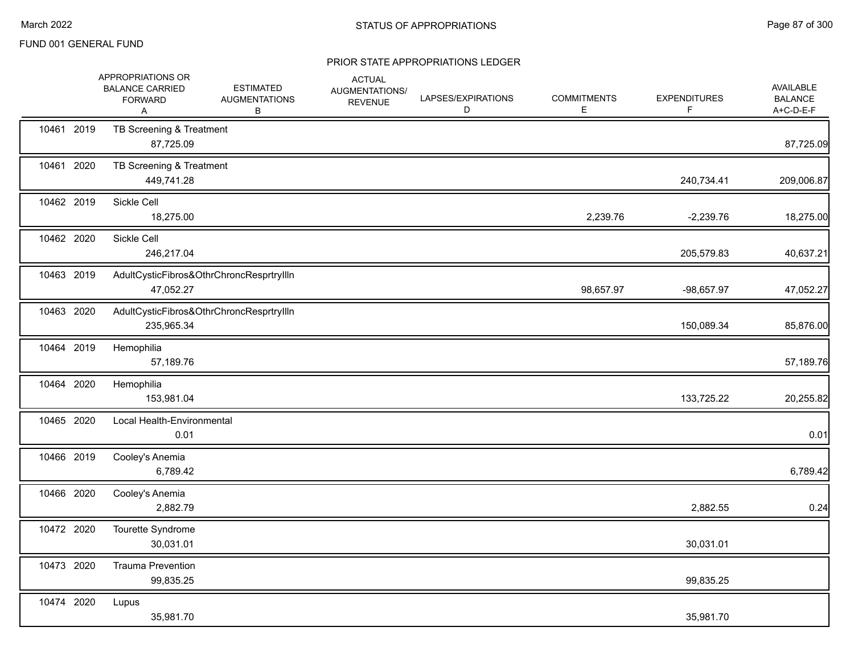|            | APPROPRIATIONS OR<br><b>BALANCE CARRIED</b><br><b>FORWARD</b><br>Α | <b>ESTIMATED</b><br><b>AUGMENTATIONS</b><br>В | <b>ACTUAL</b><br>AUGMENTATIONS/<br><b>REVENUE</b> | LAPSES/EXPIRATIONS<br>D | <b>COMMITMENTS</b><br>E. | <b>EXPENDITURES</b><br>F | AVAILABLE<br><b>BALANCE</b><br>A+C-D-E-F |
|------------|--------------------------------------------------------------------|-----------------------------------------------|---------------------------------------------------|-------------------------|--------------------------|--------------------------|------------------------------------------|
| 10461 2019 | TB Screening & Treatment<br>87,725.09                              |                                               |                                                   |                         |                          |                          | 87,725.09                                |
| 10461 2020 | TB Screening & Treatment<br>449,741.28                             |                                               |                                                   |                         |                          | 240,734.41               | 209,006.87                               |
| 10462 2019 | Sickle Cell<br>18,275.00                                           |                                               |                                                   |                         | 2,239.76                 | $-2,239.76$              | 18,275.00                                |
| 10462 2020 | Sickle Cell<br>246,217.04                                          |                                               |                                                   |                         |                          | 205,579.83               | 40,637.21                                |
| 10463 2019 | 47,052.27                                                          | AdultCysticFibros&OthrChroncResprtryllIn      |                                                   |                         | 98,657.97                | -98,657.97               | 47,052.27                                |
| 10463 2020 | 235,965.34                                                         | AdultCysticFibros&OthrChroncResprtryIlln      |                                                   |                         |                          | 150,089.34               | 85,876.00                                |
| 10464 2019 | Hemophilia<br>57,189.76                                            |                                               |                                                   |                         |                          |                          | 57,189.76                                |
| 10464 2020 | Hemophilia<br>153,981.04                                           |                                               |                                                   |                         |                          | 133,725.22               | 20,255.82                                |
| 10465 2020 | Local Health-Environmental<br>0.01                                 |                                               |                                                   |                         |                          |                          | 0.01                                     |
| 10466 2019 | Cooley's Anemia<br>6,789.42                                        |                                               |                                                   |                         |                          |                          | 6,789.42                                 |
| 10466 2020 | Cooley's Anemia<br>2,882.79                                        |                                               |                                                   |                         |                          | 2,882.55                 | 0.24                                     |
| 10472 2020 | Tourette Syndrome<br>30,031.01                                     |                                               |                                                   |                         |                          | 30,031.01                |                                          |
| 10473 2020 | <b>Trauma Prevention</b><br>99,835.25                              |                                               |                                                   |                         |                          | 99,835.25                |                                          |
| 10474 2020 | Lupus<br>35,981.70                                                 |                                               |                                                   |                         |                          | 35,981.70                |                                          |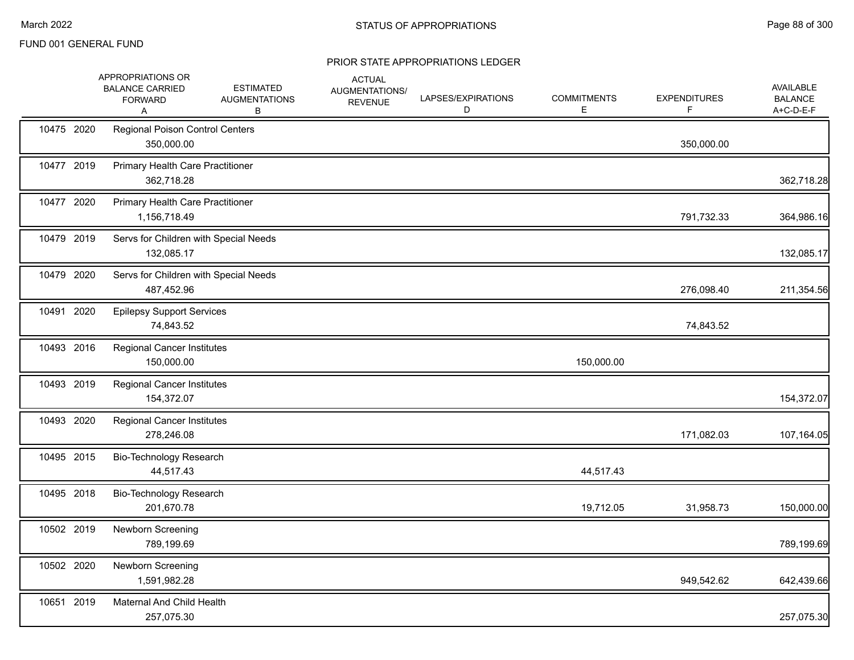|            | APPROPRIATIONS OR<br><b>BALANCE CARRIED</b><br><b>FORWARD</b><br>Α | <b>ESTIMATED</b><br><b>AUGMENTATIONS</b><br>В | <b>ACTUAL</b><br>AUGMENTATIONS/<br><b>REVENUE</b> | LAPSES/EXPIRATIONS<br>D | <b>COMMITMENTS</b><br>E | <b>EXPENDITURES</b><br>F. | <b>AVAILABLE</b><br><b>BALANCE</b><br>A+C-D-E-F |
|------------|--------------------------------------------------------------------|-----------------------------------------------|---------------------------------------------------|-------------------------|-------------------------|---------------------------|-------------------------------------------------|
| 10475 2020 | <b>Regional Poison Control Centers</b><br>350,000.00               |                                               |                                                   |                         |                         | 350,000.00                |                                                 |
| 10477 2019 | Primary Health Care Practitioner<br>362,718.28                     |                                               |                                                   |                         |                         |                           | 362,718.28                                      |
| 10477 2020 | Primary Health Care Practitioner<br>1,156,718.49                   |                                               |                                                   |                         |                         | 791,732.33                | 364,986.16                                      |
| 10479 2019 | Servs for Children with Special Needs<br>132,085.17                |                                               |                                                   |                         |                         |                           | 132,085.17                                      |
| 10479 2020 | Servs for Children with Special Needs<br>487,452.96                |                                               |                                                   |                         |                         | 276,098.40                | 211,354.56                                      |
| 10491 2020 | <b>Epilepsy Support Services</b><br>74,843.52                      |                                               |                                                   |                         |                         | 74,843.52                 |                                                 |
| 10493 2016 | <b>Regional Cancer Institutes</b><br>150,000.00                    |                                               |                                                   |                         | 150,000.00              |                           |                                                 |
| 10493 2019 | <b>Regional Cancer Institutes</b><br>154,372.07                    |                                               |                                                   |                         |                         |                           | 154,372.07                                      |
| 10493 2020 | <b>Regional Cancer Institutes</b><br>278,246.08                    |                                               |                                                   |                         |                         | 171,082.03                | 107,164.05                                      |
| 10495 2015 | Bio-Technology Research<br>44,517.43                               |                                               |                                                   |                         | 44,517.43               |                           |                                                 |
| 10495 2018 | Bio-Technology Research<br>201,670.78                              |                                               |                                                   |                         | 19,712.05               | 31,958.73                 | 150,000.00                                      |
| 10502 2019 | Newborn Screening<br>789,199.69                                    |                                               |                                                   |                         |                         |                           | 789,199.69                                      |
| 10502 2020 | Newborn Screening<br>1,591,982.28                                  |                                               |                                                   |                         |                         | 949,542.62                | 642,439.66                                      |
| 10651 2019 | Maternal And Child Health<br>257,075.30                            |                                               |                                                   |                         |                         |                           | 257,075.30                                      |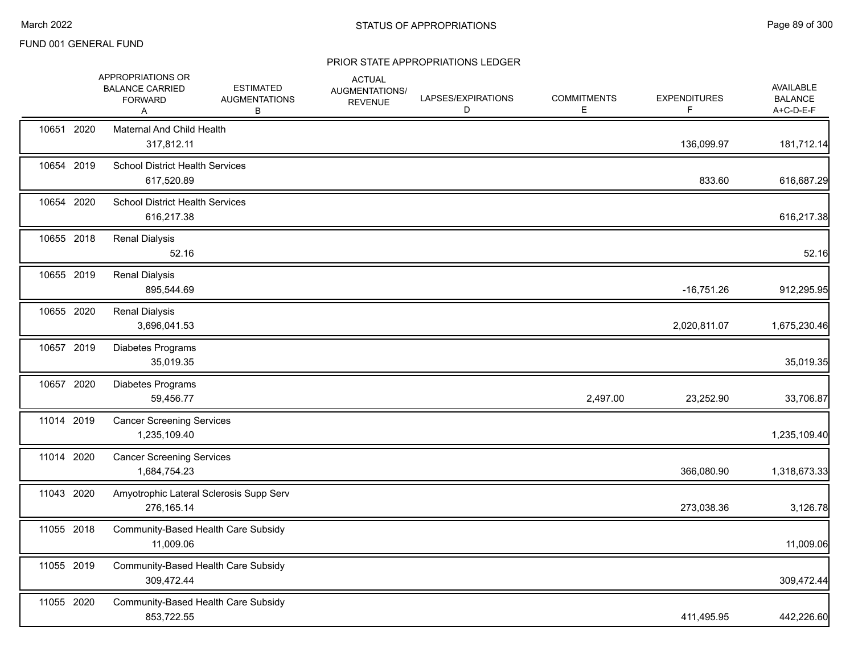|            | APPROPRIATIONS OR<br><b>BALANCE CARRIED</b><br><b>FORWARD</b><br>Α | <b>ESTIMATED</b><br><b>AUGMENTATIONS</b><br>B | <b>ACTUAL</b><br>AUGMENTATIONS/<br><b>REVENUE</b> | LAPSES/EXPIRATIONS<br>D | <b>COMMITMENTS</b><br>E | <b>EXPENDITURES</b><br>F. | AVAILABLE<br><b>BALANCE</b><br>A+C-D-E-F |
|------------|--------------------------------------------------------------------|-----------------------------------------------|---------------------------------------------------|-------------------------|-------------------------|---------------------------|------------------------------------------|
| 10651 2020 | Maternal And Child Health<br>317,812.11                            |                                               |                                                   |                         |                         | 136,099.97                | 181,712.14                               |
| 10654 2019 | <b>School District Health Services</b><br>617,520.89               |                                               |                                                   |                         |                         | 833.60                    | 616,687.29                               |
| 10654 2020 | <b>School District Health Services</b><br>616,217.38               |                                               |                                                   |                         |                         |                           | 616,217.38                               |
| 10655 2018 | <b>Renal Dialysis</b><br>52.16                                     |                                               |                                                   |                         |                         |                           | 52.16                                    |
| 10655 2019 | <b>Renal Dialysis</b><br>895,544.69                                |                                               |                                                   |                         |                         | $-16,751.26$              | 912,295.95                               |
| 10655 2020 | <b>Renal Dialysis</b><br>3,696,041.53                              |                                               |                                                   |                         |                         | 2,020,811.07              | 1,675,230.46                             |
| 10657 2019 | Diabetes Programs<br>35,019.35                                     |                                               |                                                   |                         |                         |                           | 35,019.35                                |
| 10657 2020 | Diabetes Programs<br>59,456.77                                     |                                               |                                                   |                         | 2,497.00                | 23,252.90                 | 33,706.87                                |
| 11014 2019 | <b>Cancer Screening Services</b><br>1,235,109.40                   |                                               |                                                   |                         |                         |                           | 1,235,109.40                             |
| 11014 2020 | <b>Cancer Screening Services</b><br>1,684,754.23                   |                                               |                                                   |                         |                         | 366,080.90                | 1,318,673.33                             |
| 11043 2020 | Amyotrophic Lateral Sclerosis Supp Serv<br>276,165.14              |                                               |                                                   |                         |                         | 273,038.36                | 3,126.78                                 |
| 11055 2018 | Community-Based Health Care Subsidy<br>11,009.06                   |                                               |                                                   |                         |                         |                           | 11,009.06                                |
| 11055 2019 | Community-Based Health Care Subsidy<br>309,472.44                  |                                               |                                                   |                         |                         |                           | 309,472.44                               |
| 11055 2020 | Community-Based Health Care Subsidy<br>853,722.55                  |                                               |                                                   |                         |                         | 411,495.95                | 442,226.60                               |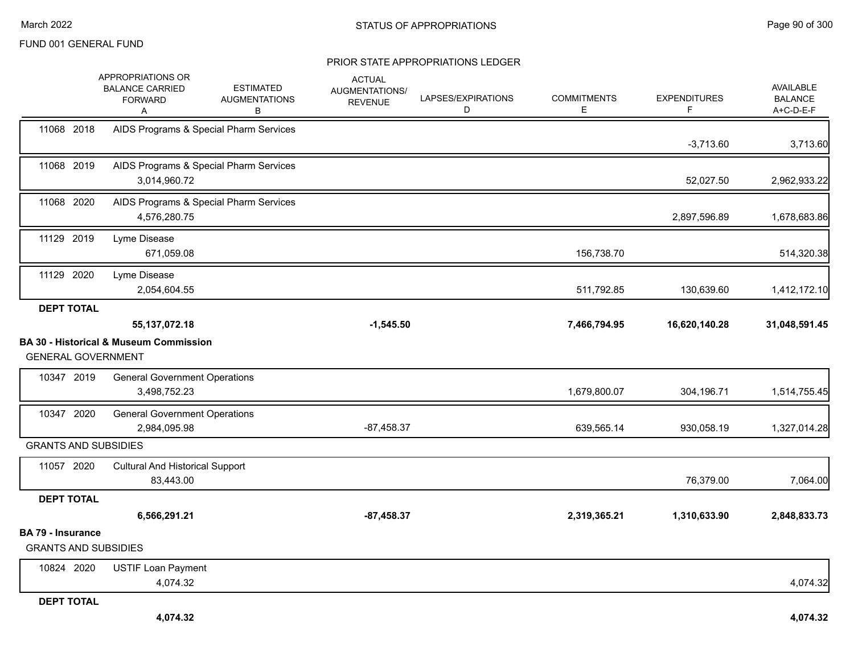|                                                         | APPROPRIATIONS OR<br><b>BALANCE CARRIED</b><br><b>FORWARD</b><br>Α | <b>ESTIMATED</b><br><b>AUGMENTATIONS</b><br>В | <b>ACTUAL</b><br>AUGMENTATIONS/<br><b>REVENUE</b> | LAPSES/EXPIRATIONS<br>D | <b>COMMITMENTS</b><br>E | <b>EXPENDITURES</b><br>F | <b>AVAILABLE</b><br><b>BALANCE</b><br>A+C-D-E-F |
|---------------------------------------------------------|--------------------------------------------------------------------|-----------------------------------------------|---------------------------------------------------|-------------------------|-------------------------|--------------------------|-------------------------------------------------|
| 11068 2018                                              |                                                                    | AIDS Programs & Special Pharm Services        |                                                   |                         |                         | $-3,713.60$              | 3,713.60                                        |
| 11068 2019                                              | 3,014,960.72                                                       | AIDS Programs & Special Pharm Services        |                                                   |                         |                         | 52,027.50                | 2,962,933.22                                    |
| 11068 2020                                              | 4,576,280.75                                                       | AIDS Programs & Special Pharm Services        |                                                   |                         |                         | 2,897,596.89             | 1,678,683.86                                    |
| 11129 2019                                              | Lyme Disease<br>671,059.08                                         |                                               |                                                   |                         | 156,738.70              |                          | 514,320.38                                      |
| 11129 2020                                              | Lyme Disease<br>2,054,604.55                                       |                                               |                                                   |                         | 511,792.85              | 130,639.60               | 1,412,172.10                                    |
| <b>DEPT TOTAL</b>                                       |                                                                    |                                               |                                                   |                         |                         |                          |                                                 |
|                                                         | 55, 137, 072. 18                                                   |                                               | $-1,545.50$                                       |                         | 7,466,794.95            | 16,620,140.28            | 31,048,591.45                                   |
| <b>GENERAL GOVERNMENT</b>                               | <b>BA 30 - Historical &amp; Museum Commission</b>                  |                                               |                                                   |                         |                         |                          |                                                 |
| 10347 2019                                              | <b>General Government Operations</b><br>3,498,752.23               |                                               |                                                   |                         | 1,679,800.07            | 304,196.71               | 1,514,755.45                                    |
| 10347 2020                                              | <b>General Government Operations</b><br>2,984,095.98               |                                               | $-87,458.37$                                      |                         | 639,565.14              | 930,058.19               | 1,327,014.28                                    |
| <b>GRANTS AND SUBSIDIES</b>                             |                                                                    |                                               |                                                   |                         |                         |                          |                                                 |
| 11057 2020                                              | <b>Cultural And Historical Support</b><br>83,443.00                |                                               |                                                   |                         |                         | 76,379.00                | 7,064.00                                        |
| <b>DEPT TOTAL</b>                                       |                                                                    |                                               |                                                   |                         |                         |                          |                                                 |
|                                                         | 6,566,291.21                                                       |                                               | $-87,458.37$                                      |                         | 2,319,365.21            | 1,310,633.90             | 2,848,833.73                                    |
| <b>BA 79 - Insurance</b><br><b>GRANTS AND SUBSIDIES</b> |                                                                    |                                               |                                                   |                         |                         |                          |                                                 |
| 10824 2020                                              | <b>USTIF Loan Payment</b><br>4,074.32                              |                                               |                                                   |                         |                         |                          | 4,074.32                                        |
| <b>DEPT TOTAL</b>                                       |                                                                    |                                               |                                                   |                         |                         |                          |                                                 |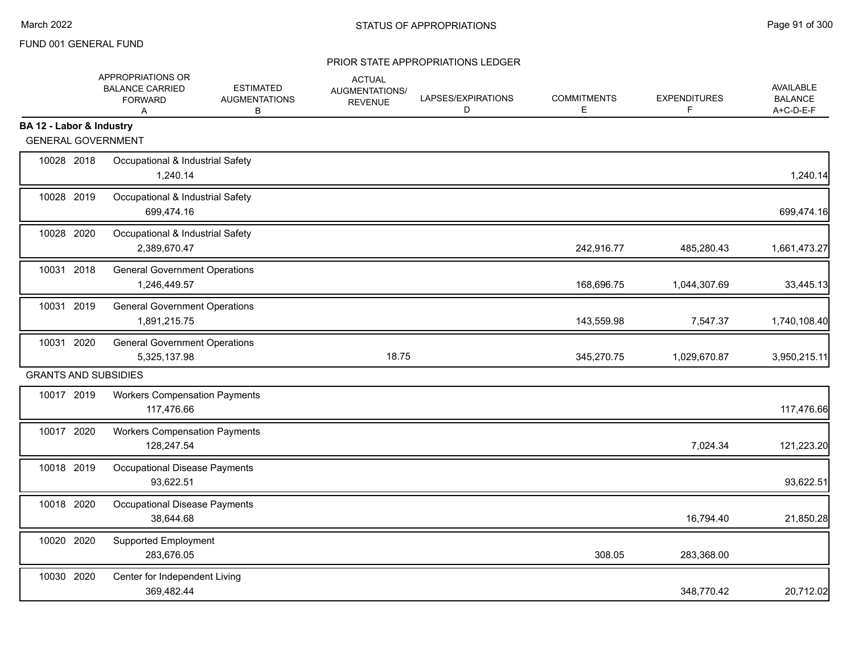|                             | APPROPRIATIONS OR<br><b>BALANCE CARRIED</b><br><b>FORWARD</b><br>Α | <b>ESTIMATED</b><br><b>AUGMENTATIONS</b><br>в | <b>ACTUAL</b><br>AUGMENTATIONS/<br><b>REVENUE</b> | LAPSES/EXPIRATIONS<br>D | <b>COMMITMENTS</b><br>Ε | <b>EXPENDITURES</b><br>F | <b>AVAILABLE</b><br><b>BALANCE</b><br>A+C-D-E-F |
|-----------------------------|--------------------------------------------------------------------|-----------------------------------------------|---------------------------------------------------|-------------------------|-------------------------|--------------------------|-------------------------------------------------|
| BA 12 - Labor & Industry    |                                                                    |                                               |                                                   |                         |                         |                          |                                                 |
| <b>GENERAL GOVERNMENT</b>   |                                                                    |                                               |                                                   |                         |                         |                          |                                                 |
| 10028 2018                  | Occupational & Industrial Safety<br>1,240.14                       |                                               |                                                   |                         |                         |                          | 1,240.14                                        |
| 10028 2019                  | Occupational & Industrial Safety<br>699,474.16                     |                                               |                                                   |                         |                         |                          | 699,474.16                                      |
| 10028 2020                  | Occupational & Industrial Safety<br>2,389,670.47                   |                                               |                                                   |                         | 242,916.77              | 485,280.43               | 1,661,473.27                                    |
| 10031 2018                  | <b>General Government Operations</b><br>1,246,449.57               |                                               |                                                   |                         | 168,696.75              | 1,044,307.69             | 33,445.13                                       |
| 10031 2019                  | <b>General Government Operations</b><br>1,891,215.75               |                                               |                                                   |                         | 143,559.98              | 7,547.37                 | 1,740,108.40                                    |
| 10031 2020                  | <b>General Government Operations</b><br>5,325,137.98               |                                               | 18.75                                             |                         | 345,270.75              | 1,029,670.87             | 3,950,215.11                                    |
| <b>GRANTS AND SUBSIDIES</b> |                                                                    |                                               |                                                   |                         |                         |                          |                                                 |
| 10017 2019                  | <b>Workers Compensation Payments</b><br>117,476.66                 |                                               |                                                   |                         |                         |                          | 117,476.66                                      |
| 10017 2020                  | <b>Workers Compensation Payments</b><br>128,247.54                 |                                               |                                                   |                         |                         | 7,024.34                 | 121,223.20                                      |
| 10018 2019                  | Occupational Disease Payments<br>93,622.51                         |                                               |                                                   |                         |                         |                          | 93,622.51                                       |
| 10018 2020                  | <b>Occupational Disease Payments</b><br>38,644.68                  |                                               |                                                   |                         |                         | 16,794.40                | 21,850.28                                       |
| 10020 2020                  | <b>Supported Employment</b><br>283,676.05                          |                                               |                                                   |                         | 308.05                  | 283,368.00               |                                                 |
| 10030 2020                  | Center for Independent Living<br>369,482.44                        |                                               |                                                   |                         |                         | 348,770.42               | 20,712.02                                       |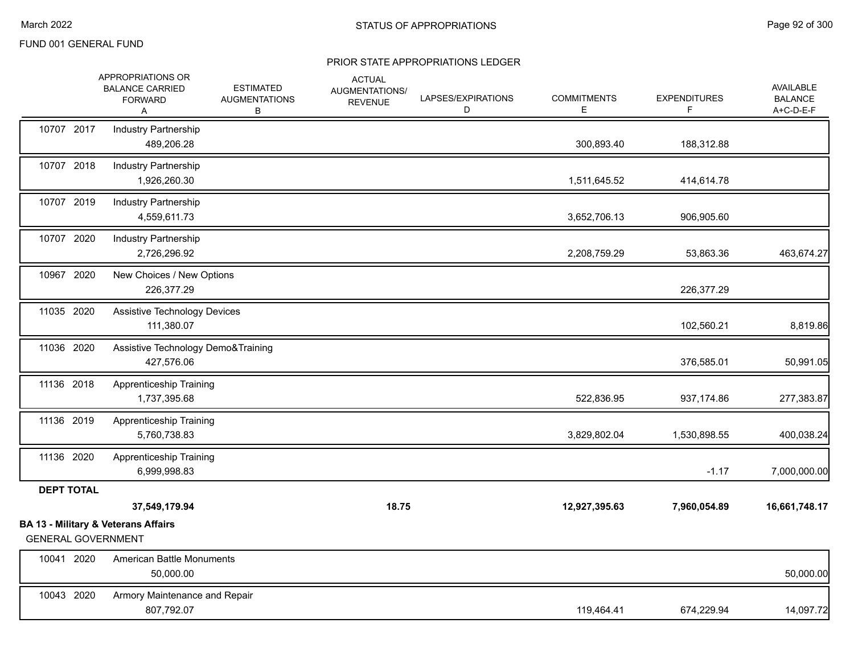|                           | APPROPRIATIONS OR<br><b>BALANCE CARRIED</b><br><b>FORWARD</b><br>Α | <b>ESTIMATED</b><br><b>AUGMENTATIONS</b><br>В | <b>ACTUAL</b><br>AUGMENTATIONS/<br><b>REVENUE</b> | LAPSES/EXPIRATIONS<br>D | <b>COMMITMENTS</b><br>Е | <b>EXPENDITURES</b><br>F | AVAILABLE<br><b>BALANCE</b><br>A+C-D-E-F |
|---------------------------|--------------------------------------------------------------------|-----------------------------------------------|---------------------------------------------------|-------------------------|-------------------------|--------------------------|------------------------------------------|
| 10707 2017                | <b>Industry Partnership</b><br>489,206.28                          |                                               |                                                   |                         | 300,893.40              | 188,312.88               |                                          |
| 10707 2018                | <b>Industry Partnership</b><br>1,926,260.30                        |                                               |                                                   |                         | 1,511,645.52            | 414,614.78               |                                          |
| 10707 2019                | Industry Partnership<br>4,559,611.73                               |                                               |                                                   |                         | 3,652,706.13            | 906,905.60               |                                          |
| 10707 2020                | Industry Partnership<br>2,726,296.92                               |                                               |                                                   |                         | 2,208,759.29            | 53,863.36                | 463,674.27                               |
| 10967 2020                | New Choices / New Options<br>226,377.29                            |                                               |                                                   |                         |                         | 226,377.29               |                                          |
| 11035 2020                | Assistive Technology Devices<br>111,380.07                         |                                               |                                                   |                         |                         | 102,560.21               | 8,819.86                                 |
| 11036 2020                | Assistive Technology Demo&Training<br>427,576.06                   |                                               |                                                   |                         |                         | 376,585.01               | 50,991.05                                |
| 11136 2018                | Apprenticeship Training<br>1,737,395.68                            |                                               |                                                   |                         | 522,836.95              | 937,174.86               | 277,383.87                               |
| 11136 2019                | Apprenticeship Training<br>5,760,738.83                            |                                               |                                                   |                         | 3,829,802.04            | 1,530,898.55             | 400,038.24                               |
| 11136 2020                | Apprenticeship Training<br>6,999,998.83                            |                                               |                                                   |                         |                         | $-1.17$                  | 7,000,000.00                             |
| <b>DEPT TOTAL</b>         |                                                                    |                                               |                                                   |                         |                         |                          |                                          |
|                           | 37,549,179.94                                                      |                                               | 18.75                                             |                         | 12,927,395.63           | 7,960,054.89             | 16,661,748.17                            |
| <b>GENERAL GOVERNMENT</b> | <b>BA 13 - Military &amp; Veterans Affairs</b>                     |                                               |                                                   |                         |                         |                          |                                          |
| 10041 2020                | American Battle Monuments<br>50,000.00                             |                                               |                                                   |                         |                         |                          | 50,000.00                                |
| 10043 2020                | Armory Maintenance and Repair<br>807,792.07                        |                                               |                                                   |                         | 119,464.41              | 674,229.94               | 14,097.72                                |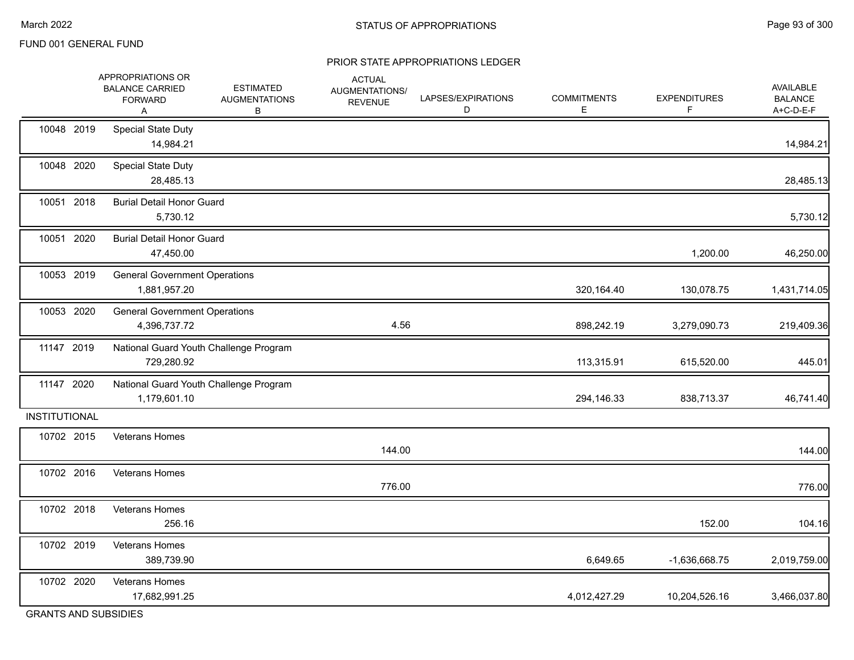#### PRIOR STATE APPROPRIATIONS LEDGER

|               | APPROPRIATIONS OR<br><b>BALANCE CARRIED</b><br><b>FORWARD</b><br>Α | <b>ESTIMATED</b><br><b>AUGMENTATIONS</b><br>B | <b>ACTUAL</b><br>AUGMENTATIONS/<br><b>REVENUE</b> | LAPSES/EXPIRATIONS<br>D | <b>COMMITMENTS</b><br>Е | <b>EXPENDITURES</b><br>F | <b>AVAILABLE</b><br><b>BALANCE</b><br>A+C-D-E-F |
|---------------|--------------------------------------------------------------------|-----------------------------------------------|---------------------------------------------------|-------------------------|-------------------------|--------------------------|-------------------------------------------------|
| 10048 2019    | <b>Special State Duty</b><br>14,984.21                             |                                               |                                                   |                         |                         |                          | 14,984.21                                       |
| 10048 2020    | <b>Special State Duty</b><br>28,485.13                             |                                               |                                                   |                         |                         |                          | 28,485.13                                       |
| 10051 2018    | <b>Burial Detail Honor Guard</b><br>5,730.12                       |                                               |                                                   |                         |                         |                          | 5,730.12                                        |
| 10051 2020    | <b>Burial Detail Honor Guard</b><br>47,450.00                      |                                               |                                                   |                         |                         | 1,200.00                 | 46,250.00                                       |
| 10053 2019    | <b>General Government Operations</b><br>1,881,957.20               |                                               |                                                   |                         | 320,164.40              | 130,078.75               | 1,431,714.05                                    |
| 10053 2020    | <b>General Government Operations</b><br>4,396,737.72               |                                               | 4.56                                              |                         | 898,242.19              | 3,279,090.73             | 219,409.36                                      |
| 11147 2019    | 729,280.92                                                         | National Guard Youth Challenge Program        |                                                   |                         | 113,315.91              | 615,520.00               | 445.01                                          |
| 11147 2020    | 1,179,601.10                                                       | National Guard Youth Challenge Program        |                                                   |                         | 294,146.33              | 838,713.37               | 46,741.40                                       |
| INSTITUTIONAL |                                                                    |                                               |                                                   |                         |                         |                          |                                                 |
| 10702 2015    | <b>Veterans Homes</b>                                              |                                               | 144.00                                            |                         |                         |                          | 144.00                                          |
| 10702 2016    | <b>Veterans Homes</b>                                              |                                               | 776.00                                            |                         |                         |                          | 776.00                                          |
| 10702 2018    | Veterans Homes<br>256.16                                           |                                               |                                                   |                         |                         | 152.00                   | 104.16                                          |
| 10702 2019    | Veterans Homes<br>389,739.90                                       |                                               |                                                   |                         | 6,649.65                | -1,636,668.75            | 2,019,759.00                                    |
| 10702 2020    | <b>Veterans Homes</b><br>17,682,991.25                             |                                               |                                                   |                         | 4,012,427.29            | 10,204,526.16            | 3,466,037.80                                    |

GRANTS AND SUBSIDIES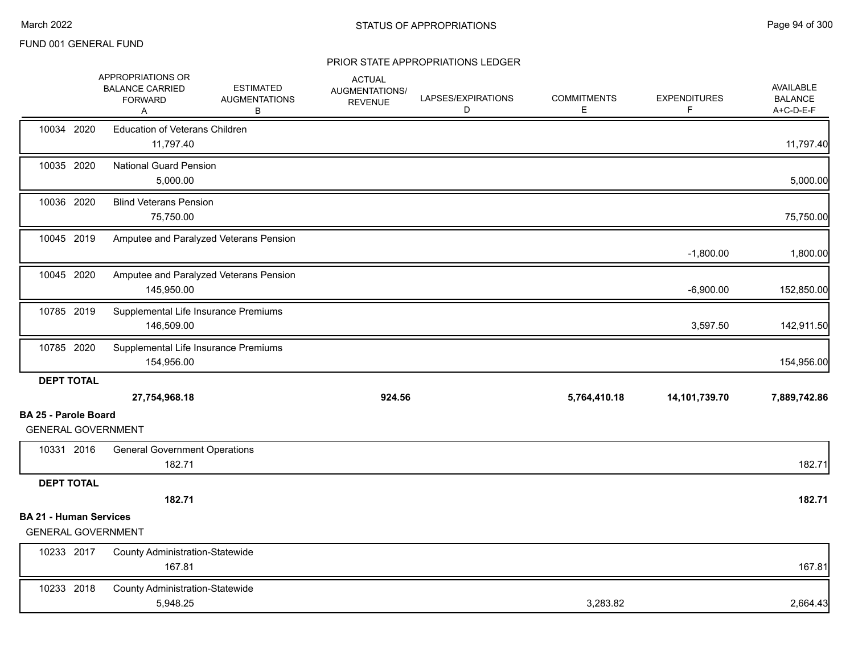|                                                          | APPROPRIATIONS OR<br><b>BALANCE CARRIED</b><br><b>FORWARD</b><br>A | <b>ESTIMATED</b><br><b>AUGMENTATIONS</b><br>В | <b>ACTUAL</b><br>AUGMENTATIONS/<br><b>REVENUE</b> | LAPSES/EXPIRATIONS<br>D | <b>COMMITMENTS</b><br>E | <b>EXPENDITURES</b><br>F | <b>AVAILABLE</b><br><b>BALANCE</b><br>A+C-D-E-F |
|----------------------------------------------------------|--------------------------------------------------------------------|-----------------------------------------------|---------------------------------------------------|-------------------------|-------------------------|--------------------------|-------------------------------------------------|
| 10034 2020                                               | <b>Education of Veterans Children</b><br>11,797.40                 |                                               |                                                   |                         |                         |                          | 11,797.40                                       |
| 10035 2020                                               | <b>National Guard Pension</b><br>5,000.00                          |                                               |                                                   |                         |                         |                          | 5,000.00                                        |
| 10036 2020                                               | <b>Blind Veterans Pension</b><br>75,750.00                         |                                               |                                                   |                         |                         |                          | 75,750.00                                       |
| 10045 2019                                               |                                                                    | Amputee and Paralyzed Veterans Pension        |                                                   |                         |                         | $-1,800.00$              | 1,800.00                                        |
| 10045 2020                                               | 145,950.00                                                         | Amputee and Paralyzed Veterans Pension        |                                                   |                         |                         | $-6,900.00$              | 152,850.00                                      |
| 10785 2019                                               | 146,509.00                                                         | Supplemental Life Insurance Premiums          |                                                   |                         |                         | 3,597.50                 | 142,911.50                                      |
| 10785 2020                                               | 154,956.00                                                         | Supplemental Life Insurance Premiums          |                                                   |                         |                         |                          | 154,956.00                                      |
| <b>DEPT TOTAL</b>                                        | 27,754,968.18                                                      |                                               | 924.56                                            |                         | 5,764,410.18            | 14,101,739.70            | 7,889,742.86                                    |
| <b>BA 25 - Parole Board</b><br><b>GENERAL GOVERNMENT</b> |                                                                    |                                               |                                                   |                         |                         |                          |                                                 |
| 10331 2016                                               | <b>General Government Operations</b><br>182.71                     |                                               |                                                   |                         |                         |                          | 182.71                                          |
| <b>DEPT TOTAL</b>                                        |                                                                    |                                               |                                                   |                         |                         |                          |                                                 |
|                                                          | 182.71                                                             |                                               |                                                   |                         |                         |                          | 182.71                                          |
| <b>BA 21 - Human Services</b>                            | <b>GENERAL GOVERNMENT</b>                                          |                                               |                                                   |                         |                         |                          |                                                 |
| 10233 2017                                               | <b>County Administration-Statewide</b><br>167.81                   |                                               |                                                   |                         |                         |                          | 167.81                                          |
| 10233 2018                                               | <b>County Administration-Statewide</b><br>5,948.25                 |                                               |                                                   |                         | 3,283.82                |                          | 2,664.43                                        |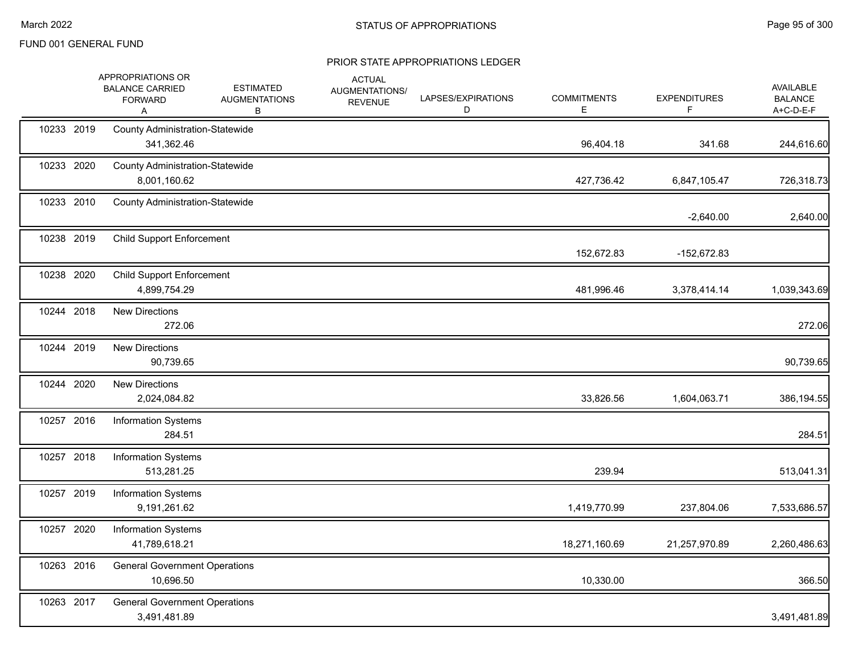|            | APPROPRIATIONS OR<br><b>BALANCE CARRIED</b><br><b>FORWARD</b><br>Α | <b>ESTIMATED</b><br><b>AUGMENTATIONS</b><br>В | <b>ACTUAL</b><br>AUGMENTATIONS/<br><b>REVENUE</b> | LAPSES/EXPIRATIONS<br>D | <b>COMMITMENTS</b><br>Е | <b>EXPENDITURES</b><br>F | AVAILABLE<br><b>BALANCE</b><br>A+C-D-E-F |
|------------|--------------------------------------------------------------------|-----------------------------------------------|---------------------------------------------------|-------------------------|-------------------------|--------------------------|------------------------------------------|
| 10233 2019 | <b>County Administration-Statewide</b><br>341,362.46               |                                               |                                                   |                         | 96,404.18               | 341.68                   | 244,616.60                               |
| 10233 2020 | <b>County Administration-Statewide</b><br>8,001,160.62             |                                               |                                                   |                         | 427,736.42              | 6,847,105.47             | 726,318.73                               |
| 10233 2010 | <b>County Administration-Statewide</b>                             |                                               |                                                   |                         |                         | $-2,640.00$              | 2,640.00                                 |
| 10238 2019 | <b>Child Support Enforcement</b>                                   |                                               |                                                   |                         | 152,672.83              | -152,672.83              |                                          |
| 10238 2020 | <b>Child Support Enforcement</b><br>4,899,754.29                   |                                               |                                                   |                         | 481,996.46              | 3,378,414.14             | 1,039,343.69                             |
| 10244 2018 | <b>New Directions</b><br>272.06                                    |                                               |                                                   |                         |                         |                          | 272.06                                   |
| 10244 2019 | <b>New Directions</b><br>90,739.65                                 |                                               |                                                   |                         |                         |                          | 90,739.65                                |
| 10244 2020 | <b>New Directions</b><br>2,024,084.82                              |                                               |                                                   |                         | 33,826.56               | 1,604,063.71             | 386,194.55                               |
| 10257 2016 | <b>Information Systems</b><br>284.51                               |                                               |                                                   |                         |                         |                          | 284.51                                   |
| 10257 2018 | <b>Information Systems</b><br>513,281.25                           |                                               |                                                   |                         | 239.94                  |                          | 513,041.31                               |
| 10257 2019 | <b>Information Systems</b><br>9,191,261.62                         |                                               |                                                   |                         | 1,419,770.99            | 237,804.06               | 7,533,686.57                             |
| 10257 2020 | <b>Information Systems</b><br>41,789,618.21                        |                                               |                                                   |                         | 18,271,160.69           | 21,257,970.89            | 2,260,486.63                             |
| 10263 2016 | <b>General Government Operations</b><br>10,696.50                  |                                               |                                                   |                         | 10,330.00               |                          | 366.50                                   |
| 10263 2017 | <b>General Government Operations</b><br>3,491,481.89               |                                               |                                                   |                         |                         |                          | 3,491,481.89                             |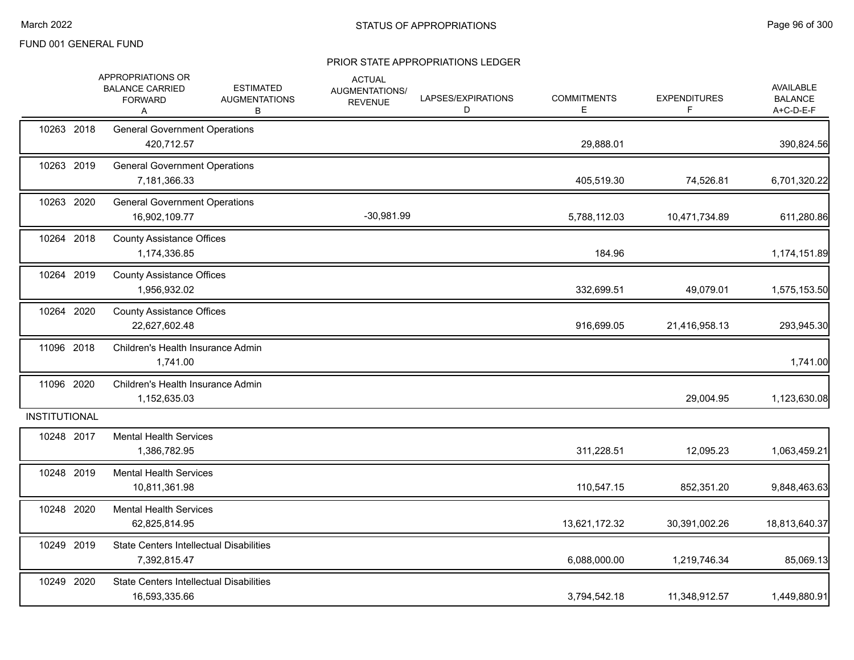|                      | APPROPRIATIONS OR<br><b>BALANCE CARRIED</b><br><b>FORWARD</b><br>A | <b>ESTIMATED</b><br><b>AUGMENTATIONS</b><br>В | <b>ACTUAL</b><br>AUGMENTATIONS/<br><b>REVENUE</b> | LAPSES/EXPIRATIONS<br>D | <b>COMMITMENTS</b><br>E. | <b>EXPENDITURES</b><br>F | AVAILABLE<br><b>BALANCE</b><br>A+C-D-E-F |
|----------------------|--------------------------------------------------------------------|-----------------------------------------------|---------------------------------------------------|-------------------------|--------------------------|--------------------------|------------------------------------------|
| 10263 2018           | <b>General Government Operations</b><br>420,712.57                 |                                               |                                                   |                         | 29,888.01                |                          | 390,824.56                               |
| 10263 2019           | <b>General Government Operations</b><br>7,181,366.33               |                                               |                                                   |                         | 405,519.30               | 74,526.81                | 6,701,320.22                             |
| 10263 2020           | <b>General Government Operations</b><br>16,902,109.77              |                                               | -30,981.99                                        |                         | 5,788,112.03             | 10,471,734.89            | 611,280.86                               |
| 10264 2018           | <b>County Assistance Offices</b><br>1,174,336.85                   |                                               |                                                   |                         | 184.96                   |                          | 1,174,151.89                             |
| 10264 2019           | <b>County Assistance Offices</b><br>1,956,932.02                   |                                               |                                                   |                         | 332,699.51               | 49,079.01                | 1,575,153.50                             |
| 10264 2020           | <b>County Assistance Offices</b><br>22,627,602.48                  |                                               |                                                   |                         | 916,699.05               | 21,416,958.13            | 293,945.30                               |
| 11096 2018           | Children's Health Insurance Admin<br>1,741.00                      |                                               |                                                   |                         |                          |                          | 1,741.00                                 |
| 11096 2020           | Children's Health Insurance Admin<br>1,152,635.03                  |                                               |                                                   |                         |                          | 29,004.95                | 1,123,630.08                             |
| <b>INSTITUTIONAL</b> |                                                                    |                                               |                                                   |                         |                          |                          |                                          |
| 10248 2017           | <b>Mental Health Services</b><br>1,386,782.95                      |                                               |                                                   |                         | 311,228.51               | 12,095.23                | 1,063,459.21                             |
| 10248 2019           | <b>Mental Health Services</b><br>10,811,361.98                     |                                               |                                                   |                         | 110,547.15               | 852,351.20               | 9,848,463.63                             |
| 10248 2020           | <b>Mental Health Services</b><br>62,825,814.95                     |                                               |                                                   |                         | 13,621,172.32            | 30,391,002.26            | 18,813,640.37                            |
| 10249 2019           | <b>State Centers Intellectual Disabilities</b><br>7,392,815.47     |                                               |                                                   |                         | 6,088,000.00             | 1,219,746.34             | 85,069.13                                |
| 10249 2020           | <b>State Centers Intellectual Disabilities</b><br>16,593,335.66    |                                               |                                                   |                         | 3,794,542.18             | 11,348,912.57            | 1,449,880.91                             |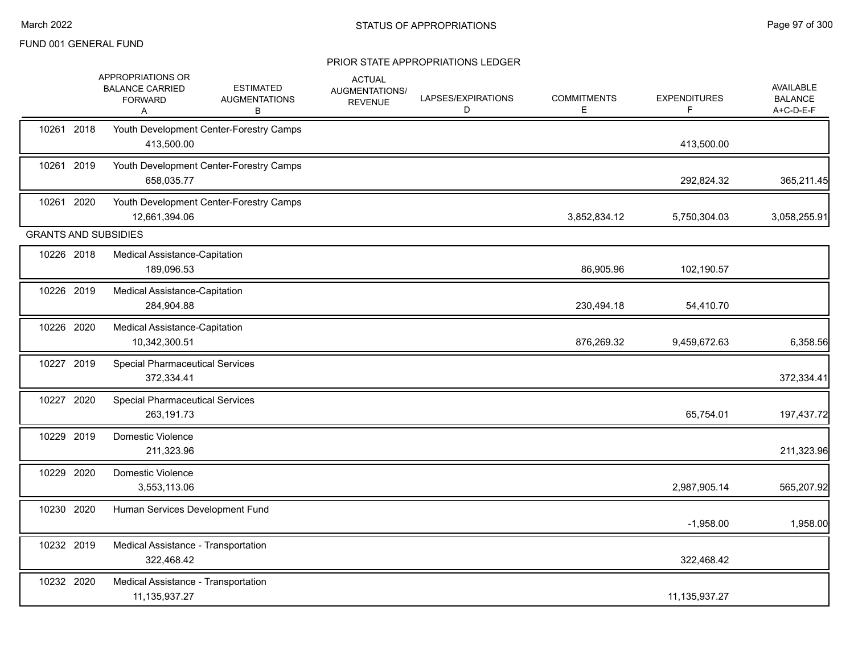|            | APPROPRIATIONS OR<br><b>BALANCE CARRIED</b><br><b>FORWARD</b><br>A | <b>ESTIMATED</b><br><b>AUGMENTATIONS</b><br>В | <b>ACTUAL</b><br>AUGMENTATIONS/<br><b>REVENUE</b> | LAPSES/EXPIRATIONS<br>D | <b>COMMITMENTS</b><br>Е | <b>EXPENDITURES</b><br>F. | AVAILABLE<br><b>BALANCE</b><br>A+C-D-E-F |
|------------|--------------------------------------------------------------------|-----------------------------------------------|---------------------------------------------------|-------------------------|-------------------------|---------------------------|------------------------------------------|
| 10261 2018 | 413,500.00                                                         | Youth Development Center-Forestry Camps       |                                                   |                         |                         | 413,500.00                |                                          |
| 10261 2019 | 658,035.77                                                         | Youth Development Center-Forestry Camps       |                                                   |                         |                         | 292,824.32                | 365,211.45                               |
| 10261 2020 | 12,661,394.06                                                      | Youth Development Center-Forestry Camps       |                                                   |                         | 3,852,834.12            | 5,750,304.03              | 3,058,255.91                             |
|            | <b>GRANTS AND SUBSIDIES</b>                                        |                                               |                                                   |                         |                         |                           |                                          |
| 10226 2018 | Medical Assistance-Capitation<br>189,096.53                        |                                               |                                                   |                         | 86,905.96               | 102,190.57                |                                          |
| 10226 2019 | <b>Medical Assistance-Capitation</b><br>284,904.88                 |                                               |                                                   |                         | 230,494.18              | 54,410.70                 |                                          |
| 10226 2020 | Medical Assistance-Capitation<br>10,342,300.51                     |                                               |                                                   |                         | 876,269.32              | 9,459,672.63              | 6,358.56                                 |
| 10227 2019 | <b>Special Pharmaceutical Services</b><br>372,334.41               |                                               |                                                   |                         |                         |                           | 372,334.41                               |
| 10227 2020 | <b>Special Pharmaceutical Services</b><br>263,191.73               |                                               |                                                   |                         |                         | 65,754.01                 | 197,437.72                               |
| 10229 2019 | Domestic Violence<br>211,323.96                                    |                                               |                                                   |                         |                         |                           | 211,323.96                               |
| 10229 2020 | Domestic Violence<br>3,553,113.06                                  |                                               |                                                   |                         |                         | 2,987,905.14              | 565,207.92                               |
| 10230 2020 | Human Services Development Fund                                    |                                               |                                                   |                         |                         | $-1,958.00$               | 1,958.00                                 |
| 10232 2019 | Medical Assistance - Transportation<br>322,468.42                  |                                               |                                                   |                         |                         | 322,468.42                |                                          |
| 10232 2020 | Medical Assistance - Transportation<br>11, 135, 937. 27            |                                               |                                                   |                         |                         | 11,135,937.27             |                                          |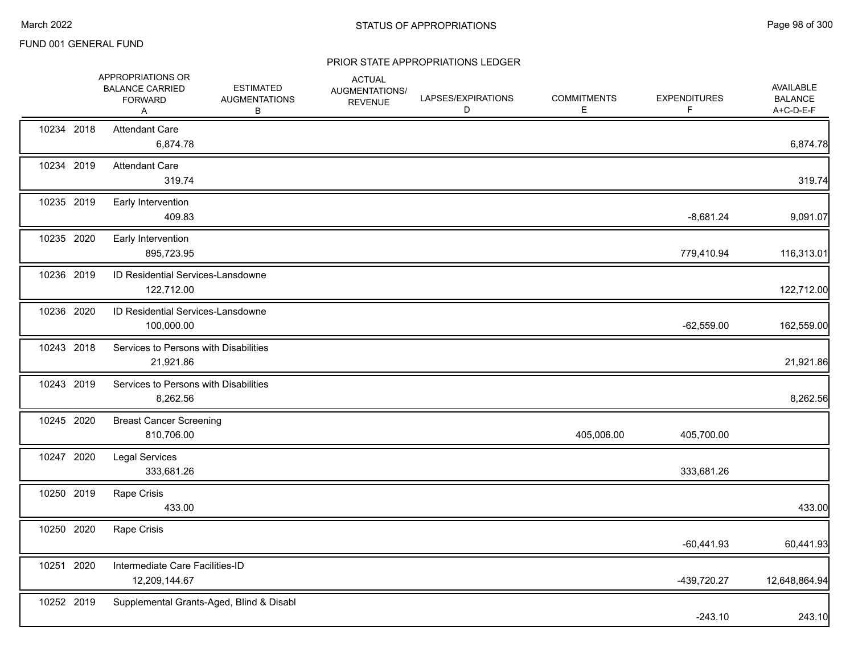|            | APPROPRIATIONS OR<br><b>BALANCE CARRIED</b><br><b>FORWARD</b><br>Α | <b>ESTIMATED</b><br><b>AUGMENTATIONS</b><br>В | <b>ACTUAL</b><br>AUGMENTATIONS/<br><b>REVENUE</b> | LAPSES/EXPIRATIONS<br>D | <b>COMMITMENTS</b><br>E | <b>EXPENDITURES</b><br>F | AVAILABLE<br><b>BALANCE</b><br>A+C-D-E-F |
|------------|--------------------------------------------------------------------|-----------------------------------------------|---------------------------------------------------|-------------------------|-------------------------|--------------------------|------------------------------------------|
| 10234 2018 | <b>Attendant Care</b><br>6,874.78                                  |                                               |                                                   |                         |                         |                          | 6,874.78                                 |
| 10234 2019 | <b>Attendant Care</b><br>319.74                                    |                                               |                                                   |                         |                         |                          | 319.74                                   |
| 10235 2019 | Early Intervention<br>409.83                                       |                                               |                                                   |                         |                         | $-8,681.24$              | 9,091.07                                 |
| 10235 2020 | Early Intervention<br>895,723.95                                   |                                               |                                                   |                         |                         | 779,410.94               | 116,313.01                               |
| 10236 2019 | ID Residential Services-Lansdowne<br>122,712.00                    |                                               |                                                   |                         |                         |                          | 122,712.00                               |
| 10236 2020 | <b>ID Residential Services-Lansdowne</b><br>100,000.00             |                                               |                                                   |                         |                         | $-62,559.00$             | 162,559.00                               |
| 10243 2018 | Services to Persons with Disabilities<br>21,921.86                 |                                               |                                                   |                         |                         |                          | 21,921.86                                |
| 10243 2019 | Services to Persons with Disabilities<br>8,262.56                  |                                               |                                                   |                         |                         |                          | 8,262.56                                 |
| 10245 2020 | <b>Breast Cancer Screening</b><br>810,706.00                       |                                               |                                                   |                         | 405,006.00              | 405,700.00               |                                          |
| 10247 2020 | <b>Legal Services</b><br>333,681.26                                |                                               |                                                   |                         |                         | 333,681.26               |                                          |
| 10250 2019 | Rape Crisis<br>433.00                                              |                                               |                                                   |                         |                         |                          | 433.00                                   |
| 10250 2020 | Rape Crisis                                                        |                                               |                                                   |                         |                         | $-60,441.93$             | 60,441.93                                |
| 10251 2020 | Intermediate Care Facilities-ID<br>12,209,144.67                   |                                               |                                                   |                         |                         | -439,720.27              | 12,648,864.94                            |
| 10252 2019 |                                                                    | Supplemental Grants-Aged, Blind & Disabl      |                                                   |                         |                         | $-243.10$                | 243.10                                   |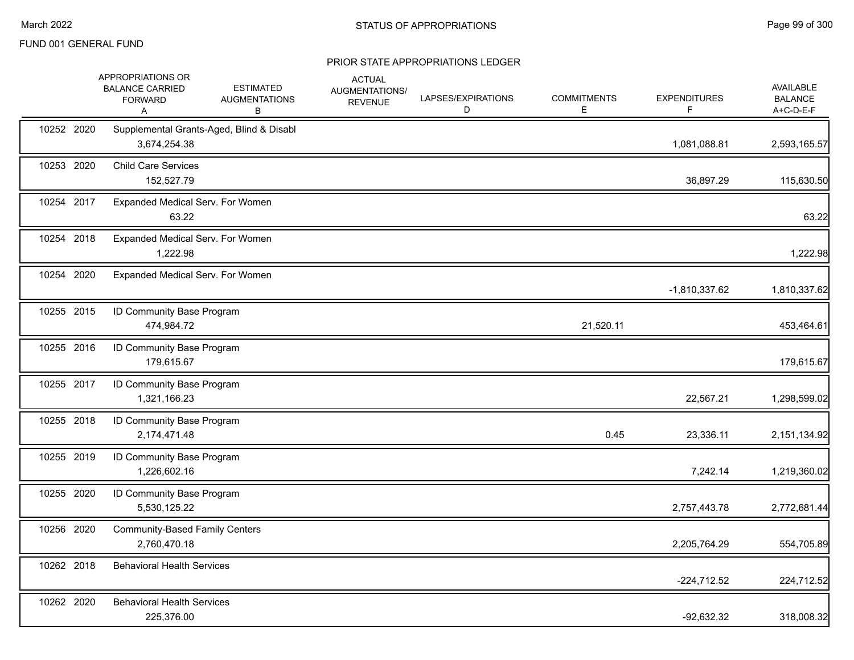|            | APPROPRIATIONS OR<br><b>BALANCE CARRIED</b><br><b>FORWARD</b><br>Α | <b>ESTIMATED</b><br><b>AUGMENTATIONS</b><br>В | <b>ACTUAL</b><br>AUGMENTATIONS/<br><b>REVENUE</b> | LAPSES/EXPIRATIONS<br>D | <b>COMMITMENTS</b><br>E | <b>EXPENDITURES</b><br>F | AVAILABLE<br><b>BALANCE</b><br>A+C-D-E-F |
|------------|--------------------------------------------------------------------|-----------------------------------------------|---------------------------------------------------|-------------------------|-------------------------|--------------------------|------------------------------------------|
| 10252 2020 | 3,674,254.38                                                       | Supplemental Grants-Aged, Blind & Disabl      |                                                   |                         |                         | 1,081,088.81             | 2,593,165.57                             |
| 10253 2020 | <b>Child Care Services</b><br>152,527.79                           |                                               |                                                   |                         |                         | 36,897.29                | 115,630.50                               |
| 10254 2017 | Expanded Medical Serv. For Women<br>63.22                          |                                               |                                                   |                         |                         |                          | 63.22                                    |
| 10254 2018 | Expanded Medical Serv. For Women<br>1,222.98                       |                                               |                                                   |                         |                         |                          | 1,222.98                                 |
| 10254 2020 | Expanded Medical Serv. For Women                                   |                                               |                                                   |                         |                         | $-1,810,337.62$          | 1,810,337.62                             |
| 10255 2015 | ID Community Base Program<br>474,984.72                            |                                               |                                                   |                         | 21,520.11               |                          | 453,464.61                               |
| 10255 2016 | ID Community Base Program<br>179,615.67                            |                                               |                                                   |                         |                         |                          | 179,615.67                               |
| 10255 2017 | ID Community Base Program<br>1,321,166.23                          |                                               |                                                   |                         |                         | 22,567.21                | 1,298,599.02                             |
| 10255 2018 | ID Community Base Program<br>2,174,471.48                          |                                               |                                                   |                         | 0.45                    | 23,336.11                | 2,151,134.92                             |
| 10255 2019 | ID Community Base Program<br>1,226,602.16                          |                                               |                                                   |                         |                         | 7,242.14                 | 1,219,360.02                             |
| 10255 2020 | ID Community Base Program<br>5,530,125.22                          |                                               |                                                   |                         |                         | 2,757,443.78             | 2,772,681.44                             |
| 10256 2020 | <b>Community-Based Family Centers</b><br>2,760,470.18              |                                               |                                                   |                         |                         | 2,205,764.29             | 554,705.89                               |
| 10262 2018 | <b>Behavioral Health Services</b>                                  |                                               |                                                   |                         |                         | $-224,712.52$            | 224,712.52                               |
| 10262 2020 | <b>Behavioral Health Services</b><br>225,376.00                    |                                               |                                                   |                         |                         | $-92,632.32$             | 318,008.32                               |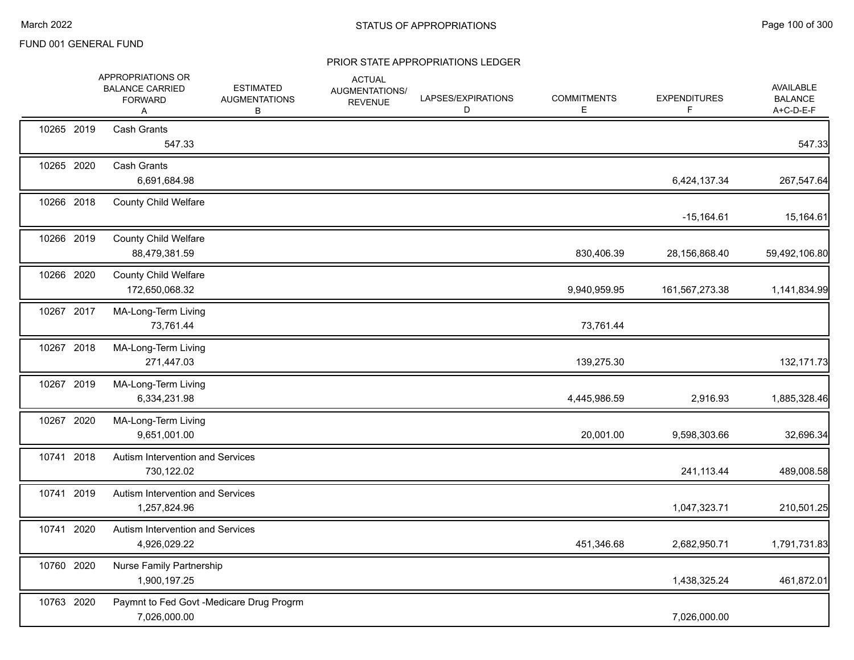|            | APPROPRIATIONS OR<br><b>BALANCE CARRIED</b><br><b>FORWARD</b><br>A | <b>ESTIMATED</b><br><b>AUGMENTATIONS</b><br>В | <b>ACTUAL</b><br>AUGMENTATIONS/<br><b>REVENUE</b> | LAPSES/EXPIRATIONS<br>D | <b>COMMITMENTS</b><br>E | <b>EXPENDITURES</b><br>F | <b>AVAILABLE</b><br><b>BALANCE</b><br>A+C-D-E-F |
|------------|--------------------------------------------------------------------|-----------------------------------------------|---------------------------------------------------|-------------------------|-------------------------|--------------------------|-------------------------------------------------|
| 10265 2019 | <b>Cash Grants</b><br>547.33                                       |                                               |                                                   |                         |                         |                          | 547.33                                          |
| 10265 2020 | <b>Cash Grants</b><br>6,691,684.98                                 |                                               |                                                   |                         |                         | 6,424,137.34             | 267,547.64                                      |
| 10266 2018 | <b>County Child Welfare</b>                                        |                                               |                                                   |                         |                         | $-15,164.61$             | 15,164.61                                       |
| 10266 2019 | <b>County Child Welfare</b><br>88,479,381.59                       |                                               |                                                   |                         | 830,406.39              | 28,156,868.40            | 59,492,106.80                                   |
| 10266 2020 | <b>County Child Welfare</b><br>172,650,068.32                      |                                               |                                                   |                         | 9,940,959.95            | 161,567,273.38           | 1,141,834.99                                    |
| 10267 2017 | MA-Long-Term Living<br>73,761.44                                   |                                               |                                                   |                         | 73,761.44               |                          |                                                 |
| 10267 2018 | MA-Long-Term Living<br>271,447.03                                  |                                               |                                                   |                         | 139,275.30              |                          | 132, 171.73                                     |
| 10267 2019 | MA-Long-Term Living<br>6,334,231.98                                |                                               |                                                   |                         | 4,445,986.59            | 2,916.93                 | 1,885,328.46                                    |
| 10267 2020 | MA-Long-Term Living<br>9,651,001.00                                |                                               |                                                   |                         | 20,001.00               | 9,598,303.66             | 32,696.34                                       |
| 10741 2018 | Autism Intervention and Services<br>730,122.02                     |                                               |                                                   |                         |                         | 241,113.44               | 489,008.58                                      |
| 10741 2019 | Autism Intervention and Services<br>1,257,824.96                   |                                               |                                                   |                         |                         | 1,047,323.71             | 210,501.25                                      |
| 10741 2020 | Autism Intervention and Services<br>4,926,029.22                   |                                               |                                                   |                         | 451,346.68              | 2,682,950.71             | 1,791,731.83                                    |
| 10760 2020 | Nurse Family Partnership<br>1,900,197.25                           |                                               |                                                   |                         |                         | 1,438,325.24             | 461,872.01                                      |
| 10763 2020 | Paymnt to Fed Govt -Medicare Drug Progrm<br>7,026,000.00           |                                               |                                                   |                         |                         | 7,026,000.00             |                                                 |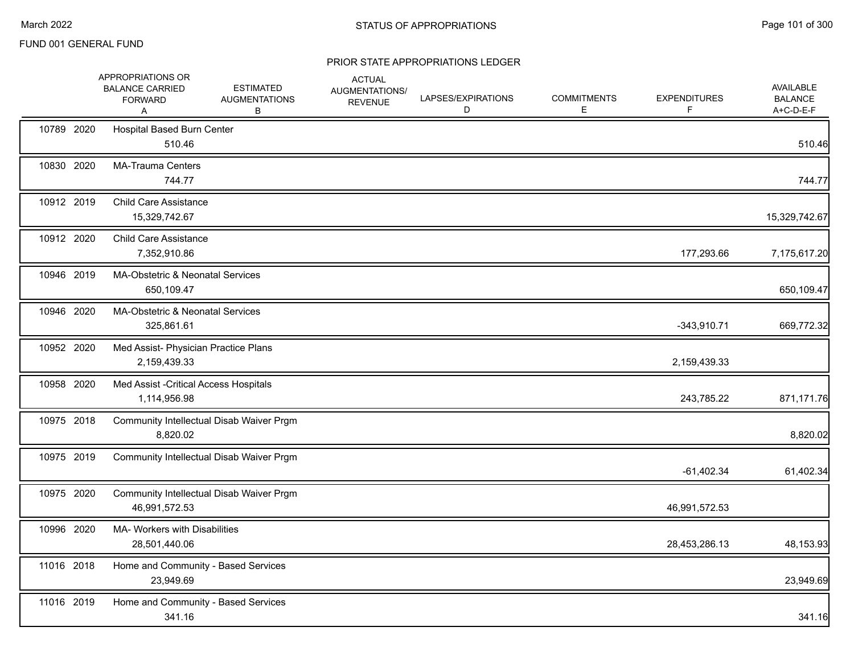|            | APPROPRIATIONS OR<br><b>BALANCE CARRIED</b><br><b>FORWARD</b><br>Α | <b>ESTIMATED</b><br><b>AUGMENTATIONS</b><br>В | <b>ACTUAL</b><br>AUGMENTATIONS/<br><b>REVENUE</b> | LAPSES/EXPIRATIONS<br>D | <b>COMMITMENTS</b><br>E | <b>EXPENDITURES</b><br>F | AVAILABLE<br><b>BALANCE</b><br>A+C-D-E-F |
|------------|--------------------------------------------------------------------|-----------------------------------------------|---------------------------------------------------|-------------------------|-------------------------|--------------------------|------------------------------------------|
| 10789 2020 | Hospital Based Burn Center<br>510.46                               |                                               |                                                   |                         |                         |                          | 510.46                                   |
| 10830 2020 | <b>MA-Trauma Centers</b><br>744.77                                 |                                               |                                                   |                         |                         |                          | 744.77                                   |
| 10912 2019 | <b>Child Care Assistance</b><br>15,329,742.67                      |                                               |                                                   |                         |                         |                          | 15,329,742.67                            |
| 10912 2020 | <b>Child Care Assistance</b><br>7,352,910.86                       |                                               |                                                   |                         |                         | 177,293.66               | 7,175,617.20                             |
| 10946 2019 | MA-Obstetric & Neonatal Services<br>650,109.47                     |                                               |                                                   |                         |                         |                          | 650,109.47                               |
| 10946 2020 | MA-Obstetric & Neonatal Services<br>325,861.61                     |                                               |                                                   |                         |                         | $-343,910.71$            | 669,772.32                               |
| 10952 2020 | Med Assist- Physician Practice Plans<br>2,159,439.33               |                                               |                                                   |                         |                         | 2,159,439.33             |                                          |
| 10958 2020 | Med Assist - Critical Access Hospitals<br>1,114,956.98             |                                               |                                                   |                         |                         | 243,785.22               | 871,171.76                               |
| 10975 2018 | 8,820.02                                                           | Community Intellectual Disab Waiver Prgm      |                                                   |                         |                         |                          | 8,820.02                                 |
| 10975 2019 |                                                                    | Community Intellectual Disab Waiver Prgm      |                                                   |                         |                         | $-61,402.34$             | 61,402.34                                |
| 10975 2020 | 46,991,572.53                                                      | Community Intellectual Disab Waiver Prgm      |                                                   |                         |                         | 46,991,572.53            |                                          |
| 10996 2020 | MA- Workers with Disabilities<br>28,501,440.06                     |                                               |                                                   |                         |                         | 28,453,286.13            | 48,153.93                                |
| 11016 2018 | Home and Community - Based Services<br>23,949.69                   |                                               |                                                   |                         |                         |                          | 23,949.69                                |
| 11016 2019 | Home and Community - Based Services<br>341.16                      |                                               |                                                   |                         |                         |                          | 341.16                                   |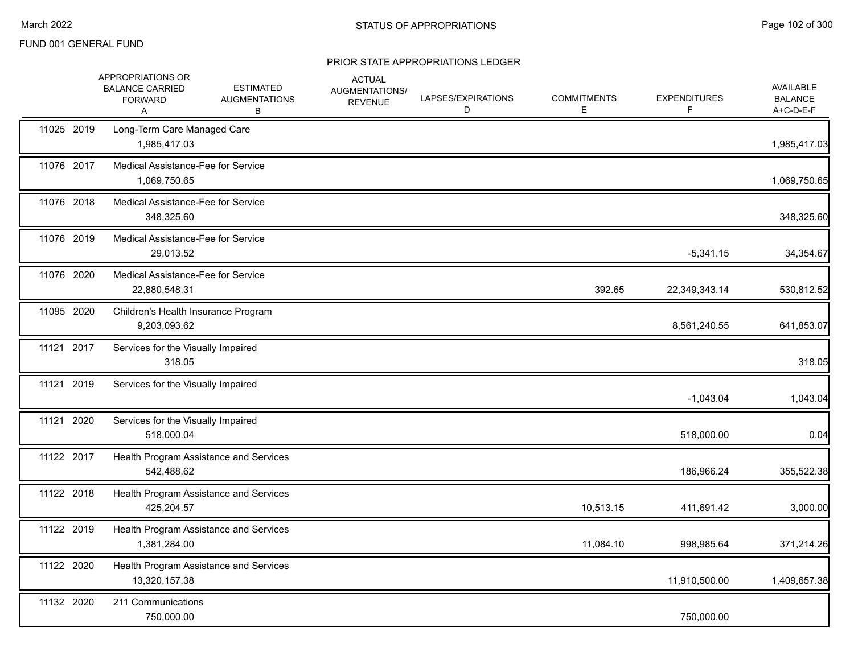|            | APPROPRIATIONS OR<br><b>BALANCE CARRIED</b><br><b>FORWARD</b><br>Α | <b>ESTIMATED</b><br><b>AUGMENTATIONS</b><br>В | <b>ACTUAL</b><br>AUGMENTATIONS/<br><b>REVENUE</b> | LAPSES/EXPIRATIONS<br>D | <b>COMMITMENTS</b><br>E | <b>EXPENDITURES</b><br>F | AVAILABLE<br><b>BALANCE</b><br>A+C-D-E-F |
|------------|--------------------------------------------------------------------|-----------------------------------------------|---------------------------------------------------|-------------------------|-------------------------|--------------------------|------------------------------------------|
| 11025 2019 | Long-Term Care Managed Care<br>1,985,417.03                        |                                               |                                                   |                         |                         |                          | 1,985,417.03                             |
| 11076 2017 | <b>Medical Assistance-Fee for Service</b><br>1,069,750.65          |                                               |                                                   |                         |                         |                          | 1,069,750.65                             |
| 11076 2018 | Medical Assistance-Fee for Service<br>348,325.60                   |                                               |                                                   |                         |                         |                          | 348,325.60                               |
| 11076 2019 | Medical Assistance-Fee for Service<br>29,013.52                    |                                               |                                                   |                         |                         | $-5,341.15$              | 34,354.67                                |
| 11076 2020 | Medical Assistance-Fee for Service<br>22,880,548.31                |                                               |                                                   |                         | 392.65                  | 22,349,343.14            | 530,812.52                               |
| 11095 2020 | Children's Health Insurance Program<br>9,203,093.62                |                                               |                                                   |                         |                         | 8,561,240.55             | 641,853.07                               |
| 11121 2017 | Services for the Visually Impaired<br>318.05                       |                                               |                                                   |                         |                         |                          | 318.05                                   |
| 11121 2019 | Services for the Visually Impaired                                 |                                               |                                                   |                         |                         | $-1,043.04$              | 1,043.04                                 |
| 11121 2020 | Services for the Visually Impaired<br>518,000.04                   |                                               |                                                   |                         |                         | 518,000.00               | 0.04                                     |
| 11122 2017 | 542,488.62                                                         | Health Program Assistance and Services        |                                                   |                         |                         | 186,966.24               | 355,522.38                               |
| 11122 2018 | 425,204.57                                                         | Health Program Assistance and Services        |                                                   |                         | 10,513.15               | 411,691.42               | 3,000.00                                 |
| 11122 2019 | 1,381,284.00                                                       | Health Program Assistance and Services        |                                                   |                         | 11,084.10               | 998,985.64               | 371,214.26                               |
| 11122 2020 | 13,320,157.38                                                      | Health Program Assistance and Services        |                                                   |                         |                         | 11,910,500.00            | 1,409,657.38                             |
| 11132 2020 | 211 Communications<br>750,000.00                                   |                                               |                                                   |                         |                         | 750,000.00               |                                          |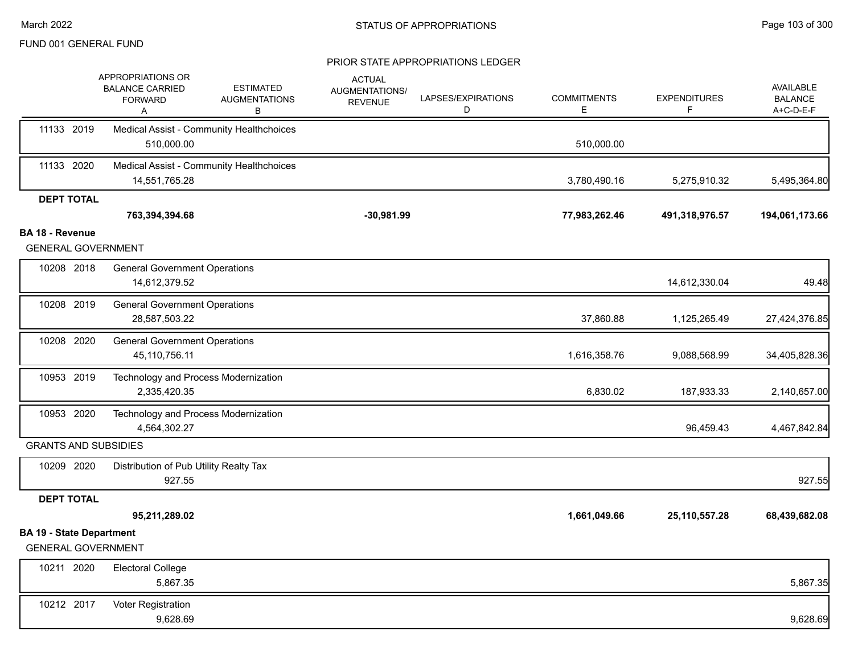|                                                              | APPROPRIATIONS OR<br><b>BALANCE CARRIED</b><br><b>FORWARD</b><br>A | <b>ESTIMATED</b><br><b>AUGMENTATIONS</b><br>в | <b>ACTUAL</b><br>AUGMENTATIONS/<br><b>REVENUE</b> | LAPSES/EXPIRATIONS<br>D | <b>COMMITMENTS</b><br>E | <b>EXPENDITURES</b><br>F. | AVAILABLE<br><b>BALANCE</b><br>A+C-D-E-F |
|--------------------------------------------------------------|--------------------------------------------------------------------|-----------------------------------------------|---------------------------------------------------|-------------------------|-------------------------|---------------------------|------------------------------------------|
| 11133 2019                                                   | Medical Assist - Community Healthchoices<br>510,000.00             |                                               |                                                   |                         | 510,000.00              |                           |                                          |
| 11133 2020                                                   | Medical Assist - Community Healthchoices<br>14,551,765.28          |                                               |                                                   |                         | 3,780,490.16            | 5,275,910.32              | 5,495,364.80                             |
| <b>DEPT TOTAL</b>                                            |                                                                    |                                               |                                                   |                         |                         |                           |                                          |
|                                                              | 763,394,394.68                                                     |                                               | $-30,981.99$                                      |                         | 77,983,262.46           | 491,318,976.57            | 194,061,173.66                           |
| <b>BA 18 - Revenue</b>                                       |                                                                    |                                               |                                                   |                         |                         |                           |                                          |
| <b>GENERAL GOVERNMENT</b>                                    |                                                                    |                                               |                                                   |                         |                         |                           |                                          |
| 10208 2018                                                   | <b>General Government Operations</b><br>14,612,379.52              |                                               |                                                   |                         |                         | 14,612,330.04             | 49.48                                    |
| 10208 2019                                                   | <b>General Government Operations</b><br>28,587,503.22              |                                               |                                                   |                         | 37,860.88               | 1,125,265.49              | 27,424,376.85                            |
| 10208 2020                                                   | <b>General Government Operations</b><br>45,110,756.11              |                                               |                                                   |                         | 1,616,358.76            | 9,088,568.99              | 34,405,828.36                            |
| 10953 2019                                                   | Technology and Process Modernization<br>2,335,420.35               |                                               |                                                   |                         | 6,830.02                | 187,933.33                | 2,140,657.00                             |
| 10953 2020                                                   | Technology and Process Modernization<br>4,564,302.27               |                                               |                                                   |                         |                         | 96,459.43                 | 4,467,842.84                             |
| <b>GRANTS AND SUBSIDIES</b>                                  |                                                                    |                                               |                                                   |                         |                         |                           |                                          |
| 10209 2020                                                   | Distribution of Pub Utility Realty Tax<br>927.55                   |                                               |                                                   |                         |                         |                           | 927.55                                   |
| <b>DEPT TOTAL</b>                                            |                                                                    |                                               |                                                   |                         |                         |                           |                                          |
|                                                              | 95,211,289.02                                                      |                                               |                                                   |                         | 1,661,049.66            | 25, 110, 557. 28          | 68,439,682.08                            |
| <b>BA 19 - State Department</b><br><b>GENERAL GOVERNMENT</b> |                                                                    |                                               |                                                   |                         |                         |                           |                                          |
| 10211 2020                                                   | <b>Electoral College</b><br>5,867.35                               |                                               |                                                   |                         |                         |                           | 5,867.35                                 |
| 10212 2017                                                   | Voter Registration<br>9,628.69                                     |                                               |                                                   |                         |                         |                           | 9,628.69                                 |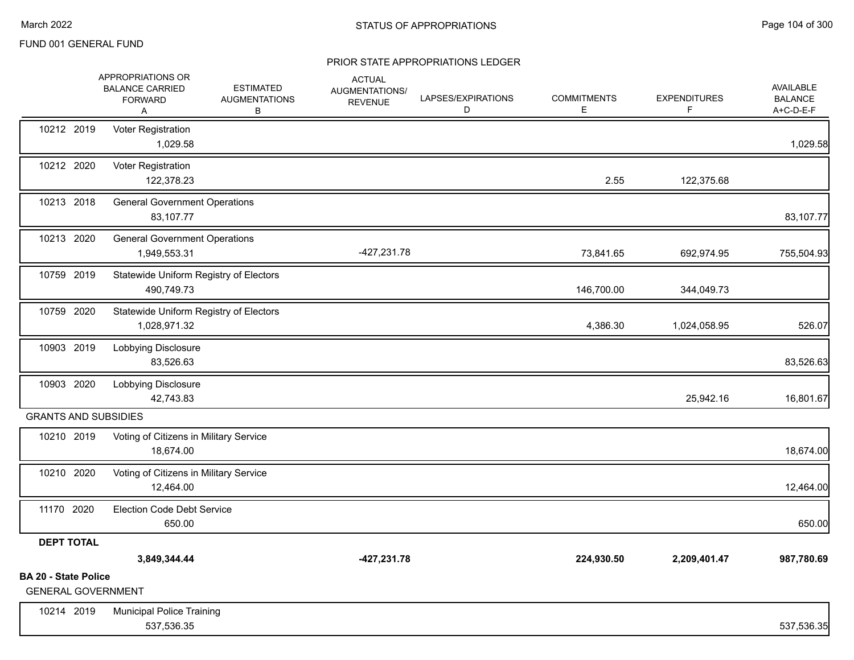|                                                          | APPROPRIATIONS OR<br><b>BALANCE CARRIED</b><br><b>FORWARD</b><br>Α | <b>ESTIMATED</b><br><b>AUGMENTATIONS</b><br>В | <b>ACTUAL</b><br>AUGMENTATIONS/<br><b>REVENUE</b> | LAPSES/EXPIRATIONS<br>D | <b>COMMITMENTS</b><br>Е | <b>EXPENDITURES</b><br>F | AVAILABLE<br><b>BALANCE</b><br>A+C-D-E-F |
|----------------------------------------------------------|--------------------------------------------------------------------|-----------------------------------------------|---------------------------------------------------|-------------------------|-------------------------|--------------------------|------------------------------------------|
| 10212 2019                                               | Voter Registration<br>1,029.58                                     |                                               |                                                   |                         |                         |                          | 1,029.58                                 |
| 10212 2020                                               | Voter Registration<br>122,378.23                                   |                                               |                                                   |                         | 2.55                    | 122,375.68               |                                          |
| 10213 2018                                               | <b>General Government Operations</b><br>83,107.77                  |                                               |                                                   |                         |                         |                          | 83,107.77                                |
| 10213 2020                                               | <b>General Government Operations</b><br>1,949,553.31               |                                               | -427,231.78                                       |                         | 73,841.65               | 692,974.95               | 755,504.93                               |
| 10759 2019                                               | Statewide Uniform Registry of Electors<br>490,749.73               |                                               |                                                   |                         | 146,700.00              | 344,049.73               |                                          |
| 10759 2020                                               | Statewide Uniform Registry of Electors<br>1,028,971.32             |                                               |                                                   |                         | 4,386.30                | 1,024,058.95             | 526.07                                   |
| 10903 2019                                               | Lobbying Disclosure<br>83,526.63                                   |                                               |                                                   |                         |                         |                          | 83,526.63                                |
| 10903 2020                                               | Lobbying Disclosure<br>42,743.83                                   |                                               |                                                   |                         |                         | 25,942.16                | 16,801.67                                |
| <b>GRANTS AND SUBSIDIES</b>                              |                                                                    |                                               |                                                   |                         |                         |                          |                                          |
| 10210 2019                                               | Voting of Citizens in Military Service<br>18,674.00                |                                               |                                                   |                         |                         |                          | 18,674.00                                |
| 10210 2020                                               | Voting of Citizens in Military Service<br>12,464.00                |                                               |                                                   |                         |                         |                          | 12,464.00                                |
| 11170 2020                                               | <b>Election Code Debt Service</b><br>650.00                        |                                               |                                                   |                         |                         |                          | 650.00                                   |
| <b>DEPT TOTAL</b>                                        |                                                                    |                                               |                                                   |                         |                         |                          |                                          |
|                                                          | 3,849,344.44                                                       |                                               | $-427,231.78$                                     |                         | 224,930.50              | 2,209,401.47             | 987,780.69                               |
| <b>BA 20 - State Police</b><br><b>GENERAL GOVERNMENT</b> |                                                                    |                                               |                                                   |                         |                         |                          |                                          |
| 10214 2019                                               | <b>Municipal Police Training</b><br>537,536.35                     |                                               |                                                   |                         |                         |                          | 537,536.35                               |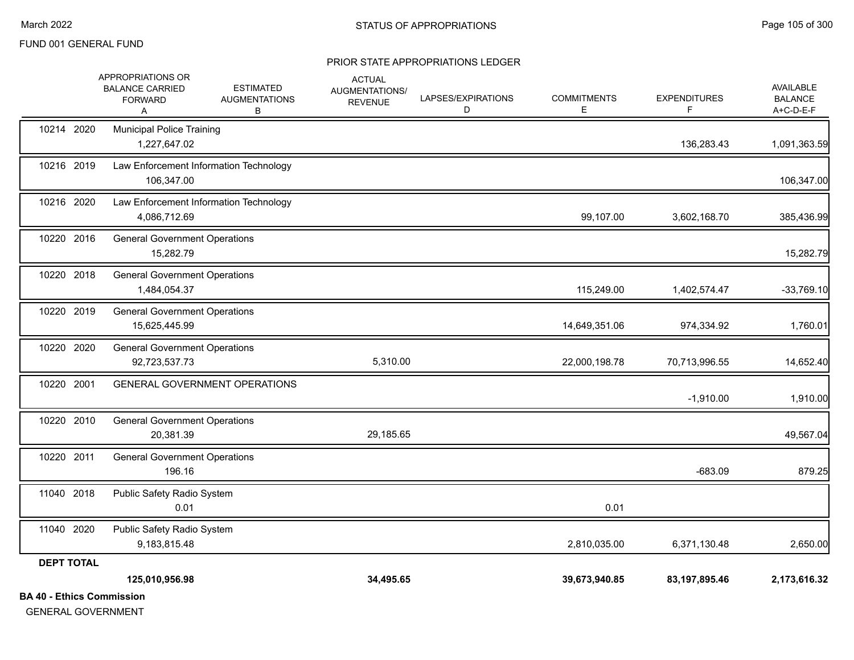| 11040 2018 | Public Safety Radio System<br>0.01                                 |                                               |                                                   |                         | 0.01                    |                          |                                          |
|------------|--------------------------------------------------------------------|-----------------------------------------------|---------------------------------------------------|-------------------------|-------------------------|--------------------------|------------------------------------------|
| 10220 2011 | <b>General Government Operations</b><br>196.16                     |                                               |                                                   |                         |                         | $-683.09$                | 879.25                                   |
| 10220 2010 | <b>General Government Operations</b><br>20,381.39                  |                                               | 29,185.65                                         |                         |                         |                          | 49,567.04                                |
| 10220 2001 |                                                                    | <b>GENERAL GOVERNMENT OPERATIONS</b>          |                                                   |                         |                         | $-1,910.00$              | 1,910.00                                 |
| 10220 2020 | <b>General Government Operations</b><br>92,723,537.73              |                                               | 5,310.00                                          |                         | 22,000,198.78           | 70,713,996.55            | 14,652.40                                |
| 10220 2019 | <b>General Government Operations</b><br>15,625,445.99              |                                               |                                                   |                         | 14,649,351.06           | 974,334.92               | 1,760.01                                 |
| 10220 2018 | <b>General Government Operations</b><br>1,484,054.37               |                                               |                                                   |                         | 115,249.00              | 1,402,574.47             | $-33,769.10$                             |
| 10220 2016 | <b>General Government Operations</b><br>15,282.79                  |                                               |                                                   |                         |                         |                          | 15,282.79                                |
| 10216 2020 | 4,086,712.69                                                       | Law Enforcement Information Technology        |                                                   |                         | 99,107.00               | 3,602,168.70             | 385,436.99                               |
| 10216 2019 | 106,347.00                                                         | Law Enforcement Information Technology        |                                                   |                         |                         |                          | 106,347.00                               |
| 10214 2020 | <b>Municipal Police Training</b><br>1,227,647.02                   |                                               |                                                   |                         |                         | 136,283.43               | 1,091,363.59                             |
|            | APPROPRIATIONS OR<br><b>BALANCE CARRIED</b><br><b>FORWARD</b><br>A | <b>ESTIMATED</b><br><b>AUGMENTATIONS</b><br>В | <b>ACTUAL</b><br>AUGMENTATIONS/<br><b>REVENUE</b> | LAPSES/EXPIRATIONS<br>D | <b>COMMITMENTS</b><br>Е | <b>EXPENDITURES</b><br>F | AVAILABLE<br><b>BALANCE</b><br>A+C-D-E-F |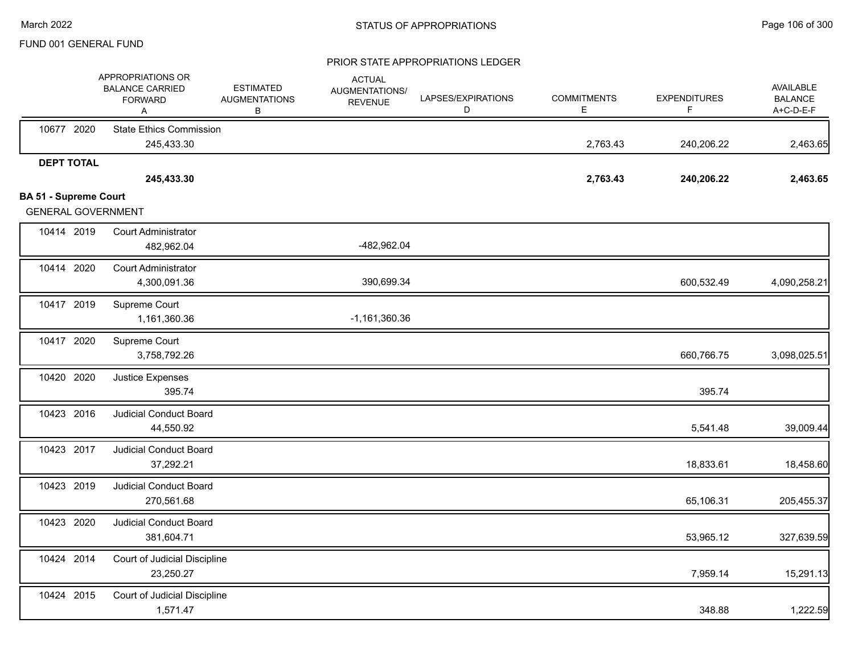|                                                           | APPROPRIATIONS OR<br><b>BALANCE CARRIED</b><br><b>FORWARD</b><br>Α | <b>ESTIMATED</b><br><b>AUGMENTATIONS</b><br>В | <b>ACTUAL</b><br>AUGMENTATIONS/<br><b>REVENUE</b> | LAPSES/EXPIRATIONS<br>D | <b>COMMITMENTS</b><br>E. | <b>EXPENDITURES</b><br>F | AVAILABLE<br><b>BALANCE</b><br>A+C-D-E-F |
|-----------------------------------------------------------|--------------------------------------------------------------------|-----------------------------------------------|---------------------------------------------------|-------------------------|--------------------------|--------------------------|------------------------------------------|
| 10677 2020                                                | <b>State Ethics Commission</b><br>245,433.30                       |                                               |                                                   |                         | 2,763.43                 | 240,206.22               | 2,463.65                                 |
| <b>DEPT TOTAL</b>                                         | 245,433.30                                                         |                                               |                                                   |                         | 2,763.43                 | 240,206.22               | 2,463.65                                 |
| <b>BA 51 - Supreme Court</b><br><b>GENERAL GOVERNMENT</b> |                                                                    |                                               |                                                   |                         |                          |                          |                                          |
| 10414 2019                                                | <b>Court Administrator</b><br>482,962.04                           |                                               | -482,962.04                                       |                         |                          |                          |                                          |
| 10414 2020                                                | <b>Court Administrator</b><br>4,300,091.36                         |                                               | 390,699.34                                        |                         |                          | 600,532.49               | 4,090,258.21                             |
| 10417 2019                                                | Supreme Court<br>1,161,360.36                                      |                                               | $-1,161,360.36$                                   |                         |                          |                          |                                          |
| 10417 2020                                                | Supreme Court<br>3,758,792.26                                      |                                               |                                                   |                         |                          | 660,766.75               | 3,098,025.51                             |
| 10420 2020                                                | Justice Expenses<br>395.74                                         |                                               |                                                   |                         |                          | 395.74                   |                                          |
| 10423 2016                                                | <b>Judicial Conduct Board</b><br>44,550.92                         |                                               |                                                   |                         |                          | 5,541.48                 | 39,009.44                                |
| 10423 2017                                                | <b>Judicial Conduct Board</b><br>37,292.21                         |                                               |                                                   |                         |                          | 18,833.61                | 18,458.60                                |
| 10423 2019                                                | Judicial Conduct Board<br>270,561.68                               |                                               |                                                   |                         |                          | 65,106.31                | 205,455.37                               |
| 10423 2020                                                | <b>Judicial Conduct Board</b><br>381,604.71                        |                                               |                                                   |                         |                          | 53,965.12                | 327,639.59                               |
| 10424 2014                                                | Court of Judicial Discipline<br>23,250.27                          |                                               |                                                   |                         |                          | 7,959.14                 | 15,291.13                                |
| 10424 2015                                                | Court of Judicial Discipline<br>1,571.47                           |                                               |                                                   |                         |                          | 348.88                   | 1,222.59                                 |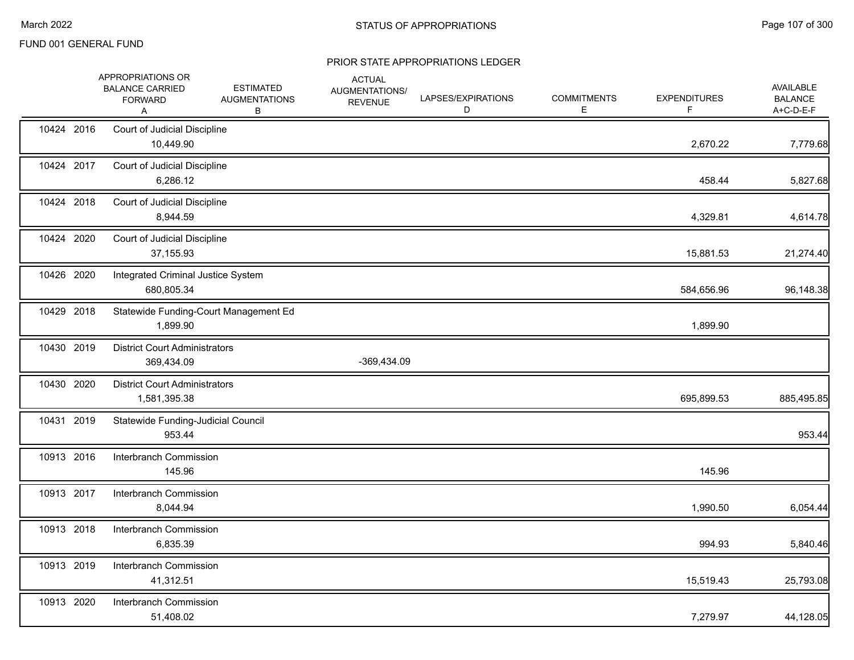|            | APPROPRIATIONS OR<br><b>BALANCE CARRIED</b><br><b>FORWARD</b><br>Α | <b>ESTIMATED</b><br><b>AUGMENTATIONS</b><br>В | <b>ACTUAL</b><br>AUGMENTATIONS/<br><b>REVENUE</b> | LAPSES/EXPIRATIONS<br>D | <b>COMMITMENTS</b><br>Е | <b>EXPENDITURES</b><br>F | AVAILABLE<br><b>BALANCE</b><br>A+C-D-E-F |
|------------|--------------------------------------------------------------------|-----------------------------------------------|---------------------------------------------------|-------------------------|-------------------------|--------------------------|------------------------------------------|
| 10424 2016 | Court of Judicial Discipline<br>10,449.90                          |                                               |                                                   |                         |                         | 2,670.22                 | 7,779.68                                 |
| 10424 2017 | Court of Judicial Discipline<br>6,286.12                           |                                               |                                                   |                         |                         | 458.44                   | 5,827.68                                 |
| 10424 2018 | Court of Judicial Discipline<br>8,944.59                           |                                               |                                                   |                         |                         | 4,329.81                 | 4,614.78                                 |
| 10424 2020 | Court of Judicial Discipline<br>37,155.93                          |                                               |                                                   |                         |                         | 15,881.53                | 21,274.40                                |
| 10426 2020 | Integrated Criminal Justice System<br>680,805.34                   |                                               |                                                   |                         |                         | 584,656.96               | 96,148.38                                |
| 10429 2018 | Statewide Funding-Court Management Ed<br>1,899.90                  |                                               |                                                   |                         |                         | 1,899.90                 |                                          |
| 10430 2019 | <b>District Court Administrators</b><br>369,434.09                 |                                               | -369,434.09                                       |                         |                         |                          |                                          |
| 10430 2020 | <b>District Court Administrators</b><br>1,581,395.38               |                                               |                                                   |                         |                         | 695,899.53               | 885,495.85                               |
| 10431 2019 | Statewide Funding-Judicial Council<br>953.44                       |                                               |                                                   |                         |                         |                          | 953.44                                   |
| 10913 2016 | Interbranch Commission<br>145.96                                   |                                               |                                                   |                         |                         | 145.96                   |                                          |
| 10913 2017 | Interbranch Commission<br>8,044.94                                 |                                               |                                                   |                         |                         | 1,990.50                 | 6,054.44                                 |
| 10913 2018 | Interbranch Commission<br>6,835.39                                 |                                               |                                                   |                         |                         | 994.93                   | 5,840.46                                 |
| 10913 2019 | Interbranch Commission<br>41,312.51                                |                                               |                                                   |                         |                         | 15,519.43                | 25,793.08                                |
| 10913 2020 | Interbranch Commission<br>51,408.02                                |                                               |                                                   |                         |                         | 7,279.97                 | 44,128.05                                |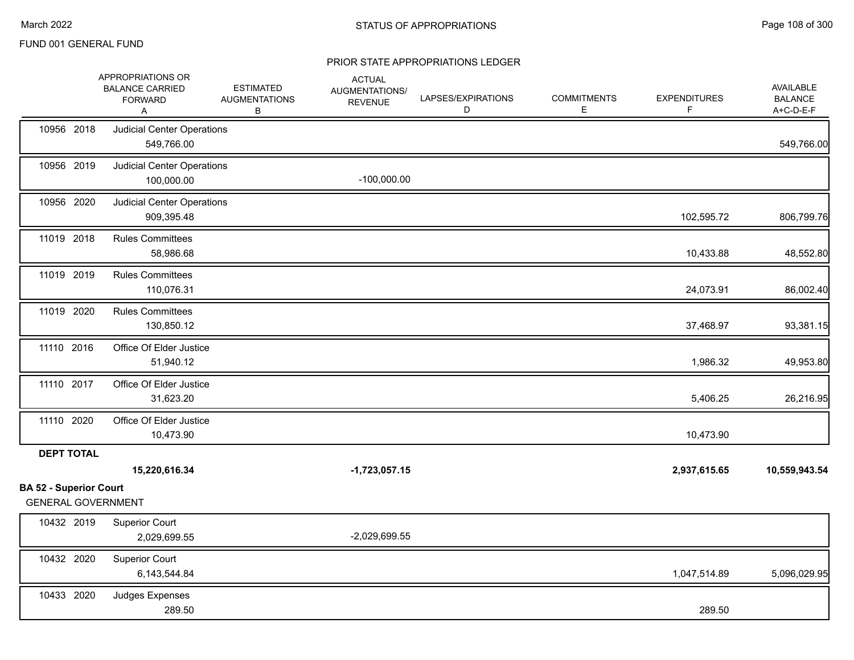|                                                    | APPROPRIATIONS OR<br><b>BALANCE CARRIED</b><br><b>FORWARD</b><br>A | <b>ESTIMATED</b><br><b>AUGMENTATIONS</b><br>В | <b>ACTUAL</b><br>AUGMENTATIONS/<br><b>REVENUE</b> | LAPSES/EXPIRATIONS<br>D | <b>COMMITMENTS</b><br>Е | <b>EXPENDITURES</b><br>F | AVAILABLE<br><b>BALANCE</b><br>A+C-D-E-F |
|----------------------------------------------------|--------------------------------------------------------------------|-----------------------------------------------|---------------------------------------------------|-------------------------|-------------------------|--------------------------|------------------------------------------|
| 10956 2018                                         | <b>Judicial Center Operations</b><br>549,766.00                    |                                               |                                                   |                         |                         |                          | 549,766.00                               |
| 10956 2019                                         | <b>Judicial Center Operations</b><br>100,000.00                    |                                               | $-100,000.00$                                     |                         |                         |                          |                                          |
| 10956 2020                                         | <b>Judicial Center Operations</b><br>909,395.48                    |                                               |                                                   |                         |                         | 102,595.72               | 806,799.76                               |
| 11019 2018                                         | <b>Rules Committees</b><br>58,986.68                               |                                               |                                                   |                         |                         | 10,433.88                | 48,552.80                                |
| 11019 2019                                         | <b>Rules Committees</b><br>110,076.31                              |                                               |                                                   |                         |                         | 24,073.91                | 86,002.40                                |
| 11019 2020                                         | <b>Rules Committees</b><br>130,850.12                              |                                               |                                                   |                         |                         | 37,468.97                | 93,381.15                                |
| 11110 2016                                         | Office Of Elder Justice<br>51,940.12                               |                                               |                                                   |                         |                         | 1,986.32                 | 49,953.80                                |
| 11110 2017                                         | Office Of Elder Justice<br>31,623.20                               |                                               |                                                   |                         |                         | 5,406.25                 | 26,216.95                                |
| 11110 2020                                         | Office Of Elder Justice<br>10,473.90                               |                                               |                                                   |                         |                         | 10,473.90                |                                          |
| <b>DEPT TOTAL</b><br><b>BA 52 - Superior Court</b> | 15,220,616.34                                                      |                                               | $-1,723,057.15$                                   |                         |                         | 2,937,615.65             | 10,559,943.54                            |
| <b>GENERAL GOVERNMENT</b>                          |                                                                    |                                               |                                                   |                         |                         |                          |                                          |
| 10432 2019                                         | <b>Superior Court</b><br>2,029,699.55                              |                                               | $-2,029,699.55$                                   |                         |                         |                          |                                          |
| 10432 2020                                         | <b>Superior Court</b><br>6,143,544.84                              |                                               |                                                   |                         |                         | 1,047,514.89             | 5,096,029.95                             |
| 10433 2020                                         | Judges Expenses<br>289.50                                          |                                               |                                                   |                         |                         | 289.50                   |                                          |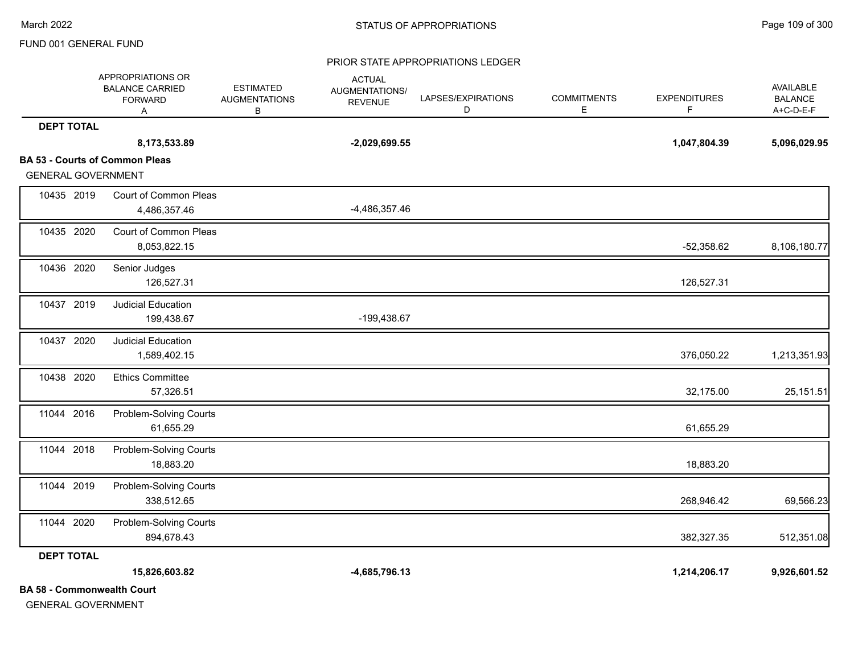#### PRIOR STATE APPROPRIATIONS LEDGER

|                                   | APPROPRIATIONS OR<br><b>BALANCE CARRIED</b><br><b>FORWARD</b><br>Α | <b>ESTIMATED</b><br><b>AUGMENTATIONS</b><br>В | <b>ACTUAL</b><br>AUGMENTATIONS/<br><b>REVENUE</b> | LAPSES/EXPIRATIONS<br>D | <b>COMMITMENTS</b><br>Е | <b>EXPENDITURES</b><br>F | <b>AVAILABLE</b><br><b>BALANCE</b><br>A+C-D-E-F |
|-----------------------------------|--------------------------------------------------------------------|-----------------------------------------------|---------------------------------------------------|-------------------------|-------------------------|--------------------------|-------------------------------------------------|
| <b>DEPT TOTAL</b>                 |                                                                    |                                               |                                                   |                         |                         |                          |                                                 |
|                                   | 8,173,533.89                                                       |                                               | $-2,029,699.55$                                   |                         |                         | 1,047,804.39             | 5,096,029.95                                    |
|                                   | <b>BA 53 - Courts of Common Pleas</b>                              |                                               |                                                   |                         |                         |                          |                                                 |
| <b>GENERAL GOVERNMENT</b>         |                                                                    |                                               |                                                   |                         |                         |                          |                                                 |
| 10435 2019                        | Court of Common Pleas                                              |                                               |                                                   |                         |                         |                          |                                                 |
|                                   | 4,486,357.46                                                       |                                               | -4,486,357.46                                     |                         |                         |                          |                                                 |
| 10435 2020                        | Court of Common Pleas                                              |                                               |                                                   |                         |                         |                          |                                                 |
|                                   | 8,053,822.15                                                       |                                               |                                                   |                         |                         | $-52,358.62$             | 8,106,180.77                                    |
| 10436 2020                        | Senior Judges                                                      |                                               |                                                   |                         |                         |                          |                                                 |
|                                   | 126,527.31                                                         |                                               |                                                   |                         |                         | 126,527.31               |                                                 |
| 10437 2019                        | Judicial Education                                                 |                                               |                                                   |                         |                         |                          |                                                 |
|                                   | 199,438.67                                                         |                                               | -199,438.67                                       |                         |                         |                          |                                                 |
| 10437 2020                        | <b>Judicial Education</b>                                          |                                               |                                                   |                         |                         |                          |                                                 |
|                                   | 1,589,402.15                                                       |                                               |                                                   |                         |                         | 376,050.22               | 1,213,351.93                                    |
| 10438 2020                        | <b>Ethics Committee</b>                                            |                                               |                                                   |                         |                         |                          |                                                 |
|                                   | 57,326.51                                                          |                                               |                                                   |                         |                         | 32,175.00                | 25,151.51                                       |
| 11044 2016                        | Problem-Solving Courts                                             |                                               |                                                   |                         |                         |                          |                                                 |
|                                   | 61,655.29                                                          |                                               |                                                   |                         |                         | 61,655.29                |                                                 |
| 11044 2018                        | Problem-Solving Courts                                             |                                               |                                                   |                         |                         |                          |                                                 |
|                                   | 18,883.20                                                          |                                               |                                                   |                         |                         | 18,883.20                |                                                 |
| 11044 2019                        | Problem-Solving Courts                                             |                                               |                                                   |                         |                         |                          |                                                 |
|                                   | 338,512.65                                                         |                                               |                                                   |                         |                         | 268,946.42               | 69,566.23                                       |
| 11044 2020                        | Problem-Solving Courts                                             |                                               |                                                   |                         |                         |                          |                                                 |
|                                   | 894,678.43                                                         |                                               |                                                   |                         |                         | 382,327.35               | 512,351.08                                      |
| <b>DEPT TOTAL</b>                 |                                                                    |                                               |                                                   |                         |                         |                          |                                                 |
|                                   | 15,826,603.82                                                      |                                               | -4,685,796.13                                     |                         |                         | 1,214,206.17             | 9,926,601.52                                    |
| <b>BA 58 - Commonwealth Court</b> |                                                                    |                                               |                                                   |                         |                         |                          |                                                 |

GENERAL GOVERNMENT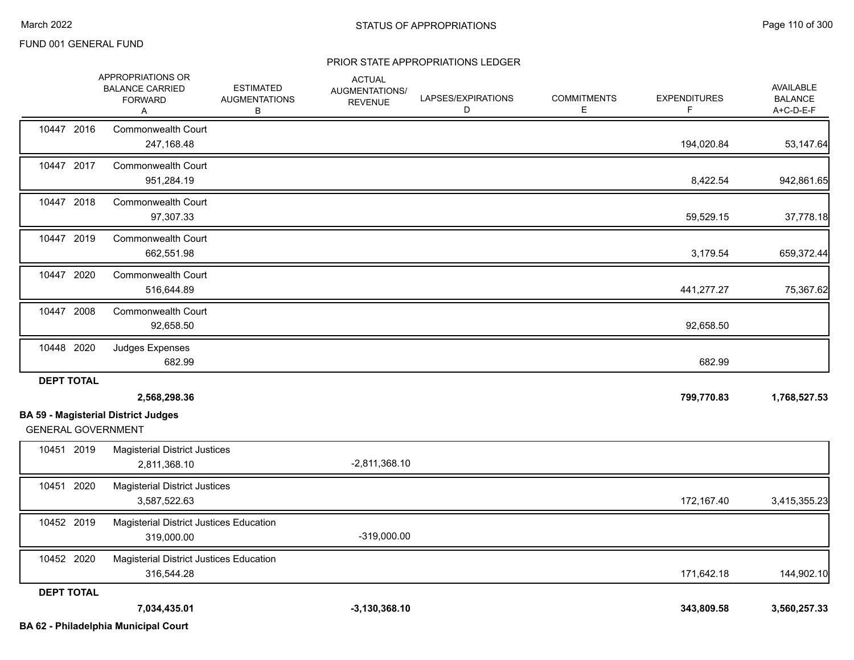#### PRIOR STATE APPROPRIATIONS LEDGER

|                           | APPROPRIATIONS OR<br><b>BALANCE CARRIED</b><br><b>FORWARD</b><br>Α | <b>ESTIMATED</b><br><b>AUGMENTATIONS</b><br>В | <b>ACTUAL</b><br>AUGMENTATIONS/<br><b>REVENUE</b> | LAPSES/EXPIRATIONS<br>D | <b>COMMITMENTS</b><br>E. | <b>EXPENDITURES</b><br>F | <b>AVAILABLE</b><br><b>BALANCE</b><br>$A+C-D-E-F$ |
|---------------------------|--------------------------------------------------------------------|-----------------------------------------------|---------------------------------------------------|-------------------------|--------------------------|--------------------------|---------------------------------------------------|
| 10447 2016                | Commonwealth Court<br>247,168.48                                   |                                               |                                                   |                         |                          | 194,020.84               | 53,147.64                                         |
| 10447 2017                | <b>Commonwealth Court</b><br>951,284.19                            |                                               |                                                   |                         |                          | 8,422.54                 | 942,861.65                                        |
| 10447 2018                | <b>Commonwealth Court</b><br>97,307.33                             |                                               |                                                   |                         |                          | 59,529.15                | 37,778.18                                         |
| 10447 2019                | <b>Commonwealth Court</b><br>662,551.98                            |                                               |                                                   |                         |                          | 3,179.54                 | 659,372.44                                        |
| 10447 2020                | Commonwealth Court<br>516,644.89                                   |                                               |                                                   |                         |                          | 441,277.27               | 75,367.62                                         |
| 10447 2008                | <b>Commonwealth Court</b><br>92,658.50                             |                                               |                                                   |                         |                          | 92,658.50                |                                                   |
| 10448 2020                | Judges Expenses<br>682.99                                          |                                               |                                                   |                         |                          | 682.99                   |                                                   |
| <b>DEPT TOTAL</b>         | 2,568,298.36<br><b>BA 59 - Magisterial District Judges</b>         |                                               |                                                   |                         |                          | 799,770.83               | 1,768,527.53                                      |
| <b>GENERAL GOVERNMENT</b> |                                                                    |                                               |                                                   |                         |                          |                          |                                                   |
| 10451 2019                | <b>Magisterial District Justices</b><br>2,811,368.10               |                                               | $-2,811,368.10$                                   |                         |                          |                          |                                                   |
| 10451 2020                | <b>Magisterial District Justices</b><br>3,587,522.63               |                                               |                                                   |                         |                          | 172,167.40               | 3,415,355.23                                      |
| 10452 2019                | Magisterial District Justices Education<br>319,000.00              |                                               | $-319,000.00$                                     |                         |                          |                          |                                                   |
| 10452 2020                | Magisterial District Justices Education<br>316,544.28              |                                               |                                                   |                         |                          | 171,642.18               | 144,902.10                                        |
| <b>DEPT TOTAL</b>         | 7,034,435.01                                                       |                                               | $-3,130,368.10$                                   |                         |                          | 343,809.58               | 3,560,257.33                                      |

**BA 62 - Philadelphia Municipal Court**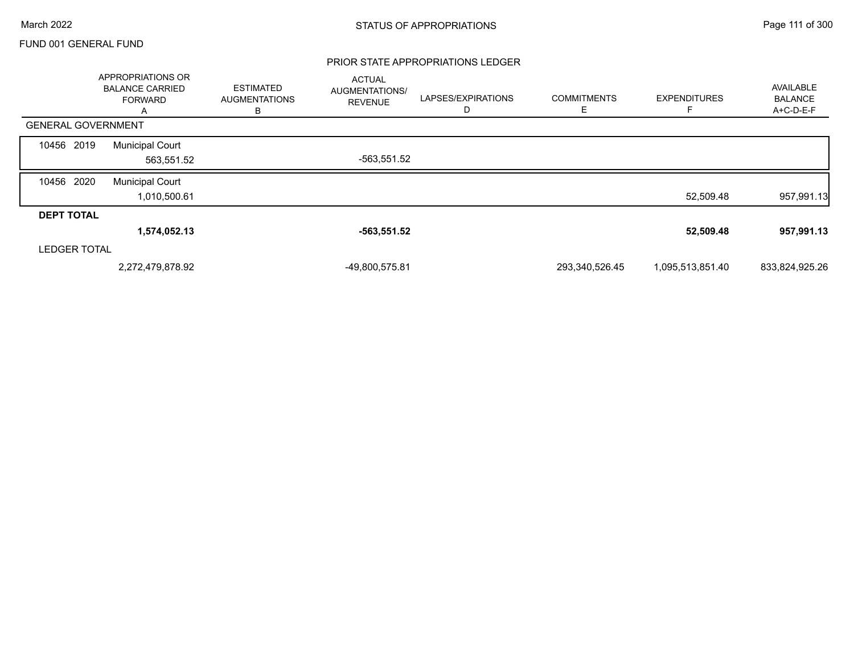#### PRIOR STATE APPROPRIATIONS LEDGER

|                           | <b>APPROPRIATIONS OR</b><br><b>BALANCE CARRIED</b><br><b>FORWARD</b><br>A | <b>ESTIMATED</b><br><b>AUGMENTATIONS</b><br>В | <b>ACTUAL</b><br>AUGMENTATIONS/<br><b>REVENUE</b> | LAPSES/EXPIRATIONS<br>D | <b>COMMITMENTS</b><br>Ε | <b>EXPENDITURES</b> | AVAILABLE<br><b>BALANCE</b><br>A+C-D-E-F |
|---------------------------|---------------------------------------------------------------------------|-----------------------------------------------|---------------------------------------------------|-------------------------|-------------------------|---------------------|------------------------------------------|
| <b>GENERAL GOVERNMENT</b> |                                                                           |                                               |                                                   |                         |                         |                     |                                          |
| 10456 2019                | <b>Municipal Court</b><br>563,551.52                                      |                                               | -563,551.52                                       |                         |                         |                     |                                          |
| 10456 2020                | <b>Municipal Court</b><br>1,010,500.61                                    |                                               |                                                   |                         |                         | 52,509.48           | 957,991.13                               |
| <b>DEPT TOTAL</b>         |                                                                           |                                               |                                                   |                         |                         |                     |                                          |
|                           | 1,574,052.13                                                              |                                               | -563,551.52                                       |                         |                         | 52,509.48           | 957,991.13                               |
| <b>LEDGER TOTAL</b>       |                                                                           |                                               |                                                   |                         |                         |                     |                                          |
|                           | 2,272,479,878.92                                                          |                                               | -49,800,575.81                                    |                         | 293,340,526.45          | 1,095,513,851.40    | 833,824,925.26                           |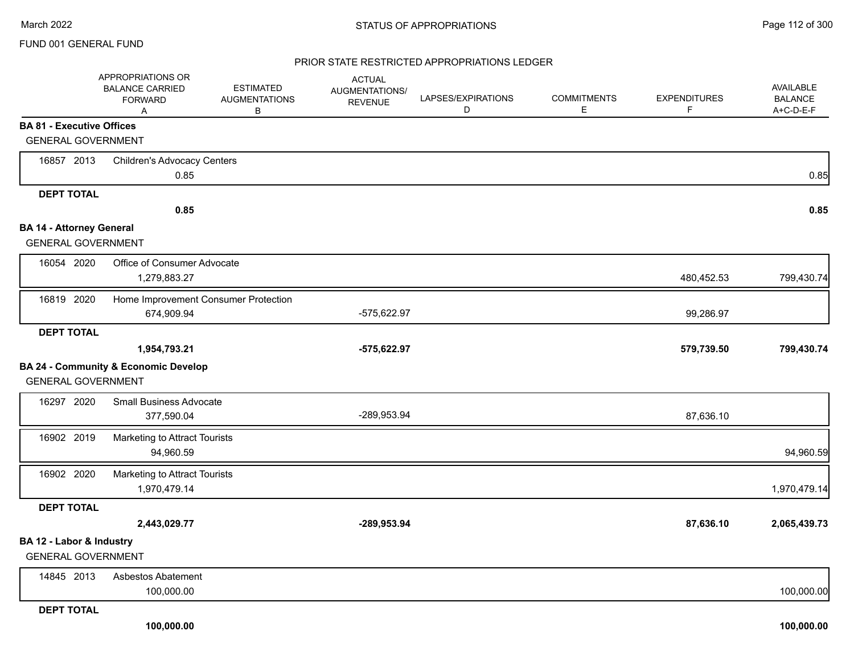#### PRIOR STATE RESTRICTED APPROPRIATIONS LEDGER

|                                  | APPROPRIATIONS OR<br><b>BALANCE CARRIED</b><br><b>FORWARD</b><br>Α | <b>ESTIMATED</b><br><b>AUGMENTATIONS</b><br>В | <b>ACTUAL</b><br>AUGMENTATIONS/<br><b>REVENUE</b> | LAPSES/EXPIRATIONS<br>D | <b>COMMITMENTS</b><br>E | <b>EXPENDITURES</b><br>F. | AVAILABLE<br><b>BALANCE</b><br>A+C-D-E-F |
|----------------------------------|--------------------------------------------------------------------|-----------------------------------------------|---------------------------------------------------|-------------------------|-------------------------|---------------------------|------------------------------------------|
| <b>BA 81 - Executive Offices</b> |                                                                    |                                               |                                                   |                         |                         |                           |                                          |
| <b>GENERAL GOVERNMENT</b>        |                                                                    |                                               |                                                   |                         |                         |                           |                                          |
| 16857 2013                       | <b>Children's Advocacy Centers</b>                                 |                                               |                                                   |                         |                         |                           |                                          |
|                                  | 0.85                                                               |                                               |                                                   |                         |                         |                           | 0.85                                     |
| <b>DEPT TOTAL</b>                |                                                                    |                                               |                                                   |                         |                         |                           |                                          |
|                                  | 0.85                                                               |                                               |                                                   |                         |                         |                           | 0.85                                     |
| <b>BA 14 - Attorney General</b>  |                                                                    |                                               |                                                   |                         |                         |                           |                                          |
| <b>GENERAL GOVERNMENT</b>        |                                                                    |                                               |                                                   |                         |                         |                           |                                          |
| 16054 2020                       | Office of Consumer Advocate<br>1,279,883.27                        |                                               |                                                   |                         |                         | 480,452.53                | 799,430.74                               |
| 16819 2020                       | Home Improvement Consumer Protection<br>674,909.94                 |                                               | -575,622.97                                       |                         |                         | 99,286.97                 |                                          |
| <b>DEPT TOTAL</b>                |                                                                    |                                               |                                                   |                         |                         |                           |                                          |
|                                  | 1,954,793.21                                                       |                                               | $-575,622.97$                                     |                         |                         | 579,739.50                | 799,430.74                               |
|                                  | <b>BA 24 - Community &amp; Economic Develop</b>                    |                                               |                                                   |                         |                         |                           |                                          |
| <b>GENERAL GOVERNMENT</b>        |                                                                    |                                               |                                                   |                         |                         |                           |                                          |
| 16297 2020                       | <b>Small Business Advocate</b><br>377,590.04                       |                                               | -289,953.94                                       |                         |                         | 87,636.10                 |                                          |
| 16902 2019                       | Marketing to Attract Tourists                                      |                                               |                                                   |                         |                         |                           |                                          |
|                                  | 94,960.59                                                          |                                               |                                                   |                         |                         |                           | 94,960.59                                |
| 16902 2020                       | Marketing to Attract Tourists                                      |                                               |                                                   |                         |                         |                           |                                          |
|                                  | 1,970,479.14                                                       |                                               |                                                   |                         |                         |                           | 1,970,479.14                             |
| <b>DEPT TOTAL</b>                |                                                                    |                                               |                                                   |                         |                         |                           |                                          |
|                                  | 2,443,029.77                                                       |                                               | -289,953.94                                       |                         |                         | 87,636.10                 | 2,065,439.73                             |
| BA 12 - Labor & Industry         |                                                                    |                                               |                                                   |                         |                         |                           |                                          |
| <b>GENERAL GOVERNMENT</b>        |                                                                    |                                               |                                                   |                         |                         |                           |                                          |
| 14845 2013                       | Asbestos Abatement<br>100,000.00                                   |                                               |                                                   |                         |                         |                           | 100,000.00                               |
| <b>DEPT TOTAL</b>                |                                                                    |                                               |                                                   |                         |                         |                           |                                          |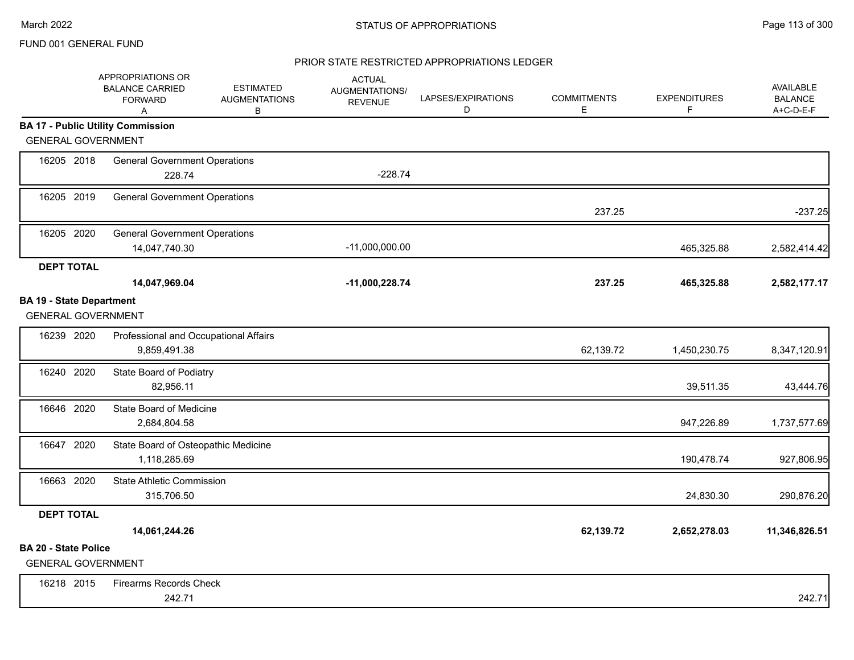# PRIOR STATE RESTRICTED APPROPRIATIONS LEDGER

|                                                              | APPROPRIATIONS OR<br><b>BALANCE CARRIED</b><br><b>FORWARD</b><br>Α | <b>ESTIMATED</b><br><b>AUGMENTATIONS</b><br>в | <b>ACTUAL</b><br>AUGMENTATIONS/<br><b>REVENUE</b> | LAPSES/EXPIRATIONS<br>D | <b>COMMITMENTS</b><br>E | <b>EXPENDITURES</b><br>F | <b>AVAILABLE</b><br><b>BALANCE</b><br>A+C-D-E-F |
|--------------------------------------------------------------|--------------------------------------------------------------------|-----------------------------------------------|---------------------------------------------------|-------------------------|-------------------------|--------------------------|-------------------------------------------------|
|                                                              | <b>BA 17 - Public Utility Commission</b>                           |                                               |                                                   |                         |                         |                          |                                                 |
| <b>GENERAL GOVERNMENT</b>                                    |                                                                    |                                               |                                                   |                         |                         |                          |                                                 |
| 16205 2018                                                   | <b>General Government Operations</b><br>228.74                     |                                               | $-228.74$                                         |                         |                         |                          |                                                 |
| 16205 2019                                                   | <b>General Government Operations</b>                               |                                               |                                                   |                         | 237.25                  |                          | $-237.25$                                       |
| 16205 2020                                                   | <b>General Government Operations</b><br>14,047,740.30              |                                               | $-11,000,000.00$                                  |                         |                         | 465,325.88               | 2,582,414.42                                    |
| <b>DEPT TOTAL</b>                                            | 14,047,969.04                                                      |                                               | $-11,000,228.74$                                  |                         | 237.25                  | 465,325.88               | 2,582,177.17                                    |
| <b>BA 19 - State Department</b><br><b>GENERAL GOVERNMENT</b> |                                                                    |                                               |                                                   |                         |                         |                          |                                                 |
| 16239 2020                                                   | Professional and Occupational Affairs<br>9,859,491.38              |                                               |                                                   |                         | 62,139.72               | 1,450,230.75             | 8,347,120.91                                    |
| 16240 2020                                                   | State Board of Podiatry<br>82,956.11                               |                                               |                                                   |                         |                         | 39,511.35                | 43,444.76                                       |
| 16646 2020                                                   | State Board of Medicine<br>2,684,804.58                            |                                               |                                                   |                         |                         | 947,226.89               | 1,737,577.69                                    |
| 16647 2020                                                   | State Board of Osteopathic Medicine<br>1,118,285.69                |                                               |                                                   |                         |                         | 190,478.74               | 927,806.95                                      |
| 16663 2020                                                   | <b>State Athletic Commission</b><br>315,706.50                     |                                               |                                                   |                         |                         | 24,830.30                | 290,876.20                                      |
| <b>DEPT TOTAL</b>                                            |                                                                    |                                               |                                                   |                         |                         |                          |                                                 |
|                                                              | 14,061,244.26                                                      |                                               |                                                   |                         | 62,139.72               | 2,652,278.03             | 11,346,826.51                                   |
| <b>BA 20 - State Police</b><br><b>GENERAL GOVERNMENT</b>     |                                                                    |                                               |                                                   |                         |                         |                          |                                                 |
| 16218 2015                                                   | <b>Firearms Records Check</b><br>242.71                            |                                               |                                                   |                         |                         |                          | 242.71                                          |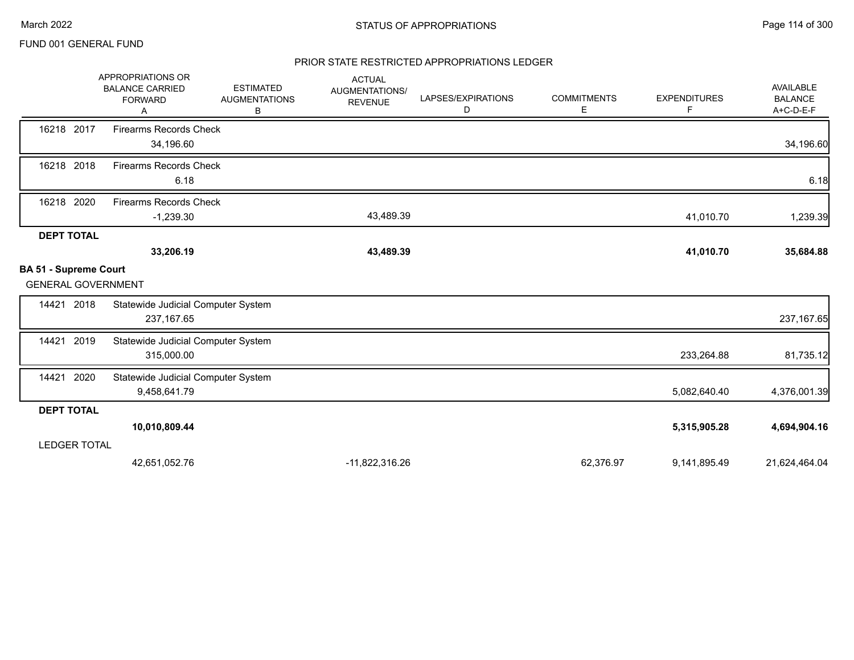### PRIOR STATE RESTRICTED APPROPRIATIONS LEDGER

|                                                           | APPROPRIATIONS OR<br><b>BALANCE CARRIED</b><br><b>FORWARD</b><br>A | <b>ESTIMATED</b><br><b>AUGMENTATIONS</b><br>В | <b>ACTUAL</b><br>AUGMENTATIONS/<br><b>REVENUE</b> | LAPSES/EXPIRATIONS<br>D | <b>COMMITMENTS</b><br>Е | <b>EXPENDITURES</b><br>F | AVAILABLE<br><b>BALANCE</b><br>A+C-D-E-F |
|-----------------------------------------------------------|--------------------------------------------------------------------|-----------------------------------------------|---------------------------------------------------|-------------------------|-------------------------|--------------------------|------------------------------------------|
| 16218 2017                                                | <b>Firearms Records Check</b><br>34,196.60                         |                                               |                                                   |                         |                         |                          | 34,196.60                                |
| 16218 2018                                                | <b>Firearms Records Check</b><br>6.18                              |                                               |                                                   |                         |                         |                          | 6.18                                     |
| 16218 2020                                                | <b>Firearms Records Check</b><br>$-1,239.30$                       |                                               | 43,489.39                                         |                         |                         | 41,010.70                | 1,239.39                                 |
| <b>DEPT TOTAL</b>                                         | 33,206.19                                                          |                                               | 43,489.39                                         |                         |                         | 41,010.70                | 35,684.88                                |
| <b>BA 51 - Supreme Court</b><br><b>GENERAL GOVERNMENT</b> |                                                                    |                                               |                                                   |                         |                         |                          |                                          |
| 2018<br>14421                                             | Statewide Judicial Computer System<br>237, 167.65                  |                                               |                                                   |                         |                         |                          | 237, 167.65                              |
| 2019<br>14421                                             | Statewide Judicial Computer System<br>315,000.00                   |                                               |                                                   |                         |                         | 233,264.88               | 81,735.12                                |
| 2020<br>14421                                             | Statewide Judicial Computer System<br>9,458,641.79                 |                                               |                                                   |                         |                         | 5,082,640.40             | 4,376,001.39                             |
| <b>DEPT TOTAL</b>                                         |                                                                    |                                               |                                                   |                         |                         |                          |                                          |
|                                                           | 10,010,809.44                                                      |                                               |                                                   |                         |                         | 5,315,905.28             | 4,694,904.16                             |
| <b>LEDGER TOTAL</b>                                       |                                                                    |                                               |                                                   |                         |                         |                          |                                          |
|                                                           | 42,651,052.76                                                      |                                               | -11,822,316.26                                    |                         | 62,376.97               | 9,141,895.49             | 21,624,464.04                            |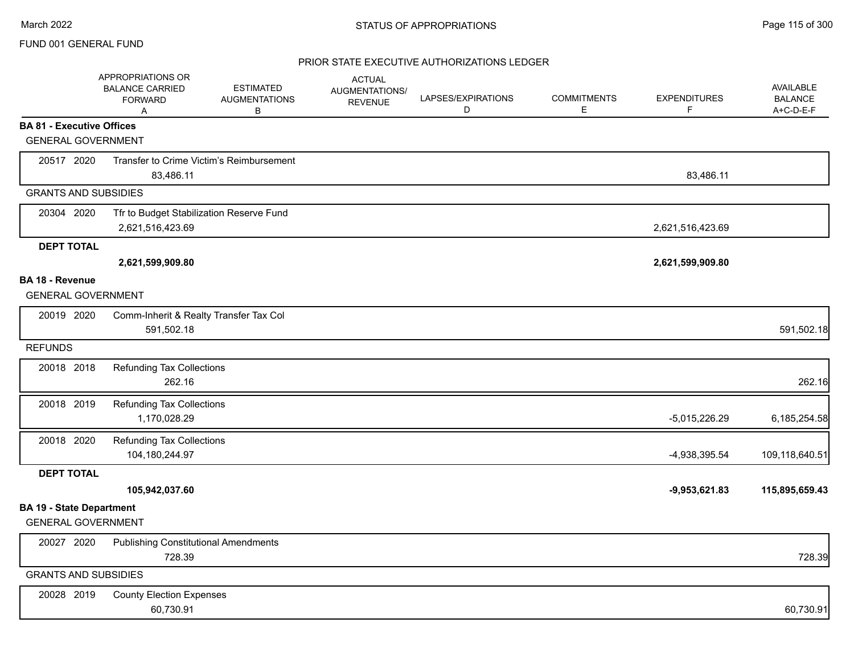### PRIOR STATE EXECUTIVE AUTHORIZATIONS LEDGER

|                                  | APPROPRIATIONS OR<br><b>BALANCE CARRIED</b><br><b>FORWARD</b><br>Α | <b>ESTIMATED</b><br><b>AUGMENTATIONS</b><br>В | <b>ACTUAL</b><br>AUGMENTATIONS/<br><b>REVENUE</b> | LAPSES/EXPIRATIONS<br>D | <b>COMMITMENTS</b><br>E | <b>EXPENDITURES</b><br>F | <b>AVAILABLE</b><br><b>BALANCE</b><br>A+C-D-E-F |
|----------------------------------|--------------------------------------------------------------------|-----------------------------------------------|---------------------------------------------------|-------------------------|-------------------------|--------------------------|-------------------------------------------------|
| <b>BA 81 - Executive Offices</b> |                                                                    |                                               |                                                   |                         |                         |                          |                                                 |
| <b>GENERAL GOVERNMENT</b>        |                                                                    |                                               |                                                   |                         |                         |                          |                                                 |
| 20517 2020                       |                                                                    | Transfer to Crime Victim's Reimbursement      |                                                   |                         |                         |                          |                                                 |
|                                  | 83,486.11                                                          |                                               |                                                   |                         |                         | 83,486.11                |                                                 |
| <b>GRANTS AND SUBSIDIES</b>      |                                                                    |                                               |                                                   |                         |                         |                          |                                                 |
| 20304 2020                       |                                                                    | Tfr to Budget Stabilization Reserve Fund      |                                                   |                         |                         |                          |                                                 |
|                                  | 2,621,516,423.69                                                   |                                               |                                                   |                         |                         | 2,621,516,423.69         |                                                 |
| <b>DEPT TOTAL</b>                |                                                                    |                                               |                                                   |                         |                         |                          |                                                 |
|                                  | 2,621,599,909.80                                                   |                                               |                                                   |                         |                         | 2,621,599,909.80         |                                                 |
| <b>BA 18 - Revenue</b>           |                                                                    |                                               |                                                   |                         |                         |                          |                                                 |
| <b>GENERAL GOVERNMENT</b>        |                                                                    |                                               |                                                   |                         |                         |                          |                                                 |
| 20019 2020                       | Comm-Inherit & Realty Transfer Tax Col                             |                                               |                                                   |                         |                         |                          |                                                 |
|                                  | 591,502.18                                                         |                                               |                                                   |                         |                         |                          | 591,502.18                                      |
| <b>REFUNDS</b>                   |                                                                    |                                               |                                                   |                         |                         |                          |                                                 |
| 20018 2018                       | <b>Refunding Tax Collections</b>                                   |                                               |                                                   |                         |                         |                          |                                                 |
|                                  | 262.16                                                             |                                               |                                                   |                         |                         |                          | 262.16                                          |
| 20018 2019                       | <b>Refunding Tax Collections</b>                                   |                                               |                                                   |                         |                         |                          |                                                 |
|                                  | 1,170,028.29                                                       |                                               |                                                   |                         |                         | $-5,015,226.29$          | 6,185,254.58                                    |
| 20018 2020                       | <b>Refunding Tax Collections</b>                                   |                                               |                                                   |                         |                         |                          |                                                 |
|                                  | 104,180,244.97                                                     |                                               |                                                   |                         |                         | -4,938,395.54            | 109,118,640.51                                  |
| <b>DEPT TOTAL</b>                |                                                                    |                                               |                                                   |                         |                         |                          |                                                 |
|                                  | 105,942,037.60                                                     |                                               |                                                   |                         |                         | $-9,953,621.83$          | 115,895,659.43                                  |
| <b>BA 19 - State Department</b>  |                                                                    |                                               |                                                   |                         |                         |                          |                                                 |
| <b>GENERAL GOVERNMENT</b>        |                                                                    |                                               |                                                   |                         |                         |                          |                                                 |
| 20027 2020                       | <b>Publishing Constitutional Amendments</b>                        |                                               |                                                   |                         |                         |                          |                                                 |
|                                  | 728.39                                                             |                                               |                                                   |                         |                         |                          | 728.39                                          |
| <b>GRANTS AND SUBSIDIES</b>      |                                                                    |                                               |                                                   |                         |                         |                          |                                                 |
| 20028 2019                       | <b>County Election Expenses</b>                                    |                                               |                                                   |                         |                         |                          |                                                 |
|                                  | 60,730.91                                                          |                                               |                                                   |                         |                         |                          | 60,730.91                                       |
|                                  |                                                                    |                                               |                                                   |                         |                         |                          |                                                 |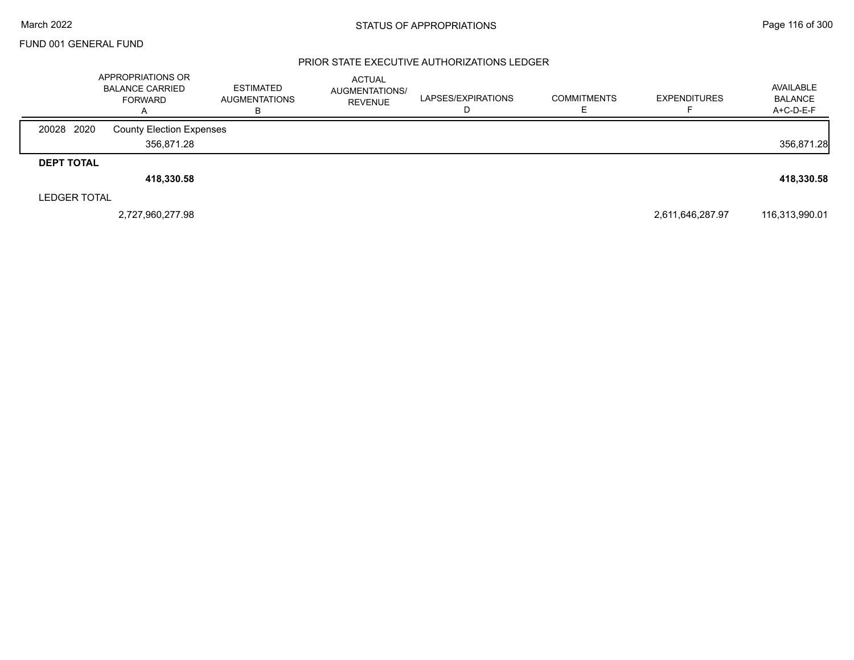### PRIOR STATE EXECUTIVE AUTHORIZATIONS LEDGER

|                     | APPROPRIATIONS OR<br><b>BALANCE CARRIED</b><br><b>FORWARD</b><br>$\overline{A}$ | <b>ESTIMATED</b><br><b>AUGMENTATIONS</b><br>в | <b>ACTUAL</b><br>AUGMENTATIONS/<br><b>REVENUE</b> | LAPSES/EXPIRATIONS | <b>COMMITMENTS</b> | <b>EXPENDITURES</b> | AVAILABLE<br><b>BALANCE</b><br>A+C-D-E-F |
|---------------------|---------------------------------------------------------------------------------|-----------------------------------------------|---------------------------------------------------|--------------------|--------------------|---------------------|------------------------------------------|
| 20028 2020          | <b>County Election Expenses</b>                                                 |                                               |                                                   |                    |                    |                     |                                          |
|                     | 356,871.28                                                                      |                                               |                                                   |                    |                    |                     | 356,871.28                               |
| <b>DEPT TOTAL</b>   |                                                                                 |                                               |                                                   |                    |                    |                     |                                          |
|                     | 418,330.58                                                                      |                                               |                                                   |                    |                    |                     | 418,330.58                               |
| <b>LEDGER TOTAL</b> |                                                                                 |                                               |                                                   |                    |                    |                     |                                          |
|                     | 2,727,960,277.98                                                                |                                               |                                                   |                    |                    | 2,611,646,287.97    | 116,313,990.01                           |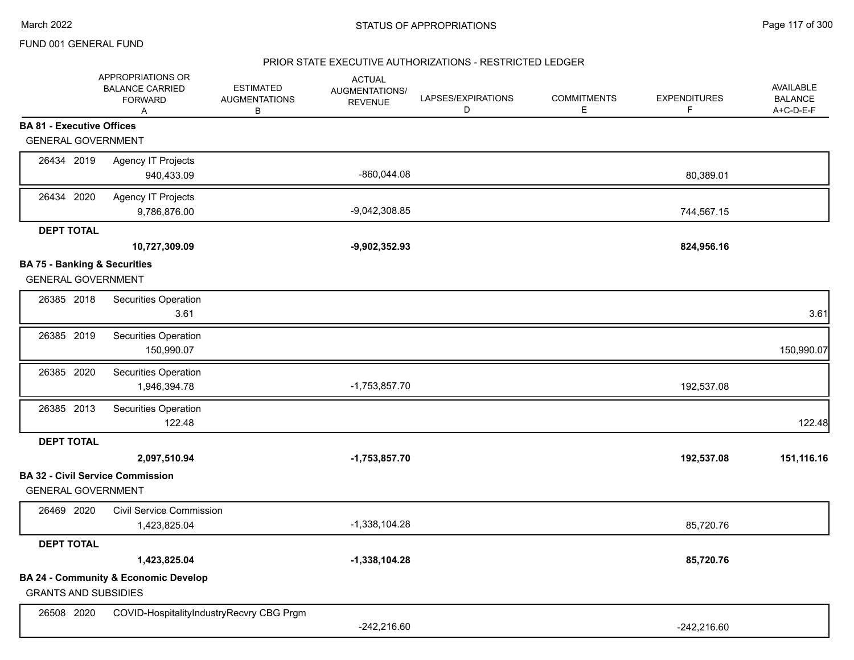### PRIOR STATE EXECUTIVE AUTHORIZATIONS - RESTRICTED LEDGER

|                                         | APPROPRIATIONS OR<br><b>BALANCE CARRIED</b><br><b>FORWARD</b><br>Α | <b>ESTIMATED</b><br><b>AUGMENTATIONS</b><br>В | <b>ACTUAL</b><br>AUGMENTATIONS/<br><b>REVENUE</b> | LAPSES/EXPIRATIONS<br>D | <b>COMMITMENTS</b><br>E. | <b>EXPENDITURES</b><br>F | <b>AVAILABLE</b><br><b>BALANCE</b><br>A+C-D-E-F |
|-----------------------------------------|--------------------------------------------------------------------|-----------------------------------------------|---------------------------------------------------|-------------------------|--------------------------|--------------------------|-------------------------------------------------|
| <b>BA 81 - Executive Offices</b>        |                                                                    |                                               |                                                   |                         |                          |                          |                                                 |
| <b>GENERAL GOVERNMENT</b>               |                                                                    |                                               |                                                   |                         |                          |                          |                                                 |
| 26434 2019                              | Agency IT Projects<br>940,433.09                                   |                                               | -860,044.08                                       |                         |                          | 80,389.01                |                                                 |
|                                         |                                                                    |                                               |                                                   |                         |                          |                          |                                                 |
| 26434 2020                              | <b>Agency IT Projects</b><br>9,786,876.00                          |                                               | $-9,042,308.85$                                   |                         |                          | 744,567.15               |                                                 |
| <b>DEPT TOTAL</b>                       |                                                                    |                                               |                                                   |                         |                          |                          |                                                 |
|                                         | 10,727,309.09                                                      |                                               | $-9,902,352.93$                                   |                         |                          | 824,956.16               |                                                 |
| <b>BA 75 - Banking &amp; Securities</b> |                                                                    |                                               |                                                   |                         |                          |                          |                                                 |
| <b>GENERAL GOVERNMENT</b>               |                                                                    |                                               |                                                   |                         |                          |                          |                                                 |
| 26385 2018                              | Securities Operation<br>3.61                                       |                                               |                                                   |                         |                          |                          | 3.61                                            |
| 26385 2019                              | Securities Operation<br>150,990.07                                 |                                               |                                                   |                         |                          |                          | 150,990.07                                      |
| 26385 2020                              | Securities Operation                                               |                                               |                                                   |                         |                          |                          |                                                 |
|                                         | 1,946,394.78                                                       |                                               | $-1,753,857.70$                                   |                         |                          | 192,537.08               |                                                 |
| 26385 2013                              | Securities Operation<br>122.48                                     |                                               |                                                   |                         |                          |                          | 122.48                                          |
| <b>DEPT TOTAL</b>                       |                                                                    |                                               |                                                   |                         |                          |                          |                                                 |
|                                         | 2,097,510.94                                                       |                                               | $-1,753,857.70$                                   |                         |                          | 192,537.08               | 151,116.16                                      |
| <b>GENERAL GOVERNMENT</b>               | <b>BA 32 - Civil Service Commission</b>                            |                                               |                                                   |                         |                          |                          |                                                 |
| 26469 2020                              | <b>Civil Service Commission</b>                                    |                                               |                                                   |                         |                          |                          |                                                 |
|                                         | 1,423,825.04                                                       |                                               | $-1,338,104.28$                                   |                         |                          | 85,720.76                |                                                 |
| <b>DEPT TOTAL</b>                       |                                                                    |                                               |                                                   |                         |                          |                          |                                                 |
|                                         | 1,423,825.04                                                       |                                               | $-1,338,104.28$                                   |                         |                          | 85,720.76                |                                                 |
|                                         | <b>BA 24 - Community &amp; Economic Develop</b>                    |                                               |                                                   |                         |                          |                          |                                                 |
| <b>GRANTS AND SUBSIDIES</b>             |                                                                    |                                               |                                                   |                         |                          |                          |                                                 |
| 26508 2020                              | COVID-HospitalityIndustryRecvry CBG Prgm                           |                                               |                                                   |                         |                          |                          |                                                 |
|                                         |                                                                    |                                               | $-242,216.60$                                     |                         |                          | $-242,216.60$            |                                                 |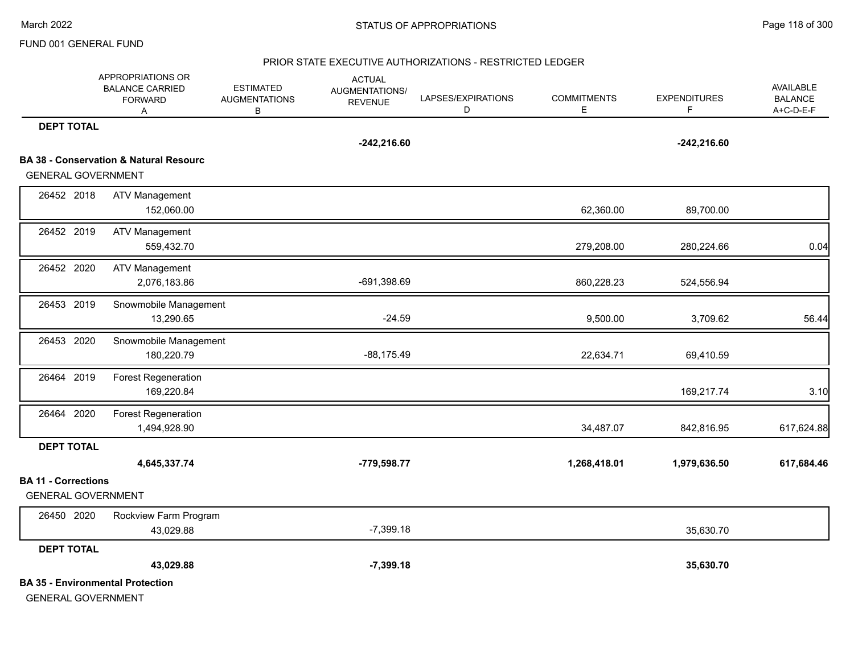#### PRIOR STATE EXECUTIVE AUTHORIZATIONS - RESTRICTED LEDGER

|                            | APPROPRIATIONS OR<br><b>BALANCE CARRIED</b><br><b>FORWARD</b><br>Α | <b>ESTIMATED</b><br><b>AUGMENTATIONS</b><br>В | <b>ACTUAL</b><br>AUGMENTATIONS/<br><b>REVENUE</b> | LAPSES/EXPIRATIONS<br>D | <b>COMMITMENTS</b><br>E | <b>EXPENDITURES</b><br>F. | <b>AVAILABLE</b><br><b>BALANCE</b><br>A+C-D-E-F |
|----------------------------|--------------------------------------------------------------------|-----------------------------------------------|---------------------------------------------------|-------------------------|-------------------------|---------------------------|-------------------------------------------------|
| <b>DEPT TOTAL</b>          |                                                                    |                                               |                                                   |                         |                         |                           |                                                 |
|                            |                                                                    |                                               | $-242,216.60$                                     |                         |                         | $-242,216.60$             |                                                 |
|                            | <b>BA 38 - Conservation &amp; Natural Resourc</b>                  |                                               |                                                   |                         |                         |                           |                                                 |
| <b>GENERAL GOVERNMENT</b>  |                                                                    |                                               |                                                   |                         |                         |                           |                                                 |
| 26452 2018                 | <b>ATV Management</b>                                              |                                               |                                                   |                         |                         |                           |                                                 |
|                            | 152,060.00                                                         |                                               |                                                   |                         | 62,360.00               | 89,700.00                 |                                                 |
| 26452 2019                 | <b>ATV Management</b>                                              |                                               |                                                   |                         |                         |                           |                                                 |
|                            | 559,432.70                                                         |                                               |                                                   |                         | 279,208.00              | 280,224.66                | 0.04                                            |
| 26452 2020                 | <b>ATV Management</b>                                              |                                               |                                                   |                         |                         |                           |                                                 |
|                            | 2,076,183.86                                                       |                                               | -691,398.69                                       |                         | 860,228.23              | 524,556.94                |                                                 |
| 26453 2019                 | Snowmobile Management                                              |                                               |                                                   |                         |                         |                           |                                                 |
|                            | 13,290.65                                                          |                                               | $-24.59$                                          |                         | 9,500.00                | 3,709.62                  | 56.44                                           |
| 26453 2020                 | Snowmobile Management                                              |                                               |                                                   |                         |                         |                           |                                                 |
|                            | 180,220.79                                                         |                                               | $-88,175.49$                                      |                         | 22,634.71               | 69,410.59                 |                                                 |
| 26464 2019                 | <b>Forest Regeneration</b>                                         |                                               |                                                   |                         |                         |                           |                                                 |
|                            | 169,220.84                                                         |                                               |                                                   |                         |                         | 169,217.74                | 3.10                                            |
| 26464 2020                 | <b>Forest Regeneration</b>                                         |                                               |                                                   |                         |                         |                           |                                                 |
|                            | 1,494,928.90                                                       |                                               |                                                   |                         | 34,487.07               | 842,816.95                | 617,624.88                                      |
| <b>DEPT TOTAL</b>          |                                                                    |                                               |                                                   |                         |                         |                           |                                                 |
|                            | 4,645,337.74                                                       |                                               | -779,598.77                                       |                         | 1,268,418.01            | 1,979,636.50              | 617,684.46                                      |
| <b>BA 11 - Corrections</b> |                                                                    |                                               |                                                   |                         |                         |                           |                                                 |
| <b>GENERAL GOVERNMENT</b>  |                                                                    |                                               |                                                   |                         |                         |                           |                                                 |
| 26450 2020                 | Rockview Farm Program                                              |                                               |                                                   |                         |                         |                           |                                                 |
|                            | 43,029.88                                                          |                                               | $-7,399.18$                                       |                         |                         | 35,630.70                 |                                                 |
| <b>DEPT TOTAL</b>          |                                                                    |                                               |                                                   |                         |                         |                           |                                                 |
|                            | 43,029.88                                                          |                                               | $-7,399.18$                                       |                         |                         | 35,630.70                 |                                                 |
|                            | <b>BA 35 - Environmental Protection</b>                            |                                               |                                                   |                         |                         |                           |                                                 |
| <b>GENERAL GOVERNMENT</b>  |                                                                    |                                               |                                                   |                         |                         |                           |                                                 |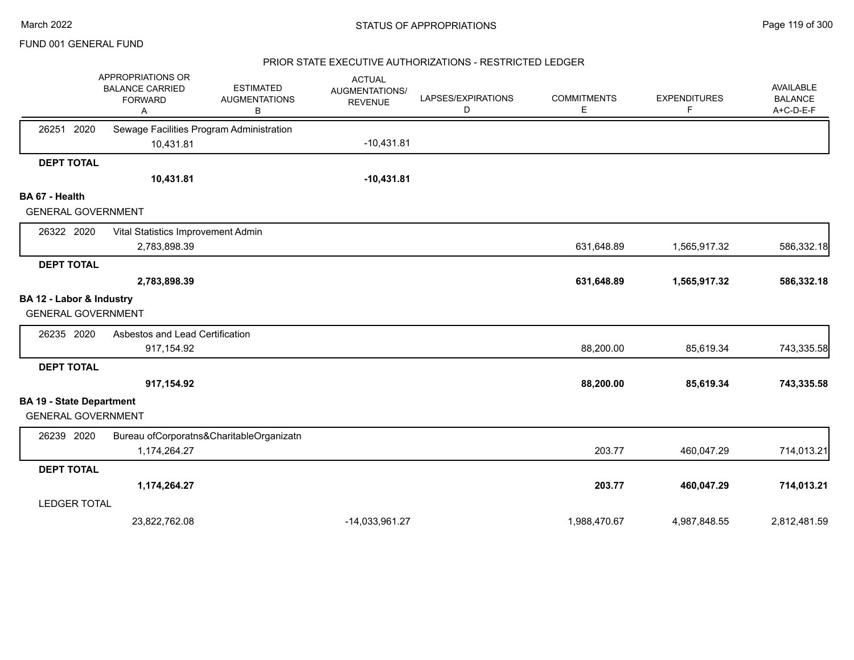#### PRIOR STATE EXECUTIVE AUTHORIZATIONS - RESTRICTED LEDGER

|                                 | APPROPRIATIONS OR<br><b>BALANCE CARRIED</b><br><b>FORWARD</b><br>Α | <b>ESTIMATED</b><br><b>AUGMENTATIONS</b><br>В | <b>ACTUAL</b><br>AUGMENTATIONS/<br><b>REVENUE</b> | LAPSES/EXPIRATIONS<br>D | <b>COMMITMENTS</b><br>E | <b>EXPENDITURES</b><br>F | <b>AVAILABLE</b><br><b>BALANCE</b><br>A+C-D-E-F |
|---------------------------------|--------------------------------------------------------------------|-----------------------------------------------|---------------------------------------------------|-------------------------|-------------------------|--------------------------|-------------------------------------------------|
| 2020<br>26251                   | Sewage Facilities Program Administration                           |                                               |                                                   |                         |                         |                          |                                                 |
|                                 | 10,431.81                                                          |                                               | $-10,431.81$                                      |                         |                         |                          |                                                 |
| <b>DEPT TOTAL</b>               |                                                                    |                                               |                                                   |                         |                         |                          |                                                 |
|                                 | 10,431.81                                                          |                                               | $-10,431.81$                                      |                         |                         |                          |                                                 |
| BA 67 - Health                  |                                                                    |                                               |                                                   |                         |                         |                          |                                                 |
| <b>GENERAL GOVERNMENT</b>       |                                                                    |                                               |                                                   |                         |                         |                          |                                                 |
| 26322 2020                      | Vital Statistics Improvement Admin                                 |                                               |                                                   |                         |                         |                          |                                                 |
|                                 | 2,783,898.39                                                       |                                               |                                                   |                         | 631,648.89              | 1,565,917.32             | 586,332.18                                      |
| <b>DEPT TOTAL</b>               |                                                                    |                                               |                                                   |                         |                         |                          |                                                 |
|                                 | 2,783,898.39                                                       |                                               |                                                   |                         | 631,648.89              | 1,565,917.32             | 586,332.18                                      |
| BA 12 - Labor & Industry        |                                                                    |                                               |                                                   |                         |                         |                          |                                                 |
| <b>GENERAL GOVERNMENT</b>       |                                                                    |                                               |                                                   |                         |                         |                          |                                                 |
| 26235 2020                      | Asbestos and Lead Certification                                    |                                               |                                                   |                         |                         |                          |                                                 |
|                                 | 917,154.92                                                         |                                               |                                                   |                         | 88,200.00               | 85,619.34                | 743,335.58                                      |
| <b>DEPT TOTAL</b>               |                                                                    |                                               |                                                   |                         |                         |                          |                                                 |
|                                 | 917,154.92                                                         |                                               |                                                   |                         | 88,200.00               | 85,619.34                | 743,335.58                                      |
| <b>BA 19 - State Department</b> |                                                                    |                                               |                                                   |                         |                         |                          |                                                 |
| <b>GENERAL GOVERNMENT</b>       |                                                                    |                                               |                                                   |                         |                         |                          |                                                 |
| 26239 2020                      |                                                                    | Bureau ofCorporatns&CharitableOrganizatn      |                                                   |                         |                         |                          |                                                 |
|                                 | 1,174,264.27                                                       |                                               |                                                   |                         | 203.77                  | 460,047.29               | 714,013.21                                      |
| <b>DEPT TOTAL</b>               |                                                                    |                                               |                                                   |                         |                         |                          |                                                 |
|                                 | 1,174,264.27                                                       |                                               |                                                   |                         | 203.77                  | 460,047.29               | 714,013.21                                      |
| <b>LEDGER TOTAL</b>             |                                                                    |                                               |                                                   |                         |                         |                          |                                                 |
|                                 | 23,822,762.08                                                      |                                               | -14,033,961.27                                    |                         | 1,988,470.67            | 4,987,848.55             | 2,812,481.59                                    |
|                                 |                                                                    |                                               |                                                   |                         |                         |                          |                                                 |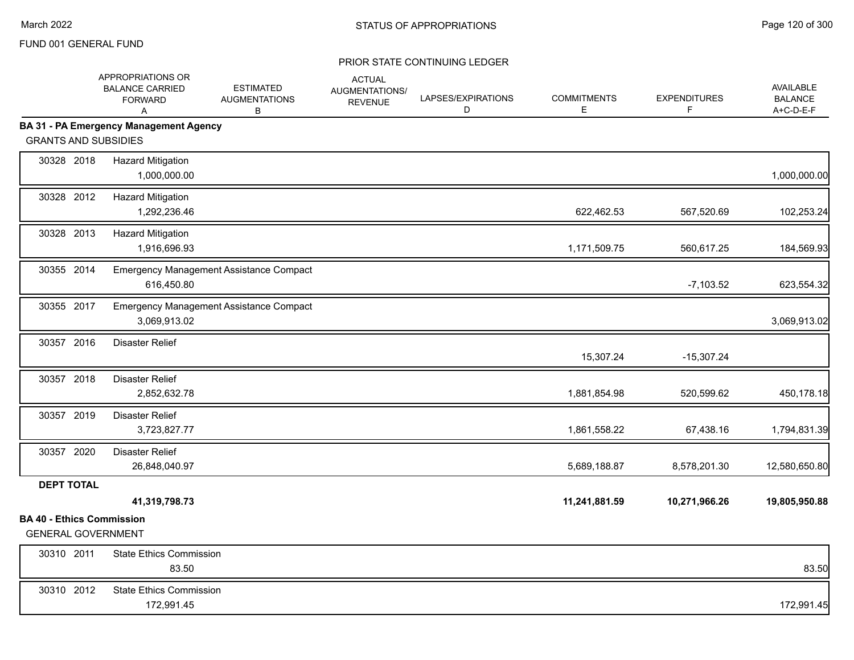|                                                               | APPROPRIATIONS OR<br><b>BALANCE CARRIED</b><br><b>FORWARD</b><br>A | <b>ESTIMATED</b><br><b>AUGMENTATIONS</b><br>B | <b>ACTUAL</b><br>AUGMENTATIONS/<br><b>REVENUE</b> | LAPSES/EXPIRATIONS<br>D | <b>COMMITMENTS</b><br>Е | <b>EXPENDITURES</b><br>F | AVAILABLE<br><b>BALANCE</b><br>A+C-D-E-F |
|---------------------------------------------------------------|--------------------------------------------------------------------|-----------------------------------------------|---------------------------------------------------|-------------------------|-------------------------|--------------------------|------------------------------------------|
|                                                               | <b>BA 31 - PA Emergency Management Agency</b>                      |                                               |                                                   |                         |                         |                          |                                          |
| <b>GRANTS AND SUBSIDIES</b>                                   |                                                                    |                                               |                                                   |                         |                         |                          |                                          |
| 30328 2018                                                    | <b>Hazard Mitigation</b><br>1,000,000.00                           |                                               |                                                   |                         |                         |                          | 1,000,000.00                             |
| 30328 2012                                                    | <b>Hazard Mitigation</b><br>1,292,236.46                           |                                               |                                                   |                         | 622,462.53              | 567,520.69               | 102,253.24                               |
| 30328 2013                                                    | <b>Hazard Mitigation</b><br>1,916,696.93                           |                                               |                                                   |                         | 1,171,509.75            | 560,617.25               | 184,569.93                               |
| 30355 2014                                                    | 616,450.80                                                         | Emergency Management Assistance Compact       |                                                   |                         |                         | $-7,103.52$              | 623,554.32                               |
| 30355 2017                                                    | 3,069,913.02                                                       | Emergency Management Assistance Compact       |                                                   |                         |                         |                          | 3,069,913.02                             |
| 30357 2016                                                    | <b>Disaster Relief</b>                                             |                                               |                                                   |                         | 15,307.24               | $-15,307.24$             |                                          |
| 30357 2018                                                    | <b>Disaster Relief</b><br>2,852,632.78                             |                                               |                                                   |                         | 1,881,854.98            | 520,599.62               | 450,178.18                               |
| 30357 2019                                                    | <b>Disaster Relief</b><br>3,723,827.77                             |                                               |                                                   |                         | 1,861,558.22            | 67,438.16                | 1,794,831.39                             |
| 30357 2020                                                    | <b>Disaster Relief</b><br>26,848,040.97                            |                                               |                                                   |                         | 5,689,188.87            | 8,578,201.30             | 12,580,650.80                            |
| <b>DEPT TOTAL</b>                                             |                                                                    |                                               |                                                   |                         |                         |                          |                                          |
|                                                               | 41,319,798.73                                                      |                                               |                                                   |                         | 11,241,881.59           | 10,271,966.26            | 19,805,950.88                            |
| <b>BA 40 - Ethics Commission</b><br><b>GENERAL GOVERNMENT</b> |                                                                    |                                               |                                                   |                         |                         |                          |                                          |
| 30310 2011                                                    | <b>State Ethics Commission</b><br>83.50                            |                                               |                                                   |                         |                         |                          | 83.50                                    |
| 30310 2012                                                    | <b>State Ethics Commission</b><br>172,991.45                       |                                               |                                                   |                         |                         |                          | 172,991.45                               |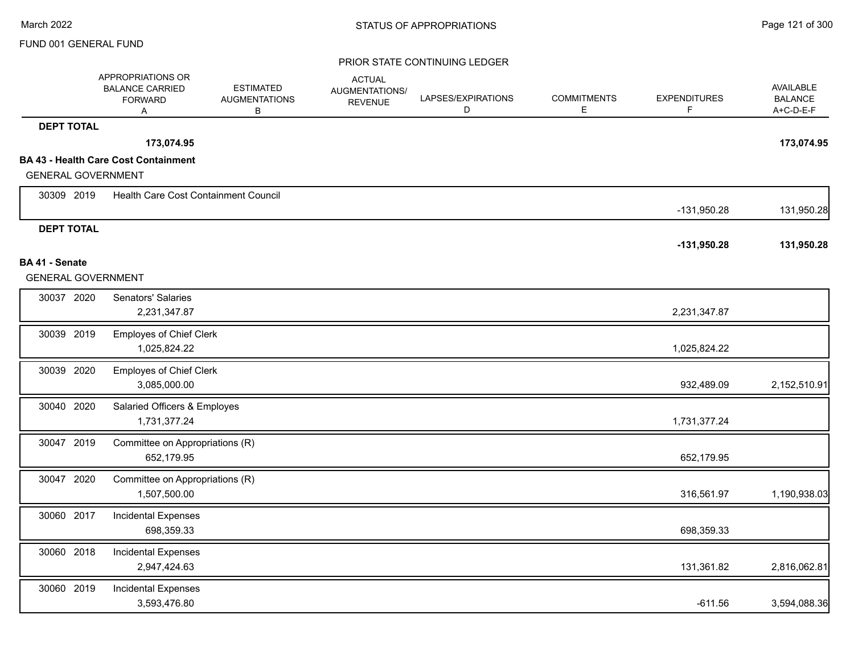|                           | APPROPRIATIONS OR<br><b>BALANCE CARRIED</b><br><b>FORWARD</b><br>Α | <b>ESTIMATED</b><br><b>AUGMENTATIONS</b><br>В | <b>ACTUAL</b><br>AUGMENTATIONS/<br><b>REVENUE</b> | LAPSES/EXPIRATIONS<br>D | <b>COMMITMENTS</b><br>E | <b>EXPENDITURES</b><br>F. | <b>AVAILABLE</b><br><b>BALANCE</b><br>A+C-D-E-F |
|---------------------------|--------------------------------------------------------------------|-----------------------------------------------|---------------------------------------------------|-------------------------|-------------------------|---------------------------|-------------------------------------------------|
| <b>DEPT TOTAL</b>         |                                                                    |                                               |                                                   |                         |                         |                           |                                                 |
|                           | 173,074.95                                                         |                                               |                                                   |                         |                         |                           | 173,074.95                                      |
|                           | <b>BA 43 - Health Care Cost Containment</b>                        |                                               |                                                   |                         |                         |                           |                                                 |
| <b>GENERAL GOVERNMENT</b> |                                                                    |                                               |                                                   |                         |                         |                           |                                                 |
| 30309 2019                | Health Care Cost Containment Council                               |                                               |                                                   |                         |                         | -131,950.28               | 131,950.28                                      |
| <b>DEPT TOTAL</b>         |                                                                    |                                               |                                                   |                         |                         |                           |                                                 |
| BA 41 - Senate            |                                                                    |                                               |                                                   |                         |                         | $-131,950.28$             | 131,950.28                                      |
| <b>GENERAL GOVERNMENT</b> |                                                                    |                                               |                                                   |                         |                         |                           |                                                 |
| 30037 2020                | Senators' Salaries                                                 |                                               |                                                   |                         |                         |                           |                                                 |
|                           | 2,231,347.87                                                       |                                               |                                                   |                         |                         | 2,231,347.87              |                                                 |
|                           |                                                                    |                                               |                                                   |                         |                         |                           |                                                 |
| 30039 2019                | <b>Employes of Chief Clerk</b><br>1,025,824.22                     |                                               |                                                   |                         |                         | 1,025,824.22              |                                                 |
|                           |                                                                    |                                               |                                                   |                         |                         |                           |                                                 |
| 30039 2020                | <b>Employes of Chief Clerk</b><br>3,085,000.00                     |                                               |                                                   |                         |                         | 932,489.09                | 2,152,510.91                                    |
|                           |                                                                    |                                               |                                                   |                         |                         |                           |                                                 |
| 30040 2020                | Salaried Officers & Employes                                       |                                               |                                                   |                         |                         |                           |                                                 |
|                           | 1,731,377.24                                                       |                                               |                                                   |                         |                         | 1,731,377.24              |                                                 |
| 30047 2019                | Committee on Appropriations (R)                                    |                                               |                                                   |                         |                         |                           |                                                 |
|                           | 652,179.95                                                         |                                               |                                                   |                         |                         | 652,179.95                |                                                 |
| 30047 2020                | Committee on Appropriations (R)                                    |                                               |                                                   |                         |                         |                           |                                                 |
|                           | 1,507,500.00                                                       |                                               |                                                   |                         |                         | 316,561.97                | 1,190,938.03                                    |
| 30060 2017                | <b>Incidental Expenses</b>                                         |                                               |                                                   |                         |                         |                           |                                                 |
|                           | 698,359.33                                                         |                                               |                                                   |                         |                         | 698,359.33                |                                                 |
| 30060 2018                | Incidental Expenses                                                |                                               |                                                   |                         |                         |                           |                                                 |
|                           | 2,947,424.63                                                       |                                               |                                                   |                         |                         | 131,361.82                | 2,816,062.81                                    |
| 30060 2019                | <b>Incidental Expenses</b>                                         |                                               |                                                   |                         |                         |                           |                                                 |
|                           | 3,593,476.80                                                       |                                               |                                                   |                         |                         | $-611.56$                 | 3,594,088.36                                    |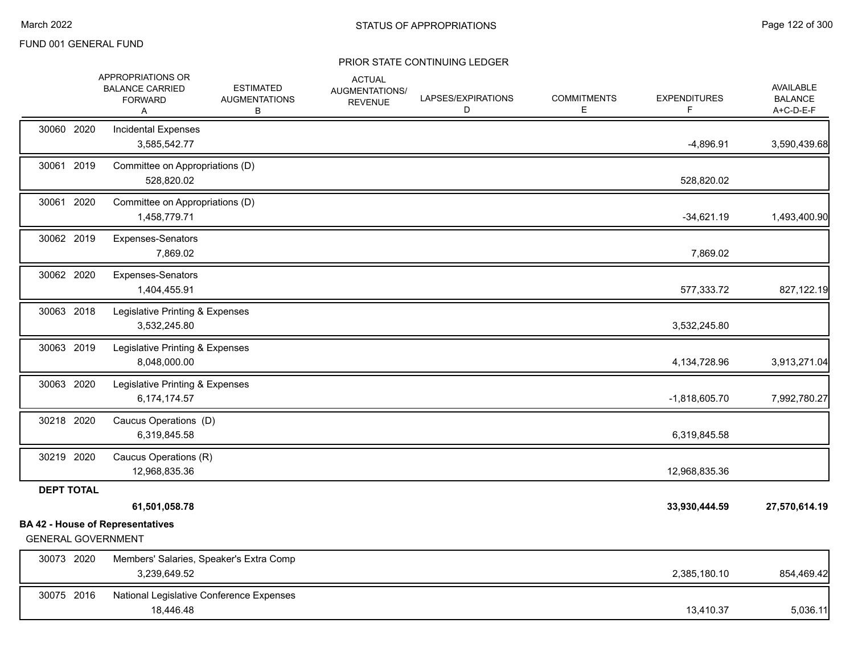|                           | APPROPRIATIONS OR<br><b>BALANCE CARRIED</b><br><b>FORWARD</b><br>Α | <b>ESTIMATED</b><br><b>AUGMENTATIONS</b><br>В | <b>ACTUAL</b><br>AUGMENTATIONS/<br><b>REVENUE</b> | LAPSES/EXPIRATIONS<br>D | <b>COMMITMENTS</b><br>Е | <b>EXPENDITURES</b><br>F. | <b>AVAILABLE</b><br><b>BALANCE</b><br>A+C-D-E-F |
|---------------------------|--------------------------------------------------------------------|-----------------------------------------------|---------------------------------------------------|-------------------------|-------------------------|---------------------------|-------------------------------------------------|
| 30060 2020                | Incidental Expenses<br>3,585,542.77                                |                                               |                                                   |                         |                         | $-4,896.91$               | 3,590,439.68                                    |
| 30061 2019                | Committee on Appropriations (D)<br>528,820.02                      |                                               |                                                   |                         |                         | 528,820.02                |                                                 |
| 30061 2020                | Committee on Appropriations (D)<br>1,458,779.71                    |                                               |                                                   |                         |                         | $-34,621.19$              | 1,493,400.90                                    |
| 30062 2019                | Expenses-Senators<br>7,869.02                                      |                                               |                                                   |                         |                         | 7,869.02                  |                                                 |
| 30062 2020                | Expenses-Senators<br>1,404,455.91                                  |                                               |                                                   |                         |                         | 577,333.72                | 827,122.19                                      |
| 30063 2018                | Legislative Printing & Expenses<br>3,532,245.80                    |                                               |                                                   |                         |                         | 3,532,245.80              |                                                 |
| 30063 2019                | Legislative Printing & Expenses<br>8,048,000.00                    |                                               |                                                   |                         |                         | 4,134,728.96              | 3,913,271.04                                    |
| 30063 2020                | Legislative Printing & Expenses<br>6,174,174.57                    |                                               |                                                   |                         |                         | $-1,818,605.70$           | 7,992,780.27                                    |
| 30218 2020                | Caucus Operations (D)<br>6,319,845.58                              |                                               |                                                   |                         |                         | 6,319,845.58              |                                                 |
| 30219 2020                | Caucus Operations (R)<br>12,968,835.36                             |                                               |                                                   |                         |                         | 12,968,835.36             |                                                 |
| <b>DEPT TOTAL</b>         | 61,501,058.78                                                      |                                               |                                                   |                         |                         | 33,930,444.59             | 27,570,614.19                                   |
| <b>GENERAL GOVERNMENT</b> | <b>BA 42 - House of Representatives</b>                            |                                               |                                                   |                         |                         |                           |                                                 |
| 30073 2020                | Members' Salaries, Speaker's Extra Comp<br>3,239,649.52            |                                               |                                                   |                         |                         | 2,385,180.10              | 854,469.42                                      |
| 30075 2016                | National Legislative Conference Expenses<br>18,446.48              |                                               |                                                   |                         |                         | 13,410.37                 | 5,036.11                                        |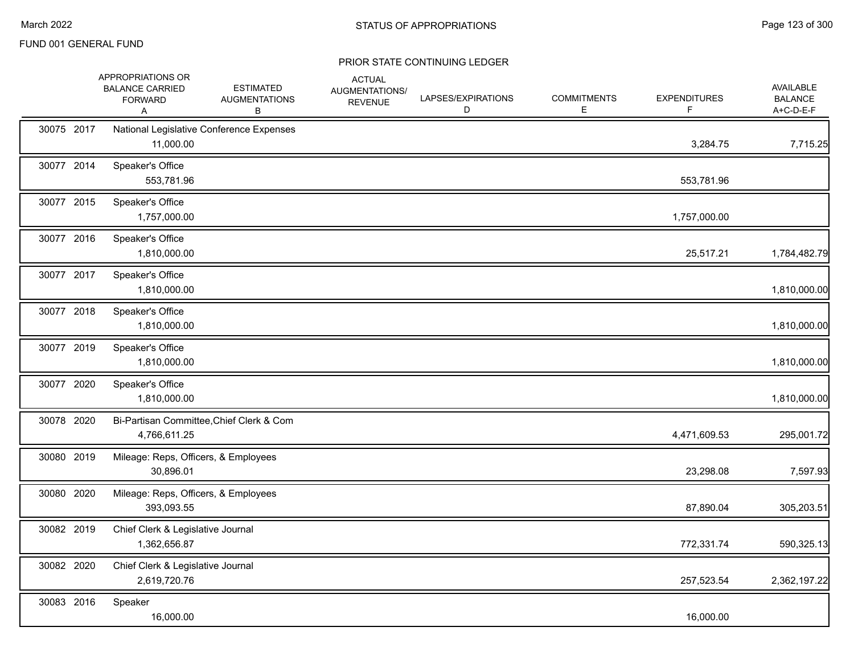|            | APPROPRIATIONS OR<br><b>BALANCE CARRIED</b><br><b>FORWARD</b><br>A | <b>ESTIMATED</b><br><b>AUGMENTATIONS</b><br>В | <b>ACTUAL</b><br>AUGMENTATIONS/<br><b>REVENUE</b> | LAPSES/EXPIRATIONS<br>D | <b>COMMITMENTS</b><br>Е | <b>EXPENDITURES</b><br>F. | AVAILABLE<br><b>BALANCE</b><br>A+C-D-E-F |
|------------|--------------------------------------------------------------------|-----------------------------------------------|---------------------------------------------------|-------------------------|-------------------------|---------------------------|------------------------------------------|
| 30075 2017 | 11,000.00                                                          | National Legislative Conference Expenses      |                                                   |                         |                         | 3,284.75                  | 7,715.25                                 |
| 30077 2014 | Speaker's Office<br>553,781.96                                     |                                               |                                                   |                         |                         | 553,781.96                |                                          |
| 30077 2015 | Speaker's Office<br>1,757,000.00                                   |                                               |                                                   |                         |                         | 1,757,000.00              |                                          |
| 30077 2016 | Speaker's Office<br>1,810,000.00                                   |                                               |                                                   |                         |                         | 25,517.21                 | 1,784,482.79                             |
| 30077 2017 | Speaker's Office<br>1,810,000.00                                   |                                               |                                                   |                         |                         |                           | 1,810,000.00                             |
| 30077 2018 | Speaker's Office<br>1,810,000.00                                   |                                               |                                                   |                         |                         |                           | 1,810,000.00                             |
| 30077 2019 | Speaker's Office<br>1,810,000.00                                   |                                               |                                                   |                         |                         |                           | 1,810,000.00                             |
| 30077 2020 | Speaker's Office<br>1,810,000.00                                   |                                               |                                                   |                         |                         |                           | 1,810,000.00                             |
| 30078 2020 | 4,766,611.25                                                       | Bi-Partisan Committee, Chief Clerk & Com      |                                                   |                         |                         | 4,471,609.53              | 295,001.72                               |
| 30080 2019 | Mileage: Reps, Officers, & Employees<br>30,896.01                  |                                               |                                                   |                         |                         | 23,298.08                 | 7,597.93                                 |
| 30080 2020 | Mileage: Reps, Officers, & Employees<br>393,093.55                 |                                               |                                                   |                         |                         | 87,890.04                 | 305,203.51                               |
| 30082 2019 | Chief Clerk & Legislative Journal<br>1,362,656.87                  |                                               |                                                   |                         |                         | 772,331.74                | 590,325.13                               |
| 30082 2020 | Chief Clerk & Legislative Journal<br>2,619,720.76                  |                                               |                                                   |                         |                         | 257,523.54                | 2,362,197.22                             |
| 30083 2016 | Speaker<br>16,000.00                                               |                                               |                                                   |                         |                         | 16,000.00                 |                                          |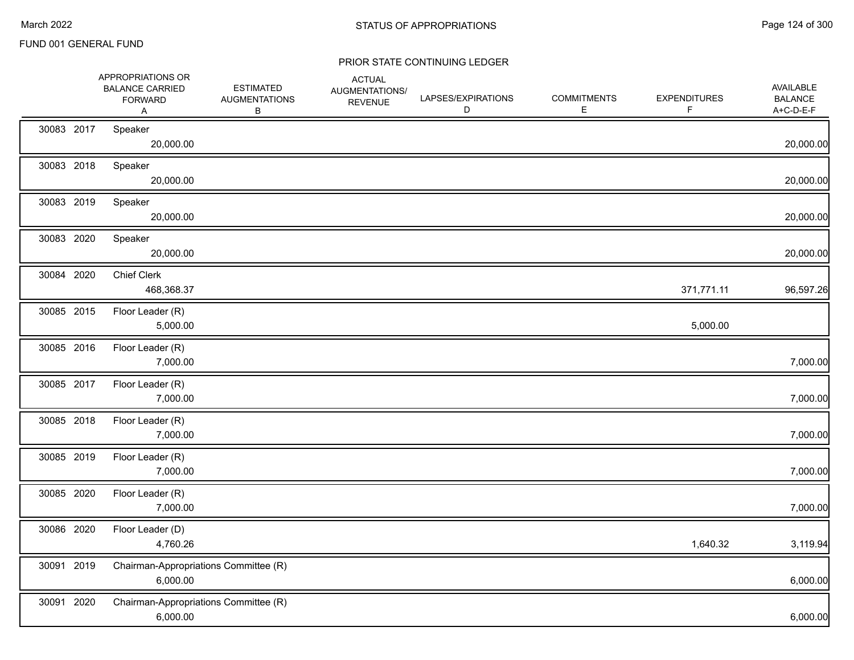|            | APPROPRIATIONS OR<br><b>BALANCE CARRIED</b><br><b>FORWARD</b><br>Α | <b>ESTIMATED</b><br><b>AUGMENTATIONS</b><br>B | <b>ACTUAL</b><br>AUGMENTATIONS/<br><b>REVENUE</b> | LAPSES/EXPIRATIONS<br>D | <b>COMMITMENTS</b><br>E. | <b>EXPENDITURES</b><br>F | AVAILABLE<br><b>BALANCE</b><br>A+C-D-E-F |
|------------|--------------------------------------------------------------------|-----------------------------------------------|---------------------------------------------------|-------------------------|--------------------------|--------------------------|------------------------------------------|
| 30083 2017 | Speaker<br>20,000.00                                               |                                               |                                                   |                         |                          |                          | 20,000.00                                |
| 30083 2018 | Speaker<br>20,000.00                                               |                                               |                                                   |                         |                          |                          | 20,000.00                                |
| 30083 2019 | Speaker<br>20,000.00                                               |                                               |                                                   |                         |                          |                          | 20,000.00                                |
| 30083 2020 | Speaker<br>20,000.00                                               |                                               |                                                   |                         |                          |                          | 20,000.00                                |
| 30084 2020 | <b>Chief Clerk</b><br>468,368.37                                   |                                               |                                                   |                         |                          | 371,771.11               | 96,597.26                                |
| 30085 2015 | Floor Leader (R)<br>5,000.00                                       |                                               |                                                   |                         |                          | 5,000.00                 |                                          |
| 30085 2016 | Floor Leader (R)<br>7,000.00                                       |                                               |                                                   |                         |                          |                          | 7,000.00                                 |
| 30085 2017 | Floor Leader (R)<br>7,000.00                                       |                                               |                                                   |                         |                          |                          | 7,000.00                                 |
| 30085 2018 | Floor Leader (R)<br>7,000.00                                       |                                               |                                                   |                         |                          |                          | 7,000.00                                 |
| 30085 2019 | Floor Leader (R)<br>7,000.00                                       |                                               |                                                   |                         |                          |                          | 7,000.00                                 |
| 30085 2020 | Floor Leader (R)<br>7,000.00                                       |                                               |                                                   |                         |                          |                          | 7,000.00                                 |
| 30086 2020 | Floor Leader (D)<br>4,760.26                                       |                                               |                                                   |                         |                          | 1,640.32                 | 3,119.94                                 |
| 30091 2019 | Chairman-Appropriations Committee (R)<br>6,000.00                  |                                               |                                                   |                         |                          |                          | 6,000.00                                 |
| 30091 2020 | Chairman-Appropriations Committee (R)<br>6,000.00                  |                                               |                                                   |                         |                          |                          | 6,000.00                                 |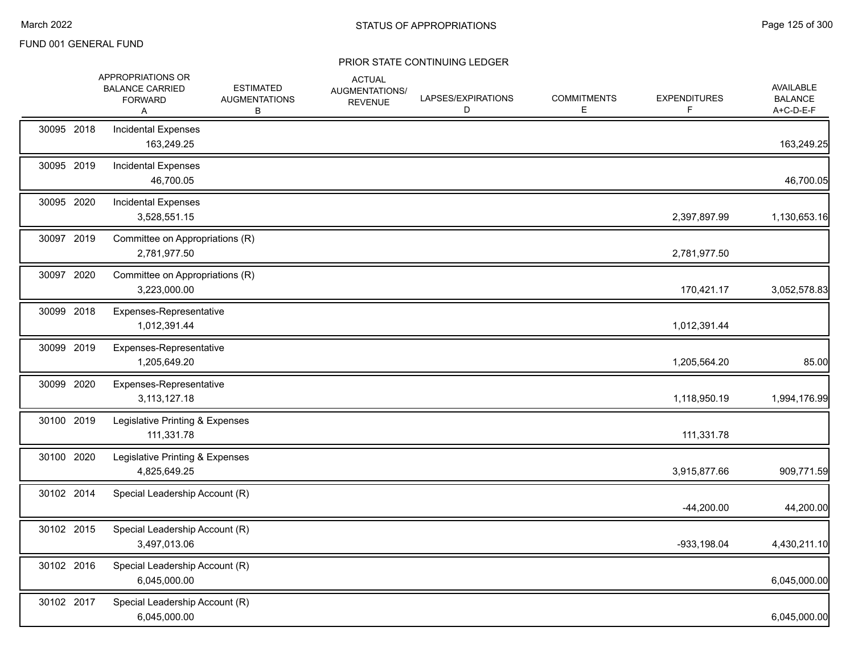|            | APPROPRIATIONS OR<br><b>BALANCE CARRIED</b><br><b>FORWARD</b><br>A | <b>ESTIMATED</b><br><b>AUGMENTATIONS</b><br>В | <b>ACTUAL</b><br>AUGMENTATIONS/<br><b>REVENUE</b> | LAPSES/EXPIRATIONS<br>D | <b>COMMITMENTS</b><br>Е | <b>EXPENDITURES</b><br>F. | AVAILABLE<br><b>BALANCE</b><br>A+C-D-E-F |
|------------|--------------------------------------------------------------------|-----------------------------------------------|---------------------------------------------------|-------------------------|-------------------------|---------------------------|------------------------------------------|
| 30095 2018 | <b>Incidental Expenses</b><br>163,249.25                           |                                               |                                                   |                         |                         |                           | 163,249.25                               |
| 30095 2019 | Incidental Expenses<br>46,700.05                                   |                                               |                                                   |                         |                         |                           | 46,700.05                                |
| 30095 2020 | <b>Incidental Expenses</b><br>3,528,551.15                         |                                               |                                                   |                         |                         | 2,397,897.99              | 1,130,653.16                             |
| 30097 2019 | Committee on Appropriations (R)<br>2,781,977.50                    |                                               |                                                   |                         |                         | 2,781,977.50              |                                          |
| 30097 2020 | Committee on Appropriations (R)<br>3,223,000.00                    |                                               |                                                   |                         |                         | 170,421.17                | 3,052,578.83                             |
| 30099 2018 | Expenses-Representative<br>1,012,391.44                            |                                               |                                                   |                         |                         | 1,012,391.44              |                                          |
| 30099 2019 | Expenses-Representative<br>1,205,649.20                            |                                               |                                                   |                         |                         | 1,205,564.20              | 85.00                                    |
| 30099 2020 | Expenses-Representative<br>3,113,127.18                            |                                               |                                                   |                         |                         | 1,118,950.19              | 1,994,176.99                             |
| 30100 2019 | Legislative Printing & Expenses<br>111,331.78                      |                                               |                                                   |                         |                         | 111,331.78                |                                          |
| 30100 2020 | Legislative Printing & Expenses<br>4,825,649.25                    |                                               |                                                   |                         |                         | 3,915,877.66              | 909,771.59                               |
| 30102 2014 | Special Leadership Account (R)                                     |                                               |                                                   |                         |                         | $-44,200.00$              | 44,200.00                                |
| 30102 2015 | Special Leadership Account (R)<br>3,497,013.06                     |                                               |                                                   |                         |                         | $-933, 198.04$            | 4,430,211.10                             |
| 30102 2016 | Special Leadership Account (R)<br>6,045,000.00                     |                                               |                                                   |                         |                         |                           | 6,045,000.00                             |
| 30102 2017 | Special Leadership Account (R)<br>6,045,000.00                     |                                               |                                                   |                         |                         |                           | 6,045,000.00                             |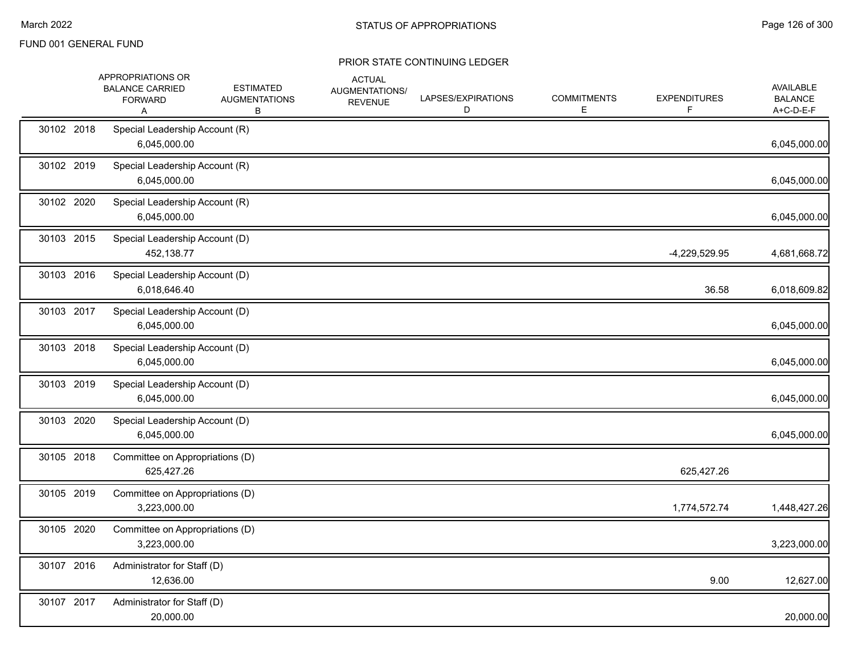|            | APPROPRIATIONS OR<br><b>BALANCE CARRIED</b><br><b>FORWARD</b><br>Α | <b>ESTIMATED</b><br><b>AUGMENTATIONS</b><br>В | <b>ACTUAL</b><br>AUGMENTATIONS/<br><b>REVENUE</b> | LAPSES/EXPIRATIONS<br>D | <b>COMMITMENTS</b><br>E. | <b>EXPENDITURES</b> | <b>AVAILABLE</b><br><b>BALANCE</b><br>A+C-D-E-F |
|------------|--------------------------------------------------------------------|-----------------------------------------------|---------------------------------------------------|-------------------------|--------------------------|---------------------|-------------------------------------------------|
| 30102 2018 | Special Leadership Account (R)<br>6,045,000.00                     |                                               |                                                   |                         |                          |                     | 6,045,000.00                                    |
| 30102 2019 | Special Leadership Account (R)<br>6,045,000.00                     |                                               |                                                   |                         |                          |                     | 6,045,000.00                                    |
| 30102 2020 | Special Leadership Account (R)<br>6,045,000.00                     |                                               |                                                   |                         |                          |                     | 6,045,000.00                                    |
| 30103 2015 | Special Leadership Account (D)<br>452,138.77                       |                                               |                                                   |                         |                          | -4,229,529.95       | 4,681,668.72                                    |
| 30103 2016 | Special Leadership Account (D)<br>6,018,646.40                     |                                               |                                                   |                         |                          | 36.58               | 6,018,609.82                                    |
| 30103 2017 | Special Leadership Account (D)<br>6,045,000.00                     |                                               |                                                   |                         |                          |                     | 6,045,000.00                                    |
| 30103 2018 | Special Leadership Account (D)<br>6,045,000.00                     |                                               |                                                   |                         |                          |                     | 6,045,000.00                                    |
| 30103 2019 | Special Leadership Account (D)<br>6,045,000.00                     |                                               |                                                   |                         |                          |                     | 6,045,000.00                                    |
| 30103 2020 | Special Leadership Account (D)<br>6,045,000.00                     |                                               |                                                   |                         |                          |                     | 6,045,000.00                                    |
| 30105 2018 | Committee on Appropriations (D)<br>625,427.26                      |                                               |                                                   |                         |                          | 625,427.26          |                                                 |
| 30105 2019 | Committee on Appropriations (D)<br>3,223,000.00                    |                                               |                                                   |                         |                          | 1,774,572.74        | 1,448,427.26                                    |
| 30105 2020 | Committee on Appropriations (D)<br>3,223,000.00                    |                                               |                                                   |                         |                          |                     | 3,223,000.00                                    |
| 30107 2016 | Administrator for Staff (D)<br>12,636.00                           |                                               |                                                   |                         |                          | 9.00                | 12,627.00                                       |
| 30107 2017 | Administrator for Staff (D)<br>20,000.00                           |                                               |                                                   |                         |                          |                     | 20,000.00                                       |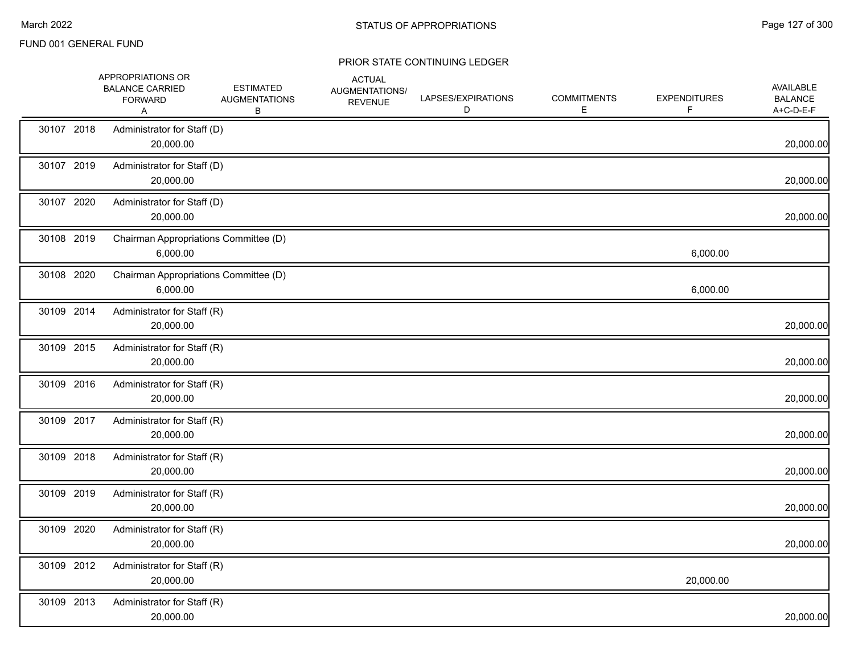|            | APPROPRIATIONS OR<br><b>BALANCE CARRIED</b><br><b>FORWARD</b><br>A | <b>ESTIMATED</b><br><b>AUGMENTATIONS</b><br>В | <b>ACTUAL</b><br>AUGMENTATIONS/<br><b>REVENUE</b> | LAPSES/EXPIRATIONS<br>D | <b>COMMITMENTS</b><br>E. | <b>EXPENDITURES</b><br>F. | <b>AVAILABLE</b><br><b>BALANCE</b><br>A+C-D-E-F |
|------------|--------------------------------------------------------------------|-----------------------------------------------|---------------------------------------------------|-------------------------|--------------------------|---------------------------|-------------------------------------------------|
| 30107 2018 | Administrator for Staff (D)<br>20,000.00                           |                                               |                                                   |                         |                          |                           | 20,000.00                                       |
| 30107 2019 | Administrator for Staff (D)<br>20,000.00                           |                                               |                                                   |                         |                          |                           | 20,000.00                                       |
| 30107 2020 | Administrator for Staff (D)<br>20,000.00                           |                                               |                                                   |                         |                          |                           | 20,000.00                                       |
| 30108 2019 | Chairman Appropriations Committee (D)<br>6,000.00                  |                                               |                                                   |                         |                          | 6,000.00                  |                                                 |
| 30108 2020 | Chairman Appropriations Committee (D)<br>6,000.00                  |                                               |                                                   |                         |                          | 6,000.00                  |                                                 |
| 30109 2014 | Administrator for Staff (R)<br>20,000.00                           |                                               |                                                   |                         |                          |                           | 20,000.00                                       |
| 30109 2015 | Administrator for Staff (R)<br>20,000.00                           |                                               |                                                   |                         |                          |                           | 20,000.00                                       |
| 30109 2016 | Administrator for Staff (R)<br>20,000.00                           |                                               |                                                   |                         |                          |                           | 20,000.00                                       |
| 30109 2017 | Administrator for Staff (R)<br>20,000.00                           |                                               |                                                   |                         |                          |                           | 20,000.00                                       |
| 30109 2018 | Administrator for Staff (R)<br>20,000.00                           |                                               |                                                   |                         |                          |                           | 20,000.00                                       |
| 30109 2019 | Administrator for Staff (R)<br>20,000.00                           |                                               |                                                   |                         |                          |                           | 20,000.00                                       |
| 30109 2020 | Administrator for Staff (R)<br>20,000.00                           |                                               |                                                   |                         |                          |                           | 20,000.00                                       |
| 30109 2012 | Administrator for Staff (R)<br>20,000.00                           |                                               |                                                   |                         |                          | 20,000.00                 |                                                 |
| 30109 2013 | Administrator for Staff (R)<br>20,000.00                           |                                               |                                                   |                         |                          |                           | 20,000.00                                       |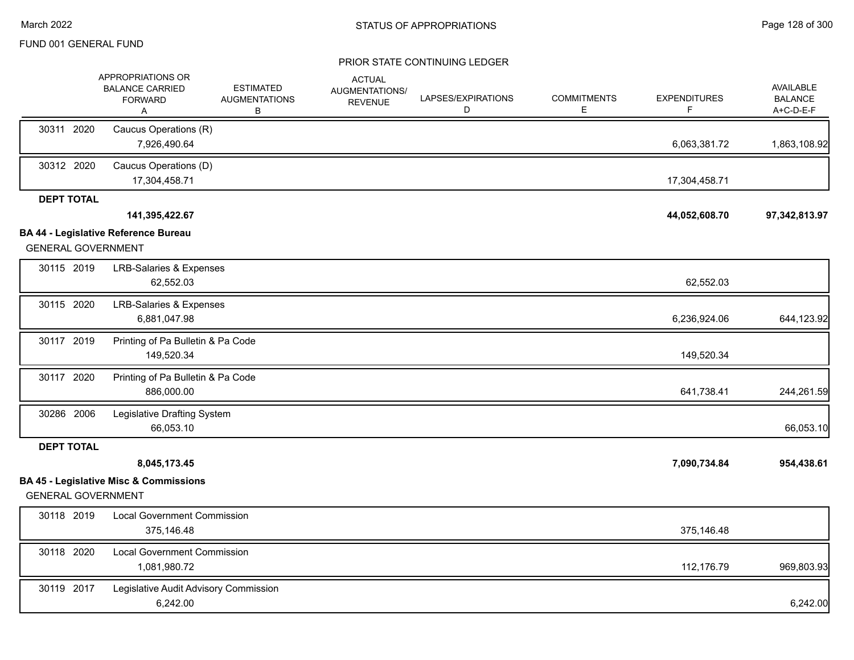|                           | APPROPRIATIONS OR<br><b>BALANCE CARRIED</b><br><b>FORWARD</b><br>A | <b>ESTIMATED</b><br><b>AUGMENTATIONS</b><br>В | <b>ACTUAL</b><br>AUGMENTATIONS/<br><b>REVENUE</b> | LAPSES/EXPIRATIONS<br>D | <b>COMMITMENTS</b><br>E. | <b>EXPENDITURES</b><br>F | <b>AVAILABLE</b><br><b>BALANCE</b><br>A+C-D-E-F |
|---------------------------|--------------------------------------------------------------------|-----------------------------------------------|---------------------------------------------------|-------------------------|--------------------------|--------------------------|-------------------------------------------------|
| 30311 2020                | Caucus Operations (R)<br>7,926,490.64                              |                                               |                                                   |                         |                          | 6,063,381.72             | 1,863,108.92                                    |
| 30312 2020                | Caucus Operations (D)<br>17,304,458.71                             |                                               |                                                   |                         |                          | 17,304,458.71            |                                                 |
| <b>DEPT TOTAL</b>         | 141,395,422.67<br><b>BA 44 - Legislative Reference Bureau</b>      |                                               |                                                   |                         |                          | 44,052,608.70            | 97,342,813.97                                   |
| <b>GENERAL GOVERNMENT</b> |                                                                    |                                               |                                                   |                         |                          |                          |                                                 |
| 30115 2019                | <b>LRB-Salaries &amp; Expenses</b><br>62,552.03                    |                                               |                                                   |                         |                          | 62,552.03                |                                                 |
| 30115 2020                | <b>LRB-Salaries &amp; Expenses</b><br>6,881,047.98                 |                                               |                                                   |                         |                          | 6,236,924.06             | 644,123.92                                      |
| 30117 2019                | Printing of Pa Bulletin & Pa Code<br>149,520.34                    |                                               |                                                   |                         |                          | 149,520.34               |                                                 |
| 30117 2020                | Printing of Pa Bulletin & Pa Code<br>886,000.00                    |                                               |                                                   |                         |                          | 641,738.41               | 244,261.59                                      |
| 30286 2006                | Legislative Drafting System<br>66,053.10                           |                                               |                                                   |                         |                          |                          | 66,053.10                                       |
| <b>DEPT TOTAL</b>         |                                                                    |                                               |                                                   |                         |                          |                          |                                                 |
|                           | 8,045,173.45                                                       |                                               |                                                   |                         |                          | 7,090,734.84             | 954,438.61                                      |
| <b>GENERAL GOVERNMENT</b> | <b>BA 45 - Legislative Misc &amp; Commissions</b>                  |                                               |                                                   |                         |                          |                          |                                                 |
| 30118 2019                | <b>Local Government Commission</b><br>375,146.48                   |                                               |                                                   |                         |                          | 375,146.48               |                                                 |
| 30118 2020                | <b>Local Government Commission</b><br>1,081,980.72                 |                                               |                                                   |                         |                          | 112,176.79               | 969,803.93                                      |
| 30119 2017                | Legislative Audit Advisory Commission<br>6,242.00                  |                                               |                                                   |                         |                          |                          | 6,242.00                                        |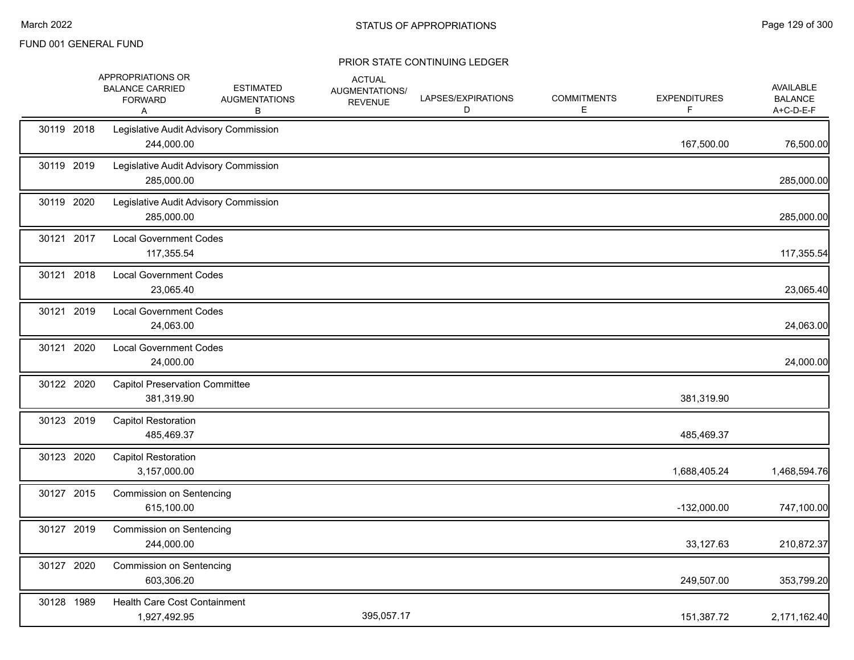|            | APPROPRIATIONS OR<br><b>BALANCE CARRIED</b><br><b>FORWARD</b><br>A | <b>ESTIMATED</b><br><b>AUGMENTATIONS</b><br>В | <b>ACTUAL</b><br>AUGMENTATIONS/<br><b>REVENUE</b> | LAPSES/EXPIRATIONS<br>D | <b>COMMITMENTS</b><br>E. | <b>EXPENDITURES</b><br>F | <b>AVAILABLE</b><br><b>BALANCE</b><br>A+C-D-E-F |
|------------|--------------------------------------------------------------------|-----------------------------------------------|---------------------------------------------------|-------------------------|--------------------------|--------------------------|-------------------------------------------------|
| 30119 2018 | Legislative Audit Advisory Commission<br>244,000.00                |                                               |                                                   |                         |                          | 167,500.00               | 76,500.00                                       |
| 30119 2019 | Legislative Audit Advisory Commission<br>285,000.00                |                                               |                                                   |                         |                          |                          | 285,000.00                                      |
| 30119 2020 | Legislative Audit Advisory Commission<br>285,000.00                |                                               |                                                   |                         |                          |                          | 285,000.00                                      |
| 30121 2017 | <b>Local Government Codes</b><br>117,355.54                        |                                               |                                                   |                         |                          |                          | 117,355.54                                      |
| 30121 2018 | <b>Local Government Codes</b><br>23,065.40                         |                                               |                                                   |                         |                          |                          | 23,065.40                                       |
| 30121 2019 | <b>Local Government Codes</b><br>24,063.00                         |                                               |                                                   |                         |                          |                          | 24,063.00                                       |
| 30121 2020 | <b>Local Government Codes</b><br>24,000.00                         |                                               |                                                   |                         |                          |                          | 24,000.00                                       |
| 30122 2020 | <b>Capitol Preservation Committee</b><br>381,319.90                |                                               |                                                   |                         |                          | 381,319.90               |                                                 |
| 30123 2019 | <b>Capitol Restoration</b><br>485,469.37                           |                                               |                                                   |                         |                          | 485,469.37               |                                                 |
| 30123 2020 | <b>Capitol Restoration</b><br>3,157,000.00                         |                                               |                                                   |                         |                          | 1,688,405.24             | 1,468,594.76                                    |
| 30127 2015 | <b>Commission on Sentencing</b><br>615,100.00                      |                                               |                                                   |                         |                          | $-132,000.00$            | 747,100.00                                      |
| 30127 2019 | Commission on Sentencing<br>244,000.00                             |                                               |                                                   |                         |                          | 33,127.63                | 210,872.37                                      |
| 30127 2020 | <b>Commission on Sentencing</b><br>603,306.20                      |                                               |                                                   |                         |                          | 249,507.00               | 353,799.20                                      |
| 30128 1989 | Health Care Cost Containment<br>1,927,492.95                       |                                               | 395,057.17                                        |                         |                          | 151,387.72               | 2,171,162.40                                    |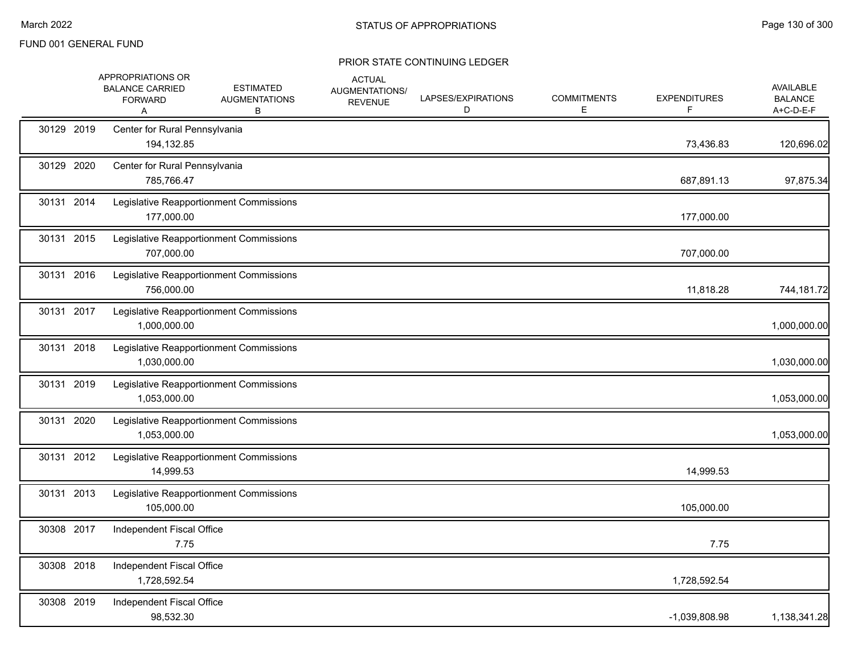|            | APPROPRIATIONS OR<br><b>BALANCE CARRIED</b><br><b>FORWARD</b><br>Α |                                             | <b>ESTIMATED</b><br><b>AUGMENTATIONS</b><br>В | <b>ACTUAL</b><br>AUGMENTATIONS/<br><b>REVENUE</b> | LAPSES/EXPIRATIONS<br>D | <b>COMMITMENTS</b><br>Е | <b>EXPENDITURES</b><br>F. | AVAILABLE<br><b>BALANCE</b><br>A+C-D-E-F |
|------------|--------------------------------------------------------------------|---------------------------------------------|-----------------------------------------------|---------------------------------------------------|-------------------------|-------------------------|---------------------------|------------------------------------------|
| 30129 2019 |                                                                    | Center for Rural Pennsylvania<br>194,132.85 |                                               |                                                   |                         |                         | 73,436.83                 | 120,696.02                               |
| 30129 2020 |                                                                    | Center for Rural Pennsylvania<br>785,766.47 |                                               |                                                   |                         |                         | 687,891.13                | 97,875.34                                |
| 30131 2014 |                                                                    | 177,000.00                                  | Legislative Reapportionment Commissions       |                                                   |                         |                         | 177,000.00                |                                          |
| 30131 2015 |                                                                    | 707,000.00                                  | Legislative Reapportionment Commissions       |                                                   |                         |                         | 707,000.00                |                                          |
| 30131 2016 |                                                                    | 756,000.00                                  | Legislative Reapportionment Commissions       |                                                   |                         |                         | 11,818.28                 | 744,181.72                               |
| 30131 2017 |                                                                    | 1,000,000.00                                | Legislative Reapportionment Commissions       |                                                   |                         |                         |                           | 1,000,000.00                             |
| 30131 2018 |                                                                    | 1,030,000.00                                | Legislative Reapportionment Commissions       |                                                   |                         |                         |                           | 1,030,000.00                             |
| 30131 2019 |                                                                    | 1,053,000.00                                | Legislative Reapportionment Commissions       |                                                   |                         |                         |                           | 1,053,000.00                             |
| 30131 2020 |                                                                    | 1,053,000.00                                | Legislative Reapportionment Commissions       |                                                   |                         |                         |                           | 1,053,000.00                             |
| 30131 2012 |                                                                    | 14,999.53                                   | Legislative Reapportionment Commissions       |                                                   |                         |                         | 14,999.53                 |                                          |
| 30131 2013 |                                                                    | 105,000.00                                  | Legislative Reapportionment Commissions       |                                                   |                         |                         | 105,000.00                |                                          |
| 30308 2017 |                                                                    | Independent Fiscal Office<br>7.75           |                                               |                                                   |                         |                         | 7.75                      |                                          |
| 30308 2018 |                                                                    | Independent Fiscal Office<br>1,728,592.54   |                                               |                                                   |                         |                         | 1,728,592.54              |                                          |
| 30308 2019 |                                                                    | Independent Fiscal Office<br>98,532.30      |                                               |                                                   |                         |                         | -1,039,808.98             | 1,138,341.28                             |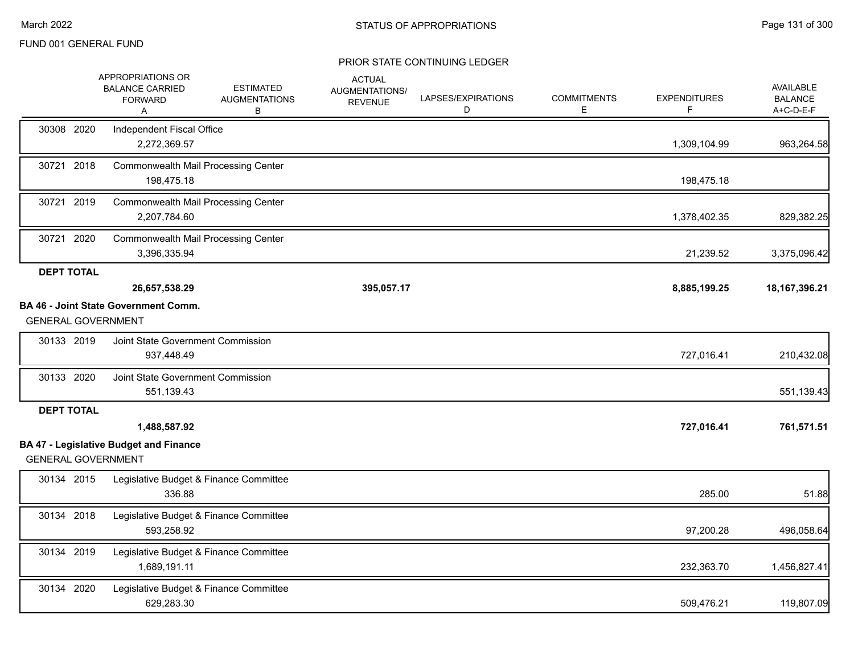|                   | APPROPRIATIONS OR<br><b>BALANCE CARRIED</b><br><b>FORWARD</b><br>Α                         | <b>ESTIMATED</b><br><b>AUGMENTATIONS</b><br>В | <b>ACTUAL</b><br>AUGMENTATIONS/<br><b>REVENUE</b> | LAPSES/EXPIRATIONS<br>D | <b>COMMITMENTS</b><br>Е | <b>EXPENDITURES</b> | <b>AVAILABLE</b><br><b>BALANCE</b><br>A+C-D-E-F |
|-------------------|--------------------------------------------------------------------------------------------|-----------------------------------------------|---------------------------------------------------|-------------------------|-------------------------|---------------------|-------------------------------------------------|
| 30308 2020        | Independent Fiscal Office<br>2,272,369.57                                                  |                                               |                                                   |                         |                         | 1,309,104.99        | 963,264.58                                      |
| 30721 2018        | Commonwealth Mail Processing Center<br>198,475.18                                          |                                               |                                                   |                         |                         | 198,475.18          |                                                 |
| 30721 2019        | <b>Commonwealth Mail Processing Center</b><br>2,207,784.60                                 |                                               |                                                   |                         |                         | 1,378,402.35        | 829,382.25                                      |
| 30721 2020        | <b>Commonwealth Mail Processing Center</b><br>3,396,335.94                                 |                                               |                                                   |                         |                         | 21,239.52           | 3,375,096.42                                    |
| <b>DEPT TOTAL</b> | 26,657,538.29                                                                              |                                               | 395,057.17                                        |                         |                         | 8,885,199.25        | 18, 167, 396. 21                                |
|                   | <b>BA 46 - Joint State Government Comm.</b><br><b>GENERAL GOVERNMENT</b>                   |                                               |                                                   |                         |                         |                     |                                                 |
| 30133 2019        | Joint State Government Commission<br>937,448.49                                            |                                               |                                                   |                         |                         | 727,016.41          | 210,432.08                                      |
| 30133 2020        | Joint State Government Commission<br>551,139.43                                            |                                               |                                                   |                         |                         |                     | 551,139.43                                      |
| <b>DEPT TOTAL</b> |                                                                                            |                                               |                                                   |                         |                         |                     |                                                 |
|                   | 1,488,587.92<br><b>BA 47 - Legislative Budget and Finance</b><br><b>GENERAL GOVERNMENT</b> |                                               |                                                   |                         |                         | 727,016.41          | 761,571.51                                      |
| 30134 2015        | Legislative Budget & Finance Committee<br>336.88                                           |                                               |                                                   |                         |                         | 285.00              | 51.88                                           |
| 30134 2018        | Legislative Budget & Finance Committee<br>593,258.92                                       |                                               |                                                   |                         |                         | 97,200.28           | 496,058.64                                      |
| 30134 2019        | Legislative Budget & Finance Committee<br>1,689,191.11                                     |                                               |                                                   |                         |                         | 232,363.70          | 1,456,827.41                                    |
| 30134 2020        | Legislative Budget & Finance Committee<br>629,283.30                                       |                                               |                                                   |                         |                         | 509,476.21          | 119,807.09                                      |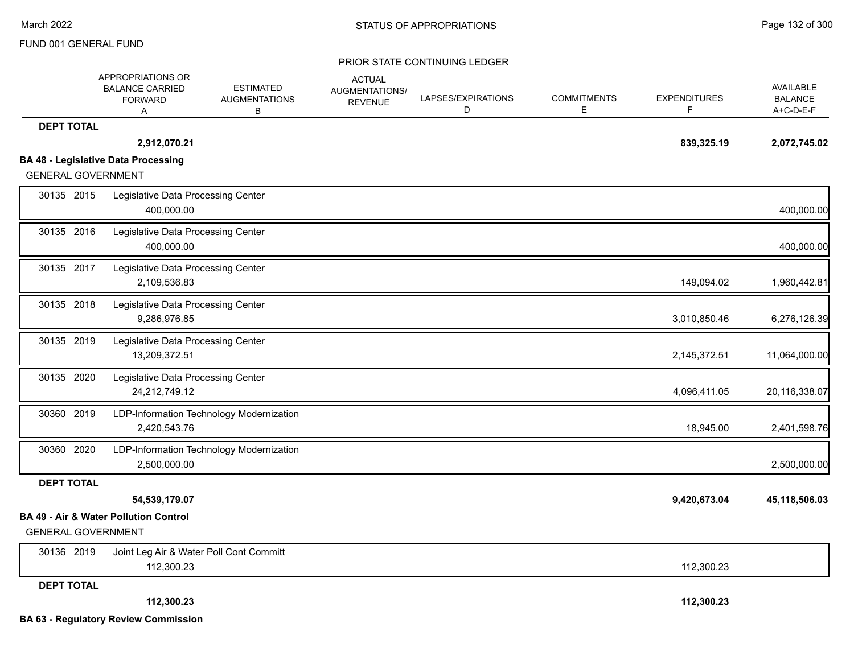|                           | APPROPRIATIONS OR<br><b>BALANCE CARRIED</b><br><b>FORWARD</b><br>Α | <b>ESTIMATED</b><br><b>AUGMENTATIONS</b><br>в | <b>ACTUAL</b><br>AUGMENTATIONS/<br><b>REVENUE</b> | LAPSES/EXPIRATIONS<br>D | <b>COMMITMENTS</b><br>E. | <b>EXPENDITURES</b><br>F. | <b>AVAILABLE</b><br><b>BALANCE</b><br>A+C-D-E-F |
|---------------------------|--------------------------------------------------------------------|-----------------------------------------------|---------------------------------------------------|-------------------------|--------------------------|---------------------------|-------------------------------------------------|
| <b>DEPT TOTAL</b>         |                                                                    |                                               |                                                   |                         |                          |                           |                                                 |
|                           | 2,912,070.21                                                       |                                               |                                                   |                         |                          | 839,325.19                | 2,072,745.02                                    |
|                           | <b>BA 48 - Legislative Data Processing</b>                         |                                               |                                                   |                         |                          |                           |                                                 |
| <b>GENERAL GOVERNMENT</b> |                                                                    |                                               |                                                   |                         |                          |                           |                                                 |
| 30135 2015                | Legislative Data Processing Center<br>400,000.00                   |                                               |                                                   |                         |                          |                           | 400,000.00                                      |
| 30135 2016                | Legislative Data Processing Center<br>400,000.00                   |                                               |                                                   |                         |                          |                           | 400,000.00                                      |
| 30135 2017                | Legislative Data Processing Center<br>2,109,536.83                 |                                               |                                                   |                         |                          | 149,094.02                | 1,960,442.81                                    |
| 30135 2018                | Legislative Data Processing Center<br>9,286,976.85                 |                                               |                                                   |                         |                          | 3,010,850.46              | 6,276,126.39                                    |
| 30135 2019                | Legislative Data Processing Center<br>13,209,372.51                |                                               |                                                   |                         |                          | 2,145,372.51              | 11,064,000.00                                   |
| 30135 2020                | Legislative Data Processing Center<br>24,212,749.12                |                                               |                                                   |                         |                          | 4,096,411.05              | 20,116,338.07                                   |
| 30360 2019                | 2,420,543.76                                                       | LDP-Information Technology Modernization      |                                                   |                         |                          | 18,945.00                 | 2,401,598.76                                    |
| 30360 2020                | 2,500,000.00                                                       | LDP-Information Technology Modernization      |                                                   |                         |                          |                           | 2,500,000.00                                    |
| <b>DEPT TOTAL</b>         |                                                                    |                                               |                                                   |                         |                          |                           |                                                 |
|                           | 54,539,179.07                                                      |                                               |                                                   |                         |                          | 9,420,673.04              | 45,118,506.03                                   |
| <b>GENERAL GOVERNMENT</b> | <b>BA 49 - Air &amp; Water Pollution Control</b>                   |                                               |                                                   |                         |                          |                           |                                                 |
| 30136 2019                | Joint Leg Air & Water Poll Cont Committ<br>112,300.23              |                                               |                                                   |                         |                          | 112,300.23                |                                                 |
| <b>DEPT TOTAL</b>         |                                                                    |                                               |                                                   |                         |                          |                           |                                                 |
|                           | 112,300.23                                                         |                                               |                                                   |                         |                          | 112,300.23                |                                                 |
|                           | <b>BA 63 - Regulatory Review Commission</b>                        |                                               |                                                   |                         |                          |                           |                                                 |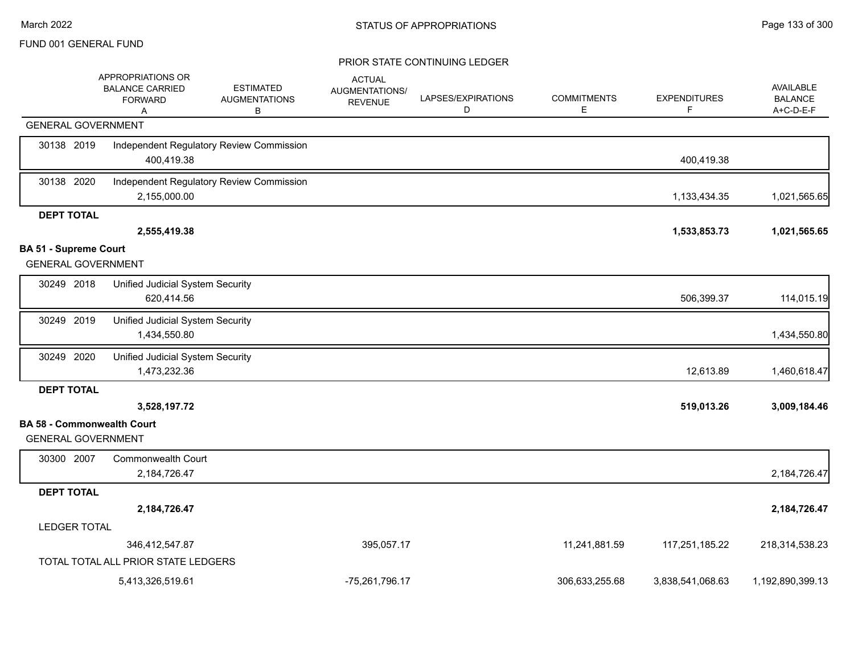|                                                                | APPROPRIATIONS OR<br><b>BALANCE CARRIED</b><br><b>FORWARD</b><br>Α | <b>ESTIMATED</b><br><b>AUGMENTATIONS</b><br>В | <b>ACTUAL</b><br><b>AUGMENTATIONS/</b><br><b>REVENUE</b> | LAPSES/EXPIRATIONS<br>D | <b>COMMITMENTS</b><br>Е | <b>EXPENDITURES</b><br>F | <b>AVAILABLE</b><br><b>BALANCE</b><br>A+C-D-E-F |
|----------------------------------------------------------------|--------------------------------------------------------------------|-----------------------------------------------|----------------------------------------------------------|-------------------------|-------------------------|--------------------------|-------------------------------------------------|
| <b>GENERAL GOVERNMENT</b>                                      |                                                                    |                                               |                                                          |                         |                         |                          |                                                 |
| 30138 2019                                                     | 400,419.38                                                         | Independent Regulatory Review Commission      |                                                          |                         |                         | 400,419.38               |                                                 |
| 30138 2020                                                     | 2,155,000.00                                                       | Independent Regulatory Review Commission      |                                                          |                         |                         | 1,133,434.35             | 1,021,565.65                                    |
| <b>DEPT TOTAL</b>                                              |                                                                    |                                               |                                                          |                         |                         |                          |                                                 |
|                                                                | 2,555,419.38                                                       |                                               |                                                          |                         |                         | 1,533,853.73             | 1,021,565.65                                    |
| <b>BA 51 - Supreme Court</b><br><b>GENERAL GOVERNMENT</b>      |                                                                    |                                               |                                                          |                         |                         |                          |                                                 |
| 30249 2018                                                     | Unified Judicial System Security<br>620,414.56                     |                                               |                                                          |                         |                         | 506,399.37               | 114,015.19                                      |
| 30249 2019                                                     | Unified Judicial System Security<br>1,434,550.80                   |                                               |                                                          |                         |                         |                          | 1,434,550.80                                    |
| 30249 2020                                                     | Unified Judicial System Security<br>1,473,232.36                   |                                               |                                                          |                         |                         | 12,613.89                | 1,460,618.47                                    |
| <b>DEPT TOTAL</b>                                              |                                                                    |                                               |                                                          |                         |                         |                          |                                                 |
|                                                                | 3,528,197.72                                                       |                                               |                                                          |                         |                         | 519,013.26               | 3,009,184.46                                    |
| <b>BA 58 - Commonwealth Court</b><br><b>GENERAL GOVERNMENT</b> |                                                                    |                                               |                                                          |                         |                         |                          |                                                 |
| 30300 2007                                                     | Commonwealth Court<br>2,184,726.47                                 |                                               |                                                          |                         |                         |                          | 2,184,726.47                                    |
| <b>DEPT TOTAL</b>                                              |                                                                    |                                               |                                                          |                         |                         |                          |                                                 |
|                                                                | 2,184,726.47                                                       |                                               |                                                          |                         |                         |                          | 2,184,726.47                                    |
| <b>LEDGER TOTAL</b>                                            |                                                                    |                                               |                                                          |                         |                         |                          |                                                 |
|                                                                | 346,412,547.87                                                     |                                               | 395,057.17                                               |                         | 11,241,881.59           | 117,251,185.22           | 218,314,538.23                                  |
|                                                                | TOTAL TOTAL ALL PRIOR STATE LEDGERS                                |                                               |                                                          |                         |                         |                          |                                                 |
|                                                                | 5,413,326,519.61                                                   |                                               | -75,261,796.17                                           |                         | 306,633,255.68          | 3,838,541,068.63         | 1,192,890,399.13                                |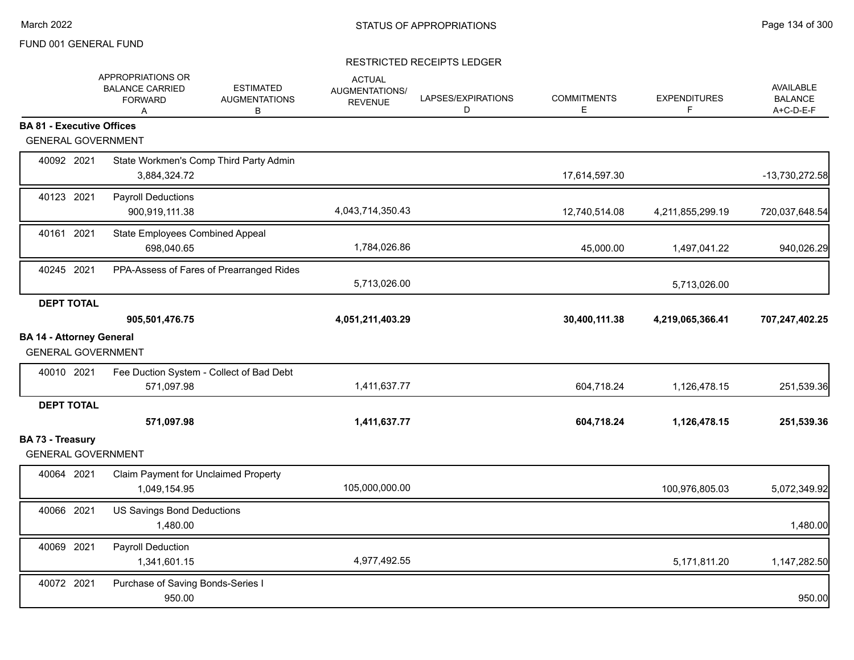|                                               | APPROPRIATIONS OR<br><b>BALANCE CARRIED</b><br><b>FORWARD</b><br>A | <b>ESTIMATED</b><br><b>AUGMENTATIONS</b><br>B | <b>ACTUAL</b><br><b>AUGMENTATIONS/</b><br><b>REVENUE</b> | LAPSES/EXPIRATIONS<br>D | <b>COMMITMENTS</b><br>Е | <b>EXPENDITURES</b><br>F | AVAILABLE<br><b>BALANCE</b><br>A+C-D-E-F |
|-----------------------------------------------|--------------------------------------------------------------------|-----------------------------------------------|----------------------------------------------------------|-------------------------|-------------------------|--------------------------|------------------------------------------|
| <b>BA 81 - Executive Offices</b>              |                                                                    |                                               |                                                          |                         |                         |                          |                                          |
| <b>GENERAL GOVERNMENT</b>                     |                                                                    |                                               |                                                          |                         |                         |                          |                                          |
| 40092 2021                                    | 3,884,324.72                                                       | State Workmen's Comp Third Party Admin        |                                                          |                         | 17,614,597.30           |                          | -13,730,272.58                           |
| 40123 2021                                    | <b>Payroll Deductions</b><br>900,919,111.38                        |                                               | 4,043,714,350.43                                         |                         | 12,740,514.08           | 4,211,855,299.19         | 720,037,648.54                           |
| 40161 2021                                    | State Employees Combined Appeal<br>698.040.65                      |                                               | 1,784,026.86                                             |                         | 45,000.00               | 1,497,041.22             | 940,026.29                               |
| 40245 2021                                    |                                                                    | PPA-Assess of Fares of Prearranged Rides      | 5,713,026.00                                             |                         |                         | 5,713,026.00             |                                          |
| <b>DEPT TOTAL</b>                             |                                                                    |                                               |                                                          |                         |                         |                          |                                          |
|                                               | 905,501,476.75                                                     |                                               | 4,051,211,403.29                                         |                         | 30,400,111.38           | 4,219,065,366.41         | 707,247,402.25                           |
| <b>BA 14 - Attorney General</b>               |                                                                    |                                               |                                                          |                         |                         |                          |                                          |
| <b>GENERAL GOVERNMENT</b>                     |                                                                    |                                               |                                                          |                         |                         |                          |                                          |
| 40010 2021                                    | 571,097.98                                                         | Fee Duction System - Collect of Bad Debt      | 1,411,637.77                                             |                         | 604,718.24              | 1,126,478.15             | 251,539.36                               |
| <b>DEPT TOTAL</b>                             |                                                                    |                                               |                                                          |                         |                         |                          |                                          |
|                                               | 571,097.98                                                         |                                               | 1,411,637.77                                             |                         | 604,718.24              | 1,126,478.15             | 251,539.36                               |
| BA 73 - Treasury<br><b>GENERAL GOVERNMENT</b> |                                                                    |                                               |                                                          |                         |                         |                          |                                          |
| 40064 2021                                    | Claim Payment for Unclaimed Property<br>1,049,154.95               |                                               | 105,000,000.00                                           |                         |                         | 100,976,805.03           | 5,072,349.92                             |
| 40066 2021                                    | US Savings Bond Deductions<br>1,480.00                             |                                               |                                                          |                         |                         |                          | 1,480.00                                 |
| 40069 2021                                    | Payroll Deduction<br>1,341,601.15                                  |                                               | 4,977,492.55                                             |                         |                         | 5,171,811.20             | 1,147,282.50                             |
| 40072 2021                                    | Purchase of Saving Bonds-Series I<br>950.00                        |                                               |                                                          |                         |                         |                          | 950.00                                   |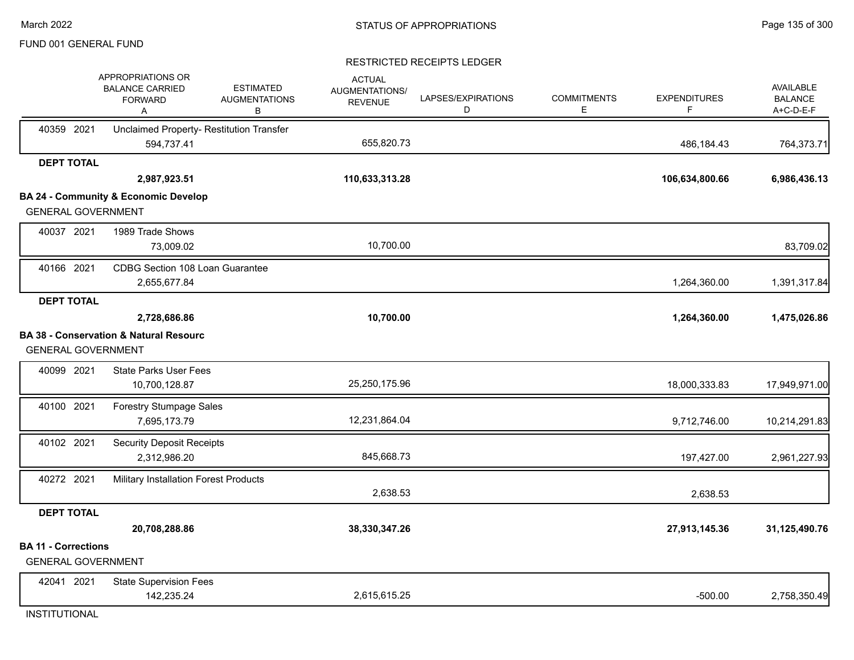### RESTRICTED RECEIPTS LEDGER

|                            | APPROPRIATIONS OR<br><b>BALANCE CARRIED</b><br><b>FORWARD</b><br>Α | <b>ESTIMATED</b><br><b>AUGMENTATIONS</b><br>в | <b>ACTUAL</b><br><b>AUGMENTATIONS/</b><br><b>REVENUE</b> | LAPSES/EXPIRATIONS<br>D | <b>COMMITMENTS</b><br>Е | <b>EXPENDITURES</b><br>F | <b>AVAILABLE</b><br><b>BALANCE</b><br>A+C-D-E-F |
|----------------------------|--------------------------------------------------------------------|-----------------------------------------------|----------------------------------------------------------|-------------------------|-------------------------|--------------------------|-------------------------------------------------|
| 40359 2021                 | Unclaimed Property- Restitution Transfer<br>594,737.41             |                                               | 655,820.73                                               |                         |                         | 486,184.43               | 764,373.71                                      |
| <b>DEPT TOTAL</b>          |                                                                    |                                               |                                                          |                         |                         |                          |                                                 |
|                            | 2,987,923.51                                                       |                                               | 110,633,313.28                                           |                         |                         | 106,634,800.66           | 6,986,436.13                                    |
|                            | <b>BA 24 - Community &amp; Economic Develop</b>                    |                                               |                                                          |                         |                         |                          |                                                 |
| <b>GENERAL GOVERNMENT</b>  |                                                                    |                                               |                                                          |                         |                         |                          |                                                 |
| 40037 2021                 | 1989 Trade Shows                                                   |                                               |                                                          |                         |                         |                          |                                                 |
|                            | 73,009.02                                                          |                                               | 10,700.00                                                |                         |                         |                          | 83,709.02                                       |
| 40166 2021                 | CDBG Section 108 Loan Guarantee                                    |                                               |                                                          |                         |                         |                          |                                                 |
|                            | 2,655,677.84                                                       |                                               |                                                          |                         |                         | 1,264,360.00             | 1,391,317.84                                    |
| <b>DEPT TOTAL</b>          |                                                                    |                                               |                                                          |                         |                         |                          |                                                 |
|                            | 2,728,686.86                                                       |                                               | 10,700.00                                                |                         |                         | 1,264,360.00             | 1,475,026.86                                    |
|                            | <b>BA 38 - Conservation &amp; Natural Resourc</b>                  |                                               |                                                          |                         |                         |                          |                                                 |
| <b>GENERAL GOVERNMENT</b>  |                                                                    |                                               |                                                          |                         |                         |                          |                                                 |
| 40099 2021                 | <b>State Parks User Fees</b>                                       |                                               |                                                          |                         |                         |                          |                                                 |
|                            | 10,700,128.87                                                      |                                               | 25,250,175.96                                            |                         |                         | 18,000,333.83            | 17,949,971.00                                   |
| 40100 2021                 | <b>Forestry Stumpage Sales</b>                                     |                                               |                                                          |                         |                         |                          |                                                 |
|                            | 7,695,173.79                                                       |                                               | 12,231,864.04                                            |                         |                         | 9,712,746.00             | 10,214,291.83                                   |
| 40102 2021                 | <b>Security Deposit Receipts</b>                                   |                                               |                                                          |                         |                         |                          |                                                 |
|                            | 2,312,986.20                                                       |                                               | 845,668.73                                               |                         |                         | 197,427.00               | 2,961,227.93                                    |
| 40272 2021                 | Military Installation Forest Products                              |                                               |                                                          |                         |                         |                          |                                                 |
|                            |                                                                    |                                               | 2,638.53                                                 |                         |                         | 2,638.53                 |                                                 |
| <b>DEPT TOTAL</b>          |                                                                    |                                               |                                                          |                         |                         |                          |                                                 |
|                            | 20,708,288.86                                                      |                                               | 38,330,347.26                                            |                         |                         | 27,913,145.36            | 31,125,490.76                                   |
| <b>BA 11 - Corrections</b> |                                                                    |                                               |                                                          |                         |                         |                          |                                                 |
| <b>GENERAL GOVERNMENT</b>  |                                                                    |                                               |                                                          |                         |                         |                          |                                                 |
| 42041 2021                 | <b>State Supervision Fees</b>                                      |                                               |                                                          |                         |                         |                          |                                                 |
|                            | 142,235.24                                                         |                                               | 2,615,615.25                                             |                         |                         | $-500.00$                | 2,758,350.49                                    |

**INSTITUTIONAL**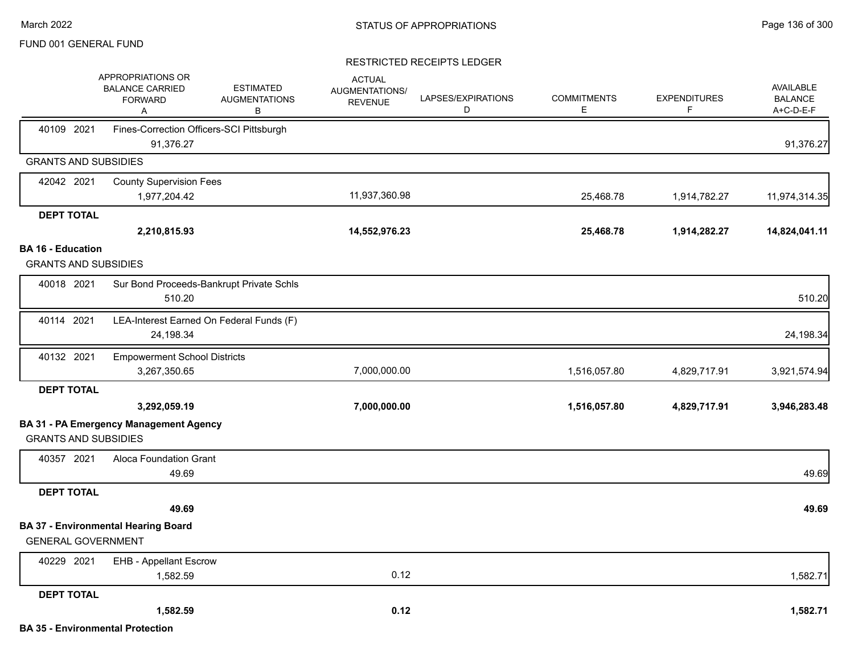|                                                         | APPROPRIATIONS OR<br><b>BALANCE CARRIED</b><br><b>FORWARD</b><br>A | <b>ESTIMATED</b><br><b>AUGMENTATIONS</b><br>B | <b>ACTUAL</b><br>AUGMENTATIONS/<br><b>REVENUE</b> | LAPSES/EXPIRATIONS<br>D | <b>COMMITMENTS</b><br>E. | <b>EXPENDITURES</b><br>F | AVAILABLE<br><b>BALANCE</b><br>A+C-D-E-F |
|---------------------------------------------------------|--------------------------------------------------------------------|-----------------------------------------------|---------------------------------------------------|-------------------------|--------------------------|--------------------------|------------------------------------------|
| 40109 2021                                              | Fines-Correction Officers-SCI Pittsburgh<br>91,376.27              |                                               |                                                   |                         |                          |                          | 91,376.27                                |
| <b>GRANTS AND SUBSIDIES</b>                             |                                                                    |                                               |                                                   |                         |                          |                          |                                          |
| 42042 2021                                              | <b>County Supervision Fees</b>                                     |                                               |                                                   |                         |                          |                          |                                          |
|                                                         | 1,977,204.42                                                       |                                               | 11,937,360.98                                     |                         | 25,468.78                | 1,914,782.27             | 11,974,314.35                            |
| <b>DEPT TOTAL</b>                                       |                                                                    |                                               |                                                   |                         |                          |                          |                                          |
|                                                         | 2,210,815.93                                                       |                                               | 14,552,976.23                                     |                         | 25,468.78                | 1,914,282.27             | 14,824,041.11                            |
| <b>BA 16 - Education</b><br><b>GRANTS AND SUBSIDIES</b> |                                                                    |                                               |                                                   |                         |                          |                          |                                          |
| 40018 2021                                              | 510.20                                                             | Sur Bond Proceeds-Bankrupt Private Schls      |                                                   |                         |                          |                          | 510.20                                   |
| 40114 2021                                              | 24,198.34                                                          | LEA-Interest Earned On Federal Funds (F)      |                                                   |                         |                          |                          | 24,198.34                                |
| 40132 2021                                              | <b>Empowerment School Districts</b><br>3,267,350.65                |                                               | 7,000,000.00                                      |                         | 1,516,057.80             | 4,829,717.91             | 3,921,574.94                             |
| <b>DEPT TOTAL</b>                                       |                                                                    |                                               |                                                   |                         |                          |                          |                                          |
|                                                         | 3,292,059.19                                                       |                                               | 7,000,000.00                                      |                         | 1,516,057.80             | 4,829,717.91             | 3,946,283.48                             |
| <b>GRANTS AND SUBSIDIES</b>                             | <b>BA 31 - PA Emergency Management Agency</b>                      |                                               |                                                   |                         |                          |                          |                                          |
| 40357 2021                                              | Aloca Foundation Grant<br>49.69                                    |                                               |                                                   |                         |                          |                          | 49.69                                    |
| <b>DEPT TOTAL</b>                                       |                                                                    |                                               |                                                   |                         |                          |                          |                                          |
|                                                         | 49.69                                                              |                                               |                                                   |                         |                          |                          | 49.69                                    |
| <b>GENERAL GOVERNMENT</b>                               | <b>BA 37 - Environmental Hearing Board</b>                         |                                               |                                                   |                         |                          |                          |                                          |
| 40229 2021                                              | <b>EHB - Appellant Escrow</b>                                      |                                               |                                                   |                         |                          |                          |                                          |
|                                                         | 1,582.59                                                           |                                               | 0.12                                              |                         |                          |                          | 1,582.71                                 |
| <b>DEPT TOTAL</b>                                       |                                                                    |                                               |                                                   |                         |                          |                          |                                          |
|                                                         | 1,582.59                                                           |                                               | 0.12                                              |                         |                          |                          | 1,582.71                                 |
|                                                         | <b>BA 35 - Environmental Protection</b>                            |                                               |                                                   |                         |                          |                          |                                          |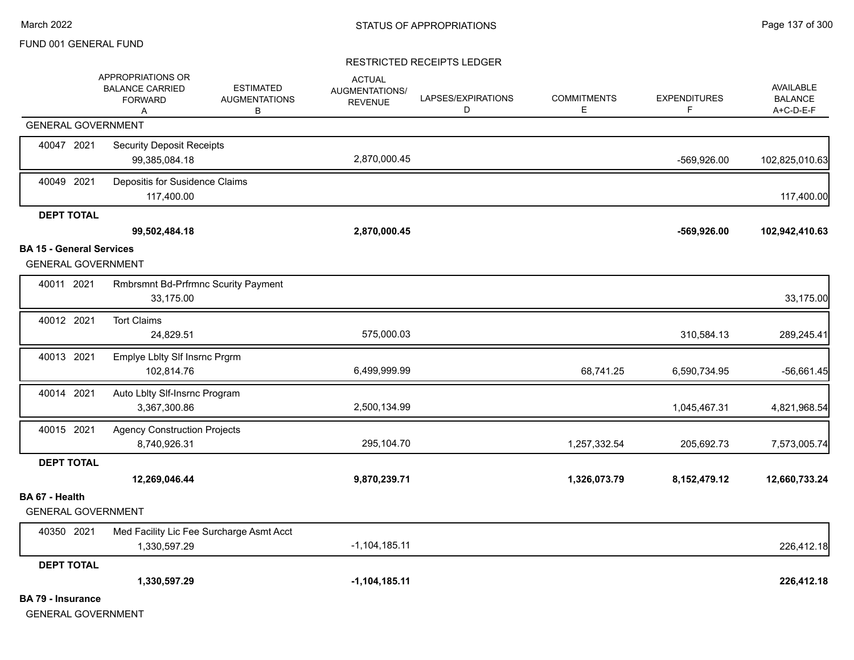|                                 | APPROPRIATIONS OR<br><b>BALANCE CARRIED</b><br><b>FORWARD</b><br>Α | <b>ESTIMATED</b><br><b>AUGMENTATIONS</b><br>В | <b>ACTUAL</b><br>AUGMENTATIONS/<br><b>REVENUE</b> | LAPSES/EXPIRATIONS<br>D | <b>COMMITMENTS</b><br>Е | <b>EXPENDITURES</b><br>F. | <b>AVAILABLE</b><br><b>BALANCE</b><br>A+C-D-E-F |
|---------------------------------|--------------------------------------------------------------------|-----------------------------------------------|---------------------------------------------------|-------------------------|-------------------------|---------------------------|-------------------------------------------------|
|                                 | <b>GENERAL GOVERNMENT</b>                                          |                                               |                                                   |                         |                         |                           |                                                 |
| 40047 2021                      | <b>Security Deposit Receipts</b><br>99,385,084.18                  |                                               | 2,870,000.45                                      |                         |                         | -569,926.00               | 102,825,010.63                                  |
| 40049 2021                      | Depositis for Susidence Claims<br>117,400.00                       |                                               |                                                   |                         |                         |                           | 117,400.00                                      |
| <b>DEPT TOTAL</b>               | 99,502,484.18                                                      |                                               | 2,870,000.45                                      |                         |                         | $-569,926.00$             | 102,942,410.63                                  |
| <b>BA 15 - General Services</b> | <b>GENERAL GOVERNMENT</b>                                          |                                               |                                                   |                         |                         |                           |                                                 |
| 40011 2021                      | 33,175.00                                                          | <b>Rmbrsmnt Bd-Prfrmnc Scurity Payment</b>    |                                                   |                         |                         |                           | 33,175.00                                       |
| 40012 2021                      | <b>Tort Claims</b><br>24,829.51                                    |                                               | 575,000.03                                        |                         |                         | 310,584.13                | 289,245.41                                      |
| 40013 2021                      | Emplye Lblty SIf Insrnc Prgrm<br>102,814.76                        |                                               | 6,499,999.99                                      |                         | 68,741.25               | 6,590,734.95              | $-56,661.45$                                    |
| 40014 2021                      | Auto Lblty Slf-Insrnc Program<br>3,367,300.86                      |                                               | 2,500,134.99                                      |                         |                         | 1,045,467.31              | 4,821,968.54                                    |
| 40015 2021                      | <b>Agency Construction Projects</b><br>8,740,926.31                |                                               | 295,104.70                                        |                         | 1,257,332.54            | 205,692.73                | 7,573,005.74                                    |
| <b>DEPT TOTAL</b>               | 12,269,046.44                                                      |                                               | 9,870,239.71                                      |                         | 1,326,073.79            | 8, 152, 479. 12           | 12,660,733.24                                   |
| BA 67 - Health                  | <b>GENERAL GOVERNMENT</b>                                          |                                               |                                                   |                         |                         |                           |                                                 |
| 40350 2021                      | 1,330,597.29                                                       | Med Facility Lic Fee Surcharge Asmt Acct      | $-1,104,185.11$                                   |                         |                         |                           | 226,412.18                                      |
| <b>DEPT TOTAL</b>               |                                                                    |                                               |                                                   |                         |                         |                           |                                                 |
|                                 | 1,330,597.29                                                       |                                               | $-1,104,185.11$                                   |                         |                         |                           | 226,412.18                                      |
| <b>BA 79 - Insurance</b>        | <b>GENERAL GOVERNMENT</b>                                          |                                               |                                                   |                         |                         |                           |                                                 |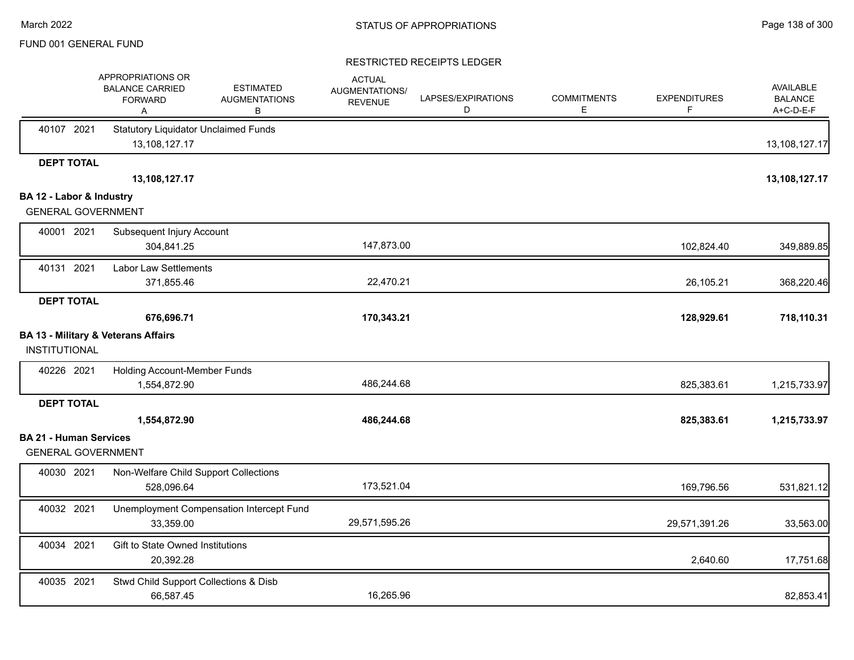|                               | APPROPRIATIONS OR<br><b>BALANCE CARRIED</b><br><b>FORWARD</b><br>Α | <b>ESTIMATED</b><br><b>AUGMENTATIONS</b><br>В | <b>ACTUAL</b><br>AUGMENTATIONS/<br><b>REVENUE</b> | LAPSES/EXPIRATIONS<br>D | <b>COMMITMENTS</b><br>Ε | <b>EXPENDITURES</b><br>F | <b>AVAILABLE</b><br><b>BALANCE</b><br>A+C-D-E-F |
|-------------------------------|--------------------------------------------------------------------|-----------------------------------------------|---------------------------------------------------|-------------------------|-------------------------|--------------------------|-------------------------------------------------|
| 40107 2021                    | <b>Statutory Liquidator Unclaimed Funds</b><br>13,108,127.17       |                                               |                                                   |                         |                         |                          | 13,108,127.17                                   |
| <b>DEPT TOTAL</b>             |                                                                    |                                               |                                                   |                         |                         |                          |                                                 |
|                               | 13,108,127.17                                                      |                                               |                                                   |                         |                         |                          | 13,108,127.17                                   |
| BA 12 - Labor & Industry      |                                                                    |                                               |                                                   |                         |                         |                          |                                                 |
| <b>GENERAL GOVERNMENT</b>     |                                                                    |                                               |                                                   |                         |                         |                          |                                                 |
| 40001 2021                    | Subsequent Injury Account                                          |                                               |                                                   |                         |                         |                          |                                                 |
|                               | 304,841.25                                                         |                                               | 147,873.00                                        |                         |                         | 102,824.40               | 349,889.85                                      |
| 40131 2021                    | Labor Law Settlements                                              |                                               |                                                   |                         |                         |                          |                                                 |
|                               | 371,855.46                                                         |                                               | 22,470.21                                         |                         |                         | 26,105.21                | 368,220.46                                      |
| <b>DEPT TOTAL</b>             |                                                                    |                                               |                                                   |                         |                         |                          |                                                 |
|                               | 676,696.71                                                         |                                               | 170,343.21                                        |                         |                         | 128,929.61               | 718,110.31                                      |
|                               | <b>BA 13 - Military &amp; Veterans Affairs</b>                     |                                               |                                                   |                         |                         |                          |                                                 |
| <b>INSTITUTIONAL</b>          |                                                                    |                                               |                                                   |                         |                         |                          |                                                 |
| 40226 2021                    | Holding Account-Member Funds                                       |                                               |                                                   |                         |                         |                          |                                                 |
|                               | 1,554,872.90                                                       |                                               | 486,244.68                                        |                         |                         | 825,383.61               | 1,215,733.97                                    |
| <b>DEPT TOTAL</b>             |                                                                    |                                               |                                                   |                         |                         |                          |                                                 |
|                               | 1,554,872.90                                                       |                                               | 486,244.68                                        |                         |                         | 825,383.61               | 1,215,733.97                                    |
| <b>BA 21 - Human Services</b> |                                                                    |                                               |                                                   |                         |                         |                          |                                                 |
| <b>GENERAL GOVERNMENT</b>     |                                                                    |                                               |                                                   |                         |                         |                          |                                                 |
| 40030 2021                    | Non-Welfare Child Support Collections                              |                                               |                                                   |                         |                         |                          |                                                 |
|                               | 528,096.64                                                         |                                               | 173,521.04                                        |                         |                         | 169,796.56               | 531,821.12                                      |
| 40032 2021                    | Unemployment Compensation Intercept Fund                           |                                               |                                                   |                         |                         |                          |                                                 |
|                               | 33,359.00                                                          |                                               | 29,571,595.26                                     |                         |                         | 29,571,391.26            | 33,563.00                                       |
| 40034 2021                    | Gift to State Owned Institutions                                   |                                               |                                                   |                         |                         |                          |                                                 |
|                               | 20,392.28                                                          |                                               |                                                   |                         |                         | 2,640.60                 | 17,751.68                                       |
| 40035 2021                    | Stwd Child Support Collections & Disb                              |                                               |                                                   |                         |                         |                          |                                                 |
|                               | 66,587.45                                                          |                                               | 16,265.96                                         |                         |                         |                          | 82,853.41                                       |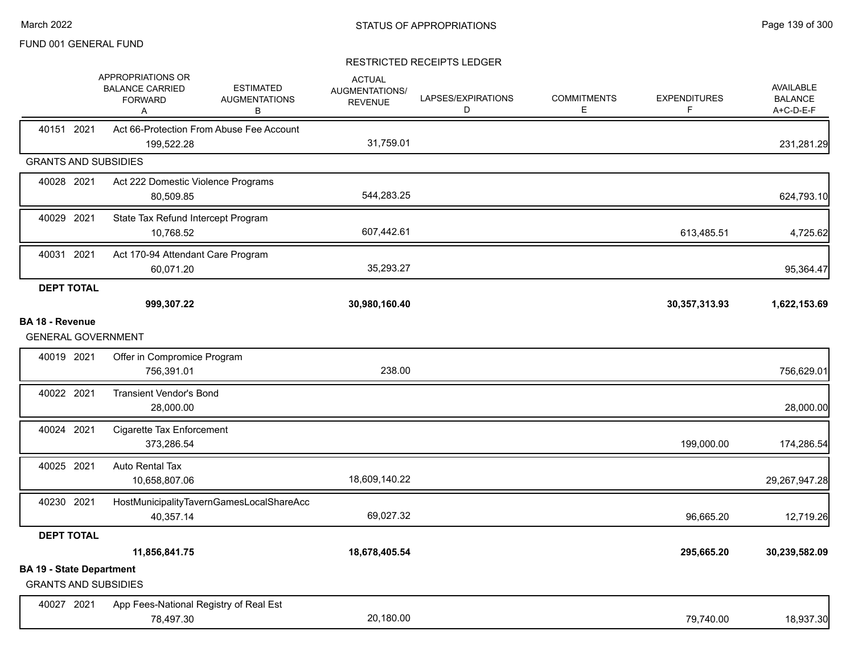|                                                                | APPROPRIATIONS OR<br><b>BALANCE CARRIED</b><br><b>FORWARD</b><br>A | <b>ESTIMATED</b><br><b>AUGMENTATIONS</b><br>В | <b>ACTUAL</b><br>AUGMENTATIONS/<br><b>REVENUE</b> | LAPSES/EXPIRATIONS<br>D | <b>COMMITMENTS</b><br>E. | <b>EXPENDITURES</b><br>F | <b>AVAILABLE</b><br><b>BALANCE</b><br>A+C-D-E-F |
|----------------------------------------------------------------|--------------------------------------------------------------------|-----------------------------------------------|---------------------------------------------------|-------------------------|--------------------------|--------------------------|-------------------------------------------------|
| 40151 2021                                                     | 199,522.28                                                         | Act 66-Protection From Abuse Fee Account      | 31,759.01                                         |                         |                          |                          | 231,281.29                                      |
| <b>GRANTS AND SUBSIDIES</b>                                    |                                                                    |                                               |                                                   |                         |                          |                          |                                                 |
| 40028 2021                                                     | Act 222 Domestic Violence Programs<br>80,509.85                    |                                               | 544,283.25                                        |                         |                          |                          | 624,793.10                                      |
| 40029 2021                                                     | State Tax Refund Intercept Program<br>10,768.52                    |                                               | 607,442.61                                        |                         |                          | 613,485.51               | 4,725.62                                        |
| 40031 2021                                                     | Act 170-94 Attendant Care Program<br>60,071.20                     |                                               | 35,293.27                                         |                         |                          |                          | 95,364.47                                       |
| <b>DEPT TOTAL</b>                                              | 999,307.22                                                         |                                               | 30,980,160.40                                     |                         |                          | 30, 357, 313. 93         | 1,622,153.69                                    |
| <b>BA 18 - Revenue</b><br><b>GENERAL GOVERNMENT</b>            |                                                                    |                                               |                                                   |                         |                          |                          |                                                 |
| 40019 2021                                                     | Offer in Compromice Program<br>756,391.01                          |                                               | 238.00                                            |                         |                          |                          | 756,629.01                                      |
| 40022 2021                                                     | <b>Transient Vendor's Bond</b><br>28,000.00                        |                                               |                                                   |                         |                          |                          | 28,000.00                                       |
| 40024 2021                                                     | Cigarette Tax Enforcement<br>373,286.54                            |                                               |                                                   |                         |                          | 199,000.00               | 174,286.54                                      |
| 40025 2021                                                     | Auto Rental Tax<br>10,658,807.06                                   |                                               | 18,609,140.22                                     |                         |                          |                          | 29,267,947.28                                   |
| 40230 2021                                                     | 40,357.14                                                          | HostMunicipalityTavernGamesLocalShareAcc      | 69,027.32                                         |                         |                          | 96,665.20                | 12,719.26                                       |
| <b>DEPT TOTAL</b>                                              |                                                                    |                                               |                                                   |                         |                          |                          |                                                 |
|                                                                | 11,856,841.75                                                      |                                               | 18,678,405.54                                     |                         |                          | 295,665.20               | 30,239,582.09                                   |
| <b>BA 19 - State Department</b><br><b>GRANTS AND SUBSIDIES</b> |                                                                    |                                               |                                                   |                         |                          |                          |                                                 |
| 40027 2021                                                     | 78,497.30                                                          | App Fees-National Registry of Real Est        | 20,180.00                                         |                         |                          | 79,740.00                | 18,937.30                                       |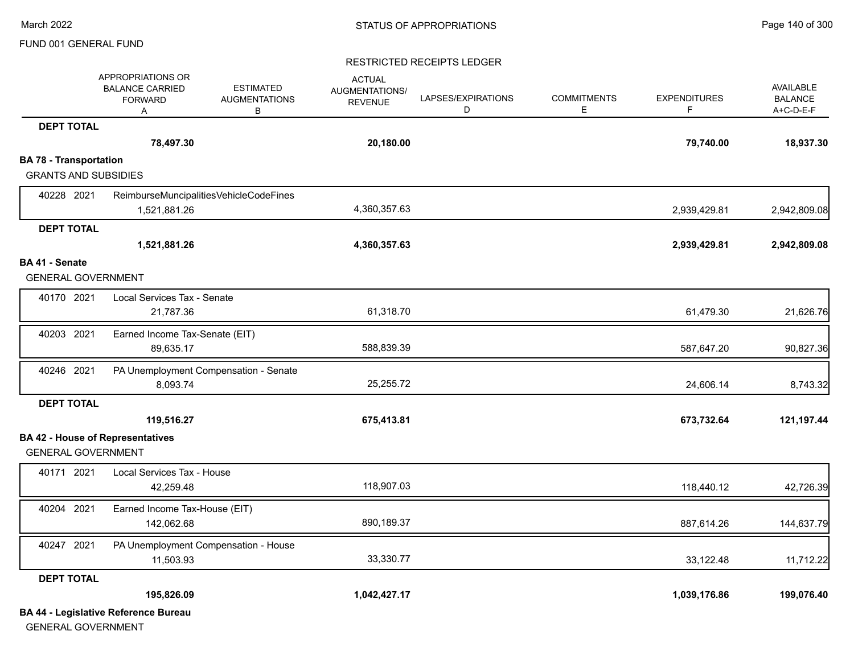#### RESTRICTED RECEIPTS LEDGER

|                               | APPROPRIATIONS OR<br><b>BALANCE CARRIED</b><br><b>FORWARD</b><br>Α | <b>ESTIMATED</b><br><b>AUGMENTATIONS</b><br>B | <b>ACTUAL</b><br><b>AUGMENTATIONS/</b><br><b>REVENUE</b> | LAPSES/EXPIRATIONS<br>D | <b>COMMITMENTS</b><br>Е | <b>EXPENDITURES</b><br>F | <b>AVAILABLE</b><br><b>BALANCE</b><br>A+C-D-E-F |
|-------------------------------|--------------------------------------------------------------------|-----------------------------------------------|----------------------------------------------------------|-------------------------|-------------------------|--------------------------|-------------------------------------------------|
| <b>DEPT TOTAL</b>             |                                                                    |                                               |                                                          |                         |                         |                          |                                                 |
|                               | 78,497.30                                                          |                                               | 20,180.00                                                |                         |                         | 79,740.00                | 18,937.30                                       |
| <b>BA 78 - Transportation</b> |                                                                    |                                               |                                                          |                         |                         |                          |                                                 |
| <b>GRANTS AND SUBSIDIES</b>   |                                                                    |                                               |                                                          |                         |                         |                          |                                                 |
| 40228 2021                    | ReimburseMuncipalitiesVehicleCodeFines<br>1,521,881.26             |                                               | 4,360,357.63                                             |                         |                         | 2,939,429.81             | 2,942,809.08                                    |
| <b>DEPT TOTAL</b>             |                                                                    |                                               |                                                          |                         |                         |                          |                                                 |
|                               | 1,521,881.26                                                       |                                               | 4,360,357.63                                             |                         |                         | 2,939,429.81             | 2,942,809.08                                    |
| BA 41 - Senate                |                                                                    |                                               |                                                          |                         |                         |                          |                                                 |
| <b>GENERAL GOVERNMENT</b>     |                                                                    |                                               |                                                          |                         |                         |                          |                                                 |
| 40170 2021                    | Local Services Tax - Senate<br>21,787.36                           |                                               | 61,318.70                                                |                         |                         | 61,479.30                | 21,626.76                                       |
| 40203 2021                    | Earned Income Tax-Senate (EIT)<br>89,635.17                        |                                               | 588,839.39                                               |                         |                         | 587,647.20               | 90,827.36                                       |
| 40246 2021                    | PA Unemployment Compensation - Senate<br>8,093.74                  |                                               | 25,255.72                                                |                         |                         | 24,606.14                | 8,743.32                                        |
| <b>DEPT TOTAL</b>             |                                                                    |                                               |                                                          |                         |                         |                          |                                                 |
|                               | 119,516.27                                                         |                                               | 675,413.81                                               |                         |                         | 673,732.64               | 121,197.44                                      |
| <b>GENERAL GOVERNMENT</b>     | <b>BA 42 - House of Representatives</b>                            |                                               |                                                          |                         |                         |                          |                                                 |
| 40171 2021                    | Local Services Tax - House<br>42,259.48                            |                                               | 118,907.03                                               |                         |                         | 118,440.12               | 42,726.39                                       |
| 40204 2021                    | Earned Income Tax-House (EIT)<br>142,062.68                        |                                               | 890,189.37                                               |                         |                         | 887,614.26               | 144,637.79                                      |
| 40247 2021                    | PA Unemployment Compensation - House<br>11,503.93                  |                                               | 33,330.77                                                |                         |                         | 33,122.48                | 11,712.22                                       |
| <b>DEPT TOTAL</b>             |                                                                    |                                               |                                                          |                         |                         |                          |                                                 |
|                               | 195,826.09                                                         |                                               | 1,042,427.17                                             |                         |                         | 1,039,176.86             | 199,076.40                                      |
|                               | <b>BA 44 - Legislative Reference Bureau</b>                        |                                               |                                                          |                         |                         |                          |                                                 |

GENERAL GOVERNMENT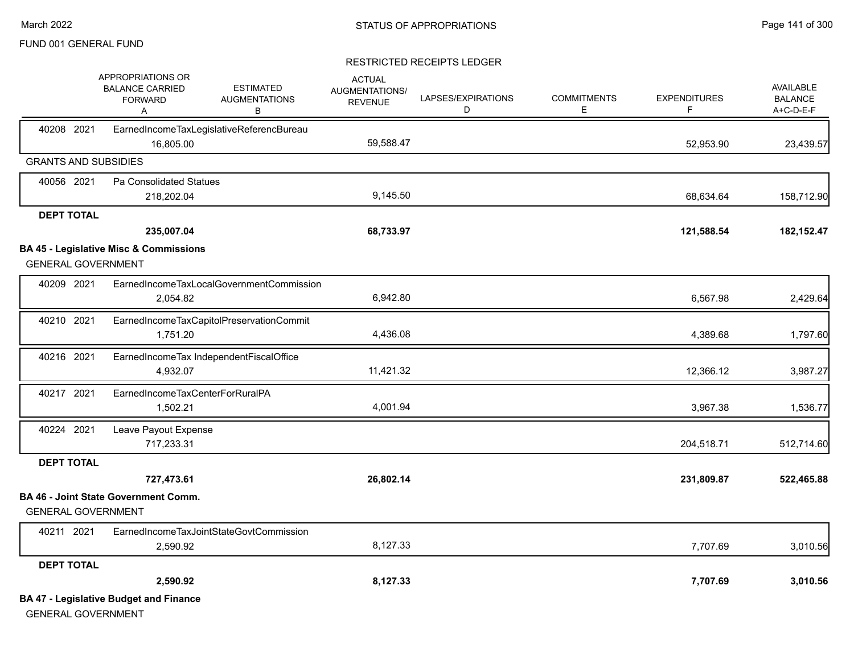|                             | APPROPRIATIONS OR<br><b>BALANCE CARRIED</b><br><b>FORWARD</b><br>Α | <b>ESTIMATED</b><br><b>AUGMENTATIONS</b><br>В | <b>ACTUAL</b><br>AUGMENTATIONS/<br><b>REVENUE</b> | LAPSES/EXPIRATIONS<br>D | <b>COMMITMENTS</b><br>Е | <b>EXPENDITURES</b><br>F. | <b>AVAILABLE</b><br><b>BALANCE</b><br>A+C-D-E-F |
|-----------------------------|--------------------------------------------------------------------|-----------------------------------------------|---------------------------------------------------|-------------------------|-------------------------|---------------------------|-------------------------------------------------|
| 40208 2021                  | 16,805.00                                                          | EarnedIncomeTaxLegislativeReferencBureau      | 59,588.47                                         |                         |                         | 52,953.90                 | 23,439.57                                       |
| <b>GRANTS AND SUBSIDIES</b> |                                                                    |                                               |                                                   |                         |                         |                           |                                                 |
| 40056 2021                  | Pa Consolidated Statues                                            |                                               |                                                   |                         |                         |                           |                                                 |
|                             | 218,202.04                                                         |                                               | 9,145.50                                          |                         |                         | 68,634.64                 | 158,712.90                                      |
| <b>DEPT TOTAL</b>           |                                                                    |                                               |                                                   |                         |                         |                           |                                                 |
|                             | 235,007.04                                                         |                                               | 68,733.97                                         |                         |                         | 121,588.54                | 182, 152. 47                                    |
|                             | <b>BA 45 - Legislative Misc &amp; Commissions</b>                  |                                               |                                                   |                         |                         |                           |                                                 |
| <b>GENERAL GOVERNMENT</b>   |                                                                    |                                               |                                                   |                         |                         |                           |                                                 |
| 40209 2021                  |                                                                    | EarnedIncomeTaxLocalGovernmentCommission      |                                                   |                         |                         |                           |                                                 |
|                             | 2.054.82                                                           |                                               | 6,942.80                                          |                         |                         | 6,567.98                  | 2,429.64                                        |
| 40210 2021                  |                                                                    | EarnedIncomeTaxCapitolPreservationCommit      |                                                   |                         |                         |                           |                                                 |
|                             | 1,751.20                                                           |                                               | 4,436.08                                          |                         |                         | 4,389.68                  | 1,797.60                                        |
| 40216 2021                  |                                                                    | EarnedIncomeTax IndependentFiscalOffice       |                                                   |                         |                         |                           |                                                 |
|                             | 4,932.07                                                           |                                               | 11,421.32                                         |                         |                         | 12,366.12                 | 3,987.27                                        |
| 40217 2021                  | EarnedIncomeTaxCenterForRuralPA                                    |                                               |                                                   |                         |                         |                           |                                                 |
|                             | 1,502.21                                                           |                                               | 4,001.94                                          |                         |                         | 3,967.38                  | 1,536.77                                        |
| 40224 2021                  | Leave Payout Expense                                               |                                               |                                                   |                         |                         |                           |                                                 |
|                             | 717,233.31                                                         |                                               |                                                   |                         |                         | 204,518.71                | 512,714.60                                      |
| <b>DEPT TOTAL</b>           |                                                                    |                                               |                                                   |                         |                         |                           |                                                 |
|                             | 727,473.61                                                         |                                               | 26,802.14                                         |                         |                         | 231,809.87                | 522,465.88                                      |
| <b>GENERAL GOVERNMENT</b>   | <b>BA 46 - Joint State Government Comm.</b>                        |                                               |                                                   |                         |                         |                           |                                                 |
| 40211 2021                  |                                                                    | EarnedIncomeTaxJointStateGovtCommission       |                                                   |                         |                         |                           |                                                 |
|                             | 2,590.92                                                           |                                               | 8,127.33                                          |                         |                         | 7,707.69                  | 3,010.56                                        |
| <b>DEPT TOTAL</b>           |                                                                    |                                               |                                                   |                         |                         |                           |                                                 |
|                             | 2,590.92                                                           |                                               | 8,127.33                                          |                         |                         | 7,707.69                  | 3,010.56                                        |
| <b>GENERAL GOVERNMENT</b>   | <b>BA 47 - Legislative Budget and Finance</b>                      |                                               |                                                   |                         |                         |                           |                                                 |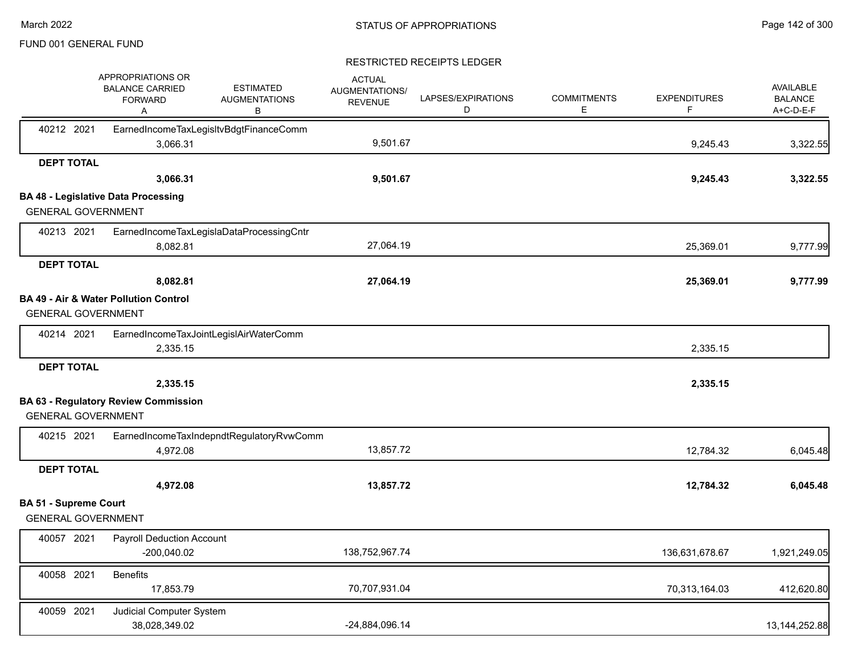|                              | APPROPRIATIONS OR<br><b>BALANCE CARRIED</b><br><b>FORWARD</b><br>A | <b>ESTIMATED</b><br><b>AUGMENTATIONS</b><br>В | <b>ACTUAL</b><br><b>AUGMENTATIONS/</b><br><b>REVENUE</b> | LAPSES/EXPIRATIONS<br>D | <b>COMMITMENTS</b><br>E. | <b>EXPENDITURES</b><br>F | <b>AVAILABLE</b><br><b>BALANCE</b><br>A+C-D-E-F |
|------------------------------|--------------------------------------------------------------------|-----------------------------------------------|----------------------------------------------------------|-------------------------|--------------------------|--------------------------|-------------------------------------------------|
| 40212 2021                   | 3,066.31                                                           | EarnedIncomeTaxLegisItvBdgtFinanceComm        | 9,501.67                                                 |                         |                          | 9,245.43                 | 3,322.55                                        |
| <b>DEPT TOTAL</b>            |                                                                    |                                               |                                                          |                         |                          |                          |                                                 |
|                              | 3,066.31                                                           |                                               | 9,501.67                                                 |                         |                          | 9,245.43                 | 3,322.55                                        |
|                              | <b>BA 48 - Legislative Data Processing</b>                         |                                               |                                                          |                         |                          |                          |                                                 |
| <b>GENERAL GOVERNMENT</b>    |                                                                    |                                               |                                                          |                         |                          |                          |                                                 |
| 40213 2021                   |                                                                    | EarnedIncomeTaxLegislaDataProcessingCntr      |                                                          |                         |                          |                          |                                                 |
|                              | 8,082.81                                                           |                                               | 27,064.19                                                |                         |                          | 25,369.01                | 9,777.99                                        |
| <b>DEPT TOTAL</b>            |                                                                    |                                               |                                                          |                         |                          |                          |                                                 |
|                              | 8,082.81                                                           |                                               | 27,064.19                                                |                         |                          | 25,369.01                | 9,777.99                                        |
| <b>GENERAL GOVERNMENT</b>    | <b>BA 49 - Air &amp; Water Pollution Control</b>                   |                                               |                                                          |                         |                          |                          |                                                 |
| 40214 2021                   |                                                                    | EarnedIncomeTaxJointLegislAirWaterComm        |                                                          |                         |                          |                          |                                                 |
|                              | 2,335.15                                                           |                                               |                                                          |                         |                          | 2,335.15                 |                                                 |
| <b>DEPT TOTAL</b>            |                                                                    |                                               |                                                          |                         |                          |                          |                                                 |
|                              | 2,335.15                                                           |                                               |                                                          |                         |                          | 2,335.15                 |                                                 |
|                              | <b>BA 63 - Regulatory Review Commission</b>                        |                                               |                                                          |                         |                          |                          |                                                 |
| <b>GENERAL GOVERNMENT</b>    |                                                                    |                                               |                                                          |                         |                          |                          |                                                 |
| 40215 2021                   |                                                                    | EarnedIncomeTaxIndepndtRegulatoryRvwComm      |                                                          |                         |                          |                          |                                                 |
|                              | 4,972.08                                                           |                                               | 13,857.72                                                |                         |                          | 12,784.32                | 6,045.48                                        |
| <b>DEPT TOTAL</b>            |                                                                    |                                               |                                                          |                         |                          |                          |                                                 |
|                              | 4,972.08                                                           |                                               | 13,857.72                                                |                         |                          | 12,784.32                | 6,045.48                                        |
| <b>BA 51 - Supreme Court</b> |                                                                    |                                               |                                                          |                         |                          |                          |                                                 |
| <b>GENERAL GOVERNMENT</b>    |                                                                    |                                               |                                                          |                         |                          |                          |                                                 |
| 40057 2021                   | <b>Payroll Deduction Account</b><br>-200,040.02                    |                                               | 138,752,967.74                                           |                         |                          | 136,631,678.67           | 1,921,249.05                                    |
| 40058 2021                   | <b>Benefits</b><br>17,853.79                                       |                                               | 70,707,931.04                                            |                         |                          | 70,313,164.03            | 412,620.80                                      |
| 40059 2021                   | Judicial Computer System<br>38,028,349.02                          |                                               | -24,884,096.14                                           |                         |                          |                          | 13, 144, 252.88                                 |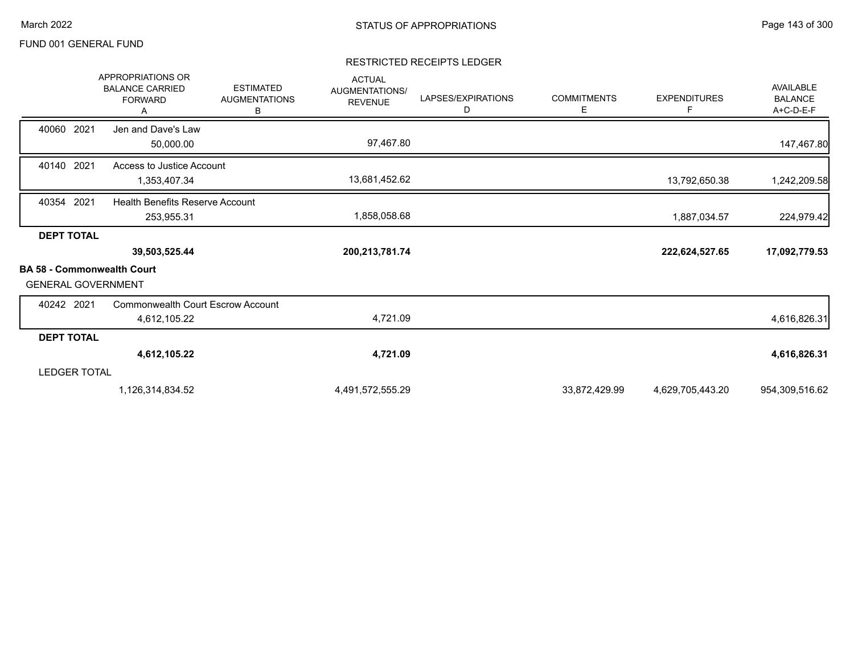|                                                                | <b>APPROPRIATIONS OR</b><br><b>BALANCE CARRIED</b><br><b>FORWARD</b><br>A | <b>ESTIMATED</b><br><b>AUGMENTATIONS</b><br>В | <b>ACTUAL</b><br>AUGMENTATIONS/<br><b>REVENUE</b> | LAPSES/EXPIRATIONS<br>D | <b>COMMITMENTS</b><br>E | <b>EXPENDITURES</b><br>F. | <b>AVAILABLE</b><br><b>BALANCE</b><br>A+C-D-E-F |
|----------------------------------------------------------------|---------------------------------------------------------------------------|-----------------------------------------------|---------------------------------------------------|-------------------------|-------------------------|---------------------------|-------------------------------------------------|
| 40060 2021                                                     | Jen and Dave's Law<br>50,000.00                                           |                                               | 97,467.80                                         |                         |                         |                           | 147,467.80                                      |
| 40140 2021                                                     | Access to Justice Account<br>1,353,407.34                                 |                                               | 13,681,452.62                                     |                         |                         | 13,792,650.38             | 1,242,209.58                                    |
| 40354 2021                                                     | <b>Health Benefits Reserve Account</b><br>253,955.31                      |                                               | 1,858,058.68                                      |                         |                         | 1,887,034.57              | 224,979.42                                      |
| <b>DEPT TOTAL</b>                                              | 39,503,525.44                                                             |                                               | 200,213,781.74                                    |                         |                         | 222,624,527.65            | 17,092,779.53                                   |
| <b>BA 58 - Commonwealth Court</b><br><b>GENERAL GOVERNMENT</b> |                                                                           |                                               |                                                   |                         |                         |                           |                                                 |
| 40242 2021                                                     | <b>Commonwealth Court Escrow Account</b><br>4,612,105.22                  |                                               | 4,721.09                                          |                         |                         |                           | 4,616,826.31                                    |
| <b>DEPT TOTAL</b>                                              |                                                                           |                                               |                                                   |                         |                         |                           |                                                 |
|                                                                | 4,612,105.22                                                              |                                               | 4,721.09                                          |                         |                         |                           | 4,616,826.31                                    |
| <b>LEDGER TOTAL</b>                                            |                                                                           |                                               |                                                   |                         |                         |                           |                                                 |
|                                                                | 1,126,314,834.52                                                          |                                               | 4,491,572,555.29                                  |                         | 33,872,429.99           | 4,629,705,443.20          | 954,309,516.62                                  |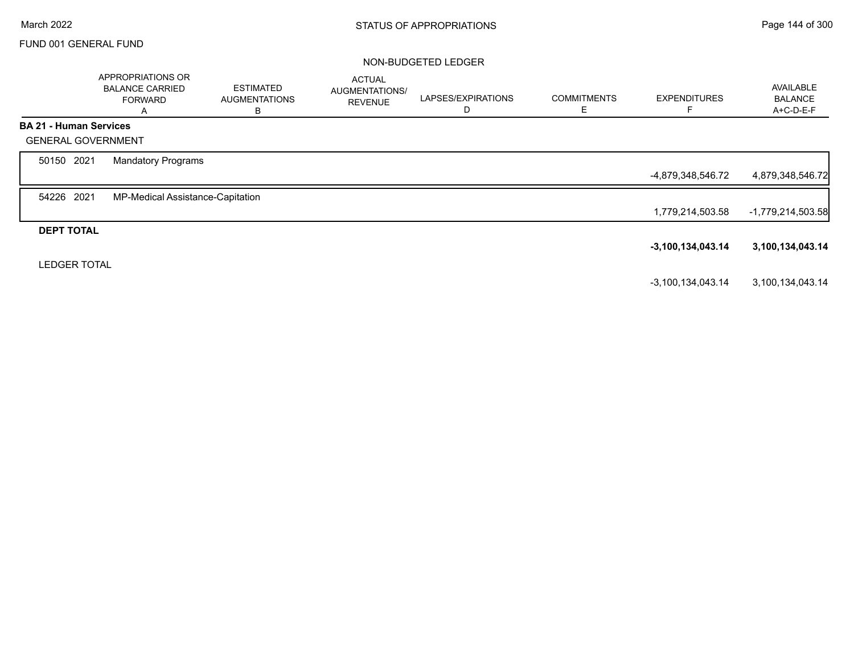### NON-BUDGETED LEDGER

|                               | APPROPRIATIONS OR<br><b>BALANCE CARRIED</b><br><b>FORWARD</b><br>А | <b>ESTIMATED</b><br><b>AUGMENTATIONS</b><br>В | <b>ACTUAL</b><br>AUGMENTATIONS/<br><b>REVENUE</b> | LAPSES/EXPIRATIONS<br>D | <b>COMMITMENTS</b><br>E | <b>EXPENDITURES</b> | AVAILABLE<br><b>BALANCE</b><br>A+C-D-E-F |
|-------------------------------|--------------------------------------------------------------------|-----------------------------------------------|---------------------------------------------------|-------------------------|-------------------------|---------------------|------------------------------------------|
| <b>BA 21 - Human Services</b> |                                                                    |                                               |                                                   |                         |                         |                     |                                          |
| <b>GENERAL GOVERNMENT</b>     |                                                                    |                                               |                                                   |                         |                         |                     |                                          |
| 50150 2021                    | <b>Mandatory Programs</b>                                          |                                               |                                                   |                         |                         |                     |                                          |
|                               |                                                                    |                                               |                                                   |                         |                         | -4,879,348,546.72   | 4,879,348,546.72                         |
| 54226 2021                    | MP-Medical Assistance-Capitation                                   |                                               |                                                   |                         |                         |                     |                                          |
|                               |                                                                    |                                               |                                                   |                         |                         | 1,779,214,503.58    | $-1,779,214,503.58$                      |
| <b>DEPT TOTAL</b>             |                                                                    |                                               |                                                   |                         |                         |                     |                                          |
|                               |                                                                    |                                               |                                                   |                         |                         | $-3,100,134,043.14$ | 3,100,134,043.14                         |
| <b>LEDGER TOTAL</b>           |                                                                    |                                               |                                                   |                         |                         |                     |                                          |
|                               |                                                                    |                                               |                                                   |                         |                         | $-3,100,134,043.14$ | 3,100,134,043.14                         |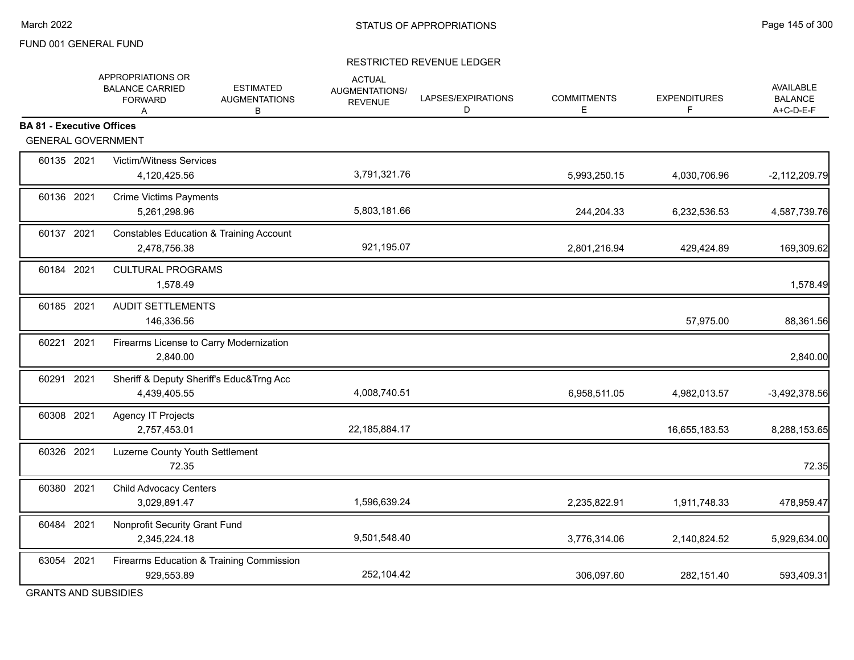#### RESTRICTED REVENUE LEDGER

|                                  | APPROPRIATIONS OR<br><b>ESTIMATED</b><br><b>BALANCE CARRIED</b><br><b>AUGMENTATIONS</b><br><b>FORWARD</b><br>В<br>Α | <b>ACTUAL</b><br>AUGMENTATIONS/<br><b>REVENUE</b> | LAPSES/EXPIRATIONS<br>D | <b>COMMITMENTS</b><br>E | <b>EXPENDITURES</b><br>F | <b>AVAILABLE</b><br><b>BALANCE</b><br>A+C-D-E-F |
|----------------------------------|---------------------------------------------------------------------------------------------------------------------|---------------------------------------------------|-------------------------|-------------------------|--------------------------|-------------------------------------------------|
| <b>BA 81 - Executive Offices</b> |                                                                                                                     |                                                   |                         |                         |                          |                                                 |
| <b>GENERAL GOVERNMENT</b>        |                                                                                                                     |                                                   |                         |                         |                          |                                                 |
| 60135 2021                       | Victim/Witness Services<br>4,120,425.56                                                                             | 3,791,321.76                                      |                         | 5,993,250.15            | 4,030,706.96             | $-2,112,209.79$                                 |
| 60136 2021                       | <b>Crime Victims Payments</b><br>5,261,298.96                                                                       | 5,803,181.66                                      |                         | 244,204.33              | 6,232,536.53             | 4,587,739.76                                    |
| 60137 2021                       | <b>Constables Education &amp; Training Account</b><br>2,478,756.38                                                  | 921,195.07                                        |                         | 2,801,216.94            | 429,424.89               | 169,309.62                                      |
| 60184 2021                       | <b>CULTURAL PROGRAMS</b><br>1,578.49                                                                                |                                                   |                         |                         |                          | 1,578.49                                        |
| 60185 2021                       | <b>AUDIT SETTLEMENTS</b><br>146,336.56                                                                              |                                                   |                         |                         | 57,975.00                | 88,361.56                                       |
| 60221 2021                       | Firearms License to Carry Modernization<br>2,840.00                                                                 |                                                   |                         |                         |                          | 2,840.00                                        |
| 60291 2021                       | Sheriff & Deputy Sheriff's Educ&Trng Acc<br>4,439,405.55                                                            | 4,008,740.51                                      |                         | 6,958,511.05            | 4,982,013.57             | $-3,492,378.56$                                 |
| 60308 2021                       | Agency IT Projects<br>2,757,453.01                                                                                  | 22,185,884.17                                     |                         |                         | 16,655,183.53            | 8,288,153.65                                    |
| 60326 2021                       | Luzerne County Youth Settlement<br>72.35                                                                            |                                                   |                         |                         |                          | 72.35                                           |
| 60380 2021                       | <b>Child Advocacy Centers</b><br>3,029,891.47                                                                       | 1,596,639.24                                      |                         | 2,235,822.91            | 1,911,748.33             | 478,959.47                                      |
| 60484 2021                       | Nonprofit Security Grant Fund<br>2,345,224.18                                                                       | 9,501,548.40                                      |                         | 3,776,314.06            | 2,140,824.52             | 5,929,634.00                                    |
| 63054 2021                       | Firearms Education & Training Commission<br>929,553.89                                                              | 252,104.42                                        |                         | 306,097.60              | 282,151.40               | 593,409.31                                      |

GRANTS AND SUBSIDIES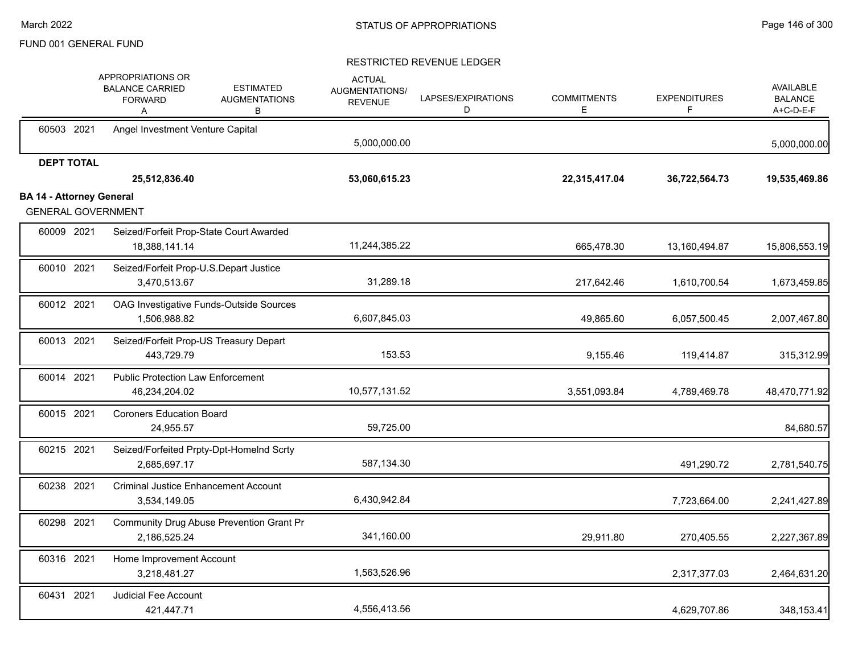|                                 |                   | APPROPRIATIONS OR<br><b>BALANCE CARRIED</b><br><b>FORWARD</b><br>Α | <b>ESTIMATED</b><br><b>AUGMENTATIONS</b><br>В | <b>ACTUAL</b><br>AUGMENTATIONS/<br><b>REVENUE</b> | LAPSES/EXPIRATIONS<br>D | <b>COMMITMENTS</b><br>Е | <b>EXPENDITURES</b><br>F | AVAILABLE<br><b>BALANCE</b><br>A+C-D-E-F |
|---------------------------------|-------------------|--------------------------------------------------------------------|-----------------------------------------------|---------------------------------------------------|-------------------------|-------------------------|--------------------------|------------------------------------------|
|                                 | 60503 2021        | Angel Investment Venture Capital                                   |                                               | 5,000,000.00                                      |                         |                         |                          | 5,000,000.00                             |
|                                 | <b>DEPT TOTAL</b> | 25,512,836.40                                                      |                                               | 53,060,615.23                                     |                         | 22,315,417.04           | 36,722,564.73            | 19,535,469.86                            |
| <b>BA 14 - Attorney General</b> |                   | <b>GENERAL GOVERNMENT</b>                                          |                                               |                                                   |                         |                         |                          |                                          |
|                                 | 60009 2021        | Seized/Forfeit Prop-State Court Awarded<br>18,388,141.14           |                                               | 11,244,385.22                                     |                         | 665,478.30              | 13,160,494.87            | 15,806,553.19                            |
|                                 | 60010 2021        | Seized/Forfeit Prop-U.S.Depart Justice<br>3,470,513.67             |                                               | 31,289.18                                         |                         | 217,642.46              | 1,610,700.54             | 1,673,459.85                             |
|                                 | 60012 2021        | OAG Investigative Funds-Outside Sources<br>1,506,988.82            |                                               | 6,607,845.03                                      |                         | 49,865.60               | 6,057,500.45             | 2,007,467.80                             |
|                                 | 60013 2021        | Seized/Forfeit Prop-US Treasury Depart<br>443,729.79               |                                               | 153.53                                            |                         | 9,155.46                | 119,414.87               | 315,312.99                               |
|                                 | 60014 2021        | <b>Public Protection Law Enforcement</b><br>46,234,204.02          |                                               | 10,577,131.52                                     |                         | 3,551,093.84            | 4,789,469.78             | 48,470,771.92                            |
|                                 | 60015 2021        | <b>Coroners Education Board</b><br>24,955.57                       |                                               | 59,725.00                                         |                         |                         |                          | 84,680.57                                |
|                                 | 60215 2021        | Seized/Forfeited Prpty-Dpt-HomeInd Scrty<br>2,685,697.17           |                                               | 587,134.30                                        |                         |                         | 491,290.72               | 2,781,540.75                             |
|                                 | 60238 2021        | <b>Criminal Justice Enhancement Account</b><br>3,534,149.05        |                                               | 6,430,942.84                                      |                         |                         | 7,723,664.00             | 2,241,427.89                             |
|                                 | 60298 2021        | Community Drug Abuse Prevention Grant Pr<br>2,186,525.24           |                                               | 341,160.00                                        |                         | 29,911.80               | 270,405.55               | 2,227,367.89                             |
|                                 | 60316 2021        | Home Improvement Account<br>3,218,481.27                           |                                               | 1,563,526.96                                      |                         |                         | 2,317,377.03             | 2,464,631.20                             |
|                                 | 60431 2021        | Judicial Fee Account<br>421,447.71                                 |                                               | 4,556,413.56                                      |                         |                         | 4,629,707.86             | 348,153.41                               |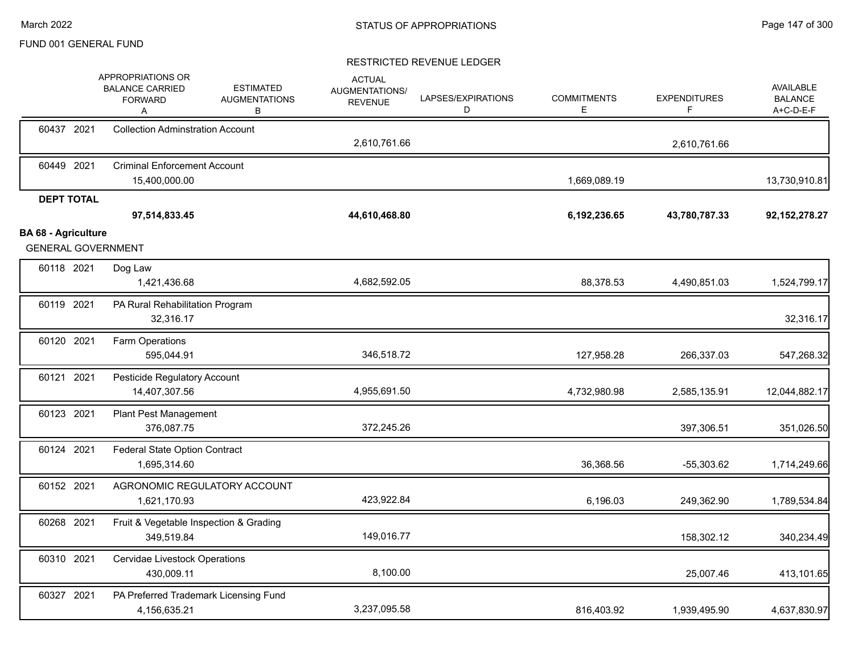|                                                         | APPROPRIATIONS OR<br><b>ESTIMATED</b><br><b>BALANCE CARRIED</b><br><b>AUGMENTATIONS</b><br><b>FORWARD</b><br>В<br>Α | <b>ACTUAL</b><br>AUGMENTATIONS/<br><b>REVENUE</b> | LAPSES/EXPIRATIONS<br>D | <b>COMMITMENTS</b><br>E | <b>EXPENDITURES</b><br>F | <b>AVAILABLE</b><br><b>BALANCE</b><br>A+C-D-E-F |
|---------------------------------------------------------|---------------------------------------------------------------------------------------------------------------------|---------------------------------------------------|-------------------------|-------------------------|--------------------------|-------------------------------------------------|
| 60437 2021                                              | <b>Collection Adminstration Account</b>                                                                             | 2,610,761.66                                      |                         |                         | 2,610,761.66             |                                                 |
| 60449 2021                                              | <b>Criminal Enforcement Account</b><br>15,400,000.00                                                                |                                                   |                         | 1,669,089.19            |                          | 13,730,910.81                                   |
| <b>DEPT TOTAL</b>                                       | 97,514,833.45                                                                                                       | 44,610,468.80                                     |                         | 6,192,236.65            | 43,780,787.33            | 92, 152, 278. 27                                |
| <b>BA 68 - Agriculture</b><br><b>GENERAL GOVERNMENT</b> |                                                                                                                     |                                                   |                         |                         |                          |                                                 |
| 60118 2021                                              | Dog Law<br>1,421,436.68                                                                                             | 4,682,592.05                                      |                         | 88,378.53               | 4,490,851.03             | 1,524,799.17                                    |
| 60119 2021                                              | PA Rural Rehabilitation Program<br>32,316.17                                                                        |                                                   |                         |                         |                          | 32,316.17                                       |
| 60120 2021                                              | Farm Operations<br>595,044.91                                                                                       | 346,518.72                                        |                         | 127,958.28              | 266,337.03               | 547,268.32                                      |
| 60121 2021                                              | Pesticide Regulatory Account<br>14,407,307.56                                                                       | 4,955,691.50                                      |                         | 4,732,980.98            | 2,585,135.91             | 12,044,882.17                                   |
| 60123 2021                                              | <b>Plant Pest Management</b><br>376,087.75                                                                          | 372,245.26                                        |                         |                         | 397,306.51               | 351,026.50                                      |
| 60124 2021                                              | <b>Federal State Option Contract</b><br>1,695,314.60                                                                |                                                   |                         | 36,368.56               | $-55,303.62$             | 1,714,249.66                                    |
| 60152 2021                                              | AGRONOMIC REGULATORY ACCOUNT<br>1,621,170.93                                                                        | 423,922.84                                        |                         | 6,196.03                | 249,362.90               | 1,789,534.84                                    |
| 60268 2021                                              | Fruit & Vegetable Inspection & Grading<br>349,519.84                                                                | 149,016.77                                        |                         |                         | 158,302.12               | 340,234.49                                      |
| 60310 2021                                              | Cervidae Livestock Operations<br>430,009.11                                                                         | 8,100.00                                          |                         |                         | 25,007.46                | 413,101.65                                      |
| 60327 2021                                              | PA Preferred Trademark Licensing Fund<br>4,156,635.21                                                               | 3,237,095.58                                      |                         | 816,403.92              | 1,939,495.90             | 4,637,830.97                                    |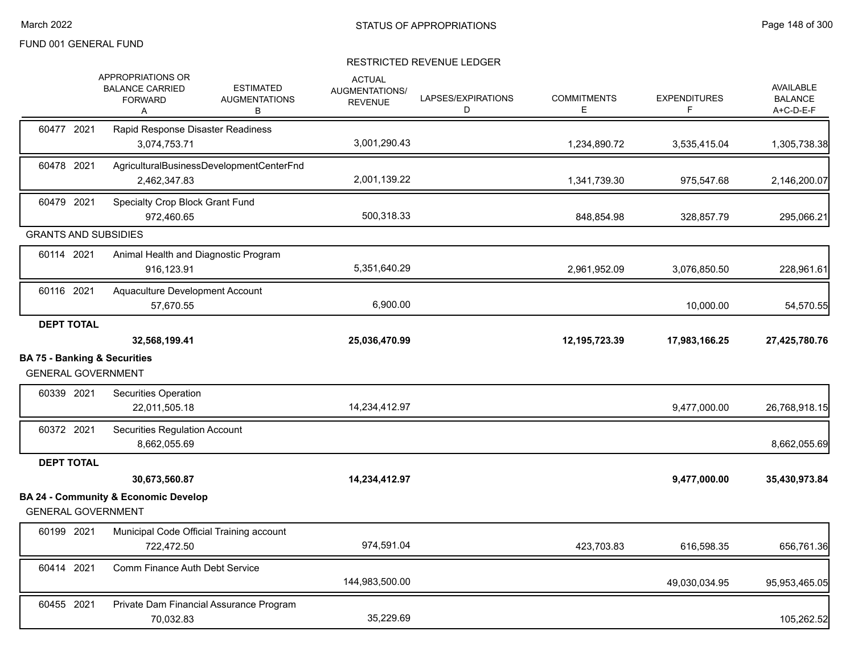|                                                                      | APPROPRIATIONS OR<br><b>BALANCE CARRIED</b><br><b>FORWARD</b><br>Α | <b>ESTIMATED</b><br><b>AUGMENTATIONS</b><br>В | <b>ACTUAL</b><br>AUGMENTATIONS/<br><b>REVENUE</b> | LAPSES/EXPIRATIONS<br>D | <b>COMMITMENTS</b><br>E. | <b>EXPENDITURES</b><br>F | <b>AVAILABLE</b><br><b>BALANCE</b><br>A+C-D-E-F |
|----------------------------------------------------------------------|--------------------------------------------------------------------|-----------------------------------------------|---------------------------------------------------|-------------------------|--------------------------|--------------------------|-------------------------------------------------|
| 60477 2021                                                           | Rapid Response Disaster Readiness<br>3,074,753.71                  |                                               | 3,001,290.43                                      |                         | 1,234,890.72             | 3,535,415.04             | 1,305,738.38                                    |
| 60478 2021                                                           | 2,462,347.83                                                       | AgriculturalBusinessDevelopmentCenterFnd      | 2,001,139.22                                      |                         | 1,341,739.30             | 975,547.68               | 2,146,200.07                                    |
| 60479 2021                                                           | Specialty Crop Block Grant Fund<br>972,460.65                      |                                               | 500,318.33                                        |                         | 848,854.98               | 328,857.79               | 295,066.21                                      |
| <b>GRANTS AND SUBSIDIES</b>                                          |                                                                    |                                               |                                                   |                         |                          |                          |                                                 |
| 60114 2021                                                           | Animal Health and Diagnostic Program<br>916,123.91                 |                                               | 5,351,640.29                                      |                         | 2,961,952.09             | 3,076,850.50             | 228,961.61                                      |
| 60116 2021                                                           | Aquaculture Development Account<br>57.670.55                       |                                               | 6,900.00                                          |                         |                          | 10,000.00                | 54,570.55                                       |
| <b>DEPT TOTAL</b>                                                    | 32,568,199.41                                                      |                                               | 25,036,470.99                                     |                         | 12,195,723.39            | 17,983,166.25            | 27,425,780.76                                   |
| <b>BA 75 - Banking &amp; Securities</b><br><b>GENERAL GOVERNMENT</b> |                                                                    |                                               |                                                   |                         |                          |                          |                                                 |
| 60339 2021                                                           | Securities Operation<br>22,011,505.18                              |                                               | 14,234,412.97                                     |                         |                          | 9,477,000.00             | 26,768,918.15                                   |
| 60372 2021                                                           | <b>Securities Regulation Account</b><br>8,662,055.69               |                                               |                                                   |                         |                          |                          | 8,662,055.69                                    |
| <b>DEPT TOTAL</b>                                                    |                                                                    |                                               |                                                   |                         |                          |                          |                                                 |
|                                                                      | 30,673,560.87                                                      |                                               | 14,234,412.97                                     |                         |                          | 9,477,000.00             | 35,430,973.84                                   |
| <b>GENERAL GOVERNMENT</b>                                            | <b>BA 24 - Community &amp; Economic Develop</b>                    |                                               |                                                   |                         |                          |                          |                                                 |
| 60199 2021                                                           | Municipal Code Official Training account<br>722,472.50             |                                               | 974,591.04                                        |                         | 423,703.83               | 616,598.35               | 656,761.36                                      |
| 60414 2021                                                           | Comm Finance Auth Debt Service                                     |                                               | 144,983,500.00                                    |                         |                          | 49,030,034.95            | 95,953,465.05                                   |
| 60455 2021                                                           | Private Dam Financial Assurance Program                            |                                               |                                                   |                         |                          |                          |                                                 |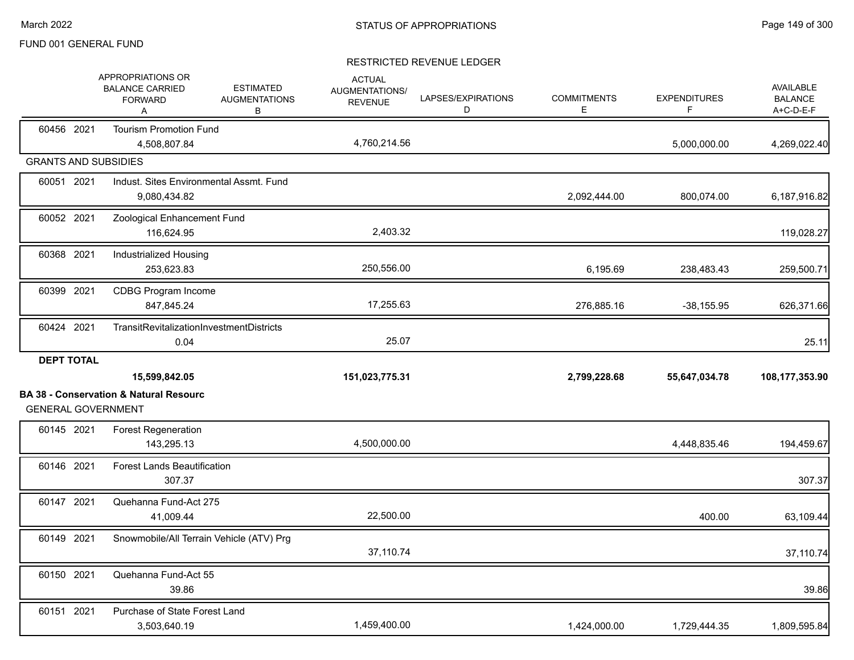|                   | APPROPRIATIONS OR<br><b>BALANCE CARRIED</b><br><b>ESTIMATED</b><br><b>FORWARD</b><br><b>AUGMENTATIONS</b><br>В<br>Α | <b>ACTUAL</b><br>AUGMENTATIONS/<br><b>REVENUE</b> | LAPSES/EXPIRATIONS<br>D | <b>COMMITMENTS</b><br>E. | <b>EXPENDITURES</b><br>F | <b>AVAILABLE</b><br><b>BALANCE</b><br>A+C-D-E-F |
|-------------------|---------------------------------------------------------------------------------------------------------------------|---------------------------------------------------|-------------------------|--------------------------|--------------------------|-------------------------------------------------|
| 60456 2021        | <b>Tourism Promotion Fund</b><br>4,508,807.84                                                                       | 4,760,214.56                                      |                         |                          | 5,000,000.00             | 4,269,022.40                                    |
|                   | <b>GRANTS AND SUBSIDIES</b>                                                                                         |                                                   |                         |                          |                          |                                                 |
| 60051 2021        | Indust. Sites Environmental Assmt. Fund<br>9,080,434.82                                                             |                                                   |                         | 2,092,444.00             | 800,074.00               | 6,187,916.82                                    |
| 60052 2021        | Zoological Enhancement Fund<br>116,624.95                                                                           | 2,403.32                                          |                         |                          |                          | 119,028.27                                      |
| 60368 2021        | Industrialized Housing<br>253,623.83                                                                                | 250,556.00                                        |                         | 6,195.69                 | 238,483.43               | 259,500.71                                      |
| 60399 2021        | <b>CDBG Program Income</b><br>847,845.24                                                                            | 17,255.63                                         |                         | 276,885.16               | $-38,155.95$             | 626,371.66                                      |
| 60424 2021        | <b>TransitRevitalizationInvestmentDistricts</b><br>0.04                                                             | 25.07                                             |                         |                          |                          | 25.11                                           |
| <b>DEPT TOTAL</b> |                                                                                                                     |                                                   |                         |                          |                          |                                                 |
|                   | 15,599,842.05                                                                                                       | 151,023,775.31                                    |                         | 2,799,228.68             | 55,647,034.78            | 108,177,353.90                                  |
|                   |                                                                                                                     |                                                   |                         |                          |                          |                                                 |
|                   | <b>BA 38 - Conservation &amp; Natural Resourc</b><br><b>GENERAL GOVERNMENT</b>                                      |                                                   |                         |                          |                          |                                                 |
| 60145 2021        | <b>Forest Regeneration</b><br>143,295.13                                                                            | 4,500,000.00                                      |                         |                          | 4,448,835.46             | 194,459.67                                      |
| 60146 2021        | <b>Forest Lands Beautification</b><br>307.37                                                                        |                                                   |                         |                          |                          | 307.37                                          |
| 60147 2021        | Quehanna Fund-Act 275<br>41,009.44                                                                                  | 22,500.00                                         |                         |                          | 400.00                   | 63,109.44                                       |
| 60149 2021        | Snowmobile/All Terrain Vehicle (ATV) Prg                                                                            | 37,110.74                                         |                         |                          |                          | 37,110.74                                       |
| 60150 2021        | Quehanna Fund-Act 55<br>39.86                                                                                       |                                                   |                         |                          |                          | 39.86                                           |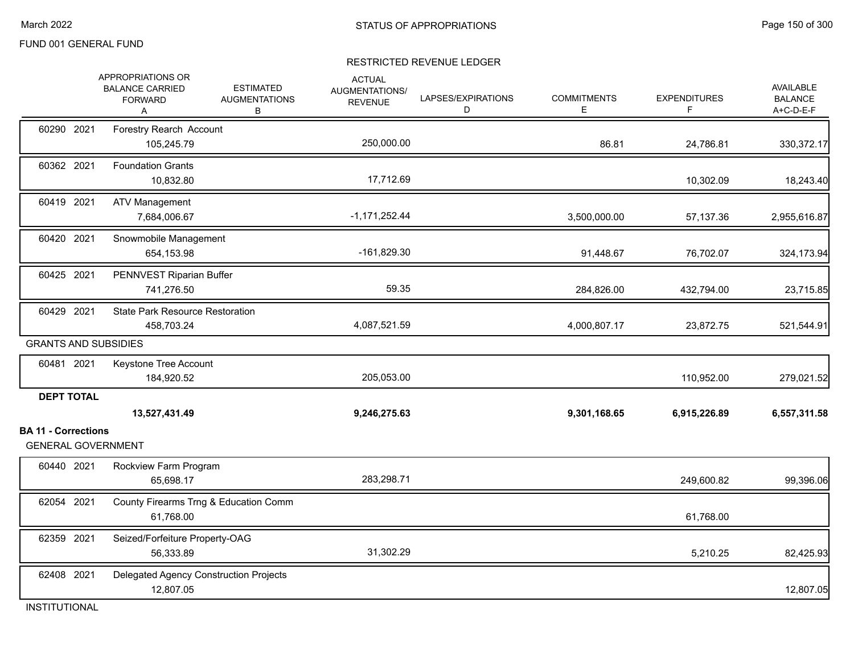#### RESTRICTED REVENUE LEDGER

|                                                 | APPROPRIATIONS OR<br><b>BALANCE CARRIED</b><br><b>FORWARD</b><br>A | <b>ESTIMATED</b><br><b>AUGMENTATIONS</b><br>В | <b>ACTUAL</b><br>AUGMENTATIONS/<br><b>REVENUE</b> | LAPSES/EXPIRATIONS<br>D | <b>COMMITMENTS</b><br>E. | <b>EXPENDITURES</b><br>F | <b>AVAILABLE</b><br><b>BALANCE</b><br>A+C-D-E-F |
|-------------------------------------------------|--------------------------------------------------------------------|-----------------------------------------------|---------------------------------------------------|-------------------------|--------------------------|--------------------------|-------------------------------------------------|
| 60290 2021                                      | Forestry Rearch Account<br>105,245.79                              |                                               | 250,000.00                                        |                         | 86.81                    | 24,786.81                | 330, 372.17                                     |
| 60362 2021                                      | <b>Foundation Grants</b><br>10,832.80                              |                                               | 17,712.69                                         |                         |                          | 10,302.09                | 18,243.40                                       |
| 60419 2021                                      | <b>ATV Management</b><br>7,684,006.67                              |                                               | $-1,171,252.44$                                   |                         | 3,500,000.00             | 57,137.36                | 2,955,616.87                                    |
| 60420 2021                                      | Snowmobile Management<br>654,153.98                                |                                               | $-161,829.30$                                     |                         | 91,448.67                | 76,702.07                | 324,173.94                                      |
| 60425 2021                                      | PENNVEST Riparian Buffer<br>741,276.50                             |                                               | 59.35                                             |                         | 284,826.00               | 432,794.00               | 23,715.85                                       |
| 60429 2021                                      | <b>State Park Resource Restoration</b><br>458,703.24               |                                               | 4,087,521.59                                      |                         | 4,000,807.17             | 23,872.75                | 521,544.91                                      |
| <b>GRANTS AND SUBSIDIES</b>                     |                                                                    |                                               |                                                   |                         |                          |                          |                                                 |
| 60481 2021                                      | Keystone Tree Account<br>184,920.52                                |                                               | 205,053.00                                        |                         |                          | 110,952.00               | 279,021.52                                      |
| <b>DEPT TOTAL</b><br><b>BA 11 - Corrections</b> | 13,527,431.49                                                      |                                               | 9,246,275.63                                      |                         | 9,301,168.65             | 6,915,226.89             | 6,557,311.58                                    |
| <b>GENERAL GOVERNMENT</b>                       |                                                                    |                                               |                                                   |                         |                          |                          |                                                 |
| 60440 2021                                      | Rockview Farm Program<br>65,698.17                                 |                                               | 283,298.71                                        |                         |                          | 249,600.82               | 99,396.06                                       |
| 62054 2021                                      | 61,768.00                                                          | County Firearms Trng & Education Comm         |                                                   |                         |                          | 61,768.00                |                                                 |
| 62359 2021                                      | Seized/Forfeiture Property-OAG<br>56,333.89                        |                                               | 31,302.29                                         |                         |                          | 5,210.25                 | 82,425.93                                       |
| 62408 2021                                      | Delegated Agency Construction Projects<br>12,807.05                |                                               |                                                   |                         |                          |                          | 12,807.05                                       |

INSTITUTIONAL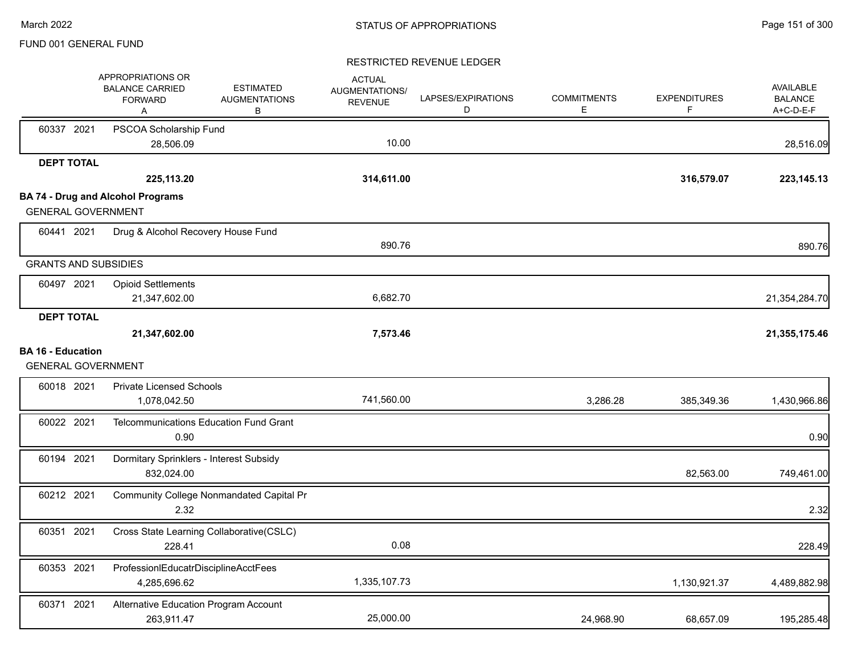|                                                       | APPROPRIATIONS OR<br><b>BALANCE CARRIED</b><br><b>FORWARD</b><br>A | <b>ESTIMATED</b><br><b>AUGMENTATIONS</b><br>В | <b>ACTUAL</b><br>AUGMENTATIONS/<br><b>REVENUE</b> | LAPSES/EXPIRATIONS<br>D | <b>COMMITMENTS</b><br>E. | <b>EXPENDITURES</b><br>F | <b>AVAILABLE</b><br><b>BALANCE</b><br>A+C-D-E-F |
|-------------------------------------------------------|--------------------------------------------------------------------|-----------------------------------------------|---------------------------------------------------|-------------------------|--------------------------|--------------------------|-------------------------------------------------|
| 60337 2021                                            | PSCOA Scholarship Fund<br>28,506.09                                |                                               | 10.00                                             |                         |                          |                          | 28,516.09                                       |
| <b>DEPT TOTAL</b>                                     |                                                                    |                                               |                                                   |                         |                          |                          |                                                 |
|                                                       | 225,113.20                                                         |                                               | 314,611.00                                        |                         |                          | 316,579.07               | 223, 145. 13                                    |
|                                                       | <b>BA 74 - Drug and Alcohol Programs</b>                           |                                               |                                                   |                         |                          |                          |                                                 |
| <b>GENERAL GOVERNMENT</b>                             |                                                                    |                                               |                                                   |                         |                          |                          |                                                 |
| 60441 2021                                            | Drug & Alcohol Recovery House Fund                                 |                                               |                                                   |                         |                          |                          |                                                 |
|                                                       |                                                                    |                                               | 890.76                                            |                         |                          |                          | 890.76                                          |
| <b>GRANTS AND SUBSIDIES</b>                           |                                                                    |                                               |                                                   |                         |                          |                          |                                                 |
| 60497 2021                                            | <b>Opioid Settlements</b>                                          |                                               |                                                   |                         |                          |                          |                                                 |
|                                                       | 21,347,602.00                                                      |                                               | 6,682.70                                          |                         |                          |                          | 21,354,284.70                                   |
| <b>DEPT TOTAL</b>                                     |                                                                    |                                               |                                                   |                         |                          |                          |                                                 |
|                                                       | 21,347,602.00                                                      |                                               | 7,573.46                                          |                         |                          |                          | 21,355,175.46                                   |
| <b>BA 16 - Education</b><br><b>GENERAL GOVERNMENT</b> |                                                                    |                                               |                                                   |                         |                          |                          |                                                 |
| 60018 2021                                            | <b>Private Licensed Schools</b><br>1,078,042.50                    |                                               | 741,560.00                                        |                         | 3,286.28                 | 385,349.36               | 1,430,966.86                                    |
| 60022 2021                                            | Telcommunications Education Fund Grant<br>0.90                     |                                               |                                                   |                         |                          |                          | 0.90                                            |
| 60194 2021                                            | Dormitary Sprinklers - Interest Subsidy<br>832,024.00              |                                               |                                                   |                         |                          | 82,563.00                | 749,461.00                                      |
| 60212 2021                                            | 2.32                                                               | Community College Nonmandated Capital Pr      |                                                   |                         |                          |                          | 2.32                                            |
| 60351 2021                                            | Cross State Learning Collaborative(CSLC)<br>228.41                 |                                               | 0.08                                              |                         |                          |                          | 228.49                                          |
| 60353 2021                                            | ProfessionIEducatrDisciplineAcctFees<br>4,285,696.62               |                                               | 1,335,107.73                                      |                         |                          | 1,130,921.37             | 4,489,882.98                                    |
| 60371 2021                                            | Alternative Education Program Account<br>263,911.47                |                                               | 25,000.00                                         |                         | 24,968.90                | 68,657.09                | 195,285.48                                      |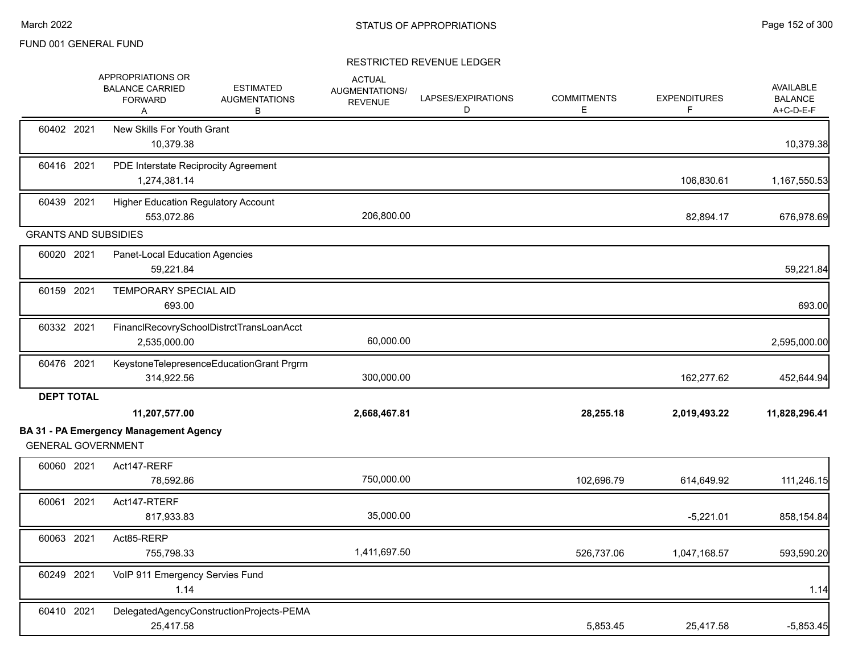|                             | APPROPRIATIONS OR<br><b>BALANCE CARRIED</b><br><b>FORWARD</b><br>A | <b>ESTIMATED</b><br><b>AUGMENTATIONS</b><br>В | <b>ACTUAL</b><br>AUGMENTATIONS/<br><b>REVENUE</b> | LAPSES/EXPIRATIONS<br>D | <b>COMMITMENTS</b><br>Е | <b>EXPENDITURES</b><br>F | <b>AVAILABLE</b><br><b>BALANCE</b><br>A+C-D-E-F |
|-----------------------------|--------------------------------------------------------------------|-----------------------------------------------|---------------------------------------------------|-------------------------|-------------------------|--------------------------|-------------------------------------------------|
| 60402 2021                  | New Skills For Youth Grant<br>10,379.38                            |                                               |                                                   |                         |                         |                          | 10,379.38                                       |
| 60416 2021                  | PDE Interstate Reciprocity Agreement<br>1,274,381.14               |                                               |                                                   |                         |                         | 106,830.61               | 1,167,550.53                                    |
| 60439 2021                  | <b>Higher Education Regulatory Account</b><br>553,072.86           |                                               | 206,800.00                                        |                         |                         | 82,894.17                | 676,978.69                                      |
| <b>GRANTS AND SUBSIDIES</b> |                                                                    |                                               |                                                   |                         |                         |                          |                                                 |
| 60020 2021                  | Panet-Local Education Agencies<br>59,221.84                        |                                               |                                                   |                         |                         |                          | 59,221.84                                       |
| 60159 2021                  | TEMPORARY SPECIAL AID<br>693.00                                    |                                               |                                                   |                         |                         |                          | 693.00                                          |
| 60332 2021                  | FinanclRecovrySchoolDistrctTransLoanAcct<br>2,535,000.00           |                                               | 60,000.00                                         |                         |                         |                          | 2,595,000.00                                    |
| 60476 2021                  | KeystoneTelepresenceEducationGrant Prgrm<br>314,922.56             |                                               | 300,000.00                                        |                         |                         | 162,277.62               | 452,644.94                                      |
| <b>DEPT TOTAL</b>           | 11,207,577.00                                                      |                                               | 2,668,467.81                                      |                         | 28,255.18               | 2,019,493.22             | 11,828,296.41                                   |
| <b>GENERAL GOVERNMENT</b>   | <b>BA 31 - PA Emergency Management Agency</b>                      |                                               |                                                   |                         |                         |                          |                                                 |
| 60060 2021                  | Act147-RERF<br>78,592.86                                           |                                               | 750,000.00                                        |                         | 102,696.79              | 614,649.92               | 111,246.15                                      |
| 60061 2021                  | Act147-RTERF<br>817,933.83                                         |                                               | 35,000.00                                         |                         |                         | $-5,221.01$              | 858,154.84                                      |
| 60063 2021                  | Act85-RERP<br>755,798.33                                           |                                               | 1,411,697.50                                      |                         | 526,737.06              | 1,047,168.57             | 593,590.20                                      |
| 60249 2021                  | VoIP 911 Emergency Servies Fund<br>1.14                            |                                               |                                                   |                         |                         |                          | 1.14                                            |
| 60410 2021                  | DelegatedAgencyConstructionProjects-PEMA<br>25,417.58              |                                               |                                                   |                         | 5,853.45                | 25,417.58                | $-5,853.45$                                     |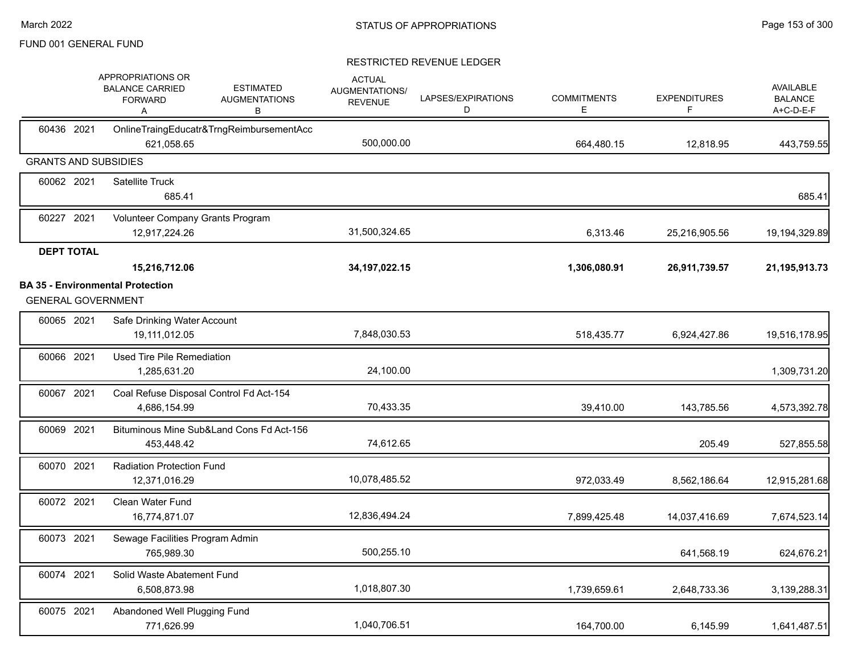|                             | APPROPRIATIONS OR<br><b>BALANCE CARRIED</b><br><b>FORWARD</b><br>A | <b>ESTIMATED</b><br><b>AUGMENTATIONS</b><br>В | <b>ACTUAL</b><br><b>AUGMENTATIONS/</b><br><b>REVENUE</b> | LAPSES/EXPIRATIONS<br>D | <b>COMMITMENTS</b><br>Е | <b>EXPENDITURES</b><br>F | AVAILABLE<br><b>BALANCE</b><br>A+C-D-E-F |
|-----------------------------|--------------------------------------------------------------------|-----------------------------------------------|----------------------------------------------------------|-------------------------|-------------------------|--------------------------|------------------------------------------|
| 60436 2021                  | 621,058.65                                                         | OnlineTraingEducatr&TrngReimbursementAcc      | 500,000.00                                               |                         | 664,480.15              | 12,818.95                | 443,759.55                               |
| <b>GRANTS AND SUBSIDIES</b> |                                                                    |                                               |                                                          |                         |                         |                          |                                          |
| 60062 2021                  | <b>Satellite Truck</b><br>685.41                                   |                                               |                                                          |                         |                         |                          | 685.41                                   |
| 60227 2021                  | Volunteer Company Grants Program<br>12,917,224.26                  |                                               | 31,500,324.65                                            |                         | 6,313.46                | 25,216,905.56            | 19, 194, 329.89                          |
| <b>DEPT TOTAL</b>           | 15,216,712.06<br><b>BA 35 - Environmental Protection</b>           |                                               | 34, 197, 022. 15                                         |                         | 1,306,080.91            | 26,911,739.57            | 21,195,913.73                            |
| <b>GENERAL GOVERNMENT</b>   |                                                                    |                                               |                                                          |                         |                         |                          |                                          |
| 60065 2021                  | Safe Drinking Water Account<br>19,111,012.05                       |                                               | 7,848,030.53                                             |                         | 518,435.77              | 6,924,427.86             | 19,516,178.95                            |
| 60066 2021                  | Used Tire Pile Remediation<br>1,285,631.20                         |                                               | 24,100.00                                                |                         |                         |                          | 1,309,731.20                             |
| 60067 2021                  | 4,686,154.99                                                       | Coal Refuse Disposal Control Fd Act-154       | 70,433.35                                                |                         | 39,410.00               | 143,785.56               | 4,573,392.78                             |
| 60069 2021                  | 453,448.42                                                         | Bituminous Mine Sub&Land Cons Fd Act-156      | 74,612.65                                                |                         |                         | 205.49                   | 527,855.58                               |
| 60070 2021                  | <b>Radiation Protection Fund</b><br>12,371,016.29                  |                                               | 10,078,485.52                                            |                         | 972,033.49              | 8,562,186.64             | 12,915,281.68                            |
| 60072 2021                  | Clean Water Fund<br>16,774,871.07                                  |                                               | 12,836,494.24                                            |                         | 7,899,425.48            | 14,037,416.69            | 7,674,523.14                             |
| 60073 2021                  | Sewage Facilities Program Admin<br>765,989.30                      |                                               | 500,255.10                                               |                         |                         | 641,568.19               | 624,676.21                               |
| 60074 2021                  | Solid Waste Abatement Fund<br>6,508,873.98                         |                                               | 1,018,807.30                                             |                         | 1,739,659.61            | 2,648,733.36             | 3,139,288.31                             |
| 60075 2021                  | Abandoned Well Plugging Fund<br>771,626.99                         |                                               | 1,040,706.51                                             |                         | 164,700.00              | 6,145.99                 | 1,641,487.51                             |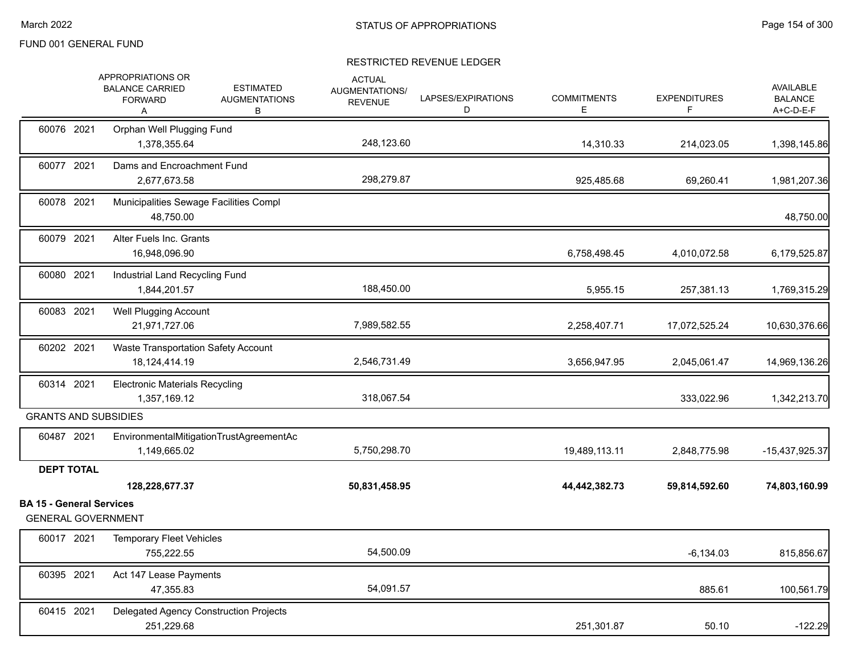|                                 | APPROPRIATIONS OR<br><b>BALANCE CARRIED</b><br><b>FORWARD</b><br>Α | <b>ESTIMATED</b><br><b>AUGMENTATIONS</b><br>В | <b>ACTUAL</b><br>AUGMENTATIONS/<br><b>REVENUE</b> | LAPSES/EXPIRATIONS<br>D | <b>COMMITMENTS</b><br>E | <b>EXPENDITURES</b> | <b>AVAILABLE</b><br><b>BALANCE</b><br>A+C-D-E-F |
|---------------------------------|--------------------------------------------------------------------|-----------------------------------------------|---------------------------------------------------|-------------------------|-------------------------|---------------------|-------------------------------------------------|
| 60076 2021                      | Orphan Well Plugging Fund<br>1,378,355.64                          |                                               | 248,123.60                                        |                         | 14,310.33               | 214,023.05          | 1,398,145.86                                    |
| 60077 2021                      | Dams and Encroachment Fund<br>2,677,673.58                         |                                               | 298,279.87                                        |                         | 925,485.68              | 69,260.41           | 1,981,207.36                                    |
| 60078 2021                      | Municipalities Sewage Facilities Compl<br>48,750.00                |                                               |                                                   |                         |                         |                     | 48,750.00                                       |
| 60079 2021                      | Alter Fuels Inc. Grants<br>16,948,096.90                           |                                               |                                                   |                         | 6,758,498.45            | 4,010,072.58        | 6,179,525.87                                    |
| 60080 2021                      | Industrial Land Recycling Fund<br>1,844,201.57                     |                                               | 188,450.00                                        |                         | 5,955.15                | 257,381.13          | 1,769,315.29                                    |
| 60083 2021                      | Well Plugging Account<br>21,971,727.06                             |                                               | 7,989,582.55                                      |                         | 2,258,407.71            | 17,072,525.24       | 10,630,376.66                                   |
| 60202 2021                      | Waste Transportation Safety Account<br>18,124,414.19               |                                               | 2,546,731.49                                      |                         | 3,656,947.95            | 2,045,061.47        | 14,969,136.26                                   |
| 60314 2021                      | <b>Electronic Materials Recycling</b><br>1,357,169.12              |                                               | 318,067.54                                        |                         |                         | 333,022.96          | 1,342,213.70                                    |
|                                 | <b>GRANTS AND SUBSIDIES</b>                                        |                                               |                                                   |                         |                         |                     |                                                 |
| 60487 2021                      | 1,149,665.02                                                       | EnvironmentalMitigationTrustAgreementAc       | 5,750,298.70                                      |                         | 19,489,113.11           | 2,848,775.98        | -15,437,925.37                                  |
| <b>DEPT TOTAL</b>               |                                                                    |                                               |                                                   |                         |                         |                     |                                                 |
| <b>BA 15 - General Services</b> | 128,228,677.37<br><b>GENERAL GOVERNMENT</b>                        |                                               | 50,831,458.95                                     |                         | 44,442,382.73           | 59,814,592.60       | 74,803,160.99                                   |
| 60017 2021                      | <b>Temporary Fleet Vehicles</b><br>755,222.55                      |                                               | 54,500.09                                         |                         |                         | $-6,134.03$         | 815,856.67                                      |
| 60395 2021                      | Act 147 Lease Payments<br>47,355.83                                |                                               | 54,091.57                                         |                         |                         | 885.61              | 100,561.79                                      |
| 60415 2021                      | Delegated Agency Construction Projects<br>251,229.68               |                                               |                                                   |                         | 251,301.87              | 50.10               | $-122.29$                                       |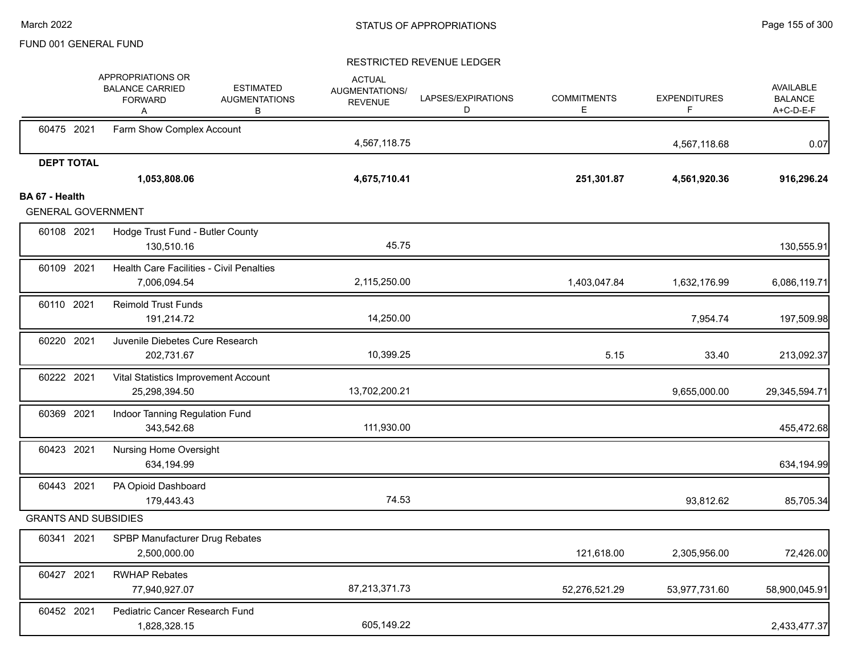|                             | APPROPRIATIONS OR<br><b>BALANCE CARRIED</b><br><b>FORWARD</b><br>Α | <b>ESTIMATED</b><br><b>AUGMENTATIONS</b><br>В | <b>ACTUAL</b><br><b>AUGMENTATIONS/</b><br><b>REVENUE</b> | LAPSES/EXPIRATIONS<br>D | <b>COMMITMENTS</b><br>E. | <b>EXPENDITURES</b><br>F | <b>AVAILABLE</b><br><b>BALANCE</b><br>A+C-D-E-F |
|-----------------------------|--------------------------------------------------------------------|-----------------------------------------------|----------------------------------------------------------|-------------------------|--------------------------|--------------------------|-------------------------------------------------|
| 60475 2021                  | Farm Show Complex Account                                          |                                               | 4,567,118.75                                             |                         |                          | 4,567,118.68             | 0.07                                            |
| <b>DEPT TOTAL</b>           | 1,053,808.06                                                       |                                               | 4,675,710.41                                             |                         | 251,301.87               | 4,561,920.36             | 916,296.24                                      |
| BA 67 - Health              |                                                                    |                                               |                                                          |                         |                          |                          |                                                 |
| <b>GENERAL GOVERNMENT</b>   |                                                                    |                                               |                                                          |                         |                          |                          |                                                 |
| 60108 2021                  | Hodge Trust Fund - Butler County                                   |                                               |                                                          |                         |                          |                          |                                                 |
|                             | 130,510.16                                                         |                                               | 45.75                                                    |                         |                          |                          | 130,555.91                                      |
| 60109 2021                  | <b>Health Care Facilities - Civil Penalties</b><br>7,006,094.54    |                                               | 2,115,250.00                                             |                         | 1,403,047.84             | 1,632,176.99             | 6,086,119.71                                    |
| 60110 2021                  | <b>Reimold Trust Funds</b><br>191,214.72                           |                                               | 14,250.00                                                |                         |                          | 7,954.74                 | 197,509.98                                      |
| 60220 2021                  | Juvenile Diebetes Cure Research<br>202,731.67                      |                                               | 10,399.25                                                |                         | 5.15                     | 33.40                    | 213,092.37                                      |
| 60222 2021                  | Vital Statistics Improvement Account<br>25,298,394.50              |                                               | 13,702,200.21                                            |                         |                          | 9,655,000.00             | 29,345,594.71                                   |
| 60369 2021                  | Indoor Tanning Regulation Fund<br>343,542.68                       |                                               | 111,930.00                                               |                         |                          |                          | 455,472.68                                      |
| 60423 2021                  | <b>Nursing Home Oversight</b><br>634,194.99                        |                                               |                                                          |                         |                          |                          | 634,194.99                                      |
| 60443 2021                  | PA Opioid Dashboard<br>179,443.43                                  |                                               | 74.53                                                    |                         |                          | 93,812.62                | 85,705.34                                       |
| <b>GRANTS AND SUBSIDIES</b> |                                                                    |                                               |                                                          |                         |                          |                          |                                                 |
| 60341 2021                  | SPBP Manufacturer Drug Rebates<br>2,500,000.00                     |                                               |                                                          |                         | 121,618.00               | 2,305,956.00             | 72,426.00                                       |
| 60427 2021                  | <b>RWHAP Rebates</b><br>77,940,927.07                              |                                               | 87,213,371.73                                            |                         | 52,276,521.29            | 53,977,731.60            | 58,900,045.91                                   |
| 60452 2021                  | Pediatric Cancer Research Fund<br>1,828,328.15                     |                                               | 605,149.22                                               |                         |                          |                          | 2,433,477.37                                    |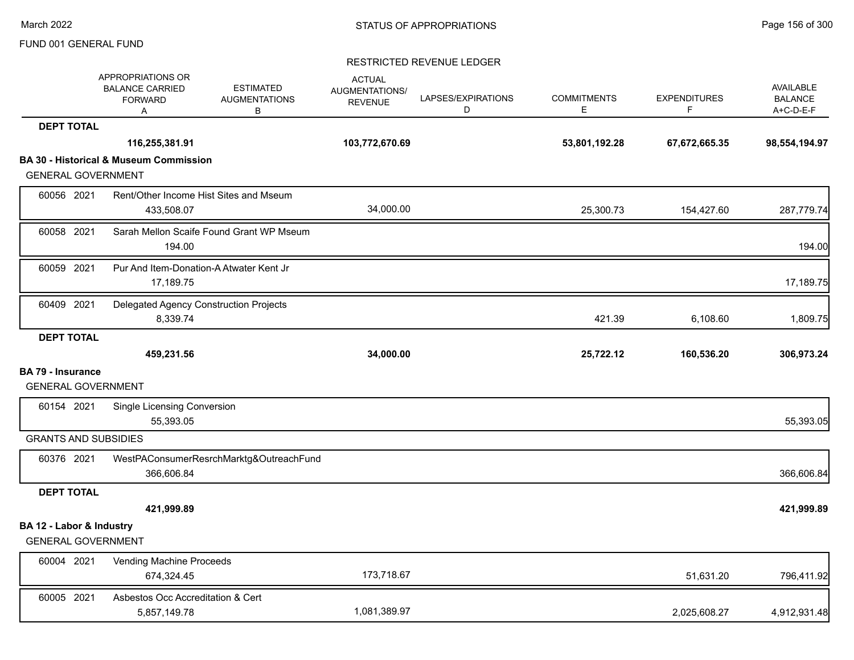|                                                       | <b>APPROPRIATIONS OR</b><br><b>BALANCE CARRIED</b><br><b>FORWARD</b><br>Α | <b>ESTIMATED</b><br><b>AUGMENTATIONS</b><br>B | <b>ACTUAL</b><br>AUGMENTATIONS/<br><b>REVENUE</b> | LAPSES/EXPIRATIONS<br>D | <b>COMMITMENTS</b><br>Е | <b>EXPENDITURES</b><br>F | AVAILABLE<br><b>BALANCE</b><br>A+C-D-E-F |
|-------------------------------------------------------|---------------------------------------------------------------------------|-----------------------------------------------|---------------------------------------------------|-------------------------|-------------------------|--------------------------|------------------------------------------|
| <b>DEPT TOTAL</b>                                     |                                                                           |                                               |                                                   |                         |                         |                          |                                          |
|                                                       | 116,255,381.91                                                            |                                               | 103,772,670.69                                    |                         | 53,801,192.28           | 67,672,665.35            | 98,554,194.97                            |
|                                                       | <b>BA 30 - Historical &amp; Museum Commission</b>                         |                                               |                                                   |                         |                         |                          |                                          |
| <b>GENERAL GOVERNMENT</b>                             |                                                                           |                                               |                                                   |                         |                         |                          |                                          |
| 60056 2021                                            | 433,508.07                                                                | Rent/Other Income Hist Sites and Mseum        | 34,000.00                                         |                         | 25,300.73               | 154,427.60               | 287,779.74                               |
| 60058 2021                                            | 194.00                                                                    | Sarah Mellon Scaife Found Grant WP Mseum      |                                                   |                         |                         |                          | 194.00                                   |
| 60059 2021                                            | Pur And Item-Donation-A Atwater Kent Jr<br>17,189.75                      |                                               |                                                   |                         |                         |                          | 17,189.75                                |
| 60409 2021                                            | Delegated Agency Construction Projects<br>8,339.74                        |                                               |                                                   |                         | 421.39                  | 6,108.60                 | 1,809.75                                 |
| <b>DEPT TOTAL</b>                                     |                                                                           |                                               |                                                   |                         |                         |                          |                                          |
|                                                       | 459,231.56                                                                |                                               | 34,000.00                                         |                         | 25,722.12               | 160,536.20               | 306,973.24                               |
| <b>BA 79 - Insurance</b><br><b>GENERAL GOVERNMENT</b> |                                                                           |                                               |                                                   |                         |                         |                          |                                          |
|                                                       |                                                                           |                                               |                                                   |                         |                         |                          |                                          |
| 60154 2021                                            | Single Licensing Conversion<br>55,393.05                                  |                                               |                                                   |                         |                         |                          | 55,393.05                                |
| <b>GRANTS AND SUBSIDIES</b>                           |                                                                           |                                               |                                                   |                         |                         |                          |                                          |
| 60376 2021                                            | 366,606.84                                                                | WestPAConsumerResrchMarktg&OutreachFund       |                                                   |                         |                         |                          | 366,606.84                               |
| <b>DEPT TOTAL</b>                                     |                                                                           |                                               |                                                   |                         |                         |                          |                                          |
|                                                       | 421,999.89                                                                |                                               |                                                   |                         |                         |                          | 421,999.89                               |
| BA 12 - Labor & Industry<br><b>GENERAL GOVERNMENT</b> |                                                                           |                                               |                                                   |                         |                         |                          |                                          |
|                                                       |                                                                           |                                               |                                                   |                         |                         |                          |                                          |
| 60004 2021                                            | Vending Machine Proceeds<br>674,324.45                                    |                                               | 173,718.67                                        |                         |                         | 51,631.20                | 796,411.92                               |
| 60005 2021                                            | Asbestos Occ Accreditation & Cert<br>5,857,149.78                         |                                               | 1,081,389.97                                      |                         |                         | 2,025,608.27             | 4,912,931.48                             |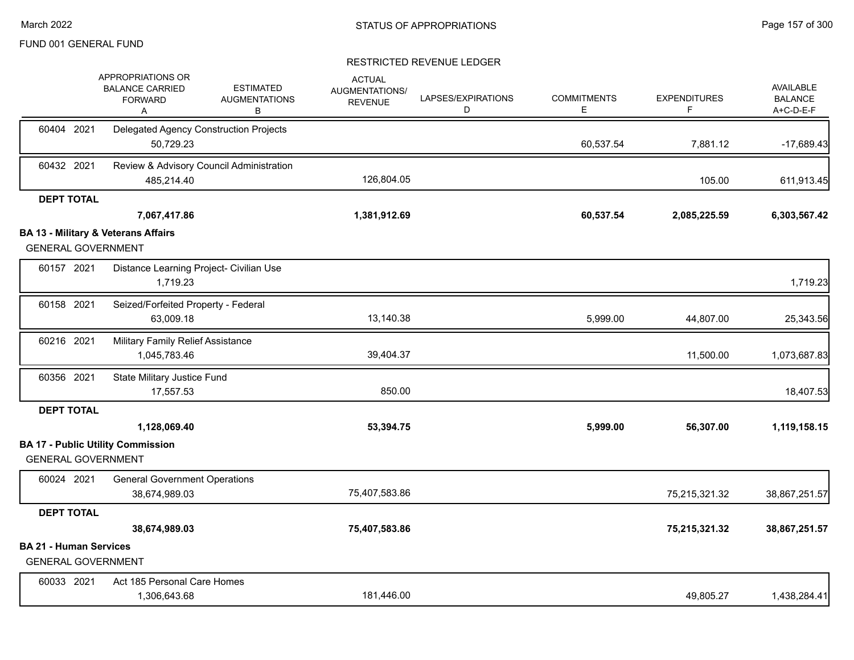|                                                            | APPROPRIATIONS OR<br><b>BALANCE CARRIED</b><br><b>FORWARD</b><br>A | <b>ESTIMATED</b><br><b>AUGMENTATIONS</b><br>В | <b>ACTUAL</b><br>AUGMENTATIONS/<br><b>REVENUE</b> | LAPSES/EXPIRATIONS<br>D | <b>COMMITMENTS</b><br>E. | <b>EXPENDITURES</b><br>F. | <b>AVAILABLE</b><br><b>BALANCE</b><br>A+C-D-E-F |
|------------------------------------------------------------|--------------------------------------------------------------------|-----------------------------------------------|---------------------------------------------------|-------------------------|--------------------------|---------------------------|-------------------------------------------------|
| 60404 2021                                                 | Delegated Agency Construction Projects<br>50,729.23                |                                               |                                                   |                         | 60,537.54                | 7,881.12                  | $-17,689.43$                                    |
| 60432 2021                                                 | 485,214.40                                                         | Review & Advisory Council Administration      | 126,804.05                                        |                         |                          | 105.00                    | 611,913.45                                      |
| <b>DEPT TOTAL</b>                                          |                                                                    |                                               |                                                   |                         |                          |                           |                                                 |
|                                                            | 7,067,417.86                                                       |                                               | 1,381,912.69                                      |                         | 60,537.54                | 2,085,225.59              | 6,303,567.42                                    |
|                                                            | <b>BA 13 - Military &amp; Veterans Affairs</b>                     |                                               |                                                   |                         |                          |                           |                                                 |
| <b>GENERAL GOVERNMENT</b>                                  |                                                                    |                                               |                                                   |                         |                          |                           |                                                 |
| 60157 2021                                                 | Distance Learning Project- Civilian Use<br>1,719.23                |                                               |                                                   |                         |                          |                           | 1,719.23                                        |
| 60158 2021                                                 | Seized/Forfeited Property - Federal<br>63,009.18                   |                                               | 13,140.38                                         |                         | 5,999.00                 | 44,807.00                 | 25,343.56                                       |
| 60216 2021                                                 | Military Family Relief Assistance<br>1,045,783.46                  |                                               | 39,404.37                                         |                         |                          | 11,500.00                 | 1,073,687.83                                    |
| 60356 2021                                                 | State Military Justice Fund<br>17,557.53                           |                                               | 850.00                                            |                         |                          |                           | 18,407.53                                       |
| <b>DEPT TOTAL</b>                                          |                                                                    |                                               |                                                   |                         |                          |                           |                                                 |
|                                                            | 1,128,069.40                                                       |                                               | 53,394.75                                         |                         | 5,999.00                 | 56,307.00                 | 1,119,158.15                                    |
|                                                            | <b>BA 17 - Public Utility Commission</b>                           |                                               |                                                   |                         |                          |                           |                                                 |
| <b>GENERAL GOVERNMENT</b>                                  |                                                                    |                                               |                                                   |                         |                          |                           |                                                 |
| 60024 2021                                                 | <b>General Government Operations</b>                               |                                               |                                                   |                         |                          |                           |                                                 |
|                                                            | 38,674,989.03                                                      |                                               | 75,407,583.86                                     |                         |                          | 75,215,321.32             | 38,867,251.57                                   |
| <b>DEPT TOTAL</b>                                          |                                                                    |                                               |                                                   |                         |                          |                           |                                                 |
|                                                            | 38,674,989.03                                                      |                                               | 75,407,583.86                                     |                         |                          | 75,215,321.32             | 38,867,251.57                                   |
| <b>BA 21 - Human Services</b><br><b>GENERAL GOVERNMENT</b> |                                                                    |                                               |                                                   |                         |                          |                           |                                                 |
| 60033 2021                                                 | Act 185 Personal Care Homes<br>1,306,643.68                        |                                               | 181.446.00                                        |                         |                          | 49,805.27                 | 1,438,284.41                                    |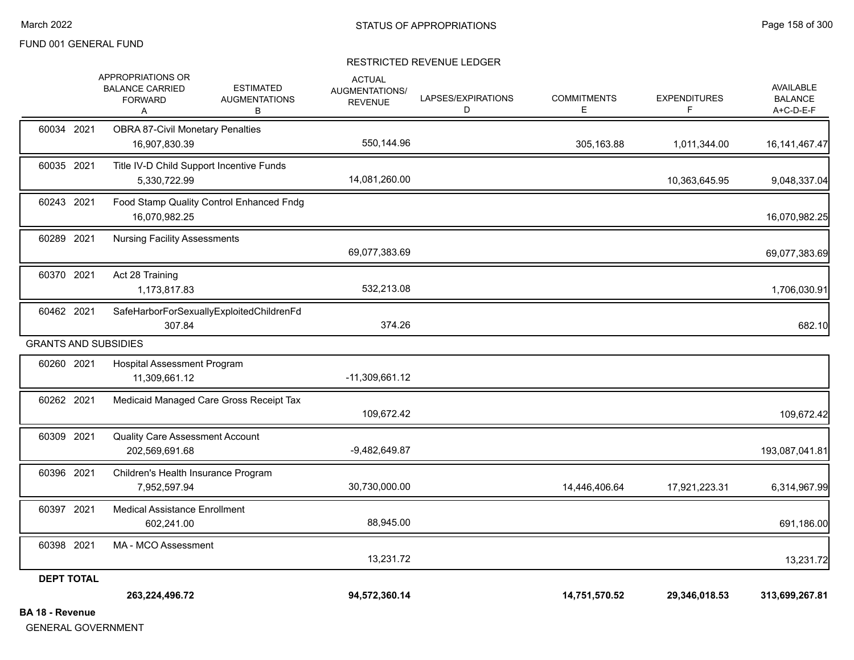|                             | APPROPRIATIONS OR<br><b>BALANCE CARRIED</b><br><b>FORWARD</b><br>Α | <b>ESTIMATED</b><br><b>AUGMENTATIONS</b><br>В | <b>ACTUAL</b><br>AUGMENTATIONS/<br><b>REVENUE</b> | LAPSES/EXPIRATIONS<br>D | <b>COMMITMENTS</b><br>Е | <b>EXPENDITURES</b><br>F | AVAILABLE<br><b>BALANCE</b><br>A+C-D-E-F |
|-----------------------------|--------------------------------------------------------------------|-----------------------------------------------|---------------------------------------------------|-------------------------|-------------------------|--------------------------|------------------------------------------|
| 60034 2021                  | <b>OBRA 87-Civil Monetary Penalties</b><br>16,907,830.39           |                                               | 550,144.96                                        |                         | 305,163.88              | 1,011,344.00             | 16, 141, 467. 47                         |
| 60035 2021                  | Title IV-D Child Support Incentive Funds<br>5,330,722.99           |                                               | 14,081,260.00                                     |                         |                         | 10,363,645.95            | 9,048,337.04                             |
| 60243 2021                  | 16,070,982.25                                                      | Food Stamp Quality Control Enhanced Fndg      |                                                   |                         |                         |                          | 16,070,982.25                            |
| 60289 2021                  | <b>Nursing Facility Assessments</b>                                |                                               | 69,077,383.69                                     |                         |                         |                          | 69,077,383.69                            |
| 60370 2021                  | Act 28 Training<br>1,173,817.83                                    |                                               | 532,213.08                                        |                         |                         |                          | 1,706,030.91                             |
| 60462 2021                  | 307.84                                                             | SafeHarborForSexuallyExploitedChildrenFd      | 374.26                                            |                         |                         |                          | 682.10                                   |
| <b>GRANTS AND SUBSIDIES</b> |                                                                    |                                               |                                                   |                         |                         |                          |                                          |
| 60260 2021                  | Hospital Assessment Program<br>11,309,661.12                       |                                               | $-11,309,661.12$                                  |                         |                         |                          |                                          |
| 60262 2021                  |                                                                    | Medicaid Managed Care Gross Receipt Tax       | 109,672.42                                        |                         |                         |                          | 109,672.42                               |
| 60309 2021                  | <b>Quality Care Assessment Account</b><br>202,569,691.68           |                                               | $-9,482,649.87$                                   |                         |                         |                          | 193,087,041.81                           |
| 60396 2021                  | Children's Health Insurance Program<br>7,952,597.94                |                                               | 30,730,000.00                                     |                         | 14,446,406.64           | 17,921,223.31            | 6,314,967.99                             |
| 60397 2021                  | <b>Medical Assistance Enrollment</b><br>602,241.00                 |                                               | 88,945.00                                         |                         |                         |                          | 691,186.00                               |
| 60398 2021                  | MA - MCO Assessment                                                |                                               | 13,231.72                                         |                         |                         |                          | 13,231.72                                |
| <b>DEPT TOTAL</b>           |                                                                    |                                               |                                                   |                         |                         |                          |                                          |
|                             | 263,224,496.72                                                     |                                               | 94,572,360.14                                     |                         | 14,751,570.52           | 29,346,018.53            | 313,699,267.81                           |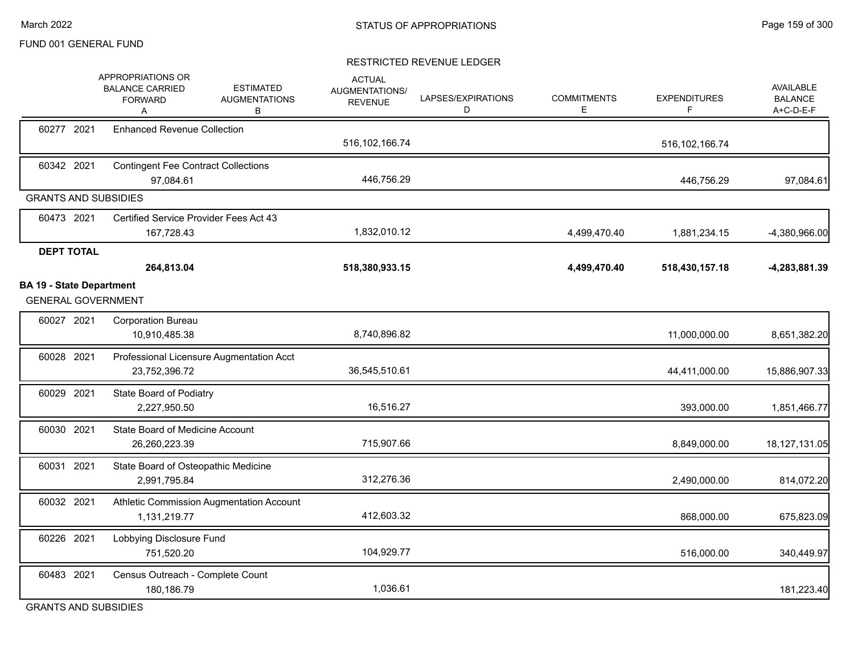#### RESTRICTED REVENUE LEDGER

|                                                              | APPROPRIATIONS OR<br><b>BALANCE CARRIED</b><br><b>FORWARD</b><br>A | <b>ESTIMATED</b><br><b>AUGMENTATIONS</b><br>В | <b>ACTUAL</b><br><b>AUGMENTATIONS/</b><br><b>REVENUE</b> | LAPSES/EXPIRATIONS<br>D | <b>COMMITMENTS</b><br>Е | <b>EXPENDITURES</b><br>F | AVAILABLE<br><b>BALANCE</b><br>A+C-D-E-F |
|--------------------------------------------------------------|--------------------------------------------------------------------|-----------------------------------------------|----------------------------------------------------------|-------------------------|-------------------------|--------------------------|------------------------------------------|
| 60277 2021                                                   | <b>Enhanced Revenue Collection</b>                                 |                                               | 516, 102, 166. 74                                        |                         |                         | 516, 102, 166.74         |                                          |
| 60342 2021                                                   | <b>Contingent Fee Contract Collections</b><br>97,084.61            |                                               | 446,756.29                                               |                         |                         | 446,756.29               | 97,084.61                                |
| <b>GRANTS AND SUBSIDIES</b>                                  |                                                                    |                                               |                                                          |                         |                         |                          |                                          |
| 60473 2021                                                   | Certified Service Provider Fees Act 43<br>167,728.43               |                                               | 1,832,010.12                                             |                         | 4,499,470.40            | 1,881,234.15             | $-4,380,966.00$                          |
| <b>DEPT TOTAL</b>                                            | 264,813.04                                                         |                                               | 518,380,933.15                                           |                         | 4,499,470.40            | 518,430,157.18           | -4,283,881.39                            |
| <b>BA 19 - State Department</b><br><b>GENERAL GOVERNMENT</b> |                                                                    |                                               |                                                          |                         |                         |                          |                                          |
| 60027 2021                                                   | <b>Corporation Bureau</b><br>10,910,485.38                         |                                               | 8,740,896.82                                             |                         |                         | 11,000,000.00            | 8,651,382.20                             |
| 60028 2021                                                   | 23,752,396.72                                                      | Professional Licensure Augmentation Acct      | 36,545,510.61                                            |                         |                         | 44,411,000.00            | 15,886,907.33                            |
| 60029 2021                                                   | State Board of Podiatry<br>2,227,950.50                            |                                               | 16,516.27                                                |                         |                         | 393,000.00               | 1,851,466.77                             |
| 60030 2021                                                   | State Board of Medicine Account<br>26,260,223.39                   |                                               | 715,907.66                                               |                         |                         | 8,849,000.00             | 18,127,131.05                            |
| 60031 2021                                                   | State Board of Osteopathic Medicine<br>2,991,795.84                |                                               | 312,276.36                                               |                         |                         | 2,490,000.00             | 814,072.20                               |
| 60032 2021                                                   | 1,131,219.77                                                       | Athletic Commission Augmentation Account      | 412,603.32                                               |                         |                         | 868,000.00               | 675,823.09                               |
| 60226 2021                                                   | Lobbying Disclosure Fund<br>751,520.20                             |                                               | 104,929.77                                               |                         |                         | 516,000.00               | 340,449.97                               |
| 60483 2021                                                   | Census Outreach - Complete Count<br>180,186.79                     |                                               | 1,036.61                                                 |                         |                         |                          | 181,223.40                               |

GRANTS AND SUBSIDIES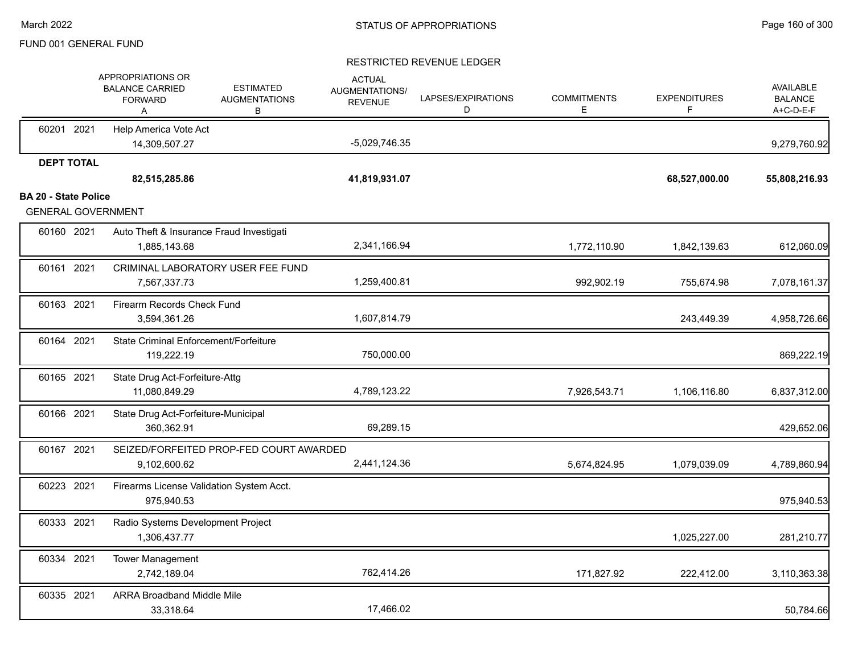|                             |                   | APPROPRIATIONS OR<br><b>BALANCE CARRIED</b><br><b>FORWARD</b><br>Α | <b>ESTIMATED</b><br><b>AUGMENTATIONS</b><br>В | <b>ACTUAL</b><br>AUGMENTATIONS/<br><b>REVENUE</b> | LAPSES/EXPIRATIONS<br>D | <b>COMMITMENTS</b><br>Е | <b>EXPENDITURES</b><br>F. | <b>AVAILABLE</b><br><b>BALANCE</b><br>A+C-D-E-F |
|-----------------------------|-------------------|--------------------------------------------------------------------|-----------------------------------------------|---------------------------------------------------|-------------------------|-------------------------|---------------------------|-------------------------------------------------|
|                             | 60201 2021        | Help America Vote Act<br>14,309,507.27                             |                                               | -5,029,746.35                                     |                         |                         |                           | 9,279,760.92                                    |
|                             | <b>DEPT TOTAL</b> | 82,515,285.86                                                      |                                               | 41,819,931.07                                     |                         |                         | 68,527,000.00             | 55,808,216.93                                   |
| <b>BA 20 - State Police</b> |                   | <b>GENERAL GOVERNMENT</b>                                          |                                               |                                                   |                         |                         |                           |                                                 |
|                             | 60160 2021        | Auto Theft & Insurance Fraud Investigati<br>1,885,143.68           |                                               | 2,341,166.94                                      |                         | 1,772,110.90            | 1,842,139.63              | 612,060.09                                      |
|                             | 60161 2021        | 7,567,337.73                                                       | CRIMINAL LABORATORY USER FEE FUND             | 1,259,400.81                                      |                         | 992,902.19              | 755,674.98                | 7,078,161.37                                    |
|                             | 60163 2021        | Firearm Records Check Fund<br>3,594,361.26                         |                                               | 1,607,814.79                                      |                         |                         | 243,449.39                | 4,958,726.66                                    |
|                             | 60164 2021        | State Criminal Enforcement/Forfeiture<br>119,222.19                |                                               | 750,000.00                                        |                         |                         |                           | 869,222.19                                      |
|                             | 60165 2021        | State Drug Act-Forfeiture-Attg<br>11,080,849.29                    |                                               | 4,789,123.22                                      |                         | 7,926,543.71            | 1,106,116.80              | 6,837,312.00                                    |
|                             | 60166 2021        | State Drug Act-Forfeiture-Municipal<br>360,362.91                  |                                               | 69,289.15                                         |                         |                         |                           | 429,652.06                                      |
|                             | 60167 2021        | 9,102,600.62                                                       | SEIZED/FORFEITED PROP-FED COURT AWARDED       | 2,441,124.36                                      |                         | 5,674,824.95            | 1,079,039.09              | 4,789,860.94                                    |
|                             | 60223 2021        | Firearms License Validation System Acct.<br>975,940.53             |                                               |                                                   |                         |                         |                           | 975,940.53                                      |
|                             | 60333 2021        | Radio Systems Development Project<br>1,306,437.77                  |                                               |                                                   |                         |                         | 1,025,227.00              | 281,210.77                                      |
|                             | 60334 2021        | <b>Tower Management</b><br>2,742,189.04                            |                                               | 762,414.26                                        |                         | 171,827.92              | 222,412.00                | 3,110,363.38                                    |
|                             | 60335 2021        | <b>ARRA Broadband Middle Mile</b><br>33,318.64                     |                                               | 17,466.02                                         |                         |                         |                           | 50,784.66                                       |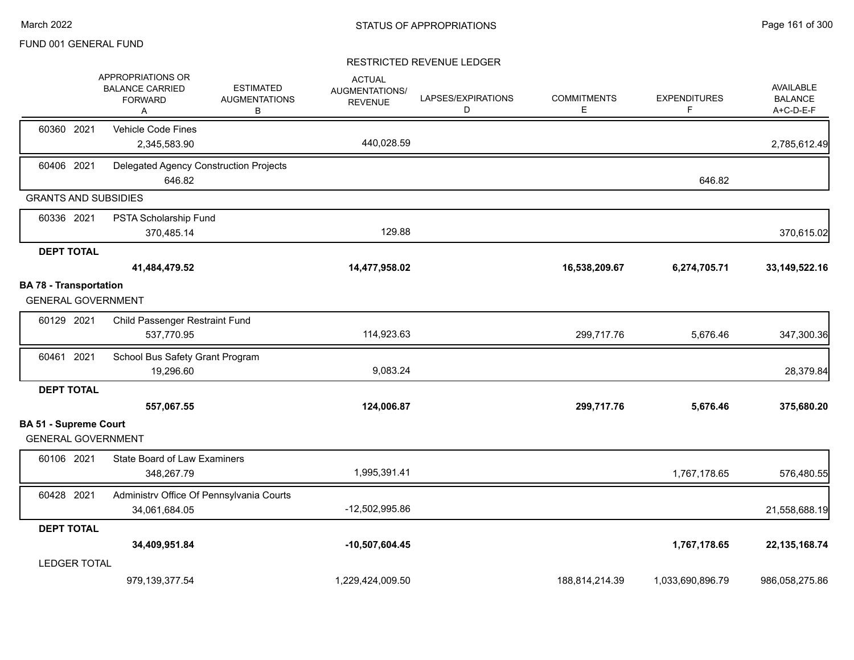|                                                           | APPROPRIATIONS OR<br><b>ESTIMATED</b><br><b>BALANCE CARRIED</b><br><b>AUGMENTATIONS</b><br><b>FORWARD</b><br>B<br>A | <b>ACTUAL</b><br><b>AUGMENTATIONS/</b><br><b>REVENUE</b> | LAPSES/EXPIRATIONS<br>D | <b>COMMITMENTS</b><br>Е | <b>EXPENDITURES</b><br>F | AVAILABLE<br><b>BALANCE</b><br>A+C-D-E-F |
|-----------------------------------------------------------|---------------------------------------------------------------------------------------------------------------------|----------------------------------------------------------|-------------------------|-------------------------|--------------------------|------------------------------------------|
| 60360 2021                                                | Vehicle Code Fines<br>2,345,583.90                                                                                  | 440,028.59                                               |                         |                         |                          | 2,785,612.49                             |
| 60406 2021                                                | Delegated Agency Construction Projects<br>646.82                                                                    |                                                          |                         |                         | 646.82                   |                                          |
| <b>GRANTS AND SUBSIDIES</b>                               |                                                                                                                     |                                                          |                         |                         |                          |                                          |
| 60336 2021                                                | PSTA Scholarship Fund<br>370,485.14                                                                                 | 129.88                                                   |                         |                         |                          | 370,615.02                               |
| <b>DEPT TOTAL</b>                                         | 41,484,479.52                                                                                                       | 14,477,958.02                                            |                         | 16,538,209.67           | 6,274,705.71             | 33, 149, 522. 16                         |
| <b>BA 78 - Transportation</b>                             |                                                                                                                     |                                                          |                         |                         |                          |                                          |
| <b>GENERAL GOVERNMENT</b>                                 |                                                                                                                     |                                                          |                         |                         |                          |                                          |
| 60129 2021                                                | Child Passenger Restraint Fund<br>537,770.95                                                                        | 114,923.63                                               |                         | 299,717.76              | 5,676.46                 | 347,300.36                               |
| 60461 2021                                                | School Bus Safety Grant Program<br>19,296.60                                                                        | 9,083.24                                                 |                         |                         |                          | 28,379.84                                |
| <b>DEPT TOTAL</b>                                         |                                                                                                                     |                                                          |                         |                         |                          |                                          |
|                                                           | 557,067.55                                                                                                          | 124,006.87                                               |                         | 299,717.76              | 5,676.46                 | 375,680.20                               |
| <b>BA 51 - Supreme Court</b><br><b>GENERAL GOVERNMENT</b> |                                                                                                                     |                                                          |                         |                         |                          |                                          |
| 60106 2021                                                | State Board of Law Examiners<br>348,267.79                                                                          | 1,995,391.41                                             |                         |                         | 1,767,178.65             | 576,480.55                               |
| 60428 2021                                                | Administrv Office Of Pennsylvania Courts<br>34,061,684.05                                                           | -12,502,995.86                                           |                         |                         |                          | 21,558,688.19                            |
| <b>DEPT TOTAL</b>                                         |                                                                                                                     |                                                          |                         |                         |                          |                                          |
|                                                           | 34,409,951.84                                                                                                       | $-10,507,604.45$                                         |                         |                         | 1,767,178.65             | 22, 135, 168. 74                         |
| <b>LEDGER TOTAL</b>                                       |                                                                                                                     |                                                          |                         |                         |                          |                                          |
|                                                           | 979,139,377.54                                                                                                      | 1,229,424,009.50                                         |                         | 188,814,214.39          | 1,033,690,896.79         | 986,058,275.86                           |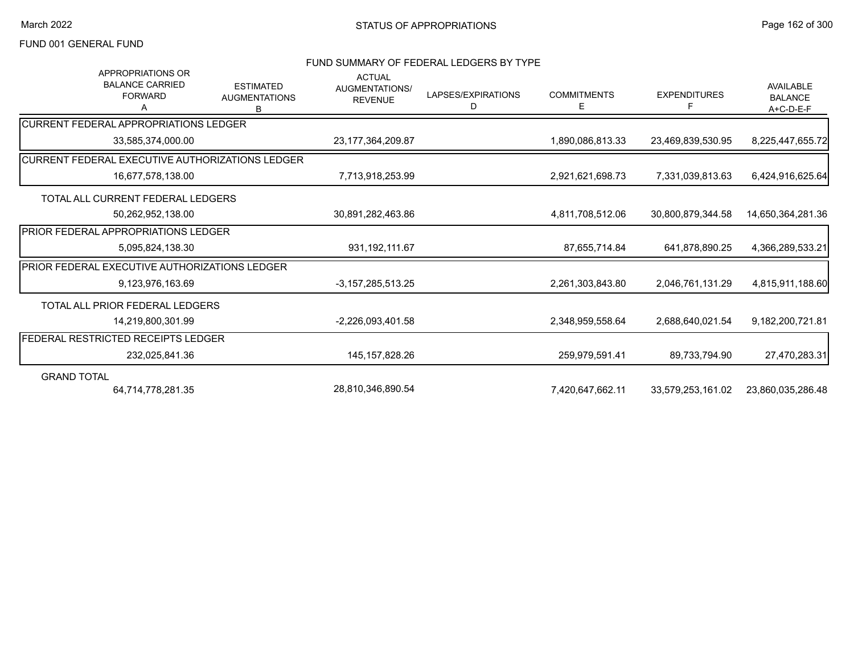#### FUND SUMMARY OF FEDERAL LEDGERS BY TYPE

| <b>APPROPRIATIONS OR</b><br><b>BALANCE CARRIED</b><br><b>FORWARD</b><br>А | <b>ESTIMATED</b><br><b>AUGMENTATIONS</b><br>B | <b>ACTUAL</b><br>AUGMENTATIONS/<br><b>REVENUE</b> | LAPSES/EXPIRATIONS<br>D | <b>COMMITMENTS</b><br>E. | <b>EXPENDITURES</b><br>F | <b>AVAILABLE</b><br><b>BALANCE</b><br>A+C-D-E-F |
|---------------------------------------------------------------------------|-----------------------------------------------|---------------------------------------------------|-------------------------|--------------------------|--------------------------|-------------------------------------------------|
| ICURRENT FEDERAL APPROPRIATIONS LEDGER                                    |                                               |                                                   |                         |                          |                          |                                                 |
| 33,585,374,000.00                                                         |                                               | 23, 177, 364, 209. 87                             |                         | 1,890,086,813.33         | 23,469,839,530.95        | 8,225,447,655.72                                |
| CURRENT FEDERAL EXECUTIVE AUTHORIZATIONS LEDGER                           |                                               |                                                   |                         |                          |                          |                                                 |
| 16,677,578,138.00                                                         |                                               | 7,713,918,253.99                                  |                         | 2,921,621,698.73         | 7,331,039,813.63         | 6,424,916,625.64                                |
| TOTAL ALL CURRENT FEDERAL LEDGERS                                         |                                               |                                                   |                         |                          |                          |                                                 |
| 50,262,952,138.00                                                         |                                               | 30,891,282,463.86                                 |                         | 4,811,708,512.06         | 30,800,879,344.58        | 14,650,364,281.36                               |
| <b>IPRIOR FEDERAL APPROPRIATIONS LEDGER</b>                               |                                               |                                                   |                         |                          |                          |                                                 |
| 5,095,824,138.30                                                          |                                               | 931, 192, 111.67                                  |                         | 87,655,714.84            | 641,878,890.25           | 4,366,289,533.21                                |
| <b>PRIOR FEDERAL EXECUTIVE AUTHORIZATIONS LEDGER</b>                      |                                               |                                                   |                         |                          |                          |                                                 |
| 9,123,976,163.69                                                          |                                               | $-3,157,285,513.25$                               |                         | 2,261,303,843.80         | 2,046,761,131.29         | 4,815,911,188.60                                |
| TOTAL ALL PRIOR FEDERAL LEDGERS                                           |                                               |                                                   |                         |                          |                          |                                                 |
| 14.219.800.301.99                                                         |                                               | $-2,226,093,401.58$                               |                         | 2,348,959,558.64         | 2,688,640,021.54         | 9,182,200,721.81                                |
| <b>FEDERAL RESTRICTED RECEIPTS LEDGER</b>                                 |                                               |                                                   |                         |                          |                          |                                                 |
| 232,025,841.36                                                            |                                               | 145, 157, 828. 26                                 |                         | 259,979,591.41           | 89,733,794.90            | 27,470,283.31                                   |
| <b>GRAND TOTAL</b>                                                        |                                               |                                                   |                         |                          |                          |                                                 |
| 64,714,778,281.35                                                         |                                               | 28,810,346,890.54                                 |                         | 7,420,647,662.11         | 33,579,253,161.02        | 23,860,035,286.48                               |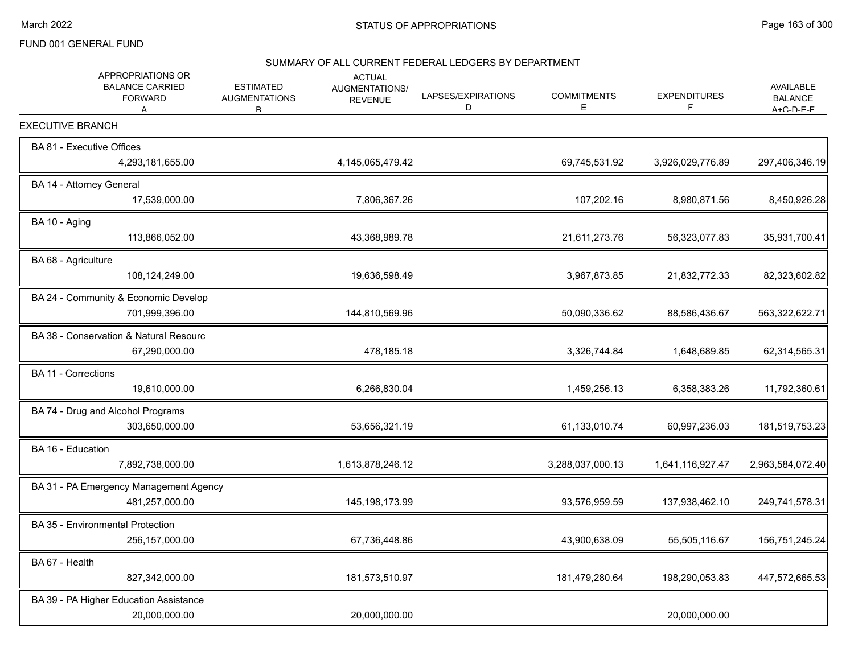#### SUMMARY OF ALL CURRENT FEDERAL LEDGERS BY DEPARTMENT

| APPROPRIATIONS OR<br><b>BALANCE CARRIED</b><br><b>FORWARD</b><br>A | <b>ESTIMATED</b><br><b>AUGMENTATIONS</b><br>B | <b>ACTUAL</b><br><b>AUGMENTATIONS/</b><br><b>REVENUE</b> | LAPSES/EXPIRATIONS<br>D | <b>COMMITMENTS</b><br>E | <b>EXPENDITURES</b><br>F | <b>AVAILABLE</b><br><b>BALANCE</b><br>$A + C - D - F - F$ |
|--------------------------------------------------------------------|-----------------------------------------------|----------------------------------------------------------|-------------------------|-------------------------|--------------------------|-----------------------------------------------------------|
| <b>EXECUTIVE BRANCH</b>                                            |                                               |                                                          |                         |                         |                          |                                                           |
| BA 81 - Executive Offices                                          |                                               |                                                          |                         |                         |                          |                                                           |
| 4,293,181,655.00                                                   |                                               | 4,145,065,479.42                                         |                         | 69,745,531.92           | 3,926,029,776.89         | 297,406,346.19                                            |
| BA 14 - Attorney General                                           |                                               |                                                          |                         |                         |                          |                                                           |
| 17,539,000.00                                                      |                                               | 7,806,367.26                                             |                         | 107,202.16              | 8,980,871.56             | 8,450,926.28                                              |
| BA 10 - Aging                                                      |                                               |                                                          |                         |                         |                          |                                                           |
| 113,866,052.00                                                     |                                               | 43,368,989.78                                            |                         | 21,611,273.76           | 56,323,077.83            | 35,931,700.41                                             |
| BA 68 - Agriculture                                                |                                               |                                                          |                         |                         |                          |                                                           |
| 108,124,249.00                                                     |                                               | 19,636,598.49                                            |                         | 3,967,873.85            | 21,832,772.33            | 82,323,602.82                                             |
| BA 24 - Community & Economic Develop                               |                                               |                                                          |                         |                         |                          |                                                           |
| 701,999,396.00                                                     |                                               | 144,810,569.96                                           |                         | 50,090,336.62           | 88,586,436.67            | 563,322,622.71                                            |
| BA 38 - Conservation & Natural Resourc                             |                                               |                                                          |                         |                         |                          |                                                           |
| 67,290,000.00                                                      |                                               | 478,185.18                                               |                         | 3,326,744.84            | 1,648,689.85             | 62,314,565.31                                             |
| <b>BA 11 - Corrections</b>                                         |                                               |                                                          |                         |                         |                          |                                                           |
| 19,610,000.00                                                      |                                               | 6,266,830.04                                             |                         | 1,459,256.13            | 6,358,383.26             | 11,792,360.61                                             |
| BA 74 - Drug and Alcohol Programs                                  |                                               |                                                          |                         |                         |                          |                                                           |
| 303,650,000.00                                                     |                                               | 53,656,321.19                                            |                         | 61,133,010.74           | 60,997,236.03            | 181,519,753.23                                            |
| BA 16 - Education                                                  |                                               |                                                          |                         |                         |                          |                                                           |
| 7,892,738,000.00                                                   |                                               | 1,613,878,246.12                                         |                         | 3,288,037,000.13        | 1,641,116,927.47         | 2,963,584,072.40                                          |
| BA 31 - PA Emergency Management Agency                             |                                               |                                                          |                         |                         |                          |                                                           |
| 481,257,000.00                                                     |                                               | 145, 198, 173.99                                         |                         | 93,576,959.59           | 137,938,462.10           | 249,741,578.31                                            |
| BA 35 - Environmental Protection                                   |                                               |                                                          |                         |                         |                          |                                                           |
| 256,157,000.00                                                     |                                               | 67,736,448.86                                            |                         | 43,900,638.09           | 55,505,116.67            | 156,751,245.24                                            |
| BA 67 - Health                                                     |                                               |                                                          |                         |                         |                          |                                                           |
| 827,342,000.00                                                     |                                               | 181,573,510.97                                           |                         | 181,479,280.64          | 198,290,053.83           | 447,572,665.53                                            |
| BA 39 - PA Higher Education Assistance                             |                                               |                                                          |                         |                         |                          |                                                           |
| 20,000,000.00                                                      |                                               | 20,000,000.00                                            |                         |                         | 20,000,000.00            |                                                           |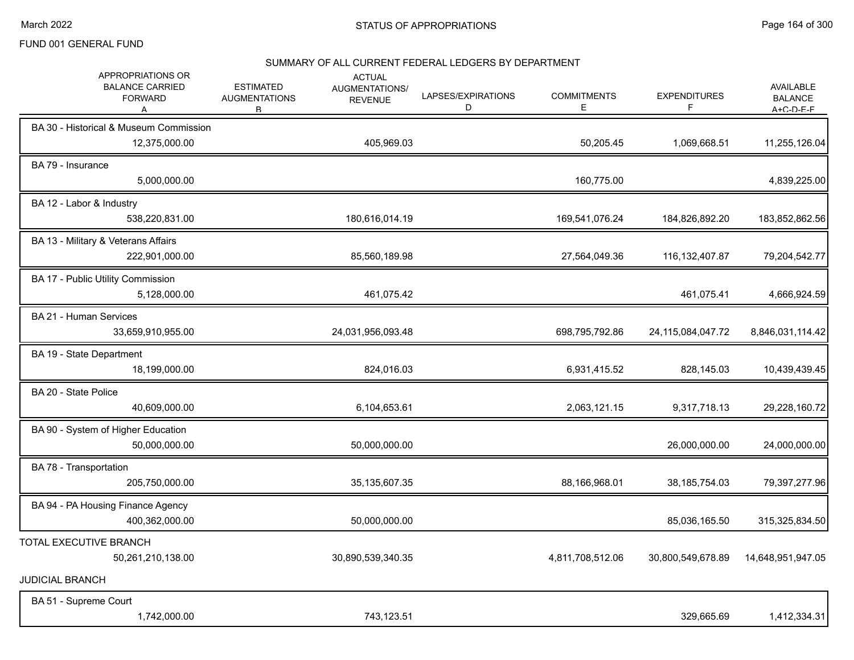#### SUMMARY OF ALL CURRENT FEDERAL LEDGERS BY DEPARTMENT

| APPROPRIATIONS OR<br><b>BALANCE CARRIED</b><br><b>FORWARD</b><br>A | <b>ESTIMATED</b><br><b>AUGMENTATIONS</b><br>B. | <b>ACTUAL</b><br><b>AUGMENTATIONS/</b><br><b>REVENUE</b> | LAPSES/EXPIRATIONS<br>D | <b>COMMITMENTS</b><br>Ε | <b>EXPENDITURES</b><br>F | <b>AVAILABLE</b><br><b>BALANCE</b><br>$A + C - D - F - F$ |
|--------------------------------------------------------------------|------------------------------------------------|----------------------------------------------------------|-------------------------|-------------------------|--------------------------|-----------------------------------------------------------|
| BA 30 - Historical & Museum Commission<br>12,375,000.00            |                                                | 405,969.03                                               |                         | 50,205.45               | 1,069,668.51             | 11,255,126.04                                             |
| BA 79 - Insurance<br>5,000,000.00                                  |                                                |                                                          |                         | 160,775.00              |                          | 4,839,225.00                                              |
| BA 12 - Labor & Industry<br>538,220,831.00                         |                                                | 180,616,014.19                                           |                         | 169,541,076.24          | 184,826,892.20           | 183,852,862.56                                            |
| BA 13 - Military & Veterans Affairs<br>222,901,000.00              |                                                | 85,560,189.98                                            |                         | 27,564,049.36           | 116, 132, 407.87         | 79,204,542.77                                             |
| BA 17 - Public Utility Commission<br>5,128,000.00                  |                                                | 461,075.42                                               |                         |                         | 461,075.41               | 4,666,924.59                                              |
| BA 21 - Human Services<br>33,659,910,955.00                        |                                                | 24,031,956,093.48                                        |                         | 698,795,792.86          | 24,115,084,047.72        | 8,846,031,114.42                                          |
| BA 19 - State Department<br>18,199,000.00                          |                                                | 824,016.03                                               |                         | 6,931,415.52            | 828,145.03               | 10,439,439.45                                             |
| BA 20 - State Police<br>40,609,000.00                              |                                                | 6,104,653.61                                             |                         | 2,063,121.15            | 9,317,718.13             | 29,228,160.72                                             |
| BA 90 - System of Higher Education<br>50,000,000.00                |                                                | 50,000,000.00                                            |                         |                         | 26,000,000.00            | 24,000,000.00                                             |
| BA 78 - Transportation<br>205,750,000.00                           |                                                | 35, 135, 607. 35                                         |                         | 88,166,968.01           | 38, 185, 754.03          | 79,397,277.96                                             |
| BA 94 - PA Housing Finance Agency<br>400,362,000.00                |                                                | 50,000,000.00                                            |                         |                         | 85,036,165.50            | 315,325,834.50                                            |
| TOTAL EXECUTIVE BRANCH<br>50,261,210,138.00                        |                                                | 30,890,539,340.35                                        |                         | 4,811,708,512.06        | 30,800,549,678.89        | 14,648,951,947.05                                         |
| <b>JUDICIAL BRANCH</b>                                             |                                                |                                                          |                         |                         |                          |                                                           |
| BA 51 - Supreme Court<br>1,742,000.00                              |                                                | 743,123.51                                               |                         |                         | 329,665.69               | 1,412,334.31                                              |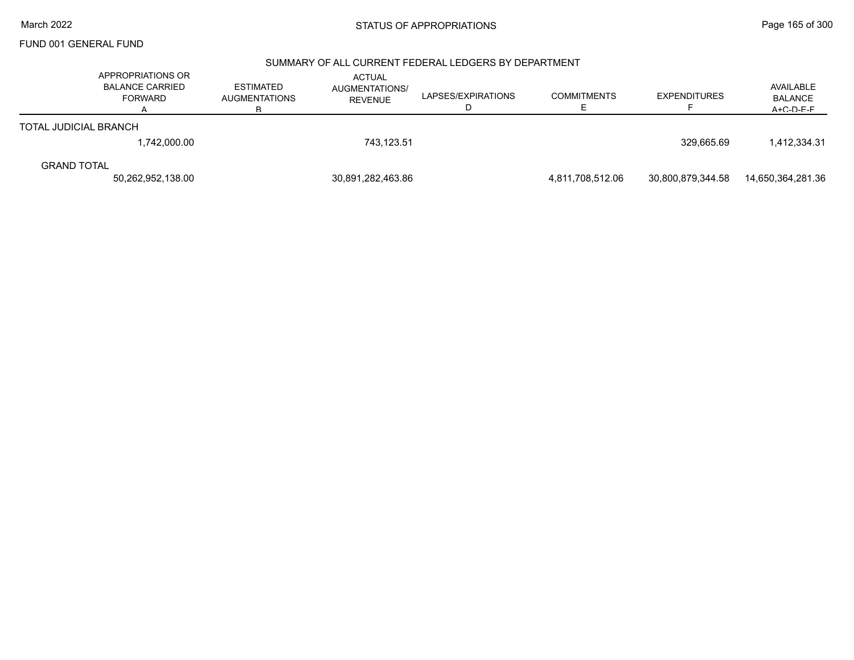# March 2022 **STATUS OF APPROPRIATIONS** STATUS OF APPROPRIATIONS

FUND 001 GENERAL FUND

#### SUMMARY OF ALL CURRENT FEDERAL LEDGERS BY DEPARTMENT

|                              | APPROPRIATIONS OR<br><b>BALANCE CARRIED</b><br><b>FORWARD</b> | <b>ESTIMATED</b><br><b>AUGMENTATIONS</b><br>R. | <b>ACTUAL</b><br>AUGMENTATIONS/<br><b>REVENUE</b> | LAPSES/EXPIRATIONS | <b>COMMITMENTS</b> | <b>EXPENDITURES</b> | AVAILABLE<br><b>BALANCE</b><br>$A + C - D - F - F$ |
|------------------------------|---------------------------------------------------------------|------------------------------------------------|---------------------------------------------------|--------------------|--------------------|---------------------|----------------------------------------------------|
| <b>TOTAL JUDICIAL BRANCH</b> |                                                               |                                                |                                                   |                    |                    |                     |                                                    |
|                              | 1,742,000.00                                                  |                                                | 743.123.51                                        |                    |                    | 329.665.69          | 1,412,334.31                                       |
| <b>GRAND TOTAL</b>           | 50,262,952,138.00                                             |                                                | 30,891,282,463.86                                 |                    | 4,811,708,512.06   | 30,800,879,344.58   | 14,650,364,281.36                                  |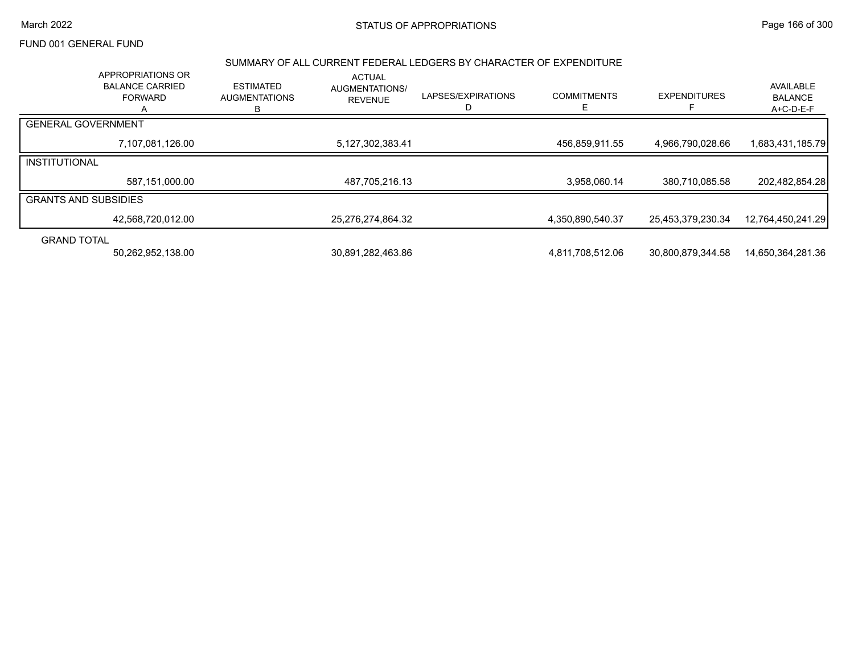#### March 2022 **STATUS OF APPROPRIATIONS** STATUS OF APPROPRIATIONS

## FUND 001 GENERAL FUND

#### SUMMARY OF ALL CURRENT FEDERAL LEDGERS BY CHARACTER OF EXPENDITURE

|                             | APPROPRIATIONS OR<br><b>BALANCE CARRIED</b><br><b>FORWARD</b> | <b>ESTIMATED</b><br><b>AUGMENTATIONS</b><br>в | <b>ACTUAL</b><br><b>AUGMENTATIONS/</b><br><b>REVENUE</b> | LAPSES/EXPIRATIONS | <b>COMMITMENTS</b> | <b>EXPENDITURES</b> | AVAILABLE<br><b>BALANCE</b><br>A+C-D-E-F |
|-----------------------------|---------------------------------------------------------------|-----------------------------------------------|----------------------------------------------------------|--------------------|--------------------|---------------------|------------------------------------------|
| <b>GENERAL GOVERNMENT</b>   |                                                               |                                               |                                                          |                    |                    |                     |                                          |
|                             | 7,107,081,126.00                                              |                                               | 5,127,302,383.41                                         |                    | 456,859,911.55     | 4,966,790,028.66    | 1,683,431,185.79                         |
| <b>INSTITUTIONAL</b>        |                                                               |                                               |                                                          |                    |                    |                     |                                          |
|                             | 587,151,000.00                                                |                                               | 487,705,216.13                                           |                    | 3,958,060.14       | 380,710,085.58      | 202,482,854.28                           |
| <b>GRANTS AND SUBSIDIES</b> |                                                               |                                               |                                                          |                    |                    |                     |                                          |
|                             | 42,568,720,012.00                                             |                                               | 25,276,274,864.32                                        |                    | 4,350,890,540.37   | 25,453,379,230.34   | 12,764,450,241.29                        |
| <b>GRAND TOTAL</b>          |                                                               |                                               |                                                          |                    |                    |                     |                                          |
|                             | 50,262,952,138.00                                             |                                               | 30,891,282,463.86                                        |                    | 4,811,708,512.06   | 30,800,879,344.58   | 14,650,364,281.36                        |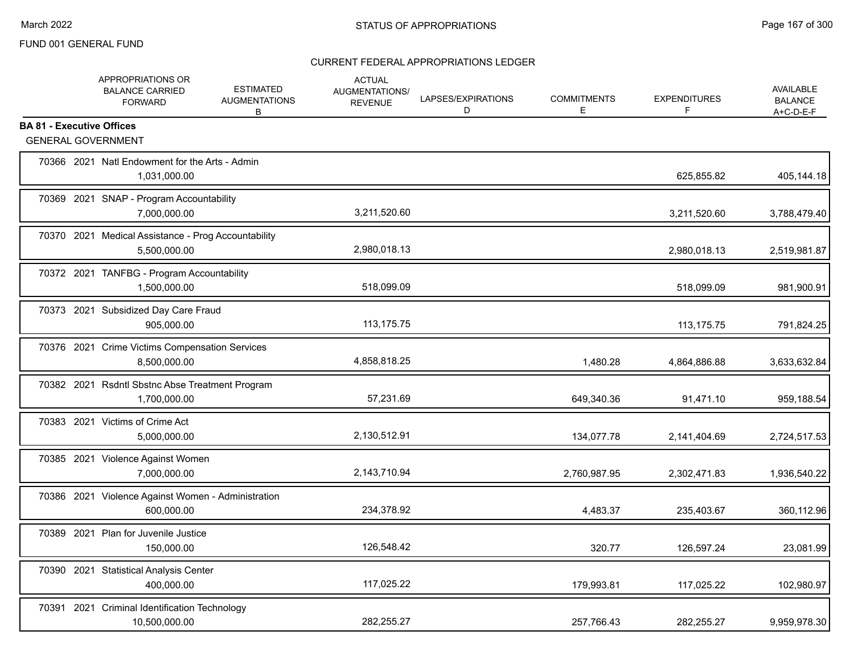| APPROPRIATIONS OR<br><b>BALANCE CARRIED</b><br><b>FORWARD</b>  | <b>ESTIMATED</b><br><b>AUGMENTATIONS</b><br>В                    | <b>ACTUAL</b><br>AUGMENTATIONS/<br><b>REVENUE</b> | LAPSES/EXPIRATIONS<br>D | <b>COMMITMENTS</b><br>Е | <b>EXPENDITURES</b><br>F | AVAILABLE<br><b>BALANCE</b><br>$A+C-D-E-F$ |
|----------------------------------------------------------------|------------------------------------------------------------------|---------------------------------------------------|-------------------------|-------------------------|--------------------------|--------------------------------------------|
| <b>BA 81 - Executive Offices</b><br><b>GENERAL GOVERNMENT</b>  |                                                                  |                                                   |                         |                         |                          |                                            |
| 1,031,000.00                                                   | 70366 2021 Natl Endowment for the Arts - Admin                   |                                                   |                         |                         | 625,855.82               | 405,144.18                                 |
| 70369 2021 SNAP - Program Accountability<br>7,000,000.00       |                                                                  | 3,211,520.60                                      |                         |                         | 3,211,520.60             | 3,788,479.40                               |
| 5,500,000.00                                                   | 70370 2021 Medical Assistance - Prog Accountability              | 2,980,018.13                                      |                         |                         | 2,980,018.13             | 2,519,981.87                               |
| 70372 2021 TANFBG - Program Accountability<br>1,500,000.00     |                                                                  | 518,099.09                                        |                         |                         | 518,099.09               | 981,900.91                                 |
| 70373 2021 Subsidized Day Care Fraud                           | 905,000.00                                                       | 113,175.75                                        |                         |                         | 113, 175. 75             | 791,824.25                                 |
| 8,500,000.00                                                   | 70376 2021 Crime Victims Compensation Services                   | 4,858,818.25                                      |                         | 1,480.28                | 4,864,886.88             | 3,633,632.84                               |
| 1,700,000.00                                                   | 70382 2021 Rsdntl Sbstnc Abse Treatment Program                  | 57,231.69                                         |                         | 649,340.36              | 91,471.10                | 959,188.54                                 |
| 70383 2021 Victims of Crime Act<br>5,000,000.00                |                                                                  | 2,130,512.91                                      |                         | 134,077.78              | 2,141,404.69             | 2,724,517.53                               |
| 70385 2021 Violence Against Women<br>7,000,000.00              |                                                                  | 2,143,710.94                                      |                         | 2,760,987.95            | 2,302,471.83             | 1,936,540.22                               |
|                                                                | 70386 2021 Violence Against Women - Administration<br>600,000.00 | 234,378.92                                        |                         | 4,483.37                | 235,403.67               | 360,112.96                                 |
| 70389 2021 Plan for Juvenile Justice                           | 150,000.00                                                       | 126,548.42                                        |                         | 320.77                  | 126,597.24               | 23,081.99                                  |
| 70390 2021 Statistical Analysis Center                         | 400,000.00                                                       | 117,025.22                                        |                         | 179,993.81              | 117,025.22               | 102,980.97                                 |
| 70391 2021 Criminal Identification Technology<br>10,500,000.00 |                                                                  | 282,255.27                                        |                         | 257,766.43              | 282,255.27               | 9,959,978.30                               |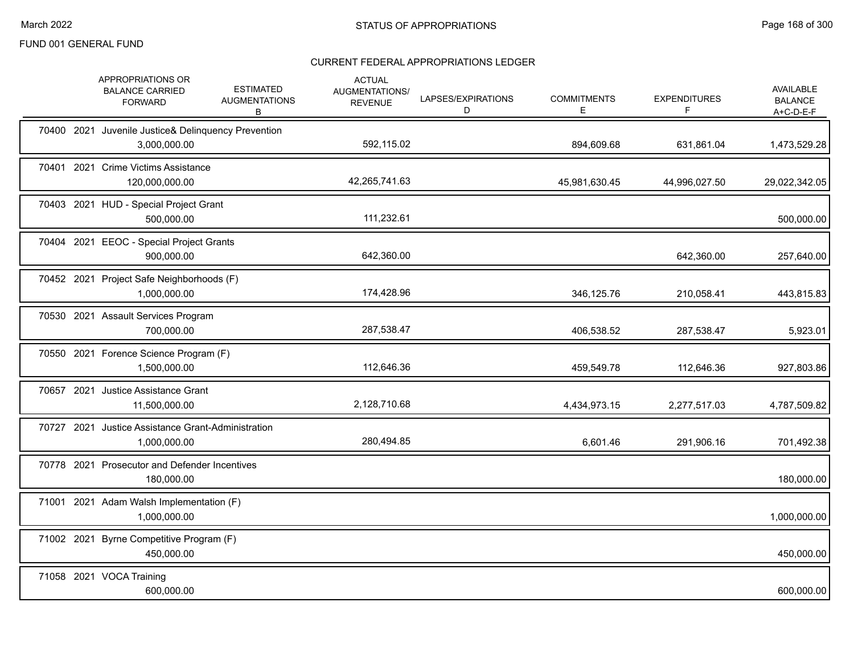|  | APPROPRIATIONS OR<br><b>BALANCE CARRIED</b><br><b>FORWARD</b>       | <b>ESTIMATED</b><br><b>AUGMENTATIONS</b><br>B | <b>ACTUAL</b><br>AUGMENTATIONS/<br><b>REVENUE</b> | LAPSES/EXPIRATIONS<br>D | <b>COMMITMENTS</b><br>Е | <b>EXPENDITURES</b><br>F. | <b>AVAILABLE</b><br><b>BALANCE</b><br>A+C-D-E-F |
|--|---------------------------------------------------------------------|-----------------------------------------------|---------------------------------------------------|-------------------------|-------------------------|---------------------------|-------------------------------------------------|
|  | 70400 2021 Juvenile Justice& Delinquency Prevention<br>3,000,000.00 |                                               | 592,115.02                                        |                         | 894,609.68              | 631,861.04                | 1,473,529.28                                    |
|  | 70401 2021 Crime Victims Assistance<br>120,000,000.00               |                                               | 42,265,741.63                                     |                         | 45,981,630.45           | 44,996,027.50             | 29,022,342.05                                   |
|  | 70403 2021 HUD - Special Project Grant<br>500,000.00                |                                               | 111,232.61                                        |                         |                         |                           | 500,000.00                                      |
|  | 70404 2021 EEOC - Special Project Grants<br>900,000.00              |                                               | 642,360.00                                        |                         |                         | 642,360.00                | 257,640.00                                      |
|  | 70452 2021 Project Safe Neighborhoods (F)<br>1,000,000.00           |                                               | 174,428.96                                        |                         | 346,125.76              | 210,058.41                | 443,815.83                                      |
|  | 70530 2021 Assault Services Program<br>700,000.00                   |                                               | 287,538.47                                        |                         | 406,538.52              | 287,538.47                | 5,923.01                                        |
|  | 70550 2021 Forence Science Program (F)<br>1,500,000.00              |                                               | 112,646.36                                        |                         | 459,549.78              | 112,646.36                | 927,803.86                                      |
|  | 70657 2021 Justice Assistance Grant<br>11,500,000.00                |                                               | 2,128,710.68                                      |                         | 4,434,973.15            | 2,277,517.03              | 4,787,509.82                                    |
|  | 70727 2021 Justice Assistance Grant-Administration<br>1,000,000.00  |                                               | 280,494.85                                        |                         | 6,601.46                | 291,906.16                | 701,492.38                                      |
|  | 70778 2021 Prosecutor and Defender Incentives<br>180,000.00         |                                               |                                                   |                         |                         |                           | 180,000.00                                      |
|  | 71001 2021 Adam Walsh Implementation (F)<br>1,000,000.00            |                                               |                                                   |                         |                         |                           | 1,000,000.00                                    |
|  | 71002 2021 Byrne Competitive Program (F)<br>450,000.00              |                                               |                                                   |                         |                         |                           | 450,000.00                                      |
|  | 71058 2021 VOCA Training<br>600,000.00                              |                                               |                                                   |                         |                         |                           | 600,000.00                                      |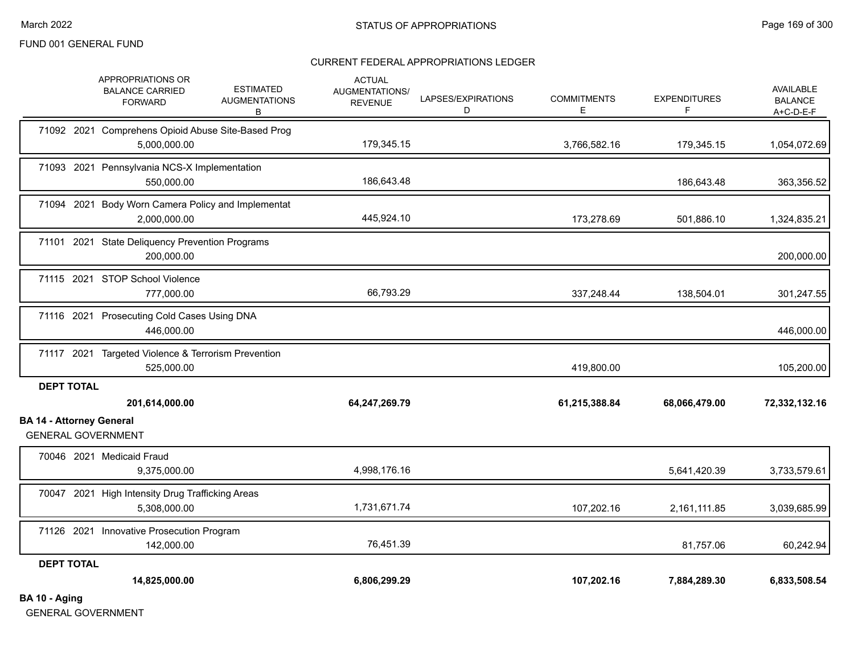#### CURRENT FEDERAL APPROPRIATIONS LEDGER

|                                                              | APPROPRIATIONS OR<br><b>BALANCE CARRIED</b><br><b>FORWARD</b>      | <b>ESTIMATED</b><br><b>AUGMENTATIONS</b><br>В | <b>ACTUAL</b><br>AUGMENTATIONS/<br><b>REVENUE</b> | LAPSES/EXPIRATIONS<br>D | <b>COMMITMENTS</b><br>E. | <b>EXPENDITURES</b><br>F | AVAILABLE<br><b>BALANCE</b><br>$A+C-D-E-F$ |
|--------------------------------------------------------------|--------------------------------------------------------------------|-----------------------------------------------|---------------------------------------------------|-------------------------|--------------------------|--------------------------|--------------------------------------------|
|                                                              | 71092 2021 Comprehens Opioid Abuse Site-Based Prog<br>5,000,000.00 |                                               | 179,345.15                                        |                         | 3,766,582.16             | 179,345.15               | 1,054,072.69                               |
|                                                              | 71093 2021 Pennsylvania NCS-X Implementation<br>550,000.00         |                                               | 186,643.48                                        |                         |                          | 186,643.48               | 363,356.52                                 |
|                                                              | 71094 2021 Body Worn Camera Policy and Implementat<br>2,000,000.00 |                                               | 445,924.10                                        |                         | 173,278.69               | 501,886.10               | 1,324,835.21                               |
|                                                              | 71101 2021 State Deliquency Prevention Programs<br>200,000.00      |                                               |                                                   |                         |                          |                          | 200,000.00                                 |
|                                                              | 71115 2021 STOP School Violence<br>777,000.00                      |                                               | 66,793.29                                         |                         | 337,248.44               | 138,504.01               | 301,247.55                                 |
|                                                              | 71116 2021 Prosecuting Cold Cases Using DNA<br>446,000.00          |                                               |                                                   |                         |                          |                          | 446,000.00                                 |
|                                                              | 71117 2021 Targeted Violence & Terrorism Prevention<br>525,000.00  |                                               |                                                   |                         | 419,800.00               |                          | 105,200.00                                 |
| <b>DEPT TOTAL</b>                                            | 201,614,000.00                                                     |                                               | 64,247,269.79                                     |                         | 61,215,388.84            | 68,066,479.00            | 72,332,132.16                              |
| <b>BA 14 - Attorney General</b><br><b>GENERAL GOVERNMENT</b> |                                                                    |                                               |                                                   |                         |                          |                          |                                            |
|                                                              | 70046 2021 Medicaid Fraud<br>9,375,000.00                          |                                               | 4,998,176.16                                      |                         |                          | 5,641,420.39             | 3,733,579.61                               |
|                                                              | 70047 2021 High Intensity Drug Trafficking Areas<br>5,308,000.00   |                                               | 1,731,671.74                                      |                         | 107,202.16               | 2,161,111.85             | 3,039,685.99                               |
|                                                              | 71126 2021 Innovative Prosecution Program<br>142,000.00            |                                               | 76,451.39                                         |                         |                          | 81,757.06                | 60,242.94                                  |
| <b>DEPT TOTAL</b><br>BA 10 - Aging                           | 14,825,000.00                                                      |                                               | 6,806,299.29                                      |                         | 107,202.16               | 7,884,289.30             | 6,833,508.54                               |

GENERAL GOVERNMENT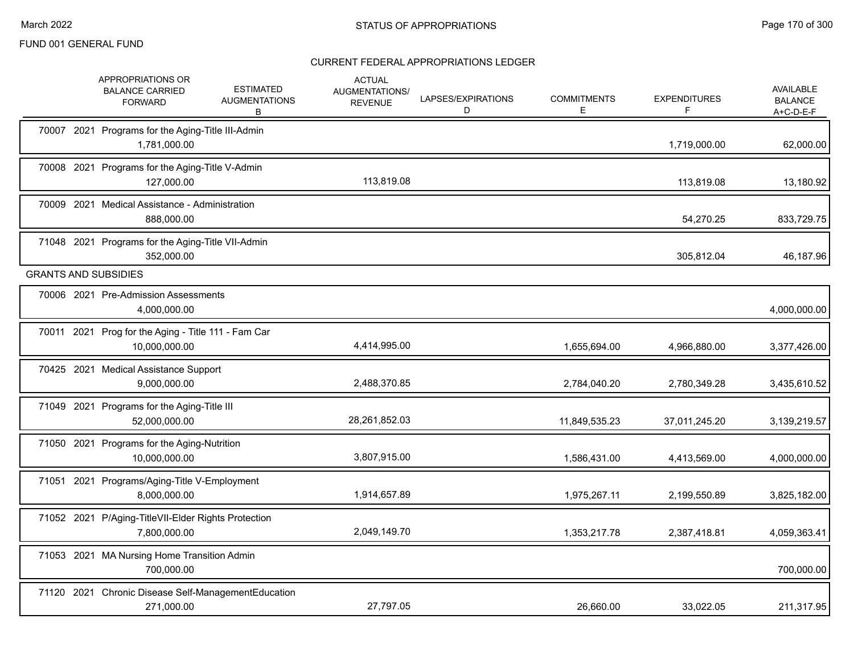|  | APPROPRIATIONS OR<br><b>ESTIMATED</b><br><b>BALANCE CARRIED</b><br><b>AUGMENTATIONS</b><br><b>FORWARD</b><br>В | <b>ACTUAL</b><br>AUGMENTATIONS/<br><b>REVENUE</b> | LAPSES/EXPIRATIONS<br>D | <b>COMMITMENTS</b><br>E | <b>EXPENDITURES</b><br>F | AVAILABLE<br><b>BALANCE</b><br>A+C-D-E-F |
|--|----------------------------------------------------------------------------------------------------------------|---------------------------------------------------|-------------------------|-------------------------|--------------------------|------------------------------------------|
|  | 70007 2021 Programs for the Aging-Title III-Admin<br>1,781,000.00                                              |                                                   |                         |                         | 1,719,000.00             | 62,000.00                                |
|  | 70008 2021 Programs for the Aging-Title V-Admin<br>127,000.00                                                  | 113,819.08                                        |                         |                         | 113,819.08               | 13,180.92                                |
|  | 70009 2021 Medical Assistance - Administration<br>888,000.00                                                   |                                                   |                         |                         | 54,270.25                | 833,729.75                               |
|  | 71048 2021 Programs for the Aging-Title VII-Admin<br>352,000.00                                                |                                                   |                         |                         | 305,812.04               | 46,187.96                                |
|  | <b>GRANTS AND SUBSIDIES</b>                                                                                    |                                                   |                         |                         |                          |                                          |
|  | 70006 2021 Pre-Admission Assessments<br>4,000,000.00                                                           |                                                   |                         |                         |                          | 4,000,000.00                             |
|  | 70011 2021 Prog for the Aging - Title 111 - Fam Car<br>10,000,000.00                                           | 4,414,995.00                                      |                         | 1,655,694.00            | 4,966,880.00             | 3,377,426.00                             |
|  | 70425 2021 Medical Assistance Support<br>9,000,000.00                                                          | 2,488,370.85                                      |                         | 2,784,040.20            | 2,780,349.28             | 3,435,610.52                             |
|  | 71049 2021 Programs for the Aging-Title III<br>52,000,000.00                                                   | 28,261,852.03                                     |                         | 11,849,535.23           | 37,011,245.20            | 3,139,219.57                             |
|  | 71050 2021 Programs for the Aging-Nutrition<br>10,000,000.00                                                   | 3,807,915.00                                      |                         | 1,586,431.00            | 4,413,569.00             | 4,000,000.00                             |
|  | 71051 2021 Programs/Aging-Title V-Employment<br>8,000,000.00                                                   | 1,914,657.89                                      |                         | 1,975,267.11            | 2,199,550.89             | 3,825,182.00                             |
|  | 71052 2021 P/Aging-TitleVII-Elder Rights Protection<br>7,800,000.00                                            | 2,049,149.70                                      |                         | 1,353,217.78            | 2,387,418.81             | 4,059,363.41                             |
|  | 71053 2021 MA Nursing Home Transition Admin<br>700.000.00                                                      |                                                   |                         |                         |                          | 700,000.00                               |
|  | 71120 2021 Chronic Disease Self-ManagementEducation<br>271,000.00                                              | 27,797.05                                         |                         | 26.660.00               | 33,022.05                | 211,317.95                               |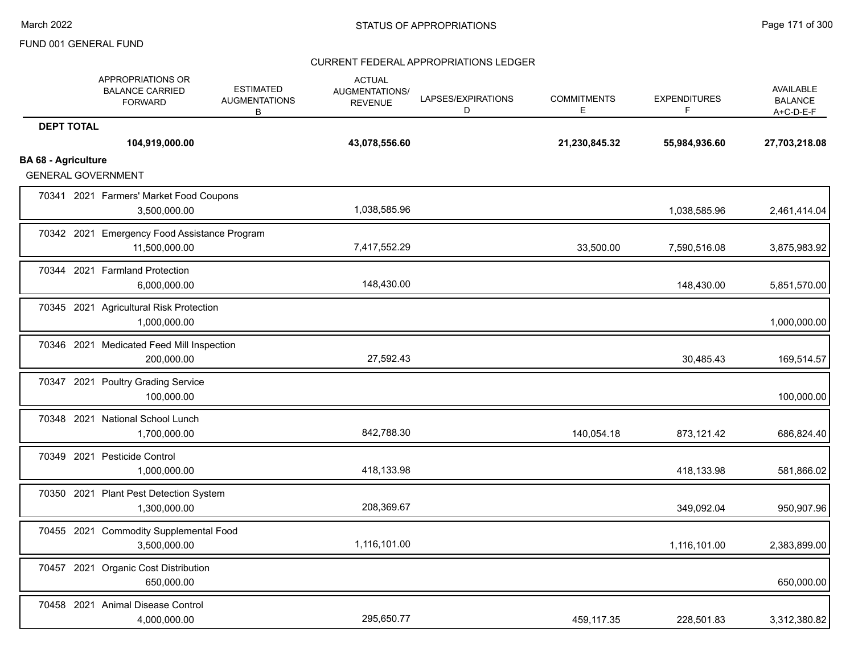|                            | APPROPRIATIONS OR<br><b>BALANCE CARRIED</b><br><b>FORWARD</b> | <b>ESTIMATED</b><br><b>AUGMENTATIONS</b><br>B | <b>ACTUAL</b><br>AUGMENTATIONS/<br><b>REVENUE</b> | LAPSES/EXPIRATIONS<br>D | <b>COMMITMENTS</b><br>Е | <b>EXPENDITURES</b><br>F | <b>AVAILABLE</b><br><b>BALANCE</b><br>$A+C-D-E-F$ |
|----------------------------|---------------------------------------------------------------|-----------------------------------------------|---------------------------------------------------|-------------------------|-------------------------|--------------------------|---------------------------------------------------|
| <b>DEPT TOTAL</b>          | 104,919,000.00                                                |                                               | 43,078,556.60                                     |                         | 21,230,845.32           | 55,984,936.60            | 27,703,218.08                                     |
| <b>BA 68 - Agriculture</b> | <b>GENERAL GOVERNMENT</b>                                     |                                               |                                                   |                         |                         |                          |                                                   |
|                            | 70341 2021 Farmers' Market Food Coupons<br>3,500,000.00       |                                               | 1,038,585.96                                      |                         |                         | 1,038,585.96             | 2,461,414.04                                      |
|                            | 70342 2021 Emergency Food Assistance Program<br>11,500,000.00 |                                               | 7,417,552.29                                      |                         | 33,500.00               | 7,590,516.08             | 3,875,983.92                                      |
|                            | 70344 2021 Farmland Protection<br>6,000,000.00                |                                               | 148,430.00                                        |                         |                         | 148,430.00               | 5,851,570.00                                      |
|                            | 70345 2021 Agricultural Risk Protection<br>1,000,000.00       |                                               |                                                   |                         |                         |                          | 1,000,000.00                                      |
|                            | 70346 2021 Medicated Feed Mill Inspection<br>200,000.00       |                                               | 27,592.43                                         |                         |                         | 30,485.43                | 169,514.57                                        |
|                            | 70347 2021 Poultry Grading Service<br>100,000.00              |                                               |                                                   |                         |                         |                          | 100,000.00                                        |
|                            | 70348 2021 National School Lunch<br>1,700,000.00              |                                               | 842,788.30                                        |                         | 140,054.18              | 873,121.42               | 686,824.40                                        |
|                            | 70349 2021 Pesticide Control<br>1,000,000.00                  |                                               | 418,133.98                                        |                         |                         | 418,133.98               | 581,866.02                                        |
|                            | 70350 2021 Plant Pest Detection System<br>1,300,000.00        |                                               | 208,369.67                                        |                         |                         | 349,092.04               | 950,907.96                                        |
| 70455 2021                 | <b>Commodity Supplemental Food</b><br>3,500,000.00            |                                               | 1,116,101.00                                      |                         |                         | 1,116,101.00             | 2,383,899.00                                      |
| 70457 2021                 | <b>Organic Cost Distribution</b><br>650,000.00                |                                               |                                                   |                         |                         |                          | 650,000.00                                        |
|                            | 70458 2021 Animal Disease Control<br>4,000,000.00             |                                               | 295,650.77                                        |                         | 459,117.35              | 228,501.83               | 3,312,380.82                                      |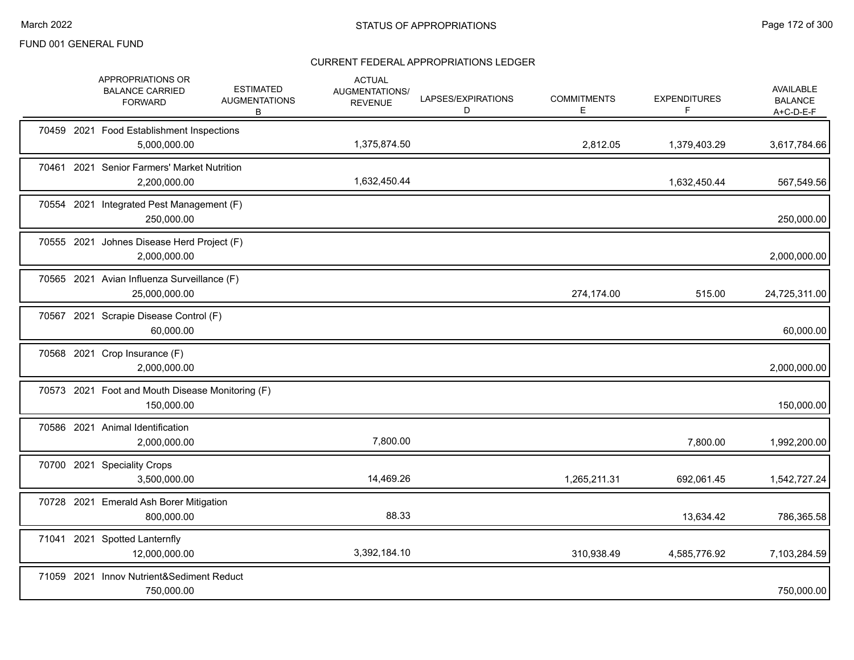|  | APPROPRIATIONS OR<br><b>BALANCE CARRIED</b><br><b>FORWARD</b>  | <b>ESTIMATED</b><br><b>AUGMENTATIONS</b><br>В | <b>ACTUAL</b><br>AUGMENTATIONS/<br><b>REVENUE</b> | LAPSES/EXPIRATIONS<br>D | <b>COMMITMENTS</b><br>Е | <b>EXPENDITURES</b><br>F. | AVAILABLE<br><b>BALANCE</b><br>$A+C-D-E-F$ |
|--|----------------------------------------------------------------|-----------------------------------------------|---------------------------------------------------|-------------------------|-------------------------|---------------------------|--------------------------------------------|
|  | 70459 2021 Food Establishment Inspections<br>5,000,000.00      |                                               | 1,375,874.50                                      |                         | 2,812.05                | 1,379,403.29              | 3,617,784.66                               |
|  | 70461 2021 Senior Farmers' Market Nutrition<br>2,200,000.00    |                                               | 1,632,450.44                                      |                         |                         | 1,632,450.44              | 567,549.56                                 |
|  | 70554 2021 Integrated Pest Management (F)<br>250,000.00        |                                               |                                                   |                         |                         |                           | 250,000.00                                 |
|  | 70555 2021 Johnes Disease Herd Project (F)<br>2,000,000.00     |                                               |                                                   |                         |                         |                           | 2,000,000.00                               |
|  | 70565 2021 Avian Influenza Surveillance (F)<br>25,000,000.00   |                                               |                                                   |                         | 274,174.00              | 515.00                    | 24,725,311.00                              |
|  | 70567 2021 Scrapie Disease Control (F)<br>60,000.00            |                                               |                                                   |                         |                         |                           | 60,000.00                                  |
|  | 70568 2021 Crop Insurance (F)<br>2,000,000.00                  |                                               |                                                   |                         |                         |                           | 2,000,000.00                               |
|  | 70573 2021 Foot and Mouth Disease Monitoring (F)<br>150,000.00 |                                               |                                                   |                         |                         |                           | 150,000.00                                 |
|  | 70586 2021 Animal Identification<br>2,000,000.00               |                                               | 7,800.00                                          |                         |                         | 7,800.00                  | 1,992,200.00                               |
|  | 70700 2021 Speciality Crops<br>3,500,000.00                    |                                               | 14,469.26                                         |                         | 1,265,211.31            | 692,061.45                | 1,542,727.24                               |
|  | 70728 2021 Emerald Ash Borer Mitigation<br>800.000.00          |                                               | 88.33                                             |                         |                         | 13,634.42                 | 786,365.58                                 |
|  | 71041 2021 Spotted Lanternfly<br>12,000,000.00                 |                                               | 3,392,184.10                                      |                         | 310,938.49              | 4,585,776.92              | 7,103,284.59                               |
|  | 71059 2021 Innov Nutrient&Sediment Reduct<br>750,000.00        |                                               |                                                   |                         |                         |                           | 750,000.00                                 |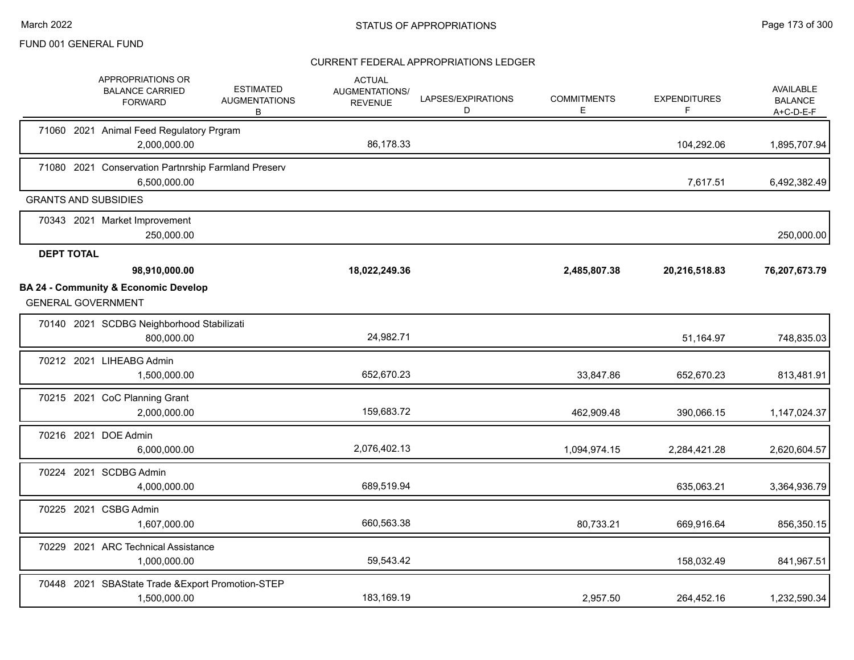| APPROPRIATIONS OR<br><b>BALANCE CARRIED</b><br><b>FORWARD</b>                | <b>ESTIMATED</b><br><b>AUGMENTATIONS</b><br>B | <b>ACTUAL</b><br>AUGMENTATIONS/<br><b>REVENUE</b> | LAPSES/EXPIRATIONS<br>D | <b>COMMITMENTS</b><br>Е. | <b>EXPENDITURES</b><br>F | <b>AVAILABLE</b><br><b>BALANCE</b><br>$A+C-D-E-F$ |
|------------------------------------------------------------------------------|-----------------------------------------------|---------------------------------------------------|-------------------------|--------------------------|--------------------------|---------------------------------------------------|
| 71060 2021 Animal Feed Regulatory Prgram<br>2,000,000.00                     |                                               | 86,178.33                                         |                         |                          | 104,292.06               | 1,895,707.94                                      |
| 71080 2021 Conservation Partnrship Farmland Preserv<br>6,500,000.00          |                                               |                                                   |                         |                          | 7,617.51                 | 6,492,382.49                                      |
| <b>GRANTS AND SUBSIDIES</b>                                                  |                                               |                                                   |                         |                          |                          |                                                   |
| 70343 2021 Market Improvement<br>250,000.00                                  |                                               |                                                   |                         |                          |                          | 250,000.00                                        |
| <b>DEPT TOTAL</b>                                                            |                                               |                                                   |                         |                          |                          |                                                   |
| 98,910,000.00                                                                |                                               | 18,022,249.36                                     |                         | 2,485,807.38             | 20,216,518.83            | 76,207,673.79                                     |
| <b>BA 24 - Community &amp; Economic Develop</b><br><b>GENERAL GOVERNMENT</b> |                                               |                                                   |                         |                          |                          |                                                   |
| 70140 2021 SCDBG Neighborhood Stabilizati<br>800,000.00                      |                                               | 24,982.71                                         |                         |                          | 51,164.97                | 748,835.03                                        |
| 70212 2021 LIHEABG Admin<br>1,500,000.00                                     |                                               | 652,670.23                                        |                         | 33,847.86                | 652,670.23               | 813,481.91                                        |
| 70215 2021 CoC Planning Grant<br>2,000,000.00                                |                                               | 159,683.72                                        |                         | 462,909.48               | 390,066.15               | 1,147,024.37                                      |
| 70216 2021 DOE Admin<br>6,000,000.00                                         |                                               | 2,076,402.13                                      |                         | 1,094,974.15             | 2,284,421.28             | 2,620,604.57                                      |
| 70224 2021 SCDBG Admin<br>4,000,000.00                                       |                                               | 689,519.94                                        |                         |                          | 635,063.21               | 3,364,936.79                                      |
| 70225 2021 CSBG Admin<br>1,607,000.00                                        |                                               | 660,563.38                                        |                         | 80,733.21                | 669,916.64               | 856,350.15                                        |
| 70229 2021 ARC Technical Assistance<br>1,000,000.00                          |                                               | 59,543.42                                         |                         |                          | 158,032.49               | 841,967.51                                        |
| 70448 2021 SBAState Trade & Export Promotion-STEP<br>1,500,000.00            |                                               | 183,169.19                                        |                         | 2,957.50                 | 264,452.16               | 1,232,590.34                                      |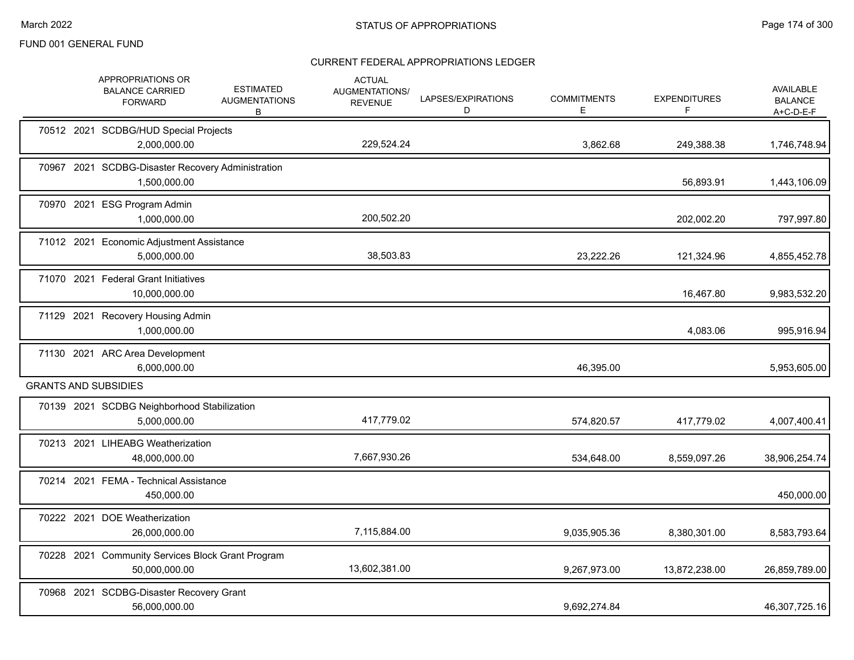|  | APPROPRIATIONS OR<br><b>BALANCE CARRIED</b><br><b>FORWARD</b>      | <b>ESTIMATED</b><br><b>AUGMENTATIONS</b><br>В | <b>ACTUAL</b><br><b>AUGMENTATIONS/</b><br><b>REVENUE</b> | LAPSES/EXPIRATIONS<br>D | <b>COMMITMENTS</b><br>Ε | <b>EXPENDITURES</b><br>F | <b>AVAILABLE</b><br><b>BALANCE</b><br>A+C-D-E-F |
|--|--------------------------------------------------------------------|-----------------------------------------------|----------------------------------------------------------|-------------------------|-------------------------|--------------------------|-------------------------------------------------|
|  | 70512 2021 SCDBG/HUD Special Projects<br>2,000,000.00              |                                               | 229,524.24                                               |                         | 3,862.68                | 249,388.38               | 1,746,748.94                                    |
|  | 70967 2021 SCDBG-Disaster Recovery Administration<br>1,500,000.00  |                                               |                                                          |                         |                         | 56,893.91                | 1,443,106.09                                    |
|  | 70970 2021 ESG Program Admin<br>1,000,000.00                       |                                               | 200,502.20                                               |                         |                         | 202,002.20               | 797,997.80                                      |
|  | 71012 2021 Economic Adjustment Assistance<br>5,000,000.00          |                                               | 38,503.83                                                |                         | 23,222.26               | 121,324.96               | 4,855,452.78                                    |
|  | 71070 2021 Federal Grant Initiatives<br>10,000,000.00              |                                               |                                                          |                         |                         | 16,467.80                | 9,983,532.20                                    |
|  | 71129 2021 Recovery Housing Admin<br>1,000,000.00                  |                                               |                                                          |                         |                         | 4,083.06                 | 995,916.94                                      |
|  | 71130 2021 ARC Area Development<br>6,000,000.00                    |                                               |                                                          |                         | 46,395.00               |                          | 5,953,605.00                                    |
|  | <b>GRANTS AND SUBSIDIES</b>                                        |                                               |                                                          |                         |                         |                          |                                                 |
|  | 70139 2021 SCDBG Neighborhood Stabilization<br>5,000,000.00        |                                               | 417,779.02                                               |                         | 574,820.57              | 417,779.02               | 4,007,400.41                                    |
|  | 70213 2021 LIHEABG Weatherization<br>48,000,000.00                 |                                               | 7,667,930.26                                             |                         | 534,648.00              | 8,559,097.26             | 38,906,254.74                                   |
|  | 70214 2021 FEMA - Technical Assistance<br>450,000.00               |                                               |                                                          |                         |                         |                          | 450,000.00                                      |
|  | 70222 2021 DOE Weatherization<br>26,000,000.00                     |                                               | 7,115,884.00                                             |                         | 9,035,905.36            | 8,380,301.00             | 8,583,793.64                                    |
|  | 70228 2021 Community Services Block Grant Program<br>50.000.000.00 |                                               | 13,602,381.00                                            |                         | 9,267,973.00            | 13,872,238.00            | 26,859,789.00                                   |
|  | 70968 2021 SCDBG-Disaster Recovery Grant<br>56,000,000.00          |                                               |                                                          |                         | 9,692,274.84            |                          | 46,307,725.16                                   |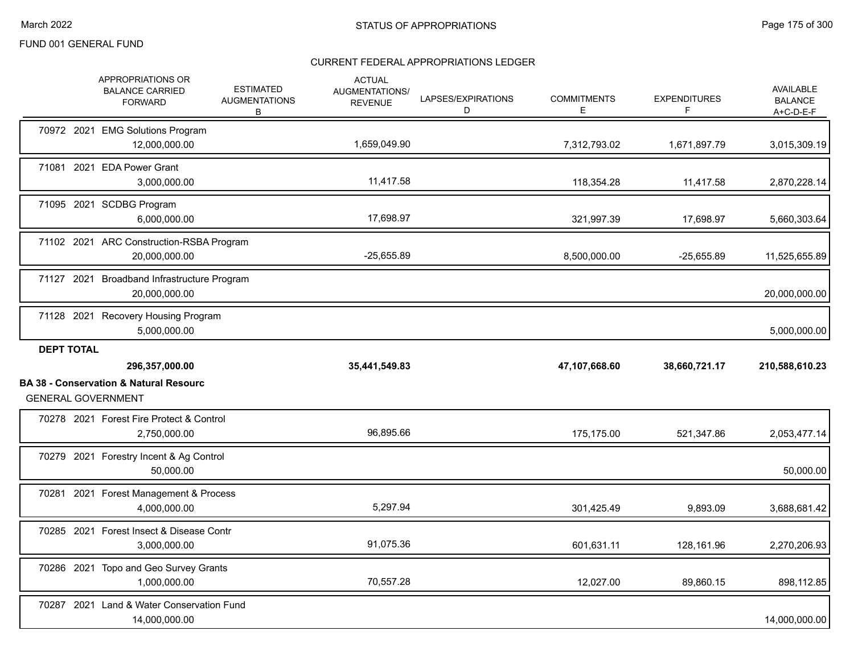|                   | APPROPRIATIONS OR<br><b>BALANCE CARRIED</b><br><b>FORWARD</b>                                    | <b>ESTIMATED</b><br><b>AUGMENTATIONS</b><br>B | <b>ACTUAL</b><br>AUGMENTATIONS/<br><b>REVENUE</b> | LAPSES/EXPIRATIONS<br>D | <b>COMMITMENTS</b><br>E. | <b>EXPENDITURES</b><br>F | <b>AVAILABLE</b><br><b>BALANCE</b><br>$A+C-D-E-F$ |
|-------------------|--------------------------------------------------------------------------------------------------|-----------------------------------------------|---------------------------------------------------|-------------------------|--------------------------|--------------------------|---------------------------------------------------|
|                   | 70972 2021 EMG Solutions Program<br>12,000,000.00                                                |                                               | 1,659,049.90                                      |                         | 7,312,793.02             | 1,671,897.79             | 3,015,309.19                                      |
|                   | 71081 2021 EDA Power Grant<br>3,000,000.00                                                       |                                               | 11,417.58                                         |                         | 118,354.28               | 11,417.58                | 2,870,228.14                                      |
|                   | 71095 2021 SCDBG Program<br>6,000,000.00                                                         |                                               | 17,698.97                                         |                         | 321,997.39               | 17,698.97                | 5,660,303.64                                      |
|                   | 71102 2021 ARC Construction-RSBA Program<br>20,000,000.00                                        |                                               | $-25,655.89$                                      |                         | 8,500,000.00             | $-25,655.89$             | 11,525,655.89                                     |
|                   | 71127 2021 Broadband Infrastructure Program<br>20,000,000.00                                     |                                               |                                                   |                         |                          |                          | 20,000,000.00                                     |
|                   | 71128 2021 Recovery Housing Program<br>5,000,000.00                                              |                                               |                                                   |                         |                          |                          | 5,000,000.00                                      |
|                   |                                                                                                  |                                               |                                                   |                         |                          |                          |                                                   |
| <b>DEPT TOTAL</b> |                                                                                                  |                                               |                                                   |                         |                          |                          |                                                   |
|                   | 296,357,000.00<br><b>BA 38 - Conservation &amp; Natural Resourc</b><br><b>GENERAL GOVERNMENT</b> |                                               | 35,441,549.83                                     |                         | 47,107,668.60            | 38,660,721.17            | 210,588,610.23                                    |
|                   | 70278 2021 Forest Fire Protect & Control<br>2,750,000.00                                         |                                               | 96,895.66                                         |                         | 175,175.00               | 521,347.86               | 2,053,477.14                                      |
|                   | 70279 2021 Forestry Incent & Ag Control<br>50,000.00                                             |                                               |                                                   |                         |                          |                          | 50,000.00                                         |
|                   | 70281 2021 Forest Management & Process<br>4,000,000.00                                           |                                               | 5,297.94                                          |                         | 301,425.49               | 9,893.09                 | 3,688,681.42                                      |
|                   | 70285 2021 Forest Insect & Disease Contr<br>3,000,000.00                                         |                                               | 91,075.36                                         |                         | 601,631.11               | 128,161.96               | 2,270,206.93                                      |
|                   | 70286 2021 Topo and Geo Survey Grants<br>1,000,000.00                                            |                                               | 70,557.28                                         |                         | 12,027.00                | 89,860.15                | 898,112.85                                        |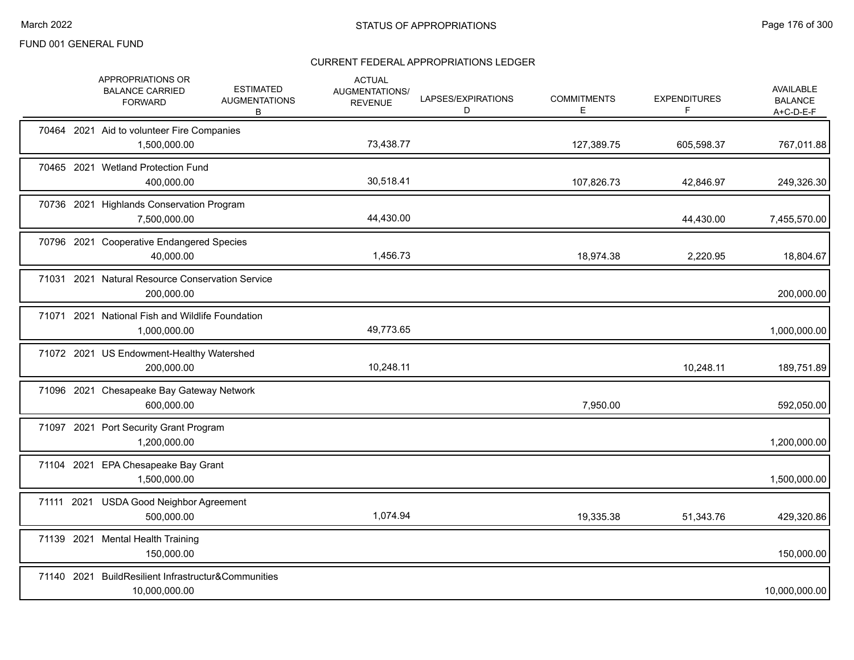|            | APPROPRIATIONS OR<br><b>BALANCE CARRIED</b><br><b>FORWARD</b>        | <b>ESTIMATED</b><br><b>AUGMENTATIONS</b><br>B | <b>ACTUAL</b><br><b>AUGMENTATIONS/</b><br><b>REVENUE</b> | LAPSES/EXPIRATIONS<br>D | <b>COMMITMENTS</b><br>Е | <b>EXPENDITURES</b><br>F | <b>AVAILABLE</b><br><b>BALANCE</b><br>$A+C-D-E-F$ |
|------------|----------------------------------------------------------------------|-----------------------------------------------|----------------------------------------------------------|-------------------------|-------------------------|--------------------------|---------------------------------------------------|
|            | 70464 2021 Aid to volunteer Fire Companies<br>1,500,000.00           |                                               | 73,438.77                                                |                         | 127,389.75              | 605,598.37               | 767,011.88                                        |
|            | 70465 2021 Wetland Protection Fund<br>400,000.00                     |                                               | 30,518.41                                                |                         | 107,826.73              | 42,846.97                | 249,326.30                                        |
|            | 70736 2021 Highlands Conservation Program<br>7,500,000.00            |                                               | 44,430.00                                                |                         |                         | 44,430.00                | 7,455,570.00                                      |
|            | 70796 2021 Cooperative Endangered Species<br>40,000.00               |                                               | 1,456.73                                                 |                         | 18,974.38               | 2,220.95                 | 18,804.67                                         |
|            | 71031 2021 Natural Resource Conservation Service<br>200,000.00       |                                               |                                                          |                         |                         |                          | 200,000.00                                        |
|            | 71071 2021 National Fish and Wildlife Foundation<br>1,000,000.00     |                                               | 49,773.65                                                |                         |                         |                          | 1,000,000.00                                      |
|            | 71072 2021 US Endowment-Healthy Watershed<br>200,000.00              |                                               | 10,248.11                                                |                         |                         | 10,248.11                | 189,751.89                                        |
|            | 71096 2021 Chesapeake Bay Gateway Network<br>600,000.00              |                                               |                                                          |                         | 7,950.00                |                          | 592,050.00                                        |
|            | 71097 2021 Port Security Grant Program<br>1,200,000.00               |                                               |                                                          |                         |                         |                          | 1,200,000.00                                      |
|            | 71104 2021 EPA Chesapeake Bay Grant<br>1,500,000.00                  |                                               |                                                          |                         |                         |                          | 1,500,000.00                                      |
| 71111 2021 | <b>USDA Good Neighbor Agreement</b><br>500,000.00                    |                                               | 1,074.94                                                 |                         | 19,335.38               | 51,343.76                | 429,320.86                                        |
|            | 71139 2021 Mental Health Training<br>150,000.00                      |                                               |                                                          |                         |                         |                          | 150,000.00                                        |
|            | 71140 2021 BuildResilient Infrastructur&Communities<br>10,000,000.00 |                                               |                                                          |                         |                         |                          | 10,000,000.00                                     |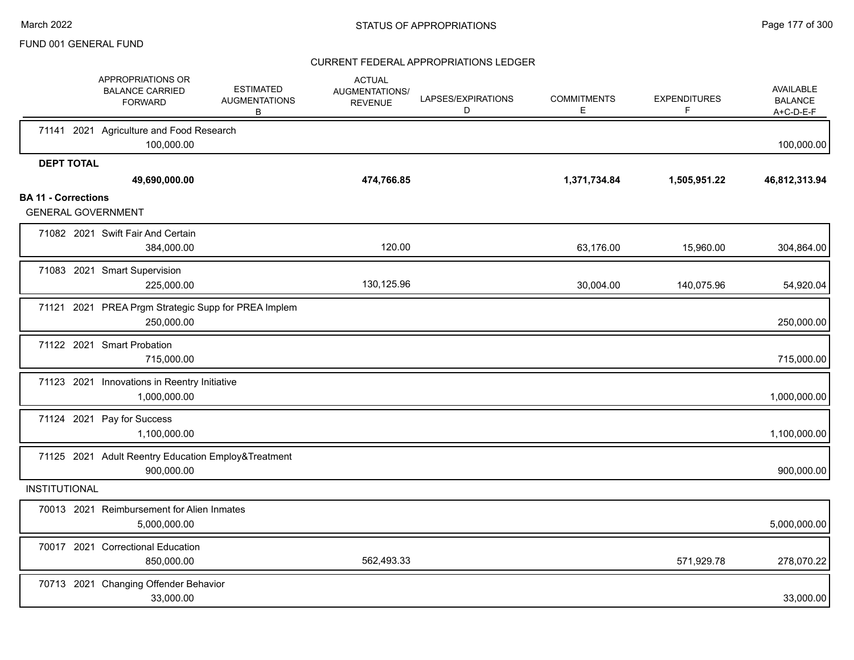|                            | APPROPRIATIONS OR<br><b>BALANCE CARRIED</b><br><b>FORWARD</b>     | <b>ESTIMATED</b><br><b>AUGMENTATIONS</b><br>B | <b>ACTUAL</b><br>AUGMENTATIONS/<br><b>REVENUE</b> | LAPSES/EXPIRATIONS<br>D | <b>COMMITMENTS</b><br>Е | <b>EXPENDITURES</b><br>F | AVAILABLE<br><b>BALANCE</b><br>$A+C-D-E-F$ |
|----------------------------|-------------------------------------------------------------------|-----------------------------------------------|---------------------------------------------------|-------------------------|-------------------------|--------------------------|--------------------------------------------|
|                            | 71141 2021 Agriculture and Food Research<br>100,000.00            |                                               |                                                   |                         |                         |                          | 100,000.00                                 |
| <b>DEPT TOTAL</b>          |                                                                   |                                               |                                                   |                         |                         |                          |                                            |
|                            | 49,690,000.00                                                     |                                               | 474,766.85                                        |                         | 1,371,734.84            | 1,505,951.22             | 46,812,313.94                              |
| <b>BA 11 - Corrections</b> | <b>GENERAL GOVERNMENT</b>                                         |                                               |                                                   |                         |                         |                          |                                            |
|                            | 71082 2021 Swift Fair And Certain<br>384,000.00                   |                                               | 120.00                                            |                         | 63,176.00               | 15,960.00                | 304,864.00                                 |
|                            | 71083 2021 Smart Supervision<br>225,000.00                        |                                               | 130,125.96                                        |                         | 30,004.00               | 140,075.96               | 54,920.04                                  |
|                            | 71121 2021 PREA Prgm Strategic Supp for PREA Implem<br>250,000.00 |                                               |                                                   |                         |                         |                          | 250,000.00                                 |
|                            | 71122 2021 Smart Probation<br>715,000.00                          |                                               |                                                   |                         |                         |                          | 715,000.00                                 |
|                            | 71123 2021 Innovations in Reentry Initiative<br>1,000,000.00      |                                               |                                                   |                         |                         |                          | 1,000,000.00                               |
|                            | 71124 2021 Pay for Success<br>1,100,000.00                        |                                               |                                                   |                         |                         |                          | 1,100,000.00                               |
|                            | 71125 2021 Adult Reentry Education Employ&Treatment<br>900,000.00 |                                               |                                                   |                         |                         |                          | 900,000.00                                 |
| <b>INSTITUTIONAL</b>       |                                                                   |                                               |                                                   |                         |                         |                          |                                            |
|                            | 70013 2021 Reimbursement for Alien Inmates<br>5,000,000.00        |                                               |                                                   |                         |                         |                          | 5,000,000.00                               |
|                            | 70017 2021 Correctional Education<br>850,000.00                   |                                               | 562,493.33                                        |                         |                         | 571,929.78               | 278,070.22                                 |
|                            | 70713 2021 Changing Offender Behavior<br>33,000.00                |                                               |                                                   |                         |                         |                          | 33,000.00                                  |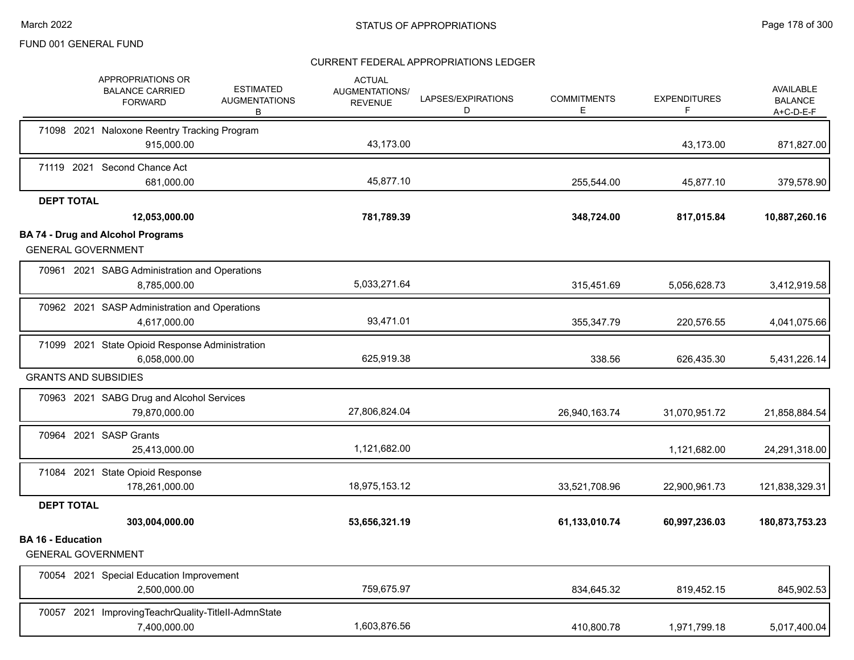|                          | APPROPRIATIONS OR<br><b>ESTIMATED</b><br><b>BALANCE CARRIED</b><br><b>AUGMENTATIONS</b><br><b>FORWARD</b><br>B | <b>ACTUAL</b><br>AUGMENTATIONS/<br><b>REVENUE</b> | LAPSES/EXPIRATIONS<br>D | <b>COMMITMENTS</b><br>Е | <b>EXPENDITURES</b><br>F | AVAILABLE<br><b>BALANCE</b><br>$A+C-D-E-F$ |
|--------------------------|----------------------------------------------------------------------------------------------------------------|---------------------------------------------------|-------------------------|-------------------------|--------------------------|--------------------------------------------|
|                          | 71098 2021 Naloxone Reentry Tracking Program                                                                   | 43,173.00                                         |                         |                         |                          |                                            |
|                          | 915,000.00                                                                                                     |                                                   |                         |                         | 43,173.00                | 871,827.00                                 |
|                          | 71119 2021 Second Chance Act<br>681,000.00                                                                     | 45,877.10                                         |                         | 255,544.00              | 45,877.10                | 379,578.90                                 |
| <b>DEPT TOTAL</b>        |                                                                                                                |                                                   |                         |                         |                          |                                            |
|                          | 12,053,000.00                                                                                                  | 781,789.39                                        |                         | 348,724.00              | 817,015.84               | 10,887,260.16                              |
|                          | <b>BA 74 - Drug and Alcohol Programs</b><br><b>GENERAL GOVERNMENT</b>                                          |                                                   |                         |                         |                          |                                            |
|                          | 70961 2021 SABG Administration and Operations<br>8,785,000.00                                                  | 5,033,271.64                                      |                         | 315,451.69              | 5,056,628.73             | 3,412,919.58                               |
|                          | 70962 2021 SASP Administration and Operations<br>4,617,000.00                                                  | 93,471.01                                         |                         | 355,347.79              | 220,576.55               | 4,041,075.66                               |
|                          | 71099 2021 State Opioid Response Administration<br>6,058,000.00                                                | 625,919.38                                        |                         | 338.56                  | 626,435.30               | 5,431,226.14                               |
|                          | <b>GRANTS AND SUBSIDIES</b>                                                                                    |                                                   |                         |                         |                          |                                            |
|                          | 70963 2021 SABG Drug and Alcohol Services<br>79,870,000.00                                                     | 27,806,824.04                                     |                         | 26,940,163.74           | 31,070,951.72            | 21,858,884.54                              |
|                          | 70964 2021 SASP Grants<br>25,413,000.00                                                                        | 1,121,682.00                                      |                         |                         | 1,121,682.00             | 24,291,318.00                              |
|                          | 71084 2021 State Opioid Response<br>178,261,000.00                                                             | 18,975,153.12                                     |                         | 33,521,708.96           | 22,900,961.73            | 121,838,329.31                             |
| <b>DEPT TOTAL</b>        | 303,004,000.00                                                                                                 | 53,656,321.19                                     |                         | 61,133,010.74           | 60,997,236.03            | 180,873,753.23                             |
| <b>BA 16 - Education</b> | <b>GENERAL GOVERNMENT</b>                                                                                      |                                                   |                         |                         |                          |                                            |
|                          | 70054 2021 Special Education Improvement<br>2,500,000.00                                                       | 759,675.97                                        |                         | 834,645.32              | 819,452.15               | 845,902.53                                 |
|                          | 70057 2021 ImprovingTeachrQuality-TitleII-AdmnState<br>7,400,000.00                                            | 1,603,876.56                                      |                         | 410,800.78              | 1,971,799.18             | 5,017,400.04                               |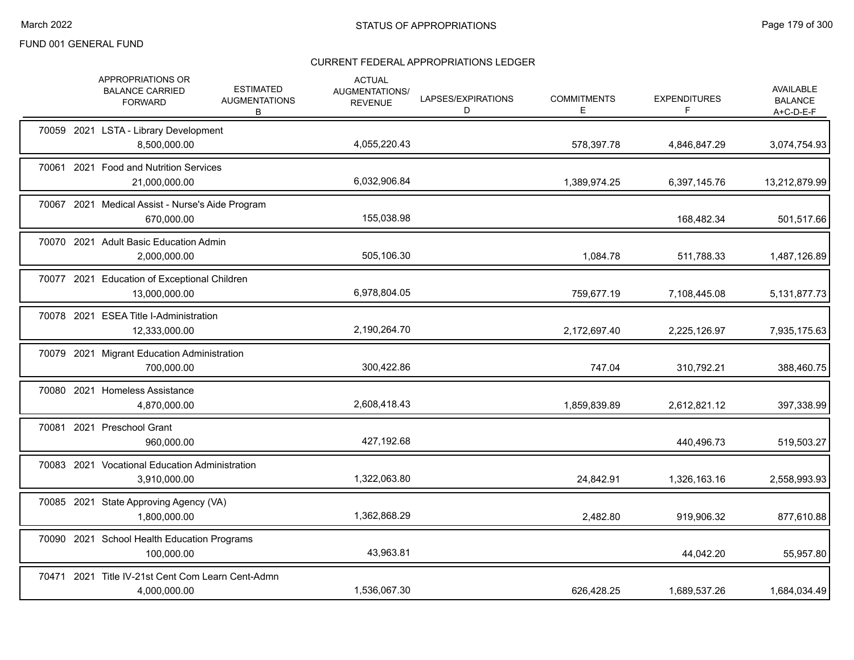|            | APPROPRIATIONS OR<br><b>BALANCE CARRIED</b><br><b>FORWARD</b>     | <b>ESTIMATED</b><br><b>AUGMENTATIONS</b><br>В | <b>ACTUAL</b><br>AUGMENTATIONS/<br><b>REVENUE</b> | LAPSES/EXPIRATIONS<br>D | <b>COMMITMENTS</b><br>E | <b>EXPENDITURES</b><br>F | <b>AVAILABLE</b><br><b>BALANCE</b><br>$A+C-D-E-F$ |
|------------|-------------------------------------------------------------------|-----------------------------------------------|---------------------------------------------------|-------------------------|-------------------------|--------------------------|---------------------------------------------------|
|            | 70059 2021 LSTA - Library Development<br>8,500,000.00             |                                               | 4,055,220.43                                      |                         | 578,397.78              | 4,846,847.29             | 3,074,754.93                                      |
|            | 70061 2021 Food and Nutrition Services<br>21,000,000.00           |                                               | 6,032,906.84                                      |                         | 1,389,974.25            | 6,397,145.76             | 13,212,879.99                                     |
|            | 70067 2021 Medical Assist - Nurse's Aide Program<br>670,000.00    |                                               | 155,038.98                                        |                         |                         | 168,482.34               | 501,517.66                                        |
|            | 70070 2021 Adult Basic Education Admin<br>2,000,000.00            |                                               | 505,106.30                                        |                         | 1,084.78                | 511,788.33               | 1,487,126.89                                      |
|            | 70077 2021 Education of Exceptional Children<br>13,000,000.00     |                                               | 6,978,804.05                                      |                         | 759,677.19              | 7,108,445.08             | 5, 131, 877. 73                                   |
|            | 70078 2021 ESEA Title I-Administration<br>12,333,000.00           |                                               | 2,190,264.70                                      |                         | 2,172,697.40            | 2,225,126.97             | 7,935,175.63                                      |
| 70079 2021 | <b>Migrant Education Administration</b><br>700,000.00             |                                               | 300,422.86                                        |                         | 747.04                  | 310,792.21               | 388,460.75                                        |
|            | 70080 2021 Homeless Assistance<br>4,870,000.00                    |                                               | 2,608,418.43                                      |                         | 1,859,839.89            | 2,612,821.12             | 397,338.99                                        |
|            | 70081 2021 Preschool Grant<br>960.000.00                          |                                               | 427,192.68                                        |                         |                         | 440,496.73               | 519,503.27                                        |
|            | 70083 2021 Vocational Education Administration<br>3,910,000.00    |                                               | 1,322,063.80                                      |                         | 24,842.91               | 1,326,163.16             | 2,558,993.93                                      |
|            | 70085 2021 State Approving Agency (VA)<br>1,800,000.00            |                                               | 1,362,868.29                                      |                         | 2,482.80                | 919,906.32               | 877,610.88                                        |
|            | 70090 2021 School Health Education Programs<br>100,000.00         |                                               | 43,963.81                                         |                         |                         | 44,042.20                | 55,957.80                                         |
|            | 70471 2021 Title IV-21st Cent Com Learn Cent-Admn<br>4,000,000.00 |                                               | 1,536,067.30                                      |                         | 626,428.25              | 1,689,537.26             | 1,684,034.49                                      |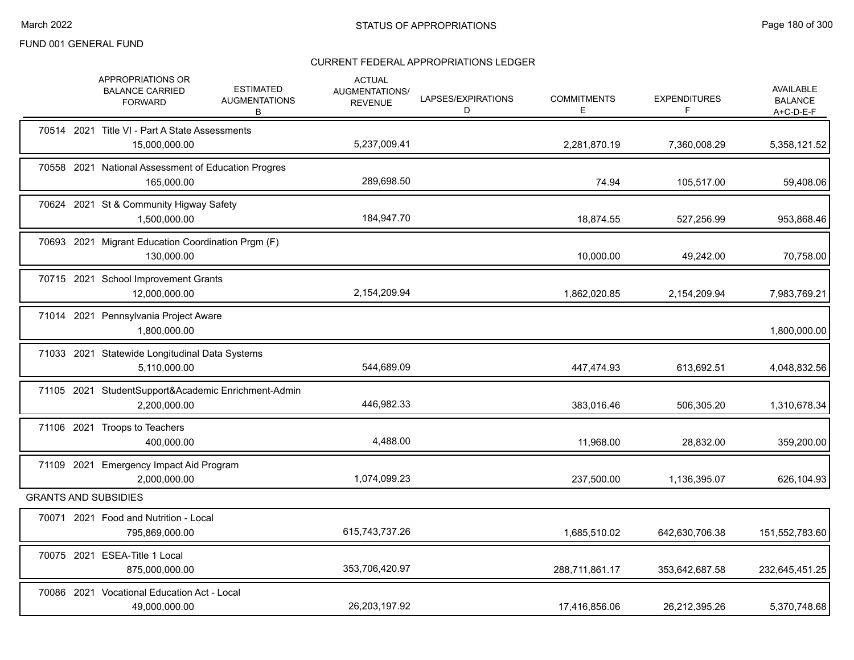|  | APPROPRIATIONS OR<br><b>BALANCE CARRIED</b><br><b>FORWARD</b>       | <b>ESTIMATED</b><br><b>AUGMENTATIONS</b><br>В | <b>ACTUAL</b><br>AUGMENTATIONS/<br><b>REVENUE</b> | LAPSES/EXPIRATIONS<br>D | <b>COMMITMENTS</b><br>E | <b>EXPENDITURES</b><br>F | <b>AVAILABLE</b><br><b>BALANCE</b><br>$A+C-D-E-F$ |
|--|---------------------------------------------------------------------|-----------------------------------------------|---------------------------------------------------|-------------------------|-------------------------|--------------------------|---------------------------------------------------|
|  | 70514 2021 Title VI - Part A State Assessments<br>15,000,000.00     |                                               | 5,237,009.41                                      |                         | 2,281,870.19            | 7,360,008.29             | 5,358,121.52                                      |
|  | 70558 2021 National Assessment of Education Progres<br>165,000.00   |                                               | 289,698.50                                        |                         | 74.94                   | 105.517.00               | 59,408.06                                         |
|  | 70624 2021 St & Community Higway Safety<br>1,500,000.00             |                                               | 184,947.70                                        |                         | 18,874.55               | 527,256.99               | 953,868.46                                        |
|  | 70693 2021 Migrant Education Coordination Prgm (F)<br>130,000.00    |                                               |                                                   |                         | 10,000.00               | 49,242.00                | 70,758.00                                         |
|  | 70715 2021 School Improvement Grants<br>12,000,000.00               |                                               | 2,154,209.94                                      |                         | 1,862,020.85            | 2,154,209.94             | 7,983,769.21                                      |
|  | 71014 2021 Pennsylvania Project Aware<br>1,800,000.00               |                                               |                                                   |                         |                         |                          | 1,800,000.00                                      |
|  | 71033 2021 Statewide Longitudinal Data Systems<br>5,110,000.00      |                                               | 544,689.09                                        |                         | 447,474.93              | 613,692.51               | 4,048,832.56                                      |
|  | 71105 2021 StudentSupport&Academic Enrichment-Admin<br>2,200,000.00 |                                               | 446,982.33                                        |                         | 383,016.46              | 506,305.20               | 1,310,678.34                                      |
|  | 71106 2021 Troops to Teachers<br>400,000.00                         |                                               | 4.488.00                                          |                         | 11,968.00               | 28,832.00                | 359,200.00                                        |
|  | 71109 2021 Emergency Impact Aid Program<br>2,000,000.00             |                                               | 1,074,099.23                                      |                         | 237,500.00              | 1,136,395.07             | 626,104.93                                        |
|  | <b>GRANTS AND SUBSIDIES</b>                                         |                                               |                                                   |                         |                         |                          |                                                   |
|  | 70071 2021 Food and Nutrition - Local<br>795,869,000.00             |                                               | 615,743,737.26                                    |                         | 1,685,510.02            | 642,630,706.38           | 151,552,783.60                                    |
|  | 70075 2021 ESEA-Title 1 Local<br>875,000,000.00                     |                                               | 353,706,420.97                                    |                         | 288,711,861.17          | 353,642,687.58           | 232,645,451.25                                    |
|  | 70086 2021 Vocational Education Act - Local<br>49,000,000.00        |                                               | 26,203,197.92                                     |                         | 17,416,856.06           | 26,212,395.26            | 5,370,748.68                                      |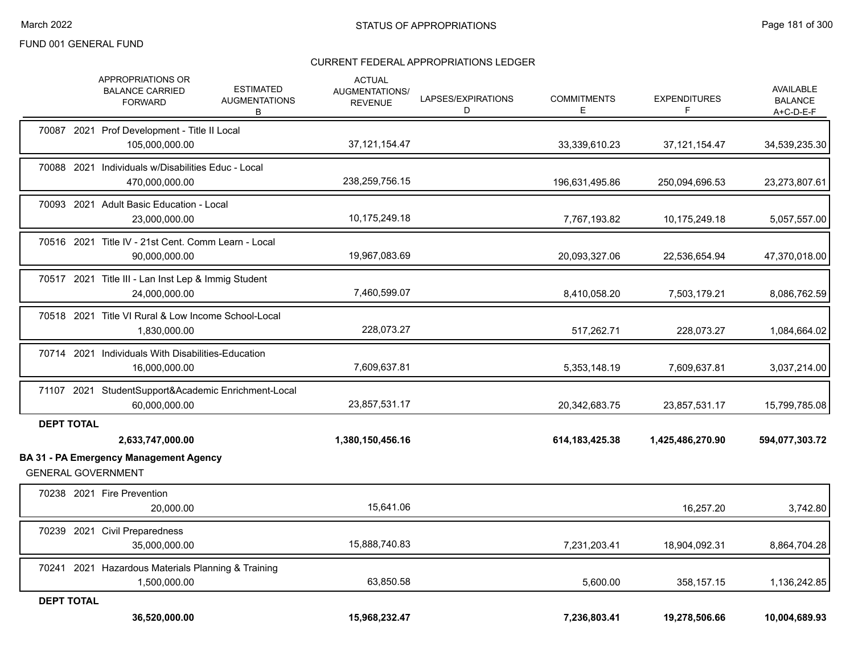|                   | <b>APPROPRIATIONS OR</b><br><b>ESTIMATED</b><br><b>BALANCE CARRIED</b><br><b>AUGMENTATIONS</b><br><b>FORWARD</b><br>B | <b>ACTUAL</b><br>AUGMENTATIONS/<br><b>REVENUE</b> | LAPSES/EXPIRATIONS<br>D | <b>COMMITMENTS</b><br>Е | <b>EXPENDITURES</b><br>F | AVAILABLE<br><b>BALANCE</b><br>$A+C-D-E-F$ |
|-------------------|-----------------------------------------------------------------------------------------------------------------------|---------------------------------------------------|-------------------------|-------------------------|--------------------------|--------------------------------------------|
|                   | 70087 2021 Prof Development - Title II Local<br>105,000,000.00                                                        | 37, 121, 154. 47                                  |                         | 33,339,610.23           | 37,121,154.47            | 34,539,235.30                              |
|                   | 70088 2021 Individuals w/Disabilities Educ - Local<br>470,000,000.00                                                  | 238,259,756.15                                    |                         | 196,631,495.86          | 250,094,696.53           | 23,273,807.61                              |
|                   | 70093 2021 Adult Basic Education - Local<br>23,000,000.00                                                             | 10,175,249.18                                     |                         | 7,767,193.82            | 10,175,249.18            | 5,057,557.00                               |
|                   | 70516 2021 Title IV - 21st Cent. Comm Learn - Local<br>90,000,000.00                                                  | 19,967,083.69                                     |                         | 20,093,327.06           | 22,536,654.94            | 47,370,018.00                              |
|                   | 70517 2021 Title III - Lan Inst Lep & Immig Student<br>24,000,000.00                                                  | 7,460,599.07                                      |                         | 8,410,058.20            | 7,503,179.21             | 8,086,762.59                               |
|                   | 70518 2021 Title VI Rural & Low Income School-Local<br>1,830,000.00                                                   | 228,073.27                                        |                         | 517,262.71              | 228,073.27               | 1,084,664.02                               |
|                   | 70714 2021 Individuals With Disabilities-Education<br>16,000,000.00                                                   | 7,609,637.81                                      |                         | 5,353,148.19            | 7,609,637.81             | 3,037,214.00                               |
|                   | 71107 2021 StudentSupport&Academic Enrichment-Local<br>60,000,000.00                                                  | 23,857,531.17                                     |                         | 20,342,683.75           | 23,857,531.17            | 15,799,785.08                              |
| <b>DEPT TOTAL</b> | 2,633,747,000.00<br><b>BA 31 - PA Emergency Management Agency</b>                                                     | 1,380,150,456.16                                  |                         | 614, 183, 425. 38       | 1,425,486,270.90         | 594,077,303.72                             |
|                   | <b>GENERAL GOVERNMENT</b>                                                                                             |                                                   |                         |                         |                          |                                            |
|                   | 70238 2021 Fire Prevention<br>20,000.00                                                                               | 15,641.06                                         |                         |                         | 16,257.20                | 3,742.80                                   |
|                   | 70239 2021 Civil Preparedness<br>35,000,000.00                                                                        | 15,888,740.83                                     |                         | 7,231,203.41            | 18,904,092.31            | 8,864,704.28                               |
|                   | 70241 2021 Hazardous Materials Planning & Training<br>1,500,000.00                                                    | 63,850.58                                         |                         | 5,600.00                | 358,157.15               | 1,136,242.85                               |
| <b>DEPT TOTAL</b> | 36,520,000.00                                                                                                         | 15,968,232.47                                     |                         | 7,236,803.41            | 19,278,506.66            | 10,004,689.93                              |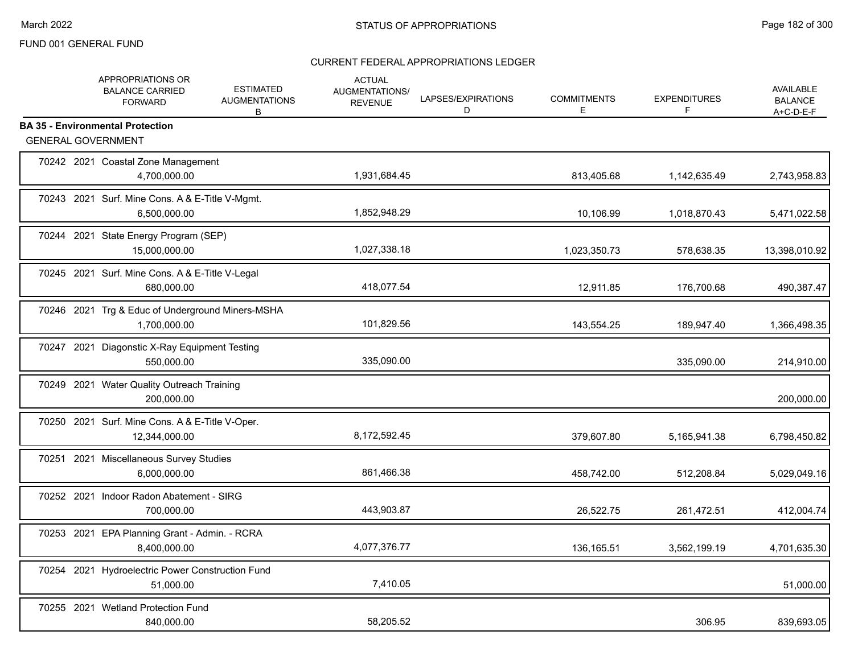|  | APPROPRIATIONS OR<br><b>BALANCE CARRIED</b><br><b>FORWARD</b>        | <b>ESTIMATED</b><br><b>AUGMENTATIONS</b><br>В | <b>ACTUAL</b><br><b>AUGMENTATIONS/</b><br><b>REVENUE</b> | LAPSES/EXPIRATIONS<br>D | <b>COMMITMENTS</b><br>E | <b>EXPENDITURES</b><br>F | <b>AVAILABLE</b><br><b>BALANCE</b><br>$A+C-D-E-F$ |
|--|----------------------------------------------------------------------|-----------------------------------------------|----------------------------------------------------------|-------------------------|-------------------------|--------------------------|---------------------------------------------------|
|  | <b>BA 35 - Environmental Protection</b><br><b>GENERAL GOVERNMENT</b> |                                               |                                                          |                         |                         |                          |                                                   |
|  | 70242 2021 Coastal Zone Management<br>4,700,000.00                   |                                               | 1,931,684.45                                             |                         | 813,405.68              | 1,142,635.49             | 2,743,958.83                                      |
|  | 70243 2021 Surf. Mine Cons. A & E-Title V-Mgmt.<br>6,500,000.00      |                                               | 1,852,948.29                                             |                         | 10,106.99               | 1,018,870.43             | 5,471,022.58                                      |
|  | 70244 2021 State Energy Program (SEP)<br>15,000,000.00               |                                               | 1,027,338.18                                             |                         | 1,023,350.73            | 578,638.35               | 13,398,010.92                                     |
|  | 70245 2021 Surf. Mine Cons. A & E-Title V-Legal<br>680,000.00        |                                               | 418,077.54                                               |                         | 12,911.85               | 176,700.68               | 490,387.47                                        |
|  | 70246 2021 Trg & Educ of Underground Miners-MSHA<br>1.700.000.00     |                                               | 101,829.56                                               |                         | 143,554.25              | 189,947.40               | 1,366,498.35                                      |
|  | 70247 2021 Diagonstic X-Ray Equipment Testing<br>550.000.00          |                                               | 335,090.00                                               |                         |                         | 335,090.00               | 214,910.00                                        |
|  | 70249 2021 Water Quality Outreach Training<br>200,000.00             |                                               |                                                          |                         |                         |                          | 200,000.00                                        |
|  | 70250 2021 Surf. Mine Cons. A & E-Title V-Oper.<br>12,344,000.00     |                                               | 8,172,592.45                                             |                         | 379,607.80              | 5,165,941.38             | 6,798,450.82                                      |
|  | 70251 2021 Miscellaneous Survey Studies<br>6,000,000.00              |                                               | 861,466.38                                               |                         | 458,742.00              | 512,208.84               | 5,029,049.16                                      |
|  | 70252 2021 Indoor Radon Abatement - SIRG<br>700,000.00               |                                               | 443,903.87                                               |                         | 26,522.75               | 261,472.51               | 412,004.74                                        |
|  | 70253 2021 EPA Planning Grant - Admin. - RCRA<br>8,400,000.00        |                                               | 4,077,376.77                                             |                         | 136,165.51              | 3,562,199.19             | 4,701,635.30                                      |
|  | 70254 2021 Hydroelectric Power Construction Fund<br>51,000.00        |                                               | 7,410.05                                                 |                         |                         |                          | 51,000.00                                         |
|  | 70255 2021 Wetland Protection Fund<br>840,000.00                     |                                               | 58,205.52                                                |                         |                         | 306.95                   | 839,693.05                                        |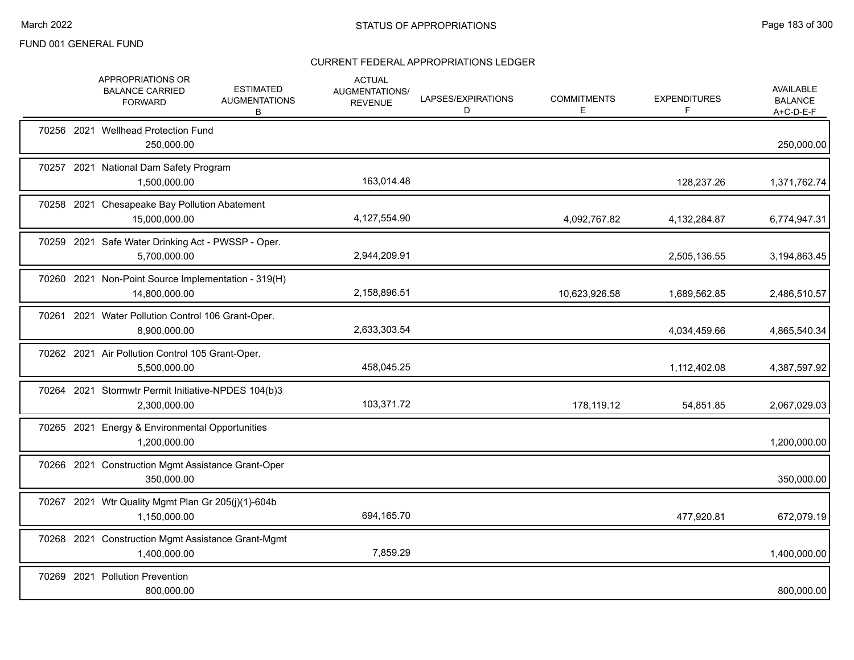|            | APPROPRIATIONS OR<br><b>BALANCE CARRIED</b><br><b>FORWARD</b>        | <b>ESTIMATED</b><br><b>AUGMENTATIONS</b><br>B | <b>ACTUAL</b><br>AUGMENTATIONS/<br><b>REVENUE</b> | LAPSES/EXPIRATIONS<br>D | <b>COMMITMENTS</b><br>Е | <b>EXPENDITURES</b><br>F | AVAILABLE<br><b>BALANCE</b><br>A+C-D-E-F |
|------------|----------------------------------------------------------------------|-----------------------------------------------|---------------------------------------------------|-------------------------|-------------------------|--------------------------|------------------------------------------|
|            | 70256 2021 Wellhead Protection Fund<br>250,000.00                    |                                               |                                                   |                         |                         |                          | 250,000.00                               |
|            | 70257 2021 National Dam Safety Program<br>1,500,000.00               |                                               | 163,014.48                                        |                         |                         | 128,237.26               | 1,371,762.74                             |
|            | 70258 2021 Chesapeake Bay Pollution Abatement<br>15.000.000.00       |                                               | 4,127,554.90                                      |                         | 4,092,767.82            | 4,132,284.87             | 6,774,947.31                             |
|            | 70259 2021 Safe Water Drinking Act - PWSSP - Oper.<br>5,700,000.00   |                                               | 2,944,209.91                                      |                         |                         | 2,505,136.55             | 3,194,863.45                             |
|            | 70260 2021 Non-Point Source Implementation - 319(H)<br>14,800,000.00 |                                               | 2,158,896.51                                      |                         | 10,623,926.58           | 1,689,562.85             | 2,486,510.57                             |
|            | 70261 2021 Water Pollution Control 106 Grant-Oper.<br>8,900,000.00   |                                               | 2,633,303.54                                      |                         |                         | 4,034,459.66             | 4,865,540.34                             |
|            | 70262 2021 Air Pollution Control 105 Grant-Oper.<br>5,500,000.00     |                                               | 458,045.25                                        |                         |                         | 1,112,402.08             | 4,387,597.92                             |
|            | 70264 2021 Stormwtr Permit Initiative-NPDES 104(b)3<br>2,300,000.00  |                                               | 103,371.72                                        |                         | 178,119.12              | 54,851.85                | 2,067,029.03                             |
|            | 70265 2021 Energy & Environmental Opportunities<br>1,200,000.00      |                                               |                                                   |                         |                         |                          | 1,200,000.00                             |
|            | 70266 2021 Construction Mgmt Assistance Grant-Oper<br>350,000.00     |                                               |                                                   |                         |                         |                          | 350,000.00                               |
|            | 70267 2021 Wtr Quality Mgmt Plan Gr 205(j)(1)-604b<br>1,150,000.00   |                                               | 694,165.70                                        |                         |                         | 477,920.81               | 672,079.19                               |
|            | 70268 2021 Construction Mgmt Assistance Grant-Mgmt<br>1,400,000.00   |                                               | 7,859.29                                          |                         |                         |                          | 1,400,000.00                             |
| 70269 2021 | <b>Pollution Prevention</b><br>800,000.00                            |                                               |                                                   |                         |                         |                          | 800,000.00                               |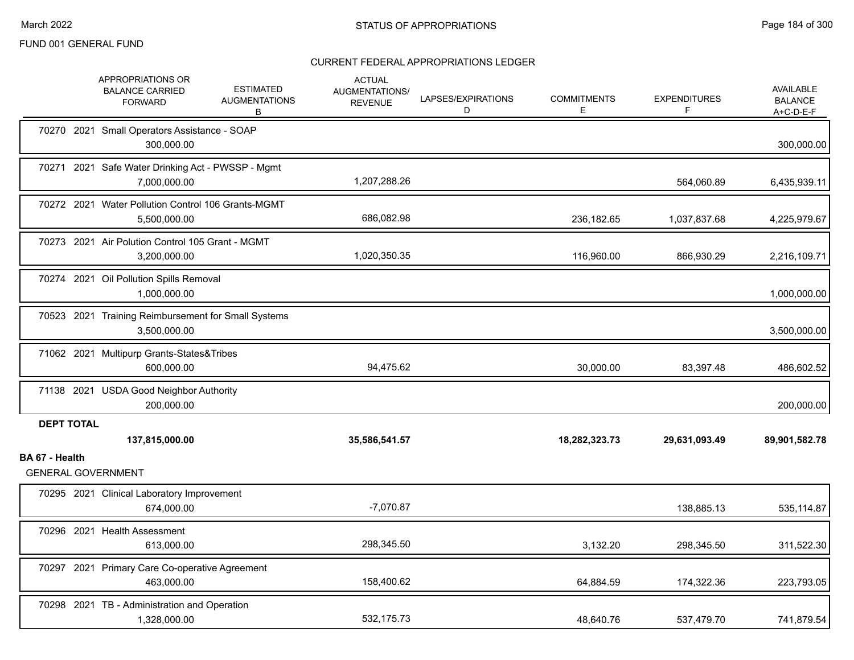|                   | APPROPRIATIONS OR<br><b>BALANCE CARRIED</b><br><b>FORWARD</b>       | <b>ESTIMATED</b><br><b>AUGMENTATIONS</b><br>B | <b>ACTUAL</b><br><b>AUGMENTATIONS/</b><br><b>REVENUE</b> | LAPSES/EXPIRATIONS<br>D | <b>COMMITMENTS</b><br>Е | <b>EXPENDITURES</b><br>F | AVAILABLE<br><b>BALANCE</b><br>$A+C-D-E-F$ |
|-------------------|---------------------------------------------------------------------|-----------------------------------------------|----------------------------------------------------------|-------------------------|-------------------------|--------------------------|--------------------------------------------|
|                   | 70270 2021 Small Operators Assistance - SOAP<br>300,000.00          |                                               |                                                          |                         |                         |                          | 300,000.00                                 |
|                   | 70271 2021 Safe Water Drinking Act - PWSSP - Mgmt<br>7,000,000.00   |                                               | 1,207,288.26                                             |                         |                         | 564,060.89               | 6,435,939.11                               |
|                   | 70272 2021 Water Pollution Control 106 Grants-MGMT<br>5,500,000.00  |                                               | 686,082.98                                               |                         | 236,182.65              | 1,037,837.68             | 4,225,979.67                               |
|                   | 70273 2021 Air Polution Control 105 Grant - MGMT<br>3,200,000.00    |                                               | 1,020,350.35                                             |                         | 116,960.00              | 866,930.29               | 2,216,109.71                               |
|                   | 70274 2021 Oil Pollution Spills Removal<br>1,000,000.00             |                                               |                                                          |                         |                         |                          | 1,000,000.00                               |
|                   | 70523 2021 Training Reimbursement for Small Systems<br>3,500,000.00 |                                               |                                                          |                         |                         |                          | 3,500,000.00                               |
|                   | 71062 2021 Multipurp Grants-States&Tribes<br>600,000.00             |                                               | 94,475.62                                                |                         | 30,000.00               | 83,397.48                | 486,602.52                                 |
|                   | 71138 2021 USDA Good Neighbor Authority<br>200.000.00               |                                               |                                                          |                         |                         |                          | 200,000.00                                 |
| <b>DEPT TOTAL</b> | 137,815,000.00                                                      |                                               | 35,586,541.57                                            |                         | 18,282,323.73           | 29,631,093.49            | 89,901,582.78                              |
| BA 67 - Health    | <b>GENERAL GOVERNMENT</b>                                           |                                               |                                                          |                         |                         |                          |                                            |
|                   | 70295 2021 Clinical Laboratory Improvement<br>674,000.00            |                                               | $-7,070.87$                                              |                         |                         | 138,885.13               | 535,114.87                                 |
|                   | 70296 2021 Health Assessment<br>613,000.00                          |                                               | 298,345.50                                               |                         | 3,132.20                | 298,345.50               | 311,522.30                                 |
|                   | 70297 2021 Primary Care Co-operative Agreement<br>463,000.00        |                                               | 158,400.62                                               |                         | 64,884.59               | 174,322.36               | 223,793.05                                 |
|                   | 70298 2021 TB - Administration and Operation<br>1,328,000.00        |                                               | 532,175.73                                               |                         | 48,640.76               | 537,479.70               | 741,879.54                                 |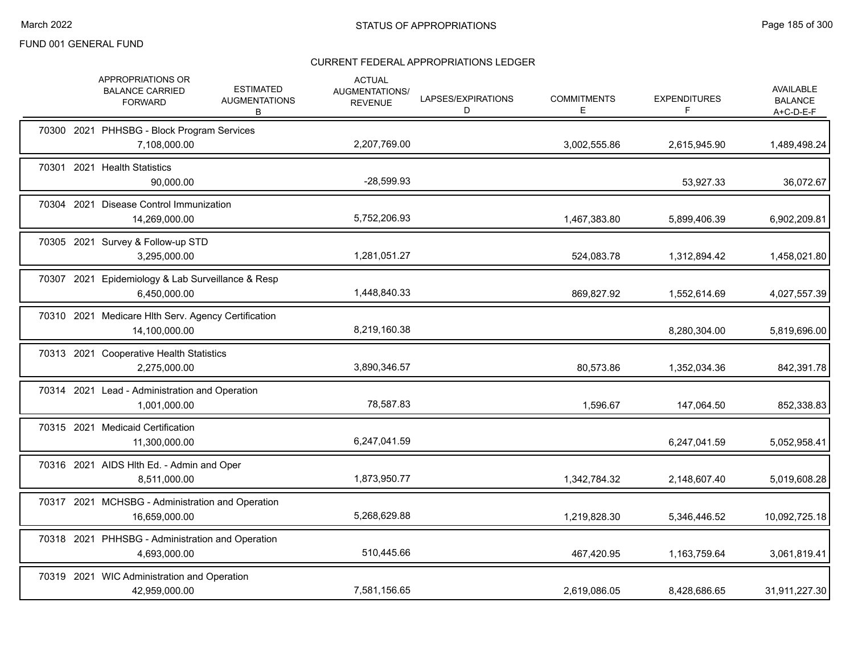|  | <b>APPROPRIATIONS OR</b><br><b>BALANCE CARRIED</b><br><b>FORWARD</b> | <b>ESTIMATED</b><br><b>AUGMENTATIONS</b><br>В | <b>ACTUAL</b><br>AUGMENTATIONS/<br><b>REVENUE</b> | LAPSES/EXPIRATIONS<br>D | <b>COMMITMENTS</b><br>E. | <b>EXPENDITURES</b><br>F | <b>AVAILABLE</b><br><b>BALANCE</b><br>$A+C-D-E-F$ |
|--|----------------------------------------------------------------------|-----------------------------------------------|---------------------------------------------------|-------------------------|--------------------------|--------------------------|---------------------------------------------------|
|  | 70300 2021 PHHSBG - Block Program Services<br>7,108,000.00           |                                               | 2,207,769.00                                      |                         | 3,002,555.86             | 2,615,945.90             | 1,489,498.24                                      |
|  | 70301 2021 Health Statistics<br>90,000.00                            |                                               | $-28,599.93$                                      |                         |                          | 53,927.33                | 36,072.67                                         |
|  | 70304 2021 Disease Control Immunization<br>14,269,000.00             |                                               | 5,752,206.93                                      |                         | 1,467,383.80             | 5,899,406.39             | 6,902,209.81                                      |
|  | 70305 2021 Survey & Follow-up STD<br>3,295,000.00                    |                                               | 1,281,051.27                                      |                         | 524,083.78               | 1,312,894.42             | 1,458,021.80                                      |
|  | 70307 2021 Epidemiology & Lab Surveillance & Resp<br>6,450,000.00    |                                               | 1,448,840.33                                      |                         | 869,827.92               | 1,552,614.69             | 4,027,557.39                                      |
|  | 70310 2021 Medicare Hlth Serv. Agency Certification<br>14,100,000.00 |                                               | 8,219,160.38                                      |                         |                          | 8,280,304.00             | 5,819,696.00                                      |
|  | 70313 2021 Cooperative Health Statistics<br>2,275,000.00             |                                               | 3,890,346.57                                      |                         | 80,573.86                | 1,352,034.36             | 842,391.78                                        |
|  | 70314 2021 Lead - Administration and Operation<br>1,001,000.00       |                                               | 78,587.83                                         |                         | 1,596.67                 | 147,064.50               | 852,338.83                                        |
|  | 70315 2021 Medicaid Certification<br>11,300,000.00                   |                                               | 6,247,041.59                                      |                         |                          | 6,247,041.59             | 5,052,958.41                                      |
|  | 70316 2021 AIDS HIth Ed. - Admin and Oper<br>8,511,000.00            |                                               | 1,873,950.77                                      |                         | 1,342,784.32             | 2,148,607.40             | 5,019,608.28                                      |
|  | 70317 2021 MCHSBG - Administration and Operation<br>16,659,000.00    |                                               | 5,268,629.88                                      |                         | 1,219,828.30             | 5,346,446.52             | 10,092,725.18                                     |
|  | 70318 2021 PHHSBG - Administration and Operation<br>4,693,000.00     |                                               | 510,445.66                                        |                         | 467,420.95               | 1,163,759.64             | 3,061,819.41                                      |
|  | 70319 2021 WIC Administration and Operation<br>42,959,000.00         |                                               | 7,581,156.65                                      |                         | 2,619,086.05             | 8,428,686.65             | 31,911,227.30                                     |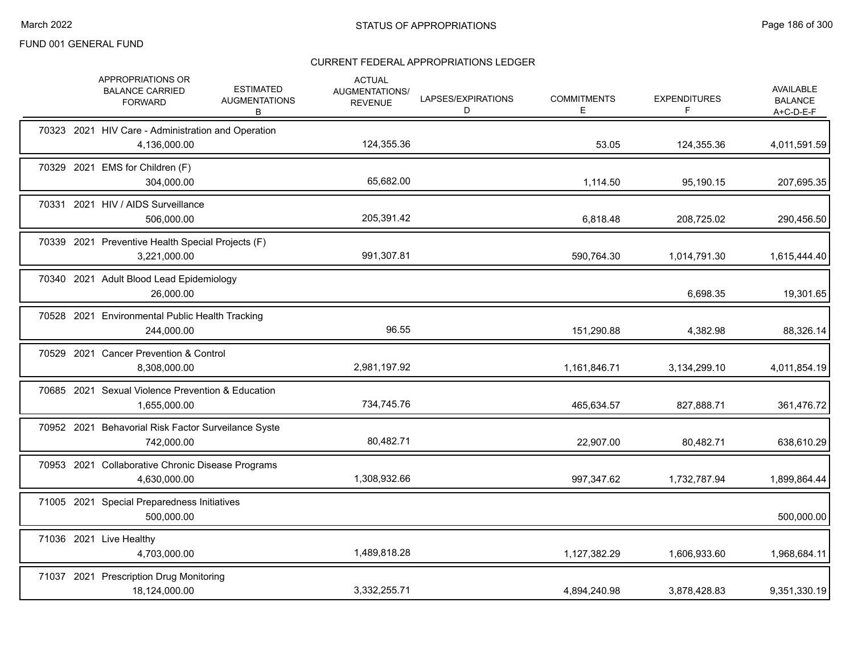|  | APPROPRIATIONS OR<br><b>BALANCE CARRIED</b><br><b>FORWARD</b>      | <b>ESTIMATED</b><br><b>AUGMENTATIONS</b><br>В | <b>ACTUAL</b><br>AUGMENTATIONS/<br><b>REVENUE</b> | LAPSES/EXPIRATIONS<br>D | <b>COMMITMENTS</b><br>E. | <b>EXPENDITURES</b><br>F | <b>AVAILABLE</b><br><b>BALANCE</b><br>$A+C-D-E-F$ |
|--|--------------------------------------------------------------------|-----------------------------------------------|---------------------------------------------------|-------------------------|--------------------------|--------------------------|---------------------------------------------------|
|  | 70323 2021 HIV Care - Administration and Operation<br>4,136,000.00 |                                               | 124,355.36                                        |                         | 53.05                    | 124,355.36               | 4,011,591.59                                      |
|  | 70329 2021 EMS for Children (F)<br>304,000.00                      |                                               | 65,682.00                                         |                         | 1,114.50                 | 95,190.15                | 207,695.35                                        |
|  | 70331 2021 HIV / AIDS Surveillance<br>506,000.00                   |                                               | 205,391.42                                        |                         | 6,818.48                 | 208,725.02               | 290,456.50                                        |
|  | 70339 2021 Preventive Health Special Projects (F)<br>3,221,000.00  |                                               | 991,307.81                                        |                         | 590,764.30               | 1,014,791.30             | 1,615,444.40                                      |
|  | 70340 2021 Adult Blood Lead Epidemiology<br>26,000.00              |                                               |                                                   |                         |                          | 6,698.35                 | 19,301.65                                         |
|  | 70528 2021 Environmental Public Health Tracking<br>244,000.00      |                                               | 96.55                                             |                         | 151,290.88               | 4,382.98                 | 88,326.14                                         |
|  | 70529 2021 Cancer Prevention & Control<br>8,308,000.00             |                                               | 2,981,197.92                                      |                         | 1,161,846.71             | 3,134,299.10             | 4,011,854.19                                      |
|  | 70685 2021 Sexual Violence Prevention & Education<br>1,655,000.00  |                                               | 734,745.76                                        |                         | 465,634.57               | 827,888.71               | 361,476.72                                        |
|  | 70952 2021 Behavorial Risk Factor Surveilance Syste<br>742,000.00  |                                               | 80,482.71                                         |                         | 22,907.00                | 80,482.71                | 638,610.29                                        |
|  | 70953 2021 Collaborative Chronic Disease Programs<br>4,630,000.00  |                                               | 1,308,932.66                                      |                         | 997,347.62               | 1,732,787.94             | 1,899,864.44                                      |
|  | 71005 2021 Special Preparedness Initiatives<br>500,000.00          |                                               |                                                   |                         |                          |                          | 500,000.00                                        |
|  | 71036 2021 Live Healthy<br>4,703,000.00                            |                                               | 1,489,818.28                                      |                         | 1,127,382.29             | 1,606,933.60             | 1,968,684.11                                      |
|  | 71037 2021 Prescription Drug Monitoring<br>18,124,000.00           |                                               | 3,332,255.71                                      |                         | 4,894,240.98             | 3,878,428.83             | 9,351,330.19                                      |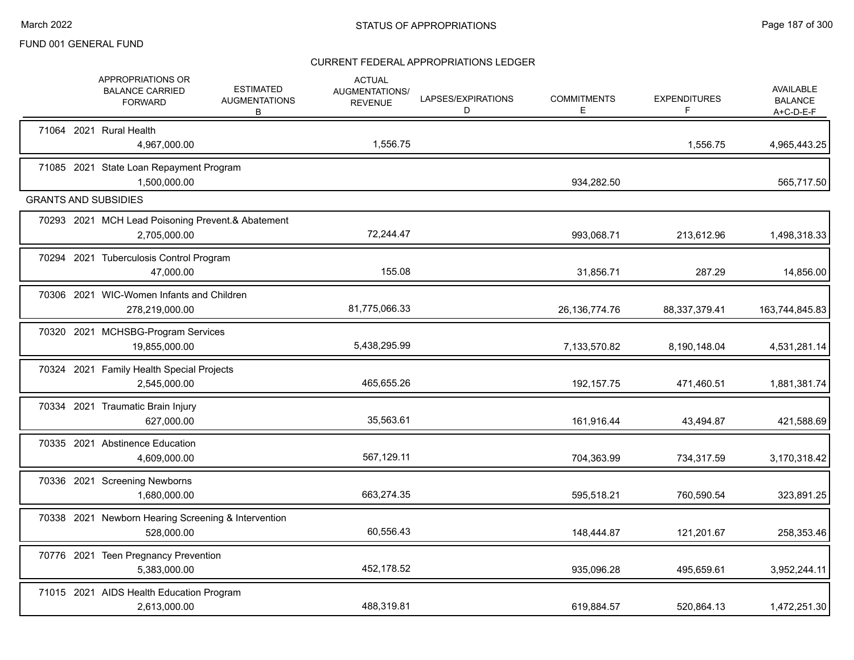|  | APPROPRIATIONS OR<br><b>BALANCE CARRIED</b><br><b>FORWARD</b>     | <b>ESTIMATED</b><br><b>AUGMENTATIONS</b><br>В | <b>ACTUAL</b><br><b>AUGMENTATIONS/</b><br><b>REVENUE</b> | LAPSES/EXPIRATIONS<br>D | <b>COMMITMENTS</b><br>Е | <b>EXPENDITURES</b><br>F | <b>AVAILABLE</b><br><b>BALANCE</b><br>$A+C-D-E-F$ |
|--|-------------------------------------------------------------------|-----------------------------------------------|----------------------------------------------------------|-------------------------|-------------------------|--------------------------|---------------------------------------------------|
|  | 71064 2021 Rural Health<br>4,967,000.00                           |                                               | 1,556.75                                                 |                         |                         | 1,556.75                 | 4,965,443.25                                      |
|  | 71085 2021 State Loan Repayment Program<br>1.500.000.00           |                                               |                                                          |                         | 934,282.50              |                          | 565,717.50                                        |
|  | <b>GRANTS AND SUBSIDIES</b>                                       |                                               |                                                          |                         |                         |                          |                                                   |
|  | 70293 2021 MCH Lead Poisoning Prevent.& Abatement<br>2,705,000.00 |                                               | 72,244.47                                                |                         | 993,068.71              | 213,612.96               | 1,498,318.33                                      |
|  | 70294 2021 Tuberculosis Control Program<br>47,000.00              |                                               | 155.08                                                   |                         | 31,856.71               | 287.29                   | 14,856.00                                         |
|  | 70306 2021 WIC-Women Infants and Children<br>278,219,000.00       |                                               | 81,775,066.33                                            |                         | 26, 136, 774. 76        | 88,337,379.41            | 163,744,845.83                                    |
|  | 70320 2021 MCHSBG-Program Services<br>19,855,000.00               |                                               | 5,438,295.99                                             |                         | 7,133,570.82            | 8,190,148.04             | 4,531,281.14                                      |
|  | 70324 2021 Family Health Special Projects<br>2,545,000.00         |                                               | 465,655.26                                               |                         | 192, 157. 75            | 471,460.51               | 1,881,381.74                                      |
|  | 70334 2021 Traumatic Brain Injury<br>627,000.00                   |                                               | 35,563.61                                                |                         | 161,916.44              | 43,494.87                | 421,588.69                                        |
|  | 70335 2021 Abstinence Education<br>4,609,000.00                   |                                               | 567,129.11                                               |                         | 704,363.99              | 734,317.59               | 3,170,318.42                                      |
|  | 70336 2021 Screening Newborns<br>1,680,000.00                     |                                               | 663,274.35                                               |                         | 595,518.21              | 760,590.54               | 323,891.25                                        |
|  | 70338 2021 Newborn Hearing Screening & Intervention<br>528,000.00 |                                               | 60,556.43                                                |                         | 148,444.87              | 121,201.67               | 258,353.46                                        |
|  | 70776 2021 Teen Pregnancy Prevention<br>5,383,000.00              |                                               | 452,178.52                                               |                         | 935,096.28              | 495,659.61               | 3,952,244.11                                      |
|  | 71015 2021 AIDS Health Education Program<br>2,613,000.00          |                                               | 488,319.81                                               |                         | 619,884.57              | 520,864.13               | 1,472,251.30                                      |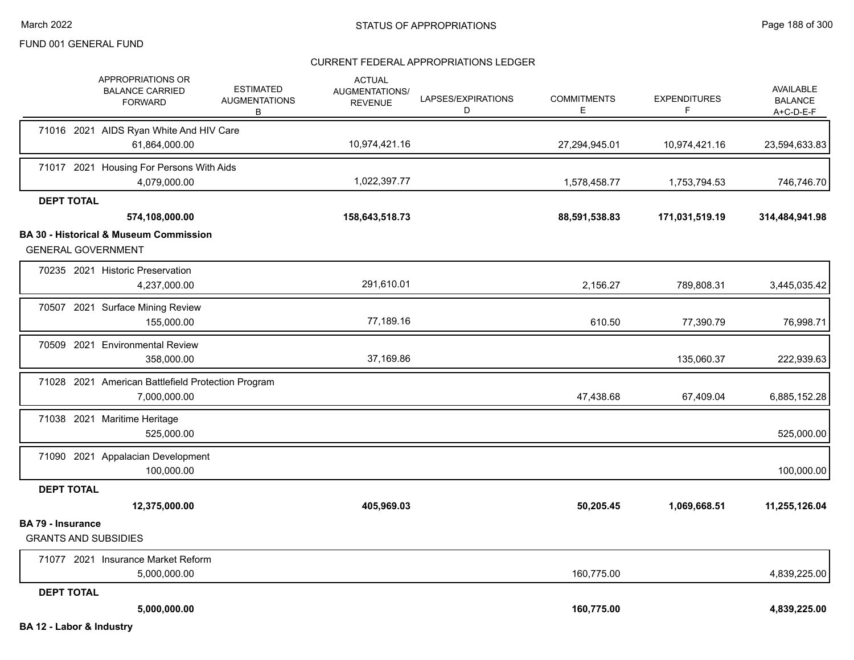|                                                         | APPROPRIATIONS OR<br><b>BALANCE CARRIED</b><br><b>FORWARD</b>      | <b>ESTIMATED</b><br><b>AUGMENTATIONS</b><br>В | <b>ACTUAL</b><br>AUGMENTATIONS/<br><b>REVENUE</b> | LAPSES/EXPIRATIONS<br>D | <b>COMMITMENTS</b><br>E. | <b>EXPENDITURES</b><br>F | AVAILABLE<br><b>BALANCE</b><br>$A+C-D-E-F$ |
|---------------------------------------------------------|--------------------------------------------------------------------|-----------------------------------------------|---------------------------------------------------|-------------------------|--------------------------|--------------------------|--------------------------------------------|
|                                                         | 71016 2021 AIDS Ryan White And HIV Care                            |                                               |                                                   |                         |                          |                          |                                            |
|                                                         | 61,864,000.00                                                      |                                               | 10,974,421.16                                     |                         | 27,294,945.01            | 10,974,421.16            | 23,594,633.83                              |
|                                                         | 71017 2021 Housing For Persons With Aids<br>4,079,000.00           |                                               | 1,022,397.77                                      |                         | 1,578,458.77             | 1,753,794.53             | 746,746.70                                 |
| <b>DEPT TOTAL</b>                                       |                                                                    |                                               |                                                   |                         |                          |                          |                                            |
|                                                         | 574,108,000.00                                                     |                                               | 158,643,518.73                                    |                         | 88,591,538.83            | 171,031,519.19           | 314,484,941.98                             |
|                                                         | <b>BA 30 - Historical &amp; Museum Commission</b>                  |                                               |                                                   |                         |                          |                          |                                            |
| <b>GENERAL GOVERNMENT</b>                               |                                                                    |                                               |                                                   |                         |                          |                          |                                            |
|                                                         | 70235 2021 Historic Preservation<br>4,237,000.00                   |                                               | 291,610.01                                        |                         | 2,156.27                 | 789,808.31               | 3,445,035.42                               |
|                                                         | 70507 2021 Surface Mining Review<br>155,000.00                     |                                               | 77,189.16                                         |                         | 610.50                   | 77,390.79                | 76,998.71                                  |
|                                                         | 70509 2021 Environmental Review<br>358,000.00                      |                                               | 37,169.86                                         |                         |                          | 135,060.37               | 222,939.63                                 |
|                                                         | 71028 2021 American Battlefield Protection Program<br>7,000,000.00 |                                               |                                                   |                         | 47,438.68                | 67,409.04                | 6,885,152.28                               |
|                                                         | 71038 2021 Maritime Heritage<br>525,000.00                         |                                               |                                                   |                         |                          |                          | 525,000.00                                 |
|                                                         | 71090 2021 Appalacian Development<br>100,000.00                    |                                               |                                                   |                         |                          |                          | 100,000.00                                 |
| <b>DEPT TOTAL</b>                                       |                                                                    |                                               |                                                   |                         |                          |                          |                                            |
|                                                         | 12,375,000.00                                                      |                                               | 405,969.03                                        |                         | 50,205.45                | 1,069,668.51             | 11,255,126.04                              |
| <b>BA 79 - Insurance</b><br><b>GRANTS AND SUBSIDIES</b> |                                                                    |                                               |                                                   |                         |                          |                          |                                            |
|                                                         | 71077 2021 Insurance Market Reform                                 |                                               |                                                   |                         |                          |                          |                                            |
|                                                         | 5,000,000.00                                                       |                                               |                                                   |                         | 160,775.00               |                          | 4,839,225.00                               |
| <b>DEPT TOTAL</b>                                       |                                                                    |                                               |                                                   |                         |                          |                          |                                            |
|                                                         | 5,000,000.00                                                       |                                               |                                                   |                         | 160,775.00               |                          | 4,839,225.00                               |
| BA 12 - Labor & Industry                                |                                                                    |                                               |                                                   |                         |                          |                          |                                            |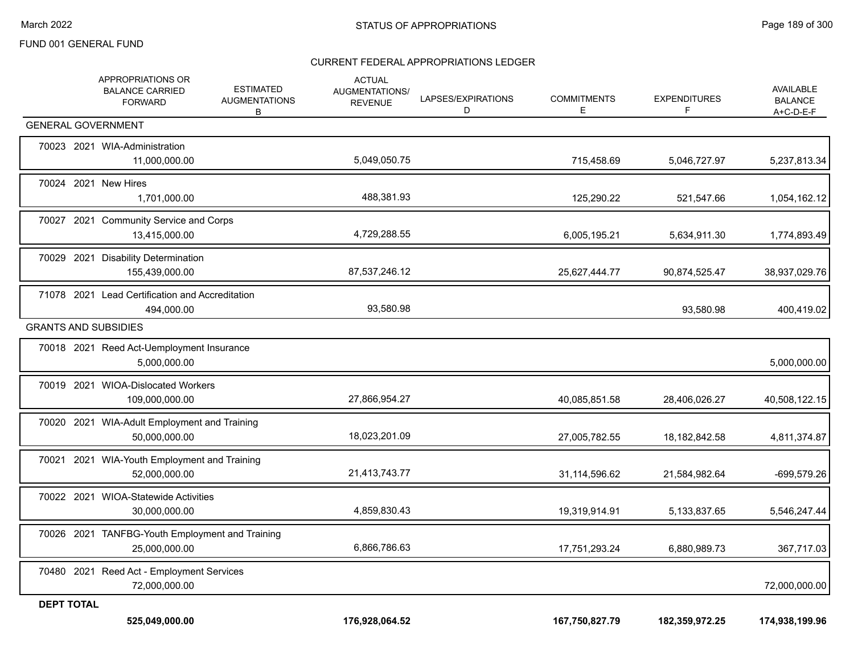|                   | APPROPRIATIONS OR<br><b>BALANCE CARRIED</b><br><b>FORWARD</b>    | <b>ESTIMATED</b><br><b>AUGMENTATIONS</b><br>В | <b>ACTUAL</b><br>AUGMENTATIONS/<br><b>REVENUE</b> | LAPSES/EXPIRATIONS<br>D | <b>COMMITMENTS</b><br>E | <b>EXPENDITURES</b><br>F | AVAILABLE<br><b>BALANCE</b><br>$A+C-D-E-F$ |
|-------------------|------------------------------------------------------------------|-----------------------------------------------|---------------------------------------------------|-------------------------|-------------------------|--------------------------|--------------------------------------------|
|                   | <b>GENERAL GOVERNMENT</b>                                        |                                               |                                                   |                         |                         |                          |                                            |
|                   | 70023 2021 WIA-Administration<br>11,000,000.00                   |                                               | 5,049,050.75                                      |                         | 715,458.69              | 5,046,727.97             | 5,237,813.34                               |
|                   | 70024 2021 New Hires<br>1,701,000.00                             |                                               | 488,381.93                                        |                         | 125,290.22              | 521,547.66               | 1,054,162.12                               |
|                   | 70027 2021 Community Service and Corps<br>13,415,000.00          |                                               | 4,729,288.55                                      |                         | 6,005,195.21            | 5,634,911.30             | 1,774,893.49                               |
|                   | 70029 2021 Disability Determination<br>155,439,000.00            |                                               | 87,537,246.12                                     |                         | 25,627,444.77           | 90,874,525.47            | 38,937,029.76                              |
|                   | 71078 2021 Lead Certification and Accreditation<br>494,000.00    |                                               | 93,580.98                                         |                         |                         | 93,580.98                | 400,419.02                                 |
|                   | <b>GRANTS AND SUBSIDIES</b>                                      |                                               |                                                   |                         |                         |                          |                                            |
|                   | 70018 2021 Reed Act-Uemployment Insurance<br>5,000,000.00        |                                               |                                                   |                         |                         |                          | 5,000,000.00                               |
|                   | 70019 2021 WIOA-Dislocated Workers<br>109,000,000.00             |                                               | 27,866,954.27                                     |                         | 40,085,851.58           | 28,406,026.27            | 40,508,122.15                              |
|                   | 70020 2021 WIA-Adult Employment and Training<br>50,000,000.00    |                                               | 18,023,201.09                                     |                         | 27,005,782.55           | 18, 182, 842. 58         | 4,811,374.87                               |
|                   | 70021 2021 WIA-Youth Employment and Training<br>52,000,000.00    |                                               | 21,413,743.77                                     |                         | 31,114,596.62           | 21,584,982.64            | -699,579.26                                |
|                   | 70022 2021 WIOA-Statewide Activities<br>30,000,000.00            |                                               | 4,859,830.43                                      |                         | 19,319,914.91           | 5,133,837.65             | 5,546,247.44                               |
|                   | 70026 2021 TANFBG-Youth Employment and Training<br>25,000,000.00 |                                               | 6,866,786.63                                      |                         | 17,751,293.24           | 6,880,989.73             | 367,717.03                                 |
|                   | 70480 2021 Reed Act - Employment Services<br>72,000,000.00       |                                               |                                                   |                         |                         |                          | 72,000,000.00                              |
| <b>DEPT TOTAL</b> |                                                                  |                                               |                                                   |                         |                         |                          |                                            |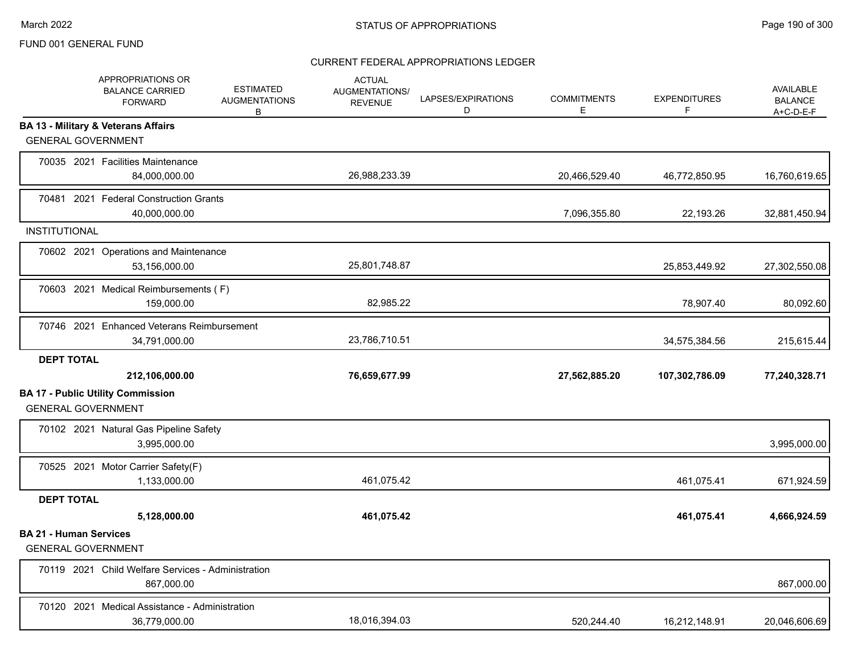|                                                            | <b>APPROPRIATIONS OR</b><br><b>BALANCE CARRIED</b><br><b>FORWARD</b> | <b>ESTIMATED</b><br><b>AUGMENTATIONS</b><br>В | <b>ACTUAL</b><br>AUGMENTATIONS/<br><b>REVENUE</b> | LAPSES/EXPIRATIONS<br>D | <b>COMMITMENTS</b><br>E | <b>EXPENDITURES</b><br>F. | AVAILABLE<br><b>BALANCE</b><br>$A+C-D-E-F$ |
|------------------------------------------------------------|----------------------------------------------------------------------|-----------------------------------------------|---------------------------------------------------|-------------------------|-------------------------|---------------------------|--------------------------------------------|
| <b>GENERAL GOVERNMENT</b>                                  | <b>BA 13 - Military &amp; Veterans Affairs</b>                       |                                               |                                                   |                         |                         |                           |                                            |
|                                                            | 70035 2021 Facilities Maintenance<br>84,000,000.00                   |                                               | 26,988,233.39                                     |                         | 20,466,529.40           | 46,772,850.95             | 16,760,619.65                              |
|                                                            | 70481 2021 Federal Construction Grants<br>40,000,000.00              |                                               |                                                   |                         | 7,096,355.80            | 22,193.26                 | 32,881,450.94                              |
| <b>INSTITUTIONAL</b>                                       |                                                                      |                                               |                                                   |                         |                         |                           |                                            |
|                                                            | 70602 2021 Operations and Maintenance<br>53,156,000.00               |                                               | 25,801,748.87                                     |                         |                         | 25,853,449.92             | 27,302,550.08                              |
|                                                            | 70603 2021 Medical Reimbursements (F)<br>159,000.00                  |                                               | 82,985.22                                         |                         |                         | 78,907.40                 | 80,092.60                                  |
|                                                            | 70746 2021 Enhanced Veterans Reimbursement<br>34,791,000.00          |                                               | 23,786,710.51                                     |                         |                         | 34,575,384.56             | 215,615.44                                 |
| <b>DEPT TOTAL</b>                                          |                                                                      |                                               |                                                   |                         |                         |                           |                                            |
|                                                            | 212,106,000.00                                                       |                                               | 76,659,677.99                                     |                         | 27,562,885.20           | 107,302,786.09            | 77,240,328.71                              |
| <b>GENERAL GOVERNMENT</b>                                  | <b>BA 17 - Public Utility Commission</b>                             |                                               |                                                   |                         |                         |                           |                                            |
|                                                            | 70102 2021 Natural Gas Pipeline Safety<br>3,995,000.00               |                                               |                                                   |                         |                         |                           | 3,995,000.00                               |
|                                                            | 70525 2021 Motor Carrier Safety(F)<br>1,133,000.00                   |                                               | 461,075.42                                        |                         |                         | 461.075.41                | 671,924.59                                 |
| <b>DEPT TOTAL</b>                                          |                                                                      |                                               |                                                   |                         |                         |                           |                                            |
|                                                            | 5,128,000.00                                                         |                                               | 461,075.42                                        |                         |                         | 461,075.41                | 4,666,924.59                               |
| <b>BA 21 - Human Services</b><br><b>GENERAL GOVERNMENT</b> |                                                                      |                                               |                                                   |                         |                         |                           |                                            |
|                                                            | 70119 2021 Child Welfare Services - Administration<br>867,000.00     |                                               |                                                   |                         |                         |                           | 867,000.00                                 |
|                                                            | 70120 2021 Medical Assistance - Administration<br>36,779,000.00      |                                               | 18,016,394.03                                     |                         | 520,244.40              | 16,212,148.91             | 20,046,606.69                              |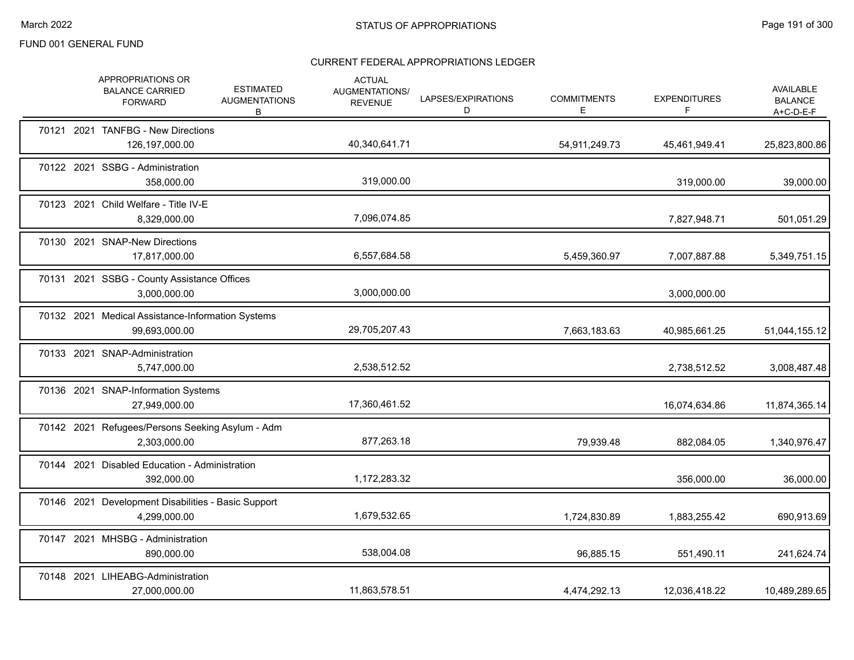|  | APPROPRIATIONS OR<br><b>BALANCE CARRIED</b><br><b>FORWARD</b>       | <b>ESTIMATED</b><br><b>AUGMENTATIONS</b><br>B | <b>ACTUAL</b><br>AUGMENTATIONS/<br><b>REVENUE</b> | LAPSES/EXPIRATIONS<br>D | <b>COMMITMENTS</b><br>E. | <b>EXPENDITURES</b><br>F | AVAILABLE<br><b>BALANCE</b><br>$A+C-D-E-F$ |
|--|---------------------------------------------------------------------|-----------------------------------------------|---------------------------------------------------|-------------------------|--------------------------|--------------------------|--------------------------------------------|
|  | 70121 2021 TANFBG - New Directions<br>126,197,000.00                |                                               | 40,340,641.71                                     |                         | 54,911,249.73            | 45,461,949.41            | 25,823,800.86                              |
|  | 70122 2021 SSBG - Administration<br>358,000.00                      |                                               | 319.000.00                                        |                         |                          | 319,000.00               | 39,000.00                                  |
|  | 70123 2021 Child Welfare - Title IV-E<br>8,329,000.00               |                                               | 7,096,074.85                                      |                         |                          | 7,827,948.71             | 501,051.29                                 |
|  | 70130 2021 SNAP-New Directions<br>17,817,000.00                     |                                               | 6,557,684.58                                      |                         | 5,459,360.97             | 7,007,887.88             | 5,349,751.15                               |
|  | 70131 2021 SSBG - County Assistance Offices<br>3,000,000.00         |                                               | 3,000,000.00                                      |                         |                          | 3,000,000.00             |                                            |
|  | 70132 2021 Medical Assistance-Information Systems<br>99,693,000.00  |                                               | 29,705,207.43                                     |                         | 7,663,183.63             | 40,985,661.25            | 51,044,155.12                              |
|  | 70133 2021 SNAP-Administration<br>5,747,000.00                      |                                               | 2,538,512.52                                      |                         |                          | 2,738,512.52             | 3,008,487.48                               |
|  | 70136 2021 SNAP-Information Systems<br>27,949,000.00                |                                               | 17,360,461.52                                     |                         |                          | 16,074,634.86            | 11,874,365.14                              |
|  | 70142 2021 Refugees/Persons Seeking Asylum - Adm<br>2,303,000.00    |                                               | 877,263.18                                        |                         | 79,939.48                | 882,084.05               | 1,340,976.47                               |
|  | 70144 2021 Disabled Education - Administration<br>392,000.00        |                                               | 1,172,283.32                                      |                         |                          | 356,000.00               | 36,000.00                                  |
|  | 70146 2021 Development Disabilities - Basic Support<br>4.299.000.00 |                                               | 1,679,532.65                                      |                         | 1,724,830.89             | 1,883,255.42             | 690,913.69                                 |
|  | 70147 2021 MHSBG - Administration<br>890.000.00                     |                                               | 538,004.08                                        |                         | 96,885.15                | 551,490.11               | 241,624.74                                 |
|  | 70148 2021 LIHEABG-Administration<br>27,000,000.00                  |                                               | 11,863,578.51                                     |                         | 4,474,292.13             | 12,036,418.22            | 10,489,289.65                              |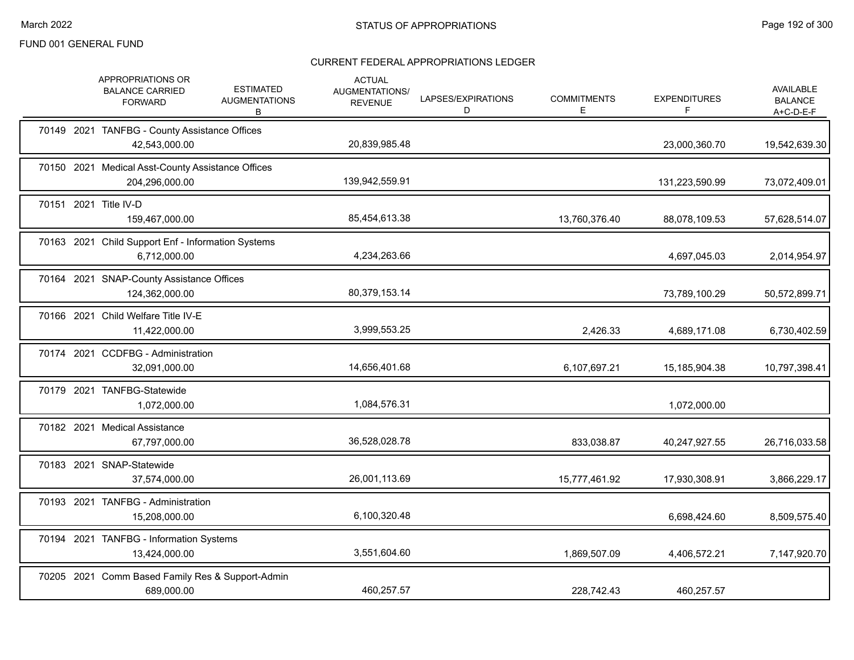|  | <b>APPROPRIATIONS OR</b><br><b>BALANCE CARRIED</b><br><b>FORWARD</b> | <b>ESTIMATED</b><br><b>AUGMENTATIONS</b><br>В | <b>ACTUAL</b><br><b>AUGMENTATIONS/</b><br><b>REVENUE</b> | LAPSES/EXPIRATIONS<br>D | <b>COMMITMENTS</b><br>Е. | <b>EXPENDITURES</b><br>F | AVAILABLE<br><b>BALANCE</b><br>A+C-D-E-F |
|--|----------------------------------------------------------------------|-----------------------------------------------|----------------------------------------------------------|-------------------------|--------------------------|--------------------------|------------------------------------------|
|  | 70149 2021 TANFBG - County Assistance Offices<br>42,543,000.00       |                                               | 20,839,985.48                                            |                         |                          | 23,000,360.70            | 19,542,639.30                            |
|  | 70150 2021 Medical Asst-County Assistance Offices<br>204,296,000.00  |                                               | 139,942,559.91                                           |                         |                          | 131,223,590.99           | 73,072,409.01                            |
|  | 70151 2021 Title IV-D<br>159,467,000.00                              |                                               | 85,454,613.38                                            |                         | 13,760,376.40            | 88,078,109.53            | 57,628,514.07                            |
|  | 70163 2021 Child Support Enf - Information Systems<br>6,712,000.00   |                                               | 4,234,263.66                                             |                         |                          | 4,697,045.03             | 2,014,954.97                             |
|  | 70164 2021 SNAP-County Assistance Offices<br>124,362,000.00          |                                               | 80,379,153.14                                            |                         |                          | 73,789,100.29            | 50,572,899.71                            |
|  | 70166 2021 Child Welfare Title IV-E<br>11,422,000.00                 |                                               | 3,999,553.25                                             |                         | 2,426.33                 | 4,689,171.08             | 6,730,402.59                             |
|  | 70174 2021 CCDFBG - Administration<br>32,091,000.00                  |                                               | 14,656,401.68                                            |                         | 6,107,697.21             | 15,185,904.38            | 10,797,398.41                            |
|  | 70179 2021 TANFBG-Statewide<br>1,072,000.00                          |                                               | 1,084,576.31                                             |                         |                          | 1,072,000.00             |                                          |
|  | 70182 2021 Medical Assistance<br>67,797,000.00                       |                                               | 36,528,028.78                                            |                         | 833,038.87               | 40,247,927.55            | 26,716,033.58                            |
|  | 70183 2021 SNAP-Statewide<br>37,574,000.00                           |                                               | 26,001,113.69                                            |                         | 15,777,461.92            | 17,930,308.91            | 3,866,229.17                             |
|  | 70193 2021 TANFBG - Administration<br>15,208,000.00                  |                                               | 6,100,320.48                                             |                         |                          | 6,698,424.60             | 8,509,575.40                             |
|  | 70194 2021 TANFBG - Information Systems<br>13,424,000.00             |                                               | 3,551,604.60                                             |                         | 1,869,507.09             | 4,406,572.21             | 7,147,920.70                             |
|  | 70205 2021 Comm Based Family Res & Support-Admin<br>689,000.00       |                                               | 460,257.57                                               |                         | 228,742.43               | 460,257.57               |                                          |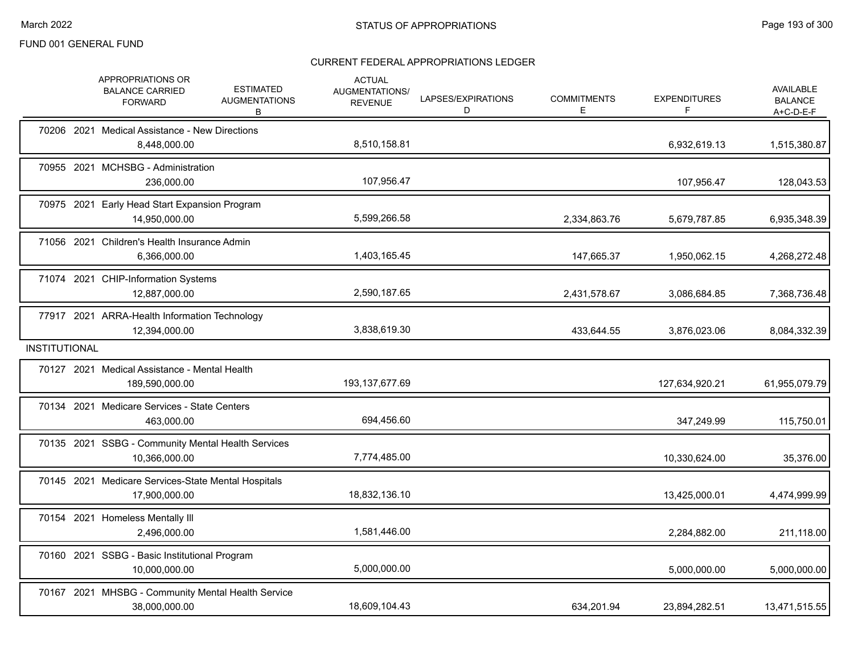|                      | APPROPRIATIONS OR<br><b>BALANCE CARRIED</b><br><b>FORWARD</b>        | <b>ESTIMATED</b><br><b>AUGMENTATIONS</b><br>В | <b>ACTUAL</b><br><b>AUGMENTATIONS/</b><br><b>REVENUE</b> | LAPSES/EXPIRATIONS<br>D | <b>COMMITMENTS</b><br>E. | <b>EXPENDITURES</b> | <b>AVAILABLE</b><br><b>BALANCE</b><br>$A+C-D-E-F$ |
|----------------------|----------------------------------------------------------------------|-----------------------------------------------|----------------------------------------------------------|-------------------------|--------------------------|---------------------|---------------------------------------------------|
|                      | 70206 2021 Medical Assistance - New Directions<br>8,448,000.00       |                                               | 8,510,158.81                                             |                         |                          | 6,932,619.13        | 1,515,380.87                                      |
|                      | 70955 2021 MCHSBG - Administration<br>236,000.00                     |                                               | 107,956.47                                               |                         |                          | 107,956.47          | 128,043.53                                        |
|                      | 70975 2021 Early Head Start Expansion Program<br>14,950,000.00       |                                               | 5,599,266.58                                             |                         | 2,334,863.76             | 5,679,787.85        | 6,935,348.39                                      |
|                      | 71056 2021 Children's Health Insurance Admin<br>6,366,000.00         |                                               | 1,403,165.45                                             |                         | 147,665.37               | 1,950,062.15        | 4,268,272.48                                      |
|                      | 71074 2021 CHIP-Information Systems<br>12,887,000.00                 |                                               | 2,590,187.65                                             |                         | 2,431,578.67             | 3,086,684.85        | 7,368,736.48                                      |
|                      | 77917 2021 ARRA-Health Information Technology<br>12,394,000.00       |                                               | 3,838,619.30                                             |                         | 433,644.55               | 3,876,023.06        | 8,084,332.39                                      |
| <b>INSTITUTIONAL</b> |                                                                      |                                               |                                                          |                         |                          |                     |                                                   |
|                      | 70127 2021 Medical Assistance - Mental Health<br>189,590,000.00      |                                               | 193, 137, 677.69                                         |                         |                          | 127,634,920.21      | 61,955,079.79                                     |
|                      | 70134 2021 Medicare Services - State Centers<br>463,000.00           |                                               | 694,456.60                                               |                         |                          | 347,249.99          | 115,750.01                                        |
|                      | 70135 2021 SSBG - Community Mental Health Services<br>10,366,000.00  |                                               | 7,774,485.00                                             |                         |                          | 10,330,624.00       | 35,376.00                                         |
|                      | 70145 2021 Medicare Services-State Mental Hospitals<br>17,900,000.00 |                                               | 18,832,136.10                                            |                         |                          | 13,425,000.01       | 4,474,999.99                                      |
|                      | 70154 2021 Homeless Mentally III<br>2,496,000.00                     |                                               | 1,581,446.00                                             |                         |                          | 2,284,882.00        | 211,118.00                                        |
|                      | 70160 2021 SSBG - Basic Institutional Program<br>10,000,000.00       |                                               | 5,000,000.00                                             |                         |                          | 5,000,000.00        | 5,000,000.00                                      |
|                      | 70167 2021 MHSBG - Community Mental Health Service<br>38,000,000.00  |                                               | 18,609,104.43                                            |                         | 634.201.94               | 23,894,282.51       | 13,471,515.55                                     |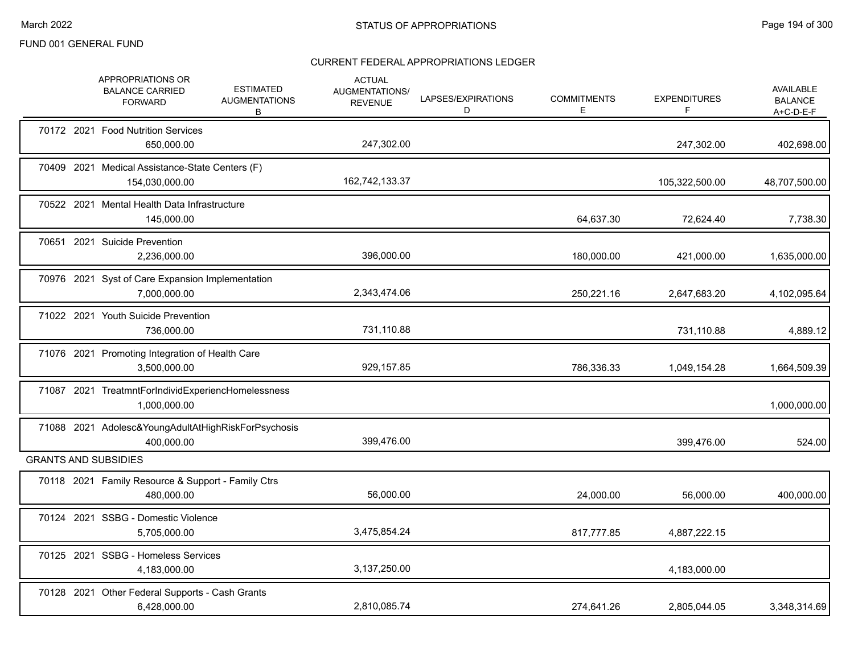|  | APPROPRIATIONS OR<br><b>BALANCE CARRIED</b><br><b>FORWARD</b>      | <b>ESTIMATED</b><br><b>AUGMENTATIONS</b><br>B | <b>ACTUAL</b><br><b>AUGMENTATIONS/</b><br><b>REVENUE</b> | LAPSES/EXPIRATIONS<br>D | <b>COMMITMENTS</b><br>Е | <b>EXPENDITURES</b><br>F | <b>AVAILABLE</b><br><b>BALANCE</b><br>A+C-D-E-F |
|--|--------------------------------------------------------------------|-----------------------------------------------|----------------------------------------------------------|-------------------------|-------------------------|--------------------------|-------------------------------------------------|
|  | 70172 2021 Food Nutrition Services<br>650,000.00                   |                                               | 247,302.00                                               |                         |                         | 247,302.00               | 402,698.00                                      |
|  | 70409 2021 Medical Assistance-State Centers (F)<br>154,030,000.00  |                                               | 162,742,133.37                                           |                         |                         | 105,322,500.00           | 48,707,500.00                                   |
|  | 70522 2021 Mental Health Data Infrastructure<br>145,000.00         |                                               |                                                          |                         | 64,637.30               | 72,624.40                | 7,738.30                                        |
|  | 70651 2021 Suicide Prevention<br>2,236,000.00                      |                                               | 396,000.00                                               |                         | 180,000.00              | 421,000.00               | 1,635,000.00                                    |
|  | 70976 2021 Syst of Care Expansion Implementation<br>7,000,000.00   |                                               | 2,343,474.06                                             |                         | 250,221.16              | 2,647,683.20             | 4,102,095.64                                    |
|  | 71022 2021 Youth Suicide Prevention<br>736,000.00                  |                                               | 731,110.88                                               |                         |                         | 731,110.88               | 4,889.12                                        |
|  | 71076 2021 Promoting Integration of Health Care<br>3,500,000.00    |                                               | 929,157.85                                               |                         | 786,336.33              | 1,049,154.28             | 1,664,509.39                                    |
|  | 71087 2021 TreatmntForIndividExperiencHomelessness<br>1,000,000.00 |                                               |                                                          |                         |                         |                          | 1,000,000.00                                    |
|  | 71088 2021 Adolesc&YoungAdultAtHighRiskForPsychosis<br>400.000.00  |                                               | 399,476.00                                               |                         |                         | 399.476.00               | 524.00                                          |
|  | <b>GRANTS AND SUBSIDIES</b>                                        |                                               |                                                          |                         |                         |                          |                                                 |
|  | 70118 2021 Family Resource & Support - Family Ctrs<br>480,000.00   |                                               | 56,000.00                                                |                         | 24,000.00               | 56,000.00                | 400,000.00                                      |
|  | 70124 2021 SSBG - Domestic Violence<br>5,705,000.00                |                                               | 3,475,854.24                                             |                         | 817,777.85              | 4,887,222.15             |                                                 |
|  | 70125 2021 SSBG - Homeless Services<br>4,183,000.00                |                                               | 3,137,250.00                                             |                         |                         | 4,183,000.00             |                                                 |
|  | 70128 2021 Other Federal Supports - Cash Grants<br>6.428.000.00    |                                               | 2,810,085.74                                             |                         | 274,641.26              | 2,805,044.05             | 3,348,314.69                                    |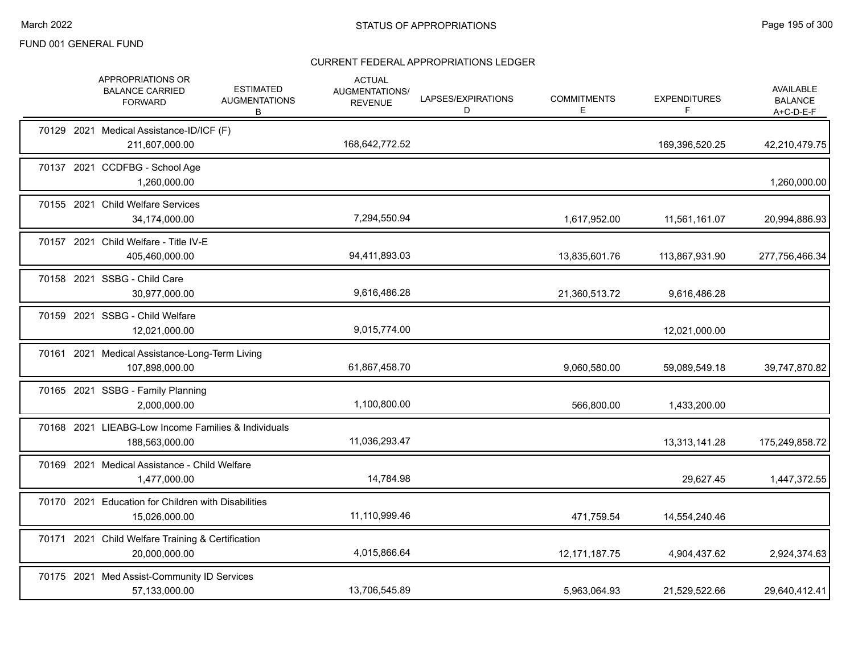|  | <b>APPROPRIATIONS OR</b><br><b>BALANCE CARRIED</b><br><b>FORWARD</b>  | <b>ESTIMATED</b><br><b>AUGMENTATIONS</b><br>B | <b>ACTUAL</b><br><b>AUGMENTATIONS/</b><br><b>REVENUE</b> | LAPSES/EXPIRATIONS<br>D | <b>COMMITMENTS</b><br>Е. | <b>EXPENDITURES</b><br>F | <b>AVAILABLE</b><br><b>BALANCE</b><br>A+C-D-E-F |
|--|-----------------------------------------------------------------------|-----------------------------------------------|----------------------------------------------------------|-------------------------|--------------------------|--------------------------|-------------------------------------------------|
|  | 70129 2021 Medical Assistance-ID/ICF (F)<br>211,607,000.00            |                                               | 168,642,772.52                                           |                         |                          | 169,396,520.25           | 42,210,479.75                                   |
|  | 70137 2021 CCDFBG - School Age<br>1,260,000.00                        |                                               |                                                          |                         |                          |                          | 1,260,000.00                                    |
|  | 70155 2021 Child Welfare Services<br>34,174,000.00                    |                                               | 7,294,550.94                                             |                         | 1,617,952.00             | 11,561,161.07            | 20,994,886.93                                   |
|  | 70157 2021 Child Welfare - Title IV-E<br>405,460,000.00               |                                               | 94,411,893.03                                            |                         | 13,835,601.76            | 113,867,931.90           | 277,756,466.34                                  |
|  | 70158 2021 SSBG - Child Care<br>30,977,000.00                         |                                               | 9,616,486.28                                             |                         | 21,360,513.72            | 9,616,486.28             |                                                 |
|  | 70159 2021 SSBG - Child Welfare<br>12,021,000.00                      |                                               | 9,015,774.00                                             |                         |                          | 12,021,000.00            |                                                 |
|  | 70161 2021 Medical Assistance-Long-Term Living<br>107,898,000.00      |                                               | 61,867,458.70                                            |                         | 9,060,580.00             | 59,089,549.18            | 39,747,870.82                                   |
|  | 70165 2021 SSBG - Family Planning<br>2,000,000.00                     |                                               | 1,100,800.00                                             |                         | 566,800.00               | 1,433,200.00             |                                                 |
|  | 70168 2021 LIEABG-Low Income Families & Individuals<br>188,563,000.00 |                                               | 11,036,293.47                                            |                         |                          | 13,313,141.28            | 175,249,858.72                                  |
|  | 70169 2021 Medical Assistance - Child Welfare<br>1,477,000.00         |                                               | 14,784.98                                                |                         |                          | 29,627.45                | 1,447,372.55                                    |
|  | 70170 2021 Education for Children with Disabilities<br>15,026,000.00  |                                               | 11,110,999.46                                            |                         | 471,759.54               | 14,554,240.46            |                                                 |
|  | 70171 2021 Child Welfare Training & Certification<br>20,000,000.00    |                                               | 4,015,866.64                                             |                         | 12, 171, 187. 75         | 4,904,437.62             | 2,924,374.63                                    |
|  | 70175 2021 Med Assist-Community ID Services<br>57,133,000.00          |                                               | 13,706,545.89                                            |                         | 5,963,064.93             | 21,529,522.66            | 29,640,412.41                                   |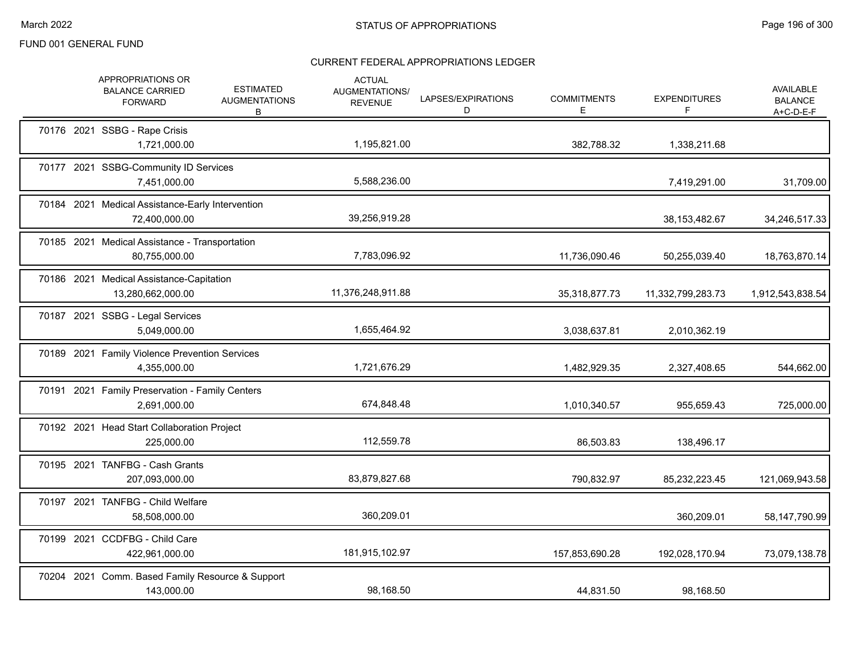|  | APPROPRIATIONS OR<br><b>BALANCE CARRIED</b><br><b>FORWARD</b>     | <b>ESTIMATED</b><br><b>AUGMENTATIONS</b><br>B | <b>ACTUAL</b><br>AUGMENTATIONS/<br><b>REVENUE</b> | LAPSES/EXPIRATIONS<br>D | <b>COMMITMENTS</b><br>Е | <b>EXPENDITURES</b><br>F | AVAILABLE<br><b>BALANCE</b><br>$A+C-D-E-F$ |
|--|-------------------------------------------------------------------|-----------------------------------------------|---------------------------------------------------|-------------------------|-------------------------|--------------------------|--------------------------------------------|
|  | 70176 2021 SSBG - Rape Crisis<br>1,721,000.00                     |                                               | 1,195,821.00                                      |                         | 382,788.32              | 1,338,211.68             |                                            |
|  | 70177 2021 SSBG-Community ID Services<br>7,451,000.00             |                                               | 5,588,236.00                                      |                         |                         | 7,419,291.00             | 31,709.00                                  |
|  | 70184 2021 Medical Assistance-Early Intervention<br>72,400,000.00 |                                               | 39,256,919.28                                     |                         |                         | 38, 153, 482. 67         | 34,246,517.33                              |
|  | 70185 2021 Medical Assistance - Transportation<br>80,755,000.00   |                                               | 7,783,096.92                                      |                         | 11,736,090.46           | 50,255,039.40            | 18,763,870.14                              |
|  | 70186 2021 Medical Assistance-Capitation<br>13,280,662,000.00     |                                               | 11,376,248,911.88                                 |                         | 35,318,877.73           | 11,332,799,283.73        | 1,912,543,838.54                           |
|  | 70187 2021 SSBG - Legal Services<br>5,049,000.00                  |                                               | 1,655,464.92                                      |                         | 3,038,637.81            | 2,010,362.19             |                                            |
|  | 70189 2021 Family Violence Prevention Services<br>4,355,000.00    |                                               | 1,721,676.29                                      |                         | 1,482,929.35            | 2,327,408.65             | 544,662.00                                 |
|  | 70191 2021 Family Preservation - Family Centers<br>2,691,000.00   |                                               | 674,848.48                                        |                         | 1,010,340.57            | 955,659.43               | 725,000.00                                 |
|  | 70192 2021 Head Start Collaboration Project<br>225,000.00         |                                               | 112,559.78                                        |                         | 86,503.83               | 138,496.17               |                                            |
|  | 70195 2021 TANFBG - Cash Grants<br>207,093,000.00                 |                                               | 83,879,827.68                                     |                         | 790,832.97              | 85,232,223.45            | 121,069,943.58                             |
|  | 70197 2021 TANFBG - Child Welfare<br>58,508,000.00                |                                               | 360,209.01                                        |                         |                         | 360,209.01               | 58,147,790.99                              |
|  | 70199 2021 CCDFBG - Child Care<br>422,961,000.00                  |                                               | 181,915,102.97                                    |                         | 157,853,690.28          | 192,028,170.94           | 73,079,138.78                              |
|  | 70204 2021 Comm. Based Family Resource & Support<br>143,000.00    |                                               | 98,168.50                                         |                         | 44,831.50               | 98,168.50                |                                            |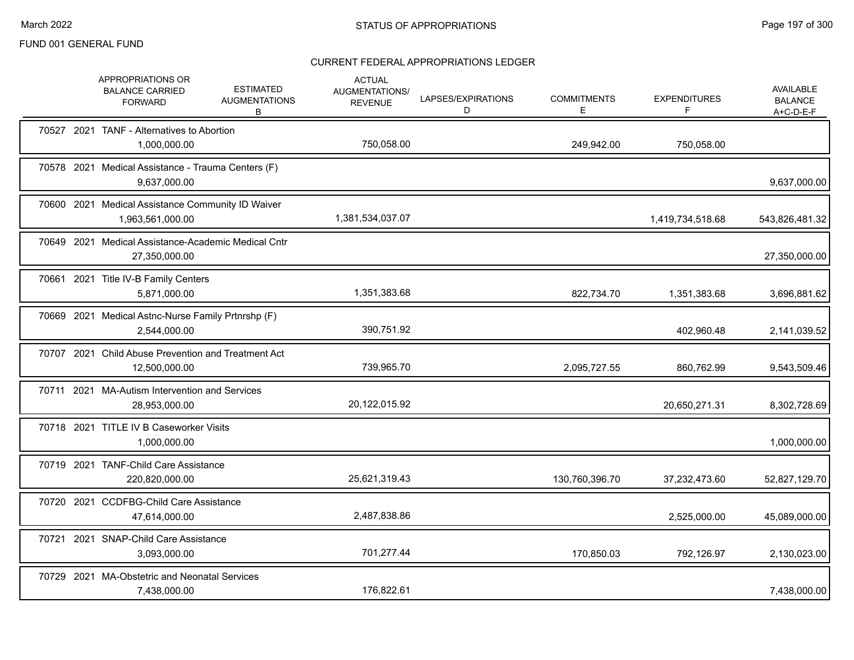|       | APPROPRIATIONS OR<br><b>BALANCE CARRIED</b><br><b>FORWARD</b>         | <b>ESTIMATED</b><br><b>AUGMENTATIONS</b><br>B | <b>ACTUAL</b><br>AUGMENTATIONS/<br><b>REVENUE</b> | LAPSES/EXPIRATIONS<br>D | <b>COMMITMENTS</b><br>E. | <b>EXPENDITURES</b><br>F | <b>AVAILABLE</b><br><b>BALANCE</b><br>$A+C-D-E-F$ |
|-------|-----------------------------------------------------------------------|-----------------------------------------------|---------------------------------------------------|-------------------------|--------------------------|--------------------------|---------------------------------------------------|
|       | 70527 2021 TANF - Alternatives to Abortion<br>1,000,000.00            |                                               | 750,058.00                                        |                         | 249,942.00               | 750,058.00               |                                                   |
|       | 70578 2021 Medical Assistance - Trauma Centers (F)<br>9,637,000.00    |                                               |                                                   |                         |                          |                          | 9,637,000.00                                      |
|       | 70600 2021 Medical Assistance Community ID Waiver<br>1,963,561,000.00 |                                               | 1,381,534,037.07                                  |                         |                          | 1,419,734,518.68         | 543,826,481.32                                    |
|       | 70649 2021 Medical Assistance-Academic Medical Cntr<br>27,350,000.00  |                                               |                                                   |                         |                          |                          | 27,350,000.00                                     |
|       | 70661 2021 Title IV-B Family Centers<br>5,871,000.00                  |                                               | 1,351,383.68                                      |                         | 822,734.70               | 1,351,383.68             | 3,696,881.62                                      |
|       | 70669 2021 Medical Astnc-Nurse Family Prtnrshp (F)<br>2,544,000.00    |                                               | 390,751.92                                        |                         |                          | 402,960.48               | 2,141,039.52                                      |
|       | 70707 2021 Child Abuse Prevention and Treatment Act<br>12,500,000.00  |                                               | 739,965.70                                        |                         | 2,095,727.55             | 860,762.99               | 9,543,509.46                                      |
|       | 70711 2021 MA-Autism Intervention and Services<br>28,953,000.00       |                                               | 20,122,015.92                                     |                         |                          | 20,650,271.31            | 8,302,728.69                                      |
|       | 70718 2021 TITLE IV B Caseworker Visits<br>1,000,000.00               |                                               |                                                   |                         |                          |                          | 1,000,000.00                                      |
|       | 70719 2021 TANF-Child Care Assistance<br>220,820,000.00               |                                               | 25,621,319.43                                     |                         | 130,760,396.70           | 37,232,473.60            | 52,827,129.70                                     |
|       | 70720 2021 CCDFBG-Child Care Assistance<br>47,614,000.00              |                                               | 2,487,838.86                                      |                         |                          | 2,525,000.00             | 45,089,000.00                                     |
| 70721 | 2021 SNAP-Child Care Assistance<br>3,093,000.00                       |                                               | 701,277.44                                        |                         | 170,850.03               | 792,126.97               | 2,130,023.00                                      |
|       | 70729 2021 MA-Obstetric and Neonatal Services<br>7,438,000.00         |                                               | 176,822.61                                        |                         |                          |                          | 7,438,000.00                                      |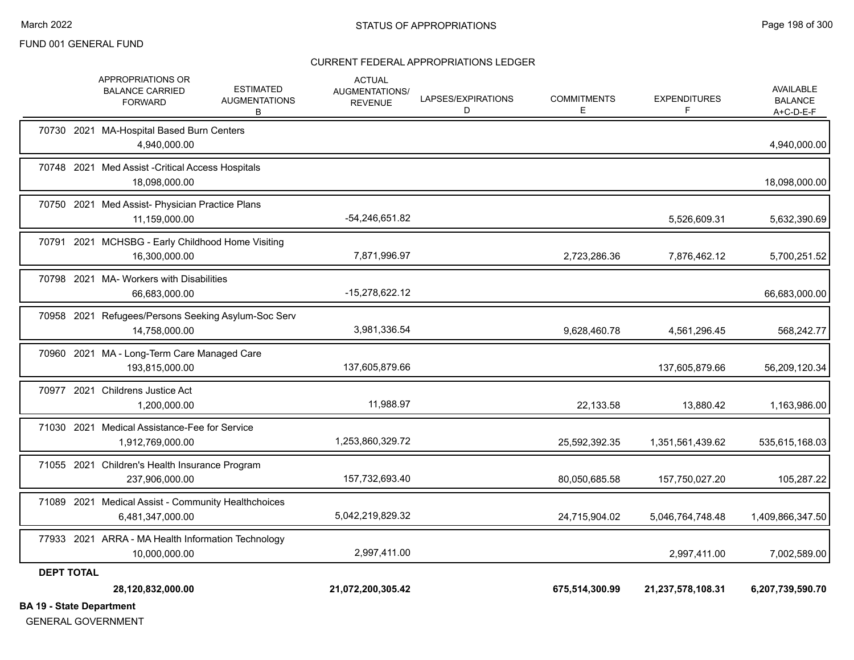#### CURRENT FEDERAL APPROPRIATIONS LEDGER

| 40 Otata Damantonaut | 28,120,832,000.00                                                                                              | 21,072,200,305.42                                 |                         | 675,514,300.99          | 21,237,578,108.31        | 6,207,739,590.70                         |
|----------------------|----------------------------------------------------------------------------------------------------------------|---------------------------------------------------|-------------------------|-------------------------|--------------------------|------------------------------------------|
| <b>DEPT TOTAL</b>    |                                                                                                                |                                                   |                         |                         |                          |                                          |
|                      | 77933 2021 ARRA - MA Health Information Technology<br>10,000,000.00                                            | 2,997,411.00                                      |                         |                         | 2,997,411.00             | 7,002,589.00                             |
|                      | 71089 2021 Medical Assist - Community Healthchoices<br>6,481,347,000.00                                        | 5,042,219,829.32                                  |                         | 24,715,904.02           | 5,046,764,748.48         | 1,409,866,347.50                         |
|                      | 71055 2021 Children's Health Insurance Program<br>237,906,000.00                                               | 157,732,693.40                                    |                         | 80,050,685.58           | 157,750,027.20           | 105,287.22                               |
|                      | 71030 2021 Medical Assistance-Fee for Service<br>1,912,769,000.00                                              | 1,253,860,329.72                                  |                         | 25,592,392.35           | 1,351,561,439.62         | 535,615,168.03                           |
|                      | 70977 2021 Childrens Justice Act<br>1.200.000.00                                                               | 11,988.97                                         |                         | 22,133.58               | 13,880.42                | 1,163,986.00                             |
|                      | 70960 2021 MA - Long-Term Care Managed Care<br>193,815,000.00                                                  | 137,605,879.66                                    |                         |                         | 137,605,879.66           | 56,209,120.34                            |
|                      | 70958 2021 Refugees/Persons Seeking Asylum-Soc Serv<br>14,758,000.00                                           | 3,981,336.54                                      |                         | 9,628,460.78            | 4,561,296.45             | 568,242.77                               |
|                      | 70798 2021 MA- Workers with Disabilities<br>66.683.000.00                                                      | $-15,278,622.12$                                  |                         |                         |                          | 66,683,000.00                            |
|                      | 70791 2021 MCHSBG - Early Childhood Home Visiting<br>16,300,000.00                                             | 7,871,996.97                                      |                         | 2,723,286.36            | 7,876,462.12             | 5,700,251.52                             |
|                      | 70750 2021 Med Assist- Physician Practice Plans<br>11,159,000.00                                               | $-54,246,651.82$                                  |                         |                         | 5,526,609.31             | 5,632,390.69                             |
|                      | 70748 2021 Med Assist - Critical Access Hospitals<br>18,098,000.00                                             |                                                   |                         |                         |                          | 18,098,000.00                            |
|                      | 70730 2021 MA-Hospital Based Burn Centers<br>4,940,000.00                                                      |                                                   |                         |                         |                          | 4,940,000.00                             |
|                      | APPROPRIATIONS OR<br><b>ESTIMATED</b><br><b>BALANCE CARRIED</b><br><b>AUGMENTATIONS</b><br><b>FORWARD</b><br>В | <b>ACTUAL</b><br>AUGMENTATIONS/<br><b>REVENUE</b> | LAPSES/EXPIRATIONS<br>D | <b>COMMITMENTS</b><br>Е | <b>EXPENDITURES</b><br>F | AVAILABLE<br><b>BALANCE</b><br>A+C-D-E-F |

**BA 19 - State Department**

GENERAL GOVERNMENT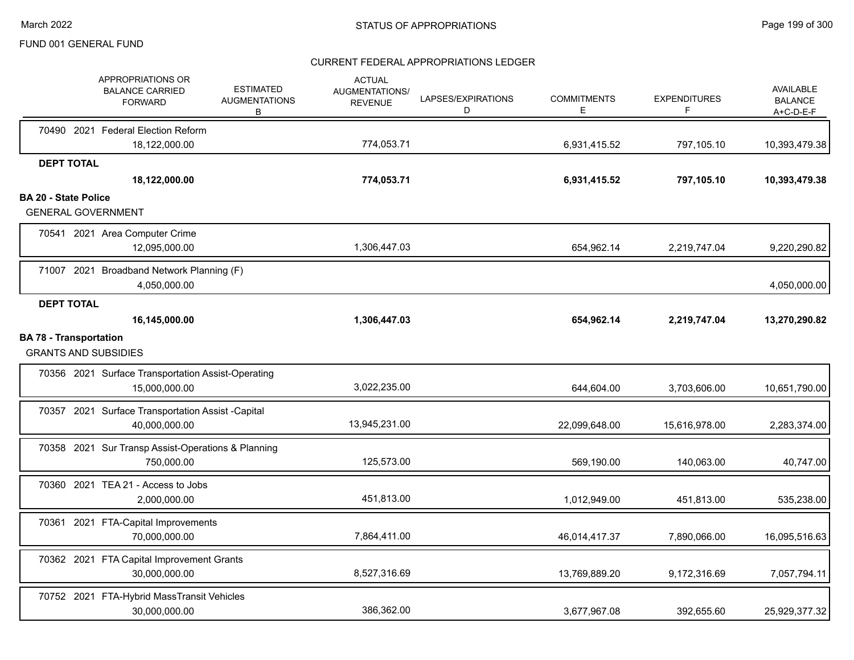|                               |                   | APPROPRIATIONS OR<br><b>BALANCE CARRIED</b><br><b>FORWARD</b>       | <b>ESTIMATED</b><br><b>AUGMENTATIONS</b><br>В | <b>ACTUAL</b><br><b>AUGMENTATIONS/</b><br><b>REVENUE</b> | LAPSES/EXPIRATIONS<br>D | <b>COMMITMENTS</b><br>E | <b>EXPENDITURES</b><br>F | AVAILABLE<br><b>BALANCE</b><br>A+C-D-E-F |
|-------------------------------|-------------------|---------------------------------------------------------------------|-----------------------------------------------|----------------------------------------------------------|-------------------------|-------------------------|--------------------------|------------------------------------------|
|                               |                   | 70490 2021 Federal Election Reform                                  |                                               |                                                          |                         |                         |                          |                                          |
|                               | <b>DEPT TOTAL</b> | 18,122,000.00                                                       |                                               | 774,053.71                                               |                         | 6,931,415.52            | 797,105.10               | 10,393,479.38                            |
|                               |                   | 18,122,000.00                                                       |                                               | 774,053.71                                               |                         | 6,931,415.52            | 797,105.10               | 10,393,479.38                            |
| <b>BA 20 - State Police</b>   |                   |                                                                     |                                               |                                                          |                         |                         |                          |                                          |
|                               |                   | <b>GENERAL GOVERNMENT</b>                                           |                                               |                                                          |                         |                         |                          |                                          |
|                               |                   | 70541 2021 Area Computer Crime<br>12,095,000.00                     |                                               | 1,306,447.03                                             |                         | 654,962.14              | 2,219,747.04             | 9,220,290.82                             |
|                               |                   | 71007 2021 Broadband Network Planning (F)<br>4,050,000.00           |                                               |                                                          |                         |                         |                          | 4,050,000.00                             |
|                               | <b>DEPT TOTAL</b> |                                                                     |                                               |                                                          |                         |                         |                          |                                          |
|                               |                   | 16,145,000.00                                                       |                                               | 1,306,447.03                                             |                         | 654,962.14              | 2,219,747.04             | 13,270,290.82                            |
| <b>BA 78 - Transportation</b> |                   | <b>GRANTS AND SUBSIDIES</b>                                         |                                               |                                                          |                         |                         |                          |                                          |
|                               |                   | 70356 2021 Surface Transportation Assist-Operating<br>15,000,000.00 |                                               | 3,022,235.00                                             |                         | 644,604.00              | 3,703,606.00             | 10,651,790.00                            |
|                               |                   | 70357 2021 Surface Transportation Assist -Capital<br>40,000,000.00  |                                               | 13,945,231.00                                            |                         | 22,099,648.00           | 15,616,978.00            | 2,283,374.00                             |
|                               |                   | 70358 2021 Sur Transp Assist-Operations & Planning<br>750,000.00    |                                               | 125,573.00                                               |                         | 569,190.00              | 140,063.00               | 40,747.00                                |
|                               |                   | 70360 2021 TEA 21 - Access to Jobs<br>2,000,000.00                  |                                               | 451,813.00                                               |                         | 1,012,949.00            | 451,813.00               | 535,238.00                               |
|                               |                   | 70361 2021 FTA-Capital Improvements<br>70,000,000.00                |                                               | 7,864,411.00                                             |                         | 46,014,417.37           | 7,890,066.00             | 16,095,516.63                            |
|                               |                   | 70362 2021 FTA Capital Improvement Grants<br>30,000,000.00          |                                               | 8,527,316.69                                             |                         | 13,769,889.20           | 9,172,316.69             | 7,057,794.11                             |
|                               |                   | 70752 2021 FTA-Hybrid MassTransit Vehicles<br>30,000,000.00         |                                               | 386.362.00                                               |                         | 3,677,967.08            | 392,655.60               | 25,929,377.32                            |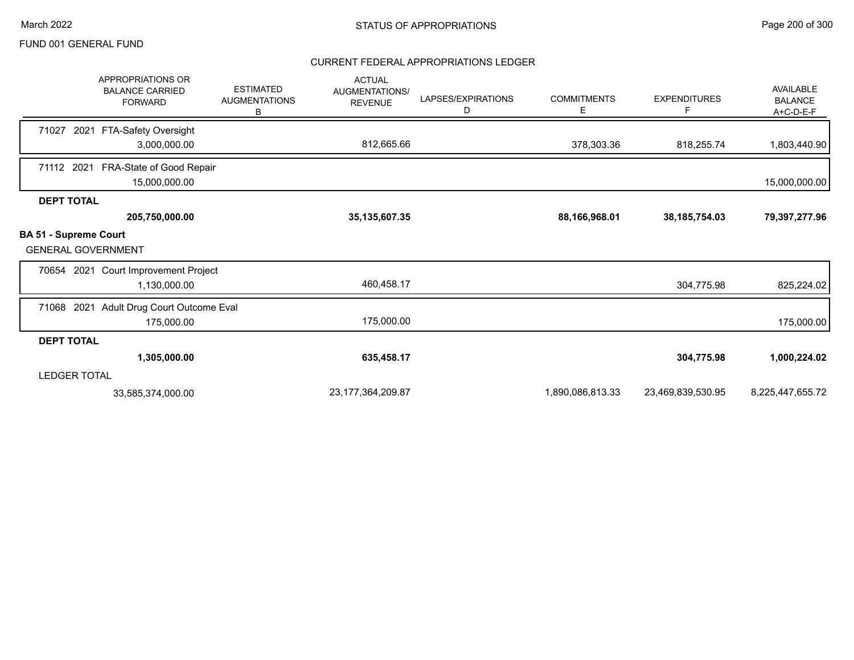|                                                           | <b>APPROPRIATIONS OR</b><br><b>BALANCE CARRIED</b><br><b>FORWARD</b> | <b>ESTIMATED</b><br><b>AUGMENTATIONS</b><br>В | <b>ACTUAL</b><br>AUGMENTATIONS/<br><b>REVENUE</b> | LAPSES/EXPIRATIONS<br>D | <b>COMMITMENTS</b><br>Е | <b>EXPENDITURES</b><br>F | AVAILABLE<br><b>BALANCE</b><br>A+C-D-E-F |
|-----------------------------------------------------------|----------------------------------------------------------------------|-----------------------------------------------|---------------------------------------------------|-------------------------|-------------------------|--------------------------|------------------------------------------|
| 71027<br>2021                                             | FTA-Safety Oversight                                                 |                                               |                                                   |                         |                         |                          |                                          |
|                                                           | 3,000,000.00                                                         |                                               | 812,665.66                                        |                         | 378,303.36              | 818,255.74               | 1,803,440.90                             |
| 71112 2021                                                | FRA-State of Good Repair<br>15,000,000.00                            |                                               |                                                   |                         |                         |                          | 15,000,000.00                            |
| <b>DEPT TOTAL</b>                                         |                                                                      |                                               |                                                   |                         |                         |                          |                                          |
|                                                           | 205,750,000.00                                                       |                                               | 35, 135, 607. 35                                  |                         | 88,166,968.01           | 38, 185, 754.03          | 79,397,277.96                            |
| <b>BA 51 - Supreme Court</b><br><b>GENERAL GOVERNMENT</b> |                                                                      |                                               |                                                   |                         |                         |                          |                                          |
|                                                           | 70654 2021 Court Improvement Project                                 |                                               |                                                   |                         |                         |                          |                                          |
|                                                           | 1,130,000.00                                                         |                                               | 460,458.17                                        |                         |                         | 304,775.98               | 825,224.02                               |
| 71068 2021                                                | Adult Drug Court Outcome Eval                                        |                                               |                                                   |                         |                         |                          |                                          |
|                                                           | 175,000.00                                                           |                                               | 175,000.00                                        |                         |                         |                          | 175,000.00                               |
| <b>DEPT TOTAL</b>                                         |                                                                      |                                               |                                                   |                         |                         |                          |                                          |
|                                                           | 1,305,000.00                                                         |                                               | 635,458.17                                        |                         |                         | 304,775.98               | 1,000,224.02                             |
| <b>LEDGER TOTAL</b>                                       |                                                                      |                                               |                                                   |                         |                         |                          |                                          |
|                                                           | 33,585,374,000.00                                                    |                                               | 23, 177, 364, 209. 87                             |                         | 1,890,086,813.33        | 23,469,839,530.95        | 8,225,447,655.72                         |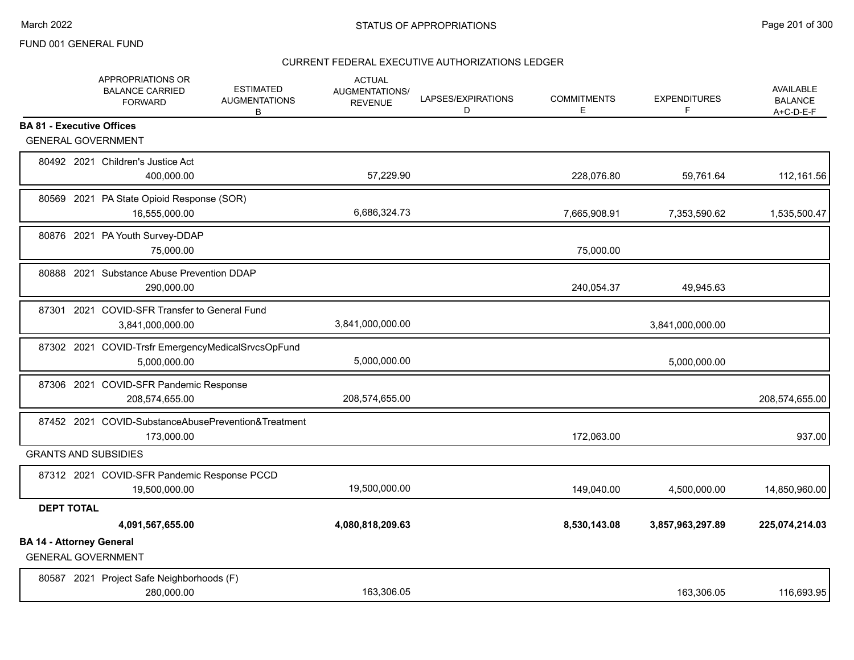|                                  | APPROPRIATIONS OR<br><b>BALANCE CARRIED</b><br><b>FORWARD</b>      | <b>ESTIMATED</b><br><b>AUGMENTATIONS</b><br>В | <b>ACTUAL</b><br>AUGMENTATIONS/<br><b>REVENUE</b> | LAPSES/EXPIRATIONS<br>D | <b>COMMITMENTS</b><br>Е | <b>EXPENDITURES</b><br>F | <b>AVAILABLE</b><br><b>BALANCE</b><br>$A+C-D-E-F$ |
|----------------------------------|--------------------------------------------------------------------|-----------------------------------------------|---------------------------------------------------|-------------------------|-------------------------|--------------------------|---------------------------------------------------|
| <b>BA 81 - Executive Offices</b> |                                                                    |                                               |                                                   |                         |                         |                          |                                                   |
|                                  | <b>GENERAL GOVERNMENT</b>                                          |                                               |                                                   |                         |                         |                          |                                                   |
|                                  | 80492 2021 Children's Justice Act<br>400,000.00                    |                                               | 57,229.90                                         |                         | 228,076.80              | 59,761.64                | 112,161.56                                        |
|                                  | 80569 2021 PA State Opioid Response (SOR)<br>16,555,000.00         |                                               | 6,686,324.73                                      |                         | 7,665,908.91            | 7,353,590.62             | 1,535,500.47                                      |
|                                  | 80876 2021 PA Youth Survey-DDAP<br>75,000.00                       |                                               |                                                   |                         | 75,000.00               |                          |                                                   |
|                                  | 80888 2021 Substance Abuse Prevention DDAP<br>290,000.00           |                                               |                                                   |                         | 240,054.37              | 49,945.63                |                                                   |
|                                  | 87301 2021 COVID-SFR Transfer to General Fund<br>3,841,000,000.00  |                                               | 3,841,000,000.00                                  |                         |                         | 3,841,000,000.00         |                                                   |
|                                  | 87302 2021 COVID-Trsfr EmergencyMedicalSrvcsOpFund<br>5,000,000.00 |                                               | 5,000,000.00                                      |                         |                         | 5,000,000.00             |                                                   |
|                                  | 87306 2021 COVID-SFR Pandemic Response<br>208,574,655.00           |                                               | 208,574,655.00                                    |                         |                         |                          | 208,574,655.00                                    |
|                                  | 87452 2021 COVID-SubstanceAbusePrevention&Treatment<br>173,000.00  |                                               |                                                   |                         | 172,063.00              |                          | 937.00                                            |
|                                  | <b>GRANTS AND SUBSIDIES</b>                                        |                                               |                                                   |                         |                         |                          |                                                   |
|                                  | 87312 2021 COVID-SFR Pandemic Response PCCD<br>19,500,000.00       |                                               | 19,500,000.00                                     |                         | 149,040.00              | 4,500,000.00             | 14,850,960.00                                     |
| <b>DEPT TOTAL</b>                |                                                                    |                                               |                                                   |                         |                         |                          |                                                   |
|                                  | 4,091,567,655.00                                                   |                                               | 4,080,818,209.63                                  |                         | 8,530,143.08            | 3,857,963,297.89         | 225,074,214.03                                    |
| <b>BA 14 - Attorney General</b>  | <b>GENERAL GOVERNMENT</b>                                          |                                               |                                                   |                         |                         |                          |                                                   |
|                                  | 80587 2021 Project Safe Neighborhoods (F)<br>280,000.00            |                                               | 163.306.05                                        |                         |                         | 163,306.05               | 116,693.95                                        |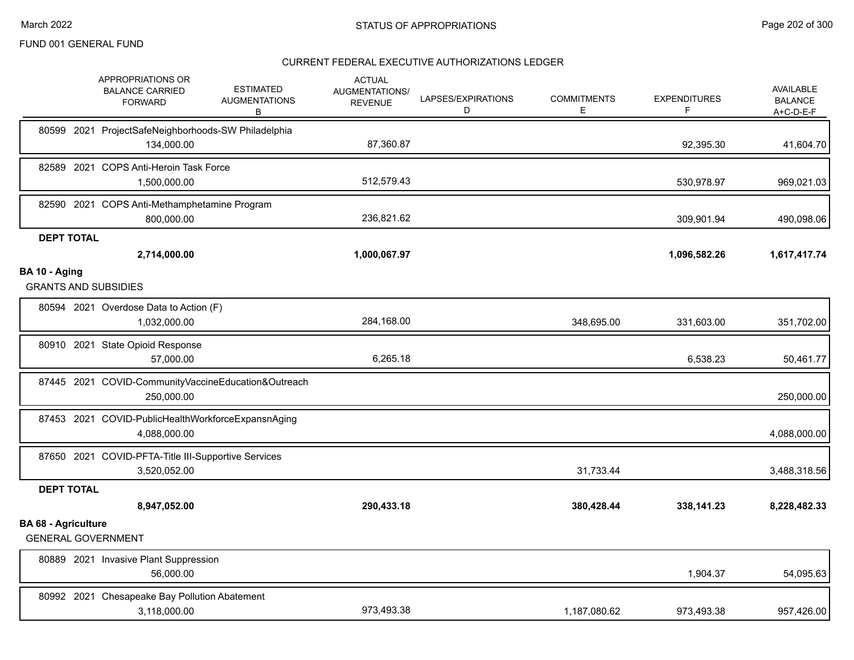|                            | APPROPRIATIONS OR<br><b>BALANCE CARRIED</b><br><b>FORWARD</b>       | <b>ESTIMATED</b><br><b>AUGMENTATIONS</b><br>В | <b>ACTUAL</b><br>AUGMENTATIONS/<br><b>REVENUE</b> | LAPSES/EXPIRATIONS<br>D | <b>COMMITMENTS</b><br>Е | <b>EXPENDITURES</b><br>F | <b>AVAILABLE</b><br><b>BALANCE</b><br>A+C-D-E-F |
|----------------------------|---------------------------------------------------------------------|-----------------------------------------------|---------------------------------------------------|-------------------------|-------------------------|--------------------------|-------------------------------------------------|
| 80599 2021                 | ProjectSafeNeighborhoods-SW Philadelphia<br>134,000.00              |                                               | 87,360.87                                         |                         |                         | 92,395.30                | 41,604.70                                       |
|                            | 82589 2021 COPS Anti-Heroin Task Force<br>1,500,000.00              |                                               | 512,579.43                                        |                         |                         | 530,978.97               | 969,021.03                                      |
|                            | 82590 2021 COPS Anti-Methamphetamine Program<br>800,000.00          |                                               | 236,821.62                                        |                         |                         | 309,901.94               | 490,098.06                                      |
| <b>DEPT TOTAL</b>          |                                                                     |                                               |                                                   |                         |                         |                          |                                                 |
|                            | 2,714,000.00                                                        |                                               | 1,000,067.97                                      |                         |                         | 1,096,582.26             | 1,617,417.74                                    |
| BA 10 - Aging              | <b>GRANTS AND SUBSIDIES</b>                                         |                                               |                                                   |                         |                         |                          |                                                 |
|                            | 80594 2021 Overdose Data to Action (F)<br>1,032,000.00              |                                               | 284,168.00                                        |                         | 348,695.00              | 331,603.00               | 351,702.00                                      |
|                            | 80910 2021 State Opioid Response<br>57,000.00                       |                                               | 6,265.18                                          |                         |                         | 6,538.23                 | 50,461.77                                       |
|                            | 87445 2021 COVID-CommunityVaccineEducation&Outreach<br>250,000.00   |                                               |                                                   |                         |                         |                          | 250,000.00                                      |
|                            | 87453 2021 COVID-PublicHealthWorkforceExpansnAging<br>4,088,000.00  |                                               |                                                   |                         |                         |                          | 4,088,000.00                                    |
|                            | 87650 2021 COVID-PFTA-Title III-Supportive Services<br>3,520,052.00 |                                               |                                                   |                         | 31,733.44               |                          | 3,488,318.56                                    |
| <b>DEPT TOTAL</b>          |                                                                     |                                               |                                                   |                         |                         |                          |                                                 |
|                            | 8,947,052.00                                                        |                                               | 290,433.18                                        |                         | 380,428.44              | 338,141.23               | 8,228,482.33                                    |
| <b>BA 68 - Agriculture</b> | <b>GENERAL GOVERNMENT</b>                                           |                                               |                                                   |                         |                         |                          |                                                 |
|                            | 80889 2021 Invasive Plant Suppression<br>56,000.00                  |                                               |                                                   |                         |                         | 1,904.37                 | 54,095.63                                       |
|                            | 80992 2021 Chesapeake Bay Pollution Abatement<br>3,118,000.00       |                                               | 973,493.38                                        |                         | 1,187,080.62            | 973,493.38               | 957,426.00                                      |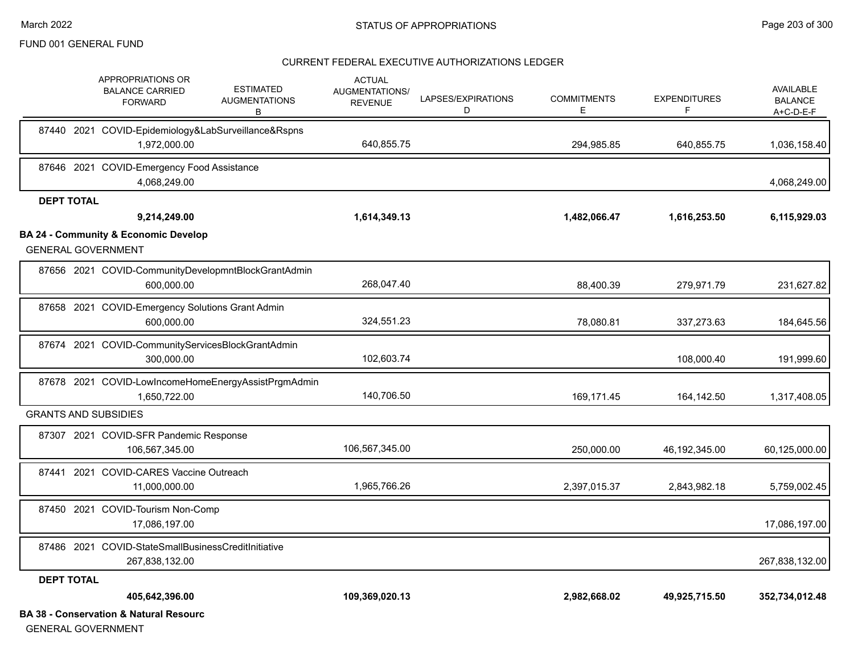#### CURRENT FEDERAL EXECUTIVE AUTHORIZATIONS LEDGER

|                   | APPROPRIATIONS OR<br><b>BALANCE CARRIED</b><br><b>FORWARD</b>                | <b>ESTIMATED</b><br><b>AUGMENTATIONS</b><br>В       | <b>ACTUAL</b><br>AUGMENTATIONS/<br><b>REVENUE</b> | LAPSES/EXPIRATIONS<br>D | <b>COMMITMENTS</b><br>Е | <b>EXPENDITURES</b><br>F | <b>AVAILABLE</b><br><b>BALANCE</b><br>A+C-D-E-F |
|-------------------|------------------------------------------------------------------------------|-----------------------------------------------------|---------------------------------------------------|-------------------------|-------------------------|--------------------------|-------------------------------------------------|
|                   | 87440 2021 COVID-Epidemiology&LabSurveillance&Rspns<br>1,972,000.00          |                                                     | 640,855.75                                        |                         | 294,985.85              | 640,855.75               | 1,036,158.40                                    |
|                   | 87646 2021 COVID-Emergency Food Assistance<br>4,068,249.00                   |                                                     |                                                   |                         |                         |                          | 4,068,249.00                                    |
| <b>DEPT TOTAL</b> |                                                                              |                                                     |                                                   |                         |                         |                          |                                                 |
|                   | 9,214,249.00                                                                 |                                                     | 1,614,349.13                                      |                         | 1,482,066.47            | 1,616,253.50             | 6,115,929.03                                    |
|                   | <b>BA 24 - Community &amp; Economic Develop</b><br><b>GENERAL GOVERNMENT</b> |                                                     |                                                   |                         |                         |                          |                                                 |
|                   | 600,000.00                                                                   | 87656 2021 COVID-CommunityDevelopmntBlockGrantAdmin | 268,047.40                                        |                         | 88,400.39               | 279,971.79               | 231,627.82                                      |
|                   | 87658 2021 COVID-Emergency Solutions Grant Admin<br>600,000.00               |                                                     | 324,551.23                                        |                         | 78,080.81               | 337,273.63               | 184,645.56                                      |
|                   | 87674 2021 COVID-CommunityServicesBlockGrantAdmin<br>300,000.00              |                                                     | 102,603.74                                        |                         |                         | 108,000.40               | 191,999.60                                      |
|                   | 1.650.722.00                                                                 | 87678 2021 COVID-LowIncomeHomeEnergyAssistPrgmAdmin | 140,706.50                                        |                         | 169.171.45              | 164,142.50               | 1,317,408.05                                    |
|                   | <b>GRANTS AND SUBSIDIES</b>                                                  |                                                     |                                                   |                         |                         |                          |                                                 |
|                   | 87307 2021 COVID-SFR Pandemic Response<br>106,567,345.00                     |                                                     | 106,567,345.00                                    |                         | 250,000.00              | 46, 192, 345.00          | 60,125,000.00                                   |
|                   | 87441 2021 COVID-CARES Vaccine Outreach<br>11.000.000.00                     |                                                     | 1,965,766.26                                      |                         | 2,397,015.37            | 2,843,982.18             | 5,759,002.45                                    |
|                   | 87450 2021 COVID-Tourism Non-Comp<br>17,086,197.00                           |                                                     |                                                   |                         |                         |                          | 17,086,197.00                                   |
|                   | 87486 2021 COVID-StateSmallBusinessCreditInitiative<br>267,838,132.00        |                                                     |                                                   |                         |                         |                          | 267,838,132.00                                  |
| <b>DEPT TOTAL</b> |                                                                              |                                                     |                                                   |                         |                         |                          |                                                 |
|                   | 405,642,396.00                                                               |                                                     | 109,369,020.13                                    |                         | 2,982,668.02            | 49,925,715.50            | 352,734,012.48                                  |
|                   | <b>BA 38 - Conservation &amp; Natural Resourc</b>                            |                                                     |                                                   |                         |                         |                          |                                                 |

GENERAL GOVERNMENT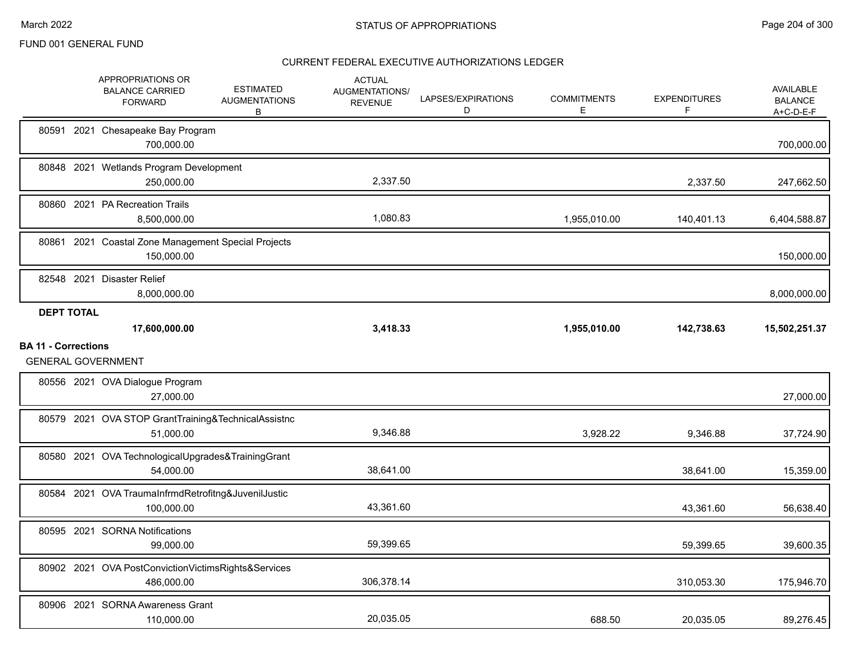|                                                         | APPROPRIATIONS OR<br><b>ESTIMATED</b><br><b>BALANCE CARRIED</b><br><b>AUGMENTATIONS</b><br><b>FORWARD</b><br>В | <b>ACTUAL</b><br>AUGMENTATIONS/<br><b>REVENUE</b> | LAPSES/EXPIRATIONS<br>D | <b>COMMITMENTS</b><br>E. | <b>EXPENDITURES</b> | AVAILABLE<br><b>BALANCE</b><br>A+C-D-E-F |
|---------------------------------------------------------|----------------------------------------------------------------------------------------------------------------|---------------------------------------------------|-------------------------|--------------------------|---------------------|------------------------------------------|
|                                                         | 80591 2021 Chesapeake Bay Program<br>700,000.00                                                                |                                                   |                         |                          |                     | 700,000.00                               |
|                                                         | 80848 2021 Wetlands Program Development<br>250,000.00                                                          | 2,337.50                                          |                         |                          | 2,337.50            | 247,662.50                               |
|                                                         | 80860 2021 PA Recreation Trails<br>8,500,000.00                                                                | 1,080.83                                          |                         | 1,955,010.00             | 140,401.13          | 6,404,588.87                             |
| 80861                                                   | 2021 Coastal Zone Management Special Projects<br>150,000.00                                                    |                                                   |                         |                          |                     | 150,000.00                               |
|                                                         | 82548 2021 Disaster Relief<br>8,000,000.00                                                                     |                                                   |                         |                          |                     | 8,000,000.00                             |
| <b>DEPT TOTAL</b>                                       | 17,600,000.00                                                                                                  | 3,418.33                                          |                         | 1,955,010.00             | 142,738.63          | 15,502,251.37                            |
| <b>BA 11 - Corrections</b><br><b>GENERAL GOVERNMENT</b> |                                                                                                                |                                                   |                         |                          |                     |                                          |
|                                                         |                                                                                                                |                                                   |                         |                          |                     |                                          |
|                                                         | 80556 2021 OVA Dialogue Program<br>27,000.00                                                                   |                                                   |                         |                          |                     | 27,000.00                                |
|                                                         | 80579 2021 OVA STOP GrantTraining&TechnicalAssistnc<br>51,000.00                                               | 9,346.88                                          |                         | 3,928.22                 | 9,346.88            | 37,724.90                                |
|                                                         | 80580 2021 OVA TechnologicalUpgrades&TrainingGrant<br>54,000.00                                                | 38,641.00                                         |                         |                          | 38,641.00           | 15,359.00                                |
|                                                         | 80584 2021 OVA TraumaInfrmdRetrofitng&JuvenilJustic<br>100,000.00                                              | 43,361.60                                         |                         |                          | 43,361.60           | 56,638.40                                |
|                                                         | 80595 2021 SORNA Notifications<br>99,000.00                                                                    | 59,399.65                                         |                         |                          | 59,399.65           | 39,600.35                                |
|                                                         | 80902 2021 OVA PostConvictionVictimsRights&Services<br>486,000.00                                              | 306,378.14                                        |                         |                          | 310,053.30          | 175,946.70                               |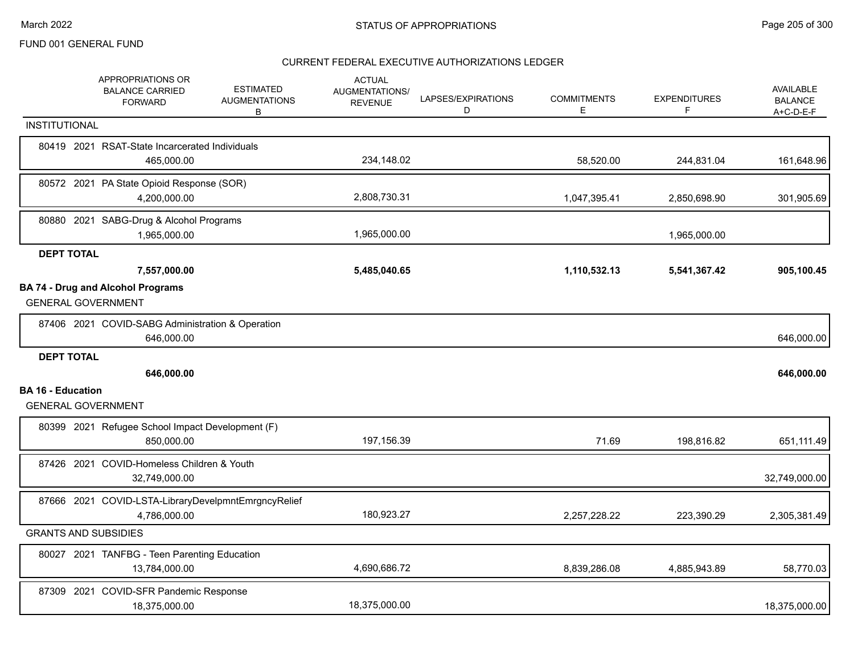|                          | APPROPRIATIONS OR<br><b>BALANCE CARRIED</b><br><b>FORWARD</b>         | <b>ESTIMATED</b><br><b>AUGMENTATIONS</b><br>B       | <b>ACTUAL</b><br>AUGMENTATIONS/<br><b>REVENUE</b> | LAPSES/EXPIRATIONS<br>D | <b>COMMITMENTS</b><br>Е | <b>EXPENDITURES</b><br>F | <b>AVAILABLE</b><br><b>BALANCE</b><br>$A+C-D-E-F$ |
|--------------------------|-----------------------------------------------------------------------|-----------------------------------------------------|---------------------------------------------------|-------------------------|-------------------------|--------------------------|---------------------------------------------------|
| INSTITUTIONAL            |                                                                       |                                                     |                                                   |                         |                         |                          |                                                   |
|                          | 80419 2021 RSAT-State Incarcerated Individuals<br>465,000.00          |                                                     | 234,148.02                                        |                         | 58,520.00               | 244,831.04               | 161,648.96                                        |
|                          | 80572 2021 PA State Opioid Response (SOR)<br>4,200,000.00             |                                                     | 2,808,730.31                                      |                         | 1,047,395.41            | 2,850,698.90             | 301,905.69                                        |
|                          | 80880 2021 SABG-Drug & Alcohol Programs<br>1,965,000.00               |                                                     | 1,965,000.00                                      |                         |                         | 1,965,000.00             |                                                   |
|                          | <b>DEPT TOTAL</b>                                                     |                                                     |                                                   |                         |                         |                          |                                                   |
|                          | 7,557,000.00                                                          |                                                     | 5,485,040.65                                      |                         | 1,110,532.13            | 5,541,367.42             | 905,100.45                                        |
|                          | <b>BA 74 - Drug and Alcohol Programs</b><br><b>GENERAL GOVERNMENT</b> |                                                     |                                                   |                         |                         |                          |                                                   |
|                          | 87406 2021 COVID-SABG Administration & Operation<br>646,000.00        |                                                     |                                                   |                         |                         |                          | 646,000.00                                        |
|                          | <b>DEPT TOTAL</b>                                                     |                                                     |                                                   |                         |                         |                          |                                                   |
|                          | 646,000.00                                                            |                                                     |                                                   |                         |                         |                          | 646,000.00                                        |
| <b>BA 16 - Education</b> | <b>GENERAL GOVERNMENT</b>                                             |                                                     |                                                   |                         |                         |                          |                                                   |
|                          | 80399 2021 Refugee School Impact Development (F)<br>850,000.00        |                                                     | 197,156.39                                        |                         | 71.69                   | 198,816.82               | 651,111.49                                        |
|                          | 87426 2021 COVID-Homeless Children & Youth<br>32,749,000.00           |                                                     |                                                   |                         |                         |                          | 32,749,000.00                                     |
|                          | 4,786,000.00                                                          | 87666 2021 COVID-LSTA-LibraryDevelpmntEmrgncyRelief | 180,923.27                                        |                         | 2,257,228.22            | 223,390.29               | 2,305,381.49                                      |
|                          | <b>GRANTS AND SUBSIDIES</b>                                           |                                                     |                                                   |                         |                         |                          |                                                   |
|                          | 80027 2021 TANFBG - Teen Parenting Education<br>13,784,000.00         |                                                     | 4,690,686.72                                      |                         | 8,839,286.08            | 4,885,943.89             | 58,770.03                                         |
|                          | <b>COVID-SFR Pandemic Response</b><br>87309 2021<br>18,375,000.00     |                                                     | 18,375,000.00                                     |                         |                         |                          | 18,375,000.00                                     |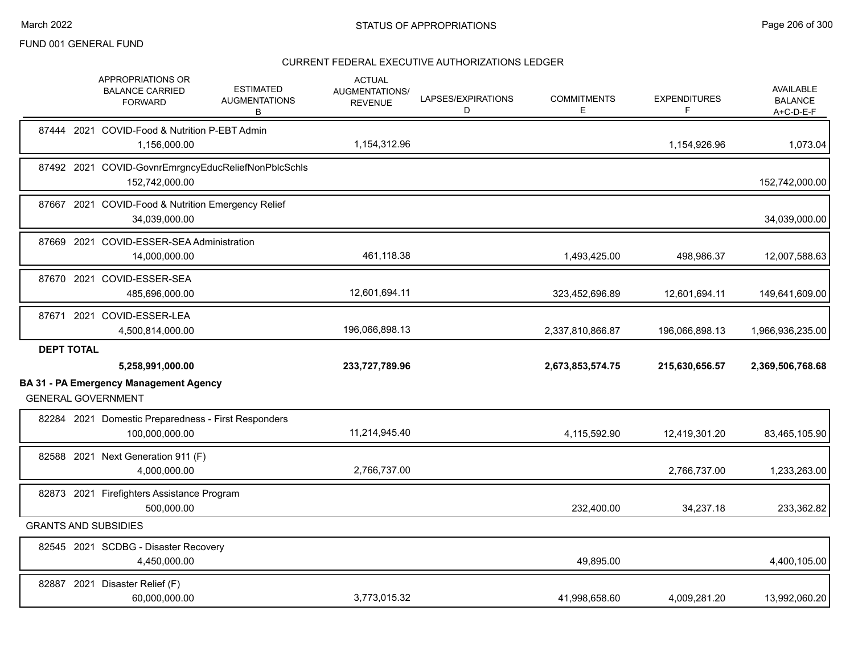|                   | APPROPRIATIONS OR<br><b>BALANCE CARRIED</b><br><b>FORWARD</b>              | <b>ESTIMATED</b><br><b>AUGMENTATIONS</b><br>В | <b>ACTUAL</b><br><b>AUGMENTATIONS/</b><br><b>REVENUE</b> | LAPSES/EXPIRATIONS<br>D | <b>COMMITMENTS</b><br>E | <b>EXPENDITURES</b><br>F | AVAILABLE<br><b>BALANCE</b><br>$A+C-D-E-F$ |
|-------------------|----------------------------------------------------------------------------|-----------------------------------------------|----------------------------------------------------------|-------------------------|-------------------------|--------------------------|--------------------------------------------|
|                   | 87444 2021 COVID-Food & Nutrition P-EBT Admin<br>1,156,000.00              |                                               | 1,154,312.96                                             |                         |                         | 1,154,926.96             | 1,073.04                                   |
|                   | 87492 2021 COVID-GovnrEmrgncyEducReliefNonPblcSchls<br>152,742,000.00      |                                               |                                                          |                         |                         |                          | 152,742,000.00                             |
|                   | 87667 2021 COVID-Food & Nutrition Emergency Relief<br>34,039,000.00        |                                               |                                                          |                         |                         |                          | 34,039,000.00                              |
|                   | 87669 2021 COVID-ESSER-SEA Administration<br>14,000,000.00                 |                                               | 461,118.38                                               |                         | 1,493,425.00            | 498,986.37               | 12,007,588.63                              |
|                   | 87670 2021 COVID-ESSER-SEA<br>485,696,000.00                               |                                               | 12,601,694.11                                            |                         | 323,452,696.89          | 12,601,694.11            | 149,641,609.00                             |
|                   | 87671 2021 COVID-ESSER-LEA<br>4,500,814,000.00                             |                                               | 196,066,898.13                                           |                         | 2,337,810,866.87        | 196,066,898.13           | 1,966,936,235.00                           |
| <b>DEPT TOTAL</b> |                                                                            |                                               |                                                          |                         |                         |                          |                                            |
|                   | 5,258,991,000.00                                                           |                                               | 233,727,789.96                                           |                         | 2,673,853,574.75        | 215,630,656.57           | 2,369,506,768.68                           |
|                   | <b>BA 31 - PA Emergency Management Agency</b><br><b>GENERAL GOVERNMENT</b> |                                               |                                                          |                         |                         |                          |                                            |
|                   | 82284 2021 Domestic Preparedness - First Responders<br>100,000,000.00      |                                               | 11,214,945.40                                            |                         | 4,115,592.90            | 12,419,301.20            | 83,465,105.90                              |
|                   | 82588 2021 Next Generation 911 (F)<br>4,000,000.00                         |                                               | 2,766,737.00                                             |                         |                         | 2,766,737.00             | 1,233,263.00                               |
|                   | 82873 2021 Firefighters Assistance Program                                 |                                               |                                                          |                         |                         |                          |                                            |
|                   | 500,000.00                                                                 |                                               |                                                          |                         | 232,400.00              | 34,237.18                | 233,362.82                                 |
|                   | <b>GRANTS AND SUBSIDIES</b>                                                |                                               |                                                          |                         |                         |                          |                                            |
|                   | 82545 2021 SCDBG - Disaster Recovery<br>4,450,000.00                       |                                               |                                                          |                         | 49,895.00               |                          | 4,400,105.00                               |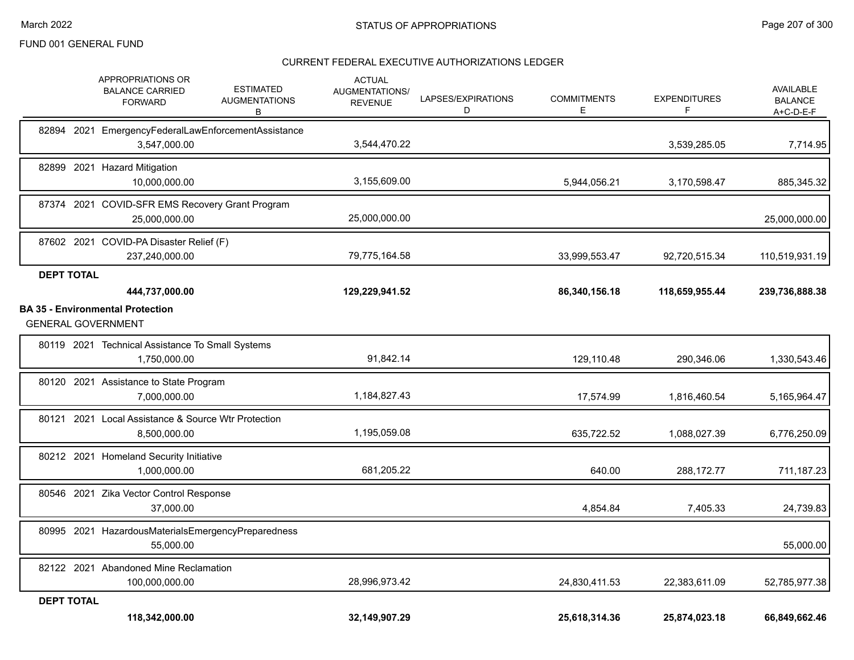|                           | APPROPRIATIONS OR<br><b>BALANCE CARRIED</b><br><b>FORWARD</b>       | <b>ESTIMATED</b><br><b>AUGMENTATIONS</b><br>В | <b>ACTUAL</b><br>AUGMENTATIONS/<br><b>REVENUE</b> | LAPSES/EXPIRATIONS<br>D | <b>COMMITMENTS</b><br>Е | <b>EXPENDITURES</b><br>F | <b>AVAILABLE</b><br><b>BALANCE</b><br>A+C-D-E-F |
|---------------------------|---------------------------------------------------------------------|-----------------------------------------------|---------------------------------------------------|-------------------------|-------------------------|--------------------------|-------------------------------------------------|
|                           | 82894 2021 EmergencyFederalLawEnforcementAssistance<br>3,547,000.00 |                                               | 3,544,470.22                                      |                         |                         | 3,539,285.05             | 7,714.95                                        |
|                           | 82899 2021 Hazard Mitigation<br>10,000,000.00                       |                                               | 3,155,609.00                                      |                         | 5,944,056.21            | 3,170,598.47             | 885,345.32                                      |
| 87374 2021                | COVID-SFR EMS Recovery Grant Program<br>25,000,000.00               |                                               | 25,000,000.00                                     |                         |                         |                          | 25,000,000.00                                   |
| 87602 2021                | COVID-PA Disaster Relief (F)<br>237,240,000.00                      |                                               | 79,775,164.58                                     |                         | 33,999,553.47           | 92,720,515.34            | 110,519,931.19                                  |
| <b>DEPT TOTAL</b>         |                                                                     |                                               |                                                   |                         |                         |                          |                                                 |
|                           | 444,737,000.00                                                      |                                               | 129,229,941.52                                    |                         | 86,340,156.18           | 118,659,955.44           | 239,736,888.38                                  |
| <b>GENERAL GOVERNMENT</b> | <b>BA 35 - Environmental Protection</b>                             |                                               |                                                   |                         |                         |                          |                                                 |
|                           | 80119 2021 Technical Assistance To Small Systems                    |                                               |                                                   |                         |                         |                          |                                                 |
|                           | 1,750,000.00                                                        |                                               | 91,842.14                                         |                         | 129,110.48              | 290,346.06               | 1,330,543.46                                    |
|                           | 80120 2021 Assistance to State Program<br>7,000,000.00              |                                               | 1,184,827.43                                      |                         | 17,574.99               | 1,816,460.54             | 5,165,964.47                                    |
|                           | 80121 2021 Local Assistance & Source Wtr Protection<br>8.500.000.00 |                                               | 1,195,059.08                                      |                         | 635,722.52              | 1,088,027.39             | 6,776,250.09                                    |
|                           | 80212 2021 Homeland Security Initiative<br>1,000,000.00             |                                               | 681,205.22                                        |                         | 640.00                  | 288,172.77               | 711,187.23                                      |
|                           | 80546 2021 Zika Vector Control Response<br>37,000.00                |                                               |                                                   |                         | 4,854.84                | 7,405.33                 | 24,739.83                                       |
|                           | 80995 2021 HazardousMaterialsEmergencyPreparedness<br>55,000.00     |                                               |                                                   |                         |                         |                          | 55,000.00                                       |
|                           | 82122 2021 Abandoned Mine Reclamation<br>100,000,000.00             |                                               | 28,996,973.42                                     |                         | 24,830,411.53           | 22,383,611.09            | 52,785,977.38                                   |
| <b>DEPT TOTAL</b>         | 118,342,000.00                                                      |                                               | 32,149,907.29                                     |                         | 25,618,314.36           | 25,874,023.18            | 66,849,662.46                                   |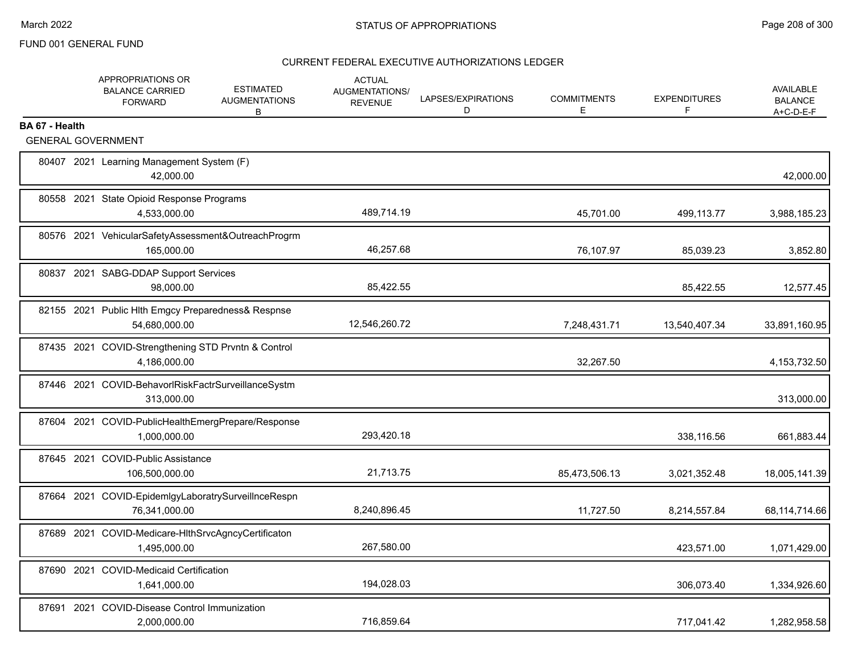|                | APPROPRIATIONS OR<br><b>BALANCE CARRIED</b><br><b>FORWARD</b>        | <b>ESTIMATED</b><br><b>AUGMENTATIONS</b><br>B | <b>ACTUAL</b><br><b>AUGMENTATIONS/</b><br><b>REVENUE</b> | LAPSES/EXPIRATIONS<br>D | <b>COMMITMENTS</b><br>E | <b>EXPENDITURES</b><br>F | <b>AVAILABLE</b><br><b>BALANCE</b><br>A+C-D-E-F |
|----------------|----------------------------------------------------------------------|-----------------------------------------------|----------------------------------------------------------|-------------------------|-------------------------|--------------------------|-------------------------------------------------|
| BA 67 - Health |                                                                      |                                               |                                                          |                         |                         |                          |                                                 |
|                | <b>GENERAL GOVERNMENT</b>                                            |                                               |                                                          |                         |                         |                          |                                                 |
|                | 80407 2021 Learning Management System (F)<br>42,000.00               |                                               |                                                          |                         |                         |                          | 42,000.00                                       |
|                | 80558 2021 State Opioid Response Programs<br>4.533.000.00            |                                               | 489,714.19                                               |                         | 45,701.00               | 499,113.77               | 3,988,185.23                                    |
|                | 80576 2021 VehicularSafetyAssessment&OutreachProgrm<br>165,000.00    |                                               | 46,257.68                                                |                         | 76,107.97               | 85,039.23                | 3,852.80                                        |
|                | 80837 2021 SABG-DDAP Support Services<br>98,000.00                   |                                               | 85,422.55                                                |                         |                         | 85,422.55                | 12,577.45                                       |
|                | 82155 2021 Public Hlth Emgcy Preparedness& Respnse<br>54,680,000.00  |                                               | 12,546,260.72                                            |                         | 7,248,431.71            | 13,540,407.34            | 33,891,160.95                                   |
|                | 87435 2021 COVID-Strengthening STD Prvntn & Control<br>4,186,000.00  |                                               |                                                          |                         | 32,267.50               |                          | 4, 153, 732.50                                  |
|                | 87446 2021 COVID-BehavorlRiskFactrSurveillanceSystm<br>313,000.00    |                                               |                                                          |                         |                         |                          | 313,000.00                                      |
|                | 87604 2021 COVID-PublicHealthEmergPrepare/Response<br>1,000,000.00   |                                               | 293,420.18                                               |                         |                         | 338,116.56               | 661,883.44                                      |
|                | 87645 2021 COVID-Public Assistance<br>106,500,000.00                 |                                               | 21,713.75                                                |                         | 85,473,506.13           | 3,021,352.48             | 18,005,141.39                                   |
|                | 87664 2021 COVID-EpidemIgyLaboratrySurveilInceRespn<br>76,341,000.00 |                                               | 8,240,896.45                                             |                         | 11,727.50               | 8,214,557.84             | 68,114,714.66                                   |
|                | 87689 2021 COVID-Medicare-HIthSrvcAgncyCertificaton<br>1,495,000.00  |                                               | 267,580.00                                               |                         |                         | 423,571.00               | 1,071,429.00                                    |
|                | 87690 2021 COVID-Medicaid Certification<br>1,641,000.00              |                                               | 194,028.03                                               |                         |                         | 306,073.40               | 1,334,926.60                                    |
|                | 87691 2021 COVID-Disease Control Immunization<br>2,000,000.00        |                                               | 716,859.64                                               |                         |                         | 717,041.42               | 1,282,958.58                                    |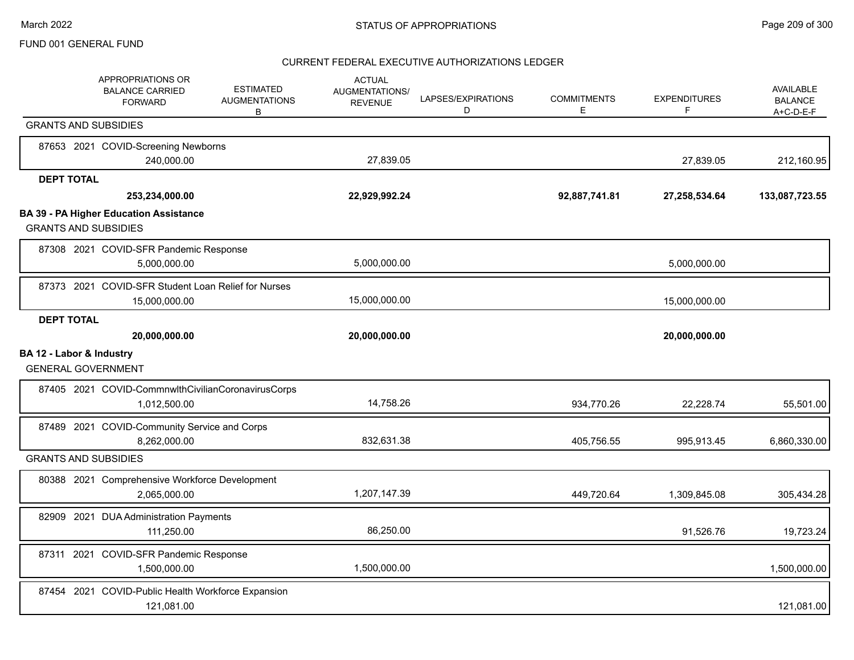|                             | APPROPRIATIONS OR<br><b>BALANCE CARRIED</b><br><b>FORWARD</b>        | <b>ESTIMATED</b><br><b>AUGMENTATIONS</b><br>В | <b>ACTUAL</b><br>AUGMENTATIONS/<br><b>REVENUE</b> | LAPSES/EXPIRATIONS<br>D | <b>COMMITMENTS</b><br>Е | <b>EXPENDITURES</b><br>F | <b>AVAILABLE</b><br><b>BALANCE</b><br>$A+C-D-E-F$ |
|-----------------------------|----------------------------------------------------------------------|-----------------------------------------------|---------------------------------------------------|-------------------------|-------------------------|--------------------------|---------------------------------------------------|
| <b>GRANTS AND SUBSIDIES</b> |                                                                      |                                               |                                                   |                         |                         |                          |                                                   |
|                             | 87653 2021 COVID-Screening Newborns<br>240,000.00                    |                                               | 27,839.05                                         |                         |                         | 27,839.05                | 212,160.95                                        |
| <b>DEPT TOTAL</b>           |                                                                      |                                               |                                                   |                         |                         |                          |                                                   |
|                             | 253,234,000.00                                                       |                                               | 22,929,992.24                                     |                         | 92,887,741.81           | 27,258,534.64            | 133,087,723.55                                    |
| <b>GRANTS AND SUBSIDIES</b> | <b>BA 39 - PA Higher Education Assistance</b>                        |                                               |                                                   |                         |                         |                          |                                                   |
|                             | 87308 2021 COVID-SFR Pandemic Response<br>5,000,000.00               |                                               | 5,000,000.00                                      |                         |                         | 5,000,000.00             |                                                   |
|                             | 87373 2021 COVID-SFR Student Loan Relief for Nurses<br>15,000,000.00 |                                               | 15,000,000.00                                     |                         |                         | 15,000,000.00            |                                                   |
| <b>DEPT TOTAL</b>           | 20,000,000.00                                                        |                                               | 20,000,000.00                                     |                         |                         | 20,000,000.00            |                                                   |
| BA 12 - Labor & Industry    | <b>GENERAL GOVERNMENT</b>                                            |                                               |                                                   |                         |                         |                          |                                                   |
|                             | 87405 2021 COVID-CommnwlthCivilianCoronavirusCorps<br>1,012,500.00   |                                               | 14,758.26                                         |                         | 934,770.26              | 22,228.74                | 55,501.00                                         |
|                             | 87489 2021 COVID-Community Service and Corps<br>8,262,000.00         |                                               | 832,631.38                                        |                         | 405,756.55              | 995,913.45               | 6,860,330.00                                      |
| <b>GRANTS AND SUBSIDIES</b> |                                                                      |                                               |                                                   |                         |                         |                          |                                                   |
|                             | 80388 2021 Comprehensive Workforce Development<br>2,065,000.00       |                                               | 1,207,147.39                                      |                         | 449,720.64              | 1,309,845.08             | 305,434.28                                        |
|                             | 82909 2021 DUA Administration Payments<br>111,250.00                 |                                               | 86,250.00                                         |                         |                         | 91,526.76                | 19,723.24                                         |
|                             | 87311 2021 COVID-SFR Pandemic Response<br>1,500,000.00               |                                               | 1,500,000.00                                      |                         |                         |                          | 1,500,000.00                                      |
|                             | 87454 2021 COVID-Public Health Workforce Expansion<br>121,081.00     |                                               |                                                   |                         |                         |                          | 121,081.00                                        |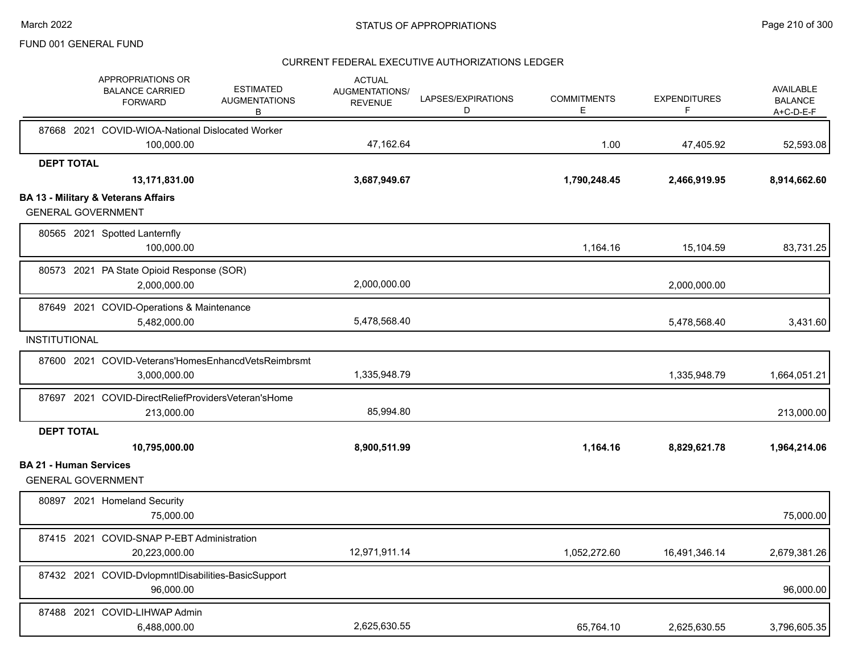|                               | APPROPRIATIONS OR<br><b>BALANCE CARRIED</b><br><b>FORWARD</b>               | <b>ESTIMATED</b><br><b>AUGMENTATIONS</b><br>В | <b>ACTUAL</b><br>AUGMENTATIONS/<br><b>REVENUE</b> | LAPSES/EXPIRATIONS<br>D | <b>COMMITMENTS</b><br>E | <b>EXPENDITURES</b><br>F | <b>AVAILABLE</b><br><b>BALANCE</b><br>$A+C-D-E-F$ |
|-------------------------------|-----------------------------------------------------------------------------|-----------------------------------------------|---------------------------------------------------|-------------------------|-------------------------|--------------------------|---------------------------------------------------|
|                               | 87668 2021 COVID-WIOA-National Dislocated Worker                            |                                               |                                                   |                         |                         |                          |                                                   |
|                               | 100,000.00                                                                  |                                               | 47,162.64                                         |                         | 1.00                    | 47,405.92                | 52,593.08                                         |
| <b>DEPT TOTAL</b>             |                                                                             |                                               |                                                   |                         |                         |                          |                                                   |
|                               | 13,171,831.00                                                               |                                               | 3,687,949.67                                      |                         | 1,790,248.45            | 2,466,919.95             | 8,914,662.60                                      |
|                               | <b>BA 13 - Military &amp; Veterans Affairs</b><br><b>GENERAL GOVERNMENT</b> |                                               |                                                   |                         |                         |                          |                                                   |
|                               | 80565 2021 Spotted Lanternfly<br>100,000.00                                 |                                               |                                                   |                         | 1,164.16                | 15,104.59                | 83,731.25                                         |
|                               | 80573 2021 PA State Opioid Response (SOR)<br>2,000,000.00                   |                                               | 2,000,000.00                                      |                         |                         | 2,000,000.00             |                                                   |
|                               | 87649 2021 COVID-Operations & Maintenance<br>5,482,000.00                   |                                               | 5,478,568.40                                      |                         |                         | 5,478,568.40             | 3,431.60                                          |
| <b>INSTITUTIONAL</b>          |                                                                             |                                               |                                                   |                         |                         |                          |                                                   |
|                               | 87600 2021 COVID-Veterans'HomesEnhancdVetsReimbrsmt<br>3,000,000.00         |                                               | 1,335,948.79                                      |                         |                         | 1,335,948.79             | 1,664,051.21                                      |
|                               | 87697 2021 COVID-DirectReliefProvidersVeteran'sHome<br>213,000.00           |                                               | 85,994.80                                         |                         |                         |                          | 213,000.00                                        |
| <b>DEPT TOTAL</b>             |                                                                             |                                               |                                                   |                         |                         |                          |                                                   |
|                               | 10,795,000.00                                                               |                                               | 8,900,511.99                                      |                         | 1,164.16                | 8,829,621.78             | 1,964,214.06                                      |
| <b>BA 21 - Human Services</b> | <b>GENERAL GOVERNMENT</b>                                                   |                                               |                                                   |                         |                         |                          |                                                   |
|                               | 80897 2021 Homeland Security<br>75.000.00                                   |                                               |                                                   |                         |                         |                          | 75,000.00                                         |
|                               | 87415 2021 COVID-SNAP P-EBT Administration                                  |                                               |                                                   |                         |                         |                          |                                                   |
|                               | 20,223,000.00                                                               |                                               | 12,971,911.14                                     |                         | 1,052,272.60            | 16,491,346.14            | 2,679,381.26                                      |
|                               | 87432 2021 COVID-DvlopmntIDisabilities-BasicSupport<br>96,000.00            |                                               |                                                   |                         |                         |                          | 96,000.00                                         |
|                               | 87488 2021 COVID-LIHWAP Admin<br>6,488,000.00                               |                                               | 2,625,630.55                                      |                         | 65,764.10               | 2,625,630.55             | 3,796,605.35                                      |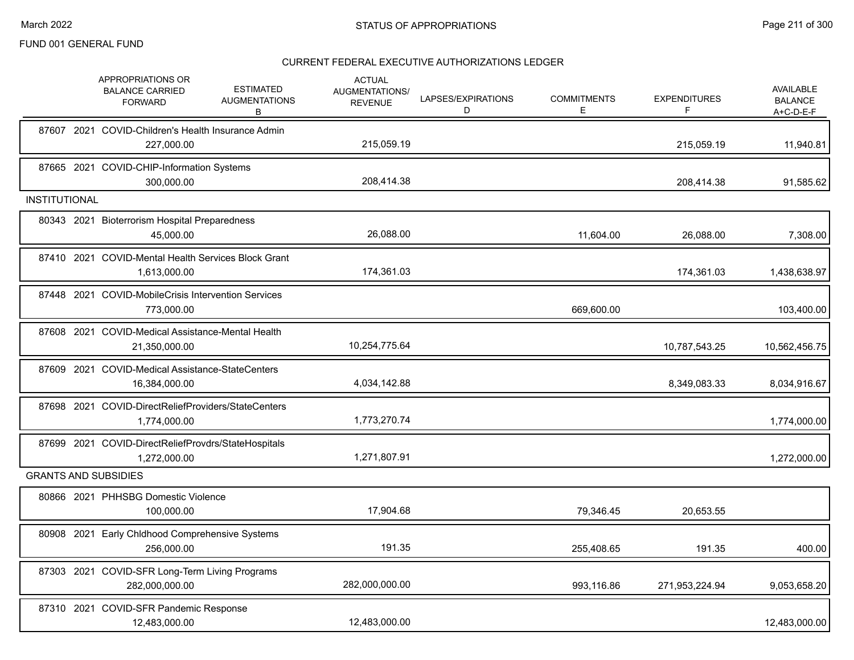|                      | APPROPRIATIONS OR<br><b>BALANCE CARRIED</b><br><b>FORWARD</b>       | <b>ESTIMATED</b><br><b>AUGMENTATIONS</b><br>в | <b>ACTUAL</b><br>AUGMENTATIONS/<br><b>REVENUE</b> | LAPSES/EXPIRATIONS<br>D | <b>COMMITMENTS</b><br>Е | <b>EXPENDITURES</b><br>F | <b>AVAILABLE</b><br><b>BALANCE</b><br>$A+C-D-E-F$ |
|----------------------|---------------------------------------------------------------------|-----------------------------------------------|---------------------------------------------------|-------------------------|-------------------------|--------------------------|---------------------------------------------------|
|                      | 87607 2021 COVID-Children's Health Insurance Admin<br>227,000.00    |                                               | 215,059.19                                        |                         |                         | 215,059.19               | 11,940.81                                         |
|                      | 87665 2021 COVID-CHIP-Information Systems<br>300,000.00             |                                               | 208,414.38                                        |                         |                         | 208,414.38               | 91,585.62                                         |
| <b>INSTITUTIONAL</b> |                                                                     |                                               |                                                   |                         |                         |                          |                                                   |
|                      | 80343 2021 Bioterrorism Hospital Preparedness<br>45.000.00          |                                               | 26,088.00                                         |                         | 11,604.00               | 26,088.00                | 7,308.00                                          |
|                      | 87410 2021 COVID-Mental Health Services Block Grant<br>1,613,000.00 |                                               | 174,361.03                                        |                         |                         | 174,361.03               | 1,438,638.97                                      |
|                      | 87448 2021 COVID-MobileCrisis Intervention Services<br>773,000.00   |                                               |                                                   |                         | 669,600.00              |                          | 103,400.00                                        |
|                      | 87608 2021 COVID-Medical Assistance-Mental Health<br>21,350,000.00  |                                               | 10,254,775.64                                     |                         |                         | 10,787,543.25            | 10,562,456.75                                     |
|                      | 87609 2021 COVID-Medical Assistance-StateCenters<br>16,384,000.00   |                                               | 4,034,142.88                                      |                         |                         | 8,349,083.33             | 8,034,916.67                                      |
|                      | 87698 2021 COVID-DirectReliefProviders/StateCenters<br>1,774,000.00 |                                               | 1,773,270.74                                      |                         |                         |                          | 1,774,000.00                                      |
|                      | 87699 2021 COVID-DirectReliefProvdrs/StateHospitals<br>1,272,000.00 |                                               | 1,271,807.91                                      |                         |                         |                          | 1,272,000.00                                      |
|                      | <b>GRANTS AND SUBSIDIES</b>                                         |                                               |                                                   |                         |                         |                          |                                                   |
|                      | 80866 2021 PHHSBG Domestic Violence<br>100,000.00                   |                                               | 17,904.68                                         |                         | 79,346.45               | 20,653.55                |                                                   |
|                      | 80908 2021 Early Chldhood Comprehensive Systems<br>256,000.00       |                                               | 191.35                                            |                         | 255,408.65              | 191.35                   | 400.00                                            |
|                      | 87303 2021 COVID-SFR Long-Term Living Programs<br>282,000,000.00    |                                               | 282,000,000.00                                    |                         | 993,116.86              | 271,953,224.94           | 9,053,658.20                                      |
|                      | 87310 2021 COVID-SFR Pandemic Response<br>12,483,000.00             |                                               | 12,483,000.00                                     |                         |                         |                          | 12,483,000.00                                     |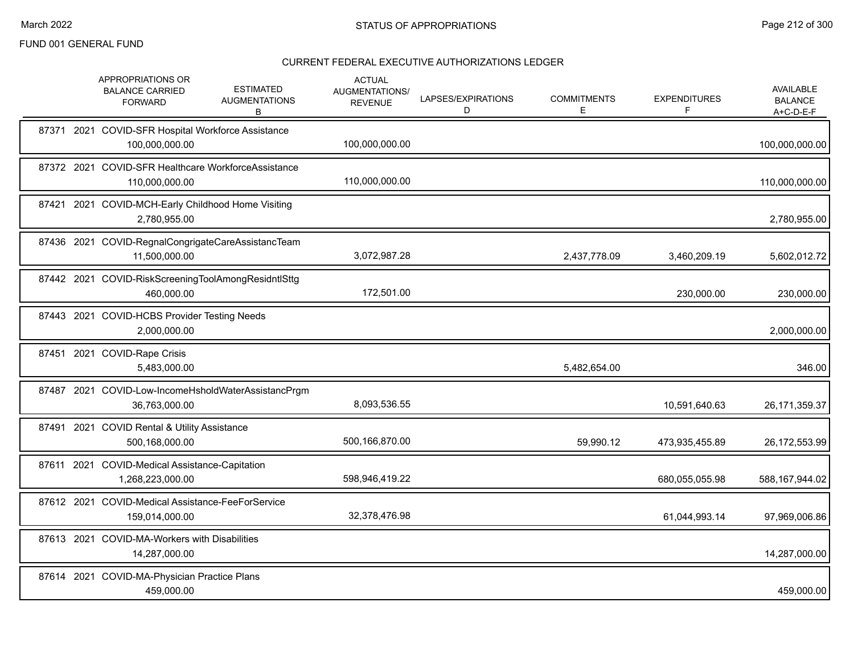|       | APPROPRIATIONS OR<br><b>BALANCE CARRIED</b><br><b>FORWARD</b>         | <b>ESTIMATED</b><br><b>AUGMENTATIONS</b><br>В | <b>ACTUAL</b><br><b>AUGMENTATIONS/</b><br><b>REVENUE</b> | LAPSES/EXPIRATIONS<br>D | <b>COMMITMENTS</b><br>E. | <b>EXPENDITURES</b><br>F | AVAILABLE<br><b>BALANCE</b><br>A+C-D-E-F |
|-------|-----------------------------------------------------------------------|-----------------------------------------------|----------------------------------------------------------|-------------------------|--------------------------|--------------------------|------------------------------------------|
|       | 87371 2021 COVID-SFR Hospital Workforce Assistance<br>100,000,000.00  |                                               | 100,000,000.00                                           |                         |                          |                          | 100,000,000.00                           |
|       | 87372 2021 COVID-SFR Healthcare WorkforceAssistance<br>110,000,000.00 |                                               | 110,000,000.00                                           |                         |                          |                          | 110,000,000.00                           |
|       | 87421 2021 COVID-MCH-Early Childhood Home Visiting<br>2,780,955.00    |                                               |                                                          |                         |                          |                          | 2,780,955.00                             |
|       | 87436 2021 COVID-RegnalCongrigateCareAssistancTeam<br>11,500,000.00   |                                               | 3,072,987.28                                             |                         | 2,437,778.09             | 3,460,209.19             | 5,602,012.72                             |
|       | 87442 2021 COVID-RiskScreeningToolAmongResidntlSttg<br>460,000.00     |                                               | 172,501.00                                               |                         |                          | 230,000.00               | 230,000.00                               |
|       | 87443 2021 COVID-HCBS Provider Testing Needs<br>2,000,000.00          |                                               |                                                          |                         |                          |                          | 2,000,000.00                             |
|       | 87451 2021 COVID-Rape Crisis<br>5,483,000.00                          |                                               |                                                          |                         | 5,482,654.00             |                          | 346.00                                   |
|       | 87487 2021 COVID-Low-IncomeHsholdWaterAssistancPrgm<br>36,763,000.00  |                                               | 8,093,536.55                                             |                         |                          | 10,591,640.63            | 26, 171, 359. 37                         |
| 87491 | 2021 COVID Rental & Utility Assistance<br>500,168,000.00              |                                               | 500,166,870.00                                           |                         | 59,990.12                | 473,935,455.89           | 26,172,553.99                            |
|       | 87611 2021 COVID-Medical Assistance-Capitation<br>1,268,223,000.00    |                                               | 598,946,419.22                                           |                         |                          | 680,055,055.98           | 588,167,944.02                           |
|       | 87612 2021 COVID-Medical Assistance-FeeForService<br>159.014.000.00   |                                               | 32,378,476.98                                            |                         |                          | 61,044,993.14            | 97,969,006.86                            |
|       | 87613 2021 COVID-MA-Workers with Disabilities<br>14,287,000.00        |                                               |                                                          |                         |                          |                          | 14,287,000.00                            |
|       | 87614 2021 COVID-MA-Physician Practice Plans<br>459,000.00            |                                               |                                                          |                         |                          |                          | 459,000.00                               |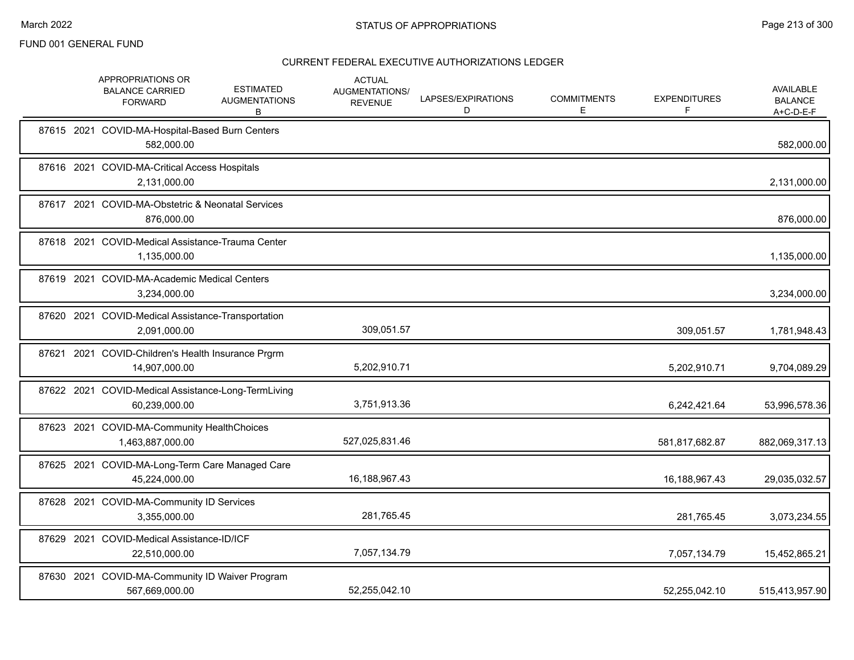|       | APPROPRIATIONS OR<br><b>BALANCE CARRIED</b><br><b>FORWARD</b>        | <b>ESTIMATED</b><br><b>AUGMENTATIONS</b><br>В | <b>ACTUAL</b><br>AUGMENTATIONS/<br><b>REVENUE</b> | LAPSES/EXPIRATIONS<br>D | <b>COMMITMENTS</b><br>Е | <b>EXPENDITURES</b><br>F | <b>AVAILABLE</b><br><b>BALANCE</b><br>A+C-D-E-F |
|-------|----------------------------------------------------------------------|-----------------------------------------------|---------------------------------------------------|-------------------------|-------------------------|--------------------------|-------------------------------------------------|
|       | 87615 2021 COVID-MA-Hospital-Based Burn Centers<br>582,000.00        |                                               |                                                   |                         |                         |                          | 582,000.00                                      |
|       | 87616 2021 COVID-MA-Critical Access Hospitals<br>2,131,000.00        |                                               |                                                   |                         |                         |                          | 2,131,000.00                                    |
|       | 87617 2021 COVID-MA-Obstetric & Neonatal Services<br>876,000.00      |                                               |                                                   |                         |                         |                          | 876,000.00                                      |
|       | 87618 2021 COVID-Medical Assistance-Trauma Center<br>1,135,000.00    |                                               |                                                   |                         |                         |                          | 1,135,000.00                                    |
|       | 87619 2021 COVID-MA-Academic Medical Centers<br>3,234,000.00         |                                               |                                                   |                         |                         |                          | 3,234,000.00                                    |
|       | 87620 2021 COVID-Medical Assistance-Transportation<br>2,091,000.00   |                                               | 309,051.57                                        |                         |                         | 309,051.57               | 1,781,948.43                                    |
| 87621 | 2021 COVID-Children's Health Insurance Prgrm<br>14,907,000.00        |                                               | 5,202,910.71                                      |                         |                         | 5,202,910.71             | 9,704,089.29                                    |
|       | 87622 2021 COVID-Medical Assistance-Long-TermLiving<br>60,239,000.00 |                                               | 3,751,913.36                                      |                         |                         | 6,242,421.64             | 53,996,578.36                                   |
|       | 87623 2021 COVID-MA-Community HealthChoices<br>1,463,887,000.00      |                                               | 527,025,831.46                                    |                         |                         | 581,817,682.87           | 882,069,317.13                                  |
|       | 87625 2021 COVID-MA-Long-Term Care Managed Care<br>45,224,000.00     |                                               | 16,188,967.43                                     |                         |                         | 16,188,967.43            | 29,035,032.57                                   |
|       | 87628 2021 COVID-MA-Community ID Services<br>3,355,000.00            |                                               | 281,765.45                                        |                         |                         | 281,765.45               | 3,073,234.55                                    |
|       | 87629 2021 COVID-Medical Assistance-ID/ICF<br>22,510,000.00          |                                               | 7,057,134.79                                      |                         |                         | 7,057,134.79             | 15,452,865.21                                   |
|       | 87630 2021 COVID-MA-Community ID Waiver Program<br>567,669,000.00    |                                               | 52,255,042.10                                     |                         |                         | 52,255,042.10            | 515,413,957.90                                  |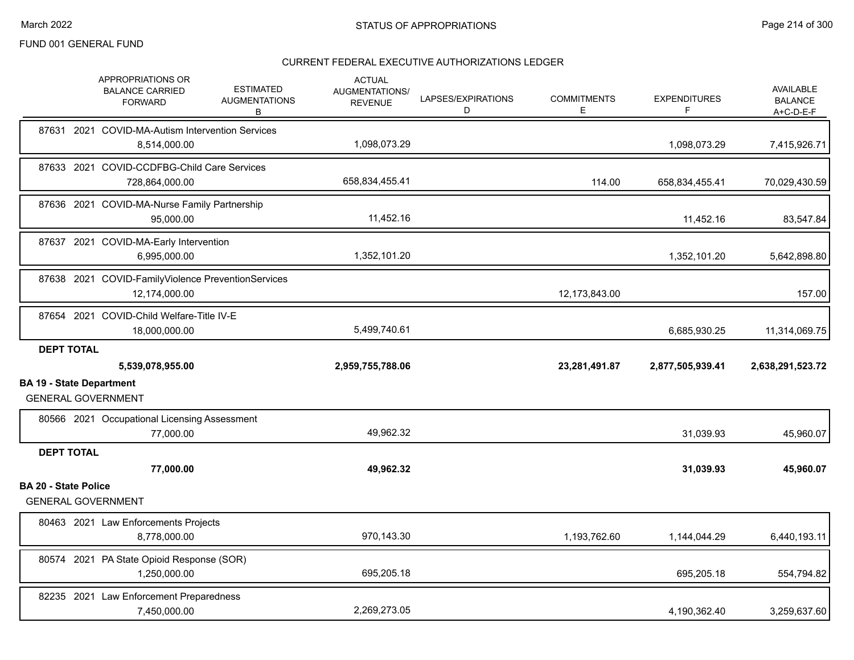|                                 | APPROPRIATIONS OR<br><b>BALANCE CARRIED</b><br><b>FORWARD</b>       | <b>ESTIMATED</b><br><b>AUGMENTATIONS</b><br>В | <b>ACTUAL</b><br>AUGMENTATIONS/<br><b>REVENUE</b> | LAPSES/EXPIRATIONS<br>D | <b>COMMITMENTS</b><br>Е | <b>EXPENDITURES</b><br>F | <b>AVAILABLE</b><br><b>BALANCE</b><br>$A+C-D-E-F$ |
|---------------------------------|---------------------------------------------------------------------|-----------------------------------------------|---------------------------------------------------|-------------------------|-------------------------|--------------------------|---------------------------------------------------|
|                                 | 87631 2021 COVID-MA-Autism Intervention Services<br>8,514,000.00    |                                               | 1,098,073.29                                      |                         |                         | 1,098,073.29             | 7,415,926.71                                      |
|                                 | 87633 2021 COVID-CCDFBG-Child Care Services<br>728,864,000.00       |                                               | 658,834,455.41                                    |                         | 114.00                  | 658,834,455.41           | 70,029,430.59                                     |
|                                 | 87636 2021 COVID-MA-Nurse Family Partnership<br>95.000.00           |                                               | 11,452.16                                         |                         |                         | 11,452.16                | 83,547.84                                         |
|                                 | 87637 2021 COVID-MA-Early Intervention<br>6,995,000.00              |                                               | 1,352,101.20                                      |                         |                         | 1,352,101.20             | 5,642,898.80                                      |
|                                 | 87638 2021 COVID-FamilyViolence PreventionServices<br>12,174,000.00 |                                               |                                                   |                         | 12,173,843.00           |                          | 157.00                                            |
|                                 | 87654 2021 COVID-Child Welfare-Title IV-E<br>18,000,000.00          |                                               | 5,499,740.61                                      |                         |                         | 6,685,930.25             | 11,314,069.75                                     |
| <b>DEPT TOTAL</b>               |                                                                     |                                               |                                                   |                         |                         |                          |                                                   |
|                                 | 5,539,078,955.00                                                    |                                               | 2,959,755,788.06                                  |                         | 23,281,491.87           | 2,877,505,939.41         | 2,638,291,523.72                                  |
| <b>BA 19 - State Department</b> | <b>GENERAL GOVERNMENT</b>                                           |                                               |                                                   |                         |                         |                          |                                                   |
|                                 | 80566 2021 Occupational Licensing Assessment<br>77,000.00           |                                               | 49,962.32                                         |                         |                         | 31,039.93                | 45,960.07                                         |
| <b>DEPT TOTAL</b>               |                                                                     |                                               |                                                   |                         |                         |                          |                                                   |
|                                 | 77,000.00                                                           |                                               | 49,962.32                                         |                         |                         | 31,039.93                | 45,960.07                                         |
| <b>BA 20 - State Police</b>     | <b>GENERAL GOVERNMENT</b>                                           |                                               |                                                   |                         |                         |                          |                                                   |
|                                 | 80463 2021 Law Enforcements Projects<br>8,778,000.00                |                                               | 970,143.30                                        |                         | 1,193,762.60            | 1,144,044.29             | 6,440,193.11                                      |
|                                 | 80574 2021 PA State Opioid Response (SOR)<br>1,250,000.00           |                                               | 695,205.18                                        |                         |                         | 695,205.18               | 554,794.82                                        |
|                                 | 82235 2021 Law Enforcement Preparedness<br>7,450,000.00             |                                               | 2,269,273.05                                      |                         |                         | 4,190,362.40             | 3,259,637.60                                      |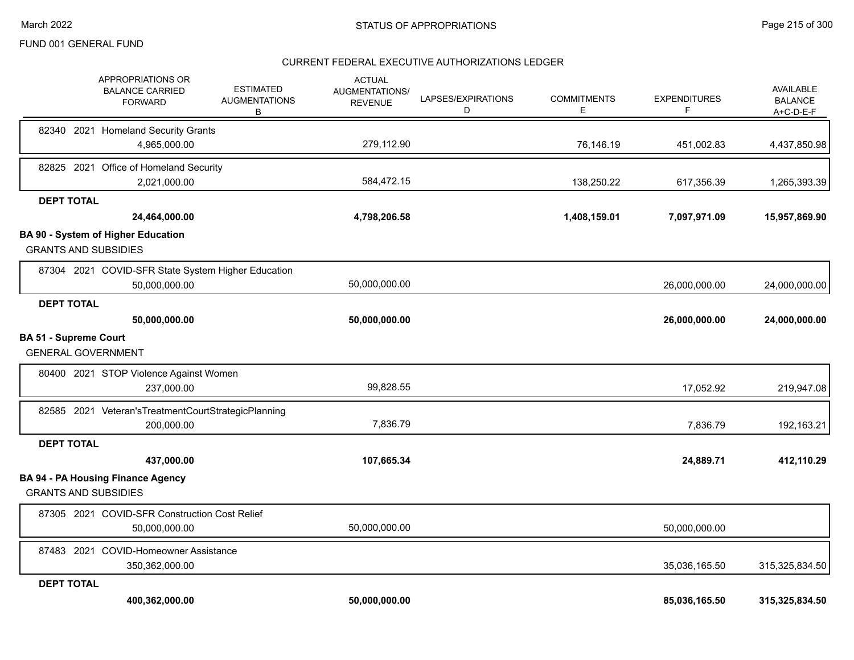|                                                           | <b>APPROPRIATIONS OR</b><br><b>BALANCE CARRIED</b><br><b>FORWARD</b>  | <b>ESTIMATED</b><br><b>AUGMENTATIONS</b><br>B | <b>ACTUAL</b><br><b>AUGMENTATIONS/</b><br><b>REVENUE</b> | LAPSES/EXPIRATIONS<br>D | <b>COMMITMENTS</b><br>Е | <b>EXPENDITURES</b><br>F. | AVAILABLE<br><b>BALANCE</b><br>A+C-D-E-F |
|-----------------------------------------------------------|-----------------------------------------------------------------------|-----------------------------------------------|----------------------------------------------------------|-------------------------|-------------------------|---------------------------|------------------------------------------|
|                                                           | 82340 2021 Homeland Security Grants<br>4,965,000.00                   |                                               | 279,112.90                                               |                         | 76,146.19               | 451,002.83                | 4,437,850.98                             |
|                                                           | 82825 2021 Office of Homeland Security<br>2,021,000.00                |                                               | 584,472.15                                               |                         | 138,250.22              | 617,356.39                | 1,265,393.39                             |
| <b>DEPT TOTAL</b>                                         | 24,464,000.00                                                         |                                               | 4,798,206.58                                             |                         | 1,408,159.01            | 7,097,971.09              | 15,957,869.90                            |
| <b>GRANTS AND SUBSIDIES</b>                               | <b>BA 90 - System of Higher Education</b>                             |                                               |                                                          |                         |                         |                           |                                          |
|                                                           | 87304 2021 COVID-SFR State System Higher Education<br>50,000,000.00   |                                               | 50,000,000.00                                            |                         |                         | 26,000,000.00             | 24,000,000.00                            |
| <b>DEPT TOTAL</b>                                         | 50,000,000.00                                                         |                                               | 50,000,000.00                                            |                         |                         | 26,000,000.00             | 24,000,000.00                            |
| <b>BA 51 - Supreme Court</b><br><b>GENERAL GOVERNMENT</b> |                                                                       |                                               |                                                          |                         |                         |                           |                                          |
|                                                           | 80400 2021 STOP Violence Against Women<br>237,000.00                  |                                               | 99,828.55                                                |                         |                         | 17,052.92                 | 219,947.08                               |
|                                                           | 82585 2021 Veteran's Treatment Court Strategic Planning<br>200,000.00 |                                               | 7,836.79                                                 |                         |                         | 7,836.79                  | 192,163.21                               |
| <b>DEPT TOTAL</b>                                         | 437,000.00                                                            |                                               | 107,665.34                                               |                         |                         | 24,889.71                 | 412,110.29                               |
| <b>GRANTS AND SUBSIDIES</b>                               | <b>BA 94 - PA Housing Finance Agency</b>                              |                                               |                                                          |                         |                         |                           |                                          |
|                                                           | 87305 2021 COVID-SFR Construction Cost Relief<br>50,000,000.00        |                                               | 50,000,000.00                                            |                         |                         | 50,000,000.00             |                                          |
|                                                           | 87483 2021 COVID-Homeowner Assistance<br>350,362,000.00               |                                               |                                                          |                         |                         | 35,036,165.50             | 315,325,834.50                           |
| <b>DEPT TOTAL</b>                                         | 400,362,000.00                                                        |                                               | 50,000,000.00                                            |                         |                         | 85,036,165.50             | 315,325,834.50                           |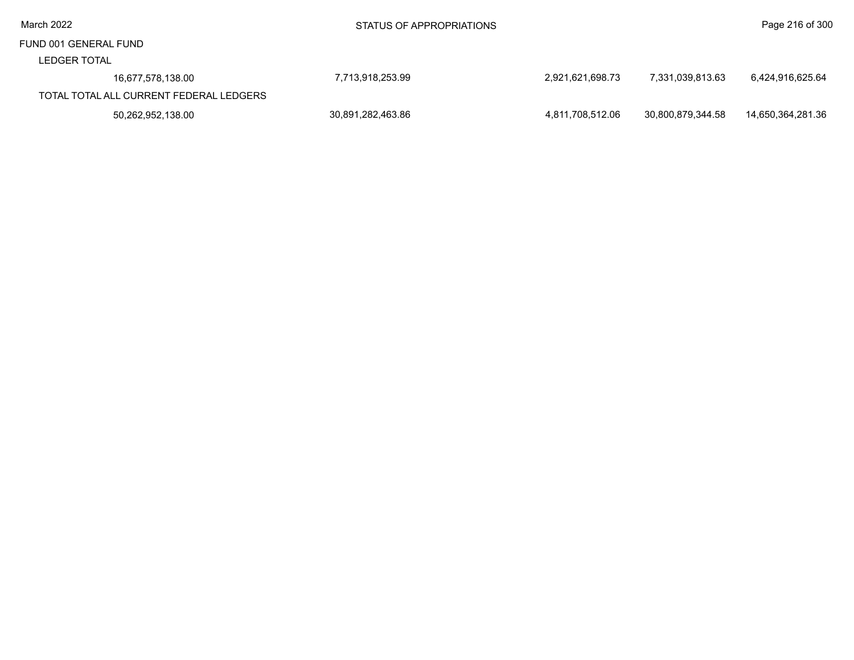LEDGER TOTAL

| LEDGER IVIAL                            |                   |                  |                   |                   |
|-----------------------------------------|-------------------|------------------|-------------------|-------------------|
| 16,677,578,138.00                       | 7,713,918,253.99  | 2.921.621.698.73 | 7.331.039.813.63  | 6.424.916.625.64  |
| TOTAL TOTAL ALL CURRENT FEDERAL LEDGERS |                   |                  |                   |                   |
| 50,262,952,138.00                       | 30,891,282,463.86 | 4.811.708.512.06 | 30.800.879.344.58 | 14.650.364.281.36 |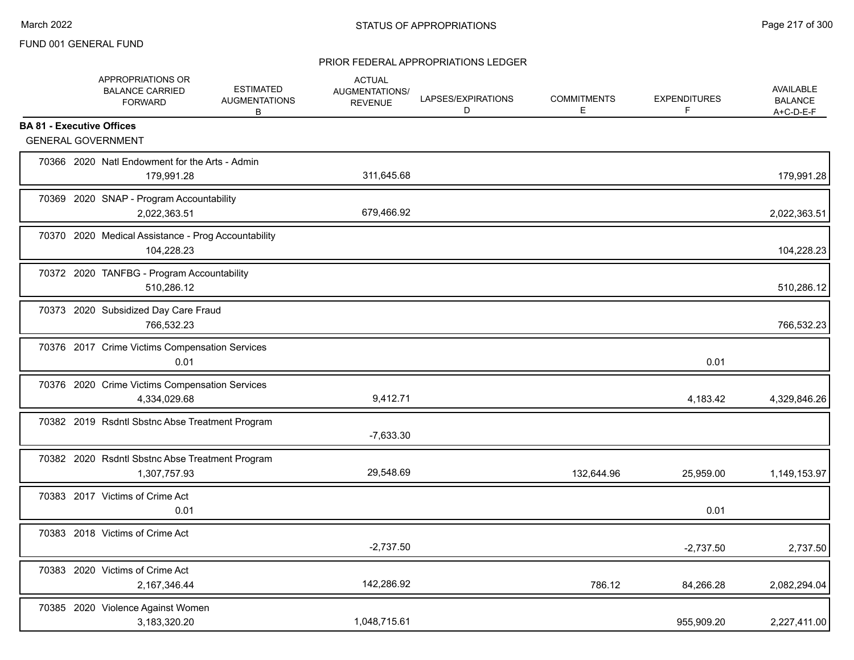|                                  | APPROPRIATIONS OR<br><b>BALANCE CARRIED</b><br><b>FORWARD</b>     | <b>ESTIMATED</b><br><b>AUGMENTATIONS</b><br>В | <b>ACTUAL</b><br>AUGMENTATIONS/<br><b>REVENUE</b> | LAPSES/EXPIRATIONS<br>D | <b>COMMITMENTS</b><br>Е | <b>EXPENDITURES</b><br>F | <b>AVAILABLE</b><br><b>BALANCE</b><br>A+C-D-E-F |
|----------------------------------|-------------------------------------------------------------------|-----------------------------------------------|---------------------------------------------------|-------------------------|-------------------------|--------------------------|-------------------------------------------------|
| <b>BA 81 - Executive Offices</b> |                                                                   |                                               |                                                   |                         |                         |                          |                                                 |
|                                  | <b>GENERAL GOVERNMENT</b>                                         |                                               |                                                   |                         |                         |                          |                                                 |
|                                  | 70366 2020 Natl Endowment for the Arts - Admin<br>179,991.28      |                                               | 311,645.68                                        |                         |                         |                          | 179,991.28                                      |
|                                  | 70369 2020 SNAP - Program Accountability<br>2,022,363.51          |                                               | 679,466.92                                        |                         |                         |                          | 2,022,363.51                                    |
|                                  | 70370 2020 Medical Assistance - Prog Accountability<br>104,228.23 |                                               |                                                   |                         |                         |                          | 104,228.23                                      |
|                                  | 70372 2020 TANFBG - Program Accountability<br>510,286.12          |                                               |                                                   |                         |                         |                          | 510,286.12                                      |
|                                  | 70373 2020 Subsidized Day Care Fraud<br>766.532.23                |                                               |                                                   |                         |                         |                          | 766,532.23                                      |
|                                  | 70376 2017 Crime Victims Compensation Services<br>0.01            |                                               |                                                   |                         |                         | 0.01                     |                                                 |
|                                  | 70376 2020 Crime Victims Compensation Services<br>4,334,029.68    |                                               | 9,412.71                                          |                         |                         | 4,183.42                 | 4,329,846.26                                    |
|                                  | 70382 2019 Rsdntl Sbstnc Abse Treatment Program                   |                                               | $-7,633.30$                                       |                         |                         |                          |                                                 |
|                                  | 70382 2020 Rsdntl Sbstnc Abse Treatment Program<br>1,307,757.93   |                                               | 29,548.69                                         |                         | 132,644.96              | 25,959.00                | 1,149,153.97                                    |
|                                  | 70383 2017 Victims of Crime Act<br>0.01                           |                                               |                                                   |                         |                         | 0.01                     |                                                 |
|                                  | 70383 2018 Victims of Crime Act                                   |                                               | $-2,737.50$                                       |                         |                         | $-2,737.50$              | 2,737.50                                        |
|                                  | 70383 2020 Victims of Crime Act<br>2,167,346.44                   |                                               | 142,286.92                                        |                         | 786.12                  | 84,266.28                | 2,082,294.04                                    |
|                                  | 70385 2020 Violence Against Women<br>3,183,320.20                 |                                               | 1,048,715.61                                      |                         |                         | 955,909.20               | 2,227,411.00                                    |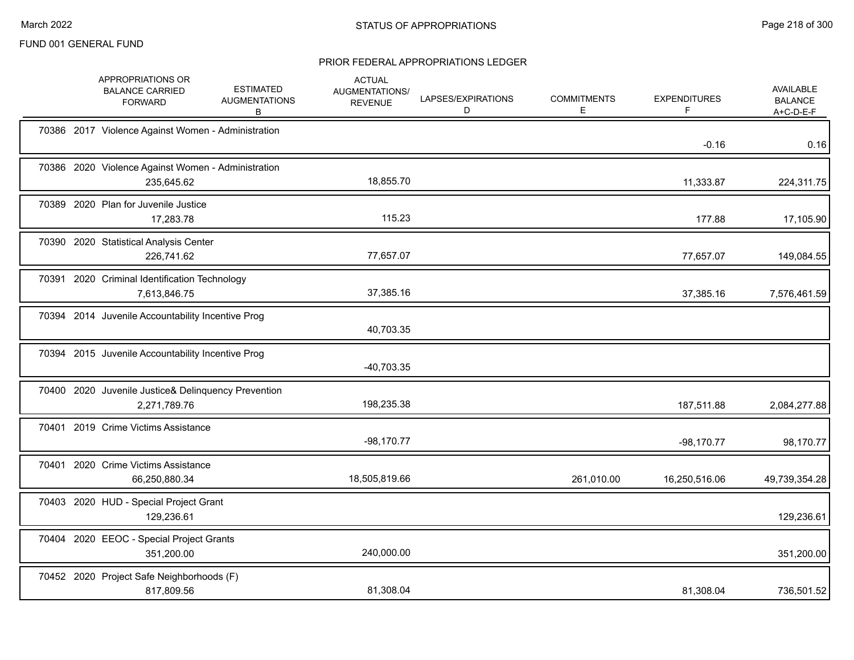|       | APPROPRIATIONS OR<br><b>BALANCE CARRIED</b><br><b>FORWARD</b>       | <b>ESTIMATED</b><br><b>AUGMENTATIONS</b><br>B | <b>ACTUAL</b><br>AUGMENTATIONS/<br><b>REVENUE</b> | LAPSES/EXPIRATIONS<br>D | <b>COMMITMENTS</b><br>E | <b>EXPENDITURES</b> | AVAILABLE<br><b>BALANCE</b><br>$A+C-D-E-F$ |
|-------|---------------------------------------------------------------------|-----------------------------------------------|---------------------------------------------------|-------------------------|-------------------------|---------------------|--------------------------------------------|
|       | 70386 2017 Violence Against Women - Administration                  |                                               |                                                   |                         |                         | $-0.16$             | 0.16                                       |
|       | 70386 2020 Violence Against Women - Administration<br>235,645.62    |                                               | 18,855.70                                         |                         |                         | 11,333.87           | 224,311.75                                 |
|       | 70389 2020 Plan for Juvenile Justice<br>17,283.78                   |                                               | 115.23                                            |                         |                         | 177.88              | 17,105.90                                  |
|       | 70390 2020 Statistical Analysis Center<br>226,741.62                |                                               | 77,657.07                                         |                         |                         | 77,657.07           | 149,084.55                                 |
| 70391 | 2020 Criminal Identification Technology<br>7,613,846.75             |                                               | 37,385.16                                         |                         |                         | 37,385.16           | 7,576,461.59                               |
|       | 70394 2014 Juvenile Accountability Incentive Prog                   |                                               | 40,703.35                                         |                         |                         |                     |                                            |
|       | 70394 2015 Juvenile Accountability Incentive Prog                   |                                               | $-40,703.35$                                      |                         |                         |                     |                                            |
|       | 70400 2020 Juvenile Justice& Delinquency Prevention<br>2,271,789.76 |                                               | 198,235.38                                        |                         |                         | 187,511.88          | 2,084,277.88                               |
|       | 70401 2019 Crime Victims Assistance                                 |                                               | $-98,170.77$                                      |                         |                         | $-98,170.77$        | 98,170.77                                  |
| 70401 | 2020 Crime Victims Assistance<br>66,250,880.34                      |                                               | 18,505,819.66                                     |                         | 261,010.00              | 16,250,516.06       | 49,739,354.28                              |
|       | 70403 2020 HUD - Special Project Grant<br>129,236.61                |                                               |                                                   |                         |                         |                     | 129,236.61                                 |
|       | 70404 2020 EEOC - Special Project Grants<br>351,200.00              |                                               | 240,000.00                                        |                         |                         |                     | 351,200.00                                 |
|       | 70452 2020 Project Safe Neighborhoods (F)<br>817,809.56             |                                               | 81,308.04                                         |                         |                         | 81,308.04           | 736,501.52                                 |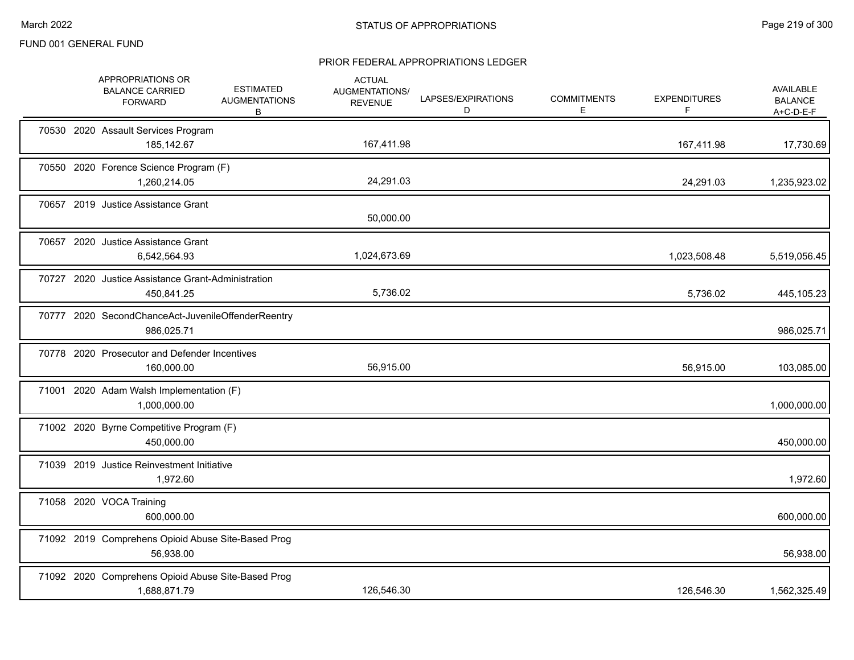| APPROPRIATIONS OR<br><b>BALANCE CARRIED</b><br><b>FORWARD</b>      | <b>ESTIMATED</b><br><b>AUGMENTATIONS</b><br>B | <b>ACTUAL</b><br>AUGMENTATIONS/<br><b>REVENUE</b> | LAPSES/EXPIRATIONS<br>D | <b>COMMITMENTS</b><br>Е | <b>EXPENDITURES</b><br>F | AVAILABLE<br><b>BALANCE</b><br>$A+C-D-E-F$ |
|--------------------------------------------------------------------|-----------------------------------------------|---------------------------------------------------|-------------------------|-------------------------|--------------------------|--------------------------------------------|
| 70530 2020 Assault Services Program<br>185,142.67                  |                                               | 167,411.98                                        |                         |                         | 167,411.98               | 17,730.69                                  |
| 70550 2020 Forence Science Program (F)<br>1,260,214.05             |                                               | 24,291.03                                         |                         |                         | 24,291.03                | 1,235,923.02                               |
| 70657 2019 Justice Assistance Grant                                |                                               | 50,000.00                                         |                         |                         |                          |                                            |
| 70657 2020 Justice Assistance Grant<br>6,542,564.93                |                                               | 1,024,673.69                                      |                         |                         | 1,023,508.48             | 5,519,056.45                               |
| 70727 2020 Justice Assistance Grant-Administration<br>450,841.25   |                                               | 5,736.02                                          |                         |                         | 5.736.02                 | 445,105.23                                 |
| 70777 2020 SecondChanceAct-JuvenileOffenderReentry<br>986,025.71   |                                               |                                                   |                         |                         |                          | 986,025.71                                 |
| 70778 2020 Prosecutor and Defender Incentives<br>160,000.00        |                                               | 56,915.00                                         |                         |                         | 56,915.00                | 103,085.00                                 |
| 71001 2020 Adam Walsh Implementation (F)<br>1,000,000.00           |                                               |                                                   |                         |                         |                          | 1,000,000.00                               |
| 71002 2020 Byrne Competitive Program (F)<br>450,000.00             |                                               |                                                   |                         |                         |                          | 450,000.00                                 |
| 71039 2019 Justice Reinvestment Initiative<br>1,972.60             |                                               |                                                   |                         |                         |                          | 1,972.60                                   |
| 71058 2020 VOCA Training<br>600.000.00                             |                                               |                                                   |                         |                         |                          | 600,000.00                                 |
| 71092 2019 Comprehens Opioid Abuse Site-Based Prog<br>56,938.00    |                                               |                                                   |                         |                         |                          | 56,938.00                                  |
| 71092 2020 Comprehens Opioid Abuse Site-Based Prog<br>1,688,871.79 |                                               | 126,546.30                                        |                         |                         | 126,546.30               | 1,562,325.49                               |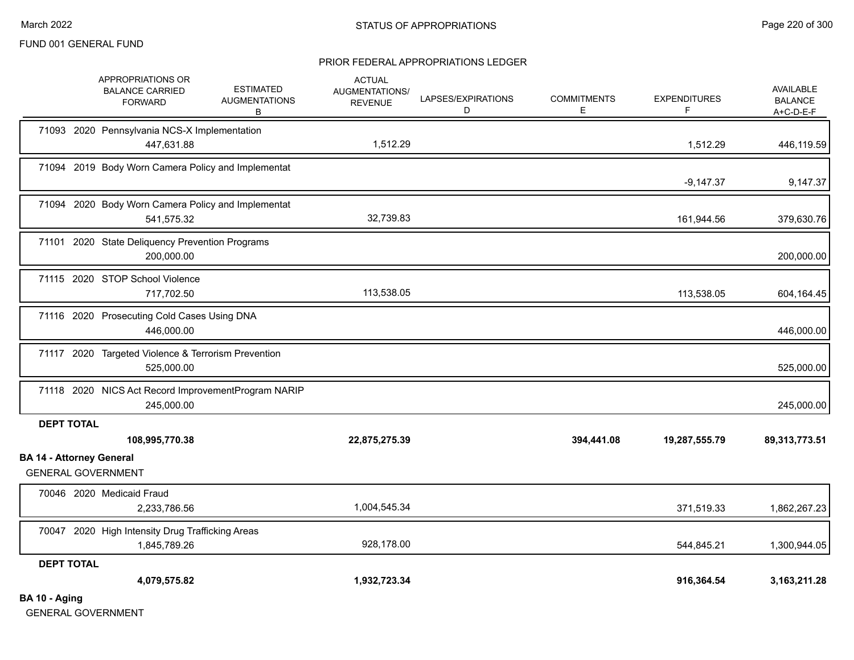#### PRIOR FEDERAL APPROPRIATIONS LEDGER

|                                 | APPROPRIATIONS OR<br><b>BALANCE CARRIED</b><br><b>FORWARD</b>     | <b>ESTIMATED</b><br><b>AUGMENTATIONS</b><br>В | <b>ACTUAL</b><br>AUGMENTATIONS/<br><b>REVENUE</b> | LAPSES/EXPIRATIONS<br>D | <b>COMMITMENTS</b><br>E | <b>EXPENDITURES</b><br>F | <b>AVAILABLE</b><br><b>BALANCE</b><br>$A+C-D-E-F$ |
|---------------------------------|-------------------------------------------------------------------|-----------------------------------------------|---------------------------------------------------|-------------------------|-------------------------|--------------------------|---------------------------------------------------|
|                                 | 71093 2020 Pennsylvania NCS-X Implementation<br>447,631.88        |                                               | 1,512.29                                          |                         |                         | 1,512.29                 | 446,119.59                                        |
|                                 | 71094 2019 Body Worn Camera Policy and Implementat                |                                               |                                                   |                         |                         | $-9,147.37$              | 9,147.37                                          |
|                                 | 71094 2020 Body Worn Camera Policy and Implementat<br>541,575.32  |                                               | 32,739.83                                         |                         |                         | 161,944.56               | 379,630.76                                        |
|                                 | 71101 2020 State Deliquency Prevention Programs<br>200,000.00     |                                               |                                                   |                         |                         |                          | 200,000.00                                        |
|                                 | 71115 2020 STOP School Violence<br>717,702.50                     |                                               | 113,538.05                                        |                         |                         | 113,538.05               | 604,164.45                                        |
|                                 | 71116 2020 Prosecuting Cold Cases Using DNA<br>446,000.00         |                                               |                                                   |                         |                         |                          | 446,000.00                                        |
|                                 | 71117 2020 Targeted Violence & Terrorism Prevention<br>525,000.00 |                                               |                                                   |                         |                         |                          | 525,000.00                                        |
|                                 | 71118 2020 NICS Act Record ImprovementProgram NARIP<br>245,000.00 |                                               |                                                   |                         |                         |                          | 245,000.00                                        |
| <b>DEPT TOTAL</b>               |                                                                   |                                               |                                                   |                         |                         |                          |                                                   |
| <b>BA 14 - Attorney General</b> | 108,995,770.38                                                    |                                               | 22,875,275.39                                     |                         | 394,441.08              | 19,287,555.79            | 89,313,773.51                                     |
|                                 | <b>GENERAL GOVERNMENT</b>                                         |                                               |                                                   |                         |                         |                          |                                                   |
|                                 | 70046 2020 Medicaid Fraud                                         |                                               |                                                   |                         |                         |                          |                                                   |
|                                 | 2,233,786.56                                                      |                                               | 1,004,545.34                                      |                         |                         | 371,519.33               | 1,862,267.23                                      |
|                                 | 70047 2020 High Intensity Drug Trafficking Areas<br>1,845,789.26  |                                               | 928,178.00                                        |                         |                         | 544,845.21               | 1,300,944.05                                      |
| <b>DEPT TOTAL</b>               |                                                                   |                                               |                                                   |                         |                         |                          |                                                   |
|                                 | 4,079,575.82                                                      |                                               | 1,932,723.34                                      |                         |                         | 916,364.54               | 3, 163, 211. 28                                   |
| BA 10 - Aging                   |                                                                   |                                               |                                                   |                         |                         |                          |                                                   |

GENERAL GOVERNMENT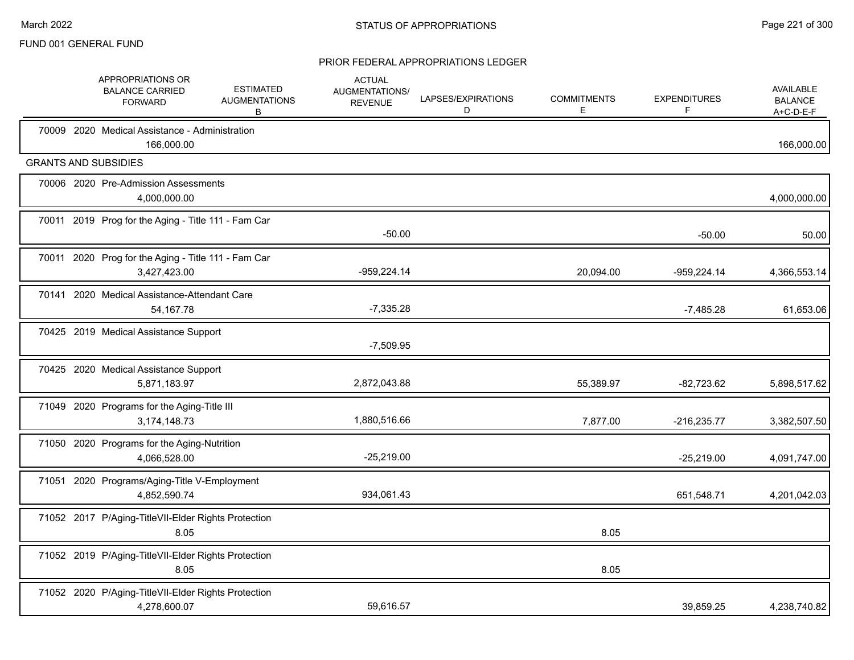|       | APPROPRIATIONS OR<br><b>BALANCE CARRIED</b><br><b>FORWARD</b>       | <b>ESTIMATED</b><br><b>AUGMENTATIONS</b><br>B | <b>ACTUAL</b><br>AUGMENTATIONS/<br><b>REVENUE</b> | LAPSES/EXPIRATIONS<br>D | <b>COMMITMENTS</b><br>E. | <b>EXPENDITURES</b><br>F | <b>AVAILABLE</b><br><b>BALANCE</b><br>$A+C-D-E-F$ |
|-------|---------------------------------------------------------------------|-----------------------------------------------|---------------------------------------------------|-------------------------|--------------------------|--------------------------|---------------------------------------------------|
|       | 70009 2020 Medical Assistance - Administration<br>166,000.00        |                                               |                                                   |                         |                          |                          | 166,000.00                                        |
|       | <b>GRANTS AND SUBSIDIES</b>                                         |                                               |                                                   |                         |                          |                          |                                                   |
|       | 70006 2020 Pre-Admission Assessments<br>4,000,000.00                |                                               |                                                   |                         |                          |                          | 4,000,000.00                                      |
|       | 70011 2019 Prog for the Aging - Title 111 - Fam Car                 |                                               | $-50.00$                                          |                         |                          | $-50.00$                 | 50.00                                             |
| 70011 | 2020 Prog for the Aging - Title 111 - Fam Car<br>3,427,423.00       |                                               | $-959,224.14$                                     |                         | 20,094.00                | $-959,224.14$            | 4,366,553.14                                      |
|       | 70141 2020 Medical Assistance-Attendant Care<br>54,167.78           |                                               | $-7,335.28$                                       |                         |                          | $-7,485.28$              | 61,653.06                                         |
|       | 70425 2019 Medical Assistance Support                               |                                               | $-7,509.95$                                       |                         |                          |                          |                                                   |
|       | 70425 2020 Medical Assistance Support<br>5,871,183.97               |                                               | 2,872,043.88                                      |                         | 55,389.97                | $-82,723.62$             | 5,898,517.62                                      |
|       | 71049 2020 Programs for the Aging-Title III<br>3,174,148.73         |                                               | 1,880,516.66                                      |                         | 7,877.00                 | $-216,235.77$            | 3,382,507.50                                      |
|       | 71050 2020 Programs for the Aging-Nutrition<br>4,066,528.00         |                                               | $-25,219.00$                                      |                         |                          | $-25,219.00$             | 4,091,747.00                                      |
|       | 71051 2020 Programs/Aging-Title V-Employment<br>4,852,590.74        |                                               | 934,061.43                                        |                         |                          | 651,548.71               | 4,201,042.03                                      |
|       | 71052 2017 P/Aging-TitleVII-Elder Rights Protection<br>8.05         |                                               |                                                   |                         | 8.05                     |                          |                                                   |
|       | 71052 2019 P/Aging-TitleVII-Elder Rights Protection<br>8.05         |                                               |                                                   |                         | 8.05                     |                          |                                                   |
|       | 71052 2020 P/Aging-TitleVII-Elder Rights Protection<br>4,278,600.07 |                                               | 59.616.57                                         |                         |                          | 39,859.25                | 4,238,740.82                                      |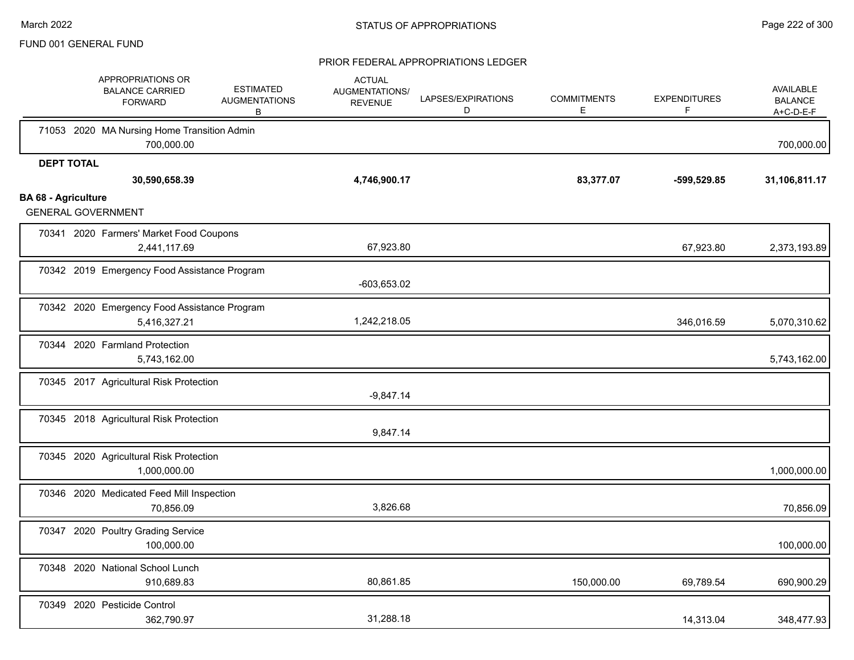|                            | APPROPRIATIONS OR<br><b>BALANCE CARRIED</b><br><b>FORWARD</b> | <b>ESTIMATED</b><br><b>AUGMENTATIONS</b><br>B                | <b>ACTUAL</b><br><b>AUGMENTATIONS/</b><br><b>REVENUE</b> | LAPSES/EXPIRATIONS<br>D | <b>COMMITMENTS</b><br>Е | <b>EXPENDITURES</b><br>F | AVAILABLE<br><b>BALANCE</b><br>$A+C-D-E-F$ |
|----------------------------|---------------------------------------------------------------|--------------------------------------------------------------|----------------------------------------------------------|-------------------------|-------------------------|--------------------------|--------------------------------------------|
|                            | 71053 2020 MA Nursing Home Transition Admin                   | 700,000.00                                                   |                                                          |                         |                         |                          | 700,000.00                                 |
|                            | <b>DEPT TOTAL</b><br>30,590,658.39                            |                                                              | 4,746,900.17                                             |                         | 83,377.07               | -599,529.85              | 31,106,811.17                              |
| <b>BA 68 - Agriculture</b> | <b>GENERAL GOVERNMENT</b>                                     |                                                              |                                                          |                         |                         |                          |                                            |
|                            | 70341 2020 Farmers' Market Food Coupons                       | 2,441,117.69                                                 | 67,923.80                                                |                         |                         | 67,923.80                | 2,373,193.89                               |
|                            |                                                               | 70342 2019 Emergency Food Assistance Program                 | -603,653.02                                              |                         |                         |                          |                                            |
|                            |                                                               | 70342 2020 Emergency Food Assistance Program<br>5,416,327.21 | 1,242,218.05                                             |                         |                         | 346,016.59               | 5,070,310.62                               |
|                            | 70344 2020 Farmland Protection                                | 5,743,162.00                                                 |                                                          |                         |                         |                          | 5,743,162.00                               |
|                            | 70345 2017 Agricultural Risk Protection                       |                                                              | $-9,847.14$                                              |                         |                         |                          |                                            |
|                            | 70345 2018 Agricultural Risk Protection                       |                                                              | 9,847.14                                                 |                         |                         |                          |                                            |
|                            | 70345 2020 Agricultural Risk Protection                       | 1,000,000.00                                                 |                                                          |                         |                         |                          | 1,000,000.00                               |
|                            | 70346 2020 Medicated Feed Mill Inspection                     | 70,856.09                                                    | 3,826.68                                                 |                         |                         |                          | 70,856.09                                  |
|                            | 70347 2020 Poultry Grading Service                            | 100,000.00                                                   |                                                          |                         |                         |                          | 100,000.00                                 |
|                            | 70348 2020 National School Lunch                              | 910,689.83                                                   | 80,861.85                                                |                         | 150,000.00              | 69,789.54                | 690,900.29                                 |
|                            | 70349 2020 Pesticide Control                                  | 362,790.97                                                   | 31,288.18                                                |                         |                         | 14,313.04                | 348,477.93                                 |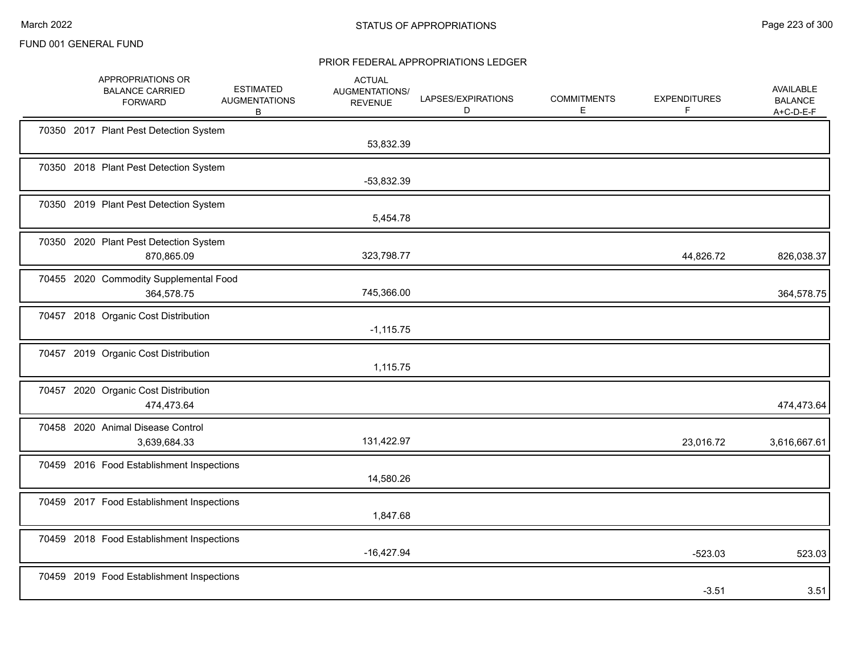|  | APPROPRIATIONS OR<br><b>BALANCE CARRIED</b><br><b>FORWARD</b> | <b>ESTIMATED</b><br><b>AUGMENTATIONS</b><br>В | <b>ACTUAL</b><br>AUGMENTATIONS/<br><b>REVENUE</b> | LAPSES/EXPIRATIONS<br>D | <b>COMMITMENTS</b><br>Е | <b>EXPENDITURES</b><br>F | <b>AVAILABLE</b><br><b>BALANCE</b><br>$A+C-D-E-F$ |
|--|---------------------------------------------------------------|-----------------------------------------------|---------------------------------------------------|-------------------------|-------------------------|--------------------------|---------------------------------------------------|
|  | 70350 2017 Plant Pest Detection System                        |                                               | 53,832.39                                         |                         |                         |                          |                                                   |
|  | 70350 2018 Plant Pest Detection System                        |                                               | -53,832.39                                        |                         |                         |                          |                                                   |
|  | 70350 2019 Plant Pest Detection System                        |                                               | 5,454.78                                          |                         |                         |                          |                                                   |
|  | 70350 2020 Plant Pest Detection System<br>870,865.09          |                                               | 323,798.77                                        |                         |                         | 44,826.72                | 826,038.37                                        |
|  | 70455 2020 Commodity Supplemental Food<br>364,578.75          |                                               | 745,366.00                                        |                         |                         |                          | 364,578.75                                        |
|  | 70457 2018 Organic Cost Distribution                          |                                               | $-1,115.75$                                       |                         |                         |                          |                                                   |
|  | 70457 2019 Organic Cost Distribution                          |                                               | 1,115.75                                          |                         |                         |                          |                                                   |
|  | 70457 2020 Organic Cost Distribution<br>474,473.64            |                                               |                                                   |                         |                         |                          | 474,473.64                                        |
|  | 70458 2020 Animal Disease Control<br>3,639,684.33             |                                               | 131,422.97                                        |                         |                         | 23,016.72                | 3,616,667.61                                      |
|  | 70459 2016 Food Establishment Inspections                     |                                               | 14,580.26                                         |                         |                         |                          |                                                   |
|  | 70459 2017 Food Establishment Inspections                     |                                               | 1,847.68                                          |                         |                         |                          |                                                   |
|  | 70459 2018 Food Establishment Inspections                     |                                               | $-16,427.94$                                      |                         |                         | $-523.03$                | 523.03                                            |
|  | 70459 2019 Food Establishment Inspections                     |                                               |                                                   |                         |                         | $-3.51$                  | 3.51                                              |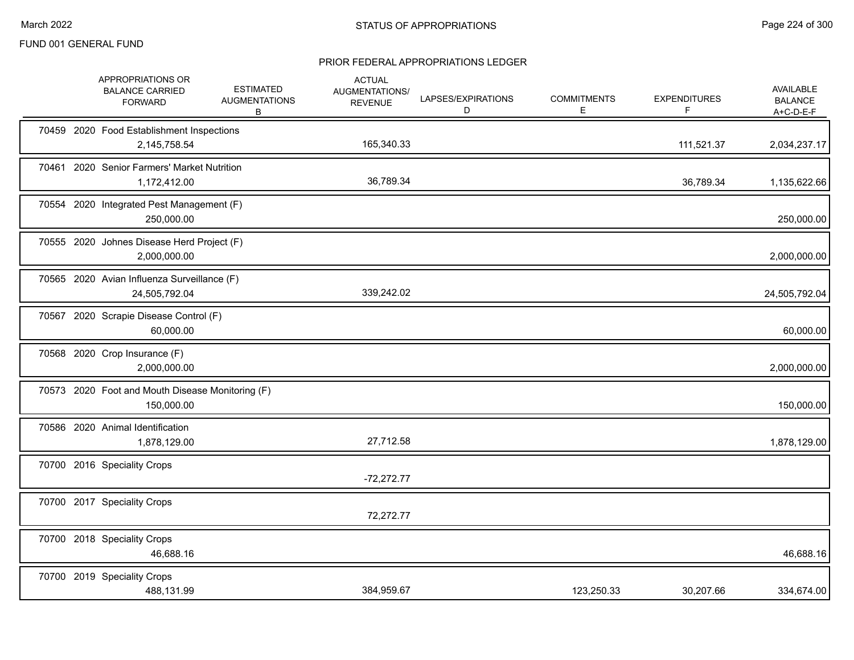|  | APPROPRIATIONS OR<br><b>BALANCE CARRIED</b><br><b>FORWARD</b>  | <b>ESTIMATED</b><br><b>AUGMENTATIONS</b><br>В | <b>ACTUAL</b><br><b>AUGMENTATIONS/</b><br><b>REVENUE</b> | LAPSES/EXPIRATIONS<br>D | <b>COMMITMENTS</b><br>E. | <b>EXPENDITURES</b><br>F. | AVAILABLE<br><b>BALANCE</b><br>A+C-D-E-F |
|--|----------------------------------------------------------------|-----------------------------------------------|----------------------------------------------------------|-------------------------|--------------------------|---------------------------|------------------------------------------|
|  | 70459 2020 Food Establishment Inspections<br>2,145,758.54      |                                               | 165,340.33                                               |                         |                          | 111,521.37                | 2,034,237.17                             |
|  | 70461 2020 Senior Farmers' Market Nutrition<br>1,172,412.00    |                                               | 36,789.34                                                |                         |                          | 36,789.34                 | 1,135,622.66                             |
|  | 70554 2020 Integrated Pest Management (F)<br>250,000.00        |                                               |                                                          |                         |                          |                           | 250,000.00                               |
|  | 70555 2020 Johnes Disease Herd Project (F)<br>2,000,000.00     |                                               |                                                          |                         |                          |                           | 2,000,000.00                             |
|  | 70565 2020 Avian Influenza Surveillance (F)<br>24,505,792.04   |                                               | 339,242.02                                               |                         |                          |                           | 24,505,792.04                            |
|  | 70567 2020 Scrapie Disease Control (F)<br>60,000.00            |                                               |                                                          |                         |                          |                           | 60,000.00                                |
|  | 70568 2020 Crop Insurance (F)<br>2,000,000.00                  |                                               |                                                          |                         |                          |                           | 2,000,000.00                             |
|  | 70573 2020 Foot and Mouth Disease Monitoring (F)<br>150,000.00 |                                               |                                                          |                         |                          |                           | 150,000.00                               |
|  | 70586 2020 Animal Identification<br>1,878,129.00               |                                               | 27,712.58                                                |                         |                          |                           | 1,878,129.00                             |
|  | 70700 2016 Speciality Crops                                    |                                               | $-72,272.77$                                             |                         |                          |                           |                                          |
|  | 70700 2017 Speciality Crops                                    |                                               | 72,272.77                                                |                         |                          |                           |                                          |
|  | 70700 2018 Speciality Crops<br>46,688.16                       |                                               |                                                          |                         |                          |                           | 46,688.16                                |
|  | 70700 2019 Speciality Crops<br>488,131.99                      |                                               | 384,959.67                                               |                         | 123,250.33               | 30,207.66                 | 334,674.00                               |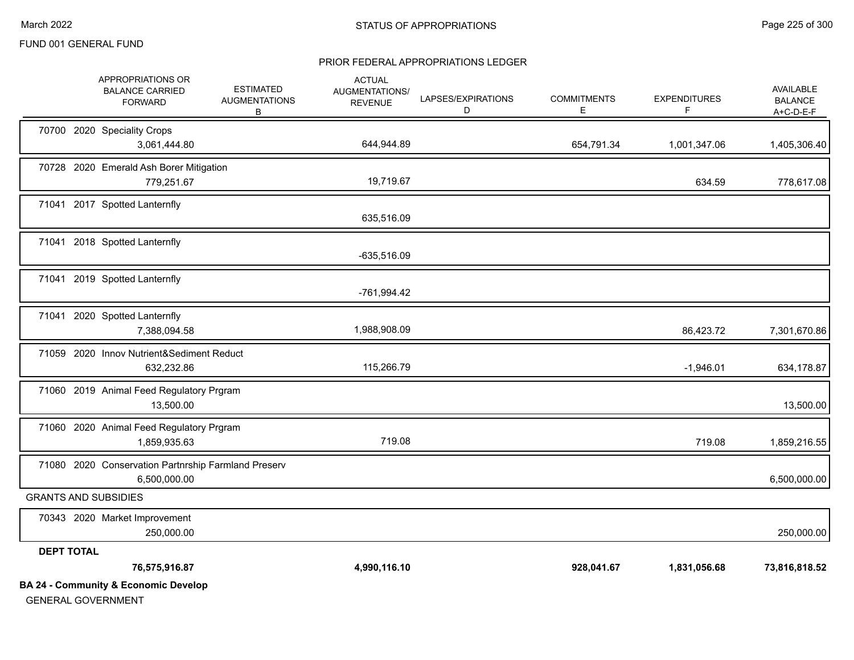#### PRIOR FEDERAL APPROPRIATIONS LEDGER

|                   | <b>BA 24 - Community &amp; Economic Develop</b>                     |                                               |                                                   |                         |                         |                          |                                                   |
|-------------------|---------------------------------------------------------------------|-----------------------------------------------|---------------------------------------------------|-------------------------|-------------------------|--------------------------|---------------------------------------------------|
|                   | 76,575,916.87                                                       |                                               | 4,990,116.10                                      |                         | 928,041.67              | 1,831,056.68             | 73,816,818.52                                     |
| <b>DEPT TOTAL</b> |                                                                     |                                               |                                                   |                         |                         |                          |                                                   |
|                   | 70343 2020 Market Improvement<br>250,000.00                         |                                               |                                                   |                         |                         |                          | 250,000.00                                        |
|                   | <b>GRANTS AND SUBSIDIES</b>                                         |                                               |                                                   |                         |                         |                          |                                                   |
|                   | 71080 2020 Conservation Partnrship Farmland Preserv<br>6,500,000.00 |                                               |                                                   |                         |                         |                          | 6,500,000.00                                      |
|                   | 71060 2020 Animal Feed Regulatory Prgram<br>1,859,935.63            |                                               | 719.08                                            |                         |                         | 719.08                   | 1,859,216.55                                      |
|                   | 71060 2019 Animal Feed Regulatory Prgram<br>13,500.00               |                                               |                                                   |                         |                         |                          | 13,500.00                                         |
|                   | 71059 2020 Innov Nutrient&Sediment Reduct<br>632,232.86             |                                               | 115,266.79                                        |                         |                         | $-1,946.01$              | 634,178.87                                        |
|                   | 71041 2020 Spotted Lanternfly<br>7,388,094.58                       |                                               | 1,988,908.09                                      |                         |                         | 86,423.72                | 7,301,670.86                                      |
|                   | 71041 2019 Spotted Lanternfly                                       |                                               | -761,994.42                                       |                         |                         |                          |                                                   |
|                   |                                                                     |                                               | -635,516.09                                       |                         |                         |                          |                                                   |
|                   | 71041 2018 Spotted Lanternfly                                       |                                               |                                                   |                         |                         |                          |                                                   |
|                   | 71041 2017 Spotted Lanternfly                                       |                                               | 635,516.09                                        |                         |                         |                          |                                                   |
|                   | 70728 2020 Emerald Ash Borer Mitigation<br>779,251.67               |                                               | 19,719.67                                         |                         |                         | 634.59                   | 778,617.08                                        |
|                   | 70700 2020 Speciality Crops<br>3,061,444.80                         |                                               | 644,944.89                                        |                         | 654,791.34              | 1,001,347.06             | 1,405,306.40                                      |
|                   | APPROPRIATIONS OR<br><b>BALANCE CARRIED</b><br><b>FORWARD</b>       | <b>ESTIMATED</b><br><b>AUGMENTATIONS</b><br>В | <b>ACTUAL</b><br>AUGMENTATIONS/<br><b>REVENUE</b> | LAPSES/EXPIRATIONS<br>D | <b>COMMITMENTS</b><br>Е | <b>EXPENDITURES</b><br>F | <b>AVAILABLE</b><br><b>BALANCE</b><br>$A+C-D-E-F$ |

GENERAL GOVERNMENT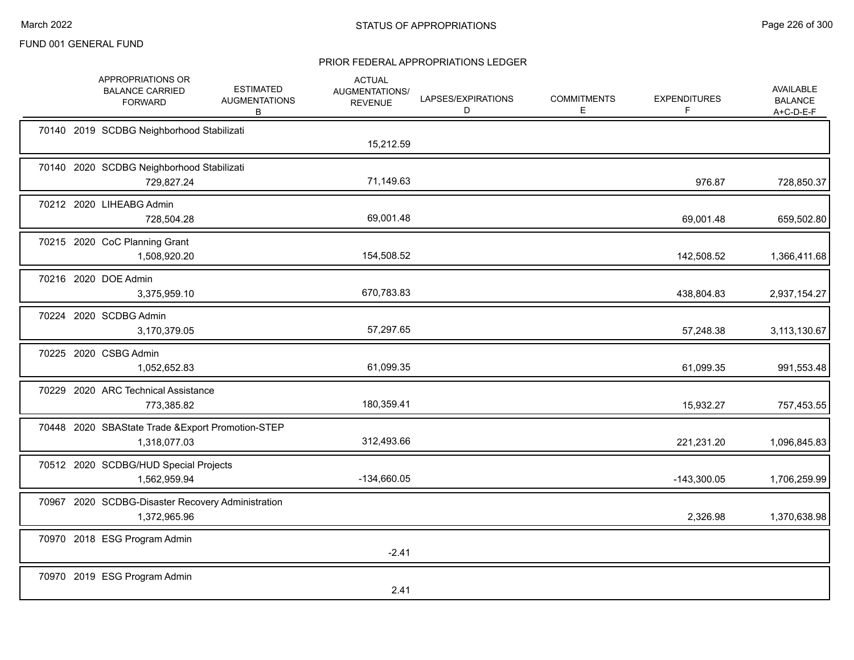|  | APPROPRIATIONS OR<br><b>BALANCE CARRIED</b><br><b>FORWARD</b>     | <b>ESTIMATED</b><br><b>AUGMENTATIONS</b><br>B | <b>ACTUAL</b><br>AUGMENTATIONS/<br><b>REVENUE</b> | LAPSES/EXPIRATIONS<br>D | <b>COMMITMENTS</b><br>Е | <b>EXPENDITURES</b><br>F | AVAILABLE<br><b>BALANCE</b><br>A+C-D-E-F |
|--|-------------------------------------------------------------------|-----------------------------------------------|---------------------------------------------------|-------------------------|-------------------------|--------------------------|------------------------------------------|
|  | 70140 2019 SCDBG Neighborhood Stabilizati                         |                                               | 15,212.59                                         |                         |                         |                          |                                          |
|  | 70140 2020 SCDBG Neighborhood Stabilizati<br>729,827.24           |                                               | 71,149.63                                         |                         |                         | 976.87                   | 728,850.37                               |
|  | 70212 2020 LIHEABG Admin<br>728,504.28                            |                                               | 69,001.48                                         |                         |                         | 69,001.48                | 659,502.80                               |
|  | 70215 2020 CoC Planning Grant<br>1,508,920.20                     |                                               | 154,508.52                                        |                         |                         | 142,508.52               | 1,366,411.68                             |
|  | 70216 2020 DOE Admin<br>3,375,959.10                              |                                               | 670,783.83                                        |                         |                         | 438,804.83               | 2,937,154.27                             |
|  | 70224 2020 SCDBG Admin<br>3,170,379.05                            |                                               | 57,297.65                                         |                         |                         | 57,248.38                | 3,113,130.67                             |
|  | 70225 2020 CSBG Admin<br>1,052,652.83                             |                                               | 61,099.35                                         |                         |                         | 61,099.35                | 991,553.48                               |
|  | 70229 2020 ARC Technical Assistance<br>773,385.82                 |                                               | 180,359.41                                        |                         |                         | 15,932.27                | 757,453.55                               |
|  | 70448 2020 SBAState Trade & Export Promotion-STEP<br>1,318,077.03 |                                               | 312,493.66                                        |                         |                         | 221,231.20               | 1,096,845.83                             |
|  | 70512 2020 SCDBG/HUD Special Projects<br>1,562,959.94             |                                               | -134,660.05                                       |                         |                         | $-143,300.05$            | 1,706,259.99                             |
|  | 70967 2020 SCDBG-Disaster Recovery Administration<br>1,372,965.96 |                                               |                                                   |                         |                         | 2,326.98                 | 1,370,638.98                             |
|  | 70970 2018 ESG Program Admin                                      |                                               | $-2.41$                                           |                         |                         |                          |                                          |
|  | 70970 2019 ESG Program Admin                                      |                                               | 2.41                                              |                         |                         |                          |                                          |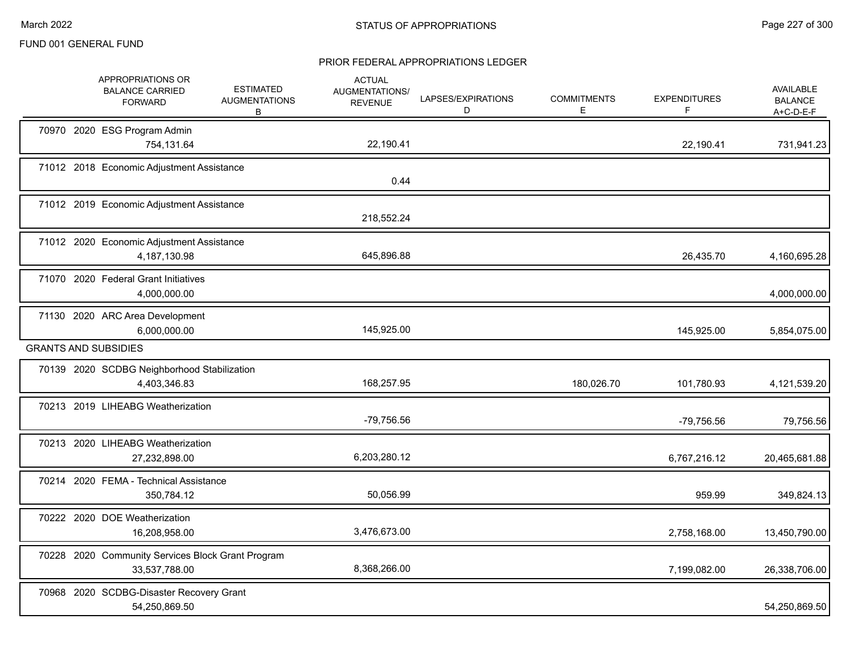|  | APPROPRIATIONS OR<br><b>BALANCE CARRIED</b><br><b>FORWARD</b>      | <b>ESTIMATED</b><br><b>AUGMENTATIONS</b><br>B | <b>ACTUAL</b><br><b>AUGMENTATIONS/</b><br><b>REVENUE</b> | LAPSES/EXPIRATIONS<br>D | <b>COMMITMENTS</b><br>Е | <b>EXPENDITURES</b><br>F | <b>AVAILABLE</b><br><b>BALANCE</b><br>$A+C-D-E-F$ |
|--|--------------------------------------------------------------------|-----------------------------------------------|----------------------------------------------------------|-------------------------|-------------------------|--------------------------|---------------------------------------------------|
|  | 70970 2020 ESG Program Admin<br>754,131.64                         |                                               | 22,190.41                                                |                         |                         | 22,190.41                | 731,941.23                                        |
|  | 71012 2018 Economic Adjustment Assistance                          |                                               | 0.44                                                     |                         |                         |                          |                                                   |
|  | 71012 2019 Economic Adjustment Assistance                          |                                               | 218,552.24                                               |                         |                         |                          |                                                   |
|  | 71012 2020 Economic Adjustment Assistance<br>4,187,130.98          |                                               | 645,896.88                                               |                         |                         | 26,435.70                | 4,160,695.28                                      |
|  | 71070 2020 Federal Grant Initiatives<br>4,000,000.00               |                                               |                                                          |                         |                         |                          | 4,000,000.00                                      |
|  | 71130 2020 ARC Area Development<br>6,000,000.00                    |                                               | 145,925.00                                               |                         |                         | 145,925.00               | 5,854,075.00                                      |
|  | <b>GRANTS AND SUBSIDIES</b>                                        |                                               |                                                          |                         |                         |                          |                                                   |
|  | 70139 2020 SCDBG Neighborhood Stabilization<br>4,403,346.83        |                                               | 168,257.95                                               |                         | 180,026.70              | 101,780.93               | 4,121,539.20                                      |
|  | 70213 2019 LIHEABG Weatherization                                  |                                               | -79,756.56                                               |                         |                         | -79,756.56               | 79,756.56                                         |
|  | 70213 2020 LIHEABG Weatherization<br>27,232,898.00                 |                                               | 6,203,280.12                                             |                         |                         | 6,767,216.12             | 20,465,681.88                                     |
|  | 70214 2020 FEMA - Technical Assistance<br>350,784.12               |                                               | 50,056.99                                                |                         |                         | 959.99                   | 349,824.13                                        |
|  | 70222 2020 DOE Weatherization<br>16,208,958.00                     |                                               | 3,476,673.00                                             |                         |                         | 2,758,168.00             | 13,450,790.00                                     |
|  | 70228 2020 Community Services Block Grant Program<br>33,537,788.00 |                                               | 8,368,266.00                                             |                         |                         | 7,199,082.00             | 26,338,706.00                                     |
|  | 70968 2020 SCDBG-Disaster Recovery Grant<br>54,250,869.50          |                                               |                                                          |                         |                         |                          | 54,250,869.50                                     |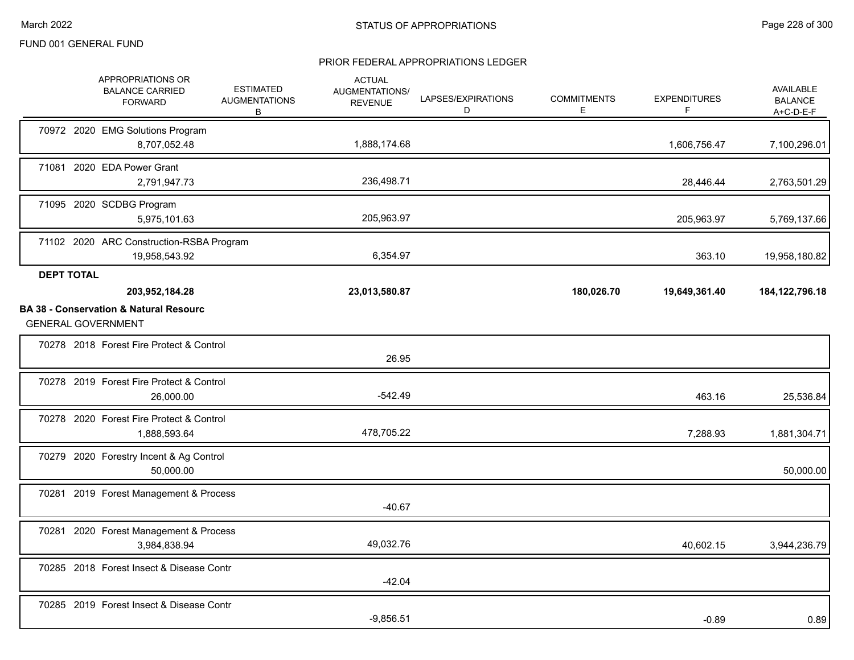|                   | APPROPRIATIONS OR<br><b>BALANCE CARRIED</b><br><b>FORWARD</b>                                    | <b>ESTIMATED</b><br><b>AUGMENTATIONS</b><br>В | <b>ACTUAL</b><br>AUGMENTATIONS/<br><b>REVENUE</b> | LAPSES/EXPIRATIONS<br>D | <b>COMMITMENTS</b><br>Е | <b>EXPENDITURES</b><br>F | <b>AVAILABLE</b><br><b>BALANCE</b><br>$A+C-D-E-F$ |
|-------------------|--------------------------------------------------------------------------------------------------|-----------------------------------------------|---------------------------------------------------|-------------------------|-------------------------|--------------------------|---------------------------------------------------|
|                   | 70972 2020 EMG Solutions Program<br>8,707,052.48                                                 |                                               | 1,888,174.68                                      |                         |                         | 1,606,756.47             | 7,100,296.01                                      |
| 71081             | 2020 EDA Power Grant<br>2,791,947.73                                                             |                                               | 236,498.71                                        |                         |                         | 28,446.44                | 2,763,501.29                                      |
|                   | 71095 2020 SCDBG Program<br>5,975,101.63                                                         |                                               | 205,963.97                                        |                         |                         | 205,963.97               | 5,769,137.66                                      |
|                   | 71102 2020 ARC Construction-RSBA Program<br>19,958,543.92                                        |                                               | 6,354.97                                          |                         |                         | 363.10                   | 19,958,180.82                                     |
| <b>DEPT TOTAL</b> | 203,952,184.28<br><b>BA 38 - Conservation &amp; Natural Resourc</b><br><b>GENERAL GOVERNMENT</b> |                                               | 23,013,580.87                                     |                         | 180,026.70              | 19,649,361.40            | 184, 122, 796. 18                                 |
|                   | 70278 2018 Forest Fire Protect & Control                                                         |                                               | 26.95                                             |                         |                         |                          |                                                   |
|                   | 70278 2019 Forest Fire Protect & Control<br>26,000.00                                            |                                               | $-542.49$                                         |                         |                         | 463.16                   | 25,536.84                                         |
|                   | 70278 2020 Forest Fire Protect & Control<br>1,888,593.64                                         |                                               | 478,705.22                                        |                         |                         | 7,288.93                 | 1,881,304.71                                      |
|                   | 70279 2020 Forestry Incent & Ag Control<br>50,000.00                                             |                                               |                                                   |                         |                         |                          | 50,000.00                                         |
|                   | 70281 2019 Forest Management & Process                                                           |                                               | $-40.67$                                          |                         |                         |                          |                                                   |
|                   | 70281 2020 Forest Management & Process<br>3,984,838.94                                           |                                               | 49,032.76                                         |                         |                         | 40,602.15                | 3,944,236.79                                      |
|                   | 70285 2018 Forest Insect & Disease Contr                                                         |                                               | $-42.04$                                          |                         |                         |                          |                                                   |
|                   | 70285 2019 Forest Insect & Disease Contr                                                         |                                               | $-9,856.51$                                       |                         |                         | $-0.89$                  | 0.89                                              |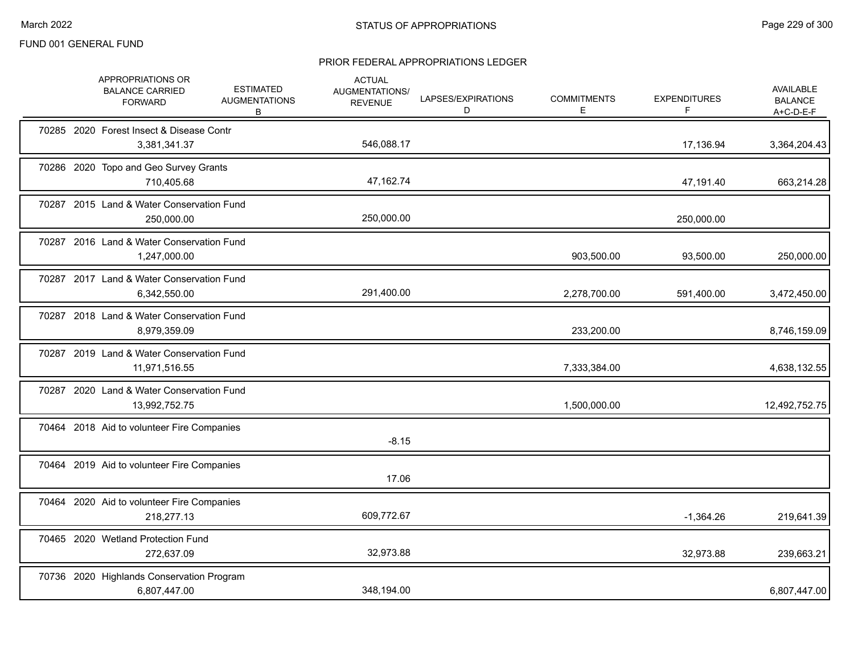| APPROPRIATIONS OR<br><b>BALANCE CARRIED</b><br><b>FORWARD</b> | <b>ESTIMATED</b><br><b>AUGMENTATIONS</b><br>В | <b>ACTUAL</b><br>AUGMENTATIONS/<br><b>REVENUE</b> | LAPSES/EXPIRATIONS<br>D | <b>COMMITMENTS</b><br>E. | <b>EXPENDITURES</b><br>F | <b>AVAILABLE</b><br><b>BALANCE</b><br>$A+C-D-E-F$ |
|---------------------------------------------------------------|-----------------------------------------------|---------------------------------------------------|-------------------------|--------------------------|--------------------------|---------------------------------------------------|
| 70285 2020 Forest Insect & Disease Contr<br>3,381,341.37      |                                               | 546,088.17                                        |                         |                          | 17,136.94                | 3,364,204.43                                      |
| 70286 2020 Topo and Geo Survey Grants<br>710,405.68           |                                               | 47,162.74                                         |                         |                          | 47,191.40                | 663,214.28                                        |
| 70287 2015 Land & Water Conservation Fund<br>250,000.00       |                                               | 250,000.00                                        |                         |                          | 250,000.00               |                                                   |
| 70287 2016 Land & Water Conservation Fund<br>1,247,000.00     |                                               |                                                   |                         | 903,500.00               | 93,500.00                | 250,000.00                                        |
| 70287 2017 Land & Water Conservation Fund<br>6,342,550.00     |                                               | 291,400.00                                        |                         | 2,278,700.00             | 591,400.00               | 3,472,450.00                                      |
| 70287 2018 Land & Water Conservation Fund<br>8,979,359.09     |                                               |                                                   |                         | 233,200.00               |                          | 8,746,159.09                                      |
| 70287 2019 Land & Water Conservation Fund<br>11,971,516.55    |                                               |                                                   |                         | 7,333,384.00             |                          | 4,638,132.55                                      |
| 70287 2020 Land & Water Conservation Fund<br>13,992,752.75    |                                               |                                                   |                         | 1,500,000.00             |                          | 12,492,752.75                                     |
| 70464 2018 Aid to volunteer Fire Companies                    |                                               | $-8.15$                                           |                         |                          |                          |                                                   |
| 70464 2019 Aid to volunteer Fire Companies                    |                                               | 17.06                                             |                         |                          |                          |                                                   |
| 70464 2020 Aid to volunteer Fire Companies<br>218.277.13      |                                               | 609,772.67                                        |                         |                          | $-1,364.26$              | 219,641.39                                        |
| 70465 2020 Wetland Protection Fund<br>272,637.09              |                                               | 32,973.88                                         |                         |                          | 32,973.88                | 239,663.21                                        |
| 70736 2020 Highlands Conservation Program<br>6,807,447.00     |                                               | 348,194.00                                        |                         |                          |                          | 6,807,447.00                                      |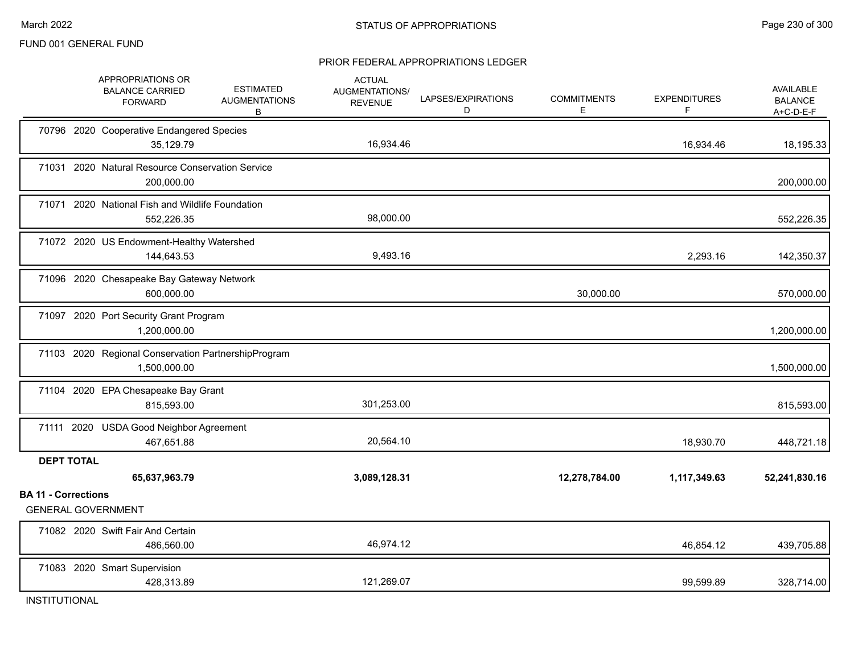#### PRIOR FEDERAL APPROPRIATIONS LEDGER

|                            | APPROPRIATIONS OR<br><b>BALANCE CARRIED</b><br><b>FORWARD</b>       | <b>ESTIMATED</b><br><b>AUGMENTATIONS</b><br>B | <b>ACTUAL</b><br>AUGMENTATIONS/<br><b>REVENUE</b> | LAPSES/EXPIRATIONS<br>D | <b>COMMITMENTS</b><br>E. | <b>EXPENDITURES</b><br>F. | <b>AVAILABLE</b><br><b>BALANCE</b><br>$A+C-D-E-F$ |
|----------------------------|---------------------------------------------------------------------|-----------------------------------------------|---------------------------------------------------|-------------------------|--------------------------|---------------------------|---------------------------------------------------|
|                            | 70796 2020 Cooperative Endangered Species<br>35,129.79              |                                               | 16,934.46                                         |                         |                          | 16,934.46                 | 18,195.33                                         |
|                            | 71031 2020 Natural Resource Conservation Service<br>200,000.00      |                                               |                                                   |                         |                          |                           | 200,000.00                                        |
| 71071                      | 2020 National Fish and Wildlife Foundation<br>552,226.35            |                                               | 98,000.00                                         |                         |                          |                           | 552,226.35                                        |
|                            | 71072 2020 US Endowment-Healthy Watershed<br>144,643.53             |                                               | 9,493.16                                          |                         |                          | 2,293.16                  | 142,350.37                                        |
|                            | 71096 2020 Chesapeake Bay Gateway Network<br>600,000.00             |                                               |                                                   |                         | 30,000.00                |                           | 570,000.00                                        |
|                            | 71097 2020 Port Security Grant Program<br>1,200,000.00              |                                               |                                                   |                         |                          |                           | 1,200,000.00                                      |
|                            | 71103 2020 Regional Conservation PartnershipProgram<br>1,500,000.00 |                                               |                                                   |                         |                          |                           | 1,500,000.00                                      |
|                            | 71104 2020 EPA Chesapeake Bay Grant<br>815,593.00                   |                                               | 301,253.00                                        |                         |                          |                           | 815,593.00                                        |
|                            | 71111 2020 USDA Good Neighbor Agreement<br>467,651.88               |                                               | 20,564.10                                         |                         |                          | 18,930.70                 | 448,721.18                                        |
| <b>DEPT TOTAL</b>          | 65,637,963.79                                                       |                                               | 3,089,128.31                                      |                         | 12,278,784.00            | 1,117,349.63              | 52,241,830.16                                     |
| <b>BA 11 - Corrections</b> | <b>GENERAL GOVERNMENT</b>                                           |                                               |                                                   |                         |                          |                           |                                                   |
|                            | 71082 2020 Swift Fair And Certain<br>486,560.00                     |                                               | 46,974.12                                         |                         |                          | 46,854.12                 | 439,705.88                                        |
|                            | 71083 2020 Smart Supervision<br>428,313.89                          |                                               | 121,269.07                                        |                         |                          | 99,599.89                 | 328,714.00                                        |

INSTITUTIONAL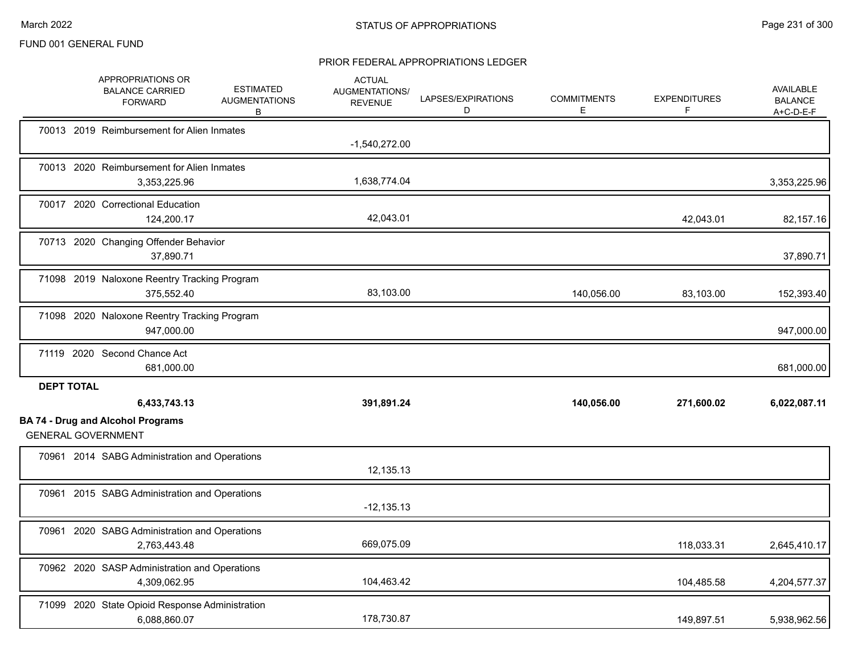|                   | APPROPRIATIONS OR<br><b>BALANCE CARRIED</b><br><b>FORWARD</b>   | <b>ESTIMATED</b><br><b>AUGMENTATIONS</b><br>В | <b>ACTUAL</b><br>AUGMENTATIONS/<br><b>REVENUE</b> | LAPSES/EXPIRATIONS<br>D | <b>COMMITMENTS</b><br>E. | <b>EXPENDITURES</b><br>F | AVAILABLE<br><b>BALANCE</b><br>$A+C-D-E-F$ |
|-------------------|-----------------------------------------------------------------|-----------------------------------------------|---------------------------------------------------|-------------------------|--------------------------|--------------------------|--------------------------------------------|
|                   | 70013 2019 Reimbursement for Alien Inmates                      |                                               | $-1,540,272.00$                                   |                         |                          |                          |                                            |
|                   | 70013 2020 Reimbursement for Alien Inmates<br>3,353,225.96      |                                               | 1,638,774.04                                      |                         |                          |                          | 3,353,225.96                               |
|                   | 70017 2020 Correctional Education<br>124,200.17                 |                                               | 42,043.01                                         |                         |                          | 42,043.01                | 82,157.16                                  |
|                   | 70713 2020 Changing Offender Behavior<br>37,890.71              |                                               |                                                   |                         |                          |                          | 37,890.71                                  |
|                   | 71098 2019 Naloxone Reentry Tracking Program<br>375,552.40      |                                               | 83,103.00                                         |                         | 140,056.00               | 83,103.00                | 152,393.40                                 |
|                   | 71098 2020 Naloxone Reentry Tracking Program<br>947,000.00      |                                               |                                                   |                         |                          |                          | 947,000.00                                 |
|                   | 71119 2020 Second Chance Act<br>681,000.00                      |                                               |                                                   |                         |                          |                          | 681,000.00                                 |
| <b>DEPT TOTAL</b> | 6,433,743.13                                                    |                                               | 391,891.24                                        |                         | 140,056.00               | 271,600.02               | 6,022,087.11                               |
|                   | <b>BA 74 - Drug and Alcohol Programs</b>                        |                                               |                                                   |                         |                          |                          |                                            |
|                   | <b>GENERAL GOVERNMENT</b>                                       |                                               |                                                   |                         |                          |                          |                                            |
|                   | 70961 2014 SABG Administration and Operations                   |                                               | 12,135.13                                         |                         |                          |                          |                                            |
|                   | 70961 2015 SABG Administration and Operations                   |                                               | $-12,135.13$                                      |                         |                          |                          |                                            |
|                   | 70961 2020 SABG Administration and Operations<br>2,763,443.48   |                                               | 669,075.09                                        |                         |                          | 118,033.31               | 2,645,410.17                               |
|                   | 70962 2020 SASP Administration and Operations<br>4,309,062.95   |                                               | 104,463.42                                        |                         |                          | 104,485.58               | 4,204,577.37                               |
|                   | 71099 2020 State Opioid Response Administration<br>6.088.860.07 |                                               | 178,730.87                                        |                         |                          | 149,897.51               | 5,938,962.56                               |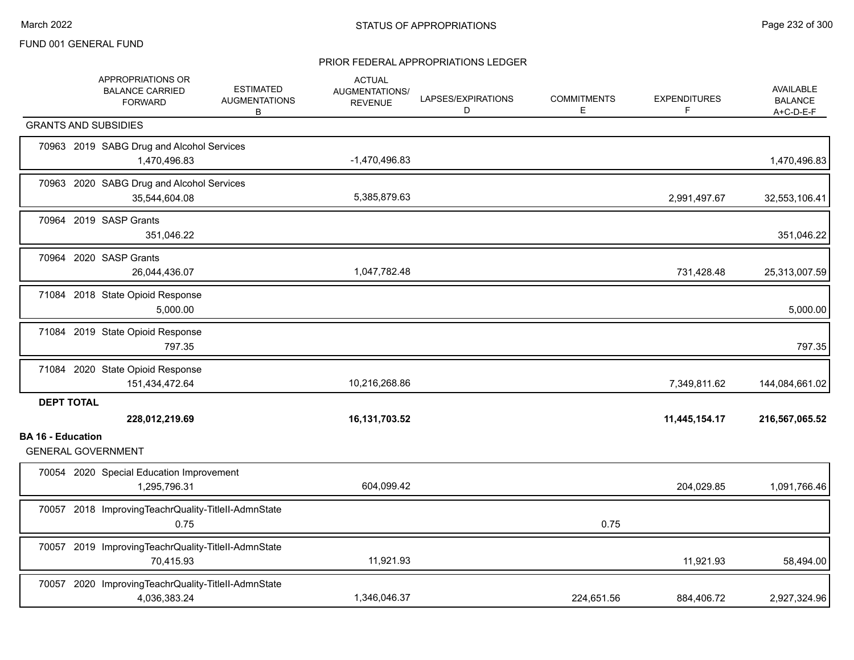|                          | APPROPRIATIONS OR<br><b>BALANCE CARRIED</b><br><b>FORWARD</b>       | <b>ESTIMATED</b><br><b>AUGMENTATIONS</b><br>B | <b>ACTUAL</b><br>AUGMENTATIONS/<br><b>REVENUE</b> | LAPSES/EXPIRATIONS<br>D | <b>COMMITMENTS</b><br>Е | <b>EXPENDITURES</b><br>F | <b>AVAILABLE</b><br><b>BALANCE</b><br>$A+C-D-E-F$ |
|--------------------------|---------------------------------------------------------------------|-----------------------------------------------|---------------------------------------------------|-------------------------|-------------------------|--------------------------|---------------------------------------------------|
|                          | <b>GRANTS AND SUBSIDIES</b>                                         |                                               |                                                   |                         |                         |                          |                                                   |
|                          | 70963 2019 SABG Drug and Alcohol Services<br>1,470,496.83           |                                               | $-1,470,496.83$                                   |                         |                         |                          | 1,470,496.83                                      |
|                          | 70963 2020 SABG Drug and Alcohol Services<br>35,544,604.08          |                                               | 5,385,879.63                                      |                         |                         | 2,991,497.67             | 32,553,106.41                                     |
|                          | 70964 2019 SASP Grants<br>351,046.22                                |                                               |                                                   |                         |                         |                          | 351,046.22                                        |
|                          | 70964 2020 SASP Grants<br>26,044,436.07                             |                                               | 1,047,782.48                                      |                         |                         | 731,428.48               | 25,313,007.59                                     |
|                          | 71084 2018 State Opioid Response<br>5,000.00                        |                                               |                                                   |                         |                         |                          | 5,000.00                                          |
|                          | 71084 2019 State Opioid Response<br>797.35                          |                                               |                                                   |                         |                         |                          | 797.35                                            |
|                          | 71084 2020 State Opioid Response<br>151,434,472.64                  |                                               | 10,216,268.86                                     |                         |                         | 7,349,811.62             | 144,084,661.02                                    |
| <b>DEPT TOTAL</b>        | 228,012,219.69                                                      |                                               | 16,131,703.52                                     |                         |                         | 11,445,154.17            | 216,567,065.52                                    |
| <b>BA 16 - Education</b> | <b>GENERAL GOVERNMENT</b>                                           |                                               |                                                   |                         |                         |                          |                                                   |
|                          | 70054 2020 Special Education Improvement<br>1,295,796.31            |                                               | 604,099.42                                        |                         |                         | 204,029.85               | 1,091,766.46                                      |
|                          | 70057 2018 ImprovingTeachrQuality-TitleII-AdmnState<br>0.75         |                                               |                                                   |                         | 0.75                    |                          |                                                   |
|                          | 70057 2019 ImprovingTeachrQuality-TitleII-AdmnState<br>70,415.93    |                                               | 11,921.93                                         |                         |                         | 11,921.93                | 58,494.00                                         |
|                          | 70057 2020 ImprovingTeachrQuality-TitleII-AdmnState<br>4,036,383.24 |                                               | 1,346,046.37                                      |                         | 224,651.56              | 884,406.72               | 2,927,324.96                                      |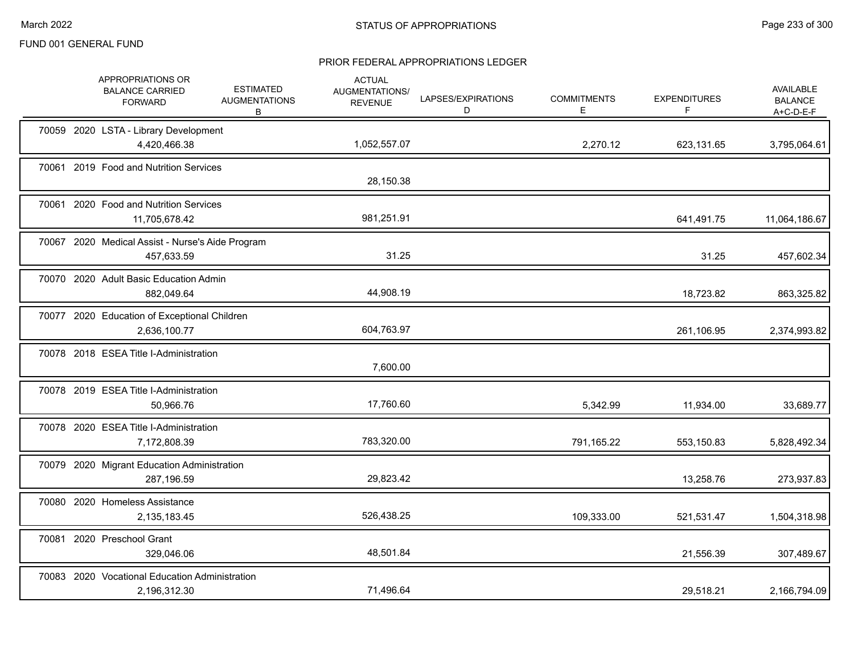|  | APPROPRIATIONS OR<br><b>BALANCE CARRIED</b><br><b>FORWARD</b>  | <b>ESTIMATED</b><br><b>AUGMENTATIONS</b><br>B | <b>ACTUAL</b><br>AUGMENTATIONS/<br><b>REVENUE</b> | LAPSES/EXPIRATIONS<br>D | <b>COMMITMENTS</b><br>E. | <b>EXPENDITURES</b><br>F | <b>AVAILABLE</b><br><b>BALANCE</b><br>A+C-D-E-F |
|--|----------------------------------------------------------------|-----------------------------------------------|---------------------------------------------------|-------------------------|--------------------------|--------------------------|-------------------------------------------------|
|  | 70059 2020 LSTA - Library Development<br>4,420,466.38          |                                               | 1,052,557.07                                      |                         | 2,270.12                 | 623,131.65               | 3,795,064.61                                    |
|  | 70061 2019 Food and Nutrition Services                         |                                               | 28,150.38                                         |                         |                          |                          |                                                 |
|  | 70061 2020 Food and Nutrition Services<br>11,705,678.42        |                                               | 981,251.91                                        |                         |                          | 641,491.75               | 11,064,186.67                                   |
|  | 70067 2020 Medical Assist - Nurse's Aide Program<br>457,633.59 |                                               | 31.25                                             |                         |                          | 31.25                    | 457,602.34                                      |
|  | 70070 2020 Adult Basic Education Admin<br>882,049.64           |                                               | 44,908.19                                         |                         |                          | 18,723.82                | 863,325.82                                      |
|  | 70077 2020 Education of Exceptional Children<br>2,636,100.77   |                                               | 604,763.97                                        |                         |                          | 261,106.95               | 2,374,993.82                                    |
|  | 70078 2018 ESEA Title I-Administration                         |                                               | 7,600.00                                          |                         |                          |                          |                                                 |
|  | 70078 2019 ESEA Title I-Administration<br>50,966.76            |                                               | 17,760.60                                         |                         | 5,342.99                 | 11,934.00                | 33,689.77                                       |
|  | 70078 2020 ESEA Title I-Administration<br>7,172,808.39         |                                               | 783,320.00                                        |                         | 791,165.22               | 553,150.83               | 5,828,492.34                                    |
|  | 70079 2020 Migrant Education Administration<br>287,196.59      |                                               | 29,823.42                                         |                         |                          | 13,258.76                | 273,937.83                                      |
|  | 70080 2020 Homeless Assistance<br>2,135,183.45                 |                                               | 526,438.25                                        |                         | 109,333.00               | 521,531.47               | 1,504,318.98                                    |
|  | 70081 2020 Preschool Grant<br>329,046.06                       |                                               | 48,501.84                                         |                         |                          | 21,556.39                | 307,489.67                                      |
|  | 70083 2020 Vocational Education Administration<br>2,196,312.30 |                                               | 71,496.64                                         |                         |                          | 29,518.21                | 2,166,794.09                                    |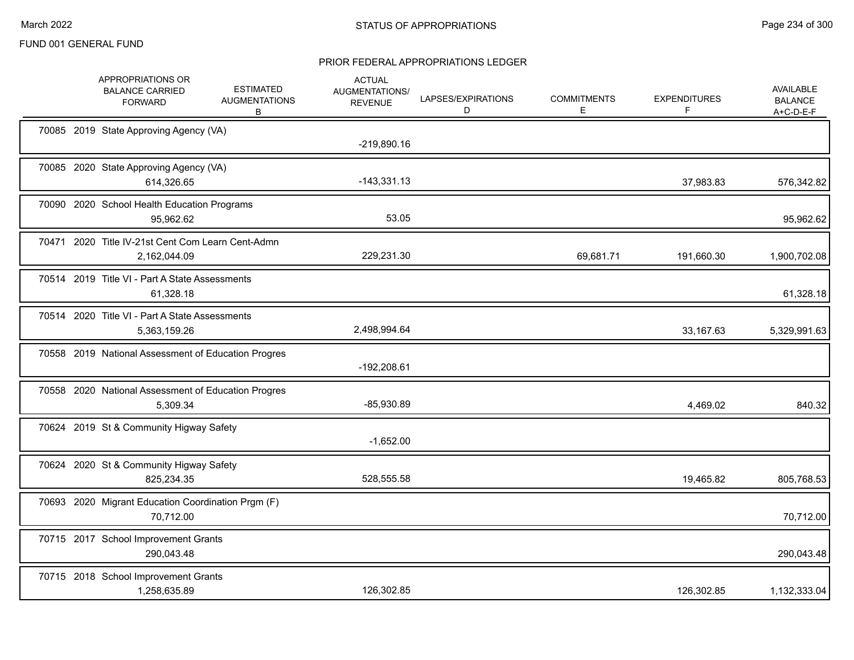|  | APPROPRIATIONS OR<br><b>BALANCE CARRIED</b><br><b>FORWARD</b>     | <b>ESTIMATED</b><br><b>AUGMENTATIONS</b><br>В | <b>ACTUAL</b><br><b>AUGMENTATIONS/</b><br><b>REVENUE</b> | LAPSES/EXPIRATIONS<br>D | <b>COMMITMENTS</b><br>E | <b>EXPENDITURES</b><br>F | <b>AVAILABLE</b><br><b>BALANCE</b><br>$A+C-D-E-F$ |
|--|-------------------------------------------------------------------|-----------------------------------------------|----------------------------------------------------------|-------------------------|-------------------------|--------------------------|---------------------------------------------------|
|  | 70085 2019 State Approving Agency (VA)                            |                                               | $-219,890.16$                                            |                         |                         |                          |                                                   |
|  | 70085 2020 State Approving Agency (VA)<br>614,326.65              |                                               | $-143,331.13$                                            |                         |                         | 37,983.83                | 576,342.82                                        |
|  | 70090 2020 School Health Education Programs<br>95,962.62          |                                               | 53.05                                                    |                         |                         |                          | 95,962.62                                         |
|  | 70471 2020 Title IV-21st Cent Com Learn Cent-Admn<br>2,162,044.09 |                                               | 229,231.30                                               |                         | 69,681.71               | 191,660.30               | 1,900,702.08                                      |
|  | 70514 2019 Title VI - Part A State Assessments<br>61,328.18       |                                               |                                                          |                         |                         |                          | 61,328.18                                         |
|  | 70514 2020 Title VI - Part A State Assessments<br>5,363,159.26    |                                               | 2,498,994.64                                             |                         |                         | 33,167.63                | 5,329,991.63                                      |
|  | 70558 2019 National Assessment of Education Progres               |                                               | -192,208.61                                              |                         |                         |                          |                                                   |
|  | 70558 2020 National Assessment of Education Progres<br>5,309.34   |                                               | $-85,930.89$                                             |                         |                         | 4,469.02                 | 840.32                                            |
|  | 70624 2019 St & Community Higway Safety                           |                                               | $-1,652.00$                                              |                         |                         |                          |                                                   |
|  | 70624 2020 St & Community Higway Safety<br>825,234.35             |                                               | 528,555.58                                               |                         |                         | 19,465.82                | 805,768.53                                        |
|  | 70693 2020 Migrant Education Coordination Prgm (F)<br>70,712.00   |                                               |                                                          |                         |                         |                          | 70,712.00                                         |
|  | 70715 2017 School Improvement Grants<br>290,043.48                |                                               |                                                          |                         |                         |                          | 290,043.48                                        |
|  | 70715 2018 School Improvement Grants<br>1,258,635.89              |                                               | 126,302.85                                               |                         |                         | 126,302.85               | 1,132,333.04                                      |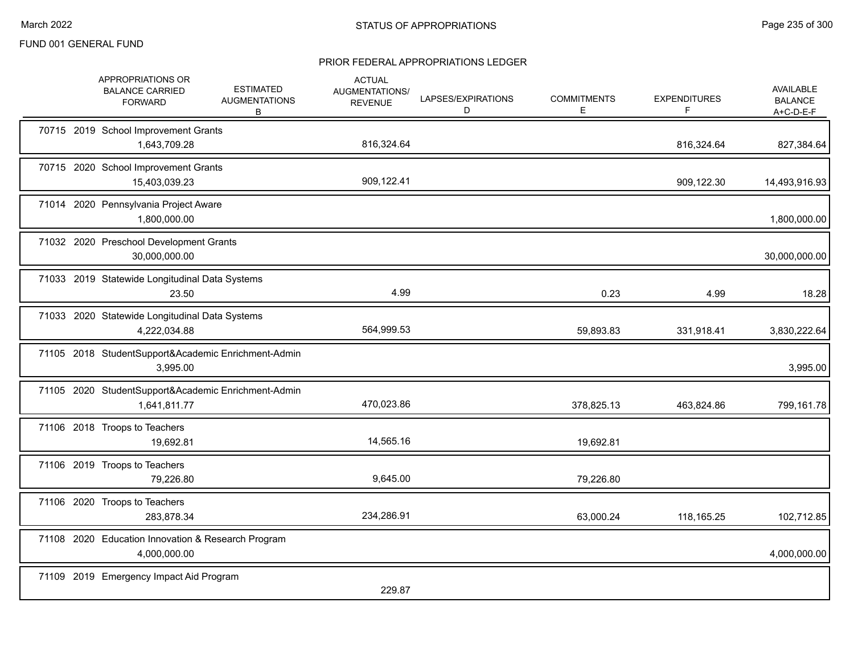| APPROPRIATIONS OR<br><b>BALANCE CARRIED</b><br><b>FORWARD</b>       | <b>ESTIMATED</b><br><b>AUGMENTATIONS</b><br>B | <b>ACTUAL</b><br>AUGMENTATIONS/<br><b>REVENUE</b> | LAPSES/EXPIRATIONS<br>D | <b>COMMITMENTS</b><br>Е | <b>EXPENDITURES</b><br>F | <b>AVAILABLE</b><br><b>BALANCE</b><br>$A+C-D-E-F$ |
|---------------------------------------------------------------------|-----------------------------------------------|---------------------------------------------------|-------------------------|-------------------------|--------------------------|---------------------------------------------------|
| 70715 2019 School Improvement Grants<br>1,643,709.28                |                                               | 816,324.64                                        |                         |                         | 816,324.64               | 827,384.64                                        |
| 70715 2020 School Improvement Grants<br>15,403,039.23               |                                               | 909,122.41                                        |                         |                         | 909,122.30               | 14,493,916.93                                     |
| 71014 2020 Pennsylvania Project Aware<br>1,800,000.00               |                                               |                                                   |                         |                         |                          | 1,800,000.00                                      |
| 71032 2020 Preschool Development Grants<br>30,000,000.00            |                                               |                                                   |                         |                         |                          | 30,000,000.00                                     |
| 71033 2019 Statewide Longitudinal Data Systems<br>23.50             |                                               | 4.99                                              |                         | 0.23                    | 4.99                     | 18.28                                             |
| 71033 2020 Statewide Longitudinal Data Systems<br>4,222,034.88      |                                               | 564,999.53                                        |                         | 59,893.83               | 331,918.41               | 3,830,222.64                                      |
| 71105 2018 StudentSupport&Academic Enrichment-Admin<br>3,995.00     |                                               |                                                   |                         |                         |                          | 3,995.00                                          |
| 71105 2020 StudentSupport&Academic Enrichment-Admin<br>1,641,811.77 |                                               | 470,023.86                                        |                         | 378,825.13              | 463,824.86               | 799,161.78                                        |
| 71106 2018 Troops to Teachers<br>19,692.81                          |                                               | 14,565.16                                         |                         | 19,692.81               |                          |                                                   |
| 71106 2019 Troops to Teachers<br>79,226.80                          |                                               | 9,645.00                                          |                         | 79,226.80               |                          |                                                   |
| 71106 2020 Troops to Teachers<br>283,878.34                         |                                               | 234,286.91                                        |                         | 63,000.24               | 118,165.25               | 102,712.85                                        |
| 71108 2020 Education Innovation & Research Program<br>4,000,000.00  |                                               |                                                   |                         |                         |                          | 4,000,000.00                                      |
| 71109 2019 Emergency Impact Aid Program                             |                                               | 229.87                                            |                         |                         |                          |                                                   |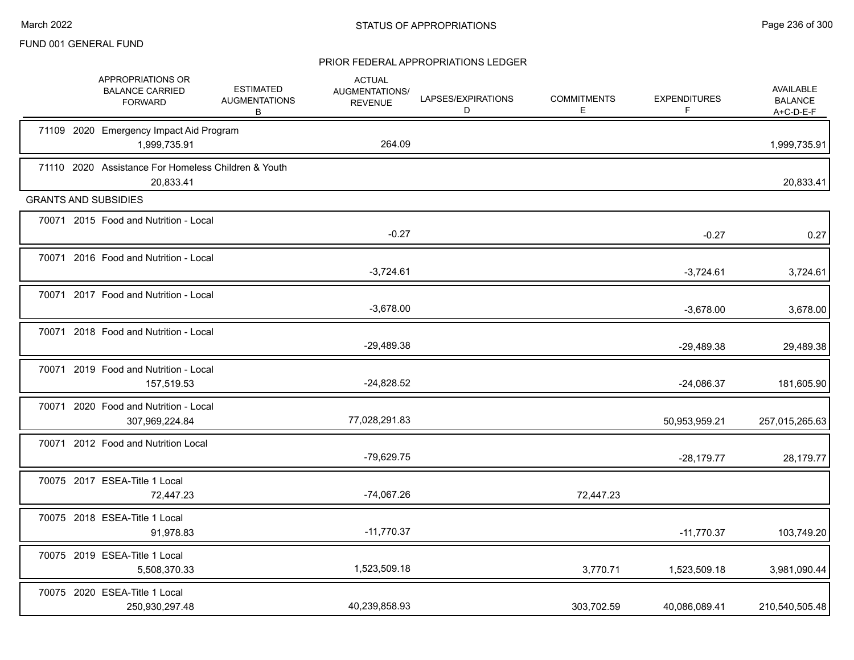|  | APPROPRIATIONS OR<br><b>BALANCE CARRIED</b><br><b>FORWARD</b>    | <b>ESTIMATED</b><br><b>AUGMENTATIONS</b><br>B | <b>ACTUAL</b><br>AUGMENTATIONS/<br><b>REVENUE</b> | LAPSES/EXPIRATIONS<br>D | <b>COMMITMENTS</b><br>E | <b>EXPENDITURES</b><br>F | AVAILABLE<br><b>BALANCE</b><br>A+C-D-E-F |
|--|------------------------------------------------------------------|-----------------------------------------------|---------------------------------------------------|-------------------------|-------------------------|--------------------------|------------------------------------------|
|  | 71109 2020 Emergency Impact Aid Program<br>1,999,735.91          |                                               | 264.09                                            |                         |                         |                          | 1,999,735.91                             |
|  | 71110 2020 Assistance For Homeless Children & Youth<br>20,833.41 |                                               |                                                   |                         |                         |                          | 20,833.41                                |
|  | <b>GRANTS AND SUBSIDIES</b>                                      |                                               |                                                   |                         |                         |                          |                                          |
|  | 70071 2015 Food and Nutrition - Local                            |                                               | $-0.27$                                           |                         |                         | $-0.27$                  | 0.27                                     |
|  | 70071 2016 Food and Nutrition - Local                            |                                               | $-3,724.61$                                       |                         |                         | $-3,724.61$              | 3,724.61                                 |
|  | 70071 2017 Food and Nutrition - Local                            |                                               | $-3,678.00$                                       |                         |                         | $-3,678.00$              | 3,678.00                                 |
|  | 70071 2018 Food and Nutrition - Local                            |                                               | $-29,489.38$                                      |                         |                         | $-29,489.38$             | 29,489.38                                |
|  | 70071 2019 Food and Nutrition - Local<br>157,519.53              |                                               | $-24,828.52$                                      |                         |                         | $-24,086.37$             | 181,605.90                               |
|  | 70071 2020 Food and Nutrition - Local<br>307,969,224.84          |                                               | 77,028,291.83                                     |                         |                         | 50,953,959.21            | 257,015,265.63                           |
|  | 70071 2012 Food and Nutrition Local                              |                                               | $-79,629.75$                                      |                         |                         | $-28,179.77$             | 28,179.77                                |
|  | 70075 2017 ESEA-Title 1 Local<br>72,447.23                       |                                               | $-74,067.26$                                      |                         | 72,447.23               |                          |                                          |
|  | 70075 2018 ESEA-Title 1 Local<br>91,978.83                       |                                               | $-11,770.37$                                      |                         |                         | $-11,770.37$             | 103,749.20                               |
|  | 70075 2019 ESEA-Title 1 Local<br>5,508,370.33                    |                                               | 1,523,509.18                                      |                         | 3,770.71                | 1,523,509.18             | 3,981,090.44                             |
|  | 70075 2020 ESEA-Title 1 Local<br>250,930,297.48                  |                                               | 40,239,858.93                                     |                         | 303,702.59              | 40,086,089.41            | 210,540,505.48                           |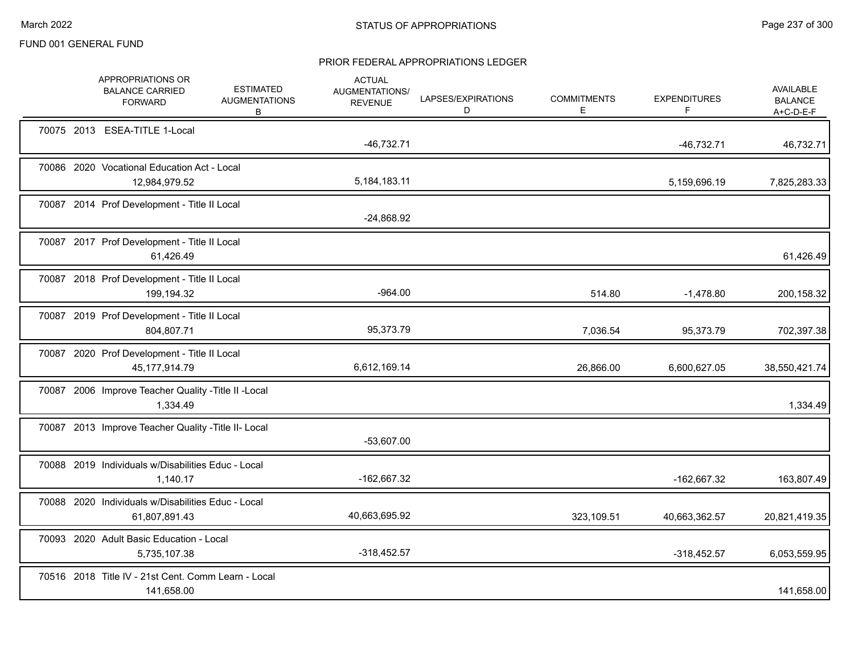|  | APPROPRIATIONS OR<br><b>BALANCE CARRIED</b><br><b>FORWARD</b>       | <b>ESTIMATED</b><br><b>AUGMENTATIONS</b><br>B | <b>ACTUAL</b><br>AUGMENTATIONS/<br><b>REVENUE</b> | LAPSES/EXPIRATIONS<br>D | <b>COMMITMENTS</b><br>Е | <b>EXPENDITURES</b><br>F | <b>AVAILABLE</b><br><b>BALANCE</b><br>$A+C-D-E-F$ |
|--|---------------------------------------------------------------------|-----------------------------------------------|---------------------------------------------------|-------------------------|-------------------------|--------------------------|---------------------------------------------------|
|  | 70075 2013 ESEA-TITLE 1-Local                                       |                                               | $-46,732.71$                                      |                         |                         | $-46,732.71$             | 46,732.71                                         |
|  | 70086 2020 Vocational Education Act - Local<br>12,984,979.52        |                                               | 5,184,183.11                                      |                         |                         | 5,159,696.19             | 7,825,283.33                                      |
|  | 70087 2014 Prof Development - Title II Local                        |                                               | $-24,868.92$                                      |                         |                         |                          |                                                   |
|  | 70087 2017 Prof Development - Title II Local<br>61,426.49           |                                               |                                                   |                         |                         |                          | 61,426.49                                         |
|  | 70087 2018 Prof Development - Title II Local<br>199,194.32          |                                               | $-964.00$                                         |                         | 514.80                  | $-1,478.80$              | 200,158.32                                        |
|  | 70087 2019 Prof Development - Title II Local<br>804,807.71          |                                               | 95,373.79                                         |                         | 7,036.54                | 95,373.79                | 702,397.38                                        |
|  | 70087 2020 Prof Development - Title II Local<br>45, 177, 914. 79    |                                               | 6,612,169.14                                      |                         | 26,866.00               | 6,600,627.05             | 38,550,421.74                                     |
|  | 70087 2006 Improve Teacher Quality - Title II - Local<br>1,334.49   |                                               |                                                   |                         |                         |                          | 1,334.49                                          |
|  | 70087 2013 Improve Teacher Quality - Title II- Local                |                                               | $-53,607.00$                                      |                         |                         |                          |                                                   |
|  | 70088 2019 Individuals w/Disabilities Educ - Local<br>1,140.17      |                                               | -162,667.32                                       |                         |                         | -162,667.32              | 163,807.49                                        |
|  | 70088 2020 Individuals w/Disabilities Educ - Local<br>61,807,891.43 |                                               | 40,663,695.92                                     |                         | 323,109.51              | 40,663,362.57            | 20,821,419.35                                     |
|  | 70093 2020 Adult Basic Education - Local<br>5,735,107.38            |                                               | $-318,452.57$                                     |                         |                         | -318,452.57              | 6,053,559.95                                      |
|  | 70516 2018 Title IV - 21st Cent. Comm Learn - Local<br>141,658.00   |                                               |                                                   |                         |                         |                          | 141,658.00                                        |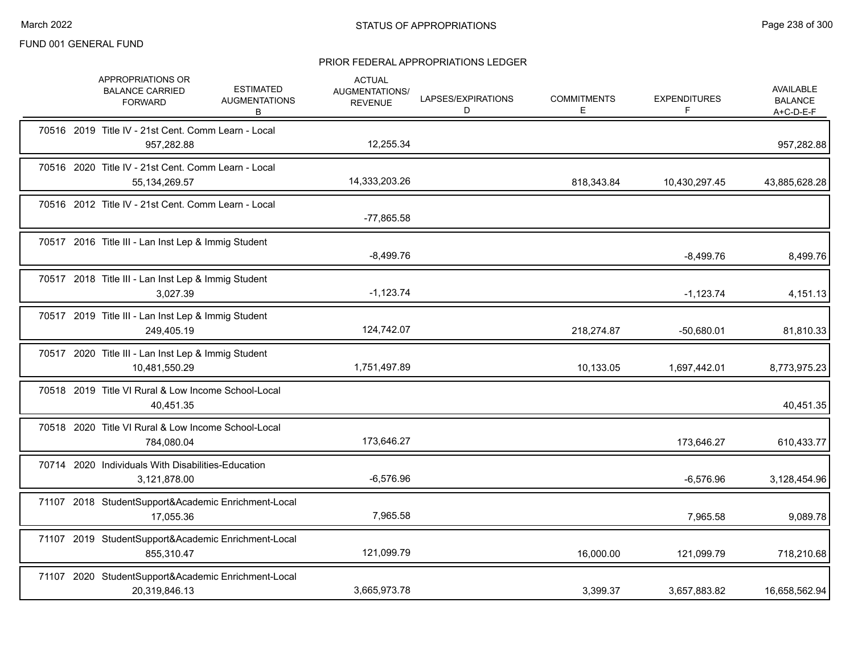|  | APPROPRIATIONS OR<br><b>ESTIMATED</b><br><b>BALANCE CARRIED</b><br><b>AUGMENTATIONS</b><br><b>FORWARD</b><br>в | <b>ACTUAL</b><br>AUGMENTATIONS/<br><b>REVENUE</b> | LAPSES/EXPIRATIONS<br>D | <b>COMMITMENTS</b><br>Е. | <b>EXPENDITURES</b> | AVAILABLE<br><b>BALANCE</b><br>$A+C-D-E-F$ |
|--|----------------------------------------------------------------------------------------------------------------|---------------------------------------------------|-------------------------|--------------------------|---------------------|--------------------------------------------|
|  | 70516 2019 Title IV - 21st Cent. Comm Learn - Local<br>957,282.88                                              | 12,255.34                                         |                         |                          |                     | 957,282.88                                 |
|  | 70516 2020 Title IV - 21st Cent. Comm Learn - Local<br>55, 134, 269. 57                                        | 14,333,203.26                                     |                         | 818,343.84               | 10,430,297.45       | 43,885,628.28                              |
|  | 70516 2012 Title IV - 21st Cent. Comm Learn - Local                                                            | $-77,865.58$                                      |                         |                          |                     |                                            |
|  | 70517 2016 Title III - Lan Inst Lep & Immig Student                                                            | $-8,499.76$                                       |                         |                          | $-8,499.76$         | 8,499.76                                   |
|  | 70517 2018 Title III - Lan Inst Lep & Immig Student<br>3,027.39                                                | $-1,123.74$                                       |                         |                          | $-1,123.74$         | 4,151.13                                   |
|  | 70517 2019 Title III - Lan Inst Lep & Immig Student<br>249,405.19                                              | 124,742.07                                        |                         | 218,274.87               | $-50,680.01$        | 81,810.33                                  |
|  | 70517 2020 Title III - Lan Inst Lep & Immig Student<br>10,481,550.29                                           | 1,751,497.89                                      |                         | 10,133.05                | 1,697,442.01        | 8,773,975.23                               |
|  | 70518 2019 Title VI Rural & Low Income School-Local<br>40,451.35                                               |                                                   |                         |                          |                     | 40,451.35                                  |
|  | 70518 2020 Title VI Rural & Low Income School-Local<br>784,080.04                                              | 173,646.27                                        |                         |                          | 173,646.27          | 610,433.77                                 |
|  | 70714 2020 Individuals With Disabilities-Education<br>3,121,878.00                                             | $-6,576.96$                                       |                         |                          | $-6,576.96$         | 3,128,454.96                               |
|  | 71107 2018 StudentSupport&Academic Enrichment-Local<br>17,055.36                                               | 7,965.58                                          |                         |                          | 7,965.58            | 9,089.78                                   |
|  | 71107 2019 StudentSupport&Academic Enrichment-Local<br>855,310.47                                              | 121,099.79                                        |                         | 16,000.00                | 121,099.79          | 718,210.68                                 |
|  | 71107 2020 StudentSupport&Academic Enrichment-Local<br>20,319,846.13                                           | 3,665,973.78                                      |                         | 3,399.37                 | 3,657,883.82        | 16,658,562.94                              |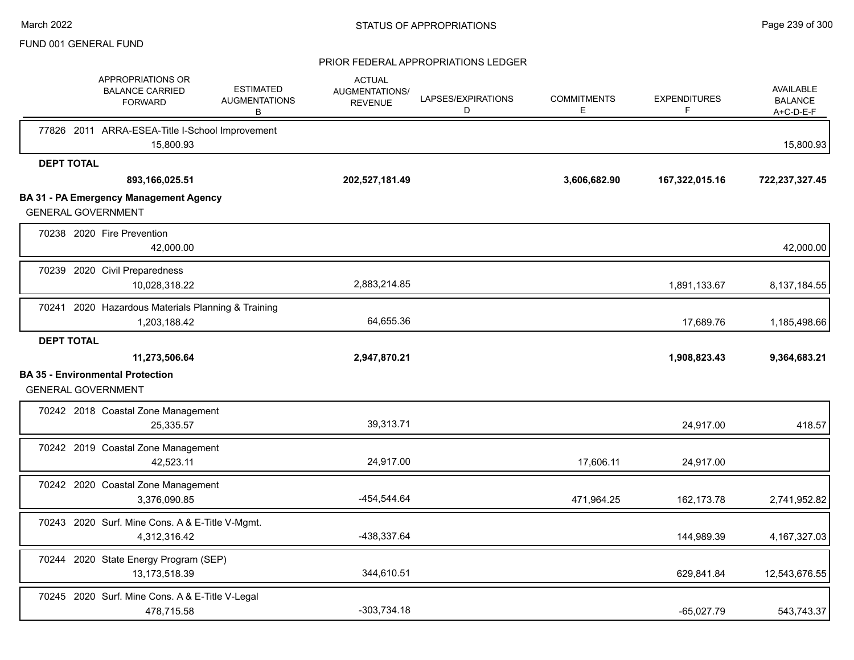|                           | APPROPRIATIONS OR<br><b>BALANCE CARRIED</b><br><b>FORWARD</b>      | <b>ESTIMATED</b><br><b>AUGMENTATIONS</b><br>B | <b>ACTUAL</b><br><b>AUGMENTATIONS/</b><br><b>REVENUE</b> | LAPSES/EXPIRATIONS<br>D | <b>COMMITMENTS</b><br>E | <b>EXPENDITURES</b><br>F | AVAILABLE<br><b>BALANCE</b><br>$A+C-D-E-F$ |
|---------------------------|--------------------------------------------------------------------|-----------------------------------------------|----------------------------------------------------------|-------------------------|-------------------------|--------------------------|--------------------------------------------|
|                           | 77826 2011 ARRA-ESEA-Title I-School Improvement<br>15,800.93       |                                               |                                                          |                         |                         |                          | 15,800.93                                  |
| <b>DEPT TOTAL</b>         |                                                                    |                                               |                                                          |                         |                         |                          |                                            |
|                           | 893,166,025.51                                                     |                                               | 202,527,181.49                                           |                         | 3,606,682.90            | 167,322,015.16           | 722,237,327.45                             |
| <b>GENERAL GOVERNMENT</b> | <b>BA 31 - PA Emergency Management Agency</b>                      |                                               |                                                          |                         |                         |                          |                                            |
|                           | 70238 2020 Fire Prevention<br>42,000.00                            |                                               |                                                          |                         |                         |                          | 42,000.00                                  |
|                           | 70239 2020 Civil Preparedness<br>10,028,318.22                     |                                               | 2,883,214.85                                             |                         |                         | 1,891,133.67             | 8,137,184.55                               |
|                           | 70241 2020 Hazardous Materials Planning & Training<br>1,203,188.42 |                                               | 64,655.36                                                |                         |                         | 17,689.76                | 1,185,498.66                               |
| <b>DEPT TOTAL</b>         |                                                                    |                                               |                                                          |                         |                         |                          |                                            |
|                           | 11,273,506.64                                                      |                                               | 2,947,870.21                                             |                         |                         | 1,908,823.43             | 9,364,683.21                               |
| <b>GENERAL GOVERNMENT</b> | <b>BA 35 - Environmental Protection</b>                            |                                               |                                                          |                         |                         |                          |                                            |
|                           | 70242 2018 Coastal Zone Management<br>25,335.57                    |                                               | 39,313.71                                                |                         |                         | 24,917.00                | 418.57                                     |
|                           | 70242 2019 Coastal Zone Management<br>42,523.11                    |                                               | 24,917.00                                                |                         | 17,606.11               | 24,917.00                |                                            |
|                           | 70242 2020 Coastal Zone Management<br>3,376,090.85                 |                                               | -454,544.64                                              |                         | 471,964.25              | 162,173.78               | 2,741,952.82                               |
|                           | 70243 2020 Surf. Mine Cons. A & E-Title V-Mgmt.<br>4,312,316.42    |                                               | -438,337.64                                              |                         |                         | 144,989.39               | 4, 167, 327.03                             |
|                           | 70244 2020 State Energy Program (SEP)<br>13,173,518.39             |                                               | 344,610.51                                               |                         |                         | 629,841.84               | 12,543,676.55                              |
|                           | 70245 2020 Surf. Mine Cons. A & E-Title V-Legal<br>478.715.58      |                                               | $-303,734.18$                                            |                         |                         | $-65.027.79$             | 543,743.37                                 |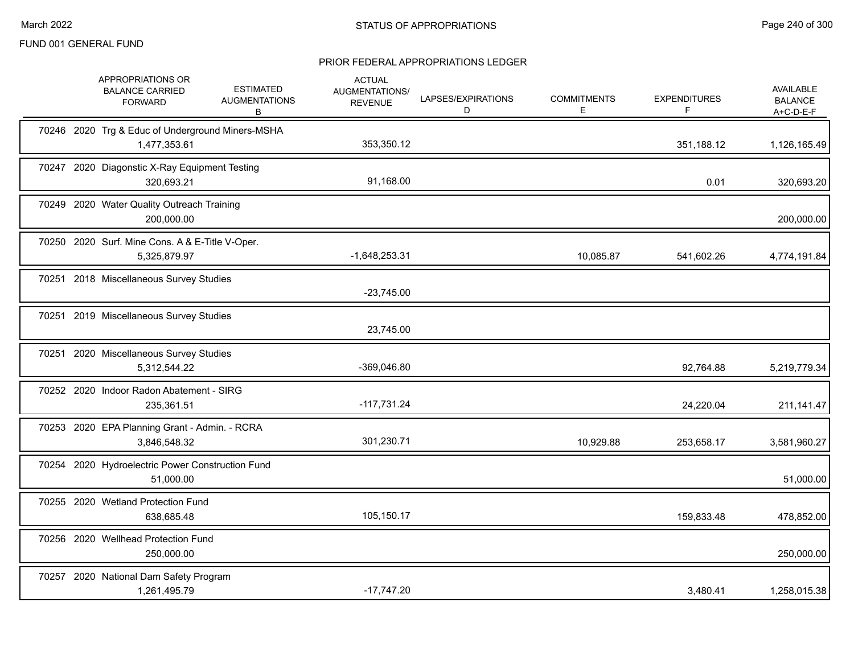| APPROPRIATIONS OR<br><b>BALANCE CARRIED</b><br><b>FORWARD</b>    | <b>ESTIMATED</b><br><b>AUGMENTATIONS</b><br>в | <b>ACTUAL</b><br>AUGMENTATIONS/<br><b>REVENUE</b> | LAPSES/EXPIRATIONS<br>D | <b>COMMITMENTS</b><br>E | <b>EXPENDITURES</b><br>F | AVAILABLE<br><b>BALANCE</b><br>$A+C-D-E-F$ |
|------------------------------------------------------------------|-----------------------------------------------|---------------------------------------------------|-------------------------|-------------------------|--------------------------|--------------------------------------------|
| 70246 2020 Trg & Educ of Underground Miners-MSHA<br>1,477,353.61 |                                               | 353,350.12                                        |                         |                         | 351,188.12               | 1,126,165.49                               |
| 70247 2020 Diagonstic X-Ray Equipment Testing<br>320,693.21      |                                               | 91,168.00                                         |                         |                         | 0.01                     | 320,693.20                                 |
| 70249 2020 Water Quality Outreach Training<br>200,000.00         |                                               |                                                   |                         |                         |                          | 200,000.00                                 |
| 70250 2020 Surf. Mine Cons. A & E-Title V-Oper.<br>5,325,879.97  |                                               | $-1,648,253.31$                                   |                         | 10,085.87               | 541,602.26               | 4,774,191.84                               |
| 70251 2018 Miscellaneous Survey Studies                          |                                               | $-23,745.00$                                      |                         |                         |                          |                                            |
| 70251 2019 Miscellaneous Survey Studies                          |                                               | 23,745.00                                         |                         |                         |                          |                                            |
| 70251 2020 Miscellaneous Survey Studies<br>5,312,544.22          |                                               | -369,046.80                                       |                         |                         | 92,764.88                | 5,219,779.34                               |
| 70252 2020 Indoor Radon Abatement - SIRG<br>235,361.51           |                                               | $-117,731.24$                                     |                         |                         | 24,220.04                | 211,141.47                                 |
| 70253 2020 EPA Planning Grant - Admin. - RCRA<br>3,846,548.32    |                                               | 301,230.71                                        |                         | 10,929.88               | 253,658.17               | 3,581,960.27                               |
| 70254 2020 Hydroelectric Power Construction Fund<br>51,000.00    |                                               |                                                   |                         |                         |                          | 51,000.00                                  |
| 70255 2020 Wetland Protection Fund<br>638,685.48                 |                                               | 105,150.17                                        |                         |                         | 159,833.48               | 478,852.00                                 |
| 70256 2020 Wellhead Protection Fund<br>250,000.00                |                                               |                                                   |                         |                         |                          | 250,000.00                                 |
| 70257 2020 National Dam Safety Program<br>1,261,495.79           |                                               | $-17,747.20$                                      |                         |                         | 3,480.41                 | 1,258,015.38                               |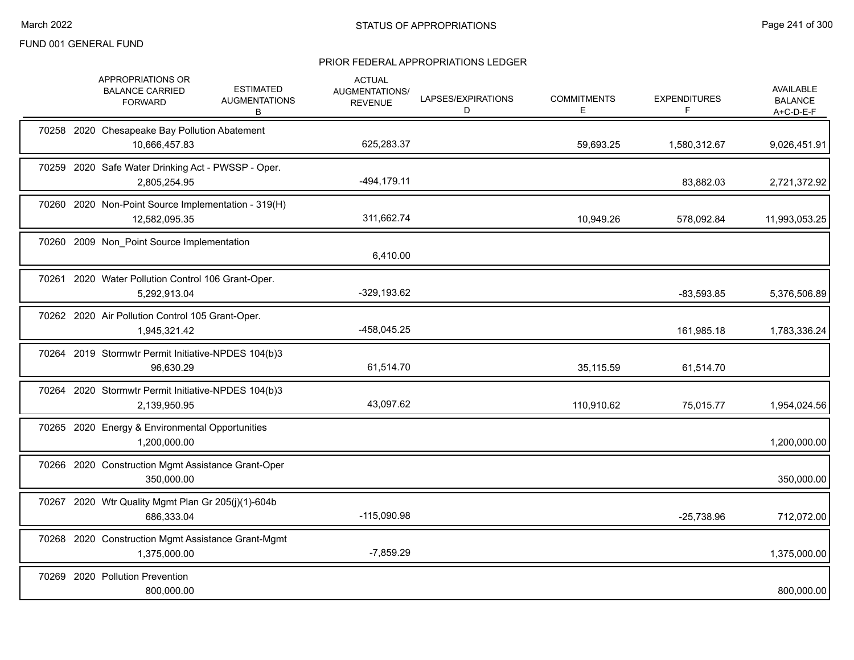|  | APPROPRIATIONS OR<br><b>BALANCE CARRIED</b><br><b>FORWARD</b>        | <b>ESTIMATED</b><br><b>AUGMENTATIONS</b><br>B | <b>ACTUAL</b><br>AUGMENTATIONS/<br><b>REVENUE</b> | LAPSES/EXPIRATIONS<br>D | <b>COMMITMENTS</b><br>Е | <b>EXPENDITURES</b><br>F | <b>AVAILABLE</b><br><b>BALANCE</b><br>A+C-D-E-F |
|--|----------------------------------------------------------------------|-----------------------------------------------|---------------------------------------------------|-------------------------|-------------------------|--------------------------|-------------------------------------------------|
|  | 70258 2020 Chesapeake Bay Pollution Abatement<br>10,666,457.83       |                                               | 625,283.37                                        |                         | 59,693.25               | 1,580,312.67             | 9,026,451.91                                    |
|  | 70259 2020 Safe Water Drinking Act - PWSSP - Oper.<br>2,805,254.95   |                                               | $-494, 179.11$                                    |                         |                         | 83,882.03                | 2,721,372.92                                    |
|  | 70260 2020 Non-Point Source Implementation - 319(H)<br>12,582,095.35 |                                               | 311,662.74                                        |                         | 10,949.26               | 578,092.84               | 11,993,053.25                                   |
|  | 70260 2009 Non_Point Source Implementation                           |                                               | 6,410.00                                          |                         |                         |                          |                                                 |
|  | 70261 2020 Water Pollution Control 106 Grant-Oper.<br>5,292,913.04   |                                               | $-329,193.62$                                     |                         |                         | $-83,593.85$             | 5,376,506.89                                    |
|  | 70262 2020 Air Pollution Control 105 Grant-Oper.<br>1,945,321.42     |                                               | -458,045.25                                       |                         |                         | 161,985.18               | 1,783,336.24                                    |
|  | 70264 2019 Stormwtr Permit Initiative-NPDES 104(b)3<br>96,630.29     |                                               | 61,514.70                                         |                         | 35,115.59               | 61,514.70                |                                                 |
|  | 70264 2020 Stormwtr Permit Initiative-NPDES 104(b)3<br>2,139,950.95  |                                               | 43,097.62                                         |                         | 110,910.62              | 75,015.77                | 1,954,024.56                                    |
|  | 70265 2020 Energy & Environmental Opportunities<br>1,200,000.00      |                                               |                                                   |                         |                         |                          | 1,200,000.00                                    |
|  | 70266 2020 Construction Mgmt Assistance Grant-Oper<br>350,000.00     |                                               |                                                   |                         |                         |                          | 350,000.00                                      |
|  | 70267 2020 Wtr Quality Mgmt Plan Gr 205(j)(1)-604b<br>686,333.04     |                                               | $-115,090.98$                                     |                         |                         | $-25,738.96$             | 712,072.00                                      |
|  | 70268 2020 Construction Mgmt Assistance Grant-Mgmt<br>1,375,000.00   |                                               | $-7,859.29$                                       |                         |                         |                          | 1,375,000.00                                    |
|  | 70269 2020 Pollution Prevention<br>800,000.00                        |                                               |                                                   |                         |                         |                          | 800,000.00                                      |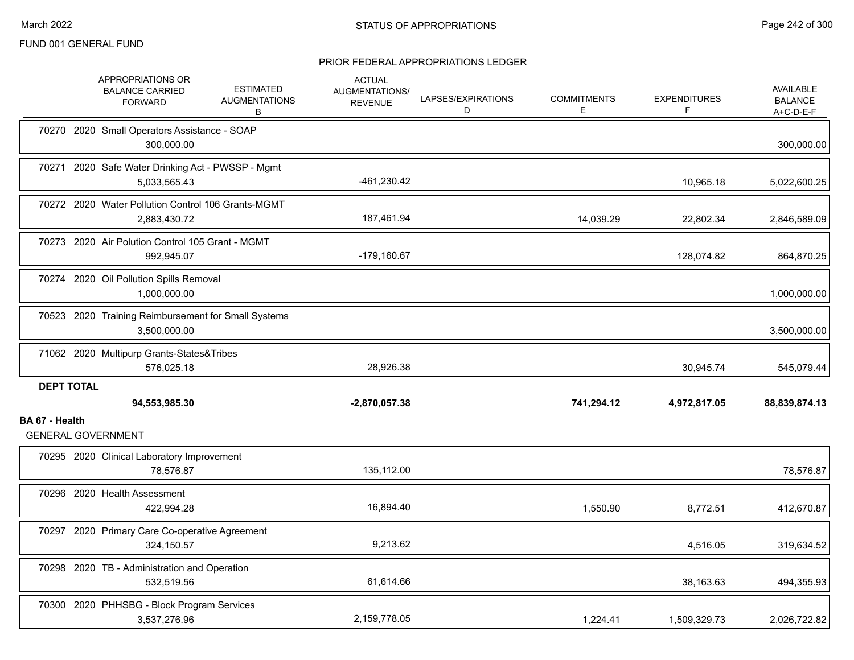|                   | APPROPRIATIONS OR<br><b>BALANCE CARRIED</b><br><b>FORWARD</b>       | <b>ESTIMATED</b><br><b>AUGMENTATIONS</b><br>В | <b>ACTUAL</b><br>AUGMENTATIONS/<br><b>REVENUE</b> | LAPSES/EXPIRATIONS<br>D | <b>COMMITMENTS</b><br>Ε | <b>EXPENDITURES</b><br>F | <b>AVAILABLE</b><br><b>BALANCE</b><br>A+C-D-E-F |
|-------------------|---------------------------------------------------------------------|-----------------------------------------------|---------------------------------------------------|-------------------------|-------------------------|--------------------------|-------------------------------------------------|
|                   | 70270 2020 Small Operators Assistance - SOAP<br>300,000.00          |                                               |                                                   |                         |                         |                          | 300,000.00                                      |
|                   | 70271 2020 Safe Water Drinking Act - PWSSP - Mgmt<br>5,033,565.43   |                                               | -461,230.42                                       |                         |                         | 10,965.18                | 5,022,600.25                                    |
|                   | 70272 2020 Water Pollution Control 106 Grants-MGMT<br>2,883,430.72  |                                               | 187,461.94                                        |                         | 14,039.29               | 22,802.34                | 2,846,589.09                                    |
|                   | 70273 2020 Air Polution Control 105 Grant - MGMT<br>992,945.07      |                                               | $-179,160.67$                                     |                         |                         | 128,074.82               | 864,870.25                                      |
|                   | 70274 2020 Oil Pollution Spills Removal<br>1,000,000.00             |                                               |                                                   |                         |                         |                          | 1,000,000.00                                    |
|                   | 70523 2020 Training Reimbursement for Small Systems<br>3,500,000.00 |                                               |                                                   |                         |                         |                          | 3,500,000.00                                    |
|                   | 71062 2020 Multipurp Grants-States&Tribes<br>576,025.18             |                                               | 28,926.38                                         |                         |                         | 30,945.74                | 545,079.44                                      |
| <b>DEPT TOTAL</b> | 94,553,985.30                                                       |                                               | $-2,870,057.38$                                   |                         | 741,294.12              | 4,972,817.05             | 88,839,874.13                                   |
| BA 67 - Health    | <b>GENERAL GOVERNMENT</b>                                           |                                               |                                                   |                         |                         |                          |                                                 |
|                   | 70295 2020 Clinical Laboratory Improvement<br>78,576.87             |                                               | 135,112.00                                        |                         |                         |                          | 78,576.87                                       |
|                   | 70296 2020 Health Assessment<br>422,994.28                          |                                               | 16,894.40                                         |                         | 1,550.90                | 8,772.51                 | 412,670.87                                      |
|                   | 70297 2020 Primary Care Co-operative Agreement<br>324,150.57        |                                               | 9,213.62                                          |                         |                         | 4,516.05                 | 319,634.52                                      |
|                   | 70298 2020 TB - Administration and Operation<br>532,519.56          |                                               | 61,614.66                                         |                         |                         | 38,163.63                | 494,355.93                                      |
|                   | 70300 2020 PHHSBG - Block Program Services<br>3,537,276.96          |                                               | 2,159,778.05                                      |                         | 1,224.41                | 1,509,329.73             | 2,026,722.82                                    |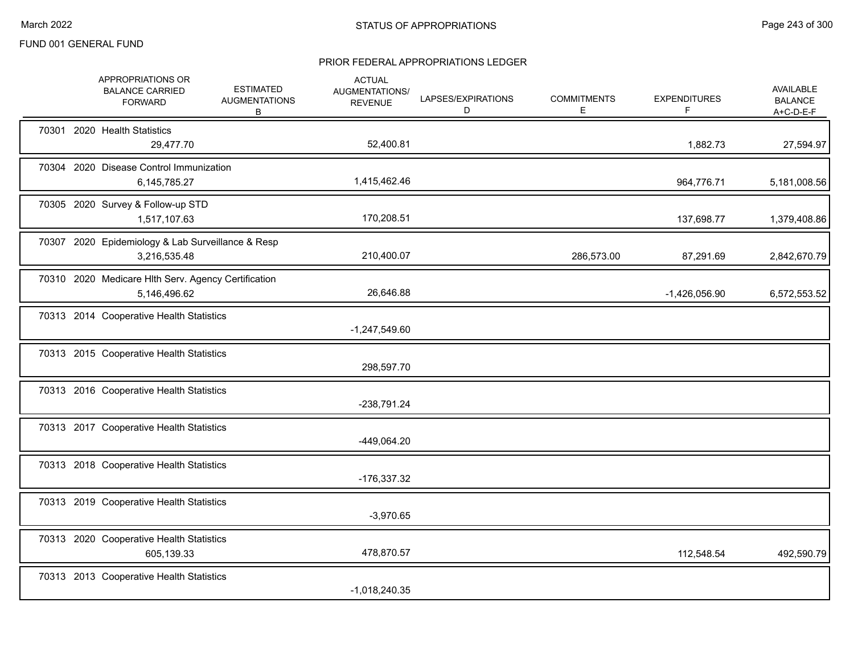|  | APPROPRIATIONS OR<br><b>BALANCE CARRIED</b><br><b>FORWARD</b>       | <b>ESTIMATED</b><br><b>AUGMENTATIONS</b><br>В | <b>ACTUAL</b><br>AUGMENTATIONS/<br><b>REVENUE</b> | LAPSES/EXPIRATIONS<br>D | <b>COMMITMENTS</b><br>E. | <b>EXPENDITURES</b><br>F | AVAILABLE<br><b>BALANCE</b><br>$A+C-D-E-F$ |
|--|---------------------------------------------------------------------|-----------------------------------------------|---------------------------------------------------|-------------------------|--------------------------|--------------------------|--------------------------------------------|
|  | 70301 2020 Health Statistics<br>29,477.70                           |                                               | 52,400.81                                         |                         |                          | 1,882.73                 | 27,594.97                                  |
|  | 70304 2020 Disease Control Immunization<br>6,145,785.27             |                                               | 1,415,462.46                                      |                         |                          | 964,776.71               | 5,181,008.56                               |
|  | 70305 2020 Survey & Follow-up STD<br>1,517,107.63                   |                                               | 170,208.51                                        |                         |                          | 137,698.77               | 1,379,408.86                               |
|  | 70307 2020 Epidemiology & Lab Surveillance & Resp<br>3,216,535.48   |                                               | 210,400.07                                        |                         | 286,573.00               | 87,291.69                | 2,842,670.79                               |
|  | 70310 2020 Medicare Hlth Serv. Agency Certification<br>5,146,496.62 |                                               | 26,646.88                                         |                         |                          | $-1,426,056.90$          | 6,572,553.52                               |
|  | 70313 2014 Cooperative Health Statistics                            |                                               | $-1,247,549.60$                                   |                         |                          |                          |                                            |
|  | 70313 2015 Cooperative Health Statistics                            |                                               | 298,597.70                                        |                         |                          |                          |                                            |
|  | 70313 2016 Cooperative Health Statistics                            |                                               | -238,791.24                                       |                         |                          |                          |                                            |
|  | 70313 2017 Cooperative Health Statistics                            |                                               | -449,064.20                                       |                         |                          |                          |                                            |
|  | 70313 2018 Cooperative Health Statistics                            |                                               | -176,337.32                                       |                         |                          |                          |                                            |
|  | 70313 2019 Cooperative Health Statistics                            |                                               | $-3,970.65$                                       |                         |                          |                          |                                            |
|  | 70313 2020 Cooperative Health Statistics<br>605,139.33              |                                               | 478,870.57                                        |                         |                          | 112,548.54               | 492,590.79                                 |
|  | 70313 2013 Cooperative Health Statistics                            |                                               | $-1,018,240.35$                                   |                         |                          |                          |                                            |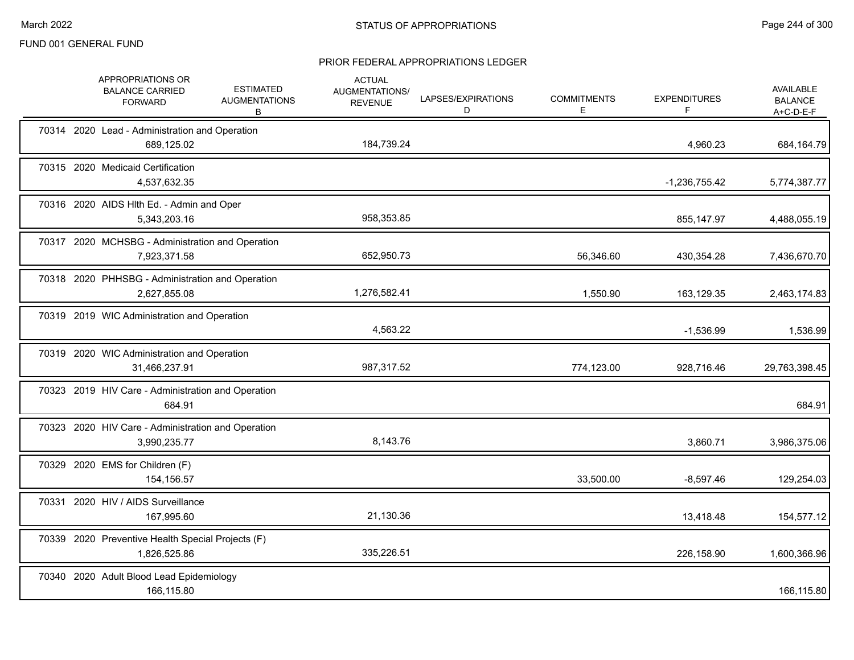|  | APPROPRIATIONS OR<br><b>BALANCE CARRIED</b><br><b>FORWARD</b>      | <b>ESTIMATED</b><br><b>AUGMENTATIONS</b><br>В | <b>ACTUAL</b><br>AUGMENTATIONS/<br><b>REVENUE</b> | LAPSES/EXPIRATIONS<br>D | <b>COMMITMENTS</b><br>E. | <b>EXPENDITURES</b><br>F | AVAILABLE<br><b>BALANCE</b><br>A+C-D-E-F |
|--|--------------------------------------------------------------------|-----------------------------------------------|---------------------------------------------------|-------------------------|--------------------------|--------------------------|------------------------------------------|
|  | 70314 2020 Lead - Administration and Operation<br>689,125.02       |                                               | 184,739.24                                        |                         |                          | 4,960.23                 | 684,164.79                               |
|  | 70315 2020 Medicaid Certification<br>4,537,632.35                  |                                               |                                                   |                         |                          | $-1,236,755.42$          | 5,774,387.77                             |
|  | 70316 2020 AIDS HIth Ed. - Admin and Oper<br>5,343,203.16          |                                               | 958,353.85                                        |                         |                          | 855,147.97               | 4,488,055.19                             |
|  | 70317 2020 MCHSBG - Administration and Operation<br>7,923,371.58   |                                               | 652,950.73                                        |                         | 56,346.60                | 430,354.28               | 7,436,670.70                             |
|  | 70318 2020 PHHSBG - Administration and Operation<br>2,627,855.08   |                                               | 1,276,582.41                                      |                         | 1,550.90                 | 163,129.35               | 2,463,174.83                             |
|  | 70319 2019 WIC Administration and Operation                        |                                               | 4,563.22                                          |                         |                          | $-1,536.99$              | 1,536.99                                 |
|  | 70319 2020 WIC Administration and Operation<br>31,466,237.91       |                                               | 987,317.52                                        |                         | 774,123.00               | 928,716.46               | 29,763,398.45                            |
|  | 70323 2019 HIV Care - Administration and Operation<br>684.91       |                                               |                                                   |                         |                          |                          | 684.91                                   |
|  | 70323 2020 HIV Care - Administration and Operation<br>3,990,235.77 |                                               | 8,143.76                                          |                         |                          | 3,860.71                 | 3,986,375.06                             |
|  | 70329 2020 EMS for Children (F)<br>154,156.57                      |                                               |                                                   |                         | 33,500.00                | $-8,597.46$              | 129,254.03                               |
|  | 70331 2020 HIV / AIDS Surveillance<br>167,995.60                   |                                               | 21,130.36                                         |                         |                          | 13,418.48                | 154,577.12                               |
|  | 70339 2020 Preventive Health Special Projects (F)<br>1,826,525.86  |                                               | 335,226.51                                        |                         |                          | 226,158.90               | 1,600,366.96                             |
|  | 70340 2020 Adult Blood Lead Epidemiology<br>166,115.80             |                                               |                                                   |                         |                          |                          | 166,115.80                               |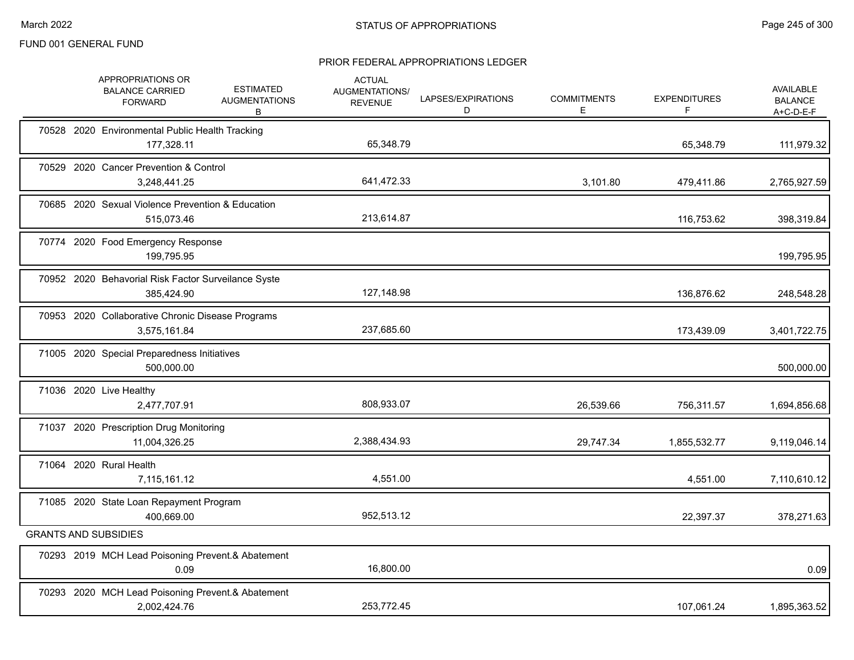|  | APPROPRIATIONS OR<br><b>BALANCE CARRIED</b><br><b>FORWARD</b>     | <b>ESTIMATED</b><br><b>AUGMENTATIONS</b><br>В | <b>ACTUAL</b><br>AUGMENTATIONS/<br><b>REVENUE</b> | LAPSES/EXPIRATIONS<br>D | <b>COMMITMENTS</b><br>E | <b>EXPENDITURES</b><br>F. | AVAILABLE<br><b>BALANCE</b><br>$A+C-D-E-F$ |
|--|-------------------------------------------------------------------|-----------------------------------------------|---------------------------------------------------|-------------------------|-------------------------|---------------------------|--------------------------------------------|
|  | 70528 2020 Environmental Public Health Tracking<br>177,328.11     |                                               | 65,348.79                                         |                         |                         | 65,348.79                 | 111,979.32                                 |
|  | 70529 2020 Cancer Prevention & Control<br>3,248,441.25            |                                               | 641,472.33                                        |                         | 3,101.80                | 479,411.86                | 2,765,927.59                               |
|  | 70685 2020 Sexual Violence Prevention & Education<br>515,073.46   |                                               | 213,614.87                                        |                         |                         | 116,753.62                | 398,319.84                                 |
|  | 70774 2020 Food Emergency Response<br>199,795.95                  |                                               |                                                   |                         |                         |                           | 199,795.95                                 |
|  | 70952 2020 Behavorial Risk Factor Surveilance Syste<br>385,424.90 |                                               | 127,148.98                                        |                         |                         | 136,876.62                | 248,548.28                                 |
|  | 70953 2020 Collaborative Chronic Disease Programs<br>3,575,161.84 |                                               | 237,685.60                                        |                         |                         | 173,439.09                | 3,401,722.75                               |
|  | 71005 2020 Special Preparedness Initiatives<br>500,000.00         |                                               |                                                   |                         |                         |                           | 500,000.00                                 |
|  | 71036 2020 Live Healthy<br>2,477,707.91                           |                                               | 808,933.07                                        |                         | 26,539.66               | 756,311.57                | 1,694,856.68                               |
|  | 71037 2020 Prescription Drug Monitoring<br>11,004,326.25          |                                               | 2,388,434.93                                      |                         | 29,747.34               | 1,855,532.77              | 9,119,046.14                               |
|  | 71064 2020 Rural Health<br>7,115,161.12                           |                                               | 4,551.00                                          |                         |                         | 4,551.00                  | 7,110,610.12                               |
|  | 71085 2020 State Loan Repayment Program<br>400,669.00             |                                               | 952,513.12                                        |                         |                         | 22,397.37                 | 378,271.63                                 |
|  | <b>GRANTS AND SUBSIDIES</b>                                       |                                               |                                                   |                         |                         |                           |                                            |
|  | 70293 2019 MCH Lead Poisoning Prevent.& Abatement<br>0.09         |                                               | 16,800.00                                         |                         |                         |                           | 0.09                                       |
|  | 70293 2020 MCH Lead Poisoning Prevent.& Abatement<br>2,002,424.76 |                                               | 253,772.45                                        |                         |                         | 107,061.24                | 1,895,363.52                               |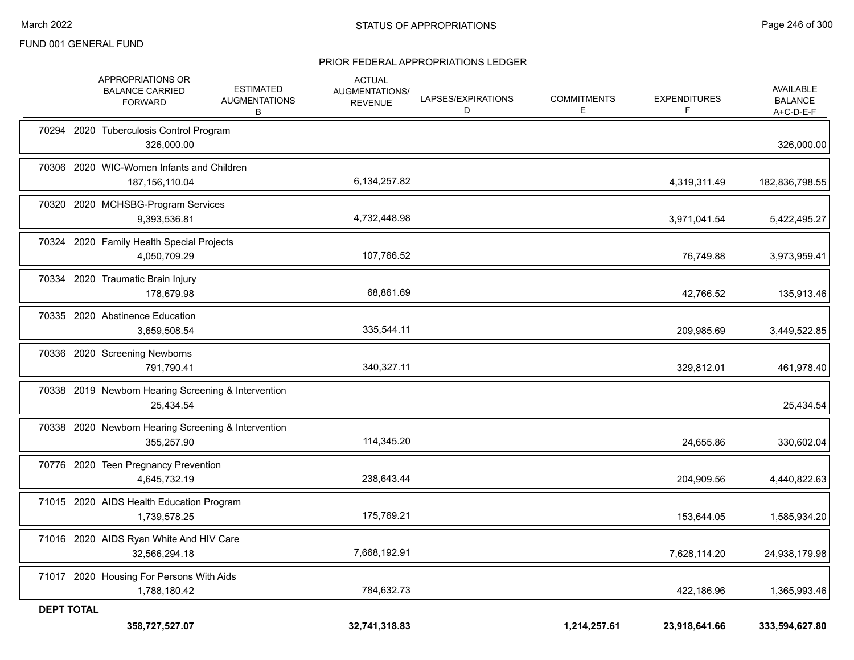|                   | APPROPRIATIONS OR<br><b>BALANCE CARRIED</b><br><b>FORWARD</b>     | <b>ESTIMATED</b><br><b>AUGMENTATIONS</b><br>В | <b>ACTUAL</b><br>AUGMENTATIONS/<br><b>REVENUE</b> | LAPSES/EXPIRATIONS<br>D | <b>COMMITMENTS</b><br>Е | <b>EXPENDITURES</b><br>F | AVAILABLE<br><b>BALANCE</b><br>A+C-D-E-F |
|-------------------|-------------------------------------------------------------------|-----------------------------------------------|---------------------------------------------------|-------------------------|-------------------------|--------------------------|------------------------------------------|
|                   | 70294 2020 Tuberculosis Control Program<br>326,000.00             |                                               |                                                   |                         |                         |                          | 326,000.00                               |
|                   | 70306 2020 WIC-Women Infants and Children<br>187, 156, 110.04     |                                               | 6,134,257.82                                      |                         |                         | 4,319,311.49             | 182,836,798.55                           |
|                   | 70320 2020 MCHSBG-Program Services<br>9,393,536.81                |                                               | 4,732,448.98                                      |                         |                         | 3,971,041.54             | 5,422,495.27                             |
|                   | 70324 2020 Family Health Special Projects<br>4,050,709.29         |                                               | 107,766.52                                        |                         |                         | 76,749.88                | 3,973,959.41                             |
|                   | 70334 2020 Traumatic Brain Injury<br>178,679.98                   |                                               | 68,861.69                                         |                         |                         | 42,766.52                | 135,913.46                               |
|                   | 70335 2020 Abstinence Education<br>3,659,508.54                   |                                               | 335,544.11                                        |                         |                         | 209,985.69               | 3,449,522.85                             |
|                   | 70336 2020 Screening Newborns<br>791,790.41                       |                                               | 340,327.11                                        |                         |                         | 329,812.01               | 461,978.40                               |
|                   | 70338 2019 Newborn Hearing Screening & Intervention<br>25,434.54  |                                               |                                                   |                         |                         |                          | 25,434.54                                |
|                   | 70338 2020 Newborn Hearing Screening & Intervention<br>355.257.90 |                                               | 114,345.20                                        |                         |                         | 24,655.86                | 330,602.04                               |
|                   | 70776 2020 Teen Pregnancy Prevention<br>4,645,732.19              |                                               | 238,643.44                                        |                         |                         | 204,909.56               | 4,440,822.63                             |
|                   | 71015 2020 AIDS Health Education Program<br>1,739,578.25          |                                               | 175,769.21                                        |                         |                         | 153,644.05               | 1,585,934.20                             |
|                   | 71016 2020 AIDS Ryan White And HIV Care<br>32,566,294.18          |                                               | 7,668,192.91                                      |                         |                         | 7,628,114.20             | 24,938,179.98                            |
|                   | 71017 2020 Housing For Persons With Aids<br>1,788,180.42          |                                               | 784,632.73                                        |                         |                         | 422,186.96               | 1,365,993.46                             |
| <b>DEPT TOTAL</b> | 358,727,527.07                                                    |                                               | 32,741,318.83                                     |                         | 1,214,257.61            | 23,918,641.66            | 333,594,627.80                           |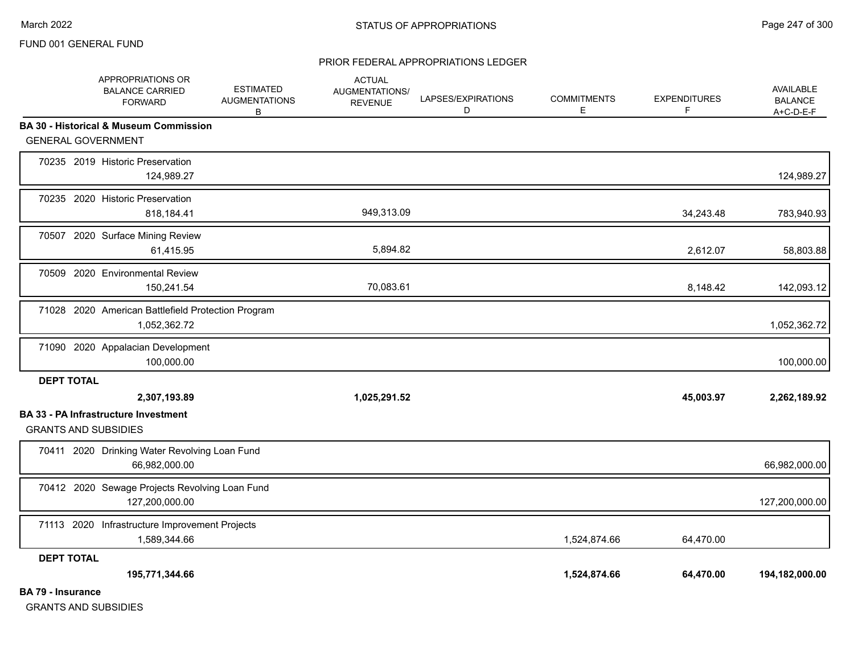#### PRIOR FEDERAL APPROPRIATIONS LEDGER

|                          | APPROPRIATIONS OR<br><b>BALANCE CARRIED</b><br><b>FORWARD</b>              |            | <b>ESTIMATED</b><br><b>AUGMENTATIONS</b><br>В | <b>ACTUAL</b><br><b>AUGMENTATIONS/</b><br><b>REVENUE</b> | LAPSES/EXPIRATIONS<br>D | <b>COMMITMENTS</b><br>E | <b>EXPENDITURES</b><br>F | AVAILABLE<br><b>BALANCE</b><br>$A+C-D-E-F$ |
|--------------------------|----------------------------------------------------------------------------|------------|-----------------------------------------------|----------------------------------------------------------|-------------------------|-------------------------|--------------------------|--------------------------------------------|
|                          | <b>BA 30 - Historical &amp; Museum Commission</b>                          |            |                                               |                                                          |                         |                         |                          |                                            |
|                          | <b>GENERAL GOVERNMENT</b>                                                  |            |                                               |                                                          |                         |                         |                          |                                            |
|                          | 70235 2019 Historic Preservation                                           | 124,989.27 |                                               |                                                          |                         |                         |                          | 124,989.27                                 |
|                          | 70235 2020 Historic Preservation                                           | 818,184.41 |                                               | 949,313.09                                               |                         |                         | 34,243.48                | 783,940.93                                 |
|                          | 70507 2020 Surface Mining Review                                           | 61,415.95  |                                               | 5,894.82                                                 |                         |                         | 2,612.07                 | 58,803.88                                  |
|                          | 70509 2020 Environmental Review                                            | 150,241.54 |                                               | 70,083.61                                                |                         |                         | 8,148.42                 | 142,093.12                                 |
|                          | 71028 2020 American Battlefield Protection Program<br>1,052,362.72         |            |                                               |                                                          |                         |                         |                          | 1,052,362.72                               |
|                          | 71090 2020 Appalacian Development                                          | 100,000.00 |                                               |                                                          |                         |                         |                          | 100,000.00                                 |
| <b>DEPT TOTAL</b>        |                                                                            |            |                                               |                                                          |                         |                         |                          |                                            |
|                          | 2,307,193.89                                                               |            |                                               | 1,025,291.52                                             |                         |                         | 45,003.97                | 2,262,189.92                               |
|                          | <b>BA 33 - PA Infrastructure Investment</b><br><b>GRANTS AND SUBSIDIES</b> |            |                                               |                                                          |                         |                         |                          |                                            |
|                          | 70411 2020 Drinking Water Revolving Loan Fund<br>66,982,000.00             |            |                                               |                                                          |                         |                         |                          | 66,982,000.00                              |
|                          | 70412 2020 Sewage Projects Revolving Loan Fund<br>127,200,000.00           |            |                                               |                                                          |                         |                         |                          | 127,200,000.00                             |
|                          | 71113 2020 Infrastructure Improvement Projects<br>1,589,344.66             |            |                                               |                                                          |                         | 1,524,874.66            | 64,470.00                |                                            |
| <b>DEPT TOTAL</b>        |                                                                            |            |                                               |                                                          |                         |                         |                          |                                            |
|                          | 195,771,344.66                                                             |            |                                               |                                                          |                         | 1,524,874.66            | 64,470.00                | 194,182,000.00                             |
| <b>BA 79 - Insurance</b> |                                                                            |            |                                               |                                                          |                         |                         |                          |                                            |

GRANTS AND SUBSIDIES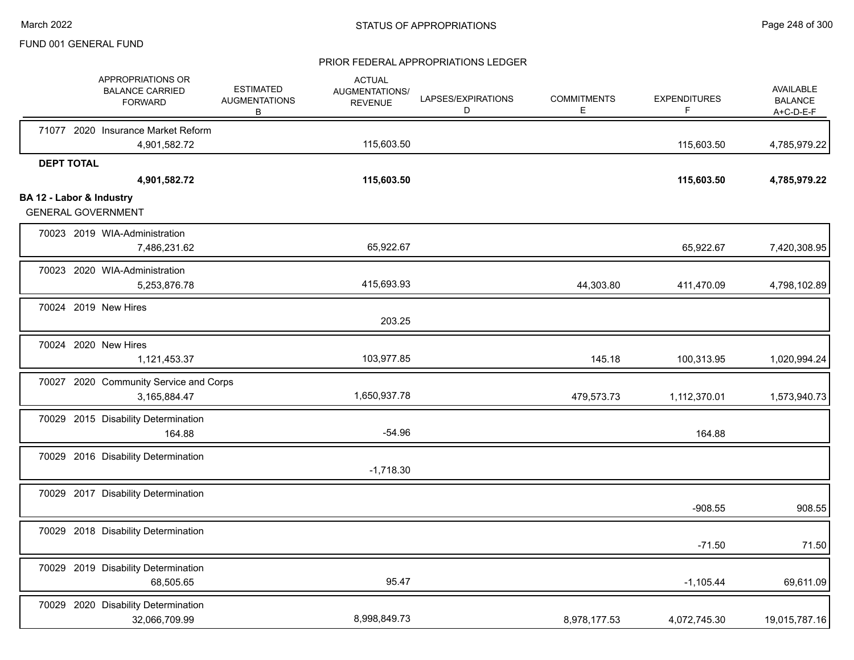|                          |                   | APPROPRIATIONS OR<br><b>BALANCE CARRIED</b><br><b>FORWARD</b> | <b>ESTIMATED</b><br><b>AUGMENTATIONS</b><br>В | <b>ACTUAL</b><br>AUGMENTATIONS/<br><b>REVENUE</b> | LAPSES/EXPIRATIONS<br>D | <b>COMMITMENTS</b><br>Е | <b>EXPENDITURES</b><br>F | AVAILABLE<br><b>BALANCE</b><br>$A+C-D-E-F$ |
|--------------------------|-------------------|---------------------------------------------------------------|-----------------------------------------------|---------------------------------------------------|-------------------------|-------------------------|--------------------------|--------------------------------------------|
|                          |                   | 71077 2020 Insurance Market Reform                            |                                               | 115,603.50                                        |                         |                         |                          |                                            |
|                          |                   | 4,901,582.72                                                  |                                               |                                                   |                         |                         | 115,603.50               | 4,785,979.22                               |
|                          | <b>DEPT TOTAL</b> | 4,901,582.72                                                  |                                               | 115,603.50                                        |                         |                         | 115,603.50               | 4,785,979.22                               |
| BA 12 - Labor & Industry |                   |                                                               |                                               |                                                   |                         |                         |                          |                                            |
|                          |                   | <b>GENERAL GOVERNMENT</b>                                     |                                               |                                                   |                         |                         |                          |                                            |
|                          |                   | 70023 2019 WIA-Administration                                 |                                               |                                                   |                         |                         |                          |                                            |
|                          |                   | 7,486,231.62                                                  |                                               | 65,922.67                                         |                         |                         | 65,922.67                | 7,420,308.95                               |
|                          |                   | 70023 2020 WIA-Administration                                 |                                               |                                                   |                         |                         |                          |                                            |
|                          |                   | 5,253,876.78                                                  |                                               | 415,693.93                                        |                         | 44,303.80               | 411,470.09               | 4,798,102.89                               |
|                          |                   | 70024 2019 New Hires                                          |                                               |                                                   |                         |                         |                          |                                            |
|                          |                   |                                                               |                                               | 203.25                                            |                         |                         |                          |                                            |
|                          |                   | 70024 2020 New Hires                                          |                                               |                                                   |                         |                         |                          |                                            |
|                          |                   | 1,121,453.37                                                  |                                               | 103,977.85                                        |                         | 145.18                  | 100,313.95               | 1,020,994.24                               |
|                          |                   | 70027 2020 Community Service and Corps                        |                                               |                                                   |                         |                         |                          |                                            |
|                          |                   | 3,165,884.47                                                  |                                               | 1,650,937.78                                      |                         | 479,573.73              | 1,112,370.01             | 1,573,940.73                               |
|                          |                   | 70029 2015 Disability Determination                           |                                               |                                                   |                         |                         |                          |                                            |
|                          |                   | 164.88                                                        |                                               | $-54.96$                                          |                         |                         | 164.88                   |                                            |
|                          |                   | 70029 2016 Disability Determination                           |                                               |                                                   |                         |                         |                          |                                            |
|                          |                   |                                                               |                                               | $-1,718.30$                                       |                         |                         |                          |                                            |
|                          |                   | 70029 2017 Disability Determination                           |                                               |                                                   |                         |                         |                          |                                            |
|                          |                   |                                                               |                                               |                                                   |                         |                         | $-908.55$                | 908.55                                     |
|                          |                   | 70029 2018 Disability Determination                           |                                               |                                                   |                         |                         |                          |                                            |
|                          |                   |                                                               |                                               |                                                   |                         |                         | $-71.50$                 | 71.50                                      |
|                          |                   | 70029 2019 Disability Determination                           |                                               |                                                   |                         |                         |                          |                                            |
|                          |                   | 68,505.65                                                     |                                               | 95.47                                             |                         |                         | $-1,105.44$              | 69,611.09                                  |
|                          |                   | 70029 2020 Disability Determination                           |                                               |                                                   |                         |                         |                          |                                            |
|                          |                   | 32,066,709.99                                                 |                                               | 8,998,849.73                                      |                         | 8,978,177.53            | 4,072,745.30             | 19,015,787.16                              |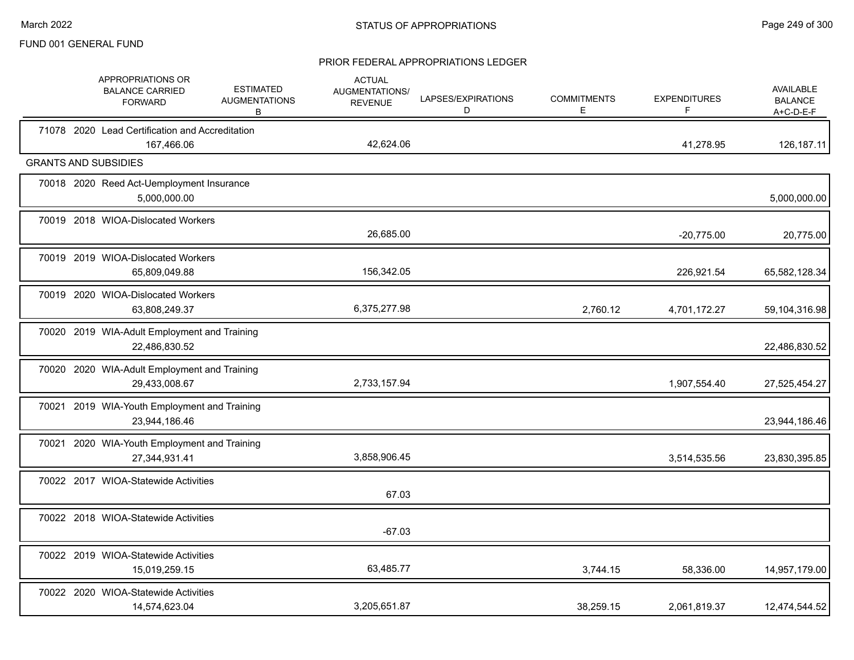|  | APPROPRIATIONS OR<br><b>BALANCE CARRIED</b><br><b>FORWARD</b> | <b>ESTIMATED</b><br><b>AUGMENTATIONS</b><br>В | <b>ACTUAL</b><br><b>AUGMENTATIONS/</b><br><b>REVENUE</b> | LAPSES/EXPIRATIONS<br>D | <b>COMMITMENTS</b><br>E. | <b>EXPENDITURES</b><br>F. | AVAILABLE<br><b>BALANCE</b><br>$A+C-D-E-F$ |
|--|---------------------------------------------------------------|-----------------------------------------------|----------------------------------------------------------|-------------------------|--------------------------|---------------------------|--------------------------------------------|
|  | 71078 2020 Lead Certification and Accreditation<br>167,466.06 |                                               | 42,624.06                                                |                         |                          | 41,278.95                 | 126,187.11                                 |
|  | <b>GRANTS AND SUBSIDIES</b>                                   |                                               |                                                          |                         |                          |                           |                                            |
|  | 70018 2020 Reed Act-Uemployment Insurance<br>5,000,000.00     |                                               |                                                          |                         |                          |                           | 5,000,000.00                               |
|  | 70019 2018 WIOA-Dislocated Workers                            |                                               | 26,685.00                                                |                         |                          | $-20,775.00$              | 20,775.00                                  |
|  | 70019 2019 WIOA-Dislocated Workers<br>65,809,049.88           |                                               | 156,342.05                                               |                         |                          | 226,921.54                | 65,582,128.34                              |
|  | 70019 2020 WIOA-Dislocated Workers<br>63,808,249.37           |                                               | 6,375,277.98                                             |                         | 2,760.12                 | 4,701,172.27              | 59,104,316.98                              |
|  | 70020 2019 WIA-Adult Employment and Training<br>22,486,830.52 |                                               |                                                          |                         |                          |                           | 22,486,830.52                              |
|  | 70020 2020 WIA-Adult Employment and Training<br>29,433,008.67 |                                               | 2,733,157.94                                             |                         |                          | 1,907,554.40              | 27,525,454.27                              |
|  | 70021 2019 WIA-Youth Employment and Training<br>23,944,186.46 |                                               |                                                          |                         |                          |                           | 23,944,186.46                              |
|  | 70021 2020 WIA-Youth Employment and Training<br>27,344,931.41 |                                               | 3,858,906.45                                             |                         |                          | 3,514,535.56              | 23,830,395.85                              |
|  | 70022 2017 WIOA-Statewide Activities                          |                                               | 67.03                                                    |                         |                          |                           |                                            |
|  | 70022 2018 WIOA-Statewide Activities                          |                                               | $-67.03$                                                 |                         |                          |                           |                                            |
|  | 70022 2019 WIOA-Statewide Activities<br>15,019,259.15         |                                               | 63,485.77                                                |                         | 3,744.15                 | 58,336.00                 | 14,957,179.00                              |
|  | 70022 2020 WIOA-Statewide Activities<br>14,574,623.04         |                                               | 3,205,651.87                                             |                         | 38,259.15                | 2,061,819.37              | 12,474,544.52                              |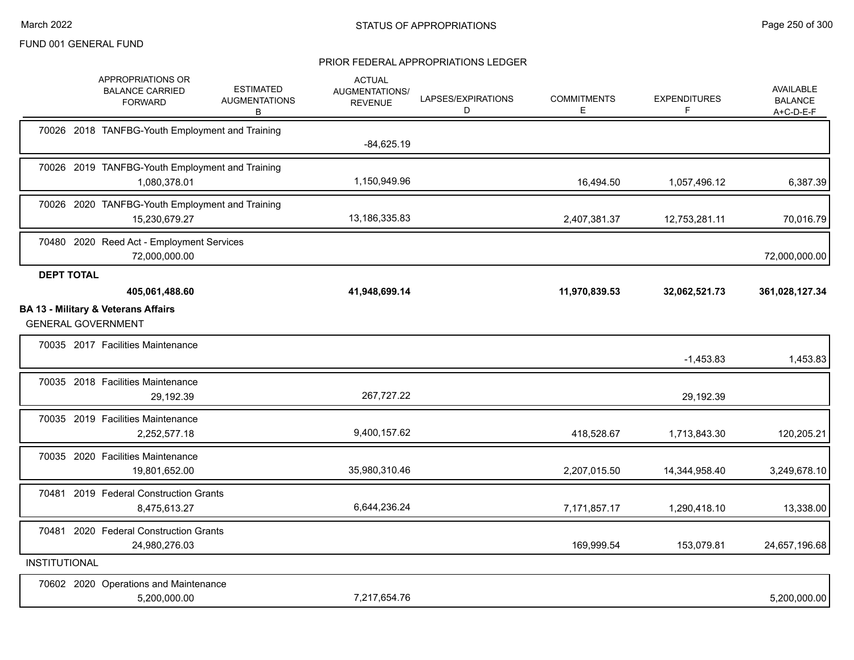|                      | APPROPRIATIONS OR<br><b>BALANCE CARRIED</b><br><b>FORWARD</b>                                 | <b>ESTIMATED</b><br><b>AUGMENTATIONS</b><br>В | <b>ACTUAL</b><br><b>AUGMENTATIONS/</b><br><b>REVENUE</b> | LAPSES/EXPIRATIONS<br>D | <b>COMMITMENTS</b><br>E | <b>EXPENDITURES</b><br>F | <b>AVAILABLE</b><br><b>BALANCE</b><br>$A+C-D-E-F$ |
|----------------------|-----------------------------------------------------------------------------------------------|-----------------------------------------------|----------------------------------------------------------|-------------------------|-------------------------|--------------------------|---------------------------------------------------|
|                      | 70026 2018 TANFBG-Youth Employment and Training                                               |                                               | $-84,625.19$                                             |                         |                         |                          |                                                   |
|                      | 70026 2019 TANFBG-Youth Employment and Training<br>1,080,378.01                               |                                               | 1,150,949.96                                             |                         | 16,494.50               | 1,057,496.12             | 6,387.39                                          |
|                      | 70026 2020 TANFBG-Youth Employment and Training<br>15,230,679.27                              |                                               | 13,186,335.83                                            |                         | 2,407,381.37            | 12,753,281.11            | 70,016.79                                         |
|                      | 70480 2020 Reed Act - Employment Services<br>72,000,000.00                                    |                                               |                                                          |                         |                         |                          | 72,000,000.00                                     |
| <b>DEPT TOTAL</b>    | 405,061,488.60<br><b>BA 13 - Military &amp; Veterans Affairs</b><br><b>GENERAL GOVERNMENT</b> |                                               | 41,948,699.14                                            |                         | 11,970,839.53           | 32,062,521.73            | 361,028,127.34                                    |
|                      | 70035 2017 Facilities Maintenance                                                             |                                               |                                                          |                         |                         | $-1,453.83$              | 1,453.83                                          |
|                      | 70035 2018 Facilities Maintenance<br>29,192.39                                                |                                               | 267,727.22                                               |                         |                         | 29,192.39                |                                                   |
|                      | 70035 2019 Facilities Maintenance<br>2,252,577.18                                             |                                               | 9,400,157.62                                             |                         | 418,528.67              | 1,713,843.30             | 120,205.21                                        |
|                      | 70035 2020 Facilities Maintenance<br>19,801,652.00                                            |                                               | 35,980,310.46                                            |                         | 2,207,015.50            | 14,344,958.40            | 3,249,678.10                                      |
|                      | 70481 2019 Federal Construction Grants<br>8,475,613.27                                        |                                               | 6,644,236.24                                             |                         | 7,171,857.17            | 1,290,418.10             | 13,338.00                                         |
|                      | 70481 2020 Federal Construction Grants<br>24,980,276.03                                       |                                               |                                                          |                         | 169,999.54              | 153,079.81               | 24,657,196.68                                     |
| <b>INSTITUTIONAL</b> |                                                                                               |                                               |                                                          |                         |                         |                          |                                                   |
|                      | 70602 2020 Operations and Maintenance<br>5,200,000.00                                         |                                               | 7,217,654.76                                             |                         |                         |                          | 5,200,000.00                                      |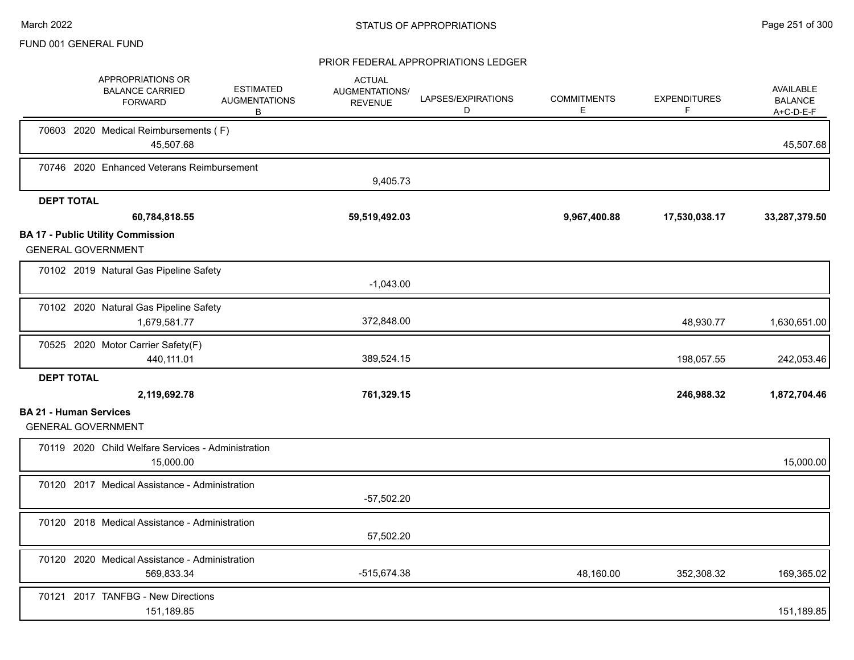|                               | APPROPRIATIONS OR<br><b>BALANCE CARRIED</b><br><b>FORWARD</b>         | <b>ESTIMATED</b><br><b>AUGMENTATIONS</b><br>В | <b>ACTUAL</b><br>AUGMENTATIONS/<br><b>REVENUE</b> | LAPSES/EXPIRATIONS<br>D | <b>COMMITMENTS</b><br>E. | <b>EXPENDITURES</b><br>F. | AVAILABLE<br><b>BALANCE</b><br>A+C-D-E-F |
|-------------------------------|-----------------------------------------------------------------------|-----------------------------------------------|---------------------------------------------------|-------------------------|--------------------------|---------------------------|------------------------------------------|
|                               | 70603 2020 Medical Reimbursements (F)<br>45,507.68                    |                                               |                                                   |                         |                          |                           | 45,507.68                                |
|                               | 70746 2020 Enhanced Veterans Reimbursement                            |                                               | 9,405.73                                          |                         |                          |                           |                                          |
| <b>DEPT TOTAL</b>             |                                                                       |                                               |                                                   |                         |                          |                           |                                          |
|                               | 60,784,818.55                                                         |                                               | 59,519,492.03                                     |                         | 9,967,400.88             | 17,530,038.17             | 33,287,379.50                            |
|                               | <b>BA 17 - Public Utility Commission</b><br><b>GENERAL GOVERNMENT</b> |                                               |                                                   |                         |                          |                           |                                          |
|                               | 70102 2019 Natural Gas Pipeline Safety                                |                                               | $-1,043.00$                                       |                         |                          |                           |                                          |
|                               | 70102 2020 Natural Gas Pipeline Safety<br>1,679,581.77                |                                               | 372,848.00                                        |                         |                          | 48,930.77                 | 1,630,651.00                             |
|                               | 70525 2020 Motor Carrier Safety(F)<br>440,111.01                      |                                               | 389,524.15                                        |                         |                          | 198,057.55                | 242,053.46                               |
| <b>DEPT TOTAL</b>             |                                                                       |                                               |                                                   |                         |                          |                           |                                          |
|                               | 2,119,692.78                                                          |                                               | 761,329.15                                        |                         |                          | 246,988.32                | 1,872,704.46                             |
| <b>BA 21 - Human Services</b> | <b>GENERAL GOVERNMENT</b>                                             |                                               |                                                   |                         |                          |                           |                                          |
|                               | 70119 2020 Child Welfare Services - Administration<br>15,000.00       |                                               |                                                   |                         |                          |                           | 15,000.00                                |
|                               | 70120 2017 Medical Assistance - Administration                        |                                               | $-57,502.20$                                      |                         |                          |                           |                                          |
|                               | 70120 2018 Medical Assistance - Administration                        |                                               | 57,502.20                                         |                         |                          |                           |                                          |
|                               | 70120 2020 Medical Assistance - Administration<br>569,833.34          |                                               | -515,674.38                                       |                         | 48,160.00                | 352,308.32                | 169,365.02                               |
|                               | 70121 2017 TANFBG - New Directions<br>151,189.85                      |                                               |                                                   |                         |                          |                           | 151,189.85                               |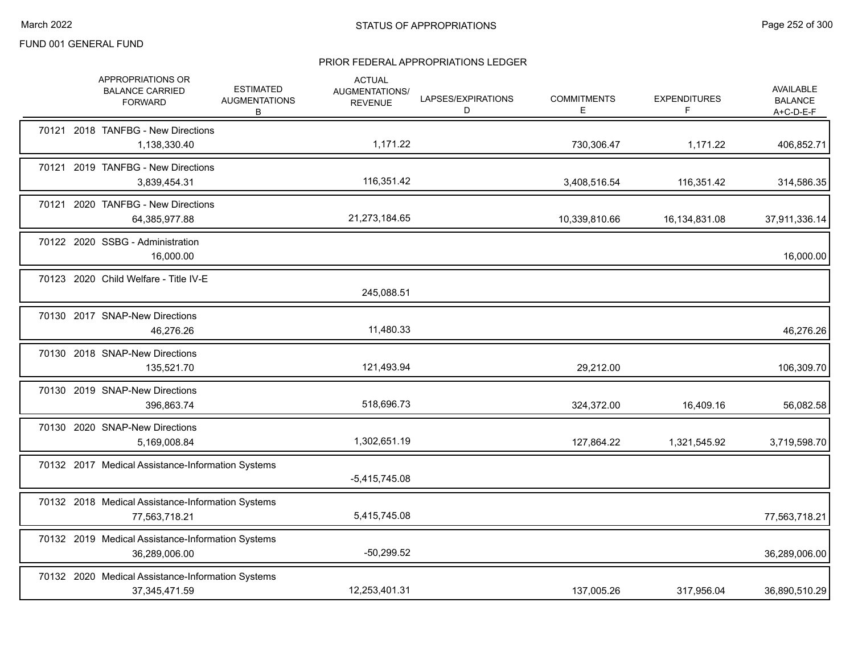|  | APPROPRIATIONS OR<br><b>BALANCE CARRIED</b><br><b>FORWARD</b>        | <b>ESTIMATED</b><br><b>AUGMENTATIONS</b><br>B | <b>ACTUAL</b><br>AUGMENTATIONS/<br><b>REVENUE</b> | LAPSES/EXPIRATIONS<br>D | <b>COMMITMENTS</b><br>Е | <b>EXPENDITURES</b><br>F. | AVAILABLE<br><b>BALANCE</b><br>A+C-D-E-F |
|--|----------------------------------------------------------------------|-----------------------------------------------|---------------------------------------------------|-------------------------|-------------------------|---------------------------|------------------------------------------|
|  | 70121 2018 TANFBG - New Directions<br>1,138,330.40                   |                                               | 1,171.22                                          |                         | 730,306.47              | 1,171.22                  | 406,852.71                               |
|  | 70121 2019 TANFBG - New Directions<br>3,839,454.31                   |                                               | 116,351.42                                        |                         | 3,408,516.54            | 116,351.42                | 314,586.35                               |
|  | 70121 2020 TANFBG - New Directions<br>64,385,977.88                  |                                               | 21,273,184.65                                     |                         | 10,339,810.66           | 16,134,831.08             | 37,911,336.14                            |
|  | 70122 2020 SSBG - Administration<br>16,000.00                        |                                               |                                                   |                         |                         |                           | 16,000.00                                |
|  | 70123 2020 Child Welfare - Title IV-E                                |                                               | 245,088.51                                        |                         |                         |                           |                                          |
|  | 70130 2017 SNAP-New Directions<br>46,276.26                          |                                               | 11,480.33                                         |                         |                         |                           | 46,276.26                                |
|  | 70130 2018 SNAP-New Directions<br>135,521.70                         |                                               | 121,493.94                                        |                         | 29,212.00               |                           | 106,309.70                               |
|  | 70130 2019 SNAP-New Directions<br>396,863.74                         |                                               | 518,696.73                                        |                         | 324,372.00              | 16,409.16                 | 56,082.58                                |
|  | 70130 2020 SNAP-New Directions<br>5,169,008.84                       |                                               | 1,302,651.19                                      |                         | 127,864.22              | 1,321,545.92              | 3,719,598.70                             |
|  | 70132 2017 Medical Assistance-Information Systems                    |                                               | $-5,415,745.08$                                   |                         |                         |                           |                                          |
|  | 70132 2018 Medical Assistance-Information Systems<br>77,563,718.21   |                                               | 5,415,745.08                                      |                         |                         |                           | 77,563,718.21                            |
|  | 70132 2019 Medical Assistance-Information Systems<br>36,289,006.00   |                                               | $-50,299.52$                                      |                         |                         |                           | 36,289,006.00                            |
|  | 70132 2020 Medical Assistance-Information Systems<br>37, 345, 471.59 |                                               | 12,253,401.31                                     |                         | 137,005.26              | 317,956.04                | 36,890,510.29                            |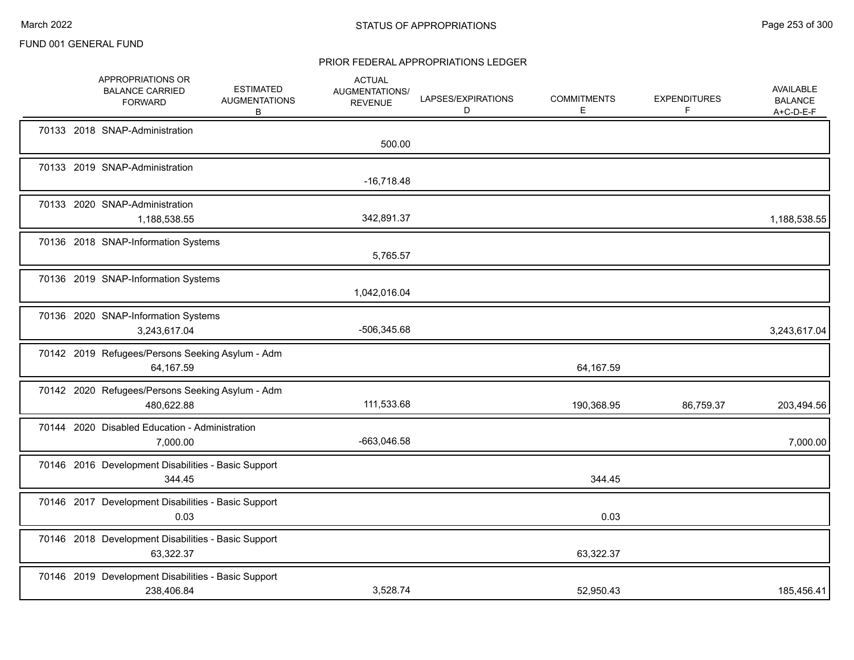|  | APPROPRIATIONS OR<br><b>BALANCE CARRIED</b><br><b>FORWARD</b>     | <b>ESTIMATED</b><br><b>AUGMENTATIONS</b><br>В | <b>ACTUAL</b><br><b>AUGMENTATIONS/</b><br><b>REVENUE</b> | LAPSES/EXPIRATIONS<br>D | <b>COMMITMENTS</b><br>Е | <b>EXPENDITURES</b><br>F | AVAILABLE<br><b>BALANCE</b><br>$A+C-D-E-F$ |
|--|-------------------------------------------------------------------|-----------------------------------------------|----------------------------------------------------------|-------------------------|-------------------------|--------------------------|--------------------------------------------|
|  | 70133 2018 SNAP-Administration                                    |                                               | 500.00                                                   |                         |                         |                          |                                            |
|  | 70133 2019 SNAP-Administration                                    |                                               | $-16,718.48$                                             |                         |                         |                          |                                            |
|  | 70133 2020 SNAP-Administration<br>1,188,538.55                    |                                               | 342,891.37                                               |                         |                         |                          | 1,188,538.55                               |
|  | 70136 2018 SNAP-Information Systems                               |                                               | 5,765.57                                                 |                         |                         |                          |                                            |
|  | 70136 2019 SNAP-Information Systems                               |                                               | 1,042,016.04                                             |                         |                         |                          |                                            |
|  | 70136 2020 SNAP-Information Systems<br>3,243,617.04               |                                               | -506,345.68                                              |                         |                         |                          | 3,243,617.04                               |
|  | 70142 2019 Refugees/Persons Seeking Asylum - Adm<br>64,167.59     |                                               |                                                          |                         | 64,167.59               |                          |                                            |
|  | 70142 2020 Refugees/Persons Seeking Asylum - Adm<br>480,622.88    |                                               | 111,533.68                                               |                         | 190,368.95              | 86,759.37                | 203,494.56                                 |
|  | 70144 2020 Disabled Education - Administration<br>7,000.00        |                                               | -663,046.58                                              |                         |                         |                          | 7,000.00                                   |
|  | 70146 2016 Development Disabilities - Basic Support<br>344.45     |                                               |                                                          |                         | 344.45                  |                          |                                            |
|  | 70146 2017 Development Disabilities - Basic Support<br>0.03       |                                               |                                                          |                         | 0.03                    |                          |                                            |
|  | 70146 2018 Development Disabilities - Basic Support<br>63,322.37  |                                               |                                                          |                         | 63,322.37               |                          |                                            |
|  | 70146 2019 Development Disabilities - Basic Support<br>238,406.84 |                                               | 3,528.74                                                 |                         | 52,950.43               |                          | 185,456.41                                 |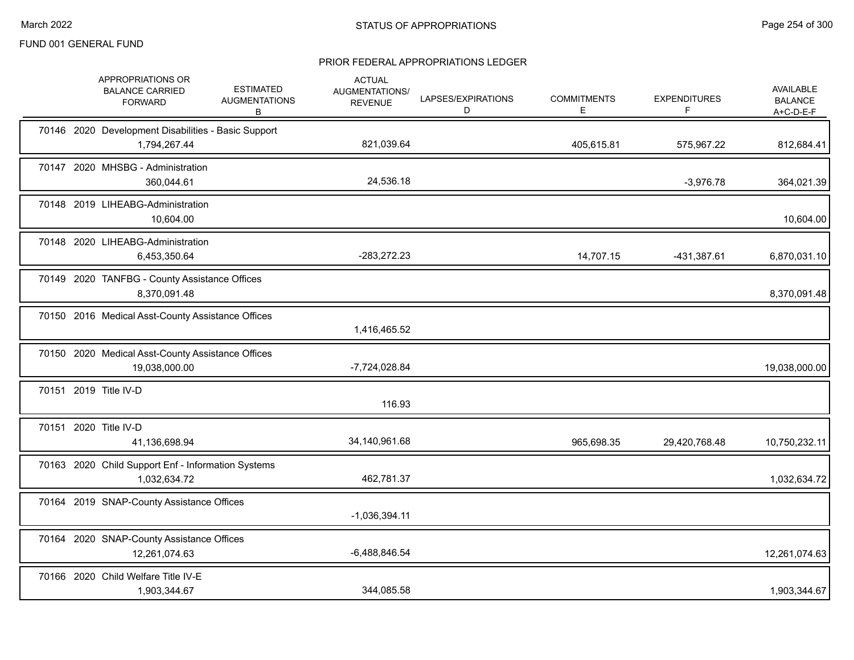|  | APPROPRIATIONS OR<br><b>BALANCE CARRIED</b><br><b>FORWARD</b>       | <b>ESTIMATED</b><br><b>AUGMENTATIONS</b><br>В | <b>ACTUAL</b><br>AUGMENTATIONS/<br><b>REVENUE</b> | LAPSES/EXPIRATIONS<br>D | <b>COMMITMENTS</b><br>E | <b>EXPENDITURES</b><br>F. | AVAILABLE<br><b>BALANCE</b><br>$A+C-D-E-F$ |
|--|---------------------------------------------------------------------|-----------------------------------------------|---------------------------------------------------|-------------------------|-------------------------|---------------------------|--------------------------------------------|
|  | 70146 2020 Development Disabilities - Basic Support<br>1,794,267.44 |                                               | 821,039.64                                        |                         | 405,615.81              | 575,967.22                | 812,684.41                                 |
|  | 70147 2020 MHSBG - Administration<br>360,044.61                     |                                               | 24,536.18                                         |                         |                         | $-3,976.78$               | 364,021.39                                 |
|  | 70148 2019 LIHEABG-Administration<br>10,604.00                      |                                               |                                                   |                         |                         |                           | 10,604.00                                  |
|  | 70148 2020 LIHEABG-Administration<br>6,453,350.64                   |                                               | -283,272.23                                       |                         | 14,707.15               | -431,387.61               | 6,870,031.10                               |
|  | 70149 2020 TANFBG - County Assistance Offices<br>8,370,091.48       |                                               |                                                   |                         |                         |                           | 8,370,091.48                               |
|  | 70150 2016 Medical Asst-County Assistance Offices                   |                                               | 1,416,465.52                                      |                         |                         |                           |                                            |
|  | 70150 2020 Medical Asst-County Assistance Offices<br>19,038,000.00  |                                               | -7,724,028.84                                     |                         |                         |                           | 19,038,000.00                              |
|  | 70151 2019 Title IV-D                                               |                                               | 116.93                                            |                         |                         |                           |                                            |
|  | 70151 2020 Title IV-D<br>41,136,698.94                              |                                               | 34,140,961.68                                     |                         | 965,698.35              | 29,420,768.48             | 10,750,232.11                              |
|  | 70163 2020 Child Support Enf - Information Systems<br>1,032,634.72  |                                               | 462,781.37                                        |                         |                         |                           | 1,032,634.72                               |
|  | 70164 2019 SNAP-County Assistance Offices                           |                                               | $-1,036,394.11$                                   |                         |                         |                           |                                            |
|  | 70164 2020 SNAP-County Assistance Offices<br>12,261,074.63          |                                               | $-6,488,846.54$                                   |                         |                         |                           | 12,261,074.63                              |
|  | 70166 2020 Child Welfare Title IV-E<br>1,903,344.67                 |                                               | 344,085.58                                        |                         |                         |                           | 1,903,344.67                               |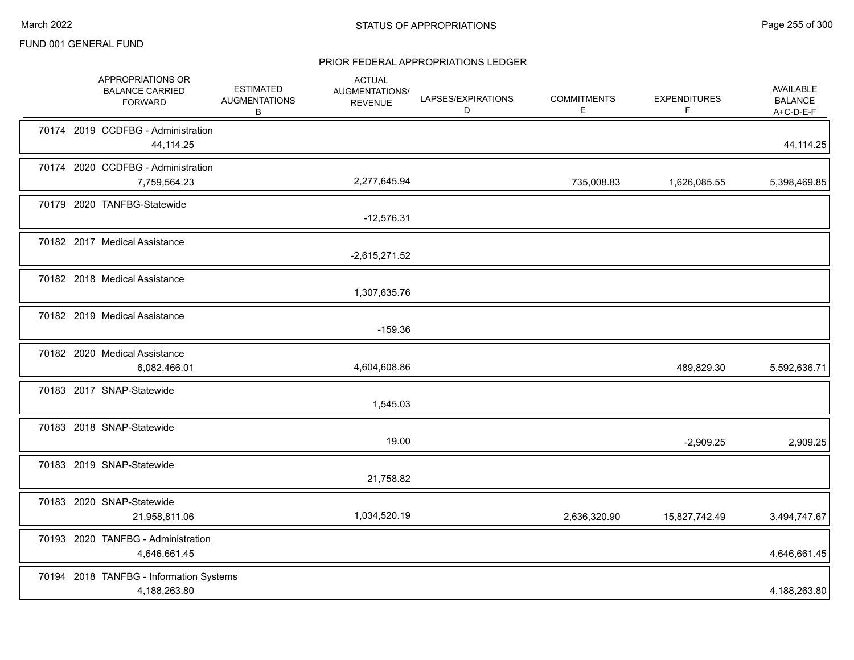|  | APPROPRIATIONS OR<br><b>BALANCE CARRIED</b><br><b>FORWARD</b> | <b>ESTIMATED</b><br><b>AUGMENTATIONS</b><br>B | <b>ACTUAL</b><br>AUGMENTATIONS/<br><b>REVENUE</b> | LAPSES/EXPIRATIONS<br>D | <b>COMMITMENTS</b><br>E. | <b>EXPENDITURES</b><br>F | AVAILABLE<br><b>BALANCE</b><br>$A+C-D-E-F$ |
|--|---------------------------------------------------------------|-----------------------------------------------|---------------------------------------------------|-------------------------|--------------------------|--------------------------|--------------------------------------------|
|  | 70174 2019 CCDFBG - Administration<br>44,114.25               |                                               |                                                   |                         |                          |                          | 44, 114. 25                                |
|  | 70174 2020 CCDFBG - Administration<br>7,759,564.23            |                                               | 2,277,645.94                                      |                         | 735,008.83               | 1,626,085.55             | 5,398,469.85                               |
|  | 70179 2020 TANFBG-Statewide                                   |                                               | $-12,576.31$                                      |                         |                          |                          |                                            |
|  | 70182 2017 Medical Assistance                                 |                                               | $-2,615,271.52$                                   |                         |                          |                          |                                            |
|  | 70182 2018 Medical Assistance                                 |                                               | 1,307,635.76                                      |                         |                          |                          |                                            |
|  | 70182 2019 Medical Assistance                                 |                                               | $-159.36$                                         |                         |                          |                          |                                            |
|  | 70182 2020 Medical Assistance<br>6,082,466.01                 |                                               | 4,604,608.86                                      |                         |                          | 489,829.30               | 5,592,636.71                               |
|  | 70183 2017 SNAP-Statewide                                     |                                               | 1,545.03                                          |                         |                          |                          |                                            |
|  | 70183 2018 SNAP-Statewide                                     |                                               | 19.00                                             |                         |                          | $-2,909.25$              | 2,909.25                                   |
|  | 70183 2019 SNAP-Statewide                                     |                                               | 21,758.82                                         |                         |                          |                          |                                            |
|  | 70183 2020 SNAP-Statewide<br>21,958,811.06                    |                                               | 1,034,520.19                                      |                         | 2,636,320.90             | 15,827,742.49            | 3,494,747.67                               |
|  | 70193 2020 TANFBG - Administration<br>4,646,661.45            |                                               |                                                   |                         |                          |                          | 4,646,661.45                               |
|  | 70194 2018 TANFBG - Information Systems<br>4,188,263.80       |                                               |                                                   |                         |                          |                          | 4,188,263.80                               |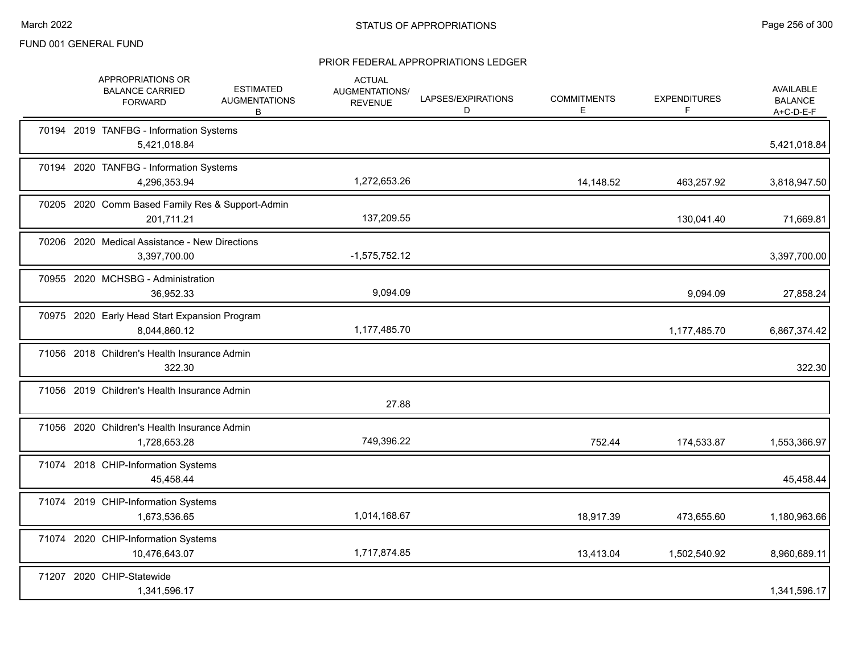|  | APPROPRIATIONS OR<br><b>BALANCE CARRIED</b><br><b>FORWARD</b>  | <b>ESTIMATED</b><br><b>AUGMENTATIONS</b><br>B | <b>ACTUAL</b><br>AUGMENTATIONS/<br><b>REVENUE</b> | LAPSES/EXPIRATIONS<br>D | <b>COMMITMENTS</b><br>Е | <b>EXPENDITURES</b><br>F. | AVAILABLE<br><b>BALANCE</b><br>A+C-D-E-F |
|--|----------------------------------------------------------------|-----------------------------------------------|---------------------------------------------------|-------------------------|-------------------------|---------------------------|------------------------------------------|
|  | 70194 2019 TANFBG - Information Systems<br>5,421,018.84        |                                               |                                                   |                         |                         |                           | 5,421,018.84                             |
|  | 70194 2020 TANFBG - Information Systems<br>4,296,353.94        |                                               | 1,272,653.26                                      |                         | 14,148.52               | 463,257.92                | 3,818,947.50                             |
|  | 70205 2020 Comm Based Family Res & Support-Admin<br>201,711.21 |                                               | 137,209.55                                        |                         |                         | 130,041.40                | 71,669.81                                |
|  | 70206 2020 Medical Assistance - New Directions<br>3,397,700.00 |                                               | $-1,575,752.12$                                   |                         |                         |                           | 3,397,700.00                             |
|  | 70955 2020 MCHSBG - Administration<br>36,952.33                |                                               | 9,094.09                                          |                         |                         | 9,094.09                  | 27,858.24                                |
|  | 70975 2020 Early Head Start Expansion Program<br>8,044,860.12  |                                               | 1,177,485.70                                      |                         |                         | 1,177,485.70              | 6,867,374.42                             |
|  | 71056 2018 Children's Health Insurance Admin<br>322.30         |                                               |                                                   |                         |                         |                           | 322.30                                   |
|  | 71056 2019 Children's Health Insurance Admin                   |                                               | 27.88                                             |                         |                         |                           |                                          |
|  | 71056 2020 Children's Health Insurance Admin<br>1,728,653.28   |                                               | 749,396.22                                        |                         | 752.44                  | 174,533.87                | 1,553,366.97                             |
|  | 71074 2018 CHIP-Information Systems<br>45,458.44               |                                               |                                                   |                         |                         |                           | 45,458.44                                |
|  | 71074 2019 CHIP-Information Systems<br>1,673,536.65            |                                               | 1,014,168.67                                      |                         | 18,917.39               | 473,655.60                | 1,180,963.66                             |
|  | 71074 2020 CHIP-Information Systems<br>10,476,643.07           |                                               | 1,717,874.85                                      |                         | 13,413.04               | 1,502,540.92              | 8,960,689.11                             |
|  | 71207 2020 CHIP-Statewide<br>1,341,596.17                      |                                               |                                                   |                         |                         |                           | 1,341,596.17                             |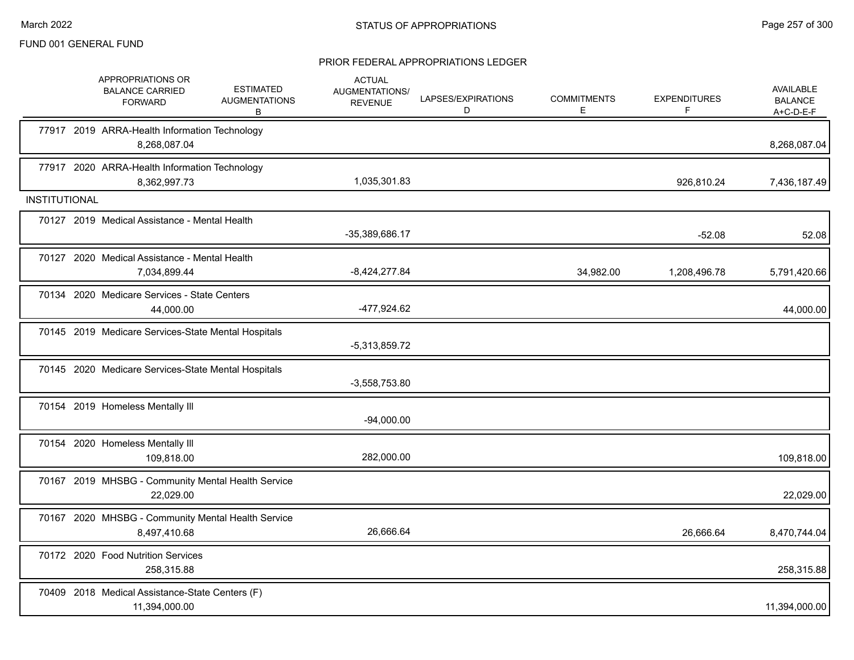|                      | APPROPRIATIONS OR<br><b>BALANCE CARRIED</b><br><b>FORWARD</b>      | <b>ESTIMATED</b><br><b>AUGMENTATIONS</b><br>В | <b>ACTUAL</b><br><b>AUGMENTATIONS/</b><br><b>REVENUE</b> | LAPSES/EXPIRATIONS<br>D | <b>COMMITMENTS</b><br>Е. | <b>EXPENDITURES</b><br>F | AVAILABLE<br><b>BALANCE</b><br>$A+C-D-E-F$ |
|----------------------|--------------------------------------------------------------------|-----------------------------------------------|----------------------------------------------------------|-------------------------|--------------------------|--------------------------|--------------------------------------------|
|                      | 77917 2019 ARRA-Health Information Technology<br>8,268,087.04      |                                               |                                                          |                         |                          |                          | 8,268,087.04                               |
|                      | 77917 2020 ARRA-Health Information Technology<br>8,362,997.73      |                                               | 1,035,301.83                                             |                         |                          | 926,810.24               | 7,436,187.49                               |
| <b>INSTITUTIONAL</b> |                                                                    |                                               |                                                          |                         |                          |                          |                                            |
|                      | 70127 2019 Medical Assistance - Mental Health                      |                                               | -35,389,686.17                                           |                         |                          | $-52.08$                 | 52.08                                      |
|                      | 70127 2020 Medical Assistance - Mental Health<br>7,034,899.44      |                                               | $-8,424,277.84$                                          |                         | 34,982.00                | 1,208,496.78             | 5,791,420.66                               |
|                      | 70134 2020 Medicare Services - State Centers<br>44,000.00          |                                               | -477,924.62                                              |                         |                          |                          | 44,000.00                                  |
|                      | 70145 2019 Medicare Services-State Mental Hospitals                |                                               | $-5,313,859.72$                                          |                         |                          |                          |                                            |
|                      | 70145 2020 Medicare Services-State Mental Hospitals                |                                               | $-3,558,753.80$                                          |                         |                          |                          |                                            |
|                      | 70154 2019 Homeless Mentally III                                   |                                               | $-94,000.00$                                             |                         |                          |                          |                                            |
|                      | 70154 2020 Homeless Mentally III<br>109,818.00                     |                                               | 282,000.00                                               |                         |                          |                          | 109,818.00                                 |
|                      | 70167 2019 MHSBG - Community Mental Health Service<br>22,029.00    |                                               |                                                          |                         |                          |                          | 22,029.00                                  |
|                      | 70167 2020 MHSBG - Community Mental Health Service<br>8,497,410.68 |                                               | 26,666.64                                                |                         |                          | 26,666.64                | 8,470,744.04                               |
|                      | 70172 2020 Food Nutrition Services<br>258,315.88                   |                                               |                                                          |                         |                          |                          | 258,315.88                                 |
|                      | 70409 2018 Medical Assistance-State Centers (F)<br>11,394,000.00   |                                               |                                                          |                         |                          |                          | 11,394,000.00                              |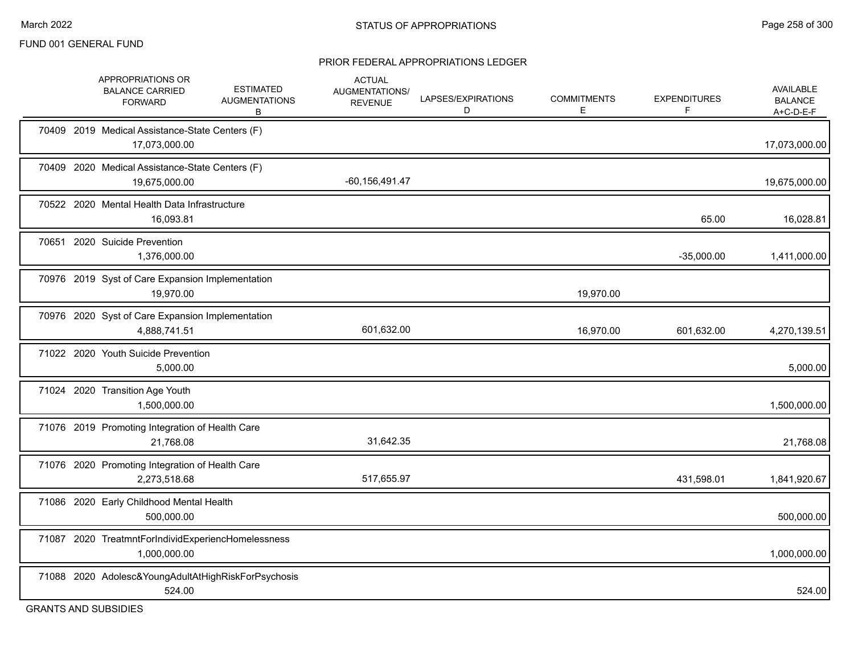#### PRIOR FEDERAL APPROPRIATIONS LEDGER

|       | APPROPRIATIONS OR<br><b>BALANCE CARRIED</b><br><b>FORWARD</b>      | <b>ESTIMATED</b><br><b>AUGMENTATIONS</b><br>B | <b>ACTUAL</b><br>AUGMENTATIONS/<br><b>REVENUE</b> | LAPSES/EXPIRATIONS<br>D | <b>COMMITMENTS</b><br>E | <b>EXPENDITURES</b><br>F. | AVAILABLE<br><b>BALANCE</b><br>$A+C-D-E-F$ |
|-------|--------------------------------------------------------------------|-----------------------------------------------|---------------------------------------------------|-------------------------|-------------------------|---------------------------|--------------------------------------------|
|       | 70409 2019 Medical Assistance-State Centers (F)<br>17,073,000.00   |                                               |                                                   |                         |                         |                           | 17,073,000.00                              |
|       | 70409 2020 Medical Assistance-State Centers (F)<br>19,675,000.00   |                                               | $-60, 156, 491.47$                                |                         |                         |                           | 19,675,000.00                              |
|       | 70522 2020 Mental Health Data Infrastructure<br>16,093.81          |                                               |                                                   |                         |                         | 65.00                     | 16,028.81                                  |
| 70651 | 2020 Suicide Prevention<br>1,376,000.00                            |                                               |                                                   |                         |                         | $-35,000.00$              | 1,411,000.00                               |
|       | 70976 2019 Syst of Care Expansion Implementation<br>19,970.00      |                                               |                                                   |                         | 19,970.00               |                           |                                            |
|       | 70976 2020 Syst of Care Expansion Implementation<br>4,888,741.51   |                                               | 601,632.00                                        |                         | 16,970.00               | 601,632.00                | 4,270,139.51                               |
|       | 71022 2020 Youth Suicide Prevention<br>5,000.00                    |                                               |                                                   |                         |                         |                           | 5,000.00                                   |
|       | 71024 2020 Transition Age Youth<br>1,500,000.00                    |                                               |                                                   |                         |                         |                           | 1,500,000.00                               |
|       | 71076 2019 Promoting Integration of Health Care<br>21,768.08       |                                               | 31,642.35                                         |                         |                         |                           | 21,768.08                                  |
|       | 71076 2020 Promoting Integration of Health Care<br>2,273,518.68    |                                               | 517,655.97                                        |                         |                         | 431,598.01                | 1,841,920.67                               |
|       | 71086 2020 Early Childhood Mental Health<br>500,000.00             |                                               |                                                   |                         |                         |                           | 500,000.00                                 |
|       | 71087 2020 TreatmntForIndividExperiencHomelessness<br>1,000,000.00 |                                               |                                                   |                         |                         |                           | 1,000,000.00                               |
|       | 71088 2020 Adolesc&YoungAdultAtHighRiskForPsychosis<br>524.00      |                                               |                                                   |                         |                         |                           | 524.00                                     |

GRANTS AND SUBSIDIES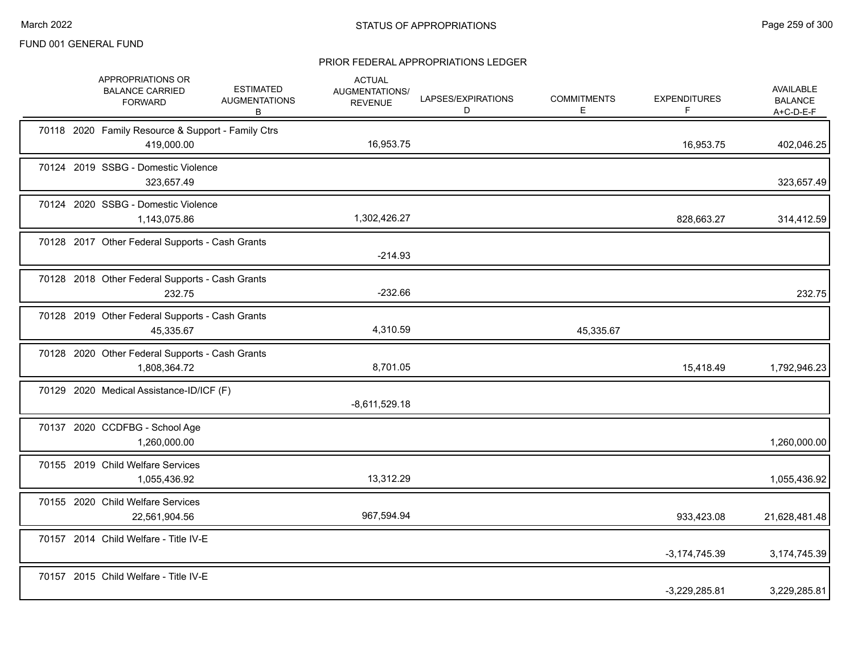| APPROPRIATIONS OR<br><b>BALANCE CARRIED</b><br><b>FORWARD</b>    | <b>ESTIMATED</b><br><b>AUGMENTATIONS</b><br>В | <b>ACTUAL</b><br>AUGMENTATIONS/<br><b>REVENUE</b> | LAPSES/EXPIRATIONS<br>D | <b>COMMITMENTS</b><br>E | <b>EXPENDITURES</b><br>F. | AVAILABLE<br><b>BALANCE</b><br>$A+C-D-E-F$ |
|------------------------------------------------------------------|-----------------------------------------------|---------------------------------------------------|-------------------------|-------------------------|---------------------------|--------------------------------------------|
| 70118 2020 Family Resource & Support - Family Ctrs<br>419,000.00 |                                               | 16,953.75                                         |                         |                         | 16,953.75                 | 402,046.25                                 |
| 70124 2019 SSBG - Domestic Violence<br>323,657.49                |                                               |                                                   |                         |                         |                           | 323,657.49                                 |
| 70124 2020 SSBG - Domestic Violence<br>1,143,075.86              |                                               | 1,302,426.27                                      |                         |                         | 828,663.27                | 314,412.59                                 |
| 70128 2017 Other Federal Supports - Cash Grants                  |                                               | $-214.93$                                         |                         |                         |                           |                                            |
| 70128 2018 Other Federal Supports - Cash Grants<br>232.75        |                                               | $-232.66$                                         |                         |                         |                           | 232.75                                     |
| 70128 2019 Other Federal Supports - Cash Grants<br>45,335.67     |                                               | 4,310.59                                          |                         | 45,335.67               |                           |                                            |
| 70128 2020 Other Federal Supports - Cash Grants<br>1,808,364.72  |                                               | 8,701.05                                          |                         |                         | 15,418.49                 | 1,792,946.23                               |
| 70129 2020 Medical Assistance-ID/ICF (F)                         |                                               | $-8,611,529.18$                                   |                         |                         |                           |                                            |
| 70137 2020 CCDFBG - School Age<br>1,260,000.00                   |                                               |                                                   |                         |                         |                           | 1,260,000.00                               |
| 70155 2019 Child Welfare Services<br>1,055,436.92                |                                               | 13,312.29                                         |                         |                         |                           | 1,055,436.92                               |
| 70155 2020 Child Welfare Services<br>22,561,904.56               |                                               | 967,594.94                                        |                         |                         | 933,423.08                | 21,628,481.48                              |
| 70157 2014 Child Welfare - Title IV-E                            |                                               |                                                   |                         |                         | $-3,174,745.39$           | 3,174,745.39                               |
| 70157 2015 Child Welfare - Title IV-E                            |                                               |                                                   |                         |                         | $-3,229,285.81$           | 3,229,285.81                               |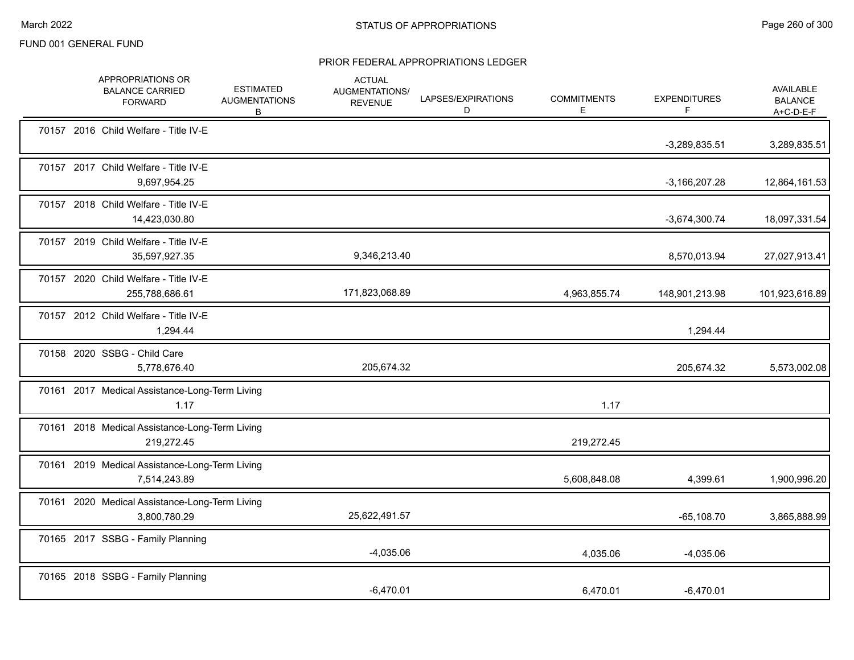|                              | APPROPRIATIONS OR<br><b>BALANCE CARRIED</b><br><b>FORWARD</b>  | <b>ESTIMATED</b><br><b>AUGMENTATIONS</b><br>В | <b>ACTUAL</b><br>AUGMENTATIONS/<br><b>REVENUE</b> | LAPSES/EXPIRATIONS<br>D | <b>COMMITMENTS</b><br>Е. | <b>EXPENDITURES</b><br>F | AVAILABLE<br><b>BALANCE</b><br>$A+C-D-E-F$ |
|------------------------------|----------------------------------------------------------------|-----------------------------------------------|---------------------------------------------------|-------------------------|--------------------------|--------------------------|--------------------------------------------|
|                              | 70157 2016 Child Welfare - Title IV-E                          |                                               |                                                   |                         |                          | $-3,289,835.51$          | 3,289,835.51                               |
|                              | 70157 2017 Child Welfare - Title IV-E<br>9,697,954.25          |                                               |                                                   |                         |                          | $-3,166,207.28$          | 12,864,161.53                              |
|                              | 70157 2018 Child Welfare - Title IV-E<br>14,423,030.80         |                                               |                                                   |                         |                          | $-3,674,300.74$          | 18,097,331.54                              |
|                              | 70157 2019 Child Welfare - Title IV-E<br>35,597,927.35         |                                               | 9,346,213.40                                      |                         |                          | 8,570,013.94             | 27,027,913.41                              |
|                              | 70157 2020 Child Welfare - Title IV-E<br>255,788,686.61        |                                               | 171,823,068.89                                    |                         | 4,963,855.74             | 148,901,213.98           | 101,923,616.89                             |
|                              | 70157 2012 Child Welfare - Title IV-E<br>1,294.44              |                                               |                                                   |                         |                          | 1,294.44                 |                                            |
| 70158 2020 SSBG - Child Care | 5,778,676.40                                                   |                                               | 205,674.32                                        |                         |                          | 205,674.32               | 5,573,002.08                               |
|                              | 70161 2017 Medical Assistance-Long-Term Living<br>1.17         |                                               |                                                   |                         | 1.17                     |                          |                                            |
|                              | 70161 2018 Medical Assistance-Long-Term Living<br>219,272.45   |                                               |                                                   |                         | 219,272.45               |                          |                                            |
|                              | 70161 2019 Medical Assistance-Long-Term Living<br>7,514,243.89 |                                               |                                                   |                         | 5,608,848.08             | 4,399.61                 | 1,900,996.20                               |
|                              | 70161 2020 Medical Assistance-Long-Term Living<br>3,800,780.29 |                                               | 25,622,491.57                                     |                         |                          | $-65,108.70$             | 3,865,888.99                               |
|                              | 70165 2017 SSBG - Family Planning                              |                                               | $-4,035.06$                                       |                         | 4,035.06                 | $-4,035.06$              |                                            |
|                              | 70165 2018 SSBG - Family Planning                              |                                               | $-6,470.01$                                       |                         | 6,470.01                 | $-6,470.01$              |                                            |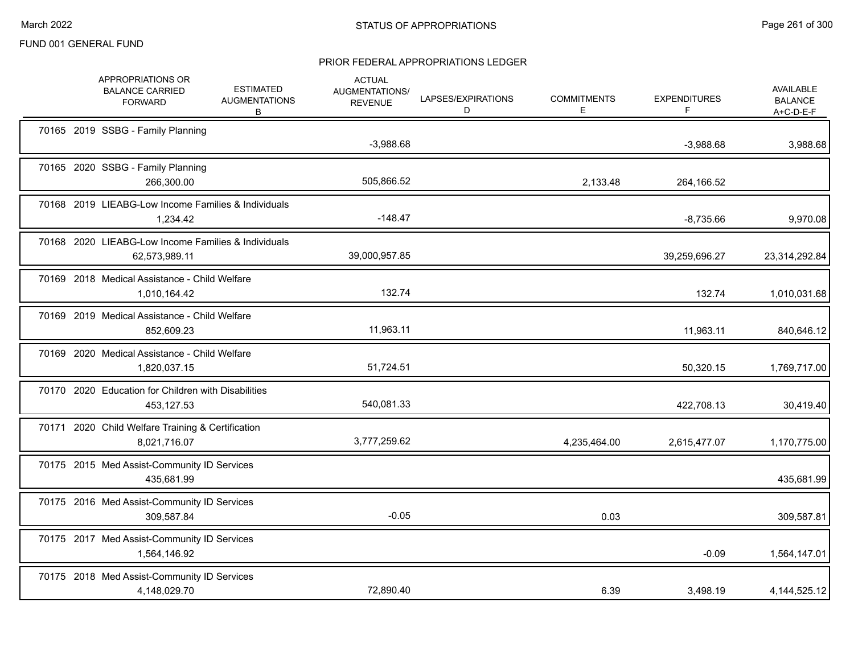|  | APPROPRIATIONS OR<br><b>BALANCE CARRIED</b><br><b>FORWARD</b>        | <b>ESTIMATED</b><br><b>AUGMENTATIONS</b><br>В | <b>ACTUAL</b><br><b>AUGMENTATIONS/</b><br><b>REVENUE</b> | LAPSES/EXPIRATIONS<br>D | <b>COMMITMENTS</b><br>E. | <b>EXPENDITURES</b><br>F. | AVAILABLE<br><b>BALANCE</b><br>A+C-D-E-F |
|--|----------------------------------------------------------------------|-----------------------------------------------|----------------------------------------------------------|-------------------------|--------------------------|---------------------------|------------------------------------------|
|  | 70165 2019 SSBG - Family Planning                                    |                                               | $-3,988.68$                                              |                         |                          | $-3,988.68$               | 3,988.68                                 |
|  | 70165 2020 SSBG - Family Planning<br>266,300.00                      |                                               | 505,866.52                                               |                         | 2,133.48                 | 264,166.52                |                                          |
|  | 70168 2019 LIEABG-Low Income Families & Individuals<br>1,234.42      |                                               | $-148.47$                                                |                         |                          | $-8,735.66$               | 9,970.08                                 |
|  | 70168 2020 LIEABG-Low Income Families & Individuals<br>62,573,989.11 |                                               | 39,000,957.85                                            |                         |                          | 39,259,696.27             | 23,314,292.84                            |
|  | 70169 2018 Medical Assistance - Child Welfare<br>1,010,164.42        |                                               | 132.74                                                   |                         |                          | 132.74                    | 1,010,031.68                             |
|  | 70169 2019 Medical Assistance - Child Welfare<br>852,609.23          |                                               | 11,963.11                                                |                         |                          | 11,963.11                 | 840,646.12                               |
|  | 70169 2020 Medical Assistance - Child Welfare<br>1,820,037.15        |                                               | 51,724.51                                                |                         |                          | 50,320.15                 | 1,769,717.00                             |
|  | 70170 2020 Education for Children with Disabilities<br>453,127.53    |                                               | 540,081.33                                               |                         |                          | 422,708.13                | 30,419.40                                |
|  | 70171 2020 Child Welfare Training & Certification<br>8,021,716.07    |                                               | 3,777,259.62                                             |                         | 4,235,464.00             | 2,615,477.07              | 1,170,775.00                             |
|  | 70175 2015 Med Assist-Community ID Services<br>435,681.99            |                                               |                                                          |                         |                          |                           | 435,681.99                               |
|  | 70175 2016 Med Assist-Community ID Services<br>309,587.84            |                                               | $-0.05$                                                  |                         | 0.03                     |                           | 309,587.81                               |
|  | 70175 2017 Med Assist-Community ID Services<br>1,564,146.92          |                                               |                                                          |                         |                          | $-0.09$                   | 1,564,147.01                             |
|  | 70175 2018 Med Assist-Community ID Services<br>4,148,029.70          |                                               | 72,890.40                                                |                         | 6.39                     | 3,498.19                  | 4, 144, 525. 12                          |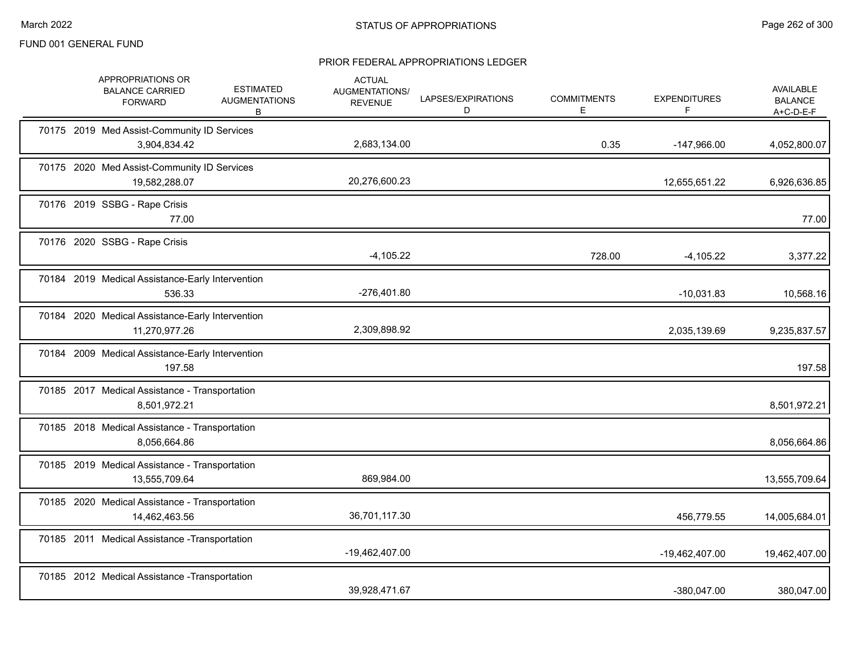|  | APPROPRIATIONS OR<br><b>BALANCE CARRIED</b><br><b>FORWARD</b>     | <b>ESTIMATED</b><br><b>AUGMENTATIONS</b><br>В | <b>ACTUAL</b><br>AUGMENTATIONS/<br><b>REVENUE</b> | LAPSES/EXPIRATIONS<br>D | <b>COMMITMENTS</b><br>E | <b>EXPENDITURES</b><br>F | <b>AVAILABLE</b><br><b>BALANCE</b><br>$A+C-D-E-F$ |
|--|-------------------------------------------------------------------|-----------------------------------------------|---------------------------------------------------|-------------------------|-------------------------|--------------------------|---------------------------------------------------|
|  | 70175 2019 Med Assist-Community ID Services<br>3,904,834.42       |                                               | 2,683,134.00                                      |                         | 0.35                    | $-147,966.00$            | 4,052,800.07                                      |
|  | 70175 2020 Med Assist-Community ID Services<br>19,582,288.07      |                                               | 20,276,600.23                                     |                         |                         | 12,655,651.22            | 6,926,636.85                                      |
|  | 70176 2019 SSBG - Rape Crisis<br>77.00                            |                                               |                                                   |                         |                         |                          | 77.00                                             |
|  | 70176 2020 SSBG - Rape Crisis                                     |                                               | $-4,105.22$                                       |                         | 728.00                  | $-4,105.22$              | 3,377.22                                          |
|  | 70184 2019 Medical Assistance-Early Intervention<br>536.33        |                                               | -276,401.80                                       |                         |                         | $-10,031.83$             | 10,568.16                                         |
|  | 70184 2020 Medical Assistance-Early Intervention<br>11,270,977.26 |                                               | 2,309,898.92                                      |                         |                         | 2,035,139.69             | 9,235,837.57                                      |
|  | 70184 2009 Medical Assistance-Early Intervention<br>197.58        |                                               |                                                   |                         |                         |                          | 197.58                                            |
|  | 70185 2017 Medical Assistance - Transportation<br>8,501,972.21    |                                               |                                                   |                         |                         |                          | 8,501,972.21                                      |
|  | 70185 2018 Medical Assistance - Transportation<br>8,056,664.86    |                                               |                                                   |                         |                         |                          | 8,056,664.86                                      |
|  | 70185 2019 Medical Assistance - Transportation<br>13,555,709.64   |                                               | 869,984.00                                        |                         |                         |                          | 13,555,709.64                                     |
|  | 70185 2020 Medical Assistance - Transportation<br>14,462,463.56   |                                               | 36,701,117.30                                     |                         |                         | 456,779.55               | 14,005,684.01                                     |
|  | 70185 2011 Medical Assistance - Transportation                    |                                               | -19,462,407.00                                    |                         |                         | -19,462,407.00           | 19,462,407.00                                     |
|  | 70185 2012 Medical Assistance - Transportation                    |                                               | 39,928,471.67                                     |                         |                         | -380,047.00              | 380,047.00                                        |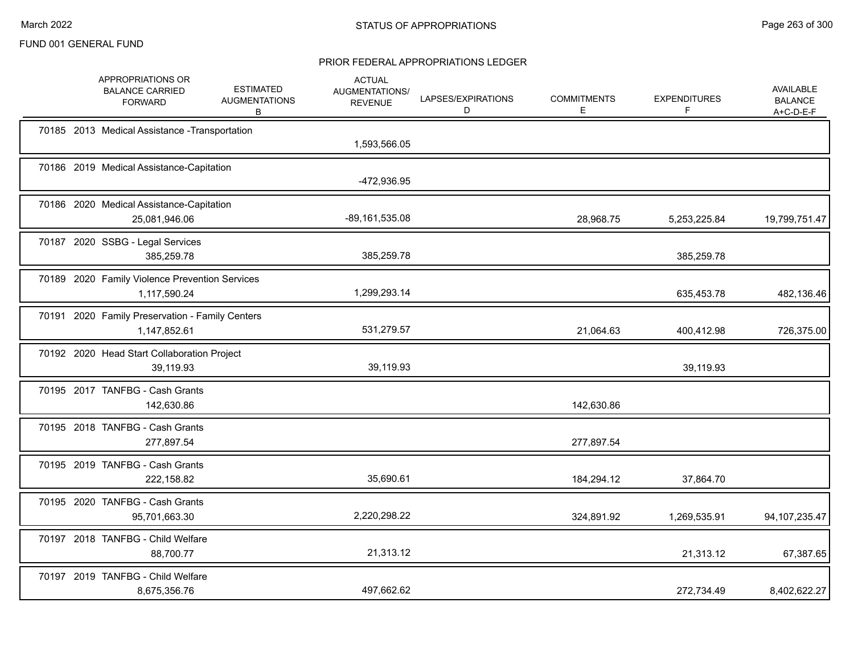|  | APPROPRIATIONS OR<br><b>BALANCE CARRIED</b><br><b>FORWARD</b>   | <b>ESTIMATED</b><br><b>AUGMENTATIONS</b><br>В | <b>ACTUAL</b><br>AUGMENTATIONS/<br><b>REVENUE</b> | LAPSES/EXPIRATIONS<br>D | <b>COMMITMENTS</b><br>Е | <b>EXPENDITURES</b><br>F. | <b>AVAILABLE</b><br><b>BALANCE</b><br>$A+C-D-E-F$ |
|--|-----------------------------------------------------------------|-----------------------------------------------|---------------------------------------------------|-------------------------|-------------------------|---------------------------|---------------------------------------------------|
|  | 70185 2013 Medical Assistance - Transportation                  |                                               | 1,593,566.05                                      |                         |                         |                           |                                                   |
|  | 70186 2019 Medical Assistance-Capitation                        |                                               | -472,936.95                                       |                         |                         |                           |                                                   |
|  | 70186 2020 Medical Assistance-Capitation<br>25,081,946.06       |                                               | -89,161,535.08                                    |                         | 28,968.75               | 5,253,225.84              | 19,799,751.47                                     |
|  | 70187 2020 SSBG - Legal Services<br>385,259.78                  |                                               | 385,259.78                                        |                         |                         | 385,259.78                |                                                   |
|  | 70189 2020 Family Violence Prevention Services<br>1,117,590.24  |                                               | 1,299,293.14                                      |                         |                         | 635,453.78                | 482,136.46                                        |
|  | 70191 2020 Family Preservation - Family Centers<br>1,147,852.61 |                                               | 531,279.57                                        |                         | 21,064.63               | 400,412.98                | 726,375.00                                        |
|  | 70192 2020 Head Start Collaboration Project<br>39,119.93        |                                               | 39,119.93                                         |                         |                         | 39,119.93                 |                                                   |
|  | 70195 2017 TANFBG - Cash Grants<br>142,630.86                   |                                               |                                                   |                         | 142,630.86              |                           |                                                   |
|  | 70195 2018 TANFBG - Cash Grants<br>277,897.54                   |                                               |                                                   |                         | 277,897.54              |                           |                                                   |
|  | 70195 2019 TANFBG - Cash Grants<br>222,158.82                   |                                               | 35,690.61                                         |                         | 184,294.12              | 37,864.70                 |                                                   |
|  | 70195 2020 TANFBG - Cash Grants<br>95,701,663.30                |                                               | 2,220,298.22                                      |                         | 324,891.92              | 1,269,535.91              | 94, 107, 235. 47                                  |
|  | 70197 2018 TANFBG - Child Welfare<br>88,700.77                  |                                               | 21,313.12                                         |                         |                         | 21,313.12                 | 67,387.65                                         |
|  | 70197 2019 TANFBG - Child Welfare<br>8,675,356.76               |                                               | 497,662.62                                        |                         |                         | 272,734.49                | 8,402,622.27                                      |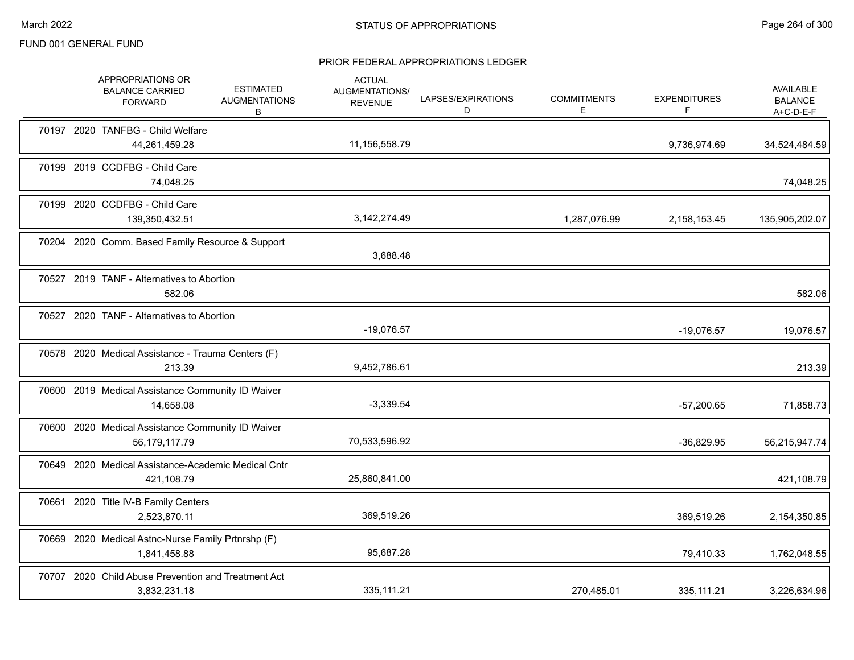|  | APPROPRIATIONS OR<br><b>BALANCE CARRIED</b><br><b>FORWARD</b>       | <b>ESTIMATED</b><br><b>AUGMENTATIONS</b><br>В | <b>ACTUAL</b><br>AUGMENTATIONS/<br><b>REVENUE</b> | LAPSES/EXPIRATIONS<br>D | <b>COMMITMENTS</b><br>Е | <b>EXPENDITURES</b><br>F | <b>AVAILABLE</b><br><b>BALANCE</b><br>$A+C-D-E-F$ |
|--|---------------------------------------------------------------------|-----------------------------------------------|---------------------------------------------------|-------------------------|-------------------------|--------------------------|---------------------------------------------------|
|  | 70197 2020 TANFBG - Child Welfare<br>44,261,459.28                  |                                               | 11,156,558.79                                     |                         |                         | 9,736,974.69             | 34,524,484.59                                     |
|  | 70199 2019 CCDFBG - Child Care<br>74,048.25                         |                                               |                                                   |                         |                         |                          | 74,048.25                                         |
|  | 70199 2020 CCDFBG - Child Care<br>139,350,432.51                    |                                               | 3,142,274.49                                      |                         | 1,287,076.99            | 2,158,153.45             | 135,905,202.07                                    |
|  | 70204 2020 Comm. Based Family Resource & Support                    |                                               | 3,688.48                                          |                         |                         |                          |                                                   |
|  | 70527 2019 TANF - Alternatives to Abortion<br>582.06                |                                               |                                                   |                         |                         |                          | 582.06                                            |
|  | 70527 2020 TANF - Alternatives to Abortion                          |                                               | $-19,076.57$                                      |                         |                         | $-19,076.57$             | 19,076.57                                         |
|  | 70578 2020 Medical Assistance - Trauma Centers (F)<br>213.39        |                                               | 9,452,786.61                                      |                         |                         |                          | 213.39                                            |
|  | 70600 2019 Medical Assistance Community ID Waiver<br>14,658.08      |                                               | $-3,339.54$                                       |                         |                         | $-57,200.65$             | 71,858.73                                         |
|  | 70600 2020 Medical Assistance Community ID Waiver<br>56,179,117.79  |                                               | 70,533,596.92                                     |                         |                         | $-36,829.95$             | 56,215,947.74                                     |
|  | 70649 2020 Medical Assistance-Academic Medical Cntr<br>421,108.79   |                                               | 25,860,841.00                                     |                         |                         |                          | 421,108.79                                        |
|  | 70661 2020 Title IV-B Family Centers<br>2,523,870.11                |                                               | 369,519.26                                        |                         |                         | 369,519.26               | 2,154,350.85                                      |
|  | 70669 2020 Medical Astnc-Nurse Family Prtnrshp (F)<br>1,841,458.88  |                                               | 95,687.28                                         |                         |                         | 79,410.33                | 1,762,048.55                                      |
|  | 70707 2020 Child Abuse Prevention and Treatment Act<br>3,832,231.18 |                                               | 335, 111.21                                       |                         | 270,485.01              | 335, 111.21              | 3,226,634.96                                      |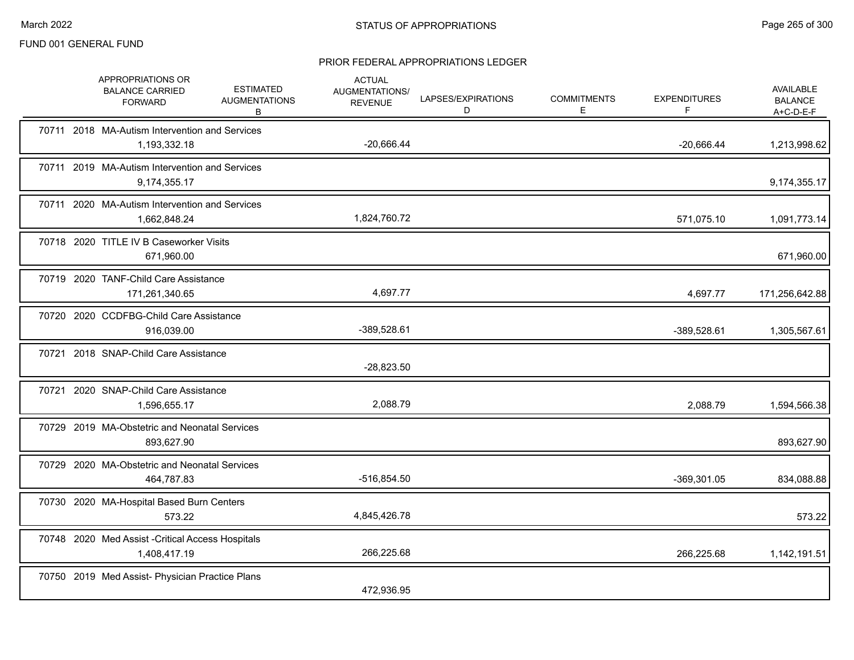|  | APPROPRIATIONS OR<br><b>BALANCE CARRIED</b><br><b>FORWARD</b>     | <b>ESTIMATED</b><br><b>AUGMENTATIONS</b><br>В | <b>ACTUAL</b><br><b>AUGMENTATIONS/</b><br><b>REVENUE</b> | LAPSES/EXPIRATIONS<br>D | <b>COMMITMENTS</b><br>E. | <b>EXPENDITURES</b><br>F | AVAILABLE<br><b>BALANCE</b><br>A+C-D-E-F |
|--|-------------------------------------------------------------------|-----------------------------------------------|----------------------------------------------------------|-------------------------|--------------------------|--------------------------|------------------------------------------|
|  | 70711 2018 MA-Autism Intervention and Services<br>1,193,332.18    |                                               | $-20,666.44$                                             |                         |                          | $-20,666.44$             | 1,213,998.62                             |
|  | 70711 2019 MA-Autism Intervention and Services<br>9,174,355.17    |                                               |                                                          |                         |                          |                          | 9,174,355.17                             |
|  | 70711 2020 MA-Autism Intervention and Services<br>1,662,848.24    |                                               | 1,824,760.72                                             |                         |                          | 571,075.10               | 1,091,773.14                             |
|  | 70718 2020 TITLE IV B Caseworker Visits<br>671,960.00             |                                               |                                                          |                         |                          |                          | 671,960.00                               |
|  | 70719 2020 TANF-Child Care Assistance<br>171,261,340.65           |                                               | 4,697.77                                                 |                         |                          | 4,697.77                 | 171,256,642.88                           |
|  | 70720 2020 CCDFBG-Child Care Assistance<br>916,039.00             |                                               | -389,528.61                                              |                         |                          | -389,528.61              | 1,305,567.61                             |
|  | 70721 2018 SNAP-Child Care Assistance                             |                                               | $-28,823.50$                                             |                         |                          |                          |                                          |
|  | 70721 2020 SNAP-Child Care Assistance<br>1,596,655.17             |                                               | 2,088.79                                                 |                         |                          | 2,088.79                 | 1,594,566.38                             |
|  | 70729 2019 MA-Obstetric and Neonatal Services<br>893,627.90       |                                               |                                                          |                         |                          |                          | 893,627.90                               |
|  | 70729 2020 MA-Obstetric and Neonatal Services<br>464,787.83       |                                               | -516,854.50                                              |                         |                          | -369,301.05              | 834,088.88                               |
|  | 70730 2020 MA-Hospital Based Burn Centers<br>573.22               |                                               | 4,845,426.78                                             |                         |                          |                          | 573.22                                   |
|  | 70748 2020 Med Assist - Critical Access Hospitals<br>1,408,417.19 |                                               | 266,225.68                                               |                         |                          | 266,225.68               | 1,142,191.51                             |
|  | 70750 2019 Med Assist- Physician Practice Plans                   |                                               | 472,936.95                                               |                         |                          |                          |                                          |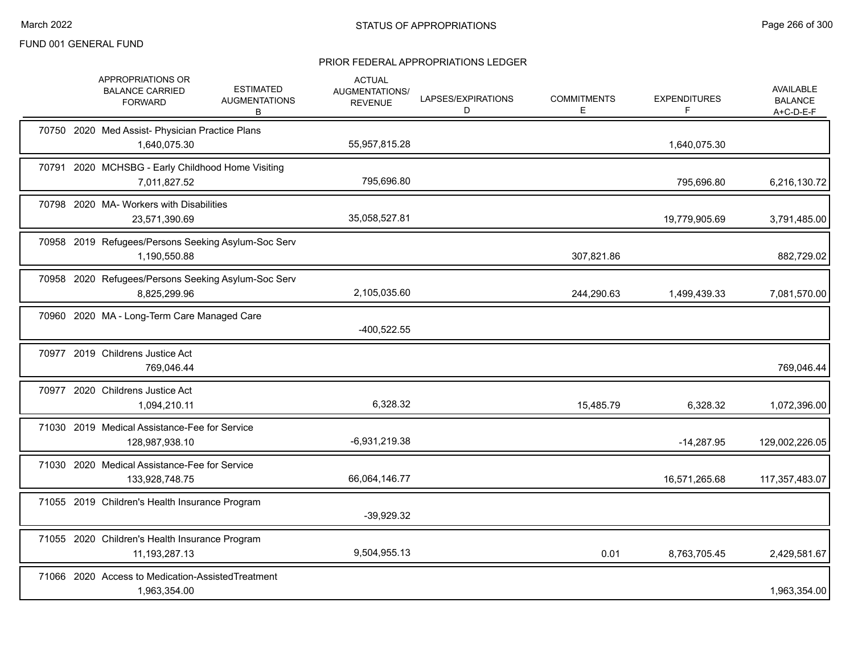|  | APPROPRIATIONS OR<br><b>BALANCE CARRIED</b><br><b>FORWARD</b>       | <b>ESTIMATED</b><br><b>AUGMENTATIONS</b><br>В | <b>ACTUAL</b><br>AUGMENTATIONS/<br><b>REVENUE</b> | LAPSES/EXPIRATIONS<br>D | <b>COMMITMENTS</b><br>Е | <b>EXPENDITURES</b><br>F | <b>AVAILABLE</b><br><b>BALANCE</b><br>$A+C-D-E-F$ |
|--|---------------------------------------------------------------------|-----------------------------------------------|---------------------------------------------------|-------------------------|-------------------------|--------------------------|---------------------------------------------------|
|  | 70750 2020 Med Assist- Physician Practice Plans<br>1,640,075.30     |                                               | 55,957,815.28                                     |                         |                         | 1,640,075.30             |                                                   |
|  | 70791 2020 MCHSBG - Early Childhood Home Visiting<br>7,011,827.52   |                                               | 795,696.80                                        |                         |                         | 795,696.80               | 6,216,130.72                                      |
|  | 70798 2020 MA- Workers with Disabilities<br>23,571,390.69           |                                               | 35,058,527.81                                     |                         |                         | 19,779,905.69            | 3,791,485.00                                      |
|  | 70958 2019 Refugees/Persons Seeking Asylum-Soc Serv<br>1,190,550.88 |                                               |                                                   |                         | 307,821.86              |                          | 882,729.02                                        |
|  | 70958 2020 Refugees/Persons Seeking Asylum-Soc Serv<br>8,825,299.96 |                                               | 2,105,035.60                                      |                         | 244,290.63              | 1,499,439.33             | 7,081,570.00                                      |
|  | 70960 2020 MA - Long-Term Care Managed Care                         |                                               | $-400,522.55$                                     |                         |                         |                          |                                                   |
|  | 70977 2019 Childrens Justice Act<br>769,046.44                      |                                               |                                                   |                         |                         |                          | 769,046.44                                        |
|  | 70977 2020 Childrens Justice Act<br>1,094,210.11                    |                                               | 6,328.32                                          |                         | 15,485.79               | 6,328.32                 | 1,072,396.00                                      |
|  | 71030 2019 Medical Assistance-Fee for Service<br>128,987,938.10     |                                               | $-6,931,219.38$                                   |                         |                         | $-14,287.95$             | 129,002,226.05                                    |
|  | 71030 2020 Medical Assistance-Fee for Service<br>133,928,748.75     |                                               | 66,064,146.77                                     |                         |                         | 16,571,265.68            | 117,357,483.07                                    |
|  | 71055 2019 Children's Health Insurance Program                      |                                               | $-39,929.32$                                      |                         |                         |                          |                                                   |
|  | 71055 2020 Children's Health Insurance Program<br>11, 193, 287. 13  |                                               | 9,504,955.13                                      |                         | 0.01                    | 8,763,705.45             | 2,429,581.67                                      |
|  | 71066 2020 Access to Medication-AssistedTreatment<br>1,963,354.00   |                                               |                                                   |                         |                         |                          | 1,963,354.00                                      |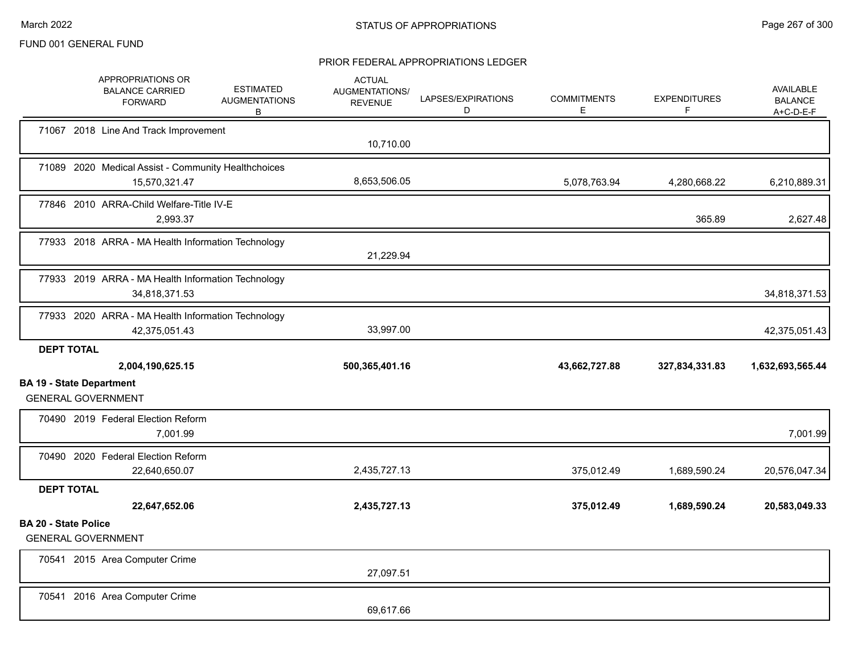|                             | APPROPRIATIONS OR<br><b>BALANCE CARRIED</b><br><b>FORWARD</b>        | <b>ESTIMATED</b><br><b>AUGMENTATIONS</b><br>B | <b>ACTUAL</b><br>AUGMENTATIONS/<br><b>REVENUE</b> | LAPSES/EXPIRATIONS<br>D | <b>COMMITMENTS</b><br>Е | <b>EXPENDITURES</b><br>F | AVAILABLE<br><b>BALANCE</b><br>$A+C-D-E-F$ |
|-----------------------------|----------------------------------------------------------------------|-----------------------------------------------|---------------------------------------------------|-------------------------|-------------------------|--------------------------|--------------------------------------------|
|                             | 71067 2018 Line And Track Improvement                                |                                               | 10,710.00                                         |                         |                         |                          |                                            |
|                             | 71089 2020 Medical Assist - Community Healthchoices<br>15,570,321.47 |                                               | 8,653,506.05                                      |                         | 5,078,763.94            | 4,280,668.22             | 6,210,889.31                               |
|                             | 77846 2010 ARRA-Child Welfare-Title IV-E<br>2,993.37                 |                                               |                                                   |                         |                         | 365.89                   | 2,627.48                                   |
|                             | 77933 2018 ARRA - MA Health Information Technology                   |                                               | 21,229.94                                         |                         |                         |                          |                                            |
|                             | 77933 2019 ARRA - MA Health Information Technology<br>34,818,371.53  |                                               |                                                   |                         |                         |                          | 34,818,371.53                              |
|                             | 77933 2020 ARRA - MA Health Information Technology<br>42,375,051.43  |                                               | 33,997.00                                         |                         |                         |                          | 42,375,051.43                              |
| <b>DEPT TOTAL</b>           |                                                                      |                                               |                                                   |                         |                         |                          |                                            |
|                             | 2,004,190,625.15                                                     |                                               | 500,365,401.16                                    |                         | 43,662,727.88           | 327,834,331.83           | 1,632,693,565.44                           |
|                             | <b>BA 19 - State Department</b><br><b>GENERAL GOVERNMENT</b>         |                                               |                                                   |                         |                         |                          |                                            |
|                             | 70490 2019 Federal Election Reform<br>7,001.99                       |                                               |                                                   |                         |                         |                          | 7,001.99                                   |
|                             | 70490 2020 Federal Election Reform<br>22,640,650.07                  |                                               | 2,435,727.13                                      |                         | 375,012.49              | 1,689,590.24             | 20,576,047.34                              |
| <b>DEPT TOTAL</b>           |                                                                      |                                               |                                                   |                         |                         |                          |                                            |
|                             | 22,647,652.06                                                        |                                               | 2,435,727.13                                      |                         | 375,012.49              | 1,689,590.24             | 20,583,049.33                              |
| <b>BA 20 - State Police</b> |                                                                      |                                               |                                                   |                         |                         |                          |                                            |
|                             | <b>GENERAL GOVERNMENT</b>                                            |                                               |                                                   |                         |                         |                          |                                            |
|                             | 70541 2015 Area Computer Crime                                       |                                               | 27,097.51                                         |                         |                         |                          |                                            |
|                             | 70541 2016 Area Computer Crime                                       |                                               | 69,617.66                                         |                         |                         |                          |                                            |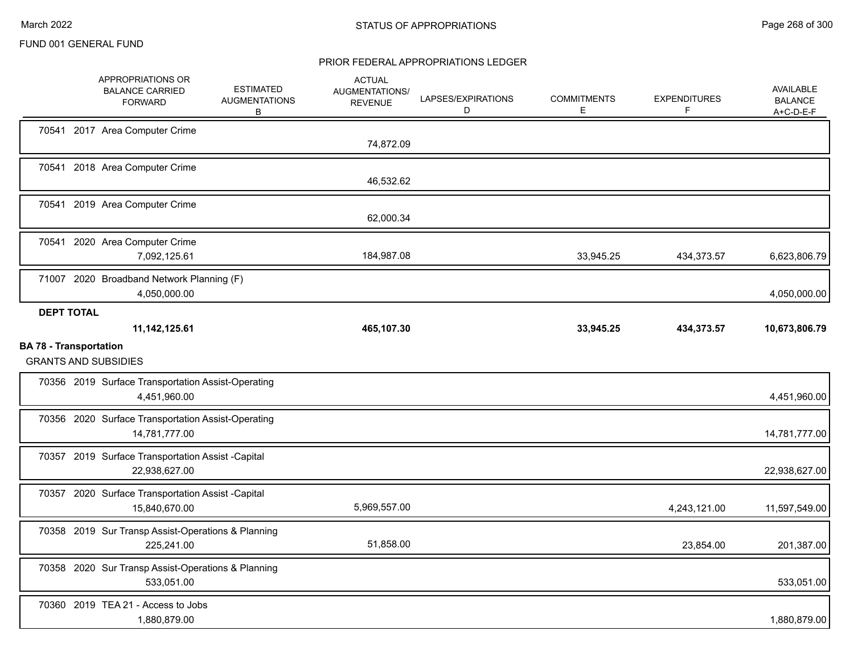|                               | APPROPRIATIONS OR<br><b>BALANCE CARRIED</b><br><b>FORWARD</b>       | <b>ESTIMATED</b><br><b>AUGMENTATIONS</b><br>B | <b>ACTUAL</b><br>AUGMENTATIONS/<br><b>REVENUE</b> | LAPSES/EXPIRATIONS<br>D | <b>COMMITMENTS</b><br>Е | <b>EXPENDITURES</b><br>F | <b>AVAILABLE</b><br><b>BALANCE</b><br>$A+C-D-E-F$ |
|-------------------------------|---------------------------------------------------------------------|-----------------------------------------------|---------------------------------------------------|-------------------------|-------------------------|--------------------------|---------------------------------------------------|
|                               | 70541 2017 Area Computer Crime                                      |                                               | 74,872.09                                         |                         |                         |                          |                                                   |
|                               | 70541 2018 Area Computer Crime                                      |                                               | 46,532.62                                         |                         |                         |                          |                                                   |
|                               | 70541 2019 Area Computer Crime                                      |                                               | 62,000.34                                         |                         |                         |                          |                                                   |
| 70541                         | 2020 Area Computer Crime<br>7,092,125.61                            |                                               | 184,987.08                                        |                         | 33,945.25               | 434,373.57               | 6,623,806.79                                      |
|                               | 71007 2020 Broadband Network Planning (F)<br>4,050,000.00           |                                               |                                                   |                         |                         |                          | 4,050,000.00                                      |
| <b>DEPT TOTAL</b>             | 11, 142, 125.61                                                     |                                               | 465,107.30                                        |                         | 33,945.25               | 434,373.57               | 10,673,806.79                                     |
| <b>BA 78 - Transportation</b> | <b>GRANTS AND SUBSIDIES</b>                                         |                                               |                                                   |                         |                         |                          |                                                   |
|                               | 70356 2019 Surface Transportation Assist-Operating<br>4,451,960.00  |                                               |                                                   |                         |                         |                          | 4,451,960.00                                      |
|                               | 70356 2020 Surface Transportation Assist-Operating<br>14,781,777.00 |                                               |                                                   |                         |                         |                          | 14,781,777.00                                     |
|                               | 70357 2019 Surface Transportation Assist -Capital<br>22,938,627.00  |                                               |                                                   |                         |                         |                          | 22,938,627.00                                     |
|                               | 70357 2020 Surface Transportation Assist -Capital<br>15,840,670.00  |                                               | 5,969,557.00                                      |                         |                         | 4,243,121.00             | 11,597,549.00                                     |
|                               | 70358 2019 Sur Transp Assist-Operations & Planning<br>225,241.00    |                                               | 51,858.00                                         |                         |                         | 23,854.00                | 201,387.00                                        |
|                               | 70358 2020 Sur Transp Assist-Operations & Planning<br>533,051.00    |                                               |                                                   |                         |                         |                          | 533,051.00                                        |
|                               | 70360 2019 TEA 21 - Access to Jobs<br>1,880,879.00                  |                                               |                                                   |                         |                         |                          | 1,880,879.00                                      |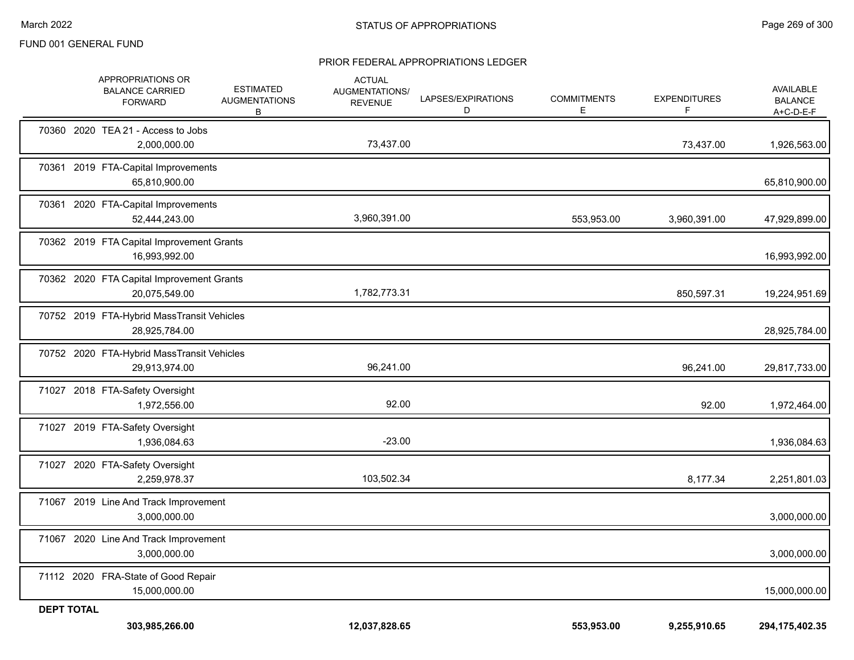|                   | APPROPRIATIONS OR<br><b>BALANCE CARRIED</b><br><b>FORWARD</b> | <b>ESTIMATED</b><br><b>AUGMENTATIONS</b><br>B | <b>ACTUAL</b><br>AUGMENTATIONS/<br><b>REVENUE</b> | LAPSES/EXPIRATIONS<br>D | <b>COMMITMENTS</b><br>Е | <b>EXPENDITURES</b><br>F | <b>AVAILABLE</b><br><b>BALANCE</b><br>A+C-D-E-F |
|-------------------|---------------------------------------------------------------|-----------------------------------------------|---------------------------------------------------|-------------------------|-------------------------|--------------------------|-------------------------------------------------|
|                   | 70360 2020 TEA 21 - Access to Jobs<br>2,000,000.00            |                                               | 73,437.00                                         |                         |                         | 73,437.00                | 1,926,563.00                                    |
|                   | 70361 2019 FTA-Capital Improvements<br>65,810,900.00          |                                               |                                                   |                         |                         |                          | 65,810,900.00                                   |
|                   | 70361 2020 FTA-Capital Improvements<br>52,444,243.00          |                                               | 3,960,391.00                                      |                         | 553,953.00              | 3,960,391.00             | 47,929,899.00                                   |
|                   | 70362 2019 FTA Capital Improvement Grants<br>16,993,992.00    |                                               |                                                   |                         |                         |                          | 16,993,992.00                                   |
|                   | 70362 2020 FTA Capital Improvement Grants<br>20,075,549.00    |                                               | 1,782,773.31                                      |                         |                         | 850,597.31               | 19,224,951.69                                   |
|                   | 70752 2019 FTA-Hybrid MassTransit Vehicles<br>28,925,784.00   |                                               |                                                   |                         |                         |                          | 28,925,784.00                                   |
|                   | 70752 2020 FTA-Hybrid MassTransit Vehicles<br>29,913,974.00   |                                               | 96,241.00                                         |                         |                         | 96,241.00                | 29,817,733.00                                   |
|                   | 71027 2018 FTA-Safety Oversight<br>1,972,556.00               |                                               | 92.00                                             |                         |                         | 92.00                    | 1,972,464.00                                    |
|                   | 71027 2019 FTA-Safety Oversight<br>1,936,084.63               |                                               | $-23.00$                                          |                         |                         |                          | 1,936,084.63                                    |
|                   | 71027 2020 FTA-Safety Oversight<br>2,259,978.37               |                                               | 103,502.34                                        |                         |                         | 8,177.34                 | 2,251,801.03                                    |
|                   | 71067 2019 Line And Track Improvement<br>3,000,000.00         |                                               |                                                   |                         |                         |                          | 3,000,000.00                                    |
|                   | 71067 2020 Line And Track Improvement<br>3,000,000.00         |                                               |                                                   |                         |                         |                          | 3,000,000.00                                    |
|                   | 71112 2020 FRA-State of Good Repair<br>15,000,000.00          |                                               |                                                   |                         |                         |                          | 15,000,000.00                                   |
| <b>DEPT TOTAL</b> | 303,985,266.00                                                |                                               | 12,037,828.65                                     |                         | 553,953.00              | 9,255,910.65             | 294, 175, 402. 35                               |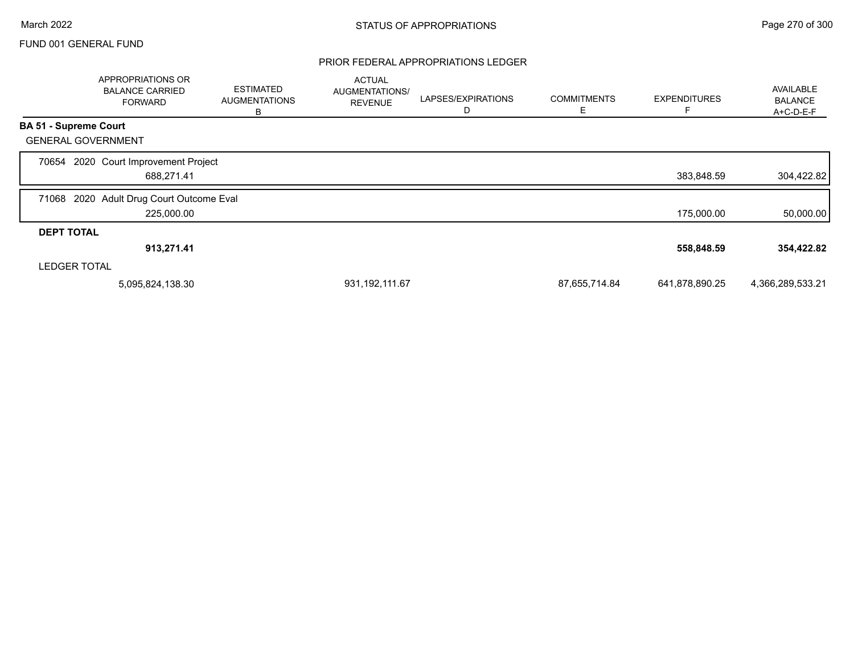|                              | APPROPRIATIONS OR<br><b>BALANCE CARRIED</b><br><b>FORWARD</b> | <b>ESTIMATED</b><br><b>AUGMENTATIONS</b><br>В | <b>ACTUAL</b><br>AUGMENTATIONS/<br><b>REVENUE</b> | LAPSES/EXPIRATIONS<br>D | <b>COMMITMENTS</b><br>E. | <b>EXPENDITURES</b> | <b>AVAILABLE</b><br><b>BALANCE</b><br>A+C-D-E-F |
|------------------------------|---------------------------------------------------------------|-----------------------------------------------|---------------------------------------------------|-------------------------|--------------------------|---------------------|-------------------------------------------------|
| <b>BA 51 - Supreme Court</b> |                                                               |                                               |                                                   |                         |                          |                     |                                                 |
| <b>GENERAL GOVERNMENT</b>    |                                                               |                                               |                                                   |                         |                          |                     |                                                 |
| 70654                        | 2020 Court Improvement Project<br>688,271.41                  |                                               |                                                   |                         |                          | 383,848.59          | 304,422.82                                      |
| 71068                        | 2020 Adult Drug Court Outcome Eval<br>225,000.00              |                                               |                                                   |                         |                          | 175,000.00          | 50,000.00                                       |
| <b>DEPT TOTAL</b>            |                                                               |                                               |                                                   |                         |                          |                     |                                                 |
|                              | 913,271.41                                                    |                                               |                                                   |                         |                          | 558,848.59          | 354,422.82                                      |
| <b>LEDGER TOTAL</b>          |                                                               |                                               |                                                   |                         |                          |                     |                                                 |
|                              | 5,095,824,138.30                                              |                                               | 931, 192, 111.67                                  |                         | 87,655,714.84            | 641,878,890.25      | 4,366,289,533.21                                |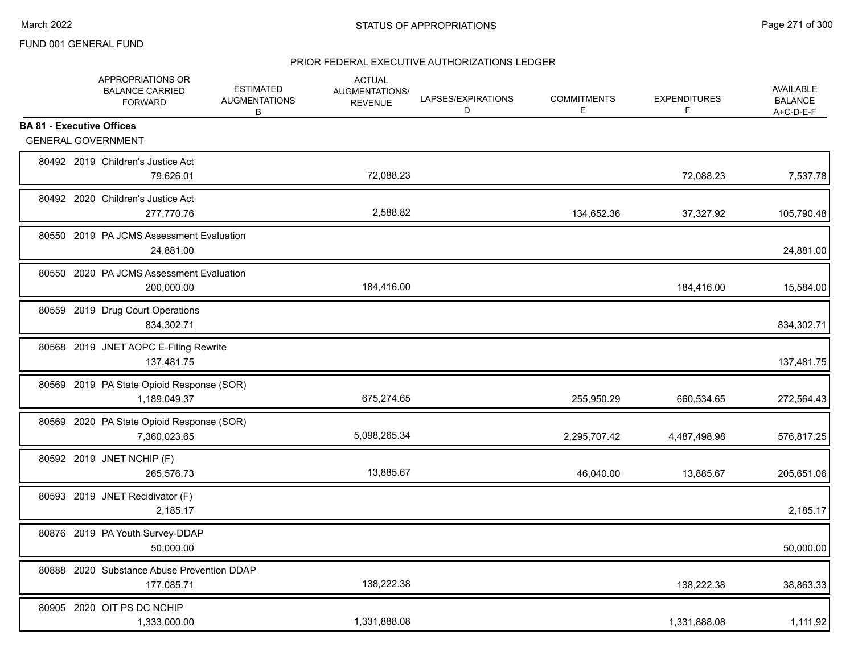|                                   | APPROPRIATIONS OR<br><b>BALANCE CARRIED</b><br><b>FORWARD</b> | <b>ESTIMATED</b><br><b>AUGMENTATIONS</b><br>В | <b>ACTUAL</b><br>AUGMENTATIONS/<br><b>REVENUE</b> | LAPSES/EXPIRATIONS<br>D | <b>COMMITMENTS</b><br>Е | <b>EXPENDITURES</b><br>F | AVAILABLE<br><b>BALANCE</b><br>$A+C-D-E-F$ |
|-----------------------------------|---------------------------------------------------------------|-----------------------------------------------|---------------------------------------------------|-------------------------|-------------------------|--------------------------|--------------------------------------------|
| <b>BA 81 - Executive Offices</b>  |                                                               |                                               |                                                   |                         |                         |                          |                                            |
| <b>GENERAL GOVERNMENT</b>         |                                                               |                                               |                                                   |                         |                         |                          |                                            |
| 80492 2019 Children's Justice Act | 79,626.01                                                     |                                               | 72,088.23                                         |                         |                         | 72,088.23                | 7,537.78                                   |
| 80492 2020 Children's Justice Act | 277,770.76                                                    |                                               | 2,588.82                                          |                         | 134,652.36              | 37,327.92                | 105,790.48                                 |
|                                   | 80550 2019 PA JCMS Assessment Evaluation<br>24,881.00         |                                               |                                                   |                         |                         |                          | 24,881.00                                  |
|                                   | 80550 2020 PA JCMS Assessment Evaluation<br>200,000.00        |                                               | 184,416.00                                        |                         |                         | 184,416.00               | 15,584.00                                  |
| 80559 2019 Drug Court Operations  | 834,302.71                                                    |                                               |                                                   |                         |                         |                          | 834,302.71                                 |
|                                   | 80568 2019 JNET AOPC E-Filing Rewrite<br>137,481.75           |                                               |                                                   |                         |                         |                          | 137,481.75                                 |
|                                   | 80569 2019 PA State Opioid Response (SOR)<br>1,189,049.37     |                                               | 675,274.65                                        |                         | 255,950.29              | 660,534.65               | 272,564.43                                 |
|                                   | 80569 2020 PA State Opioid Response (SOR)<br>7,360,023.65     |                                               | 5,098,265.34                                      |                         | 2,295,707.42            | 4,487,498.98             | 576,817.25                                 |
| 80592 2019 JNET NCHIP (F)         | 265,576.73                                                    |                                               | 13,885.67                                         |                         | 46,040.00               | 13,885.67                | 205,651.06                                 |
| 80593 2019 JNET Recidivator (F)   | 2,185.17                                                      |                                               |                                                   |                         |                         |                          | 2,185.17                                   |
|                                   | 80876 2019 PA Youth Survey-DDAP<br>50,000.00                  |                                               |                                                   |                         |                         |                          | 50,000.00                                  |
|                                   | 80888 2020 Substance Abuse Prevention DDAP<br>177,085.71      |                                               | 138,222.38                                        |                         |                         | 138,222.38               | 38,863.33                                  |
| 80905 2020 OIT PS DC NCHIP        | 1,333,000.00                                                  |                                               | 1,331,888.08                                      |                         |                         | 1,331,888.08             | 1,111.92                                   |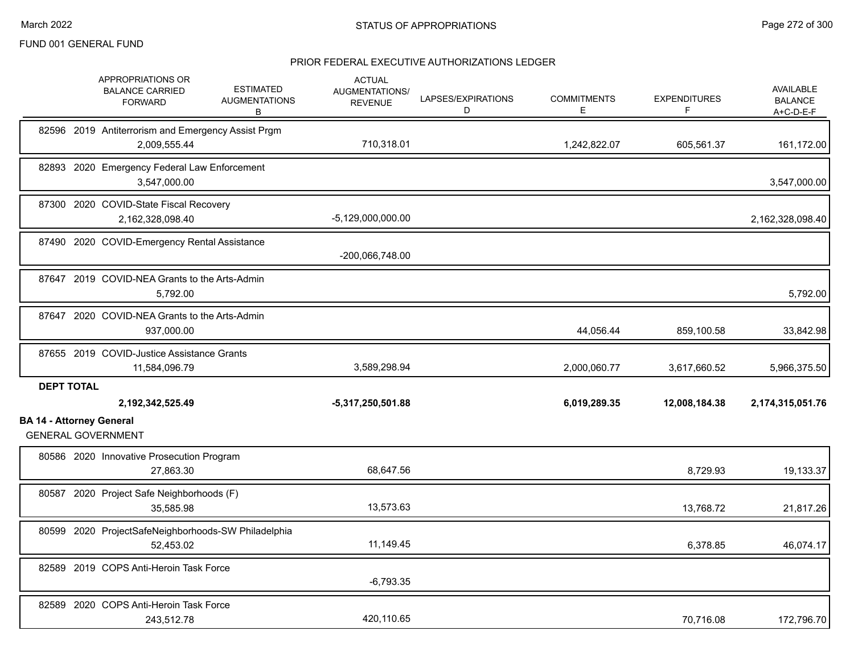|                                 | APPROPRIATIONS OR<br><b>BALANCE CARRIED</b><br><b>FORWARD</b>      | <b>ESTIMATED</b><br><b>AUGMENTATIONS</b><br>B | <b>ACTUAL</b><br>AUGMENTATIONS/<br><b>REVENUE</b> | LAPSES/EXPIRATIONS<br>D | <b>COMMITMENTS</b><br>Е | <b>EXPENDITURES</b><br>F | <b>AVAILABLE</b><br><b>BALANCE</b><br>A+C-D-E-F |
|---------------------------------|--------------------------------------------------------------------|-----------------------------------------------|---------------------------------------------------|-------------------------|-------------------------|--------------------------|-------------------------------------------------|
|                                 | 82596 2019 Antiterrorism and Emergency Assist Prgm<br>2,009,555.44 |                                               | 710,318.01                                        |                         | 1,242,822.07            | 605,561.37               | 161,172.00                                      |
|                                 | 82893 2020 Emergency Federal Law Enforcement<br>3.547.000.00       |                                               |                                                   |                         |                         |                          | 3,547,000.00                                    |
|                                 | 87300 2020 COVID-State Fiscal Recovery<br>2,162,328,098.40         |                                               | $-5,129,000,000.00$                               |                         |                         |                          | 2,162,328,098.40                                |
|                                 | 87490 2020 COVID-Emergency Rental Assistance                       |                                               | -200,066,748.00                                   |                         |                         |                          |                                                 |
|                                 | 87647 2019 COVID-NEA Grants to the Arts-Admin<br>5,792.00          |                                               |                                                   |                         |                         |                          | 5,792.00                                        |
|                                 | 87647 2020 COVID-NEA Grants to the Arts-Admin<br>937,000.00        |                                               |                                                   |                         | 44,056.44               | 859,100.58               | 33,842.98                                       |
|                                 | 87655 2019 COVID-Justice Assistance Grants<br>11,584,096.79        |                                               | 3,589,298.94                                      |                         | 2,000,060.77            | 3,617,660.52             | 5,966,375.50                                    |
| <b>DEPT TOTAL</b>               | 2,192,342,525.49                                                   |                                               | $-5,317,250,501.88$                               |                         | 6,019,289.35            | 12,008,184.38            | 2,174,315,051.76                                |
| <b>BA 14 - Attorney General</b> | <b>GENERAL GOVERNMENT</b>                                          |                                               |                                                   |                         |                         |                          |                                                 |
|                                 | 80586 2020 Innovative Prosecution Program<br>27,863.30             |                                               | 68,647.56                                         |                         |                         | 8,729.93                 | 19,133.37                                       |
|                                 | 80587 2020 Project Safe Neighborhoods (F)<br>35.585.98             |                                               | 13,573.63                                         |                         |                         | 13,768.72                | 21,817.26                                       |
|                                 | 80599 2020 ProjectSafeNeighborhoods-SW Philadelphia<br>52,453.02   |                                               | 11,149.45                                         |                         |                         | 6,378.85                 | 46,074.17                                       |
|                                 | 82589 2019 COPS Anti-Heroin Task Force                             |                                               | $-6,793.35$                                       |                         |                         |                          |                                                 |
|                                 | 82589 2020 COPS Anti-Heroin Task Force<br>243,512.78               |                                               | 420,110.65                                        |                         |                         | 70,716.08                | 172,796.70                                      |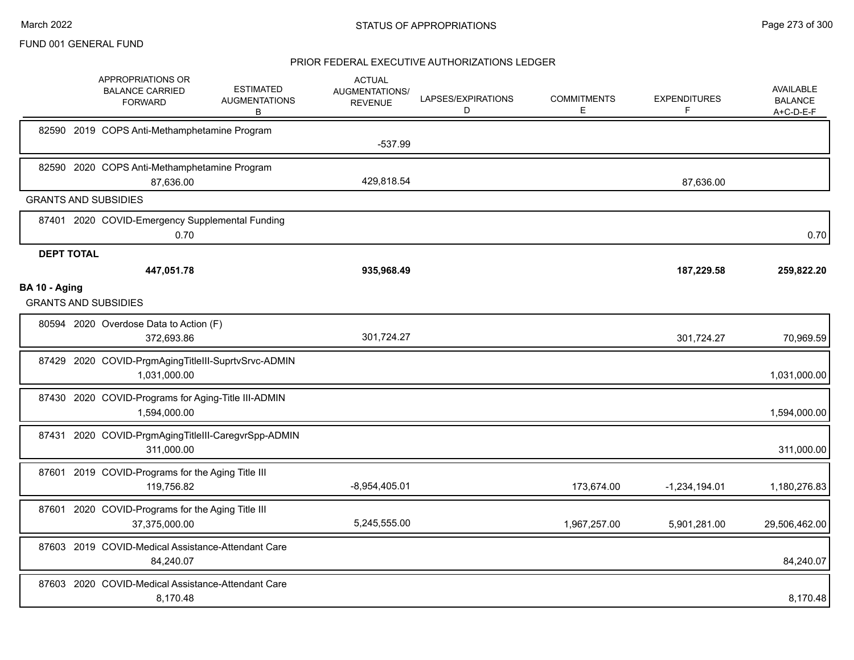|                   | APPROPRIATIONS OR<br><b>BALANCE CARRIED</b><br><b>FORWARD</b>       | <b>ESTIMATED</b><br><b>AUGMENTATIONS</b><br>B | <b>ACTUAL</b><br>AUGMENTATIONS/<br><b>REVENUE</b> | LAPSES/EXPIRATIONS<br>D | <b>COMMITMENTS</b><br>E | <b>EXPENDITURES</b><br>F. | <b>AVAILABLE</b><br><b>BALANCE</b><br>A+C-D-E-F |
|-------------------|---------------------------------------------------------------------|-----------------------------------------------|---------------------------------------------------|-------------------------|-------------------------|---------------------------|-------------------------------------------------|
|                   | 82590 2019 COPS Anti-Methamphetamine Program                        |                                               | $-537.99$                                         |                         |                         |                           |                                                 |
|                   | 82590 2020 COPS Anti-Methamphetamine Program<br>87,636.00           |                                               | 429,818.54                                        |                         |                         | 87.636.00                 |                                                 |
|                   | <b>GRANTS AND SUBSIDIES</b>                                         |                                               |                                                   |                         |                         |                           |                                                 |
|                   | 87401 2020 COVID-Emergency Supplemental Funding<br>0.70             |                                               |                                                   |                         |                         |                           | 0.70                                            |
| <b>DEPT TOTAL</b> |                                                                     |                                               |                                                   |                         |                         |                           |                                                 |
|                   | 447,051.78                                                          |                                               | 935,968.49                                        |                         |                         | 187,229.58                | 259,822.20                                      |
| BA 10 - Aging     | <b>GRANTS AND SUBSIDIES</b>                                         |                                               |                                                   |                         |                         |                           |                                                 |
|                   | 80594 2020 Overdose Data to Action (F)<br>372,693.86                |                                               | 301,724.27                                        |                         |                         | 301,724.27                | 70,969.59                                       |
|                   | 87429 2020 COVID-PrgmAgingTitleIII-SuprtvSrvc-ADMIN<br>1,031,000.00 |                                               |                                                   |                         |                         |                           | 1,031,000.00                                    |
|                   | 87430 2020 COVID-Programs for Aging-Title III-ADMIN<br>1,594,000.00 |                                               |                                                   |                         |                         |                           | 1,594,000.00                                    |
|                   | 87431 2020 COVID-PrgmAgingTitleIII-CaregvrSpp-ADMIN<br>311,000.00   |                                               |                                                   |                         |                         |                           | 311,000.00                                      |
|                   | 87601 2019 COVID-Programs for the Aging Title III<br>119,756.82     |                                               | $-8,954,405.01$                                   |                         | 173,674.00              | $-1,234,194.01$           | 1,180,276.83                                    |
|                   | 87601 2020 COVID-Programs for the Aging Title III<br>37,375,000.00  |                                               | 5,245,555.00                                      |                         | 1,967,257.00            | 5,901,281.00              | 29,506,462.00                                   |
|                   | 87603 2019 COVID-Medical Assistance-Attendant Care<br>84,240.07     |                                               |                                                   |                         |                         |                           | 84,240.07                                       |
|                   | 87603 2020 COVID-Medical Assistance-Attendant Care<br>8,170.48      |                                               |                                                   |                         |                         |                           | 8,170.48                                        |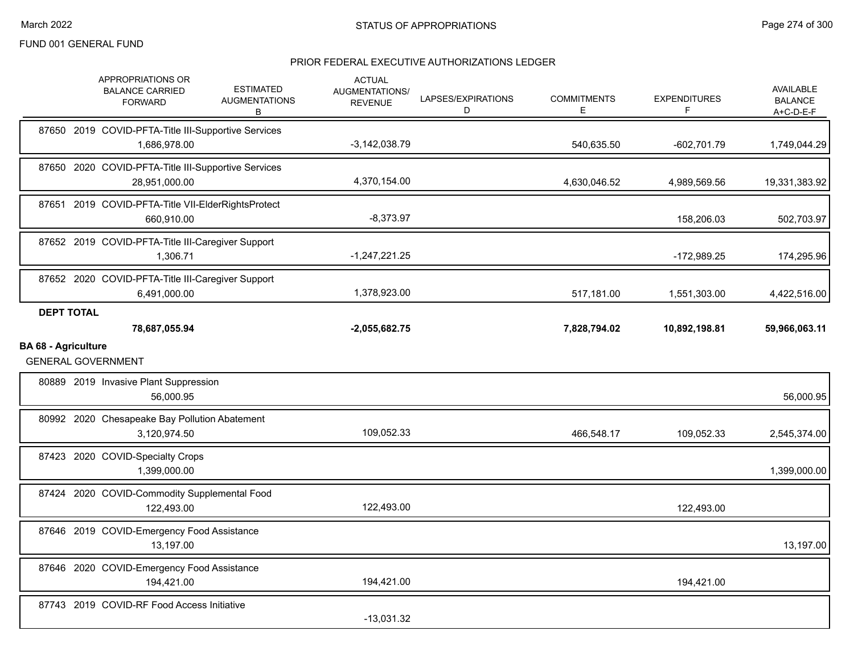|                            | APPROPRIATIONS OR<br><b>BALANCE CARRIED</b><br><b>FORWARD</b>        | <b>ESTIMATED</b><br><b>AUGMENTATIONS</b><br>В | <b>ACTUAL</b><br><b>AUGMENTATIONS/</b><br><b>REVENUE</b> | LAPSES/EXPIRATIONS<br>D | <b>COMMITMENTS</b><br>E | <b>EXPENDITURES</b><br>F | <b>AVAILABLE</b><br><b>BALANCE</b><br>$A+C-D-E-F$ |
|----------------------------|----------------------------------------------------------------------|-----------------------------------------------|----------------------------------------------------------|-------------------------|-------------------------|--------------------------|---------------------------------------------------|
|                            | 87650 2019 COVID-PFTA-Title III-Supportive Services<br>1,686,978.00  |                                               | $-3,142,038.79$                                          |                         | 540,635.50              | $-602,701.79$            | 1,749,044.29                                      |
|                            | 87650 2020 COVID-PFTA-Title III-Supportive Services<br>28,951,000.00 |                                               | 4,370,154.00                                             |                         | 4,630,046.52            | 4,989,569.56             | 19,331,383.92                                     |
|                            | 87651 2019 COVID-PFTA-Title VII-ElderRightsProtect<br>660,910.00     |                                               | $-8,373.97$                                              |                         |                         | 158,206.03               | 502,703.97                                        |
|                            | 87652 2019 COVID-PFTA-Title III-Caregiver Support<br>1,306.71        |                                               | $-1,247,221.25$                                          |                         |                         | $-172,989.25$            | 174,295.96                                        |
|                            | 87652 2020 COVID-PFTA-Title III-Caregiver Support<br>6,491,000.00    |                                               | 1,378,923.00                                             |                         | 517,181.00              | 1,551,303.00             | 4,422,516.00                                      |
| <b>DEPT TOTAL</b>          | 78,687,055.94                                                        |                                               | $-2,055,682.75$                                          |                         | 7,828,794.02            | 10,892,198.81            | 59,966,063.11                                     |
| <b>BA 68 - Agriculture</b> |                                                                      |                                               |                                                          |                         |                         |                          |                                                   |
|                            | <b>GENERAL GOVERNMENT</b>                                            |                                               |                                                          |                         |                         |                          |                                                   |
|                            | 80889 2019 Invasive Plant Suppression<br>56,000.95                   |                                               |                                                          |                         |                         |                          | 56,000.95                                         |
|                            | 80992 2020 Chesapeake Bay Pollution Abatement<br>3,120,974.50        |                                               | 109,052.33                                               |                         | 466,548.17              | 109,052.33               | 2,545,374.00                                      |
|                            | 87423 2020 COVID-Specialty Crops<br>1,399,000.00                     |                                               |                                                          |                         |                         |                          | 1,399,000.00                                      |
|                            | 87424 2020 COVID-Commodity Supplemental Food<br>122,493.00           |                                               | 122,493.00                                               |                         |                         | 122,493.00               |                                                   |
|                            | 87646 2019 COVID-Emergency Food Assistance<br>13,197.00              |                                               |                                                          |                         |                         |                          | 13,197.00                                         |
|                            | 87646 2020 COVID-Emergency Food Assistance<br>194,421.00             |                                               | 194,421.00                                               |                         |                         | 194,421.00               |                                                   |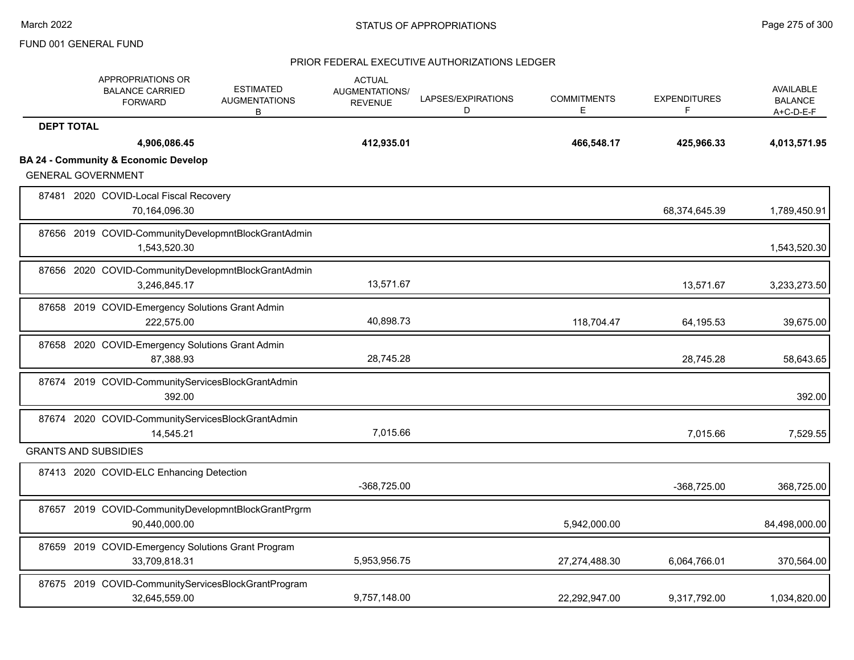|                   | APPROPRIATIONS OR<br><b>BALANCE CARRIED</b><br><b>FORWARD</b>        | <b>ESTIMATED</b><br><b>AUGMENTATIONS</b><br>В | <b>ACTUAL</b><br><b>AUGMENTATIONS/</b><br><b>REVENUE</b> | LAPSES/EXPIRATIONS<br>D | <b>COMMITMENTS</b><br>E. | <b>EXPENDITURES</b><br>F | AVAILABLE<br><b>BALANCE</b><br>A+C-D-E-F |
|-------------------|----------------------------------------------------------------------|-----------------------------------------------|----------------------------------------------------------|-------------------------|--------------------------|--------------------------|------------------------------------------|
| <b>DEPT TOTAL</b> |                                                                      |                                               |                                                          |                         |                          |                          |                                          |
|                   | 4,906,086.45                                                         |                                               | 412,935.01                                               |                         | 466,548.17               | 425,966.33               | 4,013,571.95                             |
|                   | <b>BA 24 - Community &amp; Economic Develop</b>                      |                                               |                                                          |                         |                          |                          |                                          |
|                   | <b>GENERAL GOVERNMENT</b>                                            |                                               |                                                          |                         |                          |                          |                                          |
|                   | 87481 2020 COVID-Local Fiscal Recovery<br>70,164,096.30              |                                               |                                                          |                         |                          | 68,374,645.39            | 1,789,450.91                             |
|                   | 87656 2019 COVID-CommunityDevelopmntBlockGrantAdmin<br>1,543,520.30  |                                               |                                                          |                         |                          |                          | 1,543,520.30                             |
|                   | 87656 2020 COVID-CommunityDevelopmntBlockGrantAdmin<br>3,246,845.17  |                                               | 13,571.67                                                |                         |                          | 13,571.67                | 3,233,273.50                             |
|                   | 87658 2019 COVID-Emergency Solutions Grant Admin<br>222.575.00       |                                               | 40,898.73                                                |                         | 118,704.47               | 64,195.53                | 39,675.00                                |
|                   | 87658 2020 COVID-Emergency Solutions Grant Admin<br>87,388.93        |                                               | 28,745.28                                                |                         |                          | 28,745.28                | 58,643.65                                |
|                   | 87674 2019 COVID-CommunityServicesBlockGrantAdmin<br>392.00          |                                               |                                                          |                         |                          |                          | 392.00                                   |
|                   | 87674 2020 COVID-CommunityServicesBlockGrantAdmin<br>14,545.21       |                                               | 7,015.66                                                 |                         |                          | 7.015.66                 | 7,529.55                                 |
|                   | <b>GRANTS AND SUBSIDIES</b>                                          |                                               |                                                          |                         |                          |                          |                                          |
|                   | 87413 2020 COVID-ELC Enhancing Detection                             |                                               | -368,725.00                                              |                         |                          | -368,725.00              | 368,725.00                               |
|                   | 87657 2019 COVID-CommunityDevelopmntBlockGrantPrgrm<br>90,440,000.00 |                                               |                                                          |                         | 5,942,000.00             |                          | 84,498,000.00                            |
|                   | 87659 2019 COVID-Emergency Solutions Grant Program<br>33,709,818.31  |                                               | 5,953,956.75                                             |                         | 27,274,488.30            | 6,064,766.01             | 370,564.00                               |
|                   | 87675 2019 COVID-CommunityServicesBlockGrantProgram<br>32,645,559.00 |                                               | 9,757,148.00                                             |                         | 22,292,947.00            | 9,317,792.00             | 1,034,820.00                             |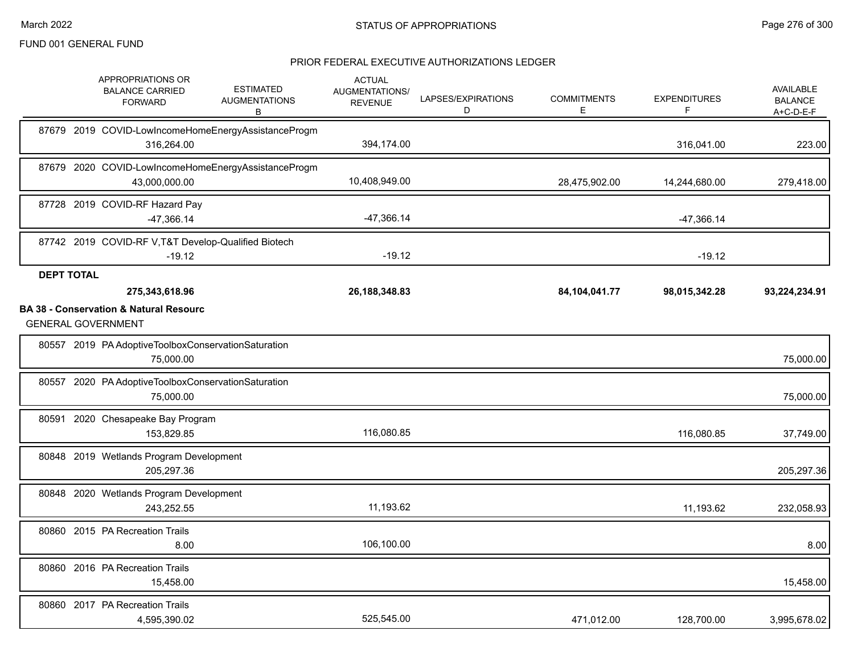|                   | APPROPRIATIONS OR<br><b>BALANCE CARRIED</b><br><b>FORWARD</b>                                    | <b>ESTIMATED</b><br><b>AUGMENTATIONS</b><br>в       | <b>ACTUAL</b><br>AUGMENTATIONS/<br><b>REVENUE</b> | LAPSES/EXPIRATIONS<br>D | <b>COMMITMENTS</b><br>E | <b>EXPENDITURES</b><br>F | <b>AVAILABLE</b><br><b>BALANCE</b><br>A+C-D-E-F |
|-------------------|--------------------------------------------------------------------------------------------------|-----------------------------------------------------|---------------------------------------------------|-------------------------|-------------------------|--------------------------|-------------------------------------------------|
|                   | 316,264.00                                                                                       | 87679 2019 COVID-LowIncomeHomeEnergyAssistanceProgm | 394,174.00                                        |                         |                         | 316,041.00               | 223.00                                          |
|                   | 43,000,000.00                                                                                    | 87679 2020 COVID-LowIncomeHomeEnergyAssistanceProgm | 10,408,949.00                                     |                         | 28,475,902.00           | 14,244,680.00            | 279,418.00                                      |
|                   | 87728 2019 COVID-RF Hazard Pay<br>$-47,366.14$                                                   |                                                     | $-47,366.14$                                      |                         |                         | -47,366.14               |                                                 |
|                   | 87742 2019 COVID-RF V, T&T Develop-Qualified Biotech<br>$-19.12$                                 |                                                     | $-19.12$                                          |                         |                         | $-19.12$                 |                                                 |
| <b>DEPT TOTAL</b> | 275,343,618.96<br><b>BA 38 - Conservation &amp; Natural Resourc</b><br><b>GENERAL GOVERNMENT</b> |                                                     | 26, 188, 348. 83                                  |                         | 84, 104, 041. 77        | 98,015,342.28            | 93,224,234.91                                   |
|                   | 80557 2019 PA Adoptive Toolbox Conservation Saturation<br>75,000.00                              |                                                     |                                                   |                         |                         |                          | 75,000.00                                       |
| 80557             | 2020 PA Adoptive Toolbox Conservation Saturation<br>75,000.00                                    |                                                     |                                                   |                         |                         |                          | 75,000.00                                       |
| 80591             | 2020 Chesapeake Bay Program<br>153,829.85                                                        |                                                     | 116,080.85                                        |                         |                         | 116,080.85               | 37,749.00                                       |
|                   | 80848 2019 Wetlands Program Development<br>205,297.36                                            |                                                     |                                                   |                         |                         |                          | 205,297.36                                      |
|                   | 80848 2020 Wetlands Program Development<br>243,252.55                                            |                                                     | 11,193.62                                         |                         |                         | 11,193.62                | 232,058.93                                      |
|                   | 80860 2015 PA Recreation Trails<br>8.00                                                          |                                                     | 106,100.00                                        |                         |                         |                          | 8.00                                            |
|                   | 80860 2016 PA Recreation Trails<br>15,458.00                                                     |                                                     |                                                   |                         |                         |                          | 15,458.00                                       |
|                   | 80860 2017 PA Recreation Trails<br>4,595,390.02                                                  |                                                     | 525,545.00                                        |                         | 471,012.00              | 128,700.00               | 3,995,678.02                                    |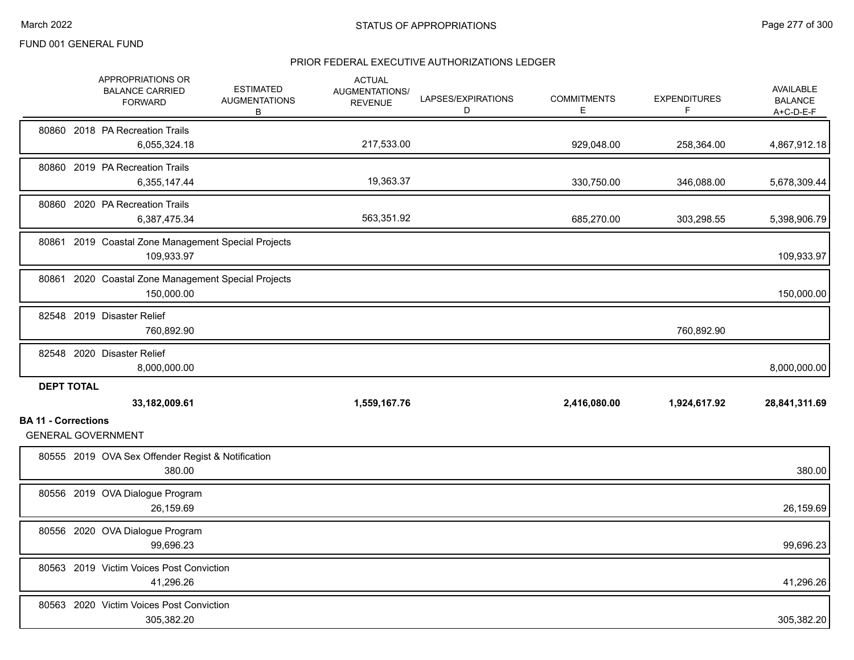|                            | APPROPRIATIONS OR<br><b>BALANCE CARRIED</b><br><b>FORWARD</b> | <b>ESTIMATED</b><br><b>AUGMENTATIONS</b><br>В | <b>ACTUAL</b><br>AUGMENTATIONS/<br><b>REVENUE</b> | LAPSES/EXPIRATIONS<br>D | <b>COMMITMENTS</b><br>Е | <b>EXPENDITURES</b><br>F | AVAILABLE<br><b>BALANCE</b><br>A+C-D-E-F |
|----------------------------|---------------------------------------------------------------|-----------------------------------------------|---------------------------------------------------|-------------------------|-------------------------|--------------------------|------------------------------------------|
|                            | 80860 2018 PA Recreation Trails<br>6,055,324.18               |                                               | 217,533.00                                        |                         | 929,048.00              | 258,364.00               | 4,867,912.18                             |
|                            | 80860 2019 PA Recreation Trails<br>6,355,147.44               |                                               | 19,363.37                                         |                         | 330,750.00              | 346,088.00               | 5,678,309.44                             |
|                            | 80860 2020 PA Recreation Trails<br>6,387,475.34               |                                               | 563,351.92                                        |                         | 685,270.00              | 303,298.55               | 5,398,906.79                             |
| 80861                      | 2019 Coastal Zone Management Special Projects<br>109,933.97   |                                               |                                                   |                         |                         |                          | 109,933.97                               |
| 80861                      | 2020 Coastal Zone Management Special Projects<br>150,000.00   |                                               |                                                   |                         |                         |                          | 150,000.00                               |
|                            | 82548 2019 Disaster Relief<br>760,892.90                      |                                               |                                                   |                         |                         | 760,892.90               |                                          |
|                            | 82548 2020 Disaster Relief<br>8,000,000.00                    |                                               |                                                   |                         |                         |                          | 8,000,000.00                             |
| <b>DEPT TOTAL</b>          | 33,182,009.61                                                 |                                               | 1,559,167.76                                      |                         | 2,416,080.00            | 1,924,617.92             | 28,841,311.69                            |
| <b>BA 11 - Corrections</b> | <b>GENERAL GOVERNMENT</b>                                     |                                               |                                                   |                         |                         |                          |                                          |
|                            | 80555 2019 OVA Sex Offender Regist & Notification<br>380.00   |                                               |                                                   |                         |                         |                          | 380.00                                   |
|                            | 80556 2019 OVA Dialogue Program<br>26,159.69                  |                                               |                                                   |                         |                         |                          | 26,159.69                                |
|                            | 80556 2020 OVA Dialogue Program<br>99,696.23                  |                                               |                                                   |                         |                         |                          | 99,696.23                                |
|                            | 80563 2019 Victim Voices Post Conviction<br>41,296.26         |                                               |                                                   |                         |                         |                          | 41,296.26                                |
|                            | 80563 2020 Victim Voices Post Conviction<br>305,382.20        |                                               |                                                   |                         |                         |                          | 305,382.20                               |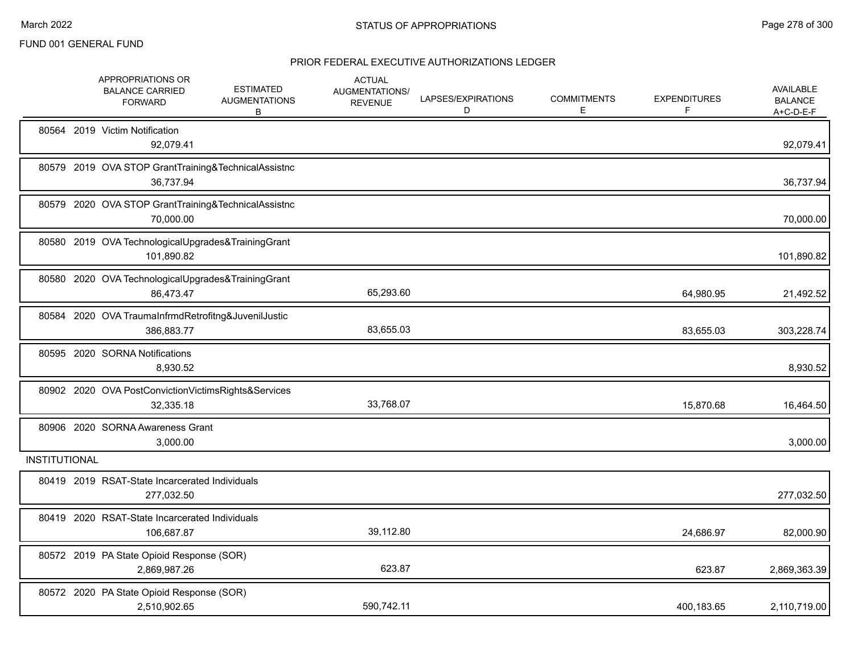|                      | APPROPRIATIONS OR<br><b>BALANCE CARRIED</b><br><b>FORWARD</b>     | <b>ESTIMATED</b><br><b>AUGMENTATIONS</b><br>B | <b>ACTUAL</b><br>AUGMENTATIONS/<br><b>REVENUE</b> | LAPSES/EXPIRATIONS<br>D | <b>COMMITMENTS</b><br>Е | <b>EXPENDITURES</b><br>F | <b>AVAILABLE</b><br><b>BALANCE</b><br>$A+C-D-E-F$ |
|----------------------|-------------------------------------------------------------------|-----------------------------------------------|---------------------------------------------------|-------------------------|-------------------------|--------------------------|---------------------------------------------------|
|                      | 80564 2019 Victim Notification<br>92,079.41                       |                                               |                                                   |                         |                         |                          | 92,079.41                                         |
|                      | 80579 2019 OVA STOP GrantTraining&TechnicalAssistnc<br>36,737.94  |                                               |                                                   |                         |                         |                          | 36,737.94                                         |
|                      | 80579 2020 OVA STOP GrantTraining&TechnicalAssistnc<br>70,000.00  |                                               |                                                   |                         |                         |                          | 70,000.00                                         |
|                      | 80580 2019 OVA TechnologicalUpgrades&TrainingGrant<br>101,890.82  |                                               |                                                   |                         |                         |                          | 101,890.82                                        |
|                      | 80580 2020 OVA TechnologicalUpgrades&TrainingGrant<br>86,473.47   |                                               | 65,293.60                                         |                         |                         | 64,980.95                | 21,492.52                                         |
|                      | 80584 2020 OVA TraumaInfrmdRetrofitng&JuvenilJustic<br>386,883.77 |                                               | 83,655.03                                         |                         |                         | 83,655.03                | 303,228.74                                        |
|                      | 80595 2020 SORNA Notifications<br>8,930.52                        |                                               |                                                   |                         |                         |                          | 8,930.52                                          |
|                      | 80902 2020 OVA PostConvictionVictimsRights&Services<br>32,335.18  |                                               | 33,768.07                                         |                         |                         | 15,870.68                | 16,464.50                                         |
|                      | 80906 2020 SORNA Awareness Grant<br>3,000.00                      |                                               |                                                   |                         |                         |                          | 3,000.00                                          |
| <b>INSTITUTIONAL</b> |                                                                   |                                               |                                                   |                         |                         |                          |                                                   |
|                      | 80419 2019 RSAT-State Incarcerated Individuals<br>277,032.50      |                                               |                                                   |                         |                         |                          | 277,032.50                                        |
|                      | 80419 2020 RSAT-State Incarcerated Individuals<br>106,687.87      |                                               | 39,112.80                                         |                         |                         | 24,686.97                | 82,000.90                                         |
|                      | 80572 2019 PA State Opioid Response (SOR)<br>2,869,987.26         |                                               | 623.87                                            |                         |                         | 623.87                   | 2,869,363.39                                      |
|                      | 80572 2020 PA State Opioid Response (SOR)<br>2,510,902.65         |                                               | 590,742.11                                        |                         |                         | 400,183.65               | 2,110,719.00                                      |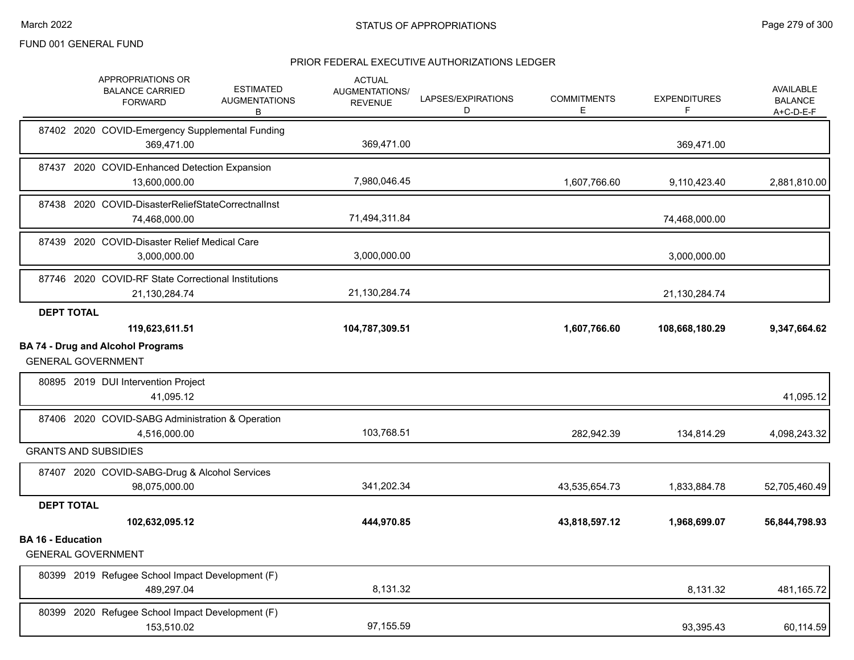|                          | APPROPRIATIONS OR<br><b>BALANCE CARRIED</b><br><b>FORWARD</b>         | <b>ESTIMATED</b><br><b>AUGMENTATIONS</b><br>В | <b>ACTUAL</b><br>AUGMENTATIONS/<br><b>REVENUE</b> | LAPSES/EXPIRATIONS<br>D | <b>COMMITMENTS</b><br>Е | <b>EXPENDITURES</b><br>F | <b>AVAILABLE</b><br><b>BALANCE</b><br>$A+C-D-E-F$ |
|--------------------------|-----------------------------------------------------------------------|-----------------------------------------------|---------------------------------------------------|-------------------------|-------------------------|--------------------------|---------------------------------------------------|
|                          | 87402 2020 COVID-Emergency Supplemental Funding<br>369,471.00         |                                               | 369,471.00                                        |                         |                         | 369,471.00               |                                                   |
|                          | 87437 2020 COVID-Enhanced Detection Expansion<br>13,600,000.00        |                                               | 7,980,046.45                                      |                         | 1,607,766.60            | 9,110,423.40             | 2,881,810.00                                      |
|                          | 87438 2020 COVID-DisasterReliefStateCorrectnalInst<br>74,468,000.00   |                                               | 71,494,311.84                                     |                         |                         | 74,468,000.00            |                                                   |
|                          | 87439 2020 COVID-Disaster Relief Medical Care<br>3,000,000.00         |                                               | 3,000,000.00                                      |                         |                         | 3,000,000.00             |                                                   |
|                          | 87746 2020 COVID-RF State Correctional Institutions<br>21,130,284.74  |                                               | 21,130,284.74                                     |                         |                         | 21,130,284.74            |                                                   |
| <b>DEPT TOTAL</b>        |                                                                       |                                               |                                                   |                         |                         |                          |                                                   |
|                          | 119,623,611.51                                                        |                                               | 104,787,309.51                                    |                         | 1,607,766.60            | 108,668,180.29           | 9,347,664.62                                      |
|                          | <b>BA 74 - Drug and Alcohol Programs</b><br><b>GENERAL GOVERNMENT</b> |                                               |                                                   |                         |                         |                          |                                                   |
|                          | 80895 2019 DUI Intervention Project<br>41,095.12                      |                                               |                                                   |                         |                         |                          | 41,095.12                                         |
|                          | 87406 2020 COVID-SABG Administration & Operation<br>4,516,000.00      |                                               | 103,768.51                                        |                         | 282,942.39              | 134,814.29               | 4,098,243.32                                      |
|                          | <b>GRANTS AND SUBSIDIES</b>                                           |                                               |                                                   |                         |                         |                          |                                                   |
|                          | 87407 2020 COVID-SABG-Drug & Alcohol Services<br>98,075,000.00        |                                               | 341.202.34                                        |                         | 43,535,654.73           | 1,833,884.78             | 52,705,460.49                                     |
| <b>DEPT TOTAL</b>        |                                                                       |                                               |                                                   |                         |                         |                          |                                                   |
|                          | 102,632,095.12                                                        |                                               | 444,970.85                                        |                         | 43,818,597.12           | 1,968,699.07             | 56,844,798.93                                     |
| <b>BA 16 - Education</b> | <b>GENERAL GOVERNMENT</b>                                             |                                               |                                                   |                         |                         |                          |                                                   |
|                          | 80399 2019 Refugee School Impact Development (F)<br>489,297.04        |                                               | 8,131.32                                          |                         |                         | 8,131.32                 | 481,165.72                                        |
|                          | 80399 2020 Refugee School Impact Development (F)<br>153.510.02        |                                               | 97,155.59                                         |                         |                         | 93,395.43                | 60,114.59                                         |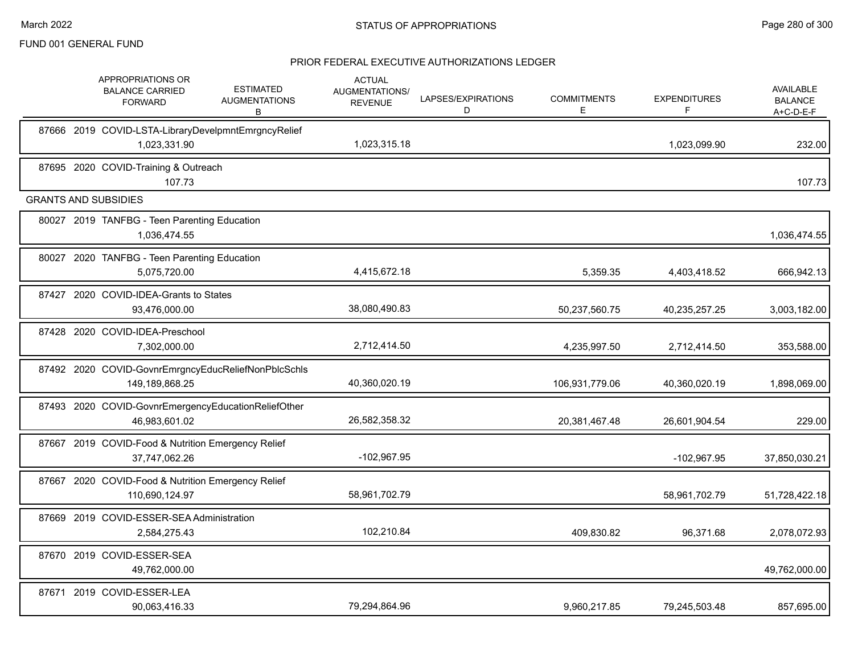|       | APPROPRIATIONS OR<br><b>BALANCE CARRIED</b><br><b>FORWARD</b>         | <b>ESTIMATED</b><br><b>AUGMENTATIONS</b><br>В | <b>ACTUAL</b><br>AUGMENTATIONS/<br><b>REVENUE</b> | LAPSES/EXPIRATIONS<br>D | <b>COMMITMENTS</b><br>E. | <b>EXPENDITURES</b><br>F | <b>AVAILABLE</b><br><b>BALANCE</b><br>A+C-D-E-F |
|-------|-----------------------------------------------------------------------|-----------------------------------------------|---------------------------------------------------|-------------------------|--------------------------|--------------------------|-------------------------------------------------|
|       | 87666 2019 COVID-LSTA-LibraryDevelpmntEmrgncyRelief<br>1,023,331.90   |                                               | 1,023,315.18                                      |                         |                          | 1,023,099.90             | 232.00                                          |
|       | 87695 2020 COVID-Training & Outreach<br>107.73                        |                                               |                                                   |                         |                          |                          | 107.73                                          |
|       | <b>GRANTS AND SUBSIDIES</b>                                           |                                               |                                                   |                         |                          |                          |                                                 |
|       | 80027 2019 TANFBG - Teen Parenting Education<br>1,036,474.55          |                                               |                                                   |                         |                          |                          | 1,036,474.55                                    |
|       | 80027 2020 TANFBG - Teen Parenting Education<br>5,075,720.00          |                                               | 4,415,672.18                                      |                         | 5,359.35                 | 4,403,418.52             | 666,942.13                                      |
| 87427 | 2020 COVID-IDEA-Grants to States<br>93,476,000.00                     |                                               | 38,080,490.83                                     |                         | 50,237,560.75            | 40,235,257.25            | 3,003,182.00                                    |
|       | 87428 2020 COVID-IDEA-Preschool<br>7,302,000.00                       |                                               | 2,712,414.50                                      |                         | 4,235,997.50             | 2,712,414.50             | 353,588.00                                      |
|       | 87492 2020 COVID-GovnrEmrgncyEducReliefNonPblcSchls<br>149,189,868.25 |                                               | 40,360,020.19                                     |                         | 106,931,779.06           | 40,360,020.19            | 1,898,069.00                                    |
|       | 87493 2020 COVID-GovnrEmergencyEducationReliefOther<br>46,983,601.02  |                                               | 26,582,358.32                                     |                         | 20,381,467.48            | 26,601,904.54            | 229.00                                          |
|       | 87667 2019 COVID-Food & Nutrition Emergency Relief<br>37,747,062.26   |                                               | $-102,967.95$                                     |                         |                          | -102,967.95              | 37,850,030.21                                   |
|       | 87667 2020 COVID-Food & Nutrition Emergency Relief<br>110,690,124.97  |                                               | 58,961,702.79                                     |                         |                          | 58,961,702.79            | 51,728,422.18                                   |
|       | 87669 2019 COVID-ESSER-SEA Administration<br>2,584,275.43             |                                               | 102,210.84                                        |                         | 409,830.82               | 96,371.68                | 2,078,072.93                                    |
|       | 87670 2019 COVID-ESSER-SEA<br>49,762,000.00                           |                                               |                                                   |                         |                          |                          | 49,762,000.00                                   |
|       | 87671 2019 COVID-ESSER-LEA<br>90.063.416.33                           |                                               | 79,294,864.96                                     |                         | 9,960,217.85             | 79,245,503.48            | 857,695.00                                      |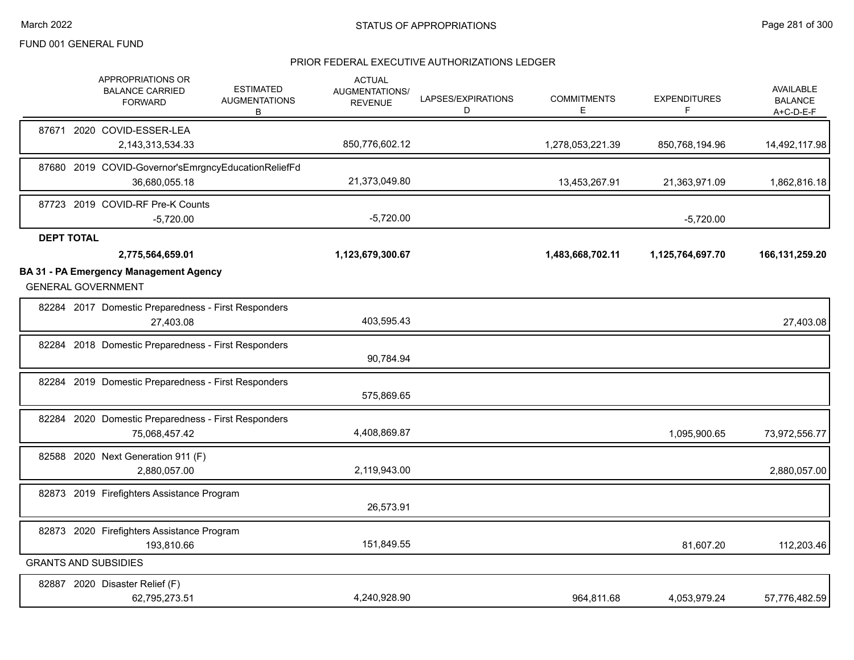|                   | APPROPRIATIONS OR<br><b>BALANCE CARRIED</b><br><b>FORWARD</b>              | <b>ESTIMATED</b><br><b>AUGMENTATIONS</b><br>В | <b>ACTUAL</b><br>AUGMENTATIONS/<br><b>REVENUE</b> | LAPSES/EXPIRATIONS<br>D | <b>COMMITMENTS</b><br>E | <b>EXPENDITURES</b><br>F | <b>AVAILABLE</b><br><b>BALANCE</b><br>A+C-D-E-F |
|-------------------|----------------------------------------------------------------------------|-----------------------------------------------|---------------------------------------------------|-------------------------|-------------------------|--------------------------|-------------------------------------------------|
|                   | 87671 2020 COVID-ESSER-LEA<br>2,143,313,534.33                             |                                               | 850,776,602.12                                    |                         | 1,278,053,221.39        | 850,768,194.96           | 14,492,117.98                                   |
|                   | 87680 2019 COVID-Governor'sEmrgncyEducationReliefFd<br>36,680,055.18       |                                               | 21,373,049.80                                     |                         | 13,453,267.91           | 21,363,971.09            | 1,862,816.18                                    |
|                   | 87723 2019 COVID-RF Pre-K Counts<br>$-5,720.00$                            |                                               | $-5,720.00$                                       |                         |                         | $-5,720.00$              |                                                 |
| <b>DEPT TOTAL</b> |                                                                            |                                               |                                                   |                         |                         |                          |                                                 |
|                   | 2,775,564,659.01                                                           |                                               | 1,123,679,300.67                                  |                         | 1,483,668,702.11        | 1,125,764,697.70         | 166, 131, 259. 20                               |
|                   | <b>BA 31 - PA Emergency Management Agency</b><br><b>GENERAL GOVERNMENT</b> |                                               |                                                   |                         |                         |                          |                                                 |
|                   | 82284 2017 Domestic Preparedness - First Responders<br>27,403.08           |                                               | 403,595.43                                        |                         |                         |                          | 27,403.08                                       |
|                   | 82284 2018 Domestic Preparedness - First Responders                        |                                               | 90,784.94                                         |                         |                         |                          |                                                 |
|                   | 82284 2019 Domestic Preparedness - First Responders                        |                                               | 575,869.65                                        |                         |                         |                          |                                                 |
|                   | 82284 2020 Domestic Preparedness - First Responders<br>75,068,457.42       |                                               | 4,408,869.87                                      |                         |                         | 1,095,900.65             | 73,972,556.77                                   |
|                   | 82588 2020 Next Generation 911 (F)<br>2,880,057.00                         |                                               | 2,119,943.00                                      |                         |                         |                          | 2,880,057.00                                    |
|                   | 82873 2019 Firefighters Assistance Program                                 |                                               | 26,573.91                                         |                         |                         |                          |                                                 |
|                   | 82873 2020 Firefighters Assistance Program<br>193,810.66                   |                                               | 151,849.55                                        |                         |                         | 81,607.20                | 112,203.46                                      |
|                   | <b>GRANTS AND SUBSIDIES</b>                                                |                                               |                                                   |                         |                         |                          |                                                 |
|                   | 82887 2020 Disaster Relief (F)<br>62,795,273.51                            |                                               | 4,240,928.90                                      |                         | 964.811.68              | 4,053,979.24             | 57,776,482.59                                   |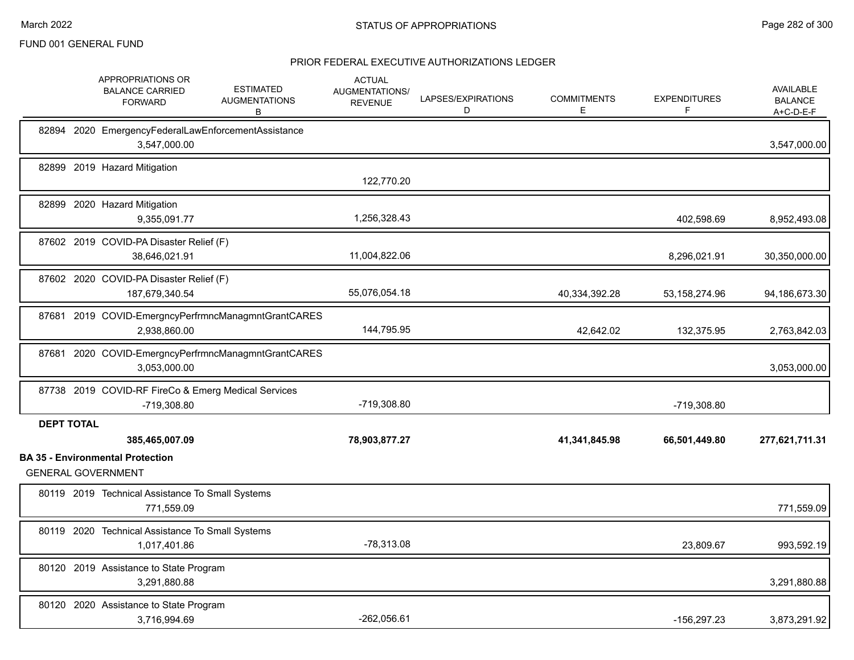|                   | APPROPRIATIONS OR<br><b>BALANCE CARRIED</b><br><b>FORWARD</b>                          | <b>ESTIMATED</b><br><b>AUGMENTATIONS</b><br>В       | <b>ACTUAL</b><br>AUGMENTATIONS/<br><b>REVENUE</b> | LAPSES/EXPIRATIONS<br>D | <b>COMMITMENTS</b><br>Е | <b>EXPENDITURES</b><br>E | AVAILABLE<br><b>BALANCE</b><br>$A+C-D-E-F$ |
|-------------------|----------------------------------------------------------------------------------------|-----------------------------------------------------|---------------------------------------------------|-------------------------|-------------------------|--------------------------|--------------------------------------------|
|                   | 82894 2020 EmergencyFederalLawEnforcementAssistance<br>3,547,000.00                    |                                                     |                                                   |                         |                         |                          | 3,547,000.00                               |
|                   | 82899 2019 Hazard Mitigation                                                           |                                                     | 122,770.20                                        |                         |                         |                          |                                            |
|                   | 82899 2020 Hazard Mitigation<br>9,355,091.77                                           |                                                     | 1,256,328.43                                      |                         |                         | 402,598.69               | 8,952,493.08                               |
|                   | 87602 2019 COVID-PA Disaster Relief (F)<br>38,646,021.91                               |                                                     | 11,004,822.06                                     |                         |                         | 8,296,021.91             | 30,350,000.00                              |
|                   | 87602 2020 COVID-PA Disaster Relief (F)<br>187,679,340.54                              |                                                     | 55,076,054.18                                     |                         | 40,334,392.28           | 53, 158, 274. 96         | 94,186,673.30                              |
|                   | 2,938,860.00                                                                           | 87681 2019 COVID-EmergncyPerfrmncManagmntGrantCARES | 144,795.95                                        |                         | 42,642.02               | 132,375.95               | 2,763,842.03                               |
|                   | 3,053,000.00                                                                           | 87681 2020 COVID-EmergncyPerfrmncManagmntGrantCARES |                                                   |                         |                         |                          | 3,053,000.00                               |
|                   | 87738 2019 COVID-RF FireCo & Emerg Medical Services<br>-719,308.80                     |                                                     | -719,308.80                                       |                         |                         | -719,308.80              |                                            |
| <b>DEPT TOTAL</b> |                                                                                        |                                                     |                                                   |                         |                         |                          |                                            |
|                   | 385,465,007.09<br><b>BA 35 - Environmental Protection</b><br><b>GENERAL GOVERNMENT</b> |                                                     | 78,903,877.27                                     |                         | 41,341,845.98           | 66,501,449.80            | 277,621,711.31                             |
|                   | 80119 2019 Technical Assistance To Small Systems<br>771,559.09                         |                                                     |                                                   |                         |                         |                          | 771,559.09                                 |
|                   | 80119 2020 Technical Assistance To Small Systems<br>1,017,401.86                       |                                                     | $-78,313.08$                                      |                         |                         | 23,809.67                | 993,592.19                                 |
|                   | 80120 2019 Assistance to State Program<br>3,291,880.88                                 |                                                     |                                                   |                         |                         |                          | 3,291,880.88                               |
|                   | 80120 2020 Assistance to State Program<br>3,716,994.69                                 |                                                     | $-262,056.61$                                     |                         |                         | -156,297.23              | 3,873,291.92                               |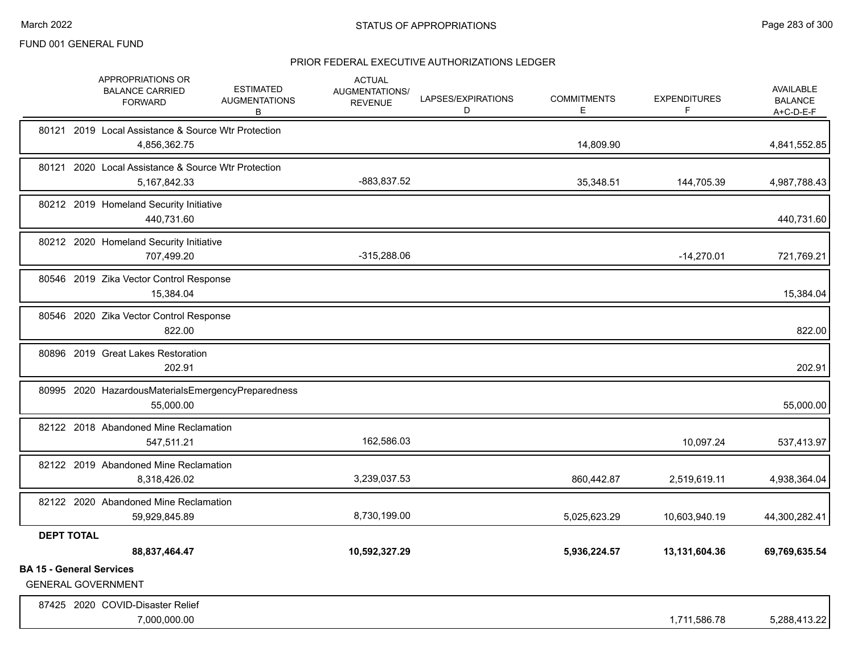|                                 |                   | APPROPRIATIONS OR<br><b>BALANCE CARRIED</b><br><b>FORWARD</b>          | <b>ESTIMATED</b><br><b>AUGMENTATIONS</b><br>В | <b>ACTUAL</b><br>AUGMENTATIONS/<br><b>REVENUE</b> | LAPSES/EXPIRATIONS<br>D | <b>COMMITMENTS</b><br>E | <b>EXPENDITURES</b><br>F | AVAILABLE<br><b>BALANCE</b><br>$A+C-D-E-F$ |
|---------------------------------|-------------------|------------------------------------------------------------------------|-----------------------------------------------|---------------------------------------------------|-------------------------|-------------------------|--------------------------|--------------------------------------------|
|                                 |                   | 80121 2019 Local Assistance & Source Wtr Protection<br>4,856,362.75    |                                               |                                                   |                         | 14,809.90               |                          | 4,841,552.85                               |
|                                 |                   | 80121 2020 Local Assistance & Source Wtr Protection<br>5, 167, 842. 33 |                                               | -883,837.52                                       |                         | 35,348.51               | 144,705.39               | 4,987,788.43                               |
|                                 |                   | 80212 2019 Homeland Security Initiative<br>440,731.60                  |                                               |                                                   |                         |                         |                          | 440,731.60                                 |
|                                 |                   | 80212 2020 Homeland Security Initiative<br>707,499.20                  |                                               | $-315,288.06$                                     |                         |                         | $-14,270.01$             | 721,769.21                                 |
|                                 |                   | 80546 2019 Zika Vector Control Response<br>15,384.04                   |                                               |                                                   |                         |                         |                          | 15,384.04                                  |
|                                 |                   | 80546 2020 Zika Vector Control Response<br>822.00                      |                                               |                                                   |                         |                         |                          | 822.00                                     |
|                                 |                   | 80896 2019 Great Lakes Restoration<br>202.91                           |                                               |                                                   |                         |                         |                          | 202.91                                     |
|                                 |                   | 80995 2020 HazardousMaterialsEmergencyPreparedness<br>55,000.00        |                                               |                                                   |                         |                         |                          | 55,000.00                                  |
|                                 |                   | 82122 2018 Abandoned Mine Reclamation<br>547,511.21                    |                                               | 162,586.03                                        |                         |                         | 10,097.24                | 537,413.97                                 |
|                                 |                   | 82122 2019 Abandoned Mine Reclamation<br>8,318,426.02                  |                                               | 3,239,037.53                                      |                         | 860,442.87              | 2,519,619.11             | 4,938,364.04                               |
|                                 |                   | 82122 2020 Abandoned Mine Reclamation<br>59,929,845.89                 |                                               | 8,730,199.00                                      |                         | 5,025,623.29            | 10,603,940.19            | 44,300,282.41                              |
|                                 | <b>DEPT TOTAL</b> | 88,837,464.47                                                          |                                               | 10,592,327.29                                     |                         | 5,936,224.57            | 13,131,604.36            | 69,769,635.54                              |
| <b>BA 15 - General Services</b> |                   | <b>GENERAL GOVERNMENT</b>                                              |                                               |                                                   |                         |                         |                          |                                            |
|                                 |                   | 87425 2020 COVID-Disaster Relief<br>7,000,000.00                       |                                               |                                                   |                         |                         | 1,711,586.78             | 5,288,413.22                               |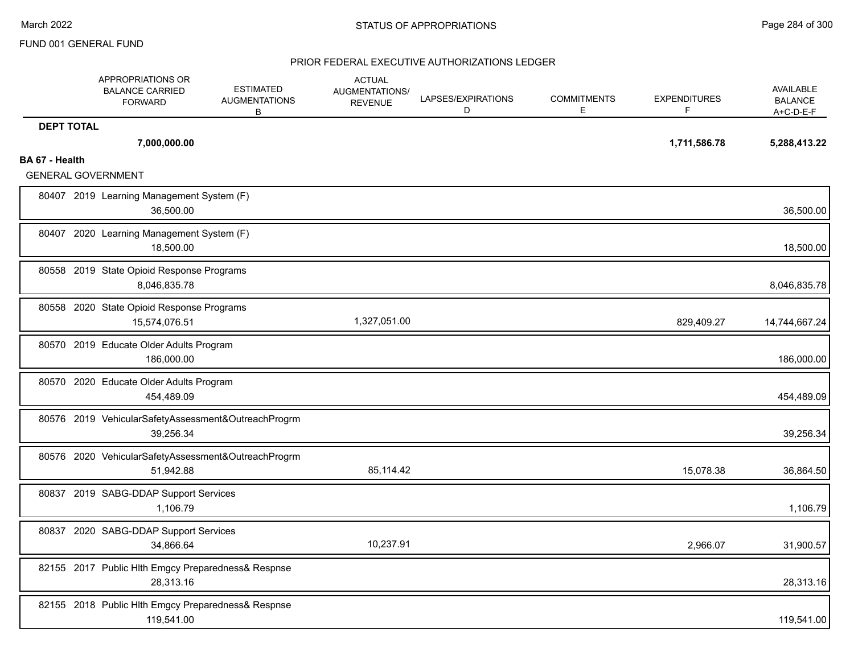|                   | APPROPRIATIONS OR<br><b>BALANCE CARRIED</b><br><b>FORWARD</b>    | <b>ESTIMATED</b><br><b>AUGMENTATIONS</b><br>В | <b>ACTUAL</b><br>AUGMENTATIONS/<br><b>REVENUE</b> | LAPSES/EXPIRATIONS<br>D | <b>COMMITMENTS</b><br>Е | <b>EXPENDITURES</b><br>F | <b>AVAILABLE</b><br><b>BALANCE</b><br>$A+C-D-E-F$ |
|-------------------|------------------------------------------------------------------|-----------------------------------------------|---------------------------------------------------|-------------------------|-------------------------|--------------------------|---------------------------------------------------|
| <b>DEPT TOTAL</b> | 7,000,000.00                                                     |                                               |                                                   |                         |                         | 1,711,586.78             | 5,288,413.22                                      |
| BA 67 - Health    | <b>GENERAL GOVERNMENT</b>                                        |                                               |                                                   |                         |                         |                          |                                                   |
|                   | 80407 2019 Learning Management System (F)<br>36,500.00           |                                               |                                                   |                         |                         |                          | 36,500.00                                         |
|                   | 80407 2020 Learning Management System (F)<br>18,500.00           |                                               |                                                   |                         |                         |                          | 18,500.00                                         |
|                   | 80558 2019 State Opioid Response Programs<br>8,046,835.78        |                                               |                                                   |                         |                         |                          | 8,046,835.78                                      |
|                   | 80558 2020 State Opioid Response Programs<br>15,574,076.51       |                                               | 1,327,051.00                                      |                         |                         | 829,409.27               | 14,744,667.24                                     |
|                   | 80570 2019 Educate Older Adults Program<br>186,000.00            |                                               |                                                   |                         |                         |                          | 186,000.00                                        |
|                   | 80570 2020 Educate Older Adults Program<br>454,489.09            |                                               |                                                   |                         |                         |                          | 454,489.09                                        |
|                   | 80576 2019 VehicularSafetyAssessment&OutreachProgrm<br>39,256.34 |                                               |                                                   |                         |                         |                          | 39,256.34                                         |
|                   | 80576 2020 VehicularSafetyAssessment&OutreachProgrm<br>51.942.88 |                                               | 85,114.42                                         |                         |                         | 15.078.38                | 36,864.50                                         |
|                   | 80837 2019 SABG-DDAP Support Services<br>1,106.79                |                                               |                                                   |                         |                         |                          | 1,106.79                                          |
|                   | 80837 2020 SABG-DDAP Support Services<br>34,866.64               |                                               | 10,237.91                                         |                         |                         | 2,966.07                 | 31,900.57                                         |
|                   | 82155 2017 Public Hlth Emgcy Preparedness& Respnse<br>28,313.16  |                                               |                                                   |                         |                         |                          | 28,313.16                                         |
|                   | 82155 2018 Public Hlth Emgcy Preparedness& Respnse<br>119,541.00 |                                               |                                                   |                         |                         |                          | 119,541.00                                        |
|                   |                                                                  |                                               |                                                   |                         |                         |                          |                                                   |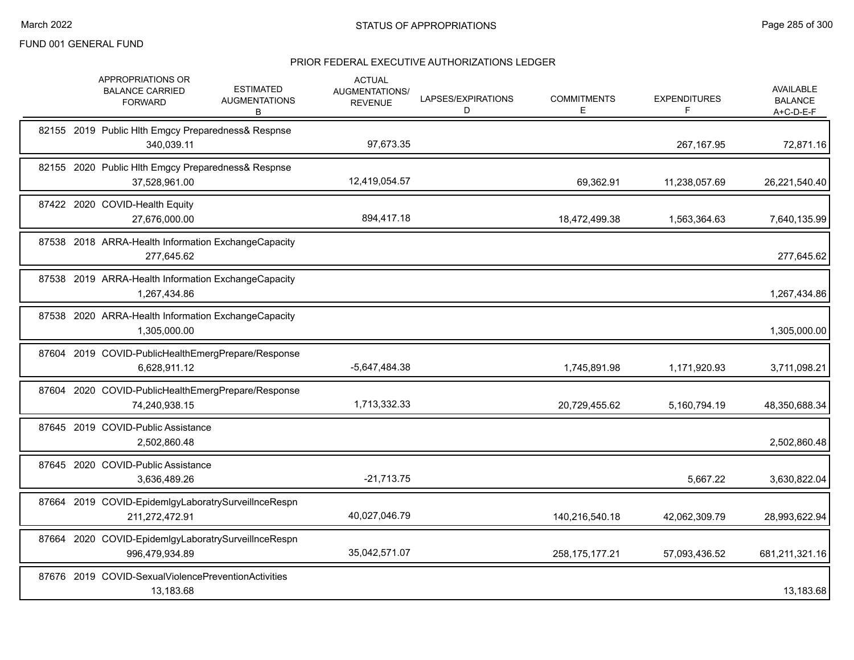|  | APPROPRIATIONS OR<br><b>BALANCE CARRIED</b><br><b>FORWARD</b>         | <b>ESTIMATED</b><br><b>AUGMENTATIONS</b><br>В | <b>ACTUAL</b><br><b>AUGMENTATIONS/</b><br><b>REVENUE</b> | LAPSES/EXPIRATIONS<br>D | <b>COMMITMENTS</b><br>Е | <b>EXPENDITURES</b><br>F | <b>AVAILABLE</b><br><b>BALANCE</b><br>A+C-D-E-F |
|--|-----------------------------------------------------------------------|-----------------------------------------------|----------------------------------------------------------|-------------------------|-------------------------|--------------------------|-------------------------------------------------|
|  | 82155 2019 Public Hlth Emgcy Preparedness& Respnse<br>340,039.11      |                                               | 97,673.35                                                |                         |                         | 267,167.95               | 72,871.16                                       |
|  | 82155 2020 Public Hlth Emgcy Preparedness& Respnse<br>37,528,961.00   |                                               | 12,419,054.57                                            |                         | 69,362.91               | 11,238,057.69            | 26,221,540.40                                   |
|  | 87422 2020 COVID-Health Equity<br>27,676,000.00                       |                                               | 894,417.18                                               |                         | 18,472,499.38           | 1,563,364.63             | 7,640,135.99                                    |
|  | 87538 2018 ARRA-Health Information ExchangeCapacity<br>277,645.62     |                                               |                                                          |                         |                         |                          | 277,645.62                                      |
|  | 87538 2019 ARRA-Health Information ExchangeCapacity<br>1,267,434.86   |                                               |                                                          |                         |                         |                          | 1,267,434.86                                    |
|  | 87538 2020 ARRA-Health Information ExchangeCapacity<br>1,305,000.00   |                                               |                                                          |                         |                         |                          | 1,305,000.00                                    |
|  | 87604 2019 COVID-PublicHealthEmergPrepare/Response<br>6,628,911.12    |                                               | -5,647,484.38                                            |                         | 1,745,891.98            | 1,171,920.93             | 3,711,098.21                                    |
|  | 87604 2020 COVID-PublicHealthEmergPrepare/Response<br>74,240,938.15   |                                               | 1,713,332.33                                             |                         | 20,729,455.62           | 5,160,794.19             | 48,350,688.34                                   |
|  | 87645 2019 COVID-Public Assistance<br>2,502,860.48                    |                                               |                                                          |                         |                         |                          | 2,502,860.48                                    |
|  | 87645 2020 COVID-Public Assistance<br>3,636,489.26                    |                                               | $-21,713.75$                                             |                         |                         | 5,667.22                 | 3,630,822.04                                    |
|  | 87664 2019 COVID-EpidemIgyLaboratrySurveilInceRespn<br>211,272,472.91 |                                               | 40,027,046.79                                            |                         | 140,216,540.18          | 42,062,309.79            | 28,993,622.94                                   |
|  | 87664 2020 COVID-EpidemIgyLaboratrySurveilInceRespn<br>996,479,934.89 |                                               | 35,042,571.07                                            |                         | 258, 175, 177. 21       | 57,093,436.52            | 681,211,321.16                                  |
|  | 87676 2019 COVID-SexualViolencePreventionActivities<br>13,183.68      |                                               |                                                          |                         |                         |                          | 13,183.68                                       |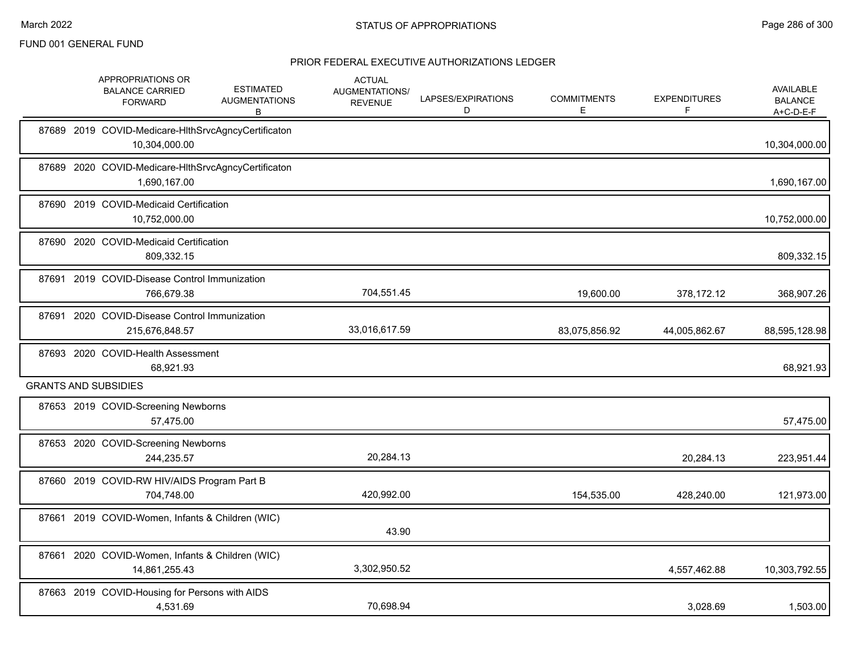|                             | APPROPRIATIONS OR<br><b>BALANCE CARRIED</b><br><b>FORWARD</b>        | <b>ESTIMATED</b><br><b>AUGMENTATIONS</b><br>В | <b>ACTUAL</b><br>AUGMENTATIONS/<br><b>REVENUE</b> | LAPSES/EXPIRATIONS<br>D | <b>COMMITMENTS</b><br>Е | <b>EXPENDITURES</b><br>F | AVAILABLE<br><b>BALANCE</b><br>A+C-D-E-F |
|-----------------------------|----------------------------------------------------------------------|-----------------------------------------------|---------------------------------------------------|-------------------------|-------------------------|--------------------------|------------------------------------------|
|                             | 87689 2019 COVID-Medicare-HIthSrvcAgncyCertificaton<br>10,304,000.00 |                                               |                                                   |                         |                         |                          | 10,304,000.00                            |
| 87689                       | 2020 COVID-Medicare-HIthSrvcAgncyCertificaton<br>1,690,167.00        |                                               |                                                   |                         |                         |                          | 1,690,167.00                             |
|                             | 87690 2019 COVID-Medicaid Certification<br>10,752,000.00             |                                               |                                                   |                         |                         |                          | 10,752,000.00                            |
|                             | 87690 2020 COVID-Medicaid Certification<br>809,332.15                |                                               |                                                   |                         |                         |                          | 809,332.15                               |
|                             | 87691 2019 COVID-Disease Control Immunization<br>766,679.38          |                                               | 704,551.45                                        |                         | 19,600.00               | 378,172.12               | 368,907.26                               |
|                             | 87691 2020 COVID-Disease Control Immunization<br>215,676,848.57      |                                               | 33,016,617.59                                     |                         | 83,075,856.92           | 44,005,862.67            | 88,595,128.98                            |
|                             | 87693 2020 COVID-Health Assessment<br>68,921.93                      |                                               |                                                   |                         |                         |                          | 68,921.93                                |
| <b>GRANTS AND SUBSIDIES</b> |                                                                      |                                               |                                                   |                         |                         |                          |                                          |
|                             | 87653 2019 COVID-Screening Newborns<br>57,475.00                     |                                               |                                                   |                         |                         |                          | 57,475.00                                |
|                             | 87653 2020 COVID-Screening Newborns<br>244,235.57                    |                                               | 20,284.13                                         |                         |                         | 20,284.13                | 223,951.44                               |
|                             | 87660 2019 COVID-RW HIV/AIDS Program Part B<br>704,748.00            |                                               | 420,992.00                                        |                         | 154,535.00              | 428,240.00               | 121,973.00                               |
|                             | 87661 2019 COVID-Women, Infants & Children (WIC)                     |                                               | 43.90                                             |                         |                         |                          |                                          |
|                             | 87661 2020 COVID-Women, Infants & Children (WIC)<br>14,861,255.43    |                                               | 3,302,950.52                                      |                         |                         | 4,557,462.88             | 10,303,792.55                            |
|                             | 87663 2019 COVID-Housing for Persons with AIDS<br>4,531.69           |                                               | 70,698.94                                         |                         |                         | 3,028.69                 | 1,503.00                                 |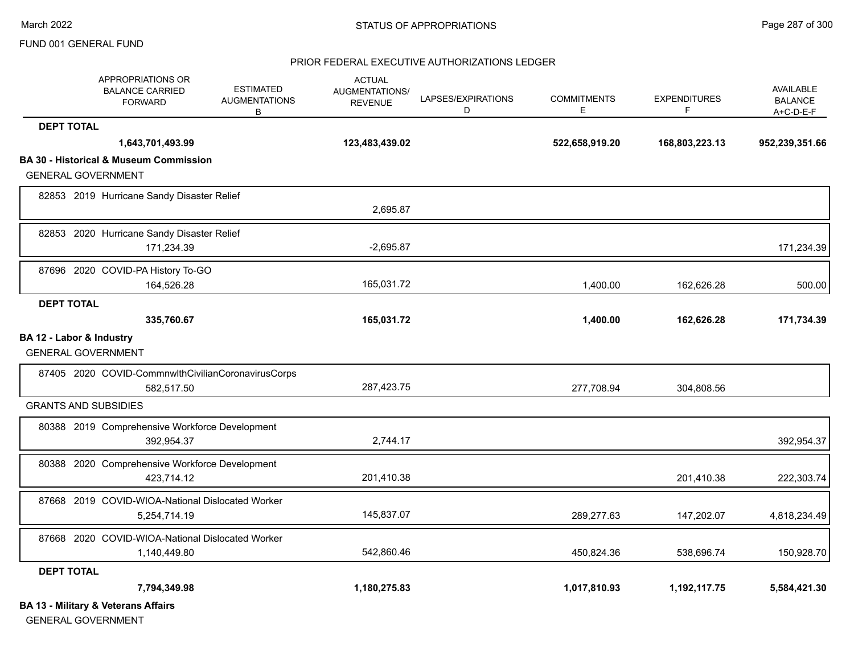#### PRIOR FEDERAL EXECUTIVE AUTHORIZATIONS LEDGER

|                          | APPROPRIATIONS OR<br><b>BALANCE CARRIED</b><br><b>FORWARD</b> | <b>ESTIMATED</b><br><b>AUGMENTATIONS</b><br>В | <b>ACTUAL</b><br>AUGMENTATIONS/<br><b>REVENUE</b> | LAPSES/EXPIRATIONS<br>D | <b>COMMITMENTS</b><br>E. | <b>EXPENDITURES</b><br>F | <b>AVAILABLE</b><br><b>BALANCE</b><br>A+C-D-E-F |
|--------------------------|---------------------------------------------------------------|-----------------------------------------------|---------------------------------------------------|-------------------------|--------------------------|--------------------------|-------------------------------------------------|
| <b>DEPT TOTAL</b>        |                                                               |                                               |                                                   |                         |                          |                          |                                                 |
|                          | 1,643,701,493.99                                              |                                               | 123,483,439.02                                    |                         | 522,658,919.20           | 168,803,223.13           | 952,239,351.66                                  |
|                          | <b>BA 30 - Historical &amp; Museum Commission</b>             |                                               |                                                   |                         |                          |                          |                                                 |
|                          | <b>GENERAL GOVERNMENT</b>                                     |                                               |                                                   |                         |                          |                          |                                                 |
|                          | 82853 2019 Hurricane Sandy Disaster Relief                    |                                               |                                                   |                         |                          |                          |                                                 |
|                          |                                                               |                                               | 2,695.87                                          |                         |                          |                          |                                                 |
|                          | 82853 2020 Hurricane Sandy Disaster Relief                    |                                               |                                                   |                         |                          |                          |                                                 |
|                          | 171,234.39                                                    |                                               | $-2,695.87$                                       |                         |                          |                          | 171,234.39                                      |
|                          | 87696 2020 COVID-PA History To-GO                             |                                               |                                                   |                         |                          |                          |                                                 |
|                          | 164,526.28                                                    |                                               | 165,031.72                                        |                         | 1,400.00                 | 162,626.28               | 500.00                                          |
| <b>DEPT TOTAL</b>        |                                                               |                                               |                                                   |                         |                          |                          |                                                 |
|                          | 335,760.67                                                    |                                               | 165,031.72                                        |                         | 1,400.00                 | 162,626.28               | 171,734.39                                      |
| BA 12 - Labor & Industry |                                                               |                                               |                                                   |                         |                          |                          |                                                 |
|                          | <b>GENERAL GOVERNMENT</b>                                     |                                               |                                                   |                         |                          |                          |                                                 |
|                          | 87405 2020 COVID-CommnwlthCivilianCoronavirusCorps            |                                               |                                                   |                         |                          |                          |                                                 |
|                          | 582,517.50                                                    |                                               | 287,423.75                                        |                         | 277,708.94               | 304,808.56               |                                                 |
|                          | <b>GRANTS AND SUBSIDIES</b>                                   |                                               |                                                   |                         |                          |                          |                                                 |
|                          | 80388 2019 Comprehensive Workforce Development                |                                               |                                                   |                         |                          |                          |                                                 |
|                          | 392,954.37                                                    |                                               | 2,744.17                                          |                         |                          |                          | 392,954.37                                      |
|                          | 80388 2020 Comprehensive Workforce Development                |                                               |                                                   |                         |                          |                          |                                                 |
|                          | 423,714.12                                                    |                                               | 201,410.38                                        |                         |                          | 201,410.38               | 222,303.74                                      |
|                          | 87668 2019 COVID-WIOA-National Dislocated Worker              |                                               |                                                   |                         |                          |                          |                                                 |
|                          | 5,254,714.19                                                  |                                               | 145,837.07                                        |                         | 289,277.63               | 147,202.07               | 4,818,234.49                                    |
|                          | 87668 2020 COVID-WIOA-National Dislocated Worker              |                                               |                                                   |                         |                          |                          |                                                 |
|                          | 1,140,449.80                                                  |                                               | 542,860.46                                        |                         | 450.824.36               | 538,696.74               | 150,928.70                                      |
| <b>DEPT TOTAL</b>        |                                                               |                                               |                                                   |                         |                          |                          |                                                 |
|                          | 7,794,349.98                                                  |                                               | 1,180,275.83                                      |                         | 1,017,810.93             | 1,192,117.75             | 5,584,421.30                                    |
|                          | <b>BA 13 - Military &amp; Veterans Affairs</b>                |                                               |                                                   |                         |                          |                          |                                                 |

GENERAL GOVERNMENT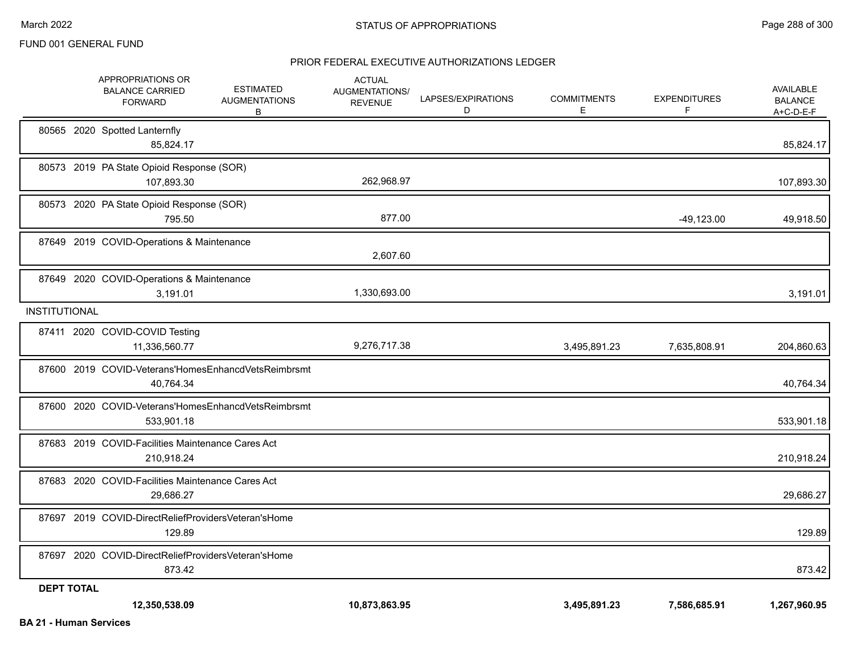|                      | APPROPRIATIONS OR<br><b>BALANCE CARRIED</b><br><b>FORWARD</b>     | <b>ESTIMATED</b><br><b>AUGMENTATIONS</b><br>В | <b>ACTUAL</b><br><b>AUGMENTATIONS/</b><br><b>REVENUE</b> | LAPSES/EXPIRATIONS<br>D | <b>COMMITMENTS</b><br>Е | <b>EXPENDITURES</b><br>F | AVAILABLE<br><b>BALANCE</b><br>$A+C-D-E-F$ |
|----------------------|-------------------------------------------------------------------|-----------------------------------------------|----------------------------------------------------------|-------------------------|-------------------------|--------------------------|--------------------------------------------|
|                      | 80565 2020 Spotted Lanternfly<br>85,824.17                        |                                               |                                                          |                         |                         |                          | 85,824.17                                  |
|                      | 80573 2019 PA State Opioid Response (SOR)<br>107,893.30           |                                               | 262,968.97                                               |                         |                         |                          | 107,893.30                                 |
|                      | 80573 2020 PA State Opioid Response (SOR)<br>795.50               |                                               | 877.00                                                   |                         |                         | $-49,123.00$             | 49,918.50                                  |
|                      | 87649 2019 COVID-Operations & Maintenance                         |                                               | 2,607.60                                                 |                         |                         |                          |                                            |
|                      | 87649 2020 COVID-Operations & Maintenance<br>3,191.01             |                                               | 1,330,693.00                                             |                         |                         |                          | 3,191.01                                   |
| <b>INSTITUTIONAL</b> |                                                                   |                                               |                                                          |                         |                         |                          |                                            |
|                      | 87411 2020 COVID-COVID Testing<br>11,336,560.77                   |                                               | 9,276,717.38                                             |                         | 3,495,891.23            | 7,635,808.91             | 204,860.63                                 |
|                      | 87600 2019 COVID-Veterans'HomesEnhancdVetsReimbrsmt<br>40,764.34  |                                               |                                                          |                         |                         |                          | 40,764.34                                  |
|                      | 87600 2020 COVID-Veterans'HomesEnhancdVetsReimbrsmt<br>533,901.18 |                                               |                                                          |                         |                         |                          | 533,901.18                                 |
|                      | 87683 2019 COVID-Facilities Maintenance Cares Act<br>210,918.24   |                                               |                                                          |                         |                         |                          | 210,918.24                                 |
|                      | 87683 2020 COVID-Facilities Maintenance Cares Act<br>29.686.27    |                                               |                                                          |                         |                         |                          | 29,686.27                                  |
|                      | 87697 2019 COVID-DirectReliefProvidersVeteran'sHome<br>129.89     |                                               |                                                          |                         |                         |                          | 129.89                                     |
|                      | 87697 2020 COVID-DirectReliefProvidersVeteran'sHome<br>873.42     |                                               |                                                          |                         |                         |                          | 873.42                                     |
| <b>DEPT TOTAL</b>    | 12,350,538.09                                                     |                                               | 10,873,863.95                                            |                         | 3,495,891.23            | 7,586,685.91             | 1,267,960.95                               |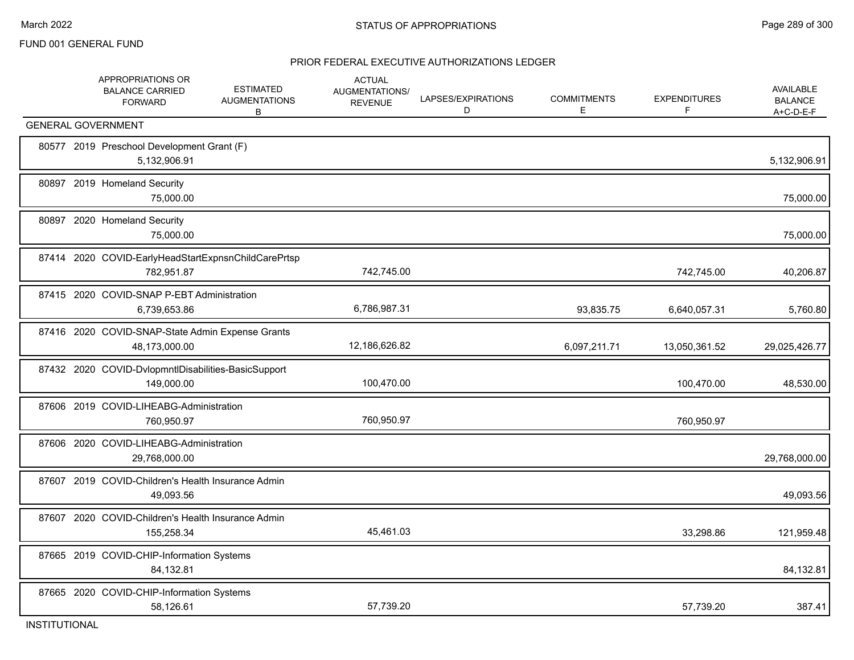|  | APPROPRIATIONS OR<br><b>BALANCE CARRIED</b><br><b>FORWARD</b>     | <b>ESTIMATED</b><br><b>AUGMENTATIONS</b><br>B | <b>ACTUAL</b><br><b>AUGMENTATIONS/</b><br><b>REVENUE</b> | LAPSES/EXPIRATIONS<br>D | <b>COMMITMENTS</b><br>E. | <b>EXPENDITURES</b><br>F | <b>AVAILABLE</b><br><b>BALANCE</b><br>A+C-D-E-F |
|--|-------------------------------------------------------------------|-----------------------------------------------|----------------------------------------------------------|-------------------------|--------------------------|--------------------------|-------------------------------------------------|
|  | <b>GENERAL GOVERNMENT</b>                                         |                                               |                                                          |                         |                          |                          |                                                 |
|  | 80577 2019 Preschool Development Grant (F)<br>5,132,906.91        |                                               |                                                          |                         |                          |                          | 5,132,906.91                                    |
|  | 80897 2019 Homeland Security<br>75,000.00                         |                                               |                                                          |                         |                          |                          | 75,000.00                                       |
|  | 80897 2020 Homeland Security<br>75,000.00                         |                                               |                                                          |                         |                          |                          | 75,000.00                                       |
|  | 87414 2020 COVID-EarlyHeadStartExpnsnChildCarePrtsp<br>782.951.87 |                                               | 742,745.00                                               |                         |                          | 742,745.00               | 40,206.87                                       |
|  | 87415 2020 COVID-SNAP P-EBT Administration<br>6,739,653.86        |                                               | 6,786,987.31                                             |                         | 93,835.75                | 6,640,057.31             | 5,760.80                                        |
|  | 87416 2020 COVID-SNAP-State Admin Expense Grants<br>48,173,000.00 |                                               | 12,186,626.82                                            |                         | 6,097,211.71             | 13,050,361.52            | 29,025,426.77                                   |
|  | 87432 2020 COVID-DvlopmntIDisabilities-BasicSupport<br>149,000.00 |                                               | 100,470.00                                               |                         |                          | 100,470.00               | 48,530.00                                       |
|  | 87606 2019 COVID-LIHEABG-Administration<br>760,950.97             |                                               | 760,950.97                                               |                         |                          | 760,950.97               |                                                 |
|  | 87606 2020 COVID-LIHEABG-Administration<br>29,768,000.00          |                                               |                                                          |                         |                          |                          | 29,768,000.00                                   |
|  | 87607 2019 COVID-Children's Health Insurance Admin<br>49,093.56   |                                               |                                                          |                         |                          |                          | 49,093.56                                       |
|  | 87607 2020 COVID-Children's Health Insurance Admin<br>155.258.34  |                                               | 45,461.03                                                |                         |                          | 33,298.86                | 121,959.48                                      |
|  | 87665 2019 COVID-CHIP-Information Systems<br>84,132.81            |                                               |                                                          |                         |                          |                          | 84,132.81                                       |
|  | 87665 2020 COVID-CHIP-Information Systems<br>58,126.61            |                                               | 57,739.20                                                |                         |                          | 57,739.20                | 387.41                                          |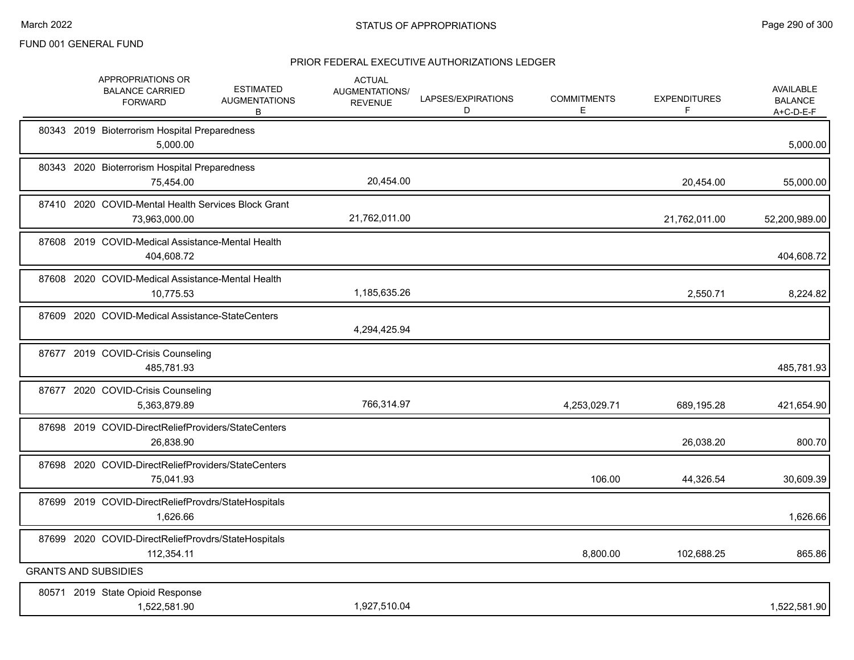|  | APPROPRIATIONS OR<br><b>BALANCE CARRIED</b><br><b>FORWARD</b>        | <b>ESTIMATED</b><br><b>AUGMENTATIONS</b><br>В | <b>ACTUAL</b><br>AUGMENTATIONS/<br><b>REVENUE</b> | LAPSES/EXPIRATIONS<br>D | <b>COMMITMENTS</b><br>E. | <b>EXPENDITURES</b><br>F | <b>AVAILABLE</b><br><b>BALANCE</b><br>$A+C-D-E-F$ |
|--|----------------------------------------------------------------------|-----------------------------------------------|---------------------------------------------------|-------------------------|--------------------------|--------------------------|---------------------------------------------------|
|  | 80343 2019 Bioterrorism Hospital Preparedness<br>5,000.00            |                                               |                                                   |                         |                          |                          | 5,000.00                                          |
|  | 80343 2020 Bioterrorism Hospital Preparedness<br>75,454.00           |                                               | 20,454.00                                         |                         |                          | 20,454.00                | 55,000.00                                         |
|  | 87410 2020 COVID-Mental Health Services Block Grant<br>73,963,000.00 |                                               | 21,762,011.00                                     |                         |                          | 21,762,011.00            | 52,200,989.00                                     |
|  | 87608 2019 COVID-Medical Assistance-Mental Health<br>404,608.72      |                                               |                                                   |                         |                          |                          | 404,608.72                                        |
|  | 87608 2020 COVID-Medical Assistance-Mental Health<br>10,775.53       |                                               | 1,185,635.26                                      |                         |                          | 2,550.71                 | 8,224.82                                          |
|  | 87609 2020 COVID-Medical Assistance-StateCenters                     |                                               | 4,294,425.94                                      |                         |                          |                          |                                                   |
|  | 87677 2019 COVID-Crisis Counseling<br>485,781.93                     |                                               |                                                   |                         |                          |                          | 485,781.93                                        |
|  | 87677 2020 COVID-Crisis Counseling<br>5,363,879.89                   |                                               | 766,314.97                                        |                         | 4,253,029.71             | 689,195.28               | 421,654.90                                        |
|  | 87698 2019 COVID-DirectReliefProviders/StateCenters<br>26,838.90     |                                               |                                                   |                         |                          | 26,038.20                | 800.70                                            |
|  | 87698 2020 COVID-DirectReliefProviders/StateCenters<br>75,041.93     |                                               |                                                   |                         | 106.00                   | 44,326.54                | 30,609.39                                         |
|  | 87699 2019 COVID-DirectReliefProvdrs/StateHospitals<br>1,626.66      |                                               |                                                   |                         |                          |                          | 1,626.66                                          |
|  | 87699 2020 COVID-DirectReliefProvdrs/StateHospitals<br>112,354.11    |                                               |                                                   |                         | 8,800.00                 | 102,688.25               | 865.86                                            |
|  | <b>GRANTS AND SUBSIDIES</b>                                          |                                               |                                                   |                         |                          |                          |                                                   |
|  | 80571 2019 State Opioid Response<br>1,522,581.90                     |                                               | 1,927,510.04                                      |                         |                          |                          | 1,522,581.90                                      |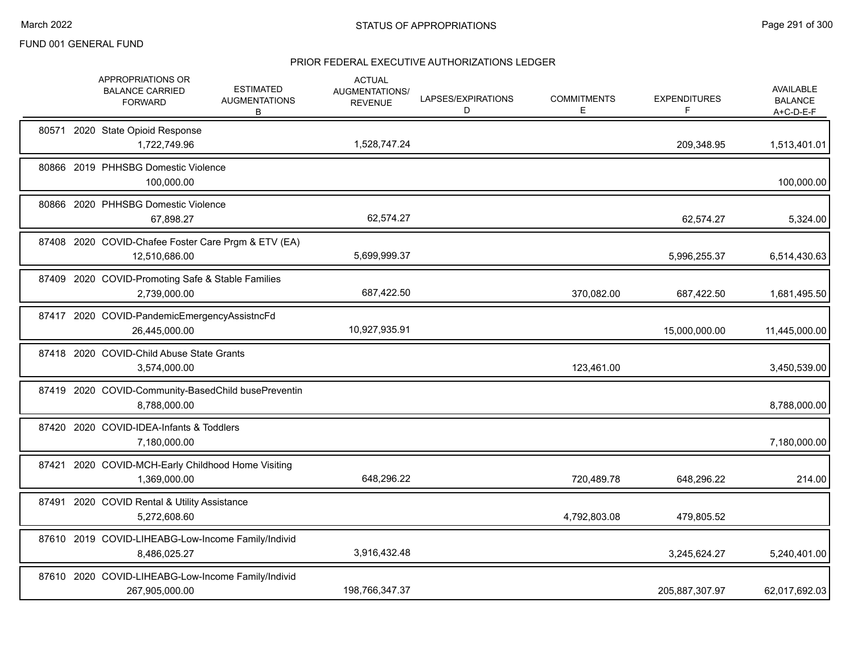|       | APPROPRIATIONS OR<br><b>BALANCE CARRIED</b><br><b>FORWARD</b>        | <b>ESTIMATED</b><br><b>AUGMENTATIONS</b><br>В | <b>ACTUAL</b><br><b>AUGMENTATIONS/</b><br><b>REVENUE</b> | LAPSES/EXPIRATIONS<br>D | <b>COMMITMENTS</b><br>Е | <b>EXPENDITURES</b><br>F | <b>AVAILABLE</b><br><b>BALANCE</b><br>$A+C-D-E-F$ |
|-------|----------------------------------------------------------------------|-----------------------------------------------|----------------------------------------------------------|-------------------------|-------------------------|--------------------------|---------------------------------------------------|
|       | 80571 2020 State Opioid Response<br>1,722,749.96                     |                                               | 1,528,747.24                                             |                         |                         | 209,348.95               | 1,513,401.01                                      |
|       | 80866 2019 PHHSBG Domestic Violence<br>100,000.00                    |                                               |                                                          |                         |                         |                          | 100,000.00                                        |
|       | 80866 2020 PHHSBG Domestic Violence<br>67,898.27                     |                                               | 62,574.27                                                |                         |                         | 62,574.27                | 5,324.00                                          |
|       | 87408 2020 COVID-Chafee Foster Care Prgm & ETV (EA)<br>12,510,686.00 |                                               | 5,699,999.37                                             |                         |                         | 5,996,255.37             | 6,514,430.63                                      |
|       | 87409 2020 COVID-Promoting Safe & Stable Families<br>2,739,000.00    |                                               | 687,422.50                                               |                         | 370,082.00              | 687,422.50               | 1,681,495.50                                      |
|       | 87417 2020 COVID-PandemicEmergencyAssistncFd<br>26,445,000.00        |                                               | 10,927,935.91                                            |                         |                         | 15,000,000.00            | 11,445,000.00                                     |
|       | 87418 2020 COVID-Child Abuse State Grants<br>3,574,000.00            |                                               |                                                          |                         | 123,461.00              |                          | 3,450,539.00                                      |
|       | 87419 2020 COVID-Community-BasedChild busePreventin<br>8,788,000.00  |                                               |                                                          |                         |                         |                          | 8,788,000.00                                      |
| 87420 | 2020 COVID-IDEA-Infants & Toddlers<br>7,180,000.00                   |                                               |                                                          |                         |                         |                          | 7,180,000.00                                      |
| 87421 | 2020 COVID-MCH-Early Childhood Home Visiting<br>1,369,000.00         |                                               | 648,296.22                                               |                         | 720,489.78              | 648,296.22               | 214.00                                            |
|       | 87491 2020 COVID Rental & Utility Assistance<br>5,272,608.60         |                                               |                                                          |                         | 4,792,803.08            | 479,805.52               |                                                   |
|       | 87610 2019 COVID-LIHEABG-Low-Income Family/Individ<br>8,486,025.27   |                                               | 3,916,432.48                                             |                         |                         | 3,245,624.27             | 5,240,401.00                                      |
|       | 87610 2020 COVID-LIHEABG-Low-Income Family/Individ<br>267,905,000.00 |                                               | 198,766,347.37                                           |                         |                         | 205,887,307.97           | 62,017,692.03                                     |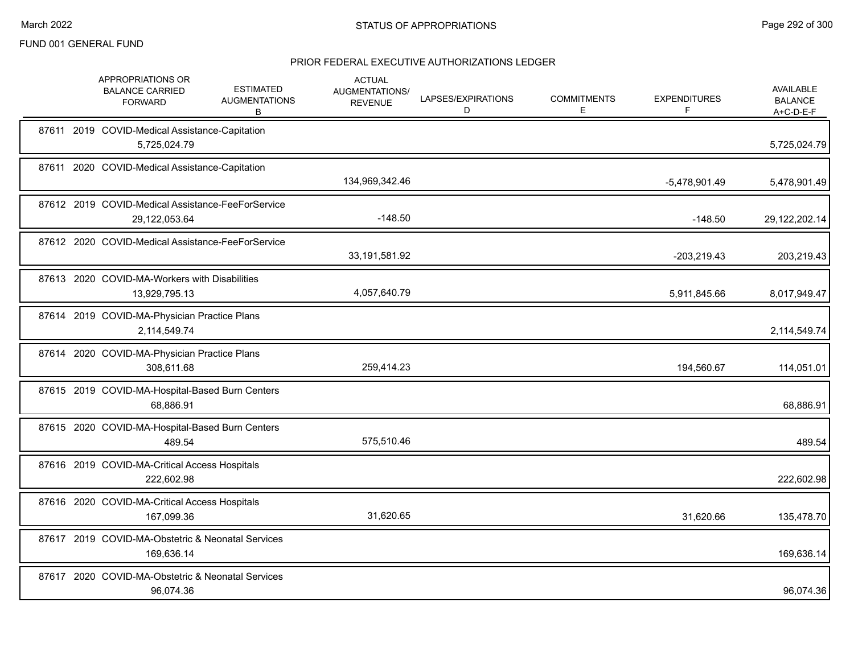|  | APPROPRIATIONS OR<br><b>BALANCE CARRIED</b><br><b>FORWARD</b>      | <b>ESTIMATED</b><br><b>AUGMENTATIONS</b><br>В | <b>ACTUAL</b><br>AUGMENTATIONS/<br><b>REVENUE</b> | LAPSES/EXPIRATIONS<br>D | <b>COMMITMENTS</b><br>E. | <b>EXPENDITURES</b><br>F | AVAILABLE<br><b>BALANCE</b><br>$A+C-D-E-F$ |
|--|--------------------------------------------------------------------|-----------------------------------------------|---------------------------------------------------|-------------------------|--------------------------|--------------------------|--------------------------------------------|
|  | 87611 2019 COVID-Medical Assistance-Capitation<br>5,725,024.79     |                                               |                                                   |                         |                          |                          | 5,725,024.79                               |
|  | 87611 2020 COVID-Medical Assistance-Capitation                     |                                               | 134,969,342.46                                    |                         |                          | $-5,478,901.49$          | 5,478,901.49                               |
|  | 87612 2019 COVID-Medical Assistance-FeeForService<br>29,122,053.64 |                                               | $-148.50$                                         |                         |                          | $-148.50$                | 29,122,202.14                              |
|  | 87612 2020 COVID-Medical Assistance-FeeForService                  |                                               | 33,191,581.92                                     |                         |                          | $-203,219.43$            | 203,219.43                                 |
|  | 87613 2020 COVID-MA-Workers with Disabilities<br>13,929,795.13     |                                               | 4,057,640.79                                      |                         |                          | 5,911,845.66             | 8,017,949.47                               |
|  | 87614 2019 COVID-MA-Physician Practice Plans<br>2,114,549.74       |                                               |                                                   |                         |                          |                          | 2,114,549.74                               |
|  | 87614 2020 COVID-MA-Physician Practice Plans<br>308,611.68         |                                               | 259,414.23                                        |                         |                          | 194,560.67               | 114,051.01                                 |
|  | 87615 2019 COVID-MA-Hospital-Based Burn Centers<br>68,886.91       |                                               |                                                   |                         |                          |                          | 68,886.91                                  |
|  | 87615 2020 COVID-MA-Hospital-Based Burn Centers<br>489.54          |                                               | 575,510.46                                        |                         |                          |                          | 489.54                                     |
|  | 87616 2019 COVID-MA-Critical Access Hospitals<br>222,602.98        |                                               |                                                   |                         |                          |                          | 222,602.98                                 |
|  | 87616 2020 COVID-MA-Critical Access Hospitals<br>167,099.36        |                                               | 31,620.65                                         |                         |                          | 31,620.66                | 135,478.70                                 |
|  | 87617 2019 COVID-MA-Obstetric & Neonatal Services<br>169,636.14    |                                               |                                                   |                         |                          |                          | 169,636.14                                 |
|  | 87617 2020 COVID-MA-Obstetric & Neonatal Services<br>96,074.36     |                                               |                                                   |                         |                          |                          | 96,074.36                                  |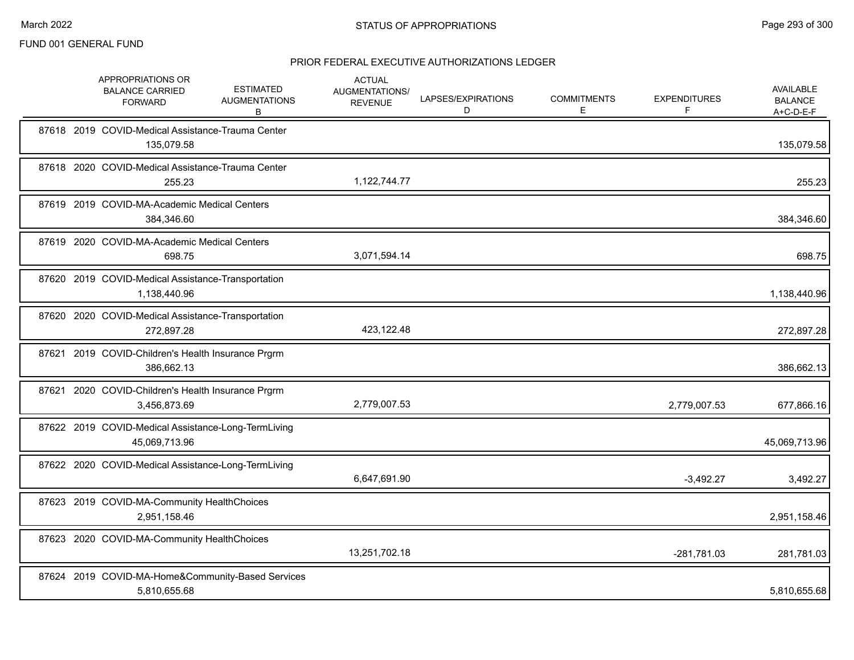|       | APPROPRIATIONS OR<br><b>BALANCE CARRIED</b><br><b>FORWARD</b>        | <b>ESTIMATED</b><br><b>AUGMENTATIONS</b><br>В | <b>ACTUAL</b><br>AUGMENTATIONS/<br><b>REVENUE</b> | LAPSES/EXPIRATIONS<br>D | <b>COMMITMENTS</b><br>Е | <b>EXPENDITURES</b><br>F | <b>AVAILABLE</b><br><b>BALANCE</b><br>A+C-D-E-F |
|-------|----------------------------------------------------------------------|-----------------------------------------------|---------------------------------------------------|-------------------------|-------------------------|--------------------------|-------------------------------------------------|
|       | 87618 2019 COVID-Medical Assistance-Trauma Center<br>135,079.58      |                                               |                                                   |                         |                         |                          | 135,079.58                                      |
|       | 87618 2020 COVID-Medical Assistance-Trauma Center<br>255.23          |                                               | 1,122,744.77                                      |                         |                         |                          | 255.23                                          |
|       | 87619 2019 COVID-MA-Academic Medical Centers<br>384,346.60           |                                               |                                                   |                         |                         |                          | 384,346.60                                      |
|       | 87619 2020 COVID-MA-Academic Medical Centers<br>698.75               |                                               | 3,071,594.14                                      |                         |                         |                          | 698.75                                          |
|       | 87620 2019 COVID-Medical Assistance-Transportation<br>1,138,440.96   |                                               |                                                   |                         |                         |                          | 1,138,440.96                                    |
|       | 87620 2020 COVID-Medical Assistance-Transportation<br>272,897.28     |                                               | 423,122.48                                        |                         |                         |                          | 272,897.28                                      |
|       | 87621 2019 COVID-Children's Health Insurance Prgrm<br>386,662.13     |                                               |                                                   |                         |                         |                          | 386,662.13                                      |
| 87621 | 2020 COVID-Children's Health Insurance Prgrm<br>3,456,873.69         |                                               | 2,779,007.53                                      |                         |                         | 2,779,007.53             | 677,866.16                                      |
|       | 87622 2019 COVID-Medical Assistance-Long-TermLiving<br>45,069,713.96 |                                               |                                                   |                         |                         |                          | 45,069,713.96                                   |
|       | 87622 2020 COVID-Medical Assistance-Long-TermLiving                  |                                               | 6,647,691.90                                      |                         |                         | $-3,492.27$              | 3,492.27                                        |
|       | 87623 2019 COVID-MA-Community HealthChoices<br>2,951,158.46          |                                               |                                                   |                         |                         |                          | 2,951,158.46                                    |
|       | 87623 2020 COVID-MA-Community HealthChoices                          |                                               | 13,251,702.18                                     |                         |                         | -281,781.03              | 281,781.03                                      |
|       | 87624 2019 COVID-MA-Home&Community-Based Services<br>5,810,655.68    |                                               |                                                   |                         |                         |                          | 5,810,655.68                                    |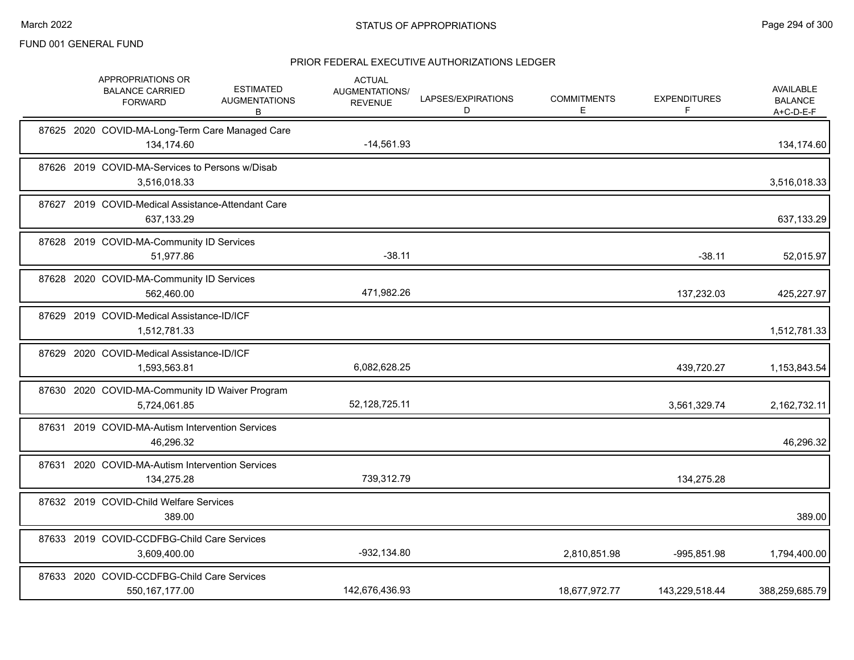|       | APPROPRIATIONS OR<br><b>BALANCE CARRIED</b><br><b>FORWARD</b>    | <b>ESTIMATED</b><br><b>AUGMENTATIONS</b><br>В | <b>ACTUAL</b><br>AUGMENTATIONS/<br><b>REVENUE</b> | LAPSES/EXPIRATIONS<br>D | <b>COMMITMENTS</b><br>Е | <b>EXPENDITURES</b><br>F | <b>AVAILABLE</b><br><b>BALANCE</b><br>A+C-D-E-F |
|-------|------------------------------------------------------------------|-----------------------------------------------|---------------------------------------------------|-------------------------|-------------------------|--------------------------|-------------------------------------------------|
|       | 87625 2020 COVID-MA-Long-Term Care Managed Care<br>134,174.60    |                                               | $-14,561.93$                                      |                         |                         |                          | 134,174.60                                      |
|       | 87626 2019 COVID-MA-Services to Persons w/Disab<br>3,516,018.33  |                                               |                                                   |                         |                         |                          | 3,516,018.33                                    |
|       | 87627 2019 COVID-Medical Assistance-Attendant Care<br>637,133.29 |                                               |                                                   |                         |                         |                          | 637,133.29                                      |
|       | 87628 2019 COVID-MA-Community ID Services<br>51,977.86           |                                               | $-38.11$                                          |                         |                         | $-38.11$                 | 52,015.97                                       |
|       | 87628 2020 COVID-MA-Community ID Services<br>562,460.00          |                                               | 471,982.26                                        |                         |                         | 137,232.03               | 425,227.97                                      |
|       | 87629 2019 COVID-Medical Assistance-ID/ICF<br>1,512,781.33       |                                               |                                                   |                         |                         |                          | 1,512,781.33                                    |
| 87629 | 2020 COVID-Medical Assistance-ID/ICF<br>1,593,563.81             |                                               | 6,082,628.25                                      |                         |                         | 439,720.27               | 1,153,843.54                                    |
|       | 87630 2020 COVID-MA-Community ID Waiver Program<br>5,724,061.85  |                                               | 52,128,725.11                                     |                         |                         | 3,561,329.74             | 2,162,732.11                                    |
|       | 87631 2019 COVID-MA-Autism Intervention Services<br>46,296.32    |                                               |                                                   |                         |                         |                          | 46,296.32                                       |
|       | 87631 2020 COVID-MA-Autism Intervention Services<br>134,275.28   |                                               | 739,312.79                                        |                         |                         | 134,275.28               |                                                 |
|       | 87632 2019 COVID-Child Welfare Services<br>389.00                |                                               |                                                   |                         |                         |                          | 389.00                                          |
|       | 87633 2019 COVID-CCDFBG-Child Care Services<br>3,609,400.00      |                                               | $-932, 134.80$                                    |                         | 2,810,851.98            | -995,851.98              | 1,794,400.00                                    |
|       | 87633 2020 COVID-CCDFBG-Child Care Services<br>550, 167, 177.00  |                                               | 142,676,436.93                                    |                         | 18,677,972.77           | 143,229,518.44           | 388,259,685.79                                  |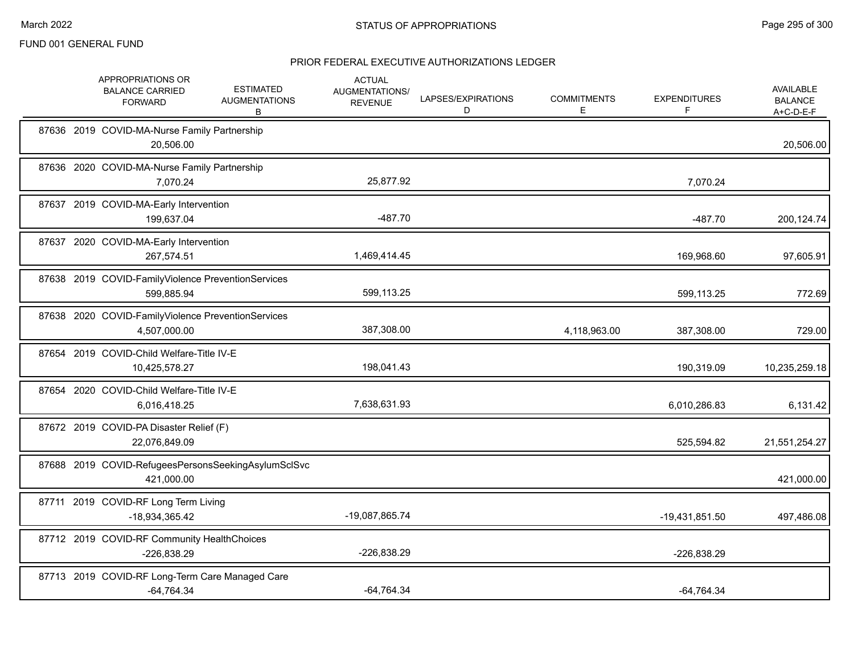|  | APPROPRIATIONS OR<br><b>BALANCE CARRIED</b><br><b>FORWARD</b>      | <b>ESTIMATED</b><br><b>AUGMENTATIONS</b><br>В | <b>ACTUAL</b><br>AUGMENTATIONS/<br><b>REVENUE</b> | LAPSES/EXPIRATIONS<br>D | <b>COMMITMENTS</b><br>Е | <b>EXPENDITURES</b><br>F | <b>AVAILABLE</b><br><b>BALANCE</b><br>A+C-D-E-F |
|--|--------------------------------------------------------------------|-----------------------------------------------|---------------------------------------------------|-------------------------|-------------------------|--------------------------|-------------------------------------------------|
|  | 87636 2019 COVID-MA-Nurse Family Partnership<br>20,506.00          |                                               |                                                   |                         |                         |                          | 20,506.00                                       |
|  | 87636 2020 COVID-MA-Nurse Family Partnership<br>7,070.24           |                                               | 25,877.92                                         |                         |                         | 7,070.24                 |                                                 |
|  | 87637 2019 COVID-MA-Early Intervention<br>199,637.04               |                                               | $-487.70$                                         |                         |                         | $-487.70$                | 200,124.74                                      |
|  | 87637 2020 COVID-MA-Early Intervention<br>267,574.51               |                                               | 1,469,414.45                                      |                         |                         | 169,968.60               | 97,605.91                                       |
|  | 87638 2019 COVID-FamilyViolence PreventionServices<br>599,885.94   |                                               | 599,113.25                                        |                         |                         | 599,113.25               | 772.69                                          |
|  | 87638 2020 COVID-FamilyViolence PreventionServices<br>4,507,000.00 |                                               | 387,308.00                                        |                         | 4,118,963.00            | 387,308.00               | 729.00                                          |
|  | 87654 2019 COVID-Child Welfare-Title IV-E<br>10,425,578.27         |                                               | 198,041.43                                        |                         |                         | 190,319.09               | 10,235,259.18                                   |
|  | 87654 2020 COVID-Child Welfare-Title IV-E<br>6,016,418.25          |                                               | 7,638,631.93                                      |                         |                         | 6,010,286.83             | 6,131.42                                        |
|  | 87672 2019 COVID-PA Disaster Relief (F)<br>22,076,849.09           |                                               |                                                   |                         |                         | 525,594.82               | 21,551,254.27                                   |
|  | 87688 2019 COVID-RefugeesPersonsSeekingAsylumSclSvc<br>421,000.00  |                                               |                                                   |                         |                         |                          | 421,000.00                                      |
|  | 87711 2019 COVID-RF Long Term Living<br>-18,934,365.42             |                                               | -19,087,865.74                                    |                         |                         | -19,431,851.50           | 497,486.08                                      |
|  | 87712 2019 COVID-RF Community HealthChoices<br>$-226,838.29$       |                                               | -226,838.29                                       |                         |                         | -226,838.29              |                                                 |
|  | 87713 2019 COVID-RF Long-Term Care Managed Care<br>$-64,764.34$    |                                               | $-64,764.34$                                      |                         |                         | $-64,764.34$             |                                                 |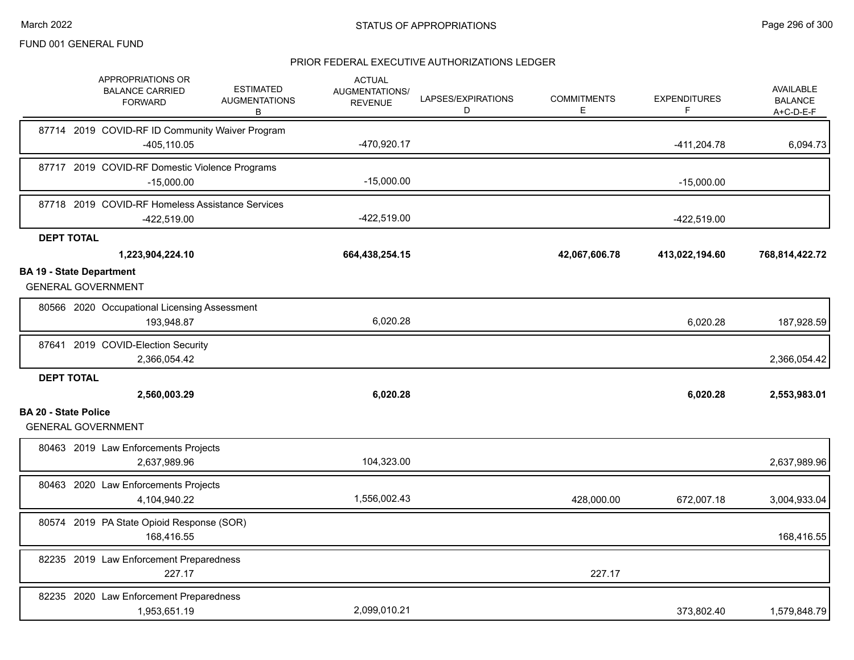|                                 | APPROPRIATIONS OR<br><b>BALANCE CARRIED</b><br><b>FORWARD</b>     | <b>ESTIMATED</b><br><b>AUGMENTATIONS</b><br>В | <b>ACTUAL</b><br>AUGMENTATIONS/<br><b>REVENUE</b> | LAPSES/EXPIRATIONS<br>D | <b>COMMITMENTS</b><br>E | <b>EXPENDITURES</b><br>F | <b>AVAILABLE</b><br><b>BALANCE</b><br>A+C-D-E-F |
|---------------------------------|-------------------------------------------------------------------|-----------------------------------------------|---------------------------------------------------|-------------------------|-------------------------|--------------------------|-------------------------------------------------|
|                                 | 87714 2019 COVID-RF ID Community Waiver Program<br>$-405, 110.05$ |                                               | -470,920.17                                       |                         |                         | $-411,204.78$            | 6,094.73                                        |
|                                 | 87717 2019 COVID-RF Domestic Violence Programs<br>$-15,000.00$    |                                               | $-15,000.00$                                      |                         |                         | $-15,000.00$             |                                                 |
|                                 | 87718 2019 COVID-RF Homeless Assistance Services<br>-422,519.00   |                                               | $-422,519.00$                                     |                         |                         | $-422,519.00$            |                                                 |
| <b>DEPT TOTAL</b>               |                                                                   |                                               |                                                   |                         |                         |                          |                                                 |
|                                 | 1,223,904,224.10                                                  |                                               | 664,438,254.15                                    |                         | 42,067,606.78           | 413,022,194.60           | 768,814,422.72                                  |
| <b>BA 19 - State Department</b> | <b>GENERAL GOVERNMENT</b>                                         |                                               |                                                   |                         |                         |                          |                                                 |
|                                 | 80566 2020 Occupational Licensing Assessment<br>193,948.87        |                                               | 6,020.28                                          |                         |                         | 6,020.28                 | 187,928.59                                      |
|                                 | 87641 2019 COVID-Election Security<br>2,366,054.42                |                                               |                                                   |                         |                         |                          | 2,366,054.42                                    |
| <b>DEPT TOTAL</b>               | 2,560,003.29                                                      |                                               | 6,020.28                                          |                         |                         | 6,020.28                 | 2,553,983.01                                    |
| <b>BA 20 - State Police</b>     | <b>GENERAL GOVERNMENT</b>                                         |                                               |                                                   |                         |                         |                          |                                                 |
|                                 | 80463 2019 Law Enforcements Projects<br>2,637,989.96              |                                               | 104,323.00                                        |                         |                         |                          | 2,637,989.96                                    |
|                                 | 80463 2020 Law Enforcements Projects<br>4,104,940.22              |                                               | 1,556,002.43                                      |                         | 428,000.00              | 672,007.18               | 3,004,933.04                                    |
|                                 | 80574 2019 PA State Opioid Response (SOR)<br>168,416.55           |                                               |                                                   |                         |                         |                          | 168,416.55                                      |
|                                 | 82235 2019 Law Enforcement Preparedness<br>227.17                 |                                               |                                                   |                         | 227.17                  |                          |                                                 |
|                                 | 82235 2020 Law Enforcement Preparedness<br>1,953,651.19           |                                               | 2,099,010.21                                      |                         |                         | 373,802.40               | 1,579,848.79                                    |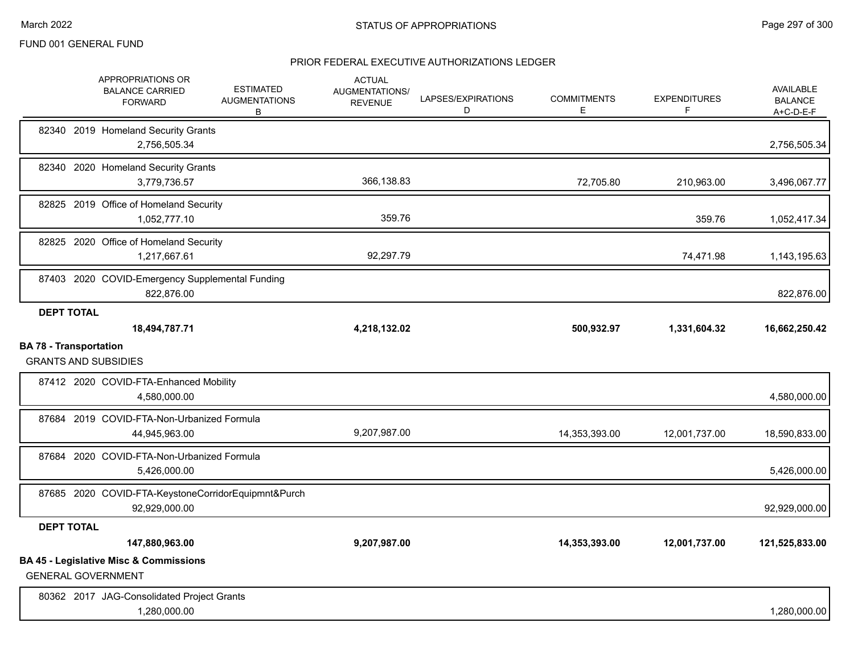|                               | APPROPRIATIONS OR<br><b>BALANCE CARRIED</b><br><b>FORWARD</b>                  | <b>ESTIMATED</b><br><b>AUGMENTATIONS</b><br>В | <b>ACTUAL</b><br>AUGMENTATIONS/<br><b>REVENUE</b> | LAPSES/EXPIRATIONS<br>D | <b>COMMITMENTS</b><br>Е | <b>EXPENDITURES</b><br>F | AVAILABLE<br><b>BALANCE</b><br>A+C-D-E-F |
|-------------------------------|--------------------------------------------------------------------------------|-----------------------------------------------|---------------------------------------------------|-------------------------|-------------------------|--------------------------|------------------------------------------|
|                               | 82340 2019 Homeland Security Grants<br>2,756,505.34                            |                                               |                                                   |                         |                         |                          | 2,756,505.34                             |
|                               | 82340 2020 Homeland Security Grants<br>3,779,736.57                            |                                               | 366,138.83                                        |                         | 72,705.80               | 210,963.00               | 3,496,067.77                             |
|                               | 82825 2019 Office of Homeland Security<br>1,052,777.10                         |                                               | 359.76                                            |                         |                         | 359.76                   | 1,052,417.34                             |
|                               | 82825 2020 Office of Homeland Security<br>1,217,667.61                         |                                               | 92,297.79                                         |                         |                         | 74,471.98                | 1,143,195.63                             |
|                               | 87403 2020 COVID-Emergency Supplemental Funding<br>822,876.00                  |                                               |                                                   |                         |                         |                          | 822,876.00                               |
| <b>DEPT TOTAL</b>             | 18,494,787.71                                                                  |                                               | 4,218,132.02                                      |                         | 500,932.97              | 1,331,604.32             | 16,662,250.42                            |
| <b>BA 78 - Transportation</b> | <b>GRANTS AND SUBSIDIES</b>                                                    |                                               |                                                   |                         |                         |                          |                                          |
|                               | 87412 2020 COVID-FTA-Enhanced Mobility<br>4,580,000.00                         |                                               |                                                   |                         |                         |                          | 4,580,000.00                             |
|                               | 87684 2019 COVID-FTA-Non-Urbanized Formula<br>44,945,963.00                    |                                               | 9,207,987.00                                      |                         | 14,353,393.00           | 12,001,737.00            | 18,590,833.00                            |
|                               | 87684 2020 COVID-FTA-Non-Urbanized Formula<br>5,426,000.00                     |                                               |                                                   |                         |                         |                          | 5,426,000.00                             |
|                               | 87685 2020 COVID-FTA-KeystoneCorridorEquipmnt&Purch<br>92,929,000.00           |                                               |                                                   |                         |                         |                          | 92,929,000.00                            |
| <b>DEPT TOTAL</b>             |                                                                                |                                               |                                                   |                         |                         |                          |                                          |
|                               | 147,880,963.00                                                                 |                                               | 9,207,987.00                                      |                         | 14,353,393.00           | 12,001,737.00            | 121,525,833.00                           |
|                               | <b>BA 45 - Legislative Misc &amp; Commissions</b><br><b>GENERAL GOVERNMENT</b> |                                               |                                                   |                         |                         |                          |                                          |
|                               | 80362 2017 JAG-Consolidated Project Grants<br>1,280,000.00                     |                                               |                                                   |                         |                         |                          | 1,280,000.00                             |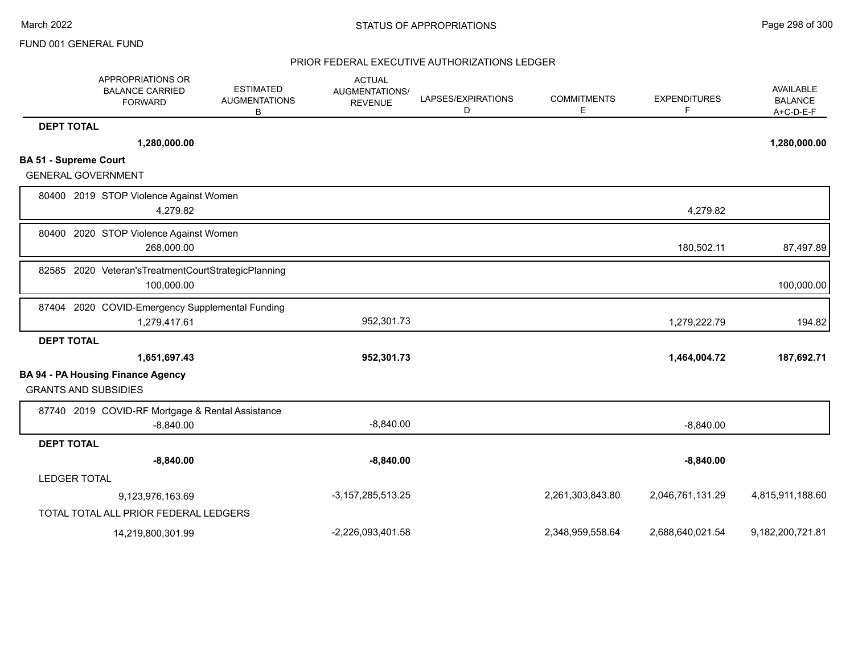|                              | APPROPRIATIONS OR<br><b>BALANCE CARRIED</b><br><b>FORWARD</b>         | <b>ESTIMATED</b><br><b>AUGMENTATIONS</b><br>в | <b>ACTUAL</b><br>AUGMENTATIONS/<br><b>REVENUE</b> | LAPSES/EXPIRATIONS<br>D | <b>COMMITMENTS</b><br>Е | <b>EXPENDITURES</b><br>F | AVAILABLE<br><b>BALANCE</b><br>$A+C-D-E-F$ |
|------------------------------|-----------------------------------------------------------------------|-----------------------------------------------|---------------------------------------------------|-------------------------|-------------------------|--------------------------|--------------------------------------------|
| <b>DEPT TOTAL</b>            |                                                                       |                                               |                                                   |                         |                         |                          |                                            |
|                              | 1,280,000.00                                                          |                                               |                                                   |                         |                         |                          | 1,280,000.00                               |
| <b>BA 51 - Supreme Court</b> |                                                                       |                                               |                                                   |                         |                         |                          |                                            |
| <b>GENERAL GOVERNMENT</b>    |                                                                       |                                               |                                                   |                         |                         |                          |                                            |
|                              | 80400 2019 STOP Violence Against Women<br>4,279.82                    |                                               |                                                   |                         |                         | 4,279.82                 |                                            |
| 80400                        | 2020 STOP Violence Against Women<br>268,000.00                        |                                               |                                                   |                         |                         | 180,502.11               | 87,497.89                                  |
|                              | 82585 2020 Veteran's Treatment Court Strategic Planning<br>100,000.00 |                                               |                                                   |                         |                         |                          | 100,000.00                                 |
| 87404                        | 2020 COVID-Emergency Supplemental Funding<br>1,279,417.61             |                                               | 952,301.73                                        |                         |                         | 1,279,222.79             | 194.82                                     |
| <b>DEPT TOTAL</b>            |                                                                       |                                               |                                                   |                         |                         |                          |                                            |
|                              | 1,651,697.43                                                          |                                               | 952,301.73                                        |                         |                         | 1,464,004.72             | 187,692.71                                 |
| <b>GRANTS AND SUBSIDIES</b>  | <b>BA 94 - PA Housing Finance Agency</b>                              |                                               |                                                   |                         |                         |                          |                                            |
|                              | 87740 2019 COVID-RF Mortgage & Rental Assistance<br>$-8,840.00$       |                                               | $-8,840.00$                                       |                         |                         | $-8,840.00$              |                                            |
| <b>DEPT TOTAL</b>            |                                                                       |                                               |                                                   |                         |                         |                          |                                            |
|                              | $-8,840.00$                                                           |                                               | $-8,840.00$                                       |                         |                         | $-8,840.00$              |                                            |
| <b>LEDGER TOTAL</b>          |                                                                       |                                               |                                                   |                         |                         |                          |                                            |
|                              | 9,123,976,163.69                                                      |                                               | $-3, 157, 285, 513.25$                            |                         | 2,261,303,843.80        | 2,046,761,131.29         | 4,815,911,188.60                           |
|                              | TOTAL TOTAL ALL PRIOR FEDERAL LEDGERS                                 |                                               |                                                   |                         |                         |                          |                                            |
|                              | 14,219,800,301.99                                                     |                                               | -2,226,093,401.58                                 |                         | 2,348,959,558.64        | 2,688,640,021.54         | 9,182,200,721.81                           |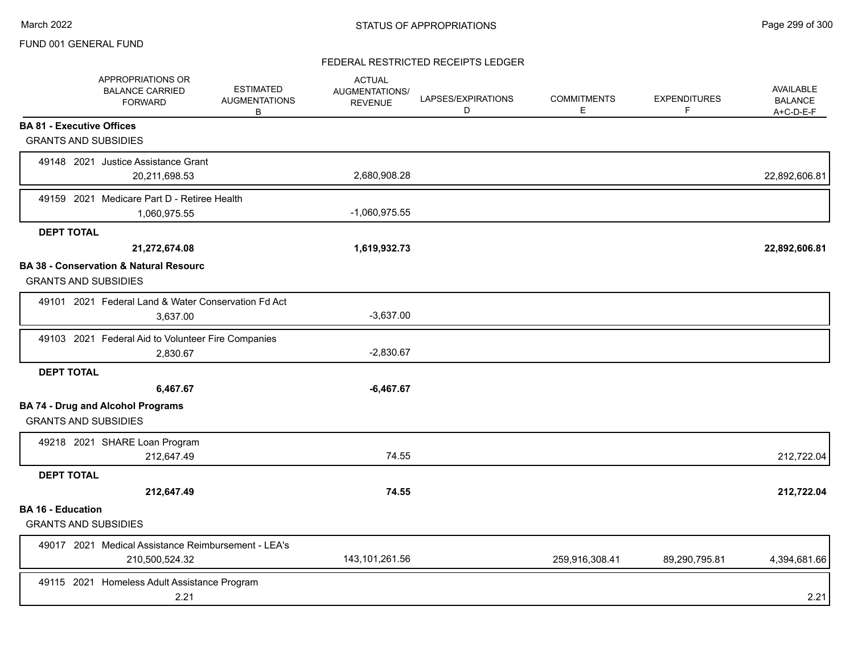## FEDERAL RESTRICTED RECEIPTS LEDGER

|                          | APPROPRIATIONS OR<br><b>BALANCE CARRIED</b><br><b>FORWARD</b>                    | <b>ESTIMATED</b><br><b>AUGMENTATIONS</b><br>B | <b>ACTUAL</b><br><b>AUGMENTATIONS/</b><br><b>REVENUE</b> | LAPSES/EXPIRATIONS<br>D | <b>COMMITMENTS</b><br>Е | <b>EXPENDITURES</b><br>F | AVAILABLE<br><b>BALANCE</b><br>A+C-D-E-F |
|--------------------------|----------------------------------------------------------------------------------|-----------------------------------------------|----------------------------------------------------------|-------------------------|-------------------------|--------------------------|------------------------------------------|
|                          | <b>BA 81 - Executive Offices</b>                                                 |                                               |                                                          |                         |                         |                          |                                          |
|                          | <b>GRANTS AND SUBSIDIES</b>                                                      |                                               |                                                          |                         |                         |                          |                                          |
|                          | 49148 2021 Justice Assistance Grant<br>20,211,698.53                             |                                               | 2,680,908.28                                             |                         |                         |                          | 22,892,606.81                            |
|                          | 49159 2021 Medicare Part D - Retiree Health<br>1,060,975.55                      |                                               | $-1,060,975.55$                                          |                         |                         |                          |                                          |
| <b>DEPT TOTAL</b>        |                                                                                  |                                               |                                                          |                         |                         |                          |                                          |
|                          | 21,272,674.08                                                                    |                                               | 1,619,932.73                                             |                         |                         |                          | 22,892,606.81                            |
|                          | <b>BA 38 - Conservation &amp; Natural Resourc</b><br><b>GRANTS AND SUBSIDIES</b> |                                               |                                                          |                         |                         |                          |                                          |
|                          | 49101 2021 Federal Land & Water Conservation Fd Act<br>3,637.00                  |                                               | $-3,637.00$                                              |                         |                         |                          |                                          |
|                          | 49103 2021 Federal Aid to Volunteer Fire Companies                               |                                               |                                                          |                         |                         |                          |                                          |
|                          | 2,830.67                                                                         |                                               | $-2,830.67$                                              |                         |                         |                          |                                          |
| <b>DEPT TOTAL</b>        |                                                                                  |                                               |                                                          |                         |                         |                          |                                          |
|                          | 6,467.67                                                                         |                                               | $-6,467.67$                                              |                         |                         |                          |                                          |
|                          | <b>BA 74 - Drug and Alcohol Programs</b><br><b>GRANTS AND SUBSIDIES</b>          |                                               |                                                          |                         |                         |                          |                                          |
|                          | 49218 2021 SHARE Loan Program                                                    |                                               |                                                          |                         |                         |                          |                                          |
|                          | 212,647.49                                                                       |                                               | 74.55                                                    |                         |                         |                          | 212,722.04                               |
| <b>DEPT TOTAL</b>        |                                                                                  |                                               |                                                          |                         |                         |                          |                                          |
|                          | 212,647.49                                                                       |                                               | 74.55                                                    |                         |                         |                          | 212,722.04                               |
| <b>BA 16 - Education</b> | <b>GRANTS AND SUBSIDIES</b>                                                      |                                               |                                                          |                         |                         |                          |                                          |
|                          | 49017 2021 Medical Assistance Reimbursement - LEA's<br>210,500,524.32            |                                               | 143, 101, 261.56                                         |                         | 259,916,308.41          | 89,290,795.81            | 4,394,681.66                             |
|                          | 49115 2021 Homeless Adult Assistance Program<br>2.21                             |                                               |                                                          |                         |                         |                          | 2.21                                     |